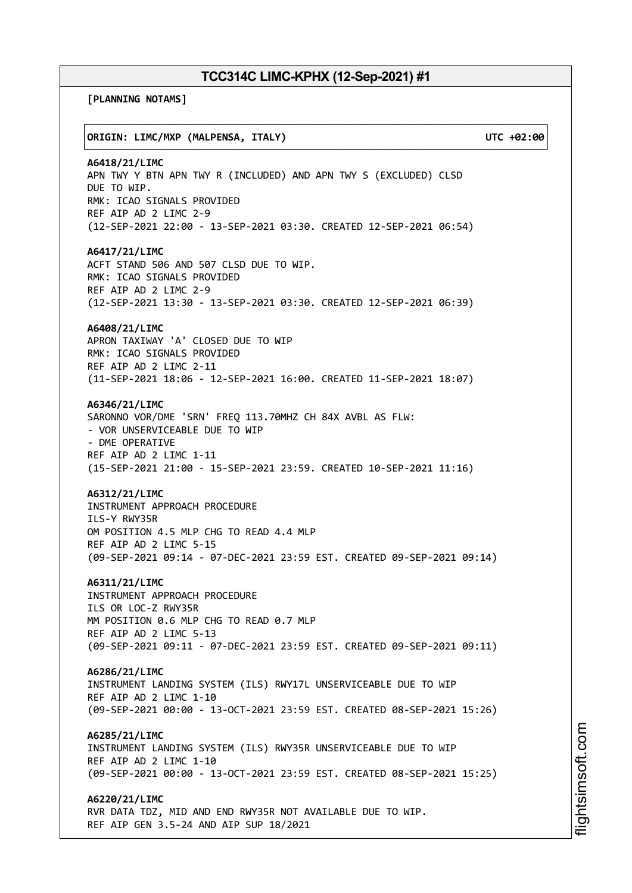┌──────────────────────────────────────────────────────────────────────────────┐

└──────────────────────────────────────────────────────────────────────────────┘

**[PLANNING NOTAMS]**

## │**ORIGIN: LIMC/MXP (MALPENSA, ITALY) UTC +02:00**│

**A6418/21/LIMC** APN TWY Y BTN APN TWY R (INCLUDED) AND APN TWY S (EXCLUDED) CLSD DUE TO WIP. RMK: ICAO SIGNALS PROVIDED REF AIP AD 2 LIMC 2-9 (12-SEP-2021 22:00 - 13-SEP-2021 03:30. CREATED 12-SEP-2021 06:54)

## **A6417/21/LIMC**

ACFT STAND 506 AND 507 CLSD DUE TO WIP. RMK: ICAO SIGNALS PROVIDED REF AIP AD 2 LIMC 2-9 (12-SEP-2021 13:30 - 13-SEP-2021 03:30. CREATED 12-SEP-2021 06:39)

## **A6408/21/LIMC**

APRON TAXIWAY 'A' CLOSED DUE TO WIP RMK: ICAO SIGNALS PROVIDED REF AIP AD 2 LIMC 2-11 (11-SEP-2021 18:06 - 12-SEP-2021 16:00. CREATED 11-SEP-2021 18:07)

## **A6346/21/LIMC**

SARONNO VOR/DME 'SRN' FREQ 113.70MHZ CH 84X AVBL AS FLW: - VOR UNSERVICEABLE DUE TO WIP - DME OPERATIVE REF AIP AD 2 LIMC 1-11 (15-SEP-2021 21:00 - 15-SEP-2021 23:59. CREATED 10-SEP-2021 11:16)

### **A6312/21/LIMC**

INSTRUMENT APPROACH PROCEDURE ILS-Y RWY35R OM POSITION 4.5 MLP CHG TO READ 4.4 MLP REF AIP AD 2 LIMC 5-15 (09-SEP-2021 09:14 - 07-DEC-2021 23:59 EST. CREATED 09-SEP-2021 09:14)

**A6311/21/LIMC**

INSTRUMENT APPROACH PROCEDURE ILS OR LOC-Z RWY35R MM POSITION 0.6 MLP CHG TO READ 0.7 MLP REF AIP AD 2 LIMC 5-13 (09-SEP-2021 09:11 - 07-DEC-2021 23:59 EST. CREATED 09-SEP-2021 09:11)

**A6286/21/LIMC** INSTRUMENT LANDING SYSTEM (ILS) RWY17L UNSERVICEABLE DUE TO WIP REF AIP AD 2 LIMC 1-10 (09-SEP-2021 00:00 - 13-OCT-2021 23:59 EST. CREATED 08-SEP-2021 15:26)

**A6285/21/LIMC** INSTRUMENT LANDING SYSTEM (ILS) RWY35R UNSERVICEABLE DUE TO WIP REF AIP AD 2 LIMC 1-10 (09-SEP-2021 00:00 - 13-OCT-2021 23:59 EST. CREATED 08-SEP-2021 15:25)

**A6220/21/LIMC** RVR DATA TDZ, MID AND END RWY35R NOT AVAILABLE DUE TO WIP. REF AIP GEN 3.5-24 AND AIP SUP 18/2021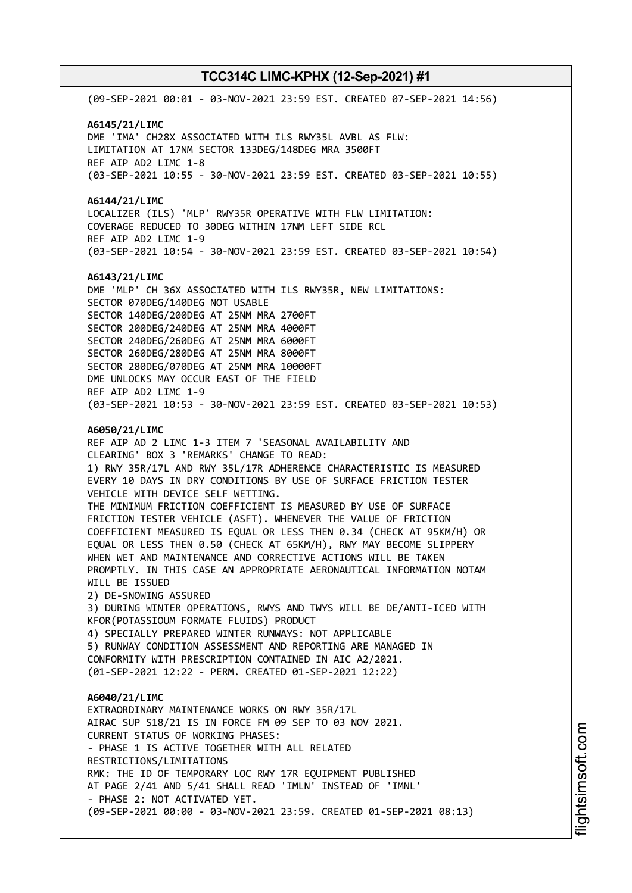(09-SEP-2021 00:01 - 03-NOV-2021 23:59 EST. CREATED 07-SEP-2021 14:56) **A6145/21/LIMC** DME 'IMA' CH28X ASSOCIATED WITH ILS RWY35L AVBL AS FLW: LIMITATION AT 17NM SECTOR 133DEG/148DEG MRA 3500FT REF AIP AD2 LIMC 1-8 (03-SEP-2021 10:55 - 30-NOV-2021 23:59 EST. CREATED 03-SEP-2021 10:55) **A6144/21/LIMC** LOCALIZER (ILS) 'MLP' RWY35R OPERATIVE WITH FLW LIMITATION: COVERAGE REDUCED TO 30DEG WITHIN 17NM LEFT SIDE RCL REF AIP AD2 LIMC 1-9 (03-SEP-2021 10:54 - 30-NOV-2021 23:59 EST. CREATED 03-SEP-2021 10:54) **A6143/21/LIMC** DME 'MLP' CH 36X ASSOCIATED WITH ILS RWY35R, NEW LIMITATIONS: SECTOR 070DEG/140DEG NOT USABLE SECTOR 140DEG/200DEG AT 25NM MRA 2700FT SECTOR 200DEG/240DEG AT 25NM MRA 4000FT SECTOR 240DEG/260DEG AT 25NM MRA 6000FT SECTOR 260DEG/280DEG AT 25NM MRA 8000FT SECTOR 280DEG/070DEG AT 25NM MRA 10000FT DME UNLOCKS MAY OCCUR EAST OF THE FIELD REF AIP AD2 LIMC 1-9 (03-SEP-2021 10:53 - 30-NOV-2021 23:59 EST. CREATED 03-SEP-2021 10:53) **A6050/21/LIMC** REF AIP AD 2 LIMC 1-3 ITEM 7 'SEASONAL AVAILABILITY AND CLEARING' BOX 3 'REMARKS' CHANGE TO READ: 1) RWY 35R/17L AND RWY 35L/17R ADHERENCE CHARACTERISTIC IS MEASURED EVERY 10 DAYS IN DRY CONDITIONS BY USE OF SURFACE FRICTION TESTER VEHICLE WITH DEVICE SELF WETTING. THE MINIMUM FRICTION COEFFICIENT IS MEASURED BY USE OF SURFACE FRICTION TESTER VEHICLE (ASFT). WHENEVER THE VALUE OF FRICTION COEFFICIENT MEASURED IS EQUAL OR LESS THEN 0.34 (CHECK AT 95KM/H) OR EQUAL OR LESS THEN 0.50 (CHECK AT 65KM/H), RWY MAY BECOME SLIPPERY WHEN WET AND MAINTENANCE AND CORRECTIVE ACTIONS WILL BE TAKEN PROMPTLY. IN THIS CASE AN APPROPRIATE AERONAUTICAL INFORMATION NOTAM WILL BE ISSUED 2) DE-SNOWING ASSURED 3) DURING WINTER OPERATIONS, RWYS AND TWYS WILL BE DE/ANTI-ICED WITH KFOR(POTASSIOUM FORMATE FLUIDS) PRODUCT 4) SPECIALLY PREPARED WINTER RUNWAYS: NOT APPLICABLE 5) RUNWAY CONDITION ASSESSMENT AND REPORTING ARE MANAGED IN CONFORMITY WITH PRESCRIPTION CONTAINED IN AIC A2/2021. (01-SEP-2021 12:22 - PERM. CREATED 01-SEP-2021 12:22) **A6040/21/LIMC** EXTRAORDINARY MAINTENANCE WORKS ON RWY 35R/17L AIRAC SUP S18/21 IS IN FORCE FM 09 SEP TO 03 NOV 2021. CURRENT STATUS OF WORKING PHASES: - PHASE 1 IS ACTIVE TOGETHER WITH ALL RELATED RESTRICTIONS/LIMITATIONS RMK: THE ID OF TEMPORARY LOC RWY 17R EQUIPMENT PUBLISHED AT PAGE 2/41 AND 5/41 SHALL READ 'IMLN' INSTEAD OF 'IMNL' - PHASE 2: NOT ACTIVATED YET. (09-SEP-2021 00:00 - 03-NOV-2021 23:59. CREATED 01-SEP-2021 08:13)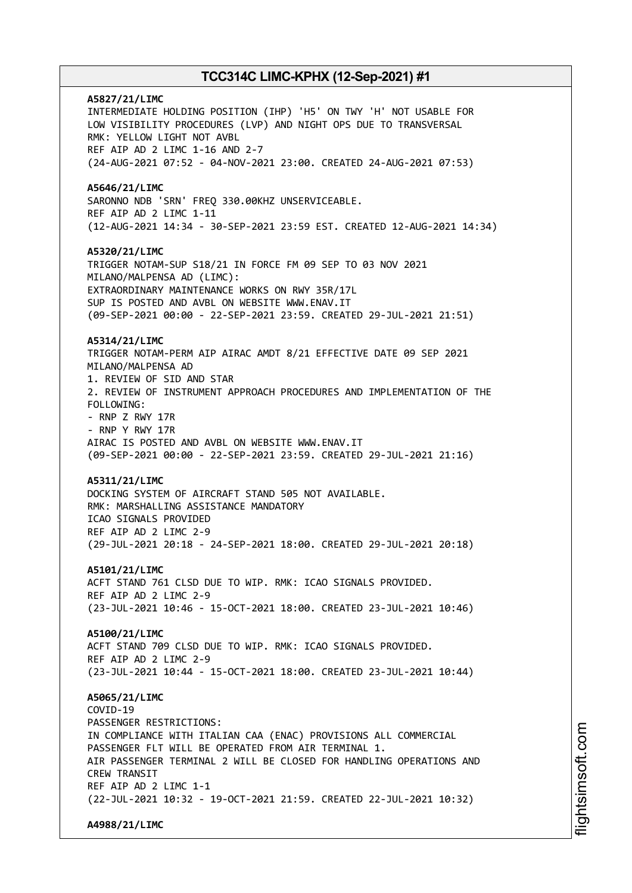**A5827/21/LIMC** INTERMEDIATE HOLDING POSITION (IHP) 'H5' ON TWY 'H' NOT USABLE FOR LOW VISIBILITY PROCEDURES (LVP) AND NIGHT OPS DUE TO TRANSVERSAL RMK: YELLOW LIGHT NOT AVBL REF AIP AD 2 LIMC 1-16 AND 2-7 (24-AUG-2021 07:52 - 04-NOV-2021 23:00. CREATED 24-AUG-2021 07:53) **A5646/21/LIMC** SARONNO NDB 'SRN' FREQ 330.00KHZ UNSERVICEABLE. REF AIP AD 2 LIMC 1-11 (12-AUG-2021 14:34 - 30-SEP-2021 23:59 EST. CREATED 12-AUG-2021 14:34) **A5320/21/LIMC** TRIGGER NOTAM-SUP S18/21 IN FORCE FM 09 SEP TO 03 NOV 2021 MILANO/MALPENSA AD (LIMC): EXTRAORDINARY MAINTENANCE WORKS ON RWY 35R/17L SUP IS POSTED AND AVBL ON WEBSITE WWW.ENAV.IT (09-SEP-2021 00:00 - 22-SEP-2021 23:59. CREATED 29-JUL-2021 21:51) **A5314/21/LIMC** TRIGGER NOTAM-PERM AIP AIRAC AMDT 8/21 EFFECTIVE DATE 09 SEP 2021 MILANO/MALPENSA AD 1. REVIEW OF SID AND STAR 2. REVIEW OF INSTRUMENT APPROACH PROCEDURES AND IMPLEMENTATION OF THE FOLLOWING: - RNP Z RWY 17R - RNP Y RWY 17R AIRAC IS POSTED AND AVBL ON WEBSITE WWW.ENAV.IT (09-SEP-2021 00:00 - 22-SEP-2021 23:59. CREATED 29-JUL-2021 21:16) **A5311/21/LIMC** DOCKING SYSTEM OF AIRCRAFT STAND 505 NOT AVAILABLE. RMK: MARSHALLING ASSISTANCE MANDATORY ICAO SIGNALS PROVIDED REF AIP AD 2 LIMC 2-9 (29-JUL-2021 20:18 - 24-SEP-2021 18:00. CREATED 29-JUL-2021 20:18) **A5101/21/LIMC** ACFT STAND 761 CLSD DUE TO WIP. RMK: ICAO SIGNALS PROVIDED. REF AIP AD 2 LIMC 2-9 (23-JUL-2021 10:46 - 15-OCT-2021 18:00. CREATED 23-JUL-2021 10:46) **A5100/21/LIMC** ACFT STAND 709 CLSD DUE TO WIP. RMK: ICAO SIGNALS PROVIDED. REF AIP AD 2 LIMC 2-9 (23-JUL-2021 10:44 - 15-OCT-2021 18:00. CREATED 23-JUL-2021 10:44) **A5065/21/LIMC** COVID-19 PASSENGER RESTRICTIONS: IN COMPLIANCE WITH ITALIAN CAA (ENAC) PROVISIONS ALL COMMERCIAL PASSENGER FLT WILL BE OPERATED FROM AIR TERMINAL 1. AIR PASSENGER TERMINAL 2 WILL BE CLOSED FOR HANDLING OPERATIONS AND CREW TRANSIT REF AIP AD 2 LIMC 1-1 (22-JUL-2021 10:32 - 19-OCT-2021 21:59. CREATED 22-JUL-2021 10:32) **A4988/21/LIMC**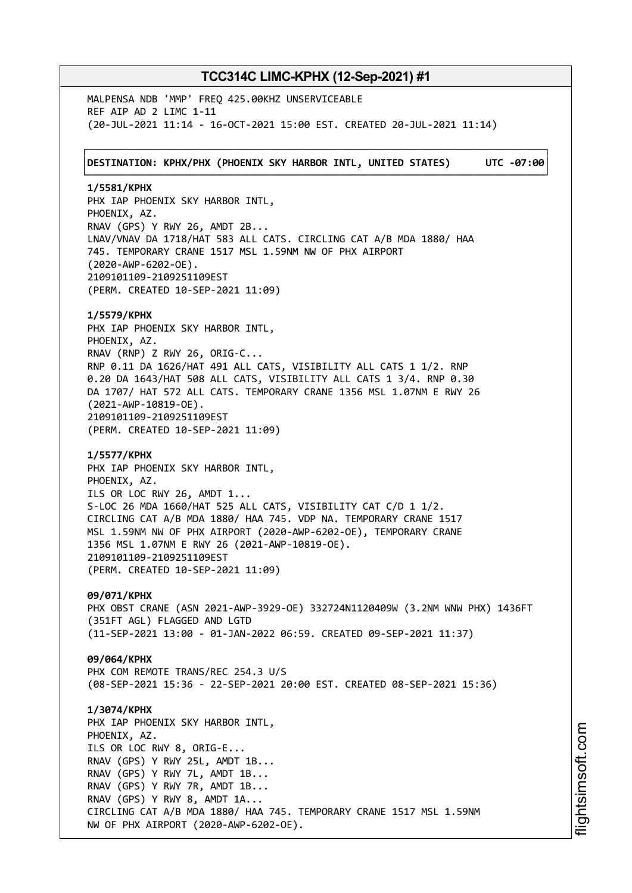MALPENSA NDB 'MMP' FREQ 425.00KHZ UNSERVICEABLE REF AIP AD 2 LIMC 1-11 (20-JUL-2021 11:14 - 16-OCT-2021 15:00 EST. CREATED 20-JUL-2021 11:14)

┌──────────────────────────────────────────────────────────────────────────────┐ │**DESTINATION: KPHX/PHX (PHOENIX SKY HARBOR INTL, UNITED STATES) UTC -07:00**│ └──────────────────────────────────────────────────────────────────────────────┘

**1/5581/KPHX** PHX IAP PHOENIX SKY HARBOR INTL, PHOENIX, AZ. RNAV (GPS) Y RWY 26, AMDT 2B... LNAV/VNAV DA 1718/HAT 583 ALL CATS. CIRCLING CAT A/B MDA 1880/ HAA 745. TEMPORARY CRANE 1517 MSL 1.59NM NW OF PHX AIRPORT (2020-AWP-6202-OE). 2109101109-2109251109EST (PERM. CREATED 10-SEP-2021 11:09)

**1/5579/KPHX** PHX IAP PHOENIX SKY HARBOR INTL, PHOENIX, AZ. RNAV (RNP) Z RWY 26, ORIG-C... RNP 0.11 DA 1626/HAT 491 ALL CATS, VISIBILITY ALL CATS 1 1/2. RNP 0.20 DA 1643/HAT 508 ALL CATS, VISIBILITY ALL CATS 1 3/4. RNP 0.30 DA 1707/ HAT 572 ALL CATS. TEMPORARY CRANE 1356 MSL 1.07NM E RWY 26 (2021-AWP-10819-OE). 2109101109-2109251109EST (PERM. CREATED 10-SEP-2021 11:09)

**1/5577/KPHX** PHX IAP PHOENIX SKY HARBOR INTL, PHOENIX, AZ. ILS OR LOC RWY 26, AMDT 1... S-LOC 26 MDA 1660/HAT 525 ALL CATS, VISIBILITY CAT C/D 1 1/2. CIRCLING CAT A/B MDA 1880/ HAA 745. VDP NA. TEMPORARY CRANE 1517 MSL 1.59NM NW OF PHX AIRPORT (2020-AWP-6202-OE), TEMPORARY CRANE 1356 MSL 1.07NM E RWY 26 (2021-AWP-10819-OE). 2109101109-2109251109EST (PERM. CREATED 10-SEP-2021 11:09)

**09/071/KPHX**

PHX OBST CRANE (ASN 2021-AWP-3929-OE) 332724N1120409W (3.2NM WNW PHX) 1436FT (351FT AGL) FLAGGED AND LGTD (11-SEP-2021 13:00 - 01-JAN-2022 06:59. CREATED 09-SEP-2021 11:37)

**09/064/KPHX** PHX COM REMOTE TRANS/REC 254.3 U/S (08-SEP-2021 15:36 - 22-SEP-2021 20:00 EST. CREATED 08-SEP-2021 15:36)

**1/3074/KPHX** PHX IAP PHOENIX SKY HARBOR INTL, PHOENIX, AZ. ILS OR LOC RWY 8, ORIG-E... RNAV (GPS) Y RWY 25L, AMDT 1B... RNAV (GPS) Y RWY 7L, AMDT 1B... RNAV (GPS) Y RWY 7R, AMDT 1B... RNAV (GPS) Y RWY 8, AMDT 1A... CIRCLING CAT A/B MDA 1880/ HAA 745. TEMPORARY CRANE 1517 MSL 1.59NM NW OF PHX AIRPORT (2020-AWP-6202-OE).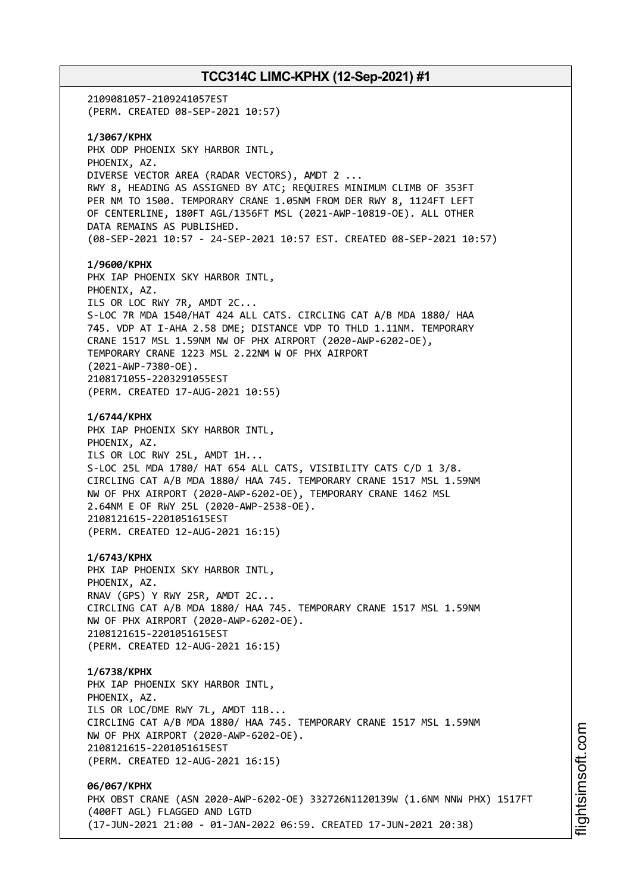# **TCC314C LIMC-KPHX (12-Sep-2021) #1** 2109081057-2109241057EST (PERM. CREATED 08-SEP-2021 10:57) **1/3067/KPHX** PHX ODP PHOENIX SKY HARBOR INTL, PHOENIX, AZ. DIVERSE VECTOR AREA (RADAR VECTORS), AMDT 2 ... RWY 8, HEADING AS ASSIGNED BY ATC; REQUIRES MINIMUM CLIMB OF 353FT PER NM TO 1500. TEMPORARY CRANE 1.05NM FROM DER RWY 8, 1124FT LEFT OF CENTERLINE, 180FT AGL/1356FT MSL (2021-AWP-10819-OE). ALL OTHER DATA REMAINS AS PUBLISHED. (08-SEP-2021 10:57 - 24-SEP-2021 10:57 EST. CREATED 08-SEP-2021 10:57) **1/9600/KPHX** PHX IAP PHOENIX SKY HARBOR INTL, PHOENIX, AZ. ILS OR LOC RWY 7R, AMDT 2C... S-LOC 7R MDA 1540/HAT 424 ALL CATS. CIRCLING CAT A/B MDA 1880/ HAA 745. VDP AT I-AHA 2.58 DME; DISTANCE VDP TO THLD 1.11NM. TEMPORARY CRANE 1517 MSL 1.59NM NW OF PHX AIRPORT (2020-AWP-6202-OE), TEMPORARY CRANE 1223 MSL 2.22NM W OF PHX AIRPORT (2021-AWP-7380-OE). 2108171055-2203291055EST (PERM. CREATED 17-AUG-2021 10:55) **1/6744/KPHX** PHX IAP PHOENIX SKY HARBOR INTL, PHOENIX, AZ. ILS OR LOC RWY 25L, AMDT 1H... S-LOC 25L MDA 1780/ HAT 654 ALL CATS, VISIBILITY CATS C/D 1 3/8. CIRCLING CAT A/B MDA 1880/ HAA 745. TEMPORARY CRANE 1517 MSL 1.59NM NW OF PHX AIRPORT (2020-AWP-6202-OE), TEMPORARY CRANE 1462 MSL 2.64NM E OF RWY 25L (2020-AWP-2538-OE). 2108121615-2201051615EST (PERM. CREATED 12-AUG-2021 16:15) **1/6743/KPHX** PHX IAP PHOENIX SKY HARBOR INTL, PHOENIX, AZ. RNAV (GPS) Y RWY 25R, AMDT 2C... CIRCLING CAT A/B MDA 1880/ HAA 745. TEMPORARY CRANE 1517 MSL 1.59NM NW OF PHX AIRPORT (2020-AWP-6202-OE). 2108121615-2201051615EST (PERM. CREATED 12-AUG-2021 16:15) **1/6738/KPHX** PHX IAP PHOENIX SKY HARBOR INTL, PHOENIX, AZ. ILS OR LOC/DME RWY 7L, AMDT 11B... CIRCLING CAT A/B MDA 1880/ HAA 745. TEMPORARY CRANE 1517 MSL 1.59NM NW OF PHX AIRPORT (2020-AWP-6202-OE). 2108121615-2201051615EST (PERM. CREATED 12-AUG-2021 16:15) **06/067/KPHX** PHX OBST CRANE (ASN 2020-AWP-6202-OE) 332726N1120139W (1.6NM NNW PHX) 1517FT (400FT AGL) FLAGGED AND LGTD (17-JUN-2021 21:00 - 01-JAN-2022 06:59. CREATED 17-JUN-2021 20:38)

i⊒<br>⊫ htsim s oft.c o

m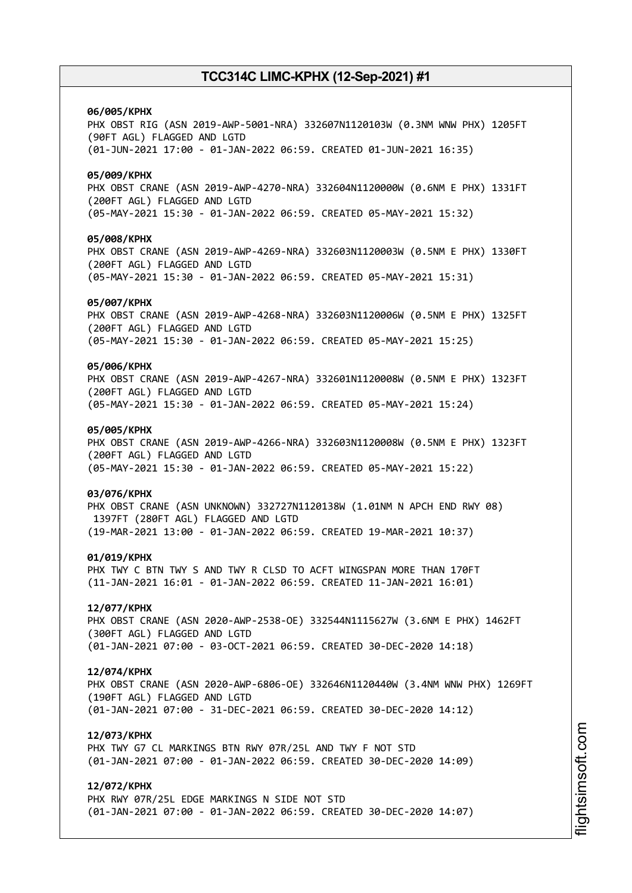#### **06/005/KPHX**

PHX OBST RIG (ASN 2019-AWP-5001-NRA) 332607N1120103W (0.3NM WNW PHX) 1205FT (90FT AGL) FLAGGED AND LGTD (01-JUN-2021 17:00 - 01-JAN-2022 06:59. CREATED 01-JUN-2021 16:35)

#### **05/009/KPHX**

PHX OBST CRANE (ASN 2019-AWP-4270-NRA) 332604N1120000W (0.6NM E PHX) 1331FT (200FT AGL) FLAGGED AND LGTD (05-MAY-2021 15:30 - 01-JAN-2022 06:59. CREATED 05-MAY-2021 15:32)

#### **05/008/KPHX**

PHX OBST CRANE (ASN 2019-AWP-4269-NRA) 332603N1120003W (0.5NM E PHX) 1330FT (200FT AGL) FLAGGED AND LGTD (05-MAY-2021 15:30 - 01-JAN-2022 06:59. CREATED 05-MAY-2021 15:31)

#### **05/007/KPHX**

PHX OBST CRANE (ASN 2019-AWP-4268-NRA) 332603N1120006W (0.5NM E PHX) 1325FT (200FT AGL) FLAGGED AND LGTD (05-MAY-2021 15:30 - 01-JAN-2022 06:59. CREATED 05-MAY-2021 15:25)

## **05/006/KPHX**

PHX OBST CRANE (ASN 2019-AWP-4267-NRA) 332601N1120008W (0.5NM E PHX) 1323FT (200FT AGL) FLAGGED AND LGTD (05-MAY-2021 15:30 - 01-JAN-2022 06:59. CREATED 05-MAY-2021 15:24)

## **05/005/KPHX**

PHX OBST CRANE (ASN 2019-AWP-4266-NRA) 332603N1120008W (0.5NM E PHX) 1323FT (200FT AGL) FLAGGED AND LGTD (05-MAY-2021 15:30 - 01-JAN-2022 06:59. CREATED 05-MAY-2021 15:22)

#### **03/076/KPHX**

PHX OBST CRANE (ASN UNKNOWN) 332727N1120138W (1.01NM N APCH END RWY 08) 1397FT (280FT AGL) FLAGGED AND LGTD (19-MAR-2021 13:00 - 01-JAN-2022 06:59. CREATED 19-MAR-2021 10:37)

#### **01/019/KPHX**

PHX TWY C BTN TWY S AND TWY R CLSD TO ACFT WINGSPAN MORE THAN 170FT (11-JAN-2021 16:01 - 01-JAN-2022 06:59. CREATED 11-JAN-2021 16:01)

## **12/077/KPHX**

PHX OBST CRANE (ASN 2020-AWP-2538-OE) 332544N1115627W (3.6NM E PHX) 1462FT (300FT AGL) FLAGGED AND LGTD (01-JAN-2021 07:00 - 03-OCT-2021 06:59. CREATED 30-DEC-2020 14:18)

#### **12/074/KPHX**

PHX OBST CRANE (ASN 2020-AWP-6806-OE) 332646N1120440W (3.4NM WNW PHX) 1269FT (190FT AGL) FLAGGED AND LGTD (01-JAN-2021 07:00 - 31-DEC-2021 06:59. CREATED 30-DEC-2020 14:12)

## **12/073/KPHX**

PHX TWY G7 CL MARKINGS BTN RWY 07R/25L AND TWY F NOT STD (01-JAN-2021 07:00 - 01-JAN-2022 06:59. CREATED 30-DEC-2020 14:09)

## **12/072/KPHX**

PHX RWY 07R/25L EDGE MARKINGS N SIDE NOT STD (01-JAN-2021 07:00 - 01-JAN-2022 06:59. CREATED 30-DEC-2020 14:07)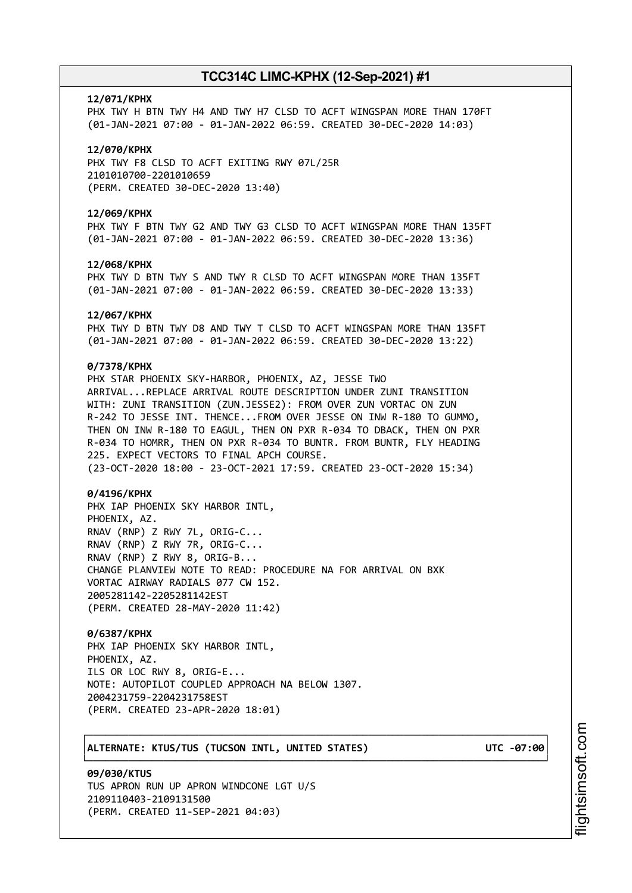#### **12/071/KPHX**

PHX TWY H BTN TWY H4 AND TWY H7 CLSD TO ACFT WINGSPAN MORE THAN 170FT (01-JAN-2021 07:00 - 01-JAN-2022 06:59. CREATED 30-DEC-2020 14:03)

#### **12/070/KPHX**

PHX TWY F8 CLSD TO ACFT EXITING RWY 07L/25R 2101010700-2201010659 (PERM. CREATED 30-DEC-2020 13:40)

## **12/069/KPHX**

PHX TWY F BTN TWY G2 AND TWY G3 CLSD TO ACFT WINGSPAN MORE THAN 135FT (01-JAN-2021 07:00 - 01-JAN-2022 06:59. CREATED 30-DEC-2020 13:36)

#### **12/068/KPHX**

PHX TWY D BTN TWY S AND TWY R CLSD TO ACFT WINGSPAN MORE THAN 135FT (01-JAN-2021 07:00 - 01-JAN-2022 06:59. CREATED 30-DEC-2020 13:33)

#### **12/067/KPHX**

PHX TWY D BTN TWY D8 AND TWY T CLSD TO ACFT WINGSPAN MORE THAN 135FT (01-JAN-2021 07:00 - 01-JAN-2022 06:59. CREATED 30-DEC-2020 13:22)

## **0/7378/KPHX**

PHX STAR PHOENIX SKY-HARBOR, PHOENIX, AZ, JESSE TWO ARRIVAL...REPLACE ARRIVAL ROUTE DESCRIPTION UNDER ZUNI TRANSITION WITH: ZUNI TRANSITION (ZUN.JESSE2): FROM OVER ZUN VORTAC ON ZUN R-242 TO JESSE INT. THENCE...FROM OVER JESSE ON INW R-180 TO GUMMO, THEN ON INW R-180 TO EAGUL, THEN ON PXR R-034 TO DBACK, THEN ON PXR R-034 TO HOMRR, THEN ON PXR R-034 TO BUNTR. FROM BUNTR, FLY HEADING 225. EXPECT VECTORS TO FINAL APCH COURSE. (23-OCT-2020 18:00 - 23-OCT-2021 17:59. CREATED 23-OCT-2020 15:34)

### **0/4196/KPHX**

PHX IAP PHOENIX SKY HARBOR INTL, PHOENIX, AZ. RNAV (RNP) Z RWY 7L, ORIG-C... RNAV (RNP) Z RWY 7R, ORIG-C... RNAV (RNP) Z RWY 8, ORIG-B... CHANGE PLANVIEW NOTE TO READ: PROCEDURE NA FOR ARRIVAL ON BXK VORTAC AIRWAY RADIALS 077 CW 152. 2005281142-2205281142EST (PERM. CREATED 28-MAY-2020 11:42)

┌──────────────────────────────────────────────────────────────────────────────┐

└──────────────────────────────────────────────────────────────────────────────┘

#### **0/6387/KPHX**

PHX IAP PHOENIX SKY HARBOR INTL, PHOENIX, AZ. ILS OR LOC RWY 8, ORIG-E... NOTE: AUTOPILOT COUPLED APPROACH NA BELOW 1307. 2004231759-2204231758EST (PERM. CREATED 23-APR-2020 18:01)

## │**ALTERNATE: KTUS/TUS (TUCSON INTL, UNITED STATES) UTC -07:00**│

**09/030/KTUS** TUS APRON RUN UP APRON WINDCONE LGT U/S 2109110403-2109131500 (PERM. CREATED 11-SEP-2021 04:03)

m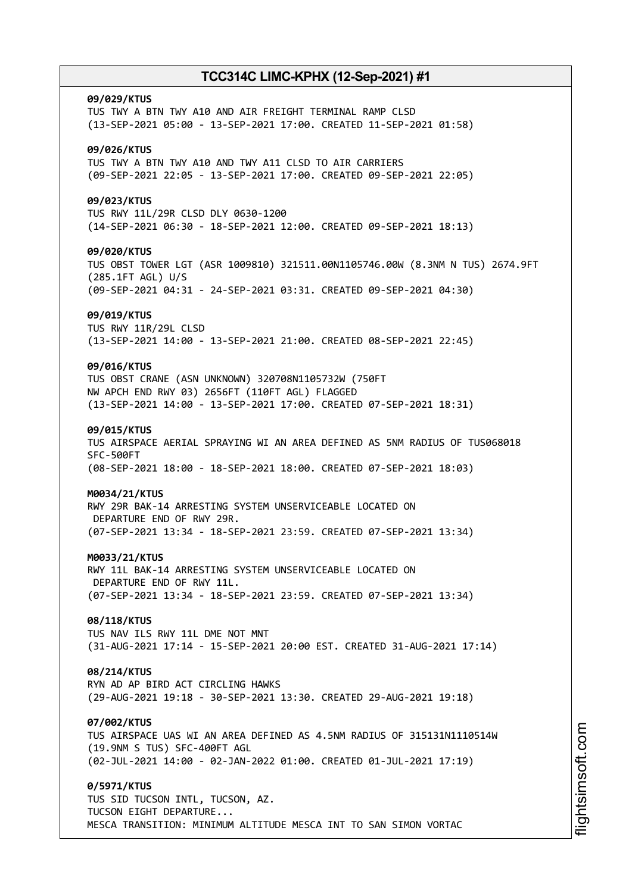#### **09/029/KTUS**

TUS TWY A BTN TWY A10 AND AIR FREIGHT TERMINAL RAMP CLSD (13-SEP-2021 05:00 - 13-SEP-2021 17:00. CREATED 11-SEP-2021 01:58)

## **09/026/KTUS**

TUS TWY A BTN TWY A10 AND TWY A11 CLSD TO AIR CARRIERS (09-SEP-2021 22:05 - 13-SEP-2021 17:00. CREATED 09-SEP-2021 22:05)

## **09/023/KTUS**

TUS RWY 11L/29R CLSD DLY 0630-1200 (14-SEP-2021 06:30 - 18-SEP-2021 12:00. CREATED 09-SEP-2021 18:13)

## **09/020/KTUS**

TUS OBST TOWER LGT (ASR 1009810) 321511.00N1105746.00W (8.3NM N TUS) 2674.9FT (285.1FT AGL) U/S (09-SEP-2021 04:31 - 24-SEP-2021 03:31. CREATED 09-SEP-2021 04:30)

#### **09/019/KTUS**

TUS RWY 11R/29L CLSD (13-SEP-2021 14:00 - 13-SEP-2021 21:00. CREATED 08-SEP-2021 22:45)

## **09/016/KTUS**

TUS OBST CRANE (ASN UNKNOWN) 320708N1105732W (750FT NW APCH END RWY 03) 2656FT (110FT AGL) FLAGGED (13-SEP-2021 14:00 - 13-SEP-2021 17:00. CREATED 07-SEP-2021 18:31)

## **09/015/KTUS**

TUS AIRSPACE AERIAL SPRAYING WI AN AREA DEFINED AS 5NM RADIUS OF TUS068018 SFC-500FT (08-SEP-2021 18:00 - 18-SEP-2021 18:00. CREATED 07-SEP-2021 18:03)

#### **M0034/21/KTUS**

RWY 29R BAK-14 ARRESTING SYSTEM UNSERVICEABLE LOCATED ON DEPARTURE END OF RWY 29R. (07-SEP-2021 13:34 - 18-SEP-2021 23:59. CREATED 07-SEP-2021 13:34)

#### **M0033/21/KTUS**

RWY 11L BAK-14 ARRESTING SYSTEM UNSERVICEABLE LOCATED ON DEPARTURE END OF RWY 11L. (07-SEP-2021 13:34 - 18-SEP-2021 23:59. CREATED 07-SEP-2021 13:34)

## **08/118/KTUS**

TUS NAV ILS RWY 11L DME NOT MNT (31-AUG-2021 17:14 - 15-SEP-2021 20:00 EST. CREATED 31-AUG-2021 17:14)

## **08/214/KTUS**

RYN AD AP BIRD ACT CIRCLING HAWKS (29-AUG-2021 19:18 - 30-SEP-2021 13:30. CREATED 29-AUG-2021 19:18)

#### **07/002/KTUS**

TUS AIRSPACE UAS WI AN AREA DEFINED AS 4.5NM RADIUS OF 315131N1110514W (19.9NM S TUS) SFC-400FT AGL (02-JUL-2021 14:00 - 02-JAN-2022 01:00. CREATED 01-JUL-2021 17:19)

## **0/5971/KTUS**

TUS SID TUCSON INTL, TUCSON, AZ. TUCSON EIGHT DEPARTURE... MESCA TRANSITION: MINIMUM ALTITUDE MESCA INT TO SAN SIMON VORTAC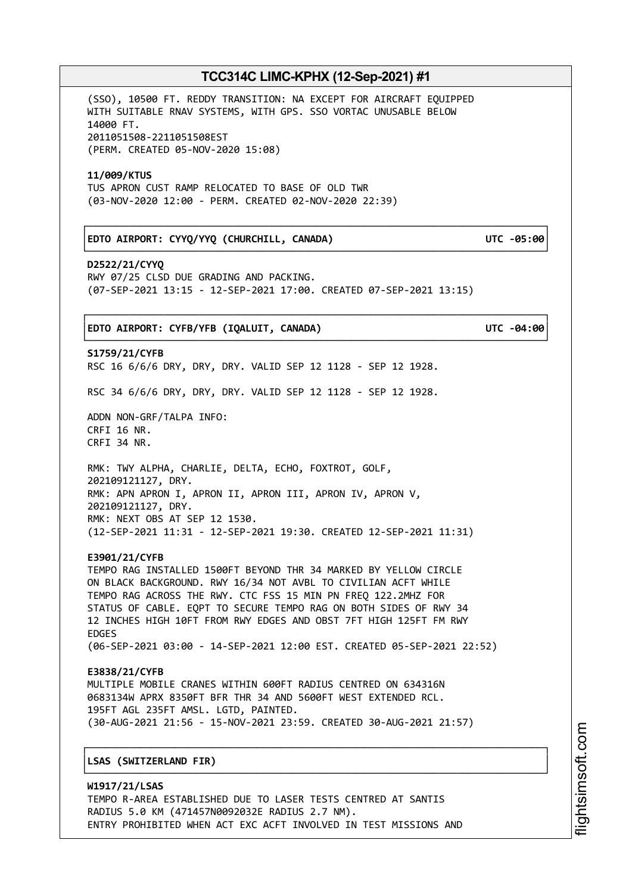(SSO), 10500 FT. REDDY TRANSITION: NA EXCEPT FOR AIRCRAFT EQUIPPED WITH SUITABLE RNAV SYSTEMS, WITH GPS. SSO VORTAC UNUSABLE BELOW 14000 FT. 2011051508-2211051508EST (PERM. CREATED 05-NOV-2020 15:08)

#### **11/009/KTUS**

TUS APRON CUST RAMP RELOCATED TO BASE OF OLD TWR (03-NOV-2020 12:00 - PERM. CREATED 02-NOV-2020 22:39)

## │**EDTO AIRPORT: CYYQ/YYQ (CHURCHILL, CANADA) UTC -05:00**│

**D2522/21/CYYQ** RWY 07/25 CLSD DUE GRADING AND PACKING. (07-SEP-2021 13:15 - 12-SEP-2021 17:00. CREATED 07-SEP-2021 13:15)

└──────────────────────────────────────────────────────────────────────────────┘

## ┌──────────────────────────────────────────────────────────────────────────────┐ │**EDTO AIRPORT: CYFB/YFB (IQALUIT, CANADA) UTC -04:00**│

└──────────────────────────────────────────────────────────────────────────────┘ **S1759/21/CYFB** RSC 16 6/6/6 DRY, DRY, DRY. VALID SEP 12 1128 - SEP 12 1928.

RSC 34 6/6/6 DRY, DRY, DRY. VALID SEP 12 1128 - SEP 12 1928.

ADDN NON-GRF/TALPA INFO: CRFI 16 NR. CRFI 34 NR.

RMK: TWY ALPHA, CHARLIE, DELTA, ECHO, FOXTROT, GOLF, 202109121127, DRY. RMK: APN APRON I, APRON II, APRON III, APRON IV, APRON V, 202109121127, DRY. RMK: NEXT OBS AT SEP 12 1530. (12-SEP-2021 11:31 - 12-SEP-2021 19:30. CREATED 12-SEP-2021 11:31)

#### **E3901/21/CYFB**

TEMPO RAG INSTALLED 1500FT BEYOND THR 34 MARKED BY YELLOW CIRCLE ON BLACK BACKGROUND. RWY 16/34 NOT AVBL TO CIVILIAN ACFT WHILE TEMPO RAG ACROSS THE RWY. CTC FSS 15 MIN PN FREQ 122.2MHZ FOR STATUS OF CABLE. EQPT TO SECURE TEMPO RAG ON BOTH SIDES OF RWY 34 12 INCHES HIGH 10FT FROM RWY EDGES AND OBST 7FT HIGH 125FT FM RWY EDGES (06-SEP-2021 03:00 - 14-SEP-2021 12:00 EST. CREATED 05-SEP-2021 22:52)

# **E3838/21/CYFB**

MULTIPLE MOBILE CRANES WITHIN 600FT RADIUS CENTRED ON 634316N 0683134W APRX 8350FT BFR THR 34 AND 5600FT WEST EXTENDED RCL. 195FT AGL 235FT AMSL. LGTD, PAINTED. (30-AUG-2021 21:56 - 15-NOV-2021 23:59. CREATED 30-AUG-2021 21:57)

┌──────────────────────────────────────────────────────────────────────────────┐

└──────────────────────────────────────────────────────────────────────────────┘

## │**LSAS (SWITZERLAND FIR)** │

**W1917/21/LSAS** TEMPO R-AREA ESTABLISHED DUE TO LASER TESTS CENTRED AT SANTIS RADIUS 5.0 KM (471457N0092032E RADIUS 2.7 NM). ENTRY PROHIBITED WHEN ACT EXC ACFT INVOLVED IN TEST MISSIONS AND i⊒<br>⊫ htsim soft.c om

# ┌──────────────────────────────────────────────────────────────────────────────┐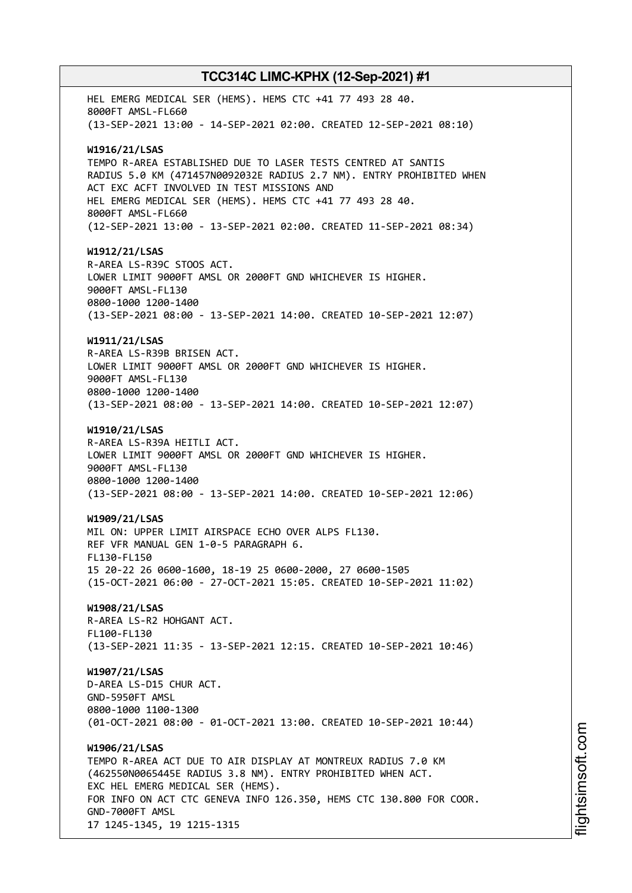HEL EMERG MEDICAL SER (HEMS). HEMS CTC +41 77 493 28 40. 8000FT AMSL-FL660 (13-SEP-2021 13:00 - 14-SEP-2021 02:00. CREATED 12-SEP-2021 08:10) **W1916/21/LSAS** TEMPO R-AREA ESTABLISHED DUE TO LASER TESTS CENTRED AT SANTIS RADIUS 5.0 KM (471457N0092032E RADIUS 2.7 NM). ENTRY PROHIBITED WHEN ACT EXC ACFT INVOLVED IN TEST MISSIONS AND HEL EMERG MEDICAL SER (HEMS). HEMS CTC +41 77 493 28 40. 8000FT AMSL-FL660 (12-SEP-2021 13:00 - 13-SEP-2021 02:00. CREATED 11-SEP-2021 08:34) **W1912/21/LSAS** R-AREA LS-R39C STOOS ACT. LOWER LIMIT 9000FT AMSL OR 2000FT GND WHICHEVER IS HIGHER. 9000FT AMSL-FL130 0800-1000 1200-1400 (13-SEP-2021 08:00 - 13-SEP-2021 14:00. CREATED 10-SEP-2021 12:07) **W1911/21/LSAS** R-AREA LS-R39B BRISEN ACT. LOWER LIMIT 9000FT AMSL OR 2000FT GND WHICHEVER IS HIGHER. 9000FT AMSL-FL130 0800-1000 1200-1400 (13-SEP-2021 08:00 - 13-SEP-2021 14:00. CREATED 10-SEP-2021 12:07) **W1910/21/LSAS** R-AREA LS-R39A HEITLI ACT. LOWER LIMIT 9000FT AMSL OR 2000FT GND WHICHEVER IS HIGHER. 9000FT AMSL-FL130 0800-1000 1200-1400 (13-SEP-2021 08:00 - 13-SEP-2021 14:00. CREATED 10-SEP-2021 12:06) **W1909/21/LSAS** MIL ON: UPPER LIMIT AIRSPACE ECHO OVER ALPS FL130. REF VFR MANUAL GEN 1-0-5 PARAGRAPH 6. FL130-FL150 15 20-22 26 0600-1600, 18-19 25 0600-2000, 27 0600-1505 (15-OCT-2021 06:00 - 27-OCT-2021 15:05. CREATED 10-SEP-2021 11:02) **W1908/21/LSAS** R-AREA LS-R2 HOHGANT ACT. FL100-FL130 (13-SEP-2021 11:35 - 13-SEP-2021 12:15. CREATED 10-SEP-2021 10:46) **W1907/21/LSAS** D-AREA LS-D15 CHUR ACT. GND-5950FT AMSL 0800-1000 1100-1300 (01-OCT-2021 08:00 - 01-OCT-2021 13:00. CREATED 10-SEP-2021 10:44) **W1906/21/LSAS** TEMPO R-AREA ACT DUE TO AIR DISPLAY AT MONTREUX RADIUS 7.0 KM (462550N0065445E RADIUS 3.8 NM). ENTRY PROHIBITED WHEN ACT. EXC HEL EMERG MEDICAL SER (HEMS). FOR INFO ON ACT CTC GENEVA INFO 126.350, HEMS CTC 130.800 FOR COOR. GND-7000FT AMSL 17 1245-1345, 19 1215-1315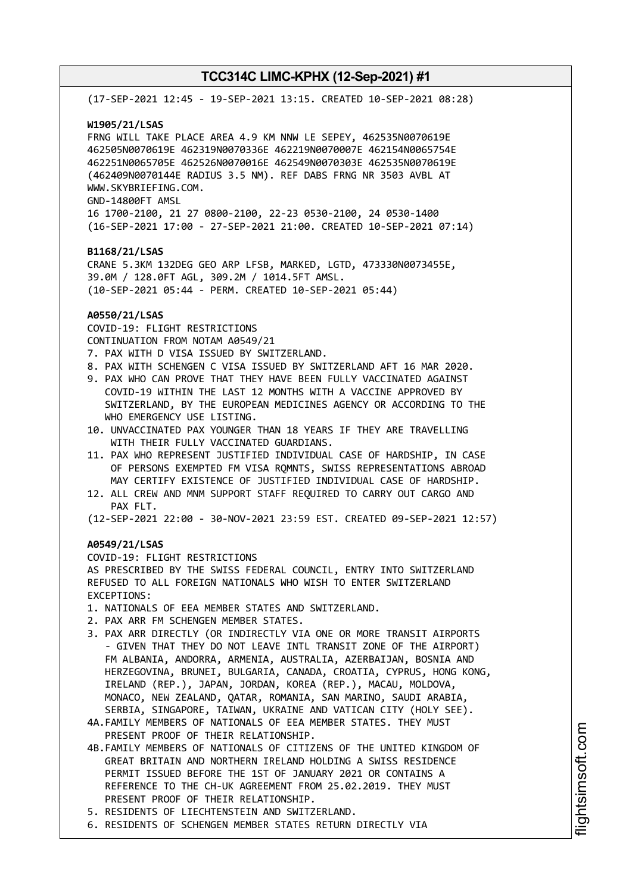(17-SEP-2021 12:45 - 19-SEP-2021 13:15. CREATED 10-SEP-2021 08:28) **W1905/21/LSAS** FRNG WILL TAKE PLACE AREA 4.9 KM NNW LE SEPEY, 462535N0070619E 462505N0070619E 462319N0070336E 462219N0070007E 462154N0065754E 462251N0065705E 462526N0070016E 462549N0070303E 462535N0070619E (462409N0070144E RADIUS 3.5 NM). REF DABS FRNG NR 3503 AVBL AT WWW.SKYBRIEFING.COM. GND-14800FT AMSL 16 1700-2100, 21 27 0800-2100, 22-23 0530-2100, 24 0530-1400 (16-SEP-2021 17:00 - 27-SEP-2021 21:00. CREATED 10-SEP-2021 07:14) **B1168/21/LSAS** CRANE 5.3KM 132DEG GEO ARP LFSB, MARKED, LGTD, 473330N0073455E, 39.0M / 128.0FT AGL, 309.2M / 1014.5FT AMSL. (10-SEP-2021 05:44 - PERM. CREATED 10-SEP-2021 05:44) **A0550/21/LSAS** COVID-19: FLIGHT RESTRICTIONS CONTINUATION FROM NOTAM A0549/21 7. PAX WITH D VISA ISSUED BY SWITZERLAND. 8. PAX WITH SCHENGEN C VISA ISSUED BY SWITZERLAND AFT 16 MAR 2020. 9. PAX WHO CAN PROVE THAT THEY HAVE BEEN FULLY VACCINATED AGAINST COVID-19 WITHIN THE LAST 12 MONTHS WITH A VACCINE APPROVED BY SWITZERLAND, BY THE EUROPEAN MEDICINES AGENCY OR ACCORDING TO THE WHO EMERGENCY USE LISTING. 10. UNVACCINATED PAX YOUNGER THAN 18 YEARS IF THEY ARE TRAVELLING WITH THEIR FULLY VACCINATED GUARDIANS. 11. PAX WHO REPRESENT JUSTIFIED INDIVIDUAL CASE OF HARDSHIP, IN CASE OF PERSONS EXEMPTED FM VISA RQMNTS, SWISS REPRESENTATIONS ABROAD MAY CERTIFY EXISTENCE OF JUSTIFIED INDIVIDUAL CASE OF HARDSHIP. 12. ALL CREW AND MNM SUPPORT STAFF REQUIRED TO CARRY OUT CARGO AND PAX FLT. (12-SEP-2021 22:00 - 30-NOV-2021 23:59 EST. CREATED 09-SEP-2021 12:57) **A0549/21/LSAS** COVID-19: FLIGHT RESTRICTIONS AS PRESCRIBED BY THE SWISS FEDERAL COUNCIL, ENTRY INTO SWITZERLAND REFUSED TO ALL FOREIGN NATIONALS WHO WISH TO ENTER SWITZERLAND EXCEPTIONS: 1. NATIONALS OF EEA MEMBER STATES AND SWITZERLAND. 2. PAX ARR FM SCHENGEN MEMBER STATES. 3. PAX ARR DIRECTLY (OR INDIRECTLY VIA ONE OR MORE TRANSIT AIRPORTS - GIVEN THAT THEY DO NOT LEAVE INTL TRANSIT ZONE OF THE AIRPORT) FM ALBANIA, ANDORRA, ARMENIA, AUSTRALIA, AZERBAIJAN, BOSNIA AND HERZEGOVINA, BRUNEI, BULGARIA, CANADA, CROATIA, CYPRUS, HONG KONG, IRELAND (REP.), JAPAN, JORDAN, KOREA (REP.), MACAU, MOLDOVA, MONACO, NEW ZEALAND, QATAR, ROMANIA, SAN MARINO, SAUDI ARABIA, SERBIA, SINGAPORE, TAIWAN, UKRAINE AND VATICAN CITY (HOLY SEE). 4A.FAMILY MEMBERS OF NATIONALS OF EEA MEMBER STATES. THEY MUST PRESENT PROOF OF THEIR RELATIONSHIP. 4B.FAMILY MEMBERS OF NATIONALS OF CITIZENS OF THE UNITED KINGDOM OF GREAT BRITAIN AND NORTHERN IRELAND HOLDING A SWISS RESIDENCE PERMIT ISSUED BEFORE THE 1ST OF JANUARY 2021 OR CONTAINS A REFERENCE TO THE CH-UK AGREEMENT FROM 25.02.2019. THEY MUST PRESENT PROOF OF THEIR RELATIONSHIP. 5. RESIDENTS OF LIECHTENSTEIN AND SWITZERLAND. 6. RESIDENTS OF SCHENGEN MEMBER STATES RETURN DIRECTLY VIA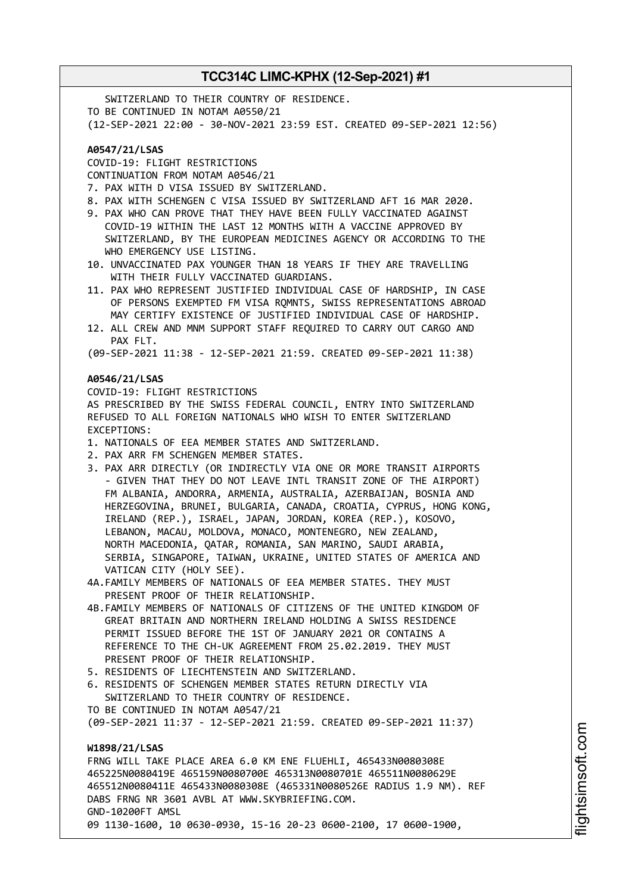**TCC314C LIMC-KPHX (12-Sep-2021) #1** SWITZERLAND TO THEIR COUNTRY OF RESIDENCE. TO BE CONTINUED IN NOTAM A0550/21 (12-SEP-2021 22:00 - 30-NOV-2021 23:59 EST. CREATED 09-SEP-2021 12:56) **A0547/21/LSAS** COVID-19: FLIGHT RESTRICTIONS CONTINUATION FROM NOTAM A0546/21 7. PAX WITH D VISA ISSUED BY SWITZERLAND. 8. PAX WITH SCHENGEN C VISA ISSUED BY SWITZERLAND AFT 16 MAR 2020. 9. PAX WHO CAN PROVE THAT THEY HAVE BEEN FULLY VACCINATED AGAINST COVID-19 WITHIN THE LAST 12 MONTHS WITH A VACCINE APPROVED BY SWITZERLAND, BY THE EUROPEAN MEDICINES AGENCY OR ACCORDING TO THE WHO EMERGENCY USE LISTING. 10. UNVACCINATED PAX YOUNGER THAN 18 YEARS IF THEY ARE TRAVELLING WITH THEIR FULLY VACCINATED GUARDIANS. 11. PAX WHO REPRESENT JUSTIFIED INDIVIDUAL CASE OF HARDSHIP, IN CASE OF PERSONS EXEMPTED FM VISA RQMNTS, SWISS REPRESENTATIONS ABROAD MAY CERTIFY EXISTENCE OF JUSTIFIED INDIVIDUAL CASE OF HARDSHIP. 12. ALL CREW AND MNM SUPPORT STAFF REQUIRED TO CARRY OUT CARGO AND PAX FLT. (09-SEP-2021 11:38 - 12-SEP-2021 21:59. CREATED 09-SEP-2021 11:38) **A0546/21/LSAS** COVID-19: FLIGHT RESTRICTIONS AS PRESCRIBED BY THE SWISS FEDERAL COUNCIL, ENTRY INTO SWITZERLAND REFUSED TO ALL FOREIGN NATIONALS WHO WISH TO ENTER SWITZERLAND EXCEPTIONS: 1. NATIONALS OF EEA MEMBER STATES AND SWITZERLAND. 2. PAX ARR FM SCHENGEN MEMBER STATES. 3. PAX ARR DIRECTLY (OR INDIRECTLY VIA ONE OR MORE TRANSIT AIRPORTS - GIVEN THAT THEY DO NOT LEAVE INTL TRANSIT ZONE OF THE AIRPORT) FM ALBANIA, ANDORRA, ARMENIA, AUSTRALIA, AZERBAIJAN, BOSNIA AND HERZEGOVINA, BRUNEI, BULGARIA, CANADA, CROATIA, CYPRUS, HONG KONG, IRELAND (REP.), ISRAEL, JAPAN, JORDAN, KOREA (REP.), KOSOVO, LEBANON, MACAU, MOLDOVA, MONACO, MONTENEGRO, NEW ZEALAND, NORTH MACEDONIA, QATAR, ROMANIA, SAN MARINO, SAUDI ARABIA, SERBIA, SINGAPORE, TAIWAN, UKRAINE, UNITED STATES OF AMERICA AND VATICAN CITY (HOLY SEE). 4A.FAMILY MEMBERS OF NATIONALS OF EEA MEMBER STATES. THEY MUST PRESENT PROOF OF THEIR RELATIONSHIP. 4B.FAMILY MEMBERS OF NATIONALS OF CITIZENS OF THE UNITED KINGDOM OF GREAT BRITAIN AND NORTHERN IRELAND HOLDING A SWISS RESIDENCE PERMIT ISSUED BEFORE THE 1ST OF JANUARY 2021 OR CONTAINS A REFERENCE TO THE CH-UK AGREEMENT FROM 25.02.2019. THEY MUST PRESENT PROOF OF THEIR RELATIONSHIP.

- 5. RESIDENTS OF LIECHTENSTEIN AND SWITZERLAND.
- 6. RESIDENTS OF SCHENGEN MEMBER STATES RETURN DIRECTLY VIA SWITZERLAND TO THEIR COUNTRY OF RESIDENCE.
- TO BE CONTINUED IN NOTAM A0547/21

(09-SEP-2021 11:37 - 12-SEP-2021 21:59. CREATED 09-SEP-2021 11:37)

## **W1898/21/LSAS**

FRNG WILL TAKE PLACE AREA 6.0 KM ENE FLUEHLI, 465433N0080308E 465225N0080419E 465159N0080700E 465313N0080701E 465511N0080629E 465512N0080411E 465433N0080308E (465331N0080526E RADIUS 1.9 NM). REF DABS FRNG NR 3601 AVBL AT WWW.SKYBRIEFING.COM. GND-10200FT AMSL 09 1130-1600, 10 0630-0930, 15-16 20-23 0600-2100, 17 0600-1900,

m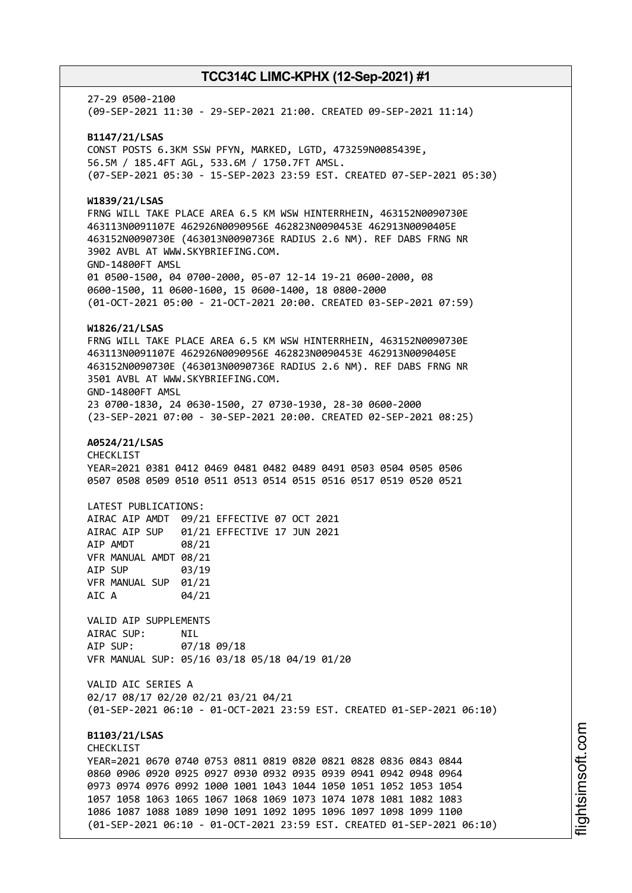27-29 0500-2100 (09-SEP-2021 11:30 - 29-SEP-2021 21:00. CREATED 09-SEP-2021 11:14) **B1147/21/LSAS** CONST POSTS 6.3KM SSW PFYN, MARKED, LGTD, 473259N0085439E, 56.5M / 185.4FT AGL, 533.6M / 1750.7FT AMSL. (07-SEP-2021 05:30 - 15-SEP-2023 23:59 EST. CREATED 07-SEP-2021 05:30) **W1839/21/LSAS** FRNG WILL TAKE PLACE AREA 6.5 KM WSW HINTERRHEIN, 463152N0090730E 463113N0091107E 462926N0090956E 462823N0090453E 462913N0090405E 463152N0090730E (463013N0090736E RADIUS 2.6 NM). REF DABS FRNG NR 3902 AVBL AT WWW.SKYBRIEFING.COM. GND-14800FT AMSL 01 0500-1500, 04 0700-2000, 05-07 12-14 19-21 0600-2000, 08 0600-1500, 11 0600-1600, 15 0600-1400, 18 0800-2000 (01-OCT-2021 05:00 - 21-OCT-2021 20:00. CREATED 03-SEP-2021 07:59) **W1826/21/LSAS** FRNG WILL TAKE PLACE AREA 6.5 KM WSW HINTERRHEIN, 463152N0090730E 463113N0091107E 462926N0090956E 462823N0090453E 462913N0090405E 463152N0090730E (463013N0090736E RADIUS 2.6 NM). REF DABS FRNG NR 3501 AVBL AT WWW.SKYBRIEFING.COM. GND-14800FT AMSL 23 0700-1830, 24 0630-1500, 27 0730-1930, 28-30 0600-2000 (23-SEP-2021 07:00 - 30-SEP-2021 20:00. CREATED 02-SEP-2021 08:25) **A0524/21/LSAS** CHECKLIST YEAR=2021 0381 0412 0469 0481 0482 0489 0491 0503 0504 0505 0506 0507 0508 0509 0510 0511 0513 0514 0515 0516 0517 0519 0520 0521 LATEST PUBLICATIONS: AIRAC AIP AMDT 09/21 EFFECTIVE 07 OCT 2021 AIRAC AIP SUP 01/21 EFFECTIVE 17 JUN 2021 AIP AMDT 08/21 VFR MANUAL AMDT 08/21 AIP SUP 03/19 VFR MANUAL SUP 01/21 AIC A 04/21 VALID AIP SUPPLEMENTS AIRAC SUP: NIL AIP SUP: 07/18 09/18 VFR MANUAL SUP: 05/16 03/18 05/18 04/19 01/20 VALID AIC SERIES A 02/17 08/17 02/20 02/21 03/21 04/21 (01-SEP-2021 06:10 - 01-OCT-2021 23:59 EST. CREATED 01-SEP-2021 06:10) **B1103/21/LSAS CHECKLIST** YEAR=2021 0670 0740 0753 0811 0819 0820 0821 0828 0836 0843 0844 0860 0906 0920 0925 0927 0930 0932 0935 0939 0941 0942 0948 0964 0973 0974 0976 0992 1000 1001 1043 1044 1050 1051 1052 1053 1054 1057 1058 1063 1065 1067 1068 1069 1073 1074 1078 1081 1082 1083 1086 1087 1088 1089 1090 1091 1092 1095 1096 1097 1098 1099 1100 (01-SEP-2021 06:10 - 01-OCT-2021 23:59 EST. CREATED 01-SEP-2021 06:10)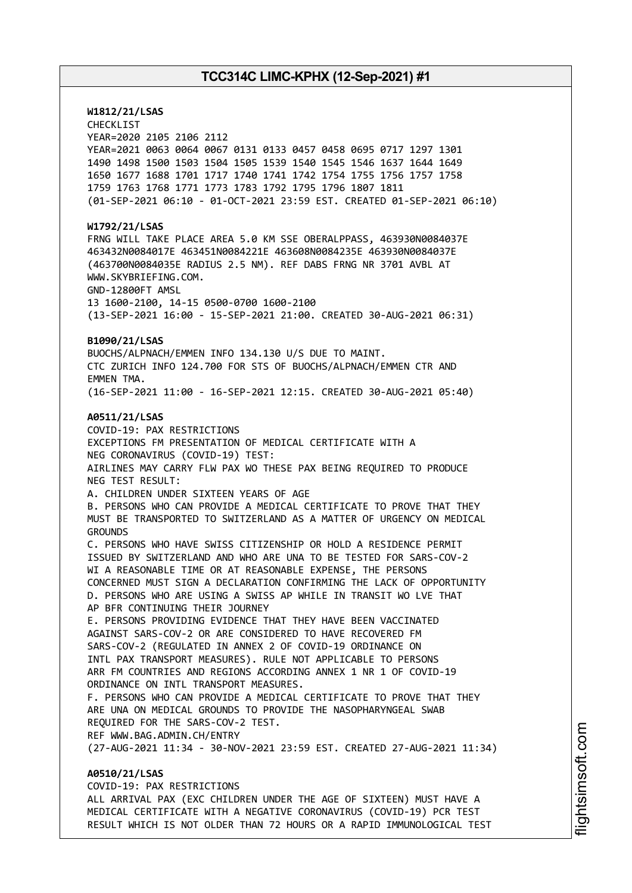**W1812/21/LSAS** CHECKLIST YEAR=2020 2105 2106 2112 YEAR=2021 0063 0064 0067 0131 0133 0457 0458 0695 0717 1297 1301 1490 1498 1500 1503 1504 1505 1539 1540 1545 1546 1637 1644 1649 1650 1677 1688 1701 1717 1740 1741 1742 1754 1755 1756 1757 1758 1759 1763 1768 1771 1773 1783 1792 1795 1796 1807 1811 (01-SEP-2021 06:10 - 01-OCT-2021 23:59 EST. CREATED 01-SEP-2021 06:10) **W1792/21/LSAS** FRNG WILL TAKE PLACE AREA 5.0 KM SSE OBERALPPASS, 463930N0084037E 463432N0084017E 463451N0084221E 463608N0084235E 463930N0084037E (463700N0084035E RADIUS 2.5 NM). REF DABS FRNG NR 3701 AVBL AT WWW.SKYBRIEFING.COM. GND-12800FT AMSL 13 1600-2100, 14-15 0500-0700 1600-2100 (13-SEP-2021 16:00 - 15-SEP-2021 21:00. CREATED 30-AUG-2021 06:31) **B1090/21/LSAS** BUOCHS/ALPNACH/EMMEN INFO 134.130 U/S DUE TO MAINT. CTC ZURICH INFO 124.700 FOR STS OF BUOCHS/ALPNACH/EMMEN CTR AND EMMEN TMA. (16-SEP-2021 11:00 - 16-SEP-2021 12:15. CREATED 30-AUG-2021 05:40) **A0511/21/LSAS** COVID-19: PAX RESTRICTIONS EXCEPTIONS FM PRESENTATION OF MEDICAL CERTIFICATE WITH A NEG CORONAVIRUS (COVID-19) TEST: AIRLINES MAY CARRY FLW PAX WO THESE PAX BEING REQUIRED TO PRODUCE NEG TEST RESULT: A. CHILDREN UNDER SIXTEEN YEARS OF AGE B. PERSONS WHO CAN PROVIDE A MEDICAL CERTIFICATE TO PROVE THAT THEY MUST BE TRANSPORTED TO SWITZERLAND AS A MATTER OF URGENCY ON MEDICAL GROUNDS C. PERSONS WHO HAVE SWISS CITIZENSHIP OR HOLD A RESIDENCE PERMIT ISSUED BY SWITZERLAND AND WHO ARE UNA TO BE TESTED FOR SARS-COV-2 WI A REASONABLE TIME OR AT REASONABLE EXPENSE, THE PERSONS CONCERNED MUST SIGN A DECLARATION CONFIRMING THE LACK OF OPPORTUNITY D. PERSONS WHO ARE USING A SWISS AP WHILE IN TRANSIT WO LVE THAT AP BFR CONTINUING THEIR JOURNEY E. PERSONS PROVIDING EVIDENCE THAT THEY HAVE BEEN VACCINATED AGAINST SARS-COV-2 OR ARE CONSIDERED TO HAVE RECOVERED FM SARS-COV-2 (REGULATED IN ANNEX 2 OF COVID-19 ORDINANCE ON INTL PAX TRANSPORT MEASURES). RULE NOT APPLICABLE TO PERSONS ARR FM COUNTRIES AND REGIONS ACCORDING ANNEX 1 NR 1 OF COVID-19 ORDINANCE ON INTL TRANSPORT MEASURES. F. PERSONS WHO CAN PROVIDE A MEDICAL CERTIFICATE TO PROVE THAT THEY ARE UNA ON MEDICAL GROUNDS TO PROVIDE THE NASOPHARYNGEAL SWAB REQUIRED FOR THE SARS-COV-2 TEST. REF WWW.BAG.ADMIN.CH/ENTRY (27-AUG-2021 11:34 - 30-NOV-2021 23:59 EST. CREATED 27-AUG-2021 11:34) **A0510/21/LSAS** COVID-19: PAX RESTRICTIONS

ALL ARRIVAL PAX (EXC CHILDREN UNDER THE AGE OF SIXTEEN) MUST HAVE A MEDICAL CERTIFICATE WITH A NEGATIVE CORONAVIRUS (COVID-19) PCR TEST RESULT WHICH IS NOT OLDER THAN 72 HOURS OR A RAPID IMMUNOLOGICAL TEST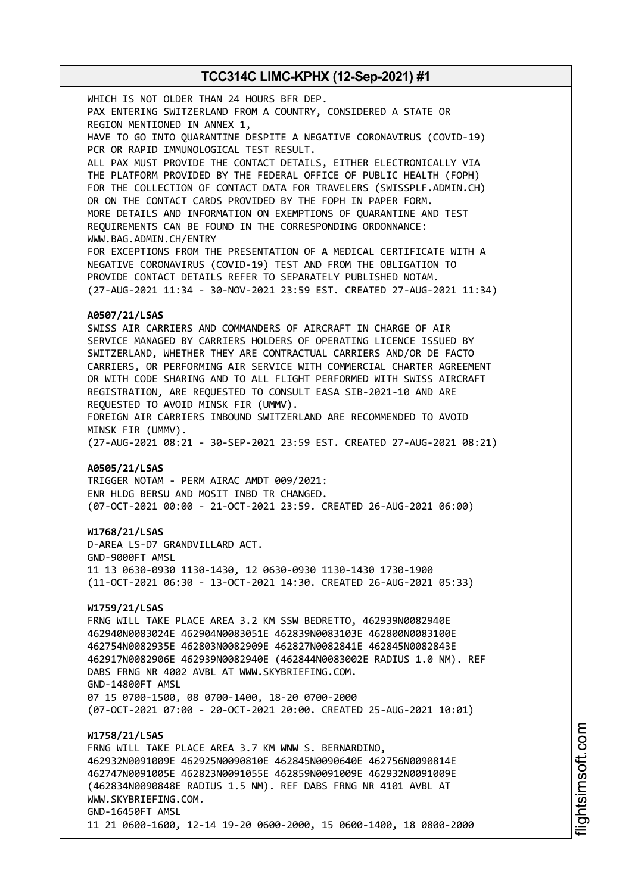WHICH IS NOT OLDER THAN 24 HOURS BFR DEP. PAX ENTERING SWITZERLAND FROM A COUNTRY, CONSIDERED A STATE OR REGION MENTIONED IN ANNEX 1, HAVE TO GO INTO QUARANTINE DESPITE A NEGATIVE CORONAVIRUS (COVID-19) PCR OR RAPID IMMUNOLOGICAL TEST RESULT. ALL PAX MUST PROVIDE THE CONTACT DETAILS, EITHER ELECTRONICALLY VIA THE PLATFORM PROVIDED BY THE FEDERAL OFFICE OF PUBLIC HEALTH (FOPH) FOR THE COLLECTION OF CONTACT DATA FOR TRAVELERS (SWISSPLF.ADMIN.CH) OR ON THE CONTACT CARDS PROVIDED BY THE FOPH IN PAPER FORM. MORE DETAILS AND INFORMATION ON EXEMPTIONS OF QUARANTINE AND TEST REQUIREMENTS CAN BE FOUND IN THE CORRESPONDING ORDONNANCE: WWW.BAG.ADMIN.CH/ENTRY FOR EXCEPTIONS FROM THE PRESENTATION OF A MEDICAL CERTIFICATE WITH A NEGATIVE CORONAVIRUS (COVID-19) TEST AND FROM THE OBLIGATION TO PROVIDE CONTACT DETAILS REFER TO SEPARATELY PUBLISHED NOTAM. (27-AUG-2021 11:34 - 30-NOV-2021 23:59 EST. CREATED 27-AUG-2021 11:34) **A0507/21/LSAS** SWISS AIR CARRIERS AND COMMANDERS OF AIRCRAFT IN CHARGE OF AIR SERVICE MANAGED BY CARRIERS HOLDERS OF OPERATING LICENCE ISSUED BY SWITZERLAND, WHETHER THEY ARE CONTRACTUAL CARRIERS AND/OR DE FACTO CARRIERS, OR PERFORMING AIR SERVICE WITH COMMERCIAL CHARTER AGREEMENT OR WITH CODE SHARING AND TO ALL FLIGHT PERFORMED WITH SWISS AIRCRAFT REGISTRATION, ARE REQUESTED TO CONSULT EASA SIB-2021-10 AND ARE REQUESTED TO AVOID MINSK FIR (UMMV). FOREIGN AIR CARRIERS INBOUND SWITZERLAND ARE RECOMMENDED TO AVOID MINSK FIR (UMMV). (27-AUG-2021 08:21 - 30-SEP-2021 23:59 EST. CREATED 27-AUG-2021 08:21) **A0505/21/LSAS** TRIGGER NOTAM - PERM AIRAC AMDT 009/2021: ENR HLDG BERSU AND MOSIT INBD TR CHANGED. (07-OCT-2021 00:00 - 21-OCT-2021 23:59. CREATED 26-AUG-2021 06:00) **W1768/21/LSAS** D-AREA LS-D7 GRANDVILLARD ACT. GND-9000FT AMSL 11 13 0630-0930 1130-1430, 12 0630-0930 1130-1430 1730-1900 (11-OCT-2021 06:30 - 13-OCT-2021 14:30. CREATED 26-AUG-2021 05:33) **W1759/21/LSAS** FRNG WILL TAKE PLACE AREA 3.2 KM SSW BEDRETTO, 462939N0082940E 462940N0083024E 462904N0083051E 462839N0083103E 462800N0083100E 462754N0082935E 462803N0082909E 462827N0082841E 462845N0082843E 462917N0082906E 462939N0082940E (462844N0083002E RADIUS 1.0 NM). REF DABS FRNG NR 4002 AVBL AT WWW.SKYBRIEFING.COM. GND-14800FT AMSL 07 15 0700-1500, 08 0700-1400, 18-20 0700-2000 (07-OCT-2021 07:00 - 20-OCT-2021 20:00. CREATED 25-AUG-2021 10:01) **W1758/21/LSAS** FRNG WILL TAKE PLACE AREA 3.7 KM WNW S. BERNARDINO, 462932N0091009E 462925N0090810E 462845N0090640E 462756N0090814E 462747N0091005E 462823N0091055E 462859N0091009E 462932N0091009E (462834N0090848E RADIUS 1.5 NM). REF DABS FRNG NR 4101 AVBL AT WWW.SKYBRIEFING.COM. GND-16450FT AMSL 11 21 0600-1600, 12-14 19-20 0600-2000, 15 0600-1400, 18 0800-2000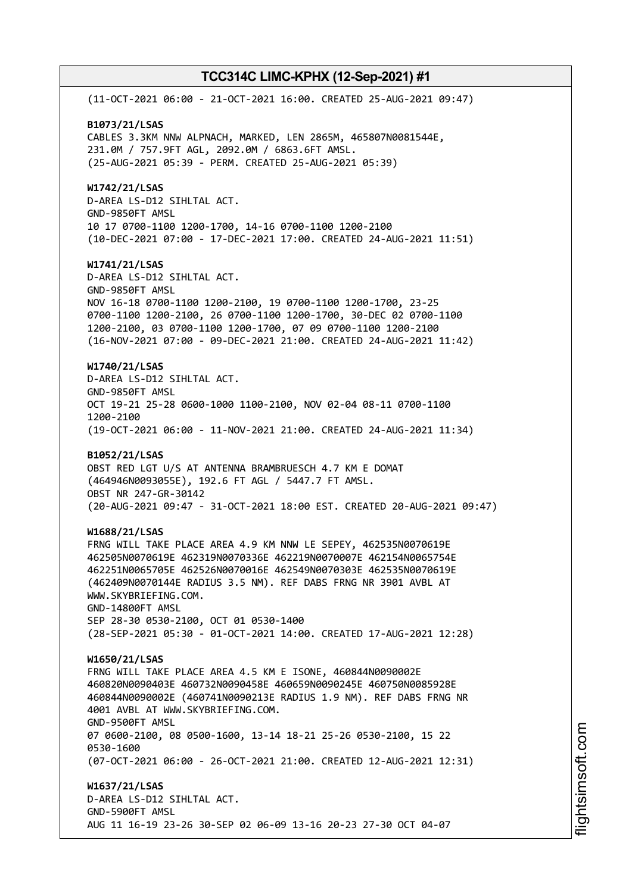(11-OCT-2021 06:00 - 21-OCT-2021 16:00. CREATED 25-AUG-2021 09:47) **B1073/21/LSAS** CABLES 3.3KM NNW ALPNACH, MARKED, LEN 2865M, 465807N0081544E, 231.0M / 757.9FT AGL, 2092.0M / 6863.6FT AMSL. (25-AUG-2021 05:39 - PERM. CREATED 25-AUG-2021 05:39) **W1742/21/LSAS** D-AREA LS-D12 SIHLTAL ACT. GND-9850FT AMSL 10 17 0700-1100 1200-1700, 14-16 0700-1100 1200-2100 (10-DEC-2021 07:00 - 17-DEC-2021 17:00. CREATED 24-AUG-2021 11:51) **W1741/21/LSAS** D-AREA LS-D12 SIHLTAL ACT. GND-9850FT AMSL NOV 16-18 0700-1100 1200-2100, 19 0700-1100 1200-1700, 23-25 0700-1100 1200-2100, 26 0700-1100 1200-1700, 30-DEC 02 0700-1100 1200-2100, 03 0700-1100 1200-1700, 07 09 0700-1100 1200-2100 (16-NOV-2021 07:00 - 09-DEC-2021 21:00. CREATED 24-AUG-2021 11:42) **W1740/21/LSAS** D-AREA LS-D12 SIHLTAL ACT. GND-9850FT AMSL OCT 19-21 25-28 0600-1000 1100-2100, NOV 02-04 08-11 0700-1100 1200-2100 (19-OCT-2021 06:00 - 11-NOV-2021 21:00. CREATED 24-AUG-2021 11:34) **B1052/21/LSAS** OBST RED LGT U/S AT ANTENNA BRAMBRUESCH 4.7 KM E DOMAT (464946N0093055E), 192.6 FT AGL / 5447.7 FT AMSL. OBST NR 247-GR-30142 (20-AUG-2021 09:47 - 31-OCT-2021 18:00 EST. CREATED 20-AUG-2021 09:47) **W1688/21/LSAS** FRNG WILL TAKE PLACE AREA 4.9 KM NNW LE SEPEY, 462535N0070619E 462505N0070619E 462319N0070336E 462219N0070007E 462154N0065754E 462251N0065705E 462526N0070016E 462549N0070303E 462535N0070619E (462409N0070144E RADIUS 3.5 NM). REF DABS FRNG NR 3901 AVBL AT WWW.SKYBRIEFING.COM. GND-14800FT AMSL SEP 28-30 0530-2100, OCT 01 0530-1400 (28-SEP-2021 05:30 - 01-OCT-2021 14:00. CREATED 17-AUG-2021 12:28) **W1650/21/LSAS** FRNG WILL TAKE PLACE AREA 4.5 KM E ISONE, 460844N0090002E 460820N0090403E 460732N0090458E 460659N0090245E 460750N0085928E 460844N0090002E (460741N0090213E RADIUS 1.9 NM). REF DABS FRNG NR 4001 AVBL AT WWW.SKYBRIEFING.COM. GND-9500FT AMSL 07 0600-2100, 08 0500-1600, 13-14 18-21 25-26 0530-2100, 15 22 0530-1600 (07-OCT-2021 06:00 - 26-OCT-2021 21:00. CREATED 12-AUG-2021 12:31) **W1637/21/LSAS** D-AREA LS-D12 SIHLTAL ACT. GND-5900FT AMSL AUG 11 16-19 23-26 30-SEP 02 06-09 13-16 20-23 27-30 OCT 04-07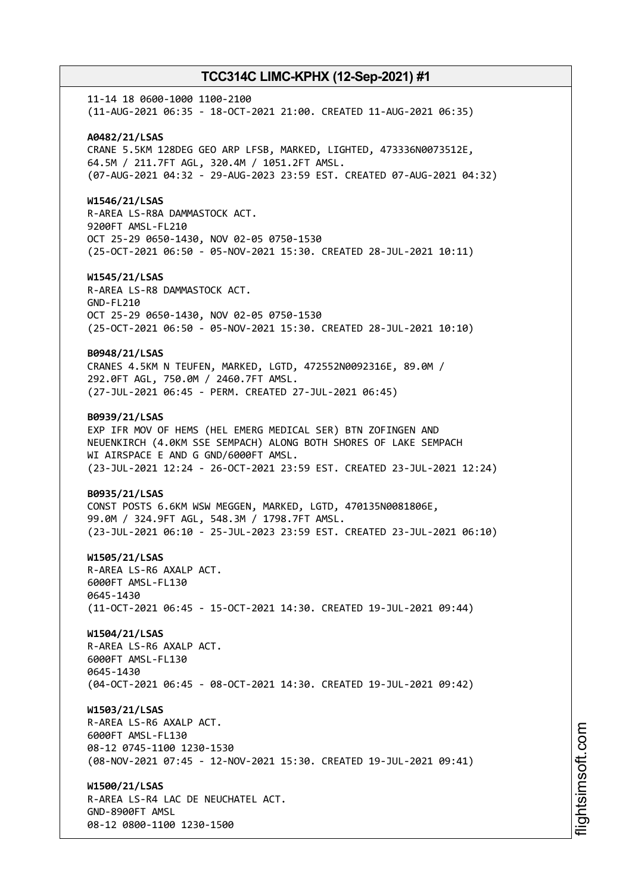11-14 18 0600-1000 1100-2100 (11-AUG-2021 06:35 - 18-OCT-2021 21:00. CREATED 11-AUG-2021 06:35) **A0482/21/LSAS** CRANE 5.5KM 128DEG GEO ARP LFSB, MARKED, LIGHTED, 473336N0073512E, 64.5M / 211.7FT AGL, 320.4M / 1051.2FT AMSL. (07-AUG-2021 04:32 - 29-AUG-2023 23:59 EST. CREATED 07-AUG-2021 04:32) **W1546/21/LSAS** R-AREA LS-R8A DAMMASTOCK ACT. 9200FT AMSL-FL210 OCT 25-29 0650-1430, NOV 02-05 0750-1530 (25-OCT-2021 06:50 - 05-NOV-2021 15:30. CREATED 28-JUL-2021 10:11) **W1545/21/LSAS** R-AREA LS-R8 DAMMASTOCK ACT. GND-FL210 OCT 25-29 0650-1430, NOV 02-05 0750-1530 (25-OCT-2021 06:50 - 05-NOV-2021 15:30. CREATED 28-JUL-2021 10:10) **B0948/21/LSAS** CRANES 4.5KM N TEUFEN, MARKED, LGTD, 472552N0092316E, 89.0M / 292.0FT AGL, 750.0M / 2460.7FT AMSL. (27-JUL-2021 06:45 - PERM. CREATED 27-JUL-2021 06:45) **B0939/21/LSAS** EXP IFR MOV OF HEMS (HEL EMERG MEDICAL SER) BTN ZOFINGEN AND NEUENKIRCH (4.0KM SSE SEMPACH) ALONG BOTH SHORES OF LAKE SEMPACH WI AIRSPACE E AND G GND/6000FT AMSL. (23-JUL-2021 12:24 - 26-OCT-2021 23:59 EST. CREATED 23-JUL-2021 12:24) **B0935/21/LSAS** CONST POSTS 6.6KM WSW MEGGEN, MARKED, LGTD, 470135N0081806E, 99.0M / 324.9FT AGL, 548.3M / 1798.7FT AMSL. (23-JUL-2021 06:10 - 25-JUL-2023 23:59 EST. CREATED 23-JUL-2021 06:10) **W1505/21/LSAS** R-AREA LS-R6 AXALP ACT. 6000FT AMSL-FL130 0645-1430 (11-OCT-2021 06:45 - 15-OCT-2021 14:30. CREATED 19-JUL-2021 09:44) **W1504/21/LSAS** R-AREA LS-R6 AXALP ACT. 6000FT AMSL-FL130 0645-1430 (04-OCT-2021 06:45 - 08-OCT-2021 14:30. CREATED 19-JUL-2021 09:42) **W1503/21/LSAS** R-AREA LS-R6 AXALP ACT. 6000FT AMSL-FL130 08-12 0745-1100 1230-1530 (08-NOV-2021 07:45 - 12-NOV-2021 15:30. CREATED 19-JUL-2021 09:41) **W1500/21/LSAS** R-AREA LS-R4 LAC DE NEUCHATEL ACT. GND-8900FT AMSL 08-12 0800-1100 1230-1500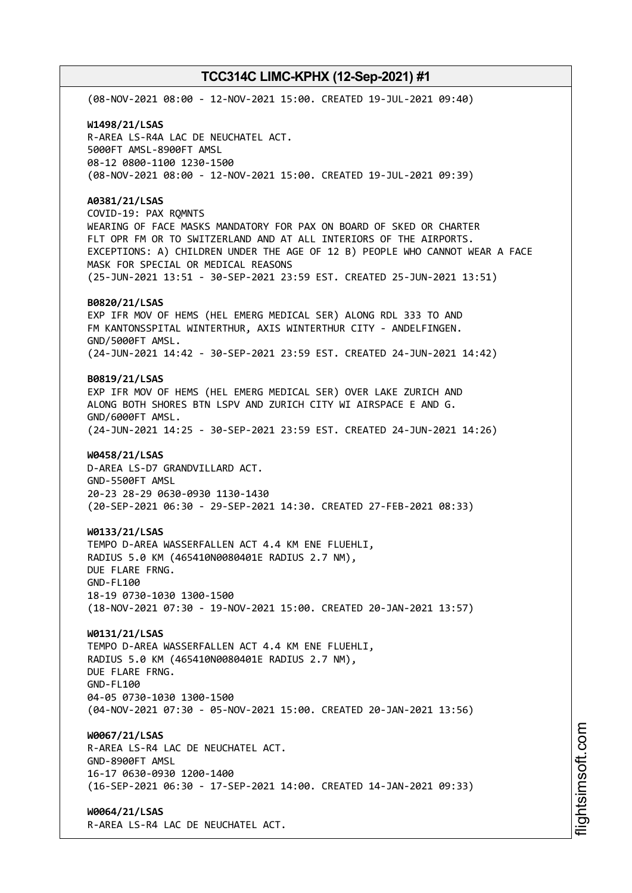(08-NOV-2021 08:00 - 12-NOV-2021 15:00. CREATED 19-JUL-2021 09:40) **W1498/21/LSAS** R-AREA LS-R4A LAC DE NEUCHATEL ACT. 5000FT AMSL-8900FT AMSL 08-12 0800-1100 1230-1500 (08-NOV-2021 08:00 - 12-NOV-2021 15:00. CREATED 19-JUL-2021 09:39) **A0381/21/LSAS** COVID-19: PAX RQMNTS WEARING OF FACE MASKS MANDATORY FOR PAX ON BOARD OF SKED OR CHARTER FLT OPR FM OR TO SWITZERLAND AND AT ALL INTERIORS OF THE AIRPORTS. EXCEPTIONS: A) CHILDREN UNDER THE AGE OF 12 B) PEOPLE WHO CANNOT WEAR A FACE MASK FOR SPECIAL OR MEDICAL REASONS (25-JUN-2021 13:51 - 30-SEP-2021 23:59 EST. CREATED 25-JUN-2021 13:51) **B0820/21/LSAS** EXP IFR MOV OF HEMS (HEL EMERG MEDICAL SER) ALONG RDL 333 TO AND FM KANTONSSPITAL WINTERTHUR, AXIS WINTERTHUR CITY - ANDELFINGEN. GND/5000FT AMSL. (24-JUN-2021 14:42 - 30-SEP-2021 23:59 EST. CREATED 24-JUN-2021 14:42) **B0819/21/LSAS** EXP IFR MOV OF HEMS (HEL EMERG MEDICAL SER) OVER LAKE ZURICH AND ALONG BOTH SHORES BTN LSPV AND ZURICH CITY WI AIRSPACE E AND G. GND/6000FT AMSL. (24-JUN-2021 14:25 - 30-SEP-2021 23:59 EST. CREATED 24-JUN-2021 14:26) **W0458/21/LSAS** D-AREA LS-D7 GRANDVILLARD ACT. GND-5500FT AMSL 20-23 28-29 0630-0930 1130-1430 (20-SEP-2021 06:30 - 29-SEP-2021 14:30. CREATED 27-FEB-2021 08:33) **W0133/21/LSAS** TEMPO D-AREA WASSERFALLEN ACT 4.4 KM ENE FLUEHLI, RADIUS 5.0 KM (465410N0080401E RADIUS 2.7 NM), DUE FLARE FRNG. GND-FL100 18-19 0730-1030 1300-1500 (18-NOV-2021 07:30 - 19-NOV-2021 15:00. CREATED 20-JAN-2021 13:57) **W0131/21/LSAS** TEMPO D-AREA WASSERFALLEN ACT 4.4 KM ENE FLUEHLI, RADIUS 5.0 KM (465410N0080401E RADIUS 2.7 NM), DUE FLARE FRNG. GND-FL100 04-05 0730-1030 1300-1500 (04-NOV-2021 07:30 - 05-NOV-2021 15:00. CREATED 20-JAN-2021 13:56) **W0067/21/LSAS** R-AREA LS-R4 LAC DE NEUCHATEL ACT. GND-8900FT AMSL 16-17 0630-0930 1200-1400 (16-SEP-2021 06:30 - 17-SEP-2021 14:00. CREATED 14-JAN-2021 09:33) **W0064/21/LSAS** R-AREA LS-R4 LAC DE NEUCHATEL ACT.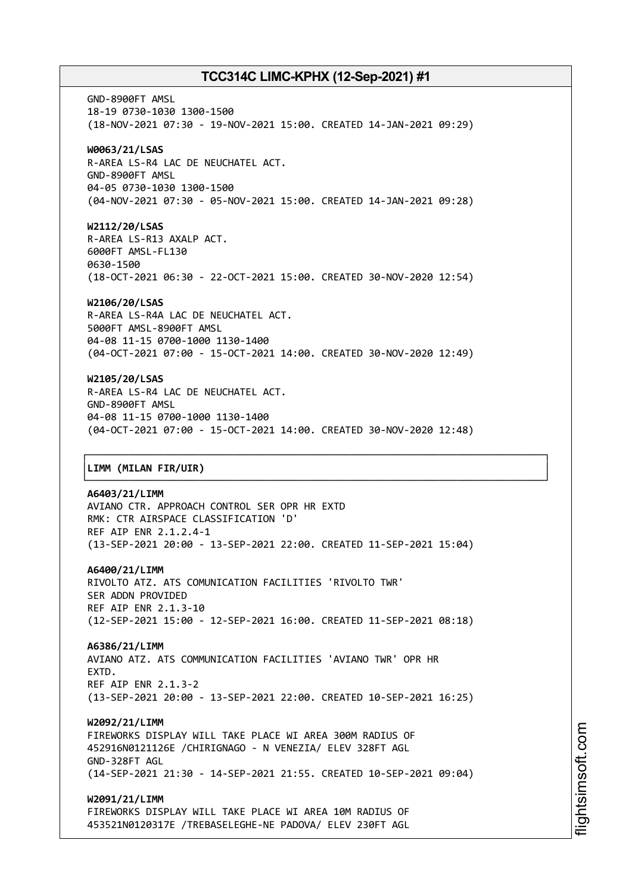GND-8900FT AMSL 18-19 0730-1030 1300-1500 (18-NOV-2021 07:30 - 19-NOV-2021 15:00. CREATED 14-JAN-2021 09:29) **W0063/21/LSAS** R-AREA LS-R4 LAC DE NEUCHATEL ACT. GND-8900FT AMSL 04-05 0730-1030 1300-1500 (04-NOV-2021 07:30 - 05-NOV-2021 15:00. CREATED 14-JAN-2021 09:28) **W2112/20/LSAS** R-AREA LS-R13 AXALP ACT. 6000FT AMSL-FL130 0630-1500 (18-OCT-2021 06:30 - 22-OCT-2021 15:00. CREATED 30-NOV-2020 12:54) **W2106/20/LSAS** R-AREA LS-R4A LAC DE NEUCHATEL ACT.

5000FT AMSL-8900FT AMSL 04-08 11-15 0700-1000 1130-1400 (04-OCT-2021 07:00 - 15-OCT-2021 14:00. CREATED 30-NOV-2020 12:49)

## **W2105/20/LSAS**

R-AREA LS-R4 LAC DE NEUCHATEL ACT. GND-8900FT AMSL 04-08 11-15 0700-1000 1130-1400 (04-OCT-2021 07:00 - 15-OCT-2021 14:00. CREATED 30-NOV-2020 12:48)

┌──────────────────────────────────────────────────────────────────────────────┐

└──────────────────────────────────────────────────────────────────────────────┘

## │**LIMM (MILAN FIR/UIR)** │

#### **A6403/21/LIMM**

AVIANO CTR. APPROACH CONTROL SER OPR HR EXTD RMK: CTR AIRSPACE CLASSIFICATION 'D' REF AIP ENR 2.1.2.4-1 (13-SEP-2021 20:00 - 13-SEP-2021 22:00. CREATED 11-SEP-2021 15:04)

#### **A6400/21/LIMM**

RIVOLTO ATZ. ATS COMUNICATION FACILITIES 'RIVOLTO TWR' SER ADDN PROVIDED REF AIP ENR 2.1.3-10 (12-SEP-2021 15:00 - 12-SEP-2021 16:00. CREATED 11-SEP-2021 08:18)

#### **A6386/21/LIMM**

AVIANO ATZ. ATS COMMUNICATION FACILITIES 'AVIANO TWR' OPR HR **EXTD.** REF AIP ENR 2.1.3-2 (13-SEP-2021 20:00 - 13-SEP-2021 22:00. CREATED 10-SEP-2021 16:25)

#### **W2092/21/LIMM**

FIREWORKS DISPLAY WILL TAKE PLACE WI AREA 300M RADIUS OF 452916N0121126E /CHIRIGNAGO - N VENEZIA/ ELEV 328FT AGL GND-328FT AGL (14-SEP-2021 21:30 - 14-SEP-2021 21:55. CREATED 10-SEP-2021 09:04)

**W2091/21/LIMM** FIREWORKS DISPLAY WILL TAKE PLACE WI AREA 10M RADIUS OF

453521N0120317E /TREBASELEGHE-NE PADOVA/ ELEV 230FT AGL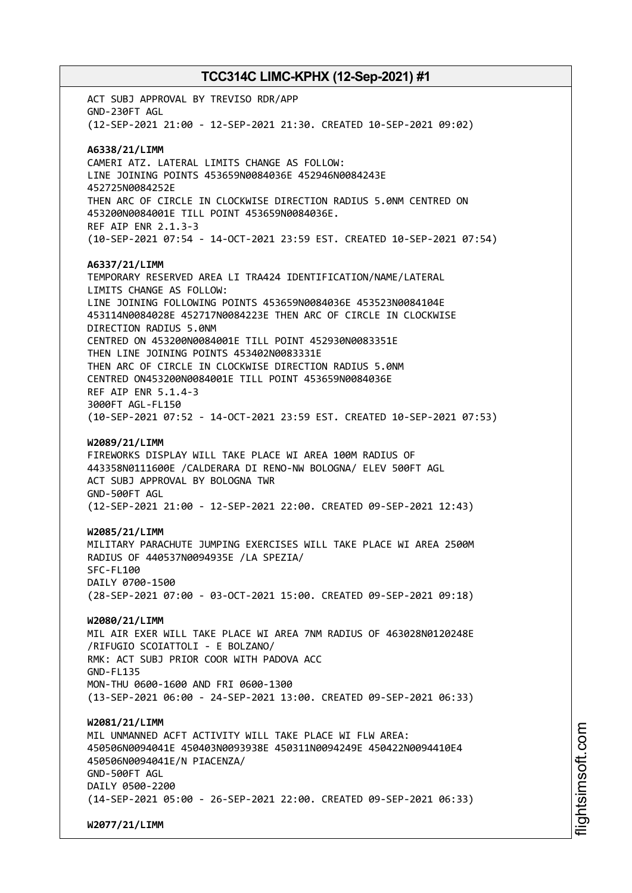ACT SUBJ APPROVAL BY TREVISO RDR/APP GND-230FT AGL (12-SEP-2021 21:00 - 12-SEP-2021 21:30. CREATED 10-SEP-2021 09:02) **A6338/21/LIMM** CAMERI ATZ. LATERAL LIMITS CHANGE AS FOLLOW: LINE JOINING POINTS 453659N0084036E 452946N0084243E 452725N0084252E THEN ARC OF CIRCLE IN CLOCKWISE DIRECTION RADIUS 5.0NM CENTRED ON 453200N0084001E TILL POINT 453659N0084036E. REF AIP ENR 2.1.3-3 (10-SEP-2021 07:54 - 14-OCT-2021 23:59 EST. CREATED 10-SEP-2021 07:54) **A6337/21/LIMM** TEMPORARY RESERVED AREA LI TRA424 IDENTIFICATION/NAME/LATERAL LIMITS CHANGE AS FOLLOW: LINE JOINING FOLLOWING POINTS 453659N0084036E 453523N0084104E 453114N0084028E 452717N0084223E THEN ARC OF CIRCLE IN CLOCKWISE DIRECTION RADIUS 5.0NM CENTRED ON 453200N0084001E TILL POINT 452930N0083351E THEN LINE JOINING POINTS 453402N0083331E THEN ARC OF CIRCLE IN CLOCKWISE DIRECTION RADIUS 5.0NM CENTRED ON453200N0084001E TILL POINT 453659N0084036E REF AIP ENR 5.1.4-3 3000FT AGL-FL150 (10-SEP-2021 07:52 - 14-OCT-2021 23:59 EST. CREATED 10-SEP-2021 07:53) **W2089/21/LIMM** FIREWORKS DISPLAY WILL TAKE PLACE WI AREA 100M RADIUS OF 443358N0111600E /CALDERARA DI RENO-NW BOLOGNA/ ELEV 500FT AGL ACT SUBJ APPROVAL BY BOLOGNA TWR GND-500FT AGL (12-SEP-2021 21:00 - 12-SEP-2021 22:00. CREATED 09-SEP-2021 12:43) **W2085/21/LIMM** MILITARY PARACHUTE JUMPING EXERCISES WILL TAKE PLACE WI AREA 2500M RADIUS OF 440537N0094935E /LA SPEZIA/ SFC-FL100 DAILY 0700-1500 (28-SEP-2021 07:00 - 03-OCT-2021 15:00. CREATED 09-SEP-2021 09:18) **W2080/21/LIMM** MIL AIR EXER WILL TAKE PLACE WI AREA 7NM RADIUS OF 463028N0120248E /RIFUGIO SCOIATTOLI - E BOLZANO/ RMK: ACT SUBJ PRIOR COOR WITH PADOVA ACC GND-FL135 MON-THU 0600-1600 AND FRI 0600-1300 (13-SEP-2021 06:00 - 24-SEP-2021 13:00. CREATED 09-SEP-2021 06:33) **W2081/21/LIMM** MIL UNMANNED ACFT ACTIVITY WILL TAKE PLACE WI FLW AREA: 450506N0094041E 450403N0093938E 450311N0094249E 450422N0094410E4 450506N0094041E/N PIACENZA/ GND-500FT AGL DAILY 0500-2200 (14-SEP-2021 05:00 - 26-SEP-2021 22:00. CREATED 09-SEP-2021 06:33) **W2077/21/LIMM**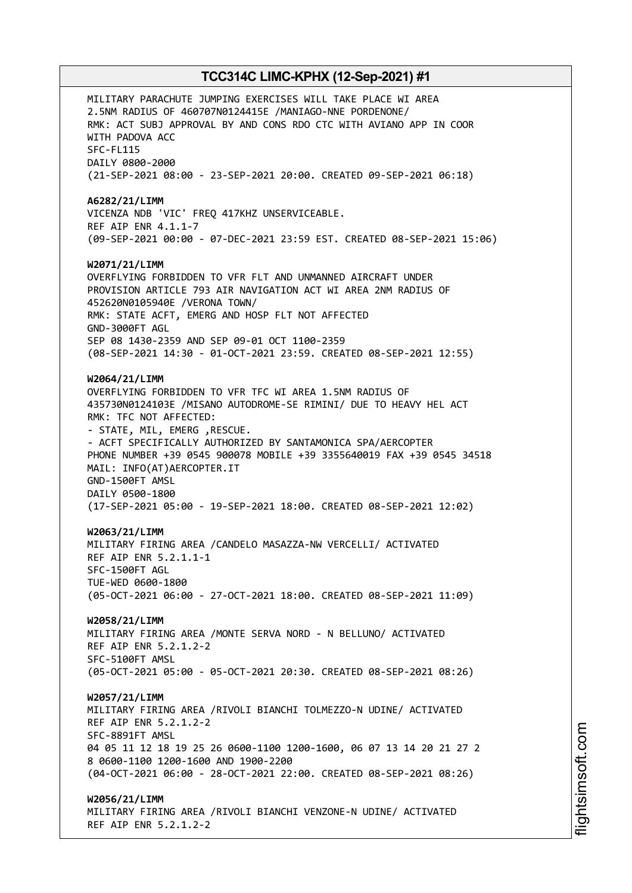MILITARY PARACHUTE JUMPING EXERCISES WILL TAKE PLACE WI AREA 2.5NM RADIUS OF 460707N0124415E /MANIAGO-NNE PORDENONE/ RMK: ACT SUBJ APPROVAL BY AND CONS RDO CTC WITH AVIANO APP IN COOR WITH PADOVA ACC SFC-FL115 DAILY 0800-2000 (21-SEP-2021 08:00 - 23-SEP-2021 20:00. CREATED 09-SEP-2021 06:18) **A6282/21/LIMM** VICENZA NDB 'VIC' FREQ 417KHZ UNSERVICEABLE. REF AIP ENR 4.1.1-7 (09-SEP-2021 00:00 - 07-DEC-2021 23:59 EST. CREATED 08-SEP-2021 15:06) **W2071/21/LIMM** OVERFLYING FORBIDDEN TO VFR FLT AND UNMANNED AIRCRAFT UNDER PROVISION ARTICLE 793 AIR NAVIGATION ACT WI AREA 2NM RADIUS OF 452620N0105940E /VERONA TOWN/ RMK: STATE ACFT, EMERG AND HOSP FLT NOT AFFECTED GND-3000FT AGL SEP 08 1430-2359 AND SEP 09-01 OCT 1100-2359 (08-SEP-2021 14:30 - 01-OCT-2021 23:59. CREATED 08-SEP-2021 12:55) **W2064/21/LIMM** OVERFLYING FORBIDDEN TO VFR TFC WI AREA 1.5NM RADIUS OF 435730N0124103E /MISANO AUTODROME-SE RIMINI/ DUE TO HEAVY HEL ACT RMK: TFC NOT AFFECTED: - STATE, MIL, EMERG ,RESCUE. - ACFT SPECIFICALLY AUTHORIZED BY SANTAMONICA SPA/AERCOPTER PHONE NUMBER +39 0545 900078 MOBILE +39 3355640019 FAX +39 0545 34518 MAIL: INFO(AT)AERCOPTER.IT GND-1500FT AMSL DAILY 0500-1800 (17-SEP-2021 05:00 - 19-SEP-2021 18:00. CREATED 08-SEP-2021 12:02) **W2063/21/LIMM** MILITARY FIRING AREA /CANDELO MASAZZA-NW VERCELLI/ ACTIVATED REF AIP ENR 5.2.1.1-1 SFC-1500FT AGL TUE-WED 0600-1800 (05-OCT-2021 06:00 - 27-OCT-2021 18:00. CREATED 08-SEP-2021 11:09) **W2058/21/LIMM** MILITARY FIRING AREA /MONTE SERVA NORD - N BELLUNO/ ACTIVATED REF AIP ENR 5.2.1.2-2 SFC-5100FT AMSL (05-OCT-2021 05:00 - 05-OCT-2021 20:30. CREATED 08-SEP-2021 08:26) **W2057/21/LIMM** MILITARY FIRING AREA /RIVOLI BIANCHI TOLMEZZO-N UDINE/ ACTIVATED REF AIP ENR 5.2.1.2-2 SFC-8891FT AMSL 04 05 11 12 18 19 25 26 0600-1100 1200-1600, 06 07 13 14 20 21 27 2 8 0600-1100 1200-1600 AND 1900-2200 (04-OCT-2021 06:00 - 28-OCT-2021 22:00. CREATED 08-SEP-2021 08:26) **W2056/21/LIMM** MILITARY FIRING AREA /RIVOLI BIANCHI VENZONE-N UDINE/ ACTIVATED

REF AIP ENR 5.2.1.2-2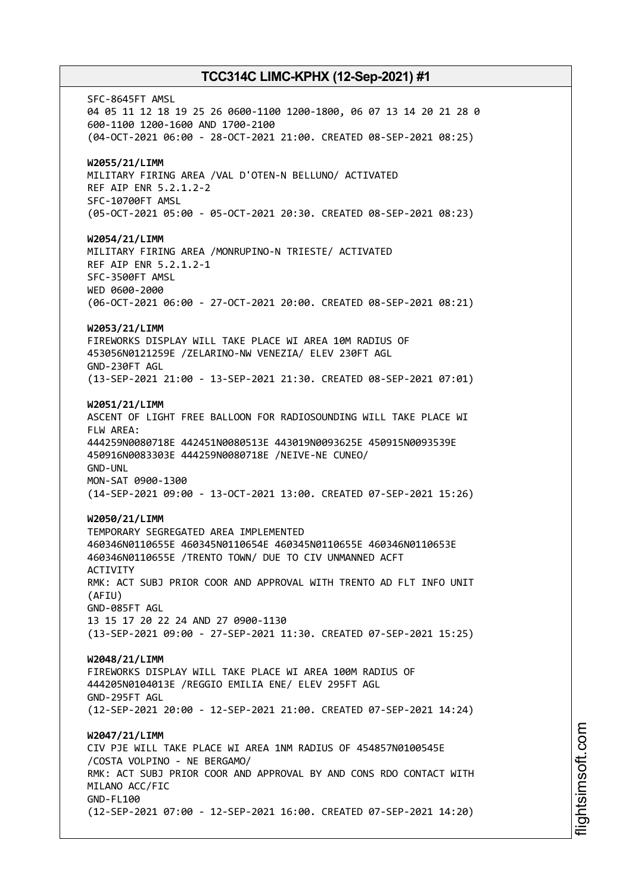SFC-8645FT AMSL 04 05 11 12 18 19 25 26 0600-1100 1200-1800, 06 07 13 14 20 21 28 0 600-1100 1200-1600 AND 1700-2100 (04-OCT-2021 06:00 - 28-OCT-2021 21:00. CREATED 08-SEP-2021 08:25) **W2055/21/LIMM** MILITARY FIRING AREA /VAL D'OTEN-N BELLUNO/ ACTIVATED REF AIP ENR 5.2.1.2-2 SFC-10700FT AMSL (05-OCT-2021 05:00 - 05-OCT-2021 20:30. CREATED 08-SEP-2021 08:23) **W2054/21/LIMM** MILITARY FIRING AREA /MONRUPINO-N TRIESTE/ ACTIVATED REF AIP ENR 5.2.1.2-1 SFC-3500FT AMSL WED 0600-2000 (06-OCT-2021 06:00 - 27-OCT-2021 20:00. CREATED 08-SEP-2021 08:21) **W2053/21/LIMM** FIREWORKS DISPLAY WILL TAKE PLACE WI AREA 10M RADIUS OF 453056N0121259E /ZELARINO-NW VENEZIA/ ELEV 230FT AGL GND-230FT AGL (13-SEP-2021 21:00 - 13-SEP-2021 21:30. CREATED 08-SEP-2021 07:01) **W2051/21/LIMM** ASCENT OF LIGHT FREE BALLOON FOR RADIOSOUNDING WILL TAKE PLACE WI FLW AREA: 444259N0080718E 442451N0080513E 443019N0093625E 450915N0093539E 450916N0083303E 444259N0080718E /NEIVE-NE CUNEO/ GND-UNL MON-SAT 0900-1300 (14-SEP-2021 09:00 - 13-OCT-2021 13:00. CREATED 07-SEP-2021 15:26) **W2050/21/LIMM** TEMPORARY SEGREGATED AREA IMPLEMENTED 460346N0110655E 460345N0110654E 460345N0110655E 460346N0110653E 460346N0110655E /TRENTO TOWN/ DUE TO CIV UNMANNED ACFT **ACTIVITY** RMK: ACT SUBJ PRIOR COOR AND APPROVAL WITH TRENTO AD FLT INFO UNIT (AFIU) GND-085FT AGL 13 15 17 20 22 24 AND 27 0900-1130 (13-SEP-2021 09:00 - 27-SEP-2021 11:30. CREATED 07-SEP-2021 15:25) **W2048/21/LIMM** FIREWORKS DISPLAY WILL TAKE PLACE WI AREA 100M RADIUS OF 444205N0104013E /REGGIO EMILIA ENE/ ELEV 295FT AGL GND-295FT AGL (12-SEP-2021 20:00 - 12-SEP-2021 21:00. CREATED 07-SEP-2021 14:24) **W2047/21/LIMM** CIV PJE WILL TAKE PLACE WI AREA 1NM RADIUS OF 454857N0100545E /COSTA VOLPINO - NE BERGAMO/ RMK: ACT SUBJ PRIOR COOR AND APPROVAL BY AND CONS RDO CONTACT WITH MILANO ACC/FIC GND-FL100 (12-SEP-2021 07:00 - 12-SEP-2021 16:00. CREATED 07-SEP-2021 14:20)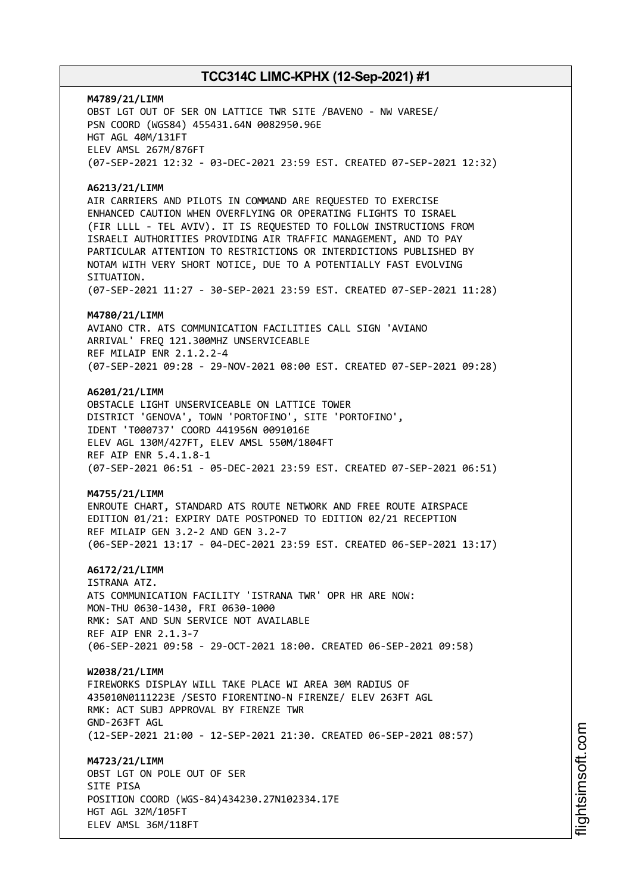**M4789/21/LIMM** OBST LGT OUT OF SER ON LATTICE TWR SITE /BAVENO - NW VARESE/ PSN COORD (WGS84) 455431.64N 0082950.96E HGT AGL 40M/131FT ELEV AMSL 267M/876FT (07-SEP-2021 12:32 - 03-DEC-2021 23:59 EST. CREATED 07-SEP-2021 12:32)

#### **A6213/21/LIMM**

AIR CARRIERS AND PILOTS IN COMMAND ARE REQUESTED TO EXERCISE ENHANCED CAUTION WHEN OVERFLYING OR OPERATING FLIGHTS TO ISRAEL (FIR LLLL - TEL AVIV). IT IS REQUESTED TO FOLLOW INSTRUCTIONS FROM ISRAELI AUTHORITIES PROVIDING AIR TRAFFIC MANAGEMENT, AND TO PAY PARTICULAR ATTENTION TO RESTRICTIONS OR INTERDICTIONS PUBLISHED BY NOTAM WITH VERY SHORT NOTICE, DUE TO A POTENTIALLY FAST EVOLVING STTUATTON.

(07-SEP-2021 11:27 - 30-SEP-2021 23:59 EST. CREATED 07-SEP-2021 11:28)

#### **M4780/21/LIMM**

AVIANO CTR. ATS COMMUNICATION FACILITIES CALL SIGN 'AVIANO ARRIVAL' FREQ 121.300MHZ UNSERVICEABLE REF MILAIP ENR 2.1.2.2-4 (07-SEP-2021 09:28 - 29-NOV-2021 08:00 EST. CREATED 07-SEP-2021 09:28)

## **A6201/21/LIMM**

OBSTACLE LIGHT UNSERVICEABLE ON LATTICE TOWER DISTRICT 'GENOVA', TOWN 'PORTOFINO', SITE 'PORTOFINO', IDENT 'T000737' COORD 441956N 0091016E ELEV AGL 130M/427FT, ELEV AMSL 550M/1804FT REF AIP ENR 5.4.1.8-1 (07-SEP-2021 06:51 - 05-DEC-2021 23:59 EST. CREATED 07-SEP-2021 06:51)

#### **M4755/21/LIMM**

ENROUTE CHART, STANDARD ATS ROUTE NETWORK AND FREE ROUTE AIRSPACE EDITION 01/21: EXPIRY DATE POSTPONED TO EDITION 02/21 RECEPTION REF MILAIP GEN 3.2-2 AND GEN 3.2-7 (06-SEP-2021 13:17 - 04-DEC-2021 23:59 EST. CREATED 06-SEP-2021 13:17)

#### **A6172/21/LIMM**

ISTRANA ATZ. ATS COMMUNICATION FACILITY 'ISTRANA TWR' OPR HR ARE NOW: MON-THU 0630-1430, FRI 0630-1000 RMK: SAT AND SUN SERVICE NOT AVAILABLE REF AIP ENR 2.1.3-7 (06-SEP-2021 09:58 - 29-OCT-2021 18:00. CREATED 06-SEP-2021 09:58)

#### **W2038/21/LIMM**

FIREWORKS DISPLAY WILL TAKE PLACE WI AREA 30M RADIUS OF 435010N0111223E /SESTO FIORENTINO-N FIRENZE/ ELEV 263FT AGL RMK: ACT SUBJ APPROVAL BY FIRENZE TWR GND-263FT AGL (12-SEP-2021 21:00 - 12-SEP-2021 21:30. CREATED 06-SEP-2021 08:57)

# **M4723/21/LIMM**

OBST LGT ON POLE OUT OF SER SITE PISA POSITION COORD (WGS-84)434230.27N102334.17E HGT AGL 32M/105FT ELEV AMSL 36M/118FT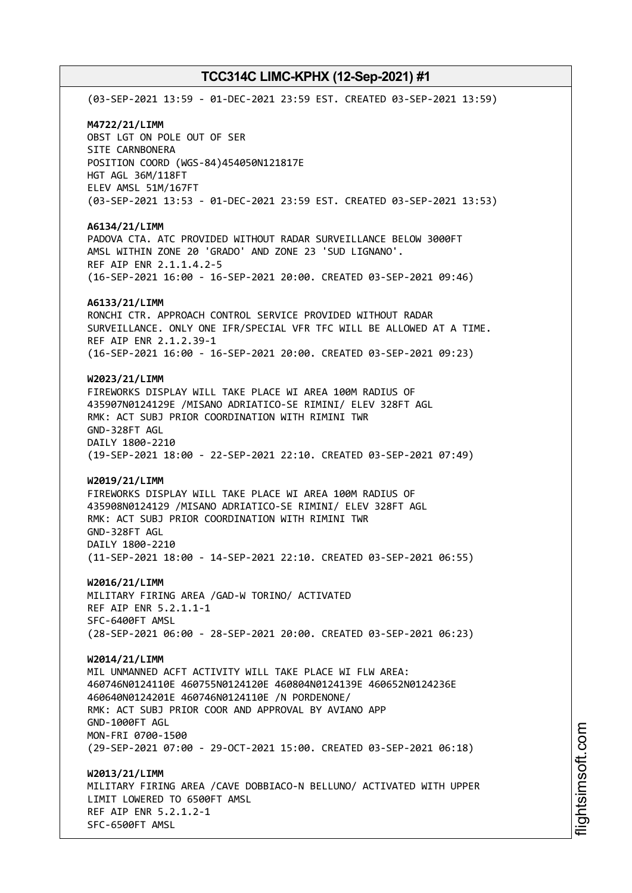(03-SEP-2021 13:59 - 01-DEC-2021 23:59 EST. CREATED 03-SEP-2021 13:59) **M4722/21/LIMM** OBST LGT ON POLE OUT OF SER SITE CARNBONERA POSITION COORD (WGS-84)454050N121817E HGT AGL 36M/118FT ELEV AMSL 51M/167FT (03-SEP-2021 13:53 - 01-DEC-2021 23:59 EST. CREATED 03-SEP-2021 13:53) **A6134/21/LIMM** PADOVA CTA. ATC PROVIDED WITHOUT RADAR SURVEILLANCE BELOW 3000FT AMSL WITHIN ZONE 20 'GRADO' AND ZONE 23 'SUD LIGNANO'. REF AIP ENR 2.1.1.4.2-5 (16-SEP-2021 16:00 - 16-SEP-2021 20:00. CREATED 03-SEP-2021 09:46) **A6133/21/LIMM** RONCHI CTR. APPROACH CONTROL SERVICE PROVIDED WITHOUT RADAR SURVEILLANCE. ONLY ONE IFR/SPECIAL VFR TFC WILL BE ALLOWED AT A TIME. REF AIP ENR 2.1.2.39-1 (16-SEP-2021 16:00 - 16-SEP-2021 20:00. CREATED 03-SEP-2021 09:23) **W2023/21/LIMM** FIREWORKS DISPLAY WILL TAKE PLACE WI AREA 100M RADIUS OF 435907N0124129E /MISANO ADRIATICO-SE RIMINI/ ELEV 328FT AGL RMK: ACT SUBJ PRIOR COORDINATION WITH RIMINI TWR GND-328FT AGL DAILY 1800-2210 (19-SEP-2021 18:00 - 22-SEP-2021 22:10. CREATED 03-SEP-2021 07:49) **W2019/21/LIMM** FIREWORKS DISPLAY WILL TAKE PLACE WI AREA 100M RADIUS OF 435908N0124129 /MISANO ADRIATICO-SE RIMINI/ ELEV 328FT AGL RMK: ACT SUBJ PRIOR COORDINATION WITH RIMINI TWR GND-328FT AGL DAILY 1800-2210 (11-SEP-2021 18:00 - 14-SEP-2021 22:10. CREATED 03-SEP-2021 06:55) **W2016/21/LIMM** MILITARY FIRING AREA /GAD-W TORINO/ ACTIVATED REF AIP ENR 5.2.1.1-1 SFC-6400FT AMSL (28-SEP-2021 06:00 - 28-SEP-2021 20:00. CREATED 03-SEP-2021 06:23) **W2014/21/LIMM** MIL UNMANNED ACFT ACTIVITY WILL TAKE PLACE WI FLW AREA: 460746N0124110E 460755N0124120E 460804N0124139E 460652N0124236E 460640N0124201E 460746N0124110E /N PORDENONE/ RMK: ACT SUBJ PRIOR COOR AND APPROVAL BY AVIANO APP GND-1000FT AGL MON-FRI 0700-1500 (29-SEP-2021 07:00 - 29-OCT-2021 15:00. CREATED 03-SEP-2021 06:18) **W2013/21/LIMM** MILITARY FIRING AREA /CAVE DOBBIACO-N BELLUNO/ ACTIVATED WITH UPPER LIMIT LOWERED TO 6500FT AMSL REF AIP ENR 5.2.1.2-1 SFC-6500FT AMSL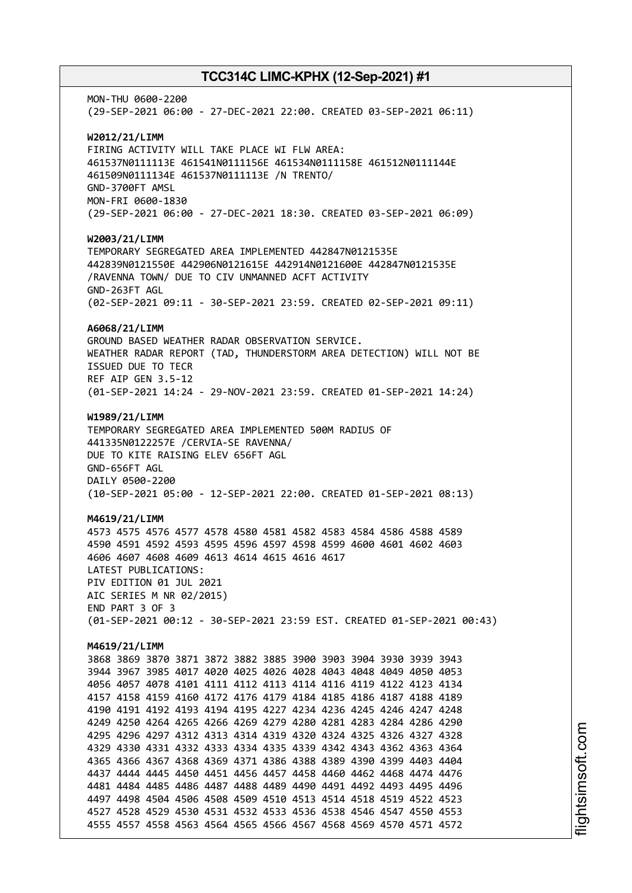MON-THU 0600-2200 (29-SEP-2021 06:00 - 27-DEC-2021 22:00. CREATED 03-SEP-2021 06:11) **W2012/21/LIMM** FIRING ACTIVITY WILL TAKE PLACE WI FLW AREA: 461537N0111113E 461541N0111156E 461534N0111158E 461512N0111144E 461509N0111134E 461537N0111113E /N TRENTO/ GND-3700FT AMSL MON-FRI 0600-1830 (29-SEP-2021 06:00 - 27-DEC-2021 18:30. CREATED 03-SEP-2021 06:09) **W2003/21/LIMM** TEMPORARY SEGREGATED AREA IMPLEMENTED 442847N0121535E 442839N0121550E 442906N0121615E 442914N0121600E 442847N0121535E /RAVENNA TOWN/ DUE TO CIV UNMANNED ACFT ACTIVITY GND-263FT AGL (02-SEP-2021 09:11 - 30-SEP-2021 23:59. CREATED 02-SEP-2021 09:11) **A6068/21/LIMM** GROUND BASED WEATHER RADAR OBSERVATION SERVICE. WEATHER RADAR REPORT (TAD, THUNDERSTORM AREA DETECTION) WILL NOT BE ISSUED DUE TO TECR REF AIP GEN 3.5-12 (01-SEP-2021 14:24 - 29-NOV-2021 23:59. CREATED 01-SEP-2021 14:24) **W1989/21/LIMM** TEMPORARY SEGREGATED AREA IMPLEMENTED 500M RADIUS OF 441335N0122257E /CERVIA-SE RAVENNA/ DUE TO KITE RAISING ELEV 656FT AGL GND-656FT AGL DAILY 0500-2200 (10-SEP-2021 05:00 - 12-SEP-2021 22:00. CREATED 01-SEP-2021 08:13) **M4619/21/LIMM** 4573 4575 4576 4577 4578 4580 4581 4582 4583 4584 4586 4588 4589 4590 4591 4592 4593 4595 4596 4597 4598 4599 4600 4601 4602 4603 4606 4607 4608 4609 4613 4614 4615 4616 4617 LATEST PUBLICATIONS: PIV EDITION 01 JUL 2021 AIC SERIES M NR 02/2015) END PART 3 OF 3 (01-SEP-2021 00:12 - 30-SEP-2021 23:59 EST. CREATED 01-SEP-2021 00:43) **M4619/21/LIMM** 3868 3869 3870 3871 3872 3882 3885 3900 3903 3904 3930 3939 3943 3944 3967 3985 4017 4020 4025 4026 4028 4043 4048 4049 4050 4053 4056 4057 4078 4101 4111 4112 4113 4114 4116 4119 4122 4123 4134 4157 4158 4159 4160 4172 4176 4179 4184 4185 4186 4187 4188 4189 4190 4191 4192 4193 4194 4195 4227 4234 4236 4245 4246 4247 4248 4249 4250 4264 4265 4266 4269 4279 4280 4281 4283 4284 4286 4290 4295 4296 4297 4312 4313 4314 4319 4320 4324 4325 4326 4327 4328 4329 4330 4331 4332 4333 4334 4335 4339 4342 4343 4362 4363 4364 4365 4366 4367 4368 4369 4371 4386 4388 4389 4390 4399 4403 4404 4437 4444 4445 4450 4451 4456 4457 4458 4460 4462 4468 4474 4476 4481 4484 4485 4486 4487 4488 4489 4490 4491 4492 4493 4495 4496 4497 4498 4504 4506 4508 4509 4510 4513 4514 4518 4519 4522 4523 4527 4528 4529 4530 4531 4532 4533 4536 4538 4546 4547 4550 4553 4555 4557 4558 4563 4564 4565 4566 4567 4568 4569 4570 4571 4572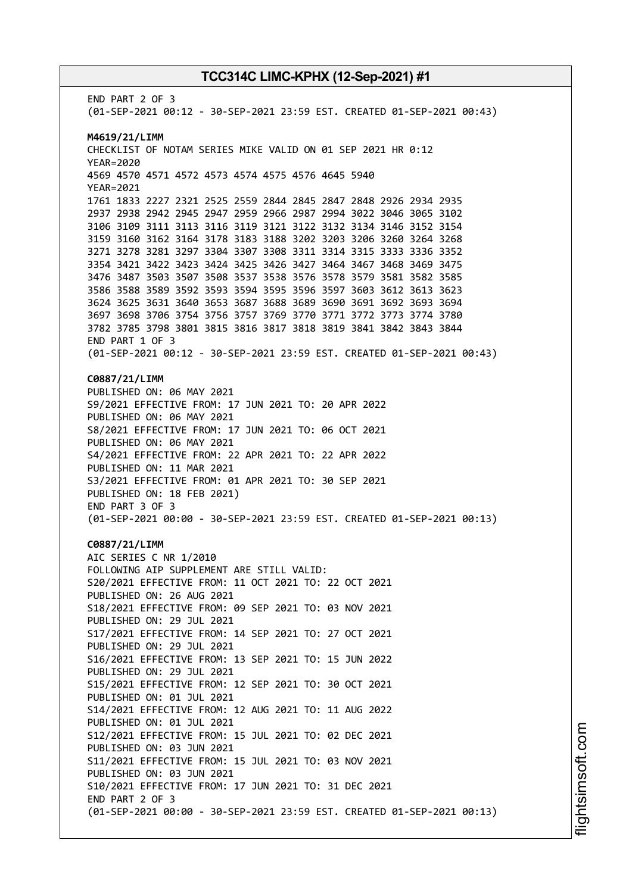END PART 2 OF 3 (01-SEP-2021 00:12 - 30-SEP-2021 23:59 EST. CREATED 01-SEP-2021 00:43) **M4619/21/LIMM** CHECKLIST OF NOTAM SERIES MIKE VALID ON 01 SEP 2021 HR 0:12 YEAR=2020 4569 4570 4571 4572 4573 4574 4575 4576 4645 5940 YEAR=2021 1761 1833 2227 2321 2525 2559 2844 2845 2847 2848 2926 2934 2935 2937 2938 2942 2945 2947 2959 2966 2987 2994 3022 3046 3065 3102 3106 3109 3111 3113 3116 3119 3121 3122 3132 3134 3146 3152 3154 3159 3160 3162 3164 3178 3183 3188 3202 3203 3206 3260 3264 3268 3271 3278 3281 3297 3304 3307 3308 3311 3314 3315 3333 3336 3352 3354 3421 3422 3423 3424 3425 3426 3427 3464 3467 3468 3469 3475 3476 3487 3503 3507 3508 3537 3538 3576 3578 3579 3581 3582 3585 3586 3588 3589 3592 3593 3594 3595 3596 3597 3603 3612 3613 3623 3624 3625 3631 3640 3653 3687 3688 3689 3690 3691 3692 3693 3694 3697 3698 3706 3754 3756 3757 3769 3770 3771 3772 3773 3774 3780 3782 3785 3798 3801 3815 3816 3817 3818 3819 3841 3842 3843 3844 END PART 1 OF 3 (01-SEP-2021 00:12 - 30-SEP-2021 23:59 EST. CREATED 01-SEP-2021 00:43) **C0887/21/LIMM** PUBLISHED ON: 06 MAY 2021 S9/2021 EFFECTIVE FROM: 17 JUN 2021 TO: 20 APR 2022 PUBLISHED ON: 06 MAY 2021 S8/2021 EFFECTIVE FROM: 17 JUN 2021 TO: 06 OCT 2021 PUBLISHED ON: 06 MAY 2021 S4/2021 EFFECTIVE FROM: 22 APR 2021 TO: 22 APR 2022 PUBLISHED ON: 11 MAR 2021 S3/2021 EFFECTIVE FROM: 01 APR 2021 TO: 30 SEP 2021 PUBLISHED ON: 18 FEB 2021) END PART 3 OF 3 (01-SEP-2021 00:00 - 30-SEP-2021 23:59 EST. CREATED 01-SEP-2021 00:13) **C0887/21/LIMM** AIC SERIES C NR 1/2010 FOLLOWING AIP SUPPLEMENT ARE STILL VALID: S20/2021 EFFECTIVE FROM: 11 OCT 2021 TO: 22 OCT 2021 PUBLISHED ON: 26 AUG 2021 S18/2021 EFFECTIVE FROM: 09 SEP 2021 TO: 03 NOV 2021 PUBLISHED ON: 29 JUL 2021 S17/2021 EFFECTIVE FROM: 14 SEP 2021 TO: 27 OCT 2021 PUBLISHED ON: 29 JUL 2021 S16/2021 EFFECTIVE FROM: 13 SEP 2021 TO: 15 JUN 2022 PUBLISHED ON: 29 JUL 2021 S15/2021 EFFECTIVE FROM: 12 SEP 2021 TO: 30 OCT 2021 PUBLISHED ON: 01 JUL 2021 S14/2021 EFFECTIVE FROM: 12 AUG 2021 TO: 11 AUG 2022 PUBLISHED ON: 01 JUL 2021 S12/2021 EFFECTIVE FROM: 15 JUL 2021 TO: 02 DEC 2021 PUBLISHED ON: 03 JUN 2021 S11/2021 EFFECTIVE FROM: 15 JUL 2021 TO: 03 NOV 2021 PUBLISHED ON: 03 JUN 2021 S10/2021 EFFECTIVE FROM: 17 JUN 2021 TO: 31 DEC 2021 END PART 2 OF 3 (01-SEP-2021 00:00 - 30-SEP-2021 23:59 EST. CREATED 01-SEP-2021 00:13)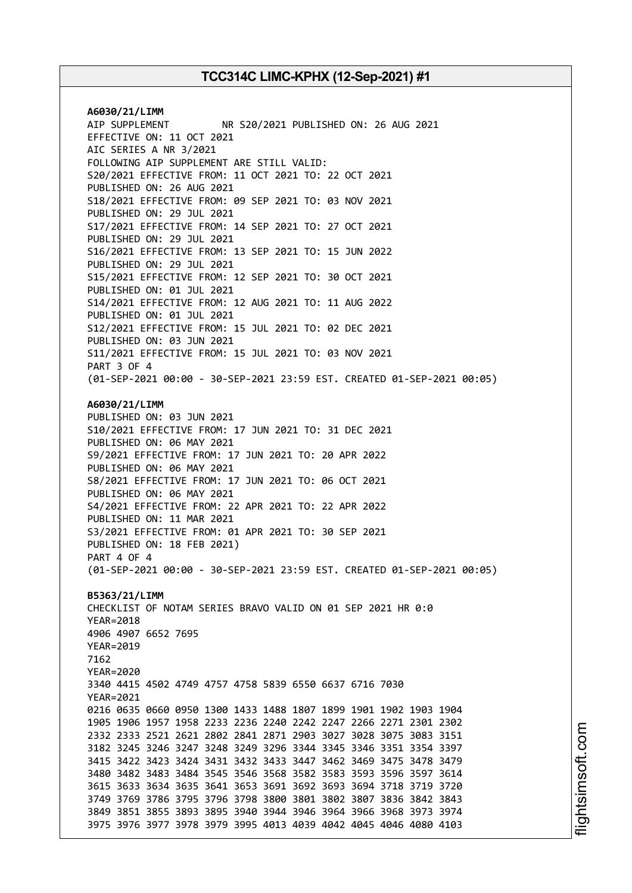**A6030/21/LIMM** AIP SUPPLEMENT NR S20/2021 PUBLISHED ON: 26 AUG 2021 EFFECTIVE ON: 11 OCT 2021 AIC SERIES A NR 3/2021 FOLLOWING AIP SUPPLEMENT ARE STILL VALID: S20/2021 EFFECTIVE FROM: 11 OCT 2021 TO: 22 OCT 2021 PUBLISHED ON: 26 AUG 2021 S18/2021 EFFECTIVE FROM: 09 SEP 2021 TO: 03 NOV 2021 PUBLISHED ON: 29 JUL 2021 S17/2021 EFFECTIVE FROM: 14 SEP 2021 TO: 27 OCT 2021 PUBLISHED ON: 29 JUL 2021 S16/2021 EFFECTIVE FROM: 13 SEP 2021 TO: 15 JUN 2022 PUBLISHED ON: 29 JUL 2021 S15/2021 EFFECTIVE FROM: 12 SEP 2021 TO: 30 OCT 2021 PUBLISHED ON: 01 JUL 2021 S14/2021 EFFECTIVE FROM: 12 AUG 2021 TO: 11 AUG 2022 PUBLISHED ON: 01 JUL 2021 S12/2021 EFFECTIVE FROM: 15 JUL 2021 TO: 02 DEC 2021 PUBLISHED ON: 03 JUN 2021 S11/2021 EFFECTIVE FROM: 15 JUL 2021 TO: 03 NOV 2021 PART 3 OF 4 (01-SEP-2021 00:00 - 30-SEP-2021 23:59 EST. CREATED 01-SEP-2021 00:05) **A6030/21/LIMM** PUBLISHED ON: 03 JUN 2021 S10/2021 EFFECTIVE FROM: 17 JUN 2021 TO: 31 DEC 2021 PUBLISHED ON: 06 MAY 2021 S9/2021 EFFECTIVE FROM: 17 JUN 2021 TO: 20 APR 2022 PUBLISHED ON: 06 MAY 2021 S8/2021 EFFECTIVE FROM: 17 JUN 2021 TO: 06 OCT 2021 PUBLISHED ON: 06 MAY 2021 S4/2021 EFFECTIVE FROM: 22 APR 2021 TO: 22 APR 2022 PUBLISHED ON: 11 MAR 2021 S3/2021 EFFECTIVE FROM: 01 APR 2021 TO: 30 SEP 2021 PUBLISHED ON: 18 FEB 2021) PART 4 OF 4 (01-SEP-2021 00:00 - 30-SEP-2021 23:59 EST. CREATED 01-SEP-2021 00:05) **B5363/21/LIMM** CHECKLIST OF NOTAM SERIES BRAVO VALID ON 01 SEP 2021 HR 0:0 YEAR=2018 4906 4907 6652 7695 YEAR=2019 7162 YEAR=2020 3340 4415 4502 4749 4757 4758 5839 6550 6637 6716 7030 YEAR=2021 0216 0635 0660 0950 1300 1433 1488 1807 1899 1901 1902 1903 1904 1905 1906 1957 1958 2233 2236 2240 2242 2247 2266 2271 2301 2302 2332 2333 2521 2621 2802 2841 2871 2903 3027 3028 3075 3083 3151 3182 3245 3246 3247 3248 3249 3296 3344 3345 3346 3351 3354 3397 3415 3422 3423 3424 3431 3432 3433 3447 3462 3469 3475 3478 3479 3480 3482 3483 3484 3545 3546 3568 3582 3583 3593 3596 3597 3614 3615 3633 3634 3635 3641 3653 3691 3692 3693 3694 3718 3719 3720 3749 3769 3786 3795 3796 3798 3800 3801 3802 3807 3836 3842 3843 3849 3851 3855 3893 3895 3940 3944 3946 3964 3966 3968 3973 3974 3975 3976 3977 3978 3979 3995 4013 4039 4042 4045 4046 4080 4103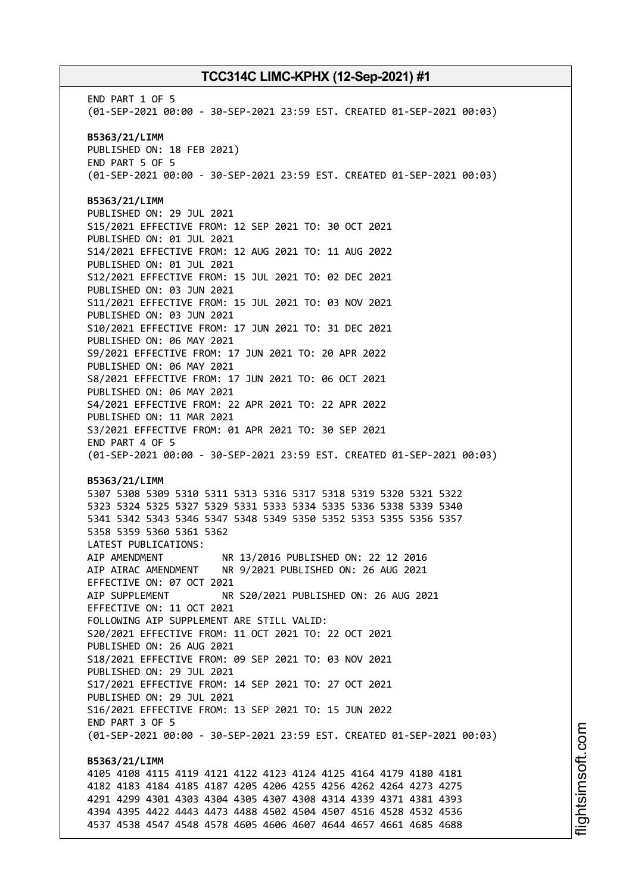END PART 1 OF 5 (01-SEP-2021 00:00 - 30-SEP-2021 23:59 EST. CREATED 01-SEP-2021 00:03) **B5363/21/LIMM** PUBLISHED ON: 18 FEB 2021) END PART 5 OF 5 (01-SEP-2021 00:00 - 30-SEP-2021 23:59 EST. CREATED 01-SEP-2021 00:03) **B5363/21/LIMM** PUBLISHED ON: 29 JUL 2021 S15/2021 EFFECTIVE FROM: 12 SEP 2021 TO: 30 OCT 2021 PUBLISHED ON: 01 JUL 2021 S14/2021 EFFECTIVE FROM: 12 AUG 2021 TO: 11 AUG 2022 PUBLISHED ON: 01 JUL 2021 S12/2021 EFFECTIVE FROM: 15 JUL 2021 TO: 02 DEC 2021 PUBLISHED ON: 03 JUN 2021 S11/2021 EFFECTIVE FROM: 15 JUL 2021 TO: 03 NOV 2021 PUBLISHED ON: 03 JUN 2021 S10/2021 EFFECTIVE FROM: 17 JUN 2021 TO: 31 DEC 2021 PUBLISHED ON: 06 MAY 2021 S9/2021 EFFECTIVE FROM: 17 JUN 2021 TO: 20 APR 2022 PUBLISHED ON: 06 MAY 2021 S8/2021 EFFECTIVE FROM: 17 JUN 2021 TO: 06 OCT 2021 PUBLISHED ON: 06 MAY 2021 S4/2021 EFFECTIVE FROM: 22 APR 2021 TO: 22 APR 2022 PUBLISHED ON: 11 MAR 2021 S3/2021 EFFECTIVE FROM: 01 APR 2021 TO: 30 SEP 2021 END PART 4 OF 5 (01-SEP-2021 00:00 - 30-SEP-2021 23:59 EST. CREATED 01-SEP-2021 00:03) **B5363/21/LIMM** 5307 5308 5309 5310 5311 5313 5316 5317 5318 5319 5320 5321 5322 5323 5324 5325 5327 5329 5331 5333 5334 5335 5336 5338 5339 5340 5341 5342 5343 5346 5347 5348 5349 5350 5352 5353 5355 5356 5357 5358 5359 5360 5361 5362 LATEST PUBLICATIONS: AIP AMENDMENT NR 13/2016 PUBLISHED ON: 22 12 2016 AIP AIRAC AMENDMENT NR 9/2021 PUBLISHED ON: 26 AUG 2021 EFFECTIVE ON: 07 OCT 2021 AIP SUPPLEMENT NR S20/2021 PUBLISHED ON: 26 AUG 2021 EFFECTIVE ON: 11 OCT 2021 FOLLOWING AIP SUPPLEMENT ARE STILL VALID: S20/2021 EFFECTIVE FROM: 11 OCT 2021 TO: 22 OCT 2021 PUBLISHED ON: 26 AUG 2021 S18/2021 EFFECTIVE FROM: 09 SEP 2021 TO: 03 NOV 2021 PUBLISHED ON: 29 JUL 2021 S17/2021 EFFECTIVE FROM: 14 SEP 2021 TO: 27 OCT 2021 PUBLISHED ON: 29 JUL 2021 S16/2021 EFFECTIVE FROM: 13 SEP 2021 TO: 15 JUN 2022 END PART 3 OF 5 (01-SEP-2021 00:00 - 30-SEP-2021 23:59 EST. CREATED 01-SEP-2021 00:03) **B5363/21/LIMM** 4105 4108 4115 4119 4121 4122 4123 4124 4125 4164 4179 4180 4181 4182 4183 4184 4185 4187 4205 4206 4255 4256 4262 4264 4273 4275 4291 4299 4301 4303 4304 4305 4307 4308 4314 4339 4371 4381 4393 4394 4395 4422 4443 4473 4488 4502 4504 4507 4516 4528 4532 4536 4537 4538 4547 4548 4578 4605 4606 4607 4644 4657 4661 4685 4688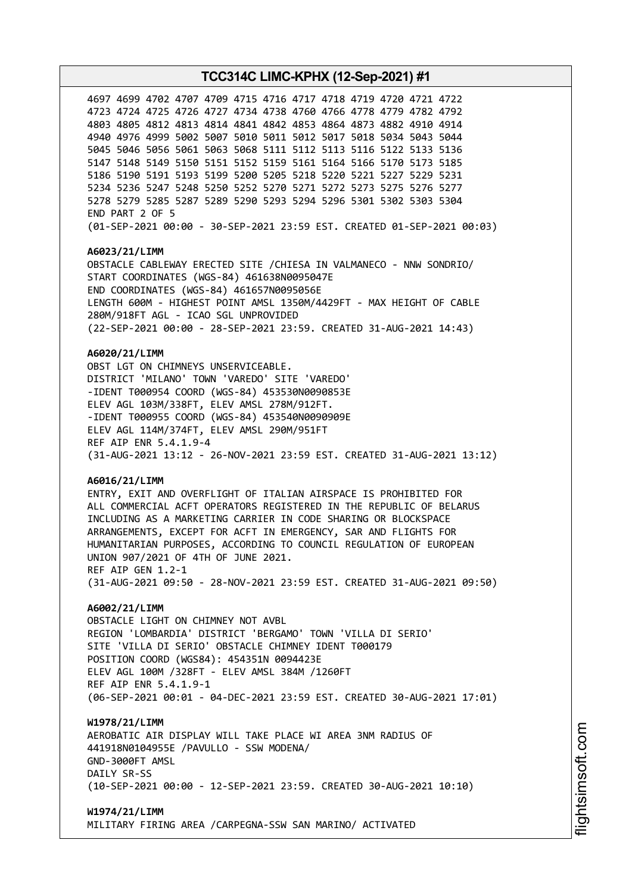4699 4702 4707 4709 4715 4716 4717 4718 4719 4720 4721 4722 4724 4725 4726 4727 4734 4738 4760 4766 4778 4779 4782 4792 4805 4812 4813 4814 4841 4842 4853 4864 4873 4882 4910 4914 4976 4999 5002 5007 5010 5011 5012 5017 5018 5034 5043 5044 5046 5056 5061 5063 5068 5111 5112 5113 5116 5122 5133 5136 5148 5149 5150 5151 5152 5159 5161 5164 5166 5170 5173 5185 5190 5191 5193 5199 5200 5205 5218 5220 5221 5227 5229 5231 5236 5247 5248 5250 5252 5270 5271 5272 5273 5275 5276 5277 5279 5285 5287 5289 5290 5293 5294 5296 5301 5302 5303 5304 END PART 2 OF 5 (01-SEP-2021 00:00 - 30-SEP-2021 23:59 EST. CREATED 01-SEP-2021 00:03)

## **A6023/21/LIMM**

OBSTACLE CABLEWAY ERECTED SITE /CHIESA IN VALMANECO - NNW SONDRIO/ START COORDINATES (WGS-84) 461638N0095047E END COORDINATES (WGS-84) 461657N0095056E LENGTH 600M - HIGHEST POINT AMSL 1350M/4429FT - MAX HEIGHT OF CABLE 280M/918FT AGL - ICAO SGL UNPROVIDED (22-SEP-2021 00:00 - 28-SEP-2021 23:59. CREATED 31-AUG-2021 14:43)

### **A6020/21/LIMM**

OBST LGT ON CHIMNEYS UNSERVICEABLE. DISTRICT 'MILANO' TOWN 'VAREDO' SITE 'VAREDO' -IDENT T000954 COORD (WGS-84) 453530N0090853E ELEV AGL 103M/338FT, ELEV AMSL 278M/912FT. -IDENT T000955 COORD (WGS-84) 453540N0090909E ELEV AGL 114M/374FT, ELEV AMSL 290M/951FT REF AIP ENR 5.4.1.9-4 (31-AUG-2021 13:12 - 26-NOV-2021 23:59 EST. CREATED 31-AUG-2021 13:12)

#### **A6016/21/LIMM**

ENTRY, EXIT AND OVERFLIGHT OF ITALIAN AIRSPACE IS PROHIBITED FOR ALL COMMERCIAL ACFT OPERATORS REGISTERED IN THE REPUBLIC OF BELARUS INCLUDING AS A MARKETING CARRIER IN CODE SHARING OR BLOCKSPACE ARRANGEMENTS, EXCEPT FOR ACFT IN EMERGENCY, SAR AND FLIGHTS FOR HUMANITARIAN PURPOSES, ACCORDING TO COUNCIL REGULATION OF EUROPEAN UNION 907/2021 OF 4TH OF JUNE 2021. REF AIP GEN 1.2-1 (31-AUG-2021 09:50 - 28-NOV-2021 23:59 EST. CREATED 31-AUG-2021 09:50)

## **A6002/21/LIMM**

OBSTACLE LIGHT ON CHIMNEY NOT AVBL REGION 'LOMBARDIA' DISTRICT 'BERGAMO' TOWN 'VILLA DI SERIO' SITE 'VILLA DI SERIO' OBSTACLE CHIMNEY IDENT T000179 POSITION COORD (WGS84): 454351N 0094423E ELEV AGL 100M /328FT - ELEV AMSL 384M /1260FT REF AIP ENR 5.4.1.9-1 (06-SEP-2021 00:01 - 04-DEC-2021 23:59 EST. CREATED 30-AUG-2021 17:01)

#### **W1978/21/LIMM**

AEROBATIC AIR DISPLAY WILL TAKE PLACE WI AREA 3NM RADIUS OF 441918N0104955E /PAVULLO - SSW MODENA/ GND-3000FT AMSL DATLY SR-SS (10-SEP-2021 00:00 - 12-SEP-2021 23:59. CREATED 30-AUG-2021 10:10)

# **W1974/21/LIMM**

MILITARY FIRING AREA /CARPEGNA-SSW SAN MARINO/ ACTIVATED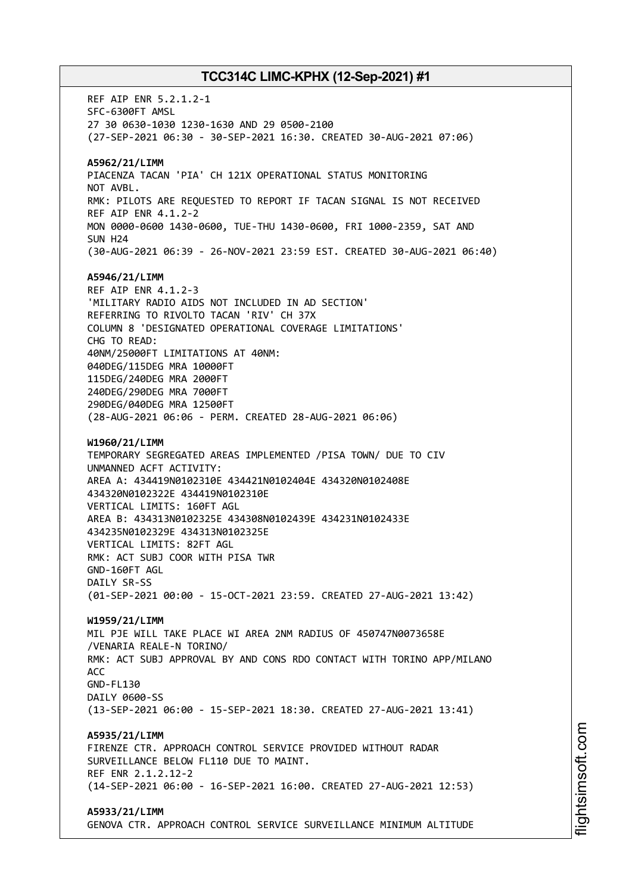REF AIP ENR 5.2.1.2-1 SFC-6300FT AMSL 27 30 0630-1030 1230-1630 AND 29 0500-2100 (27-SEP-2021 06:30 - 30-SEP-2021 16:30. CREATED 30-AUG-2021 07:06) **A5962/21/LIMM** PIACENZA TACAN 'PIA' CH 121X OPERATIONAL STATUS MONITORING NOT AVBL. RMK: PILOTS ARE REQUESTED TO REPORT IF TACAN SIGNAL IS NOT RECEIVED REF AIP ENR 4.1.2-2 MON 0000-0600 1430-0600, TUE-THU 1430-0600, FRI 1000-2359, SAT AND SUN H24 (30-AUG-2021 06:39 - 26-NOV-2021 23:59 EST. CREATED 30-AUG-2021 06:40) **A5946/21/LIMM** REF AIP ENR 4.1.2-3 'MILITARY RADIO AIDS NOT INCLUDED IN AD SECTION' REFERRING TO RIVOLTO TACAN 'RIV' CH 37X COLUMN 8 'DESIGNATED OPERATIONAL COVERAGE LIMITATIONS' CHG TO READ: 40NM/25000FT LIMITATIONS AT 40NM: 040DEG/115DEG MRA 10000FT 115DEG/240DEG MRA 2000FT 240DEG/290DEG MRA 7000FT 290DEG/040DEG MRA 12500FT (28-AUG-2021 06:06 - PERM. CREATED 28-AUG-2021 06:06) **W1960/21/LIMM** TEMPORARY SEGREGATED AREAS IMPLEMENTED /PISA TOWN/ DUE TO CIV UNMANNED ACFT ACTIVITY: AREA A: 434419N0102310E 434421N0102404E 434320N0102408E 434320N0102322E 434419N0102310E VERTICAL LIMITS: 160FT AGL AREA B: 434313N0102325E 434308N0102439E 434231N0102433E 434235N0102329E 434313N0102325E VERTICAL LIMITS: 82FT AGL RMK: ACT SUBJ COOR WITH PISA TWR GND-160FT AGL DAILY SR-SS (01-SEP-2021 00:00 - 15-OCT-2021 23:59. CREATED 27-AUG-2021 13:42) **W1959/21/LIMM** MIL PJE WILL TAKE PLACE WI AREA 2NM RADIUS OF 450747N0073658E /VENARIA REALE-N TORINO/ RMK: ACT SUBJ APPROVAL BY AND CONS RDO CONTACT WITH TORINO APP/MILANO ACC GND-FL130 DATLY 0600-SS (13-SEP-2021 06:00 - 15-SEP-2021 18:30. CREATED 27-AUG-2021 13:41) **A5935/21/LIMM** FIRENZE CTR. APPROACH CONTROL SERVICE PROVIDED WITHOUT RADAR SURVEILLANCE BELOW FL110 DUE TO MAINT. REF ENR 2.1.2.12-2 (14-SEP-2021 06:00 - 16-SEP-2021 16:00. CREATED 27-AUG-2021 12:53) **A5933/21/LIMM** GENOVA CTR. APPROACH CONTROL SERVICE SURVEILLANCE MINIMUM ALTITUDE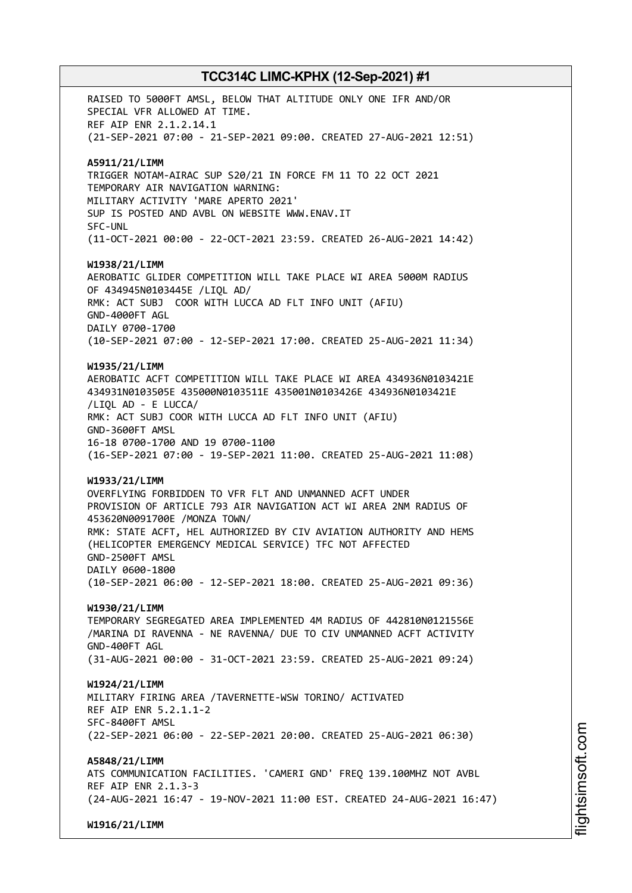RAISED TO 5000FT AMSL, BELOW THAT ALTITUDE ONLY ONE IFR AND/OR SPECIAL VFR ALLOWED AT TIME. REF AIP ENR 2.1.2.14.1 (21-SEP-2021 07:00 - 21-SEP-2021 09:00. CREATED 27-AUG-2021 12:51) **A5911/21/LIMM** TRIGGER NOTAM-AIRAC SUP S20/21 IN FORCE FM 11 TO 22 OCT 2021 TEMPORARY AIR NAVIGATION WARNING: MILITARY ACTIVITY 'MARE APERTO 2021' SUP IS POSTED AND AVBL ON WEBSITE WWW.ENAV.IT SFC-UNL (11-OCT-2021 00:00 - 22-OCT-2021 23:59. CREATED 26-AUG-2021 14:42) **W1938/21/LIMM** AEROBATIC GLIDER COMPETITION WILL TAKE PLACE WI AREA 5000M RADIUS OF 434945N0103445E /LIQL AD/ RMK: ACT SUBJ COOR WITH LUCCA AD FLT INFO UNIT (AFIU) GND-4000FT AGL DAILY 0700-1700 (10-SEP-2021 07:00 - 12-SEP-2021 17:00. CREATED 25-AUG-2021 11:34) **W1935/21/LIMM** AEROBATIC ACFT COMPETITION WILL TAKE PLACE WI AREA 434936N0103421E 434931N0103505E 435000N0103511E 435001N0103426E 434936N0103421E /LIQL AD - E LUCCA/ RMK: ACT SUBJ COOR WITH LUCCA AD FLT INFO UNIT (AFIU) GND-3600FT AMSL 16-18 0700-1700 AND 19 0700-1100 (16-SEP-2021 07:00 - 19-SEP-2021 11:00. CREATED 25-AUG-2021 11:08) **W1933/21/LIMM** OVERFLYING FORBIDDEN TO VFR FLT AND UNMANNED ACFT UNDER PROVISION OF ARTICLE 793 AIR NAVIGATION ACT WI AREA 2NM RADIUS OF 453620N0091700E /MONZA TOWN/ RMK: STATE ACFT, HEL AUTHORIZED BY CIV AVIATION AUTHORITY AND HEMS (HELICOPTER EMERGENCY MEDICAL SERVICE) TFC NOT AFFECTED GND-2500FT AMSL DAILY 0600-1800 (10-SEP-2021 06:00 - 12-SEP-2021 18:00. CREATED 25-AUG-2021 09:36) **W1930/21/LIMM** TEMPORARY SEGREGATED AREA IMPLEMENTED 4M RADIUS OF 442810N0121556E /MARINA DI RAVENNA - NE RAVENNA/ DUE TO CIV UNMANNED ACFT ACTIVITY GND-400FT AGL (31-AUG-2021 00:00 - 31-OCT-2021 23:59. CREATED 25-AUG-2021 09:24) **W1924/21/LIMM** MILITARY FIRING AREA /TAVERNETTE-WSW TORINO/ ACTIVATED REF AIP ENR 5.2.1.1-2 SFC-8400FT AMSL (22-SEP-2021 06:00 - 22-SEP-2021 20:00. CREATED 25-AUG-2021 06:30) **A5848/21/LIMM** ATS COMMUNICATION FACILITIES. 'CAMERI GND' FREQ 139.100MHZ NOT AVBL REF AIP ENR 2.1.3-3 (24-AUG-2021 16:47 - 19-NOV-2021 11:00 EST. CREATED 24-AUG-2021 16:47) **W1916/21/LIMM**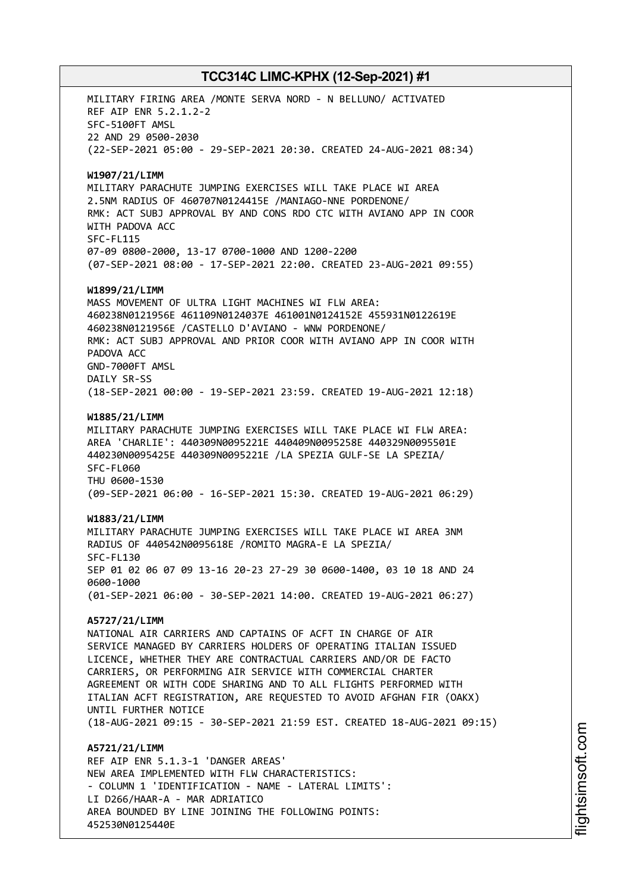MILITARY FIRING AREA /MONTE SERVA NORD - N BELLUNO/ ACTIVATED REF AIP ENR 5.2.1.2-2 SFC-5100FT AMSL 22 AND 29 0500-2030 (22-SEP-2021 05:00 - 29-SEP-2021 20:30. CREATED 24-AUG-2021 08:34) **W1907/21/LIMM** MILITARY PARACHUTE JUMPING EXERCISES WILL TAKE PLACE WI AREA 2.5NM RADIUS OF 460707N0124415E /MANIAGO-NNE PORDENONE/ RMK: ACT SUBJ APPROVAL BY AND CONS RDO CTC WITH AVIANO APP IN COOR WITH PADOVA ACC SFC-FL115 07-09 0800-2000, 13-17 0700-1000 AND 1200-2200 (07-SEP-2021 08:00 - 17-SEP-2021 22:00. CREATED 23-AUG-2021 09:55) **W1899/21/LIMM** MASS MOVEMENT OF ULTRA LIGHT MACHINES WI FLW AREA: 460238N0121956E 461109N0124037E 461001N0124152E 455931N0122619E 460238N0121956E /CASTELLO D'AVIANO - WNW PORDENONE/ RMK: ACT SUBJ APPROVAL AND PRIOR COOR WITH AVIANO APP IN COOR WITH PADOVA ACC GND-7000FT AMSL DAILY SR-SS (18-SEP-2021 00:00 - 19-SEP-2021 23:59. CREATED 19-AUG-2021 12:18) **W1885/21/LIMM** MILITARY PARACHUTE JUMPING EXERCISES WILL TAKE PLACE WI FLW AREA: AREA 'CHARLIE': 440309N0095221E 440409N0095258E 440329N0095501E 440230N0095425E 440309N0095221E /LA SPEZIA GULF-SE LA SPEZIA/ SFC-FL060 THU 0600-1530 (09-SEP-2021 06:00 - 16-SEP-2021 15:30. CREATED 19-AUG-2021 06:29) **W1883/21/LIMM** MILITARY PARACHUTE JUMPING EXERCISES WILL TAKE PLACE WI AREA 3NM RADIUS OF 440542N0095618E /ROMITO MAGRA-E LA SPEZIA/ SFC-FL130 SEP 01 02 06 07 09 13-16 20-23 27-29 30 0600-1400, 03 10 18 AND 24 0600-1000 (01-SEP-2021 06:00 - 30-SEP-2021 14:00. CREATED 19-AUG-2021 06:27) **A5727/21/LIMM** NATIONAL AIR CARRIERS AND CAPTAINS OF ACFT IN CHARGE OF AIR SERVICE MANAGED BY CARRIERS HOLDERS OF OPERATING ITALIAN ISSUED LICENCE, WHETHER THEY ARE CONTRACTUAL CARRIERS AND/OR DE FACTO CARRIERS, OR PERFORMING AIR SERVICE WITH COMMERCIAL CHARTER AGREEMENT OR WITH CODE SHARING AND TO ALL FLIGHTS PERFORMED WITH ITALIAN ACFT REGISTRATION, ARE REQUESTED TO AVOID AFGHAN FIR (OAKX) UNTIL FURTHER NOTICE (18-AUG-2021 09:15 - 30-SEP-2021 21:59 EST. CREATED 18-AUG-2021 09:15) **A5721/21/LIMM** REF AIP ENR 5.1.3-1 'DANGER AREAS' NEW AREA IMPLEMENTED WITH FLW CHARACTERISTICS: - COLUMN 1 'IDENTIFICATION - NAME - LATERAL LIMITS': LI D266/HAAR-A - MAR ADRIATICO AREA BOUNDED BY LINE JOINING THE FOLLOWING POINTS: 452530N0125440E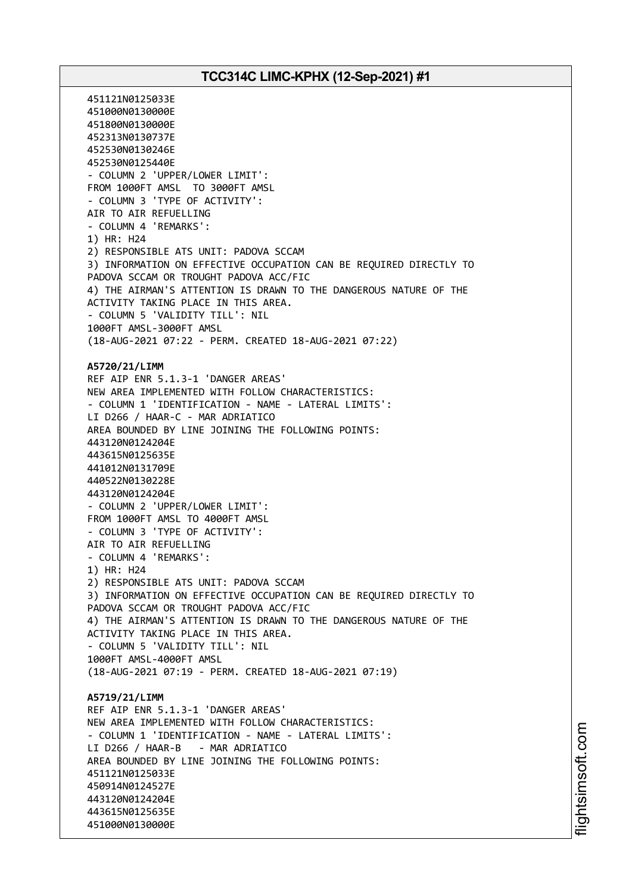451121N0125033E 451000N0130000E 451800N0130000E 452313N0130737E 452530N0130246E 452530N0125440E - COLUMN 2 'UPPER/LOWER LIMIT': FROM 1000FT AMSL TO 3000FT AMSL - COLUMN 3 'TYPE OF ACTIVITY': AIR TO AIR REFUELLING - COLUMN 4 'REMARKS': 1) HR: H24 2) RESPONSIBLE ATS UNIT: PADOVA SCCAM 3) INFORMATION ON EFFECTIVE OCCUPATION CAN BE REQUIRED DIRECTLY TO PADOVA SCCAM OR TROUGHT PADOVA ACC/FIC 4) THE AIRMAN'S ATTENTION IS DRAWN TO THE DANGEROUS NATURE OF THE ACTIVITY TAKING PLACE IN THIS AREA. - COLUMN 5 'VALIDITY TILL': NIL 1000FT AMSL-3000FT AMSL (18-AUG-2021 07:22 - PERM. CREATED 18-AUG-2021 07:22) **A5720/21/LIMM** REF AIP ENR 5.1.3-1 'DANGER AREAS' NEW AREA IMPLEMENTED WITH FOLLOW CHARACTERISTICS: - COLUMN 1 'IDENTIFICATION - NAME - LATERAL LIMITS': LI D266 / HAAR-C - MAR ADRIATICO AREA BOUNDED BY LINE JOINING THE FOLLOWING POINTS: 443120N0124204E 443615N0125635E 441012N0131709E 440522N0130228E 443120N0124204E - COLUMN 2 'UPPER/LOWER LIMIT': FROM 1000FT AMSL TO 4000FT AMSL - COLUMN 3 'TYPE OF ACTIVITY': AIR TO AIR REFUELLING - COLUMN 4 'REMARKS': 1) HR: H24 2) RESPONSIBLE ATS UNIT: PADOVA SCCAM 3) INFORMATION ON EFFECTIVE OCCUPATION CAN BE REQUIRED DIRECTLY TO PADOVA SCCAM OR TROUGHT PADOVA ACC/FIC 4) THE AIRMAN'S ATTENTION IS DRAWN TO THE DANGEROUS NATURE OF THE ACTIVITY TAKING PLACE IN THIS AREA. - COLUMN 5 'VALIDITY TILL': NIL 1000FT AMSL-4000FT AMSL (18-AUG-2021 07:19 - PERM. CREATED 18-AUG-2021 07:19) **A5719/21/LIMM** REF AIP ENR 5.1.3-1 'DANGER AREAS' NEW AREA IMPLEMENTED WITH FOLLOW CHARACTERISTICS: - COLUMN 1 'IDENTIFICATION - NAME - LATERAL LIMITS': LI D266 / HAAR-B - MAR ADRIATICO AREA BOUNDED BY LINE JOINING THE FOLLOWING POINTS: 451121N0125033E 450914N0124527E 443120N0124204E 443615N0125635E 451000N0130000E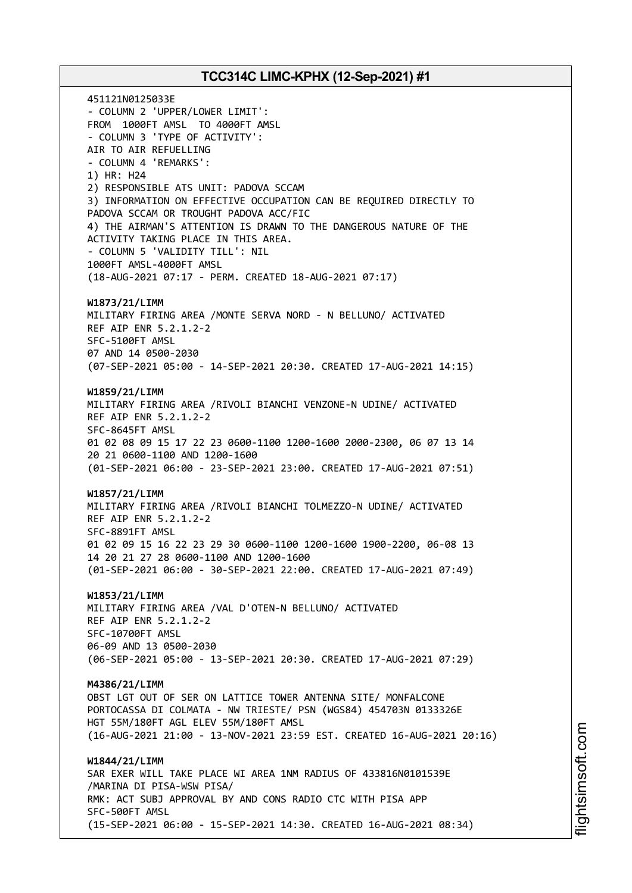451121N0125033E - COLUMN 2 'UPPER/LOWER LIMIT': FROM 1000FT AMSL TO 4000FT AMSL - COLUMN 3 'TYPE OF ACTIVITY': AIR TO AIR REFUELLING - COLUMN 4 'REMARKS': 1) HR: H24 2) RESPONSIBLE ATS UNIT: PADOVA SCCAM 3) INFORMATION ON EFFECTIVE OCCUPATION CAN BE REQUIRED DIRECTLY TO PADOVA SCCAM OR TROUGHT PADOVA ACC/FIC 4) THE AIRMAN'S ATTENTION IS DRAWN TO THE DANGEROUS NATURE OF THE ACTIVITY TAKING PLACE IN THIS AREA. - COLUMN 5 'VALIDITY TILL': NIL 1000FT AMSL-4000FT AMSL (18-AUG-2021 07:17 - PERM. CREATED 18-AUG-2021 07:17) **W1873/21/LIMM** MILITARY FIRING AREA /MONTE SERVA NORD - N BELLUNO/ ACTIVATED REF AIP ENR 5.2.1.2-2 SFC-5100FT AMSL 07 AND 14 0500-2030 (07-SEP-2021 05:00 - 14-SEP-2021 20:30. CREATED 17-AUG-2021 14:15) **W1859/21/LIMM** MILITARY FIRING AREA /RIVOLI BIANCHI VENZONE-N UDINE/ ACTIVATED REF AIP ENR 5.2.1.2-2 SFC-8645FT AMSL 01 02 08 09 15 17 22 23 0600-1100 1200-1600 2000-2300, 06 07 13 14 20 21 0600-1100 AND 1200-1600 (01-SEP-2021 06:00 - 23-SEP-2021 23:00. CREATED 17-AUG-2021 07:51) **W1857/21/LIMM** MILITARY FIRING AREA /RIVOLI BIANCHI TOLMEZZO-N UDINE/ ACTIVATED REF AIP ENR 5.2.1.2-2 SFC-8891FT AMSL 01 02 09 15 16 22 23 29 30 0600-1100 1200-1600 1900-2200, 06-08 13 14 20 21 27 28 0600-1100 AND 1200-1600 (01-SEP-2021 06:00 - 30-SEP-2021 22:00. CREATED 17-AUG-2021 07:49) **W1853/21/LIMM** MILITARY FIRING AREA /VAL D'OTEN-N BELLUNO/ ACTIVATED REF AIP ENR 5.2.1.2-2 SFC-10700FT AMSL 06-09 AND 13 0500-2030 (06-SEP-2021 05:00 - 13-SEP-2021 20:30. CREATED 17-AUG-2021 07:29) **M4386/21/LIMM** OBST LGT OUT OF SER ON LATTICE TOWER ANTENNA SITE/ MONFALCONE PORTOCASSA DI COLMATA - NW TRIESTE/ PSN (WGS84) 454703N 0133326E HGT 55M/180FT AGL ELEV 55M/180FT AMSL (16-AUG-2021 21:00 - 13-NOV-2021 23:59 EST. CREATED 16-AUG-2021 20:16) **W1844/21/LIMM** SAR EXER WILL TAKE PLACE WI AREA 1NM RADIUS OF 433816N0101539E /MARINA DI PISA-WSW PISA/ RMK: ACT SUBJ APPROVAL BY AND CONS RADIO CTC WITH PISA APP SFC-500FT AMSL (15-SEP-2021 06:00 - 15-SEP-2021 14:30. CREATED 16-AUG-2021 08:34)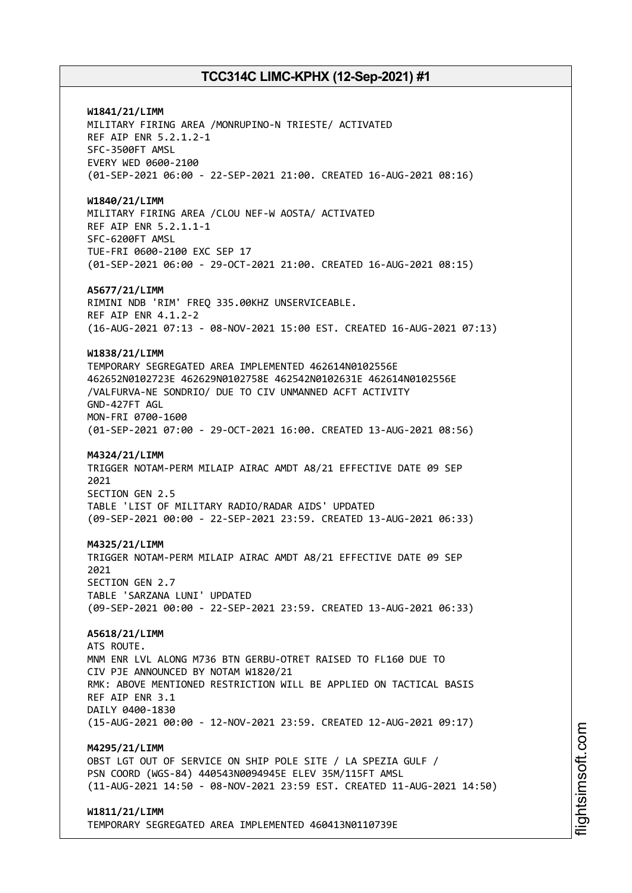**W1841/21/LIMM** MILITARY FIRING AREA /MONRUPINO-N TRIESTE/ ACTIVATED REF AIP ENR 5.2.1.2-1 SFC-3500FT AMSL EVERY WED 0600-2100 (01-SEP-2021 06:00 - 22-SEP-2021 21:00. CREATED 16-AUG-2021 08:16) **W1840/21/LIMM** MILITARY FIRING AREA /CLOU NEF-W AOSTA/ ACTIVATED REF AIP ENR 5.2.1.1-1 SFC-6200FT AMSL TUE-FRI 0600-2100 EXC SEP 17 (01-SEP-2021 06:00 - 29-OCT-2021 21:00. CREATED 16-AUG-2021 08:15) **A5677/21/LIMM** RIMINI NDB 'RIM' FREQ 335.00KHZ UNSERVICEABLE. REF AIP ENR 4.1.2-2 (16-AUG-2021 07:13 - 08-NOV-2021 15:00 EST. CREATED 16-AUG-2021 07:13) **W1838/21/LIMM** TEMPORARY SEGREGATED AREA IMPLEMENTED 462614N0102556E 462652N0102723E 462629N0102758E 462542N0102631E 462614N0102556E /VALFURVA-NE SONDRIO/ DUE TO CIV UNMANNED ACFT ACTIVITY GND-427FT AGL MON-FRI 0700-1600 (01-SEP-2021 07:00 - 29-OCT-2021 16:00. CREATED 13-AUG-2021 08:56) **M4324/21/LIMM** TRIGGER NOTAM-PERM MILAIP AIRAC AMDT A8/21 EFFECTIVE DATE 09 SEP 2021 SECTION GEN 2.5 TABLE 'LIST OF MILITARY RADIO/RADAR AIDS' UPDATED (09-SEP-2021 00:00 - 22-SEP-2021 23:59. CREATED 13-AUG-2021 06:33) **M4325/21/LIMM** TRIGGER NOTAM-PERM MILAIP AIRAC AMDT A8/21 EFFECTIVE DATE 09 SEP  $2021$ SECTION GEN 2.7 TABLE 'SARZANA LUNI' UPDATED (09-SEP-2021 00:00 - 22-SEP-2021 23:59. CREATED 13-AUG-2021 06:33) **A5618/21/LIMM** ATS ROUTE. MNM ENR LVL ALONG M736 BTN GERBU-OTRET RAISED TO FL160 DUE TO CIV PJE ANNOUNCED BY NOTAM W1820/21 RMK: ABOVE MENTIONED RESTRICTION WILL BE APPLIED ON TACTICAL BASIS REF AIP ENR 3.1 DAILY 0400-1830 (15-AUG-2021 00:00 - 12-NOV-2021 23:59. CREATED 12-AUG-2021 09:17) **M4295/21/LIMM** OBST LGT OUT OF SERVICE ON SHIP POLE SITE / LA SPEZIA GULF / PSN COORD (WGS-84) 440543N0094945E ELEV 35M/115FT AMSL (11-AUG-2021 14:50 - 08-NOV-2021 23:59 EST. CREATED 11-AUG-2021 14:50) **W1811/21/LIMM** TEMPORARY SEGREGATED AREA IMPLEMENTED 460413N0110739E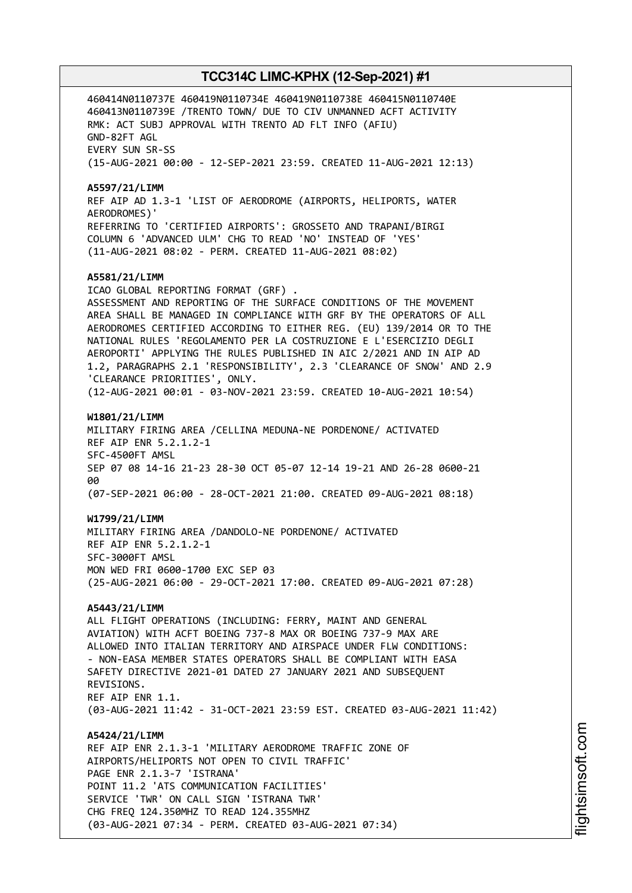460414N0110737E 460419N0110734E 460419N0110738E 460415N0110740E 460413N0110739E /TRENTO TOWN/ DUE TO CIV UNMANNED ACFT ACTIVITY RMK: ACT SUBJ APPROVAL WITH TRENTO AD FLT INFO (AFIU) GND-82FT AGL EVERY SUN SR-SS (15-AUG-2021 00:00 - 12-SEP-2021 23:59. CREATED 11-AUG-2021 12:13) **A5597/21/LIMM** REF AIP AD 1.3-1 'LIST OF AERODROME (AIRPORTS, HELIPORTS, WATER AERODROMES)' REFERRING TO 'CERTIFIED AIRPORTS': GROSSETO AND TRAPANI/BIRGI COLUMN 6 'ADVANCED ULM' CHG TO READ 'NO' INSTEAD OF 'YES' (11-AUG-2021 08:02 - PERM. CREATED 11-AUG-2021 08:02) **A5581/21/LIMM** ICAO GLOBAL REPORTING FORMAT (GRF) . ASSESSMENT AND REPORTING OF THE SURFACE CONDITIONS OF THE MOVEMENT AREA SHALL BE MANAGED IN COMPLIANCE WITH GRF BY THE OPERATORS OF ALL AERODROMES CERTIFIED ACCORDING TO EITHER REG. (EU) 139/2014 OR TO THE NATIONAL RULES 'REGOLAMENTO PER LA COSTRUZIONE E L'ESERCIZIO DEGLI AEROPORTI' APPLYING THE RULES PUBLISHED IN AIC 2/2021 AND IN AIP AD 1.2, PARAGRAPHS 2.1 'RESPONSIBILITY', 2.3 'CLEARANCE OF SNOW' AND 2.9 'CLEARANCE PRIORITIES', ONLY. (12-AUG-2021 00:01 - 03-NOV-2021 23:59. CREATED 10-AUG-2021 10:54) **W1801/21/LIMM** MILITARY FIRING AREA /CELLINA MEDUNA-NE PORDENONE/ ACTIVATED REF AIP ENR 5.2.1.2-1 SFC-4500FT AMSL SEP 07 08 14-16 21-23 28-30 OCT 05-07 12-14 19-21 AND 26-28 0600-21 aa (07-SEP-2021 06:00 - 28-OCT-2021 21:00. CREATED 09-AUG-2021 08:18) **W1799/21/LIMM** MILITARY FIRING AREA /DANDOLO-NE PORDENONE/ ACTIVATED REF AIP ENR 5.2.1.2-1 SFC-3000FT AMSL MON WED FRI 0600-1700 EXC SEP 03 (25-AUG-2021 06:00 - 29-OCT-2021 17:00. CREATED 09-AUG-2021 07:28) **A5443/21/LIMM** ALL FLIGHT OPERATIONS (INCLUDING: FERRY, MAINT AND GENERAL AVIATION) WITH ACFT BOEING 737-8 MAX OR BOEING 737-9 MAX ARE ALLOWED INTO ITALIAN TERRITORY AND AIRSPACE UNDER FLW CONDITIONS: - NON-EASA MEMBER STATES OPERATORS SHALL BE COMPLIANT WITH EASA SAFETY DIRECTIVE 2021-01 DATED 27 JANUARY 2021 AND SUBSEQUENT REVISIONS. REF AIP ENR 1.1. (03-AUG-2021 11:42 - 31-OCT-2021 23:59 EST. CREATED 03-AUG-2021 11:42) **A5424/21/LIMM** REF AIP ENR 2.1.3-1 'MILITARY AERODROME TRAFFIC ZONE OF AIRPORTS/HELIPORTS NOT OPEN TO CIVIL TRAFFIC' PAGE ENR 2.1.3-7 'ISTRANA' POINT 11.2 'ATS COMMUNICATION FACILITIES' SERVICE 'TWR' ON CALL SIGN 'ISTRANA TWR' CHG FREQ 124.350MHZ TO READ 124.355MHZ (03-AUG-2021 07:34 - PERM. CREATED 03-AUG-2021 07:34)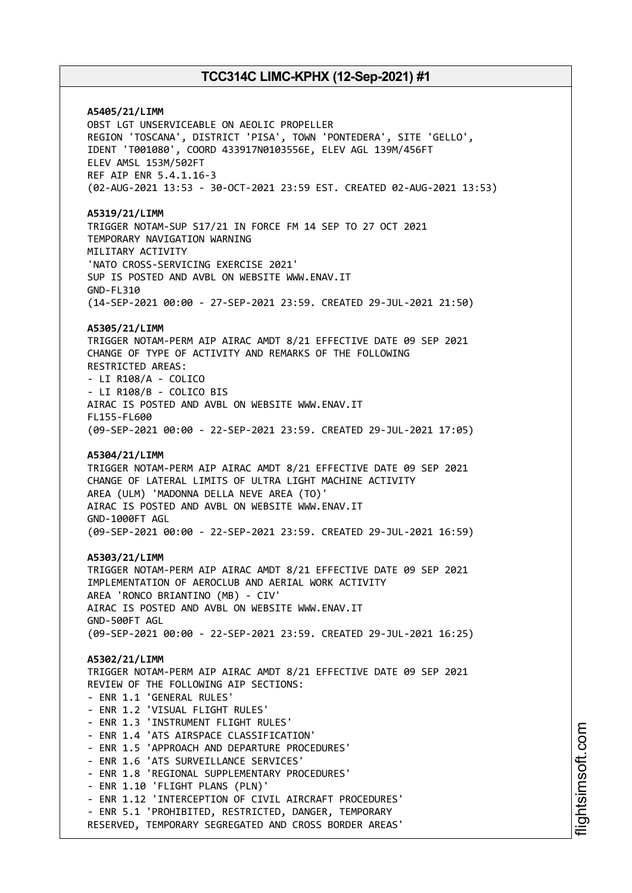**A5405/21/LIMM** OBST LGT UNSERVICEABLE ON AEOLIC PROPELLER REGION 'TOSCANA', DISTRICT 'PISA', TOWN 'PONTEDERA', SITE 'GELLO', IDENT 'T001080', COORD 433917N0103556E, ELEV AGL 139M/456FT ELEV AMSL 153M/502FT REF AIP ENR 5.4.1.16-3 (02-AUG-2021 13:53 - 30-OCT-2021 23:59 EST. CREATED 02-AUG-2021 13:53) **A5319/21/LIMM** TRIGGER NOTAM-SUP S17/21 IN FORCE FM 14 SEP TO 27 OCT 2021 TEMPORARY NAVIGATION WARNING MILITARY ACTIVITY 'NATO CROSS-SERVICING EXERCISE 2021' SUP IS POSTED AND AVBL ON WEBSITE WWW.ENAV.IT GND-FL310 (14-SEP-2021 00:00 - 27-SEP-2021 23:59. CREATED 29-JUL-2021 21:50) **A5305/21/LIMM** TRIGGER NOTAM-PERM AIP AIRAC AMDT 8/21 EFFECTIVE DATE 09 SEP 2021 CHANGE OF TYPE OF ACTIVITY AND REMARKS OF THE FOLLOWING RESTRICTED AREAS: - LI R108/A - COLICO - LI R108/B - COLICO BIS AIRAC IS POSTED AND AVBL ON WEBSITE WWW.ENAV.IT FL155-FL600 (09-SEP-2021 00:00 - 22-SEP-2021 23:59. CREATED 29-JUL-2021 17:05) **A5304/21/LIMM** TRIGGER NOTAM-PERM AIP AIRAC AMDT 8/21 EFFECTIVE DATE 09 SEP 2021 CHANGE OF LATERAL LIMITS OF ULTRA LIGHT MACHINE ACTIVITY AREA (ULM) 'MADONNA DELLA NEVE AREA (TO)' AIRAC IS POSTED AND AVBL ON WEBSITE WWW.ENAV.IT GND-1000FT AGL (09-SEP-2021 00:00 - 22-SEP-2021 23:59. CREATED 29-JUL-2021 16:59) **A5303/21/LIMM** TRIGGER NOTAM-PERM AIP AIRAC AMDT 8/21 EFFECTIVE DATE 09 SEP 2021 IMPLEMENTATION OF AEROCLUB AND AERIAL WORK ACTIVITY AREA 'RONCO BRIANTINO (MB) - CIV' AIRAC IS POSTED AND AVBL ON WEBSITE WWW.ENAV.IT GND-500FT AGL (09-SEP-2021 00:00 - 22-SEP-2021 23:59. CREATED 29-JUL-2021 16:25) **A5302/21/LIMM** TRIGGER NOTAM-PERM AIP AIRAC AMDT 8/21 EFFECTIVE DATE 09 SEP 2021 REVIEW OF THE FOLLOWING AIP SECTIONS: - ENR 1.1 'GENERAL RULES' - ENR 1.2 'VISUAL FLIGHT RULES' - ENR 1.3 'INSTRUMENT FLIGHT RULES' - ENR 1.4 'ATS AIRSPACE CLASSIFICATION' - ENR 1.5 'APPROACH AND DEPARTURE PROCEDURES' - ENR 1.6 'ATS SURVEILLANCE SERVICES' - ENR 1.8 'REGIONAL SUPPLEMENTARY PROCEDURES' - ENR 1.10 'FLIGHT PLANS (PLN)' - ENR 1.12 'INTERCEPTION OF CIVIL AIRCRAFT PROCEDURES' - ENR 5.1 'PROHIBITED, RESTRICTED, DANGER, TEMPORARY RESERVED, TEMPORARY SEGREGATED AND CROSS BORDER AREAS'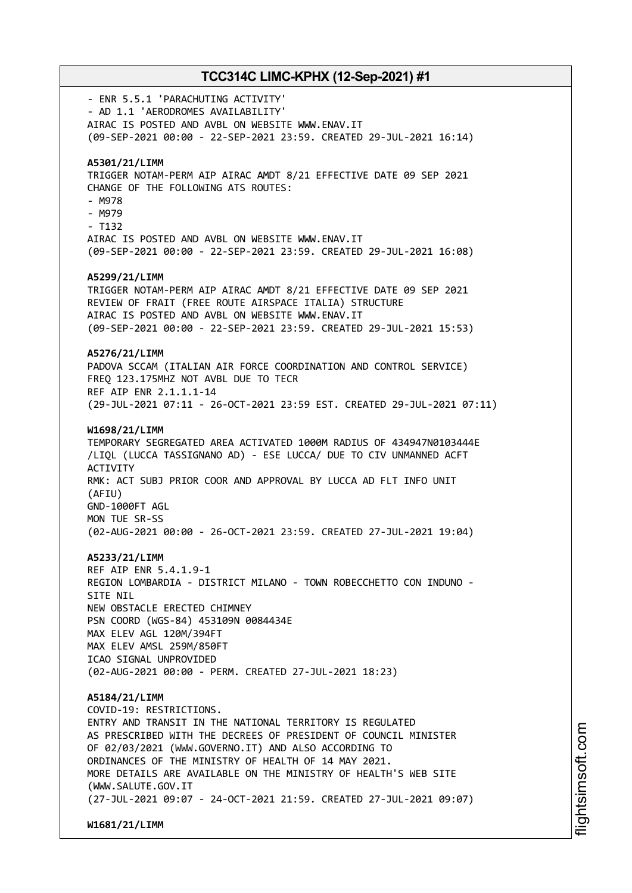- ENR 5.5.1 'PARACHUTING ACTIVITY' - AD 1.1 'AERODROMES AVAILABILITY' AIRAC IS POSTED AND AVBL ON WEBSITE WWW.ENAV.IT (09-SEP-2021 00:00 - 22-SEP-2021 23:59. CREATED 29-JUL-2021 16:14) **A5301/21/LIMM** TRIGGER NOTAM-PERM AIP AIRAC AMDT 8/21 EFFECTIVE DATE 09 SEP 2021 CHANGE OF THE FOLLOWING ATS ROUTES: - M978 - M979 - T132 AIRAC IS POSTED AND AVBL ON WEBSITE WWW.ENAV.IT (09-SEP-2021 00:00 - 22-SEP-2021 23:59. CREATED 29-JUL-2021 16:08) **A5299/21/LIMM** TRIGGER NOTAM-PERM AIP AIRAC AMDT 8/21 EFFECTIVE DATE 09 SEP 2021 REVIEW OF FRAIT (FREE ROUTE AIRSPACE ITALIA) STRUCTURE AIRAC IS POSTED AND AVBL ON WEBSITE WWW.ENAV.IT (09-SEP-2021 00:00 - 22-SEP-2021 23:59. CREATED 29-JUL-2021 15:53) **A5276/21/LIMM** PADOVA SCCAM (ITALIAN AIR FORCE COORDINATION AND CONTROL SERVICE) FREQ 123.175MHZ NOT AVBL DUE TO TECR REF AIP ENR 2.1.1.1-14 (29-JUL-2021 07:11 - 26-OCT-2021 23:59 EST. CREATED 29-JUL-2021 07:11) **W1698/21/LIMM** TEMPORARY SEGREGATED AREA ACTIVATED 1000M RADIUS OF 434947N0103444E /LIQL (LUCCA TASSIGNANO AD) - ESE LUCCA/ DUE TO CIV UNMANNED ACFT **ACTIVITY** RMK: ACT SUBJ PRIOR COOR AND APPROVAL BY LUCCA AD FLT INFO UNIT (AFIU) GND-1000FT AGL MON TUE SR-SS (02-AUG-2021 00:00 - 26-OCT-2021 23:59. CREATED 27-JUL-2021 19:04) **A5233/21/LIMM** REF AIP ENR 5.4.1.9-1 REGION LOMBARDIA - DISTRICT MILANO - TOWN ROBECCHETTO CON INDUNO - SITE NIL NEW OBSTACLE ERECTED CHIMNEY PSN COORD (WGS-84) 453109N 0084434E MAX ELEV AGL 120M/394FT MAX ELEV AMSL 259M/850FT ICAO SIGNAL UNPROVIDED (02-AUG-2021 00:00 - PERM. CREATED 27-JUL-2021 18:23) **A5184/21/LIMM** COVID-19: RESTRICTIONS. ENTRY AND TRANSIT IN THE NATIONAL TERRITORY IS REGULATED AS PRESCRIBED WITH THE DECREES OF PRESIDENT OF COUNCIL MINISTER OF 02/03/2021 (WWW.GOVERNO.IT) AND ALSO ACCORDING TO ORDINANCES OF THE MINISTRY OF HEALTH OF 14 MAY 2021. MORE DETAILS ARE AVAILABLE ON THE MINISTRY OF HEALTH'S WEB SITE (WWW.SALUTE.GOV.IT (27-JUL-2021 09:07 - 24-OCT-2021 21:59. CREATED 27-JUL-2021 09:07)

**W1681/21/LIMM**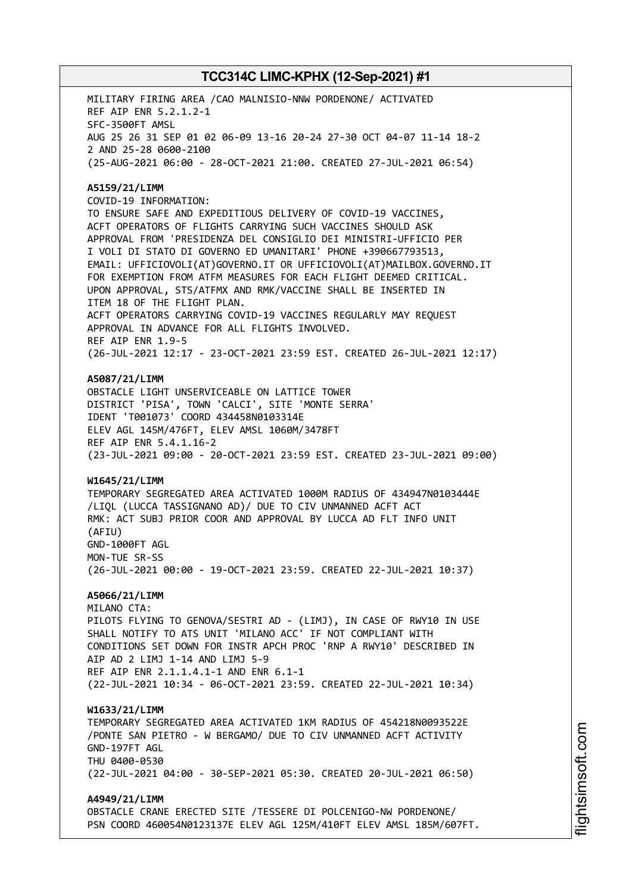MILITARY FIRING AREA /CAO MALNISIO-NNW PORDENONE/ ACTIVATED REF AIP ENR 5.2.1.2-1 SFC-3500FT AMSL AUG 25 26 31 SEP 01 02 06-09 13-16 20-24 27-30 OCT 04-07 11-14 18-2 2 AND 25-28 0600-2100 (25-AUG-2021 06:00 - 28-OCT-2021 21:00. CREATED 27-JUL-2021 06:54) **A5159/21/LIMM** COVID-19 INFORMATION: TO ENSURE SAFE AND EXPEDITIOUS DELIVERY OF COVID-19 VACCINES, ACFT OPERATORS OF FLIGHTS CARRYING SUCH VACCINES SHOULD ASK APPROVAL FROM 'PRESIDENZA DEL CONSIGLIO DEI MINISTRI-UFFICIO PER I VOLI DI STATO DI GOVERNO ED UMANITARI' PHONE +390667793513, EMAIL: UFFICIOVOLI(AT)GOVERNO.IT OR UFFICIOVOLI(AT)MAILBOX.GOVERNO.IT FOR EXEMPTION FROM ATFM MEASURES FOR EACH FLIGHT DEEMED CRITICAL. UPON APPROVAL, STS/ATFMX AND RMK/VACCINE SHALL BE INSERTED IN ITEM 18 OF THE FLIGHT PLAN. ACFT OPERATORS CARRYING COVID-19 VACCINES REGULARLY MAY REQUEST APPROVAL IN ADVANCE FOR ALL FLIGHTS INVOLVED. REF AIP ENR 1.9-5 (26-JUL-2021 12:17 - 23-OCT-2021 23:59 EST. CREATED 26-JUL-2021 12:17) **A5087/21/LIMM** OBSTACLE LIGHT UNSERVICEABLE ON LATTICE TOWER DISTRICT 'PISA', TOWN 'CALCI', SITE 'MONTE SERRA' IDENT 'T001073' COORD 434458N0103314E ELEV AGL 145M/476FT, ELEV AMSL 1060M/3478FT REF AIP ENR 5.4.1.16-2 (23-JUL-2021 09:00 - 20-OCT-2021 23:59 EST. CREATED 23-JUL-2021 09:00) **W1645/21/LIMM** TEMPORARY SEGREGATED AREA ACTIVATED 1000M RADIUS OF 434947N0103444E /LIQL (LUCCA TASSIGNANO AD)/ DUE TO CIV UNMANNED ACFT ACT RMK: ACT SUBJ PRIOR COOR AND APPROVAL BY LUCCA AD FLT INFO UNIT (AFIU) GND-1000FT AGL MON-TUE SR-SS (26-JUL-2021 00:00 - 19-OCT-2021 23:59. CREATED 22-JUL-2021 10:37) **A5066/21/LIMM** MILANO CTA: PILOTS FLYING TO GENOVA/SESTRI AD - (LIMJ), IN CASE OF RWY10 IN USE SHALL NOTIFY TO ATS UNIT 'MILANO ACC' IF NOT COMPLIANT WITH CONDITIONS SET DOWN FOR INSTR APCH PROC 'RNP A RWY10' DESCRIBED IN AIP AD 2 LIMJ 1-14 AND LIMJ 5-9 REF AIP ENR 2.1.1.4.1-1 AND ENR 6.1-1 (22-JUL-2021 10:34 - 06-OCT-2021 23:59. CREATED 22-JUL-2021 10:34) **W1633/21/LIMM** TEMPORARY SEGREGATED AREA ACTIVATED 1KM RADIUS OF 454218N0093522E /PONTE SAN PIETRO - W BERGAMO/ DUE TO CIV UNMANNED ACFT ACTIVITY GND-197FT AGL THU 0400-0530 (22-JUL-2021 04:00 - 30-SEP-2021 05:30. CREATED 20-JUL-2021 06:50) **A4949/21/LIMM** OBSTACLE CRANE ERECTED SITE /TESSERE DI POLCENIGO-NW PORDENONE/ PSN COORD 460054N0123137E ELEV AGL 125M/410FT ELEV AMSL 185M/607FT.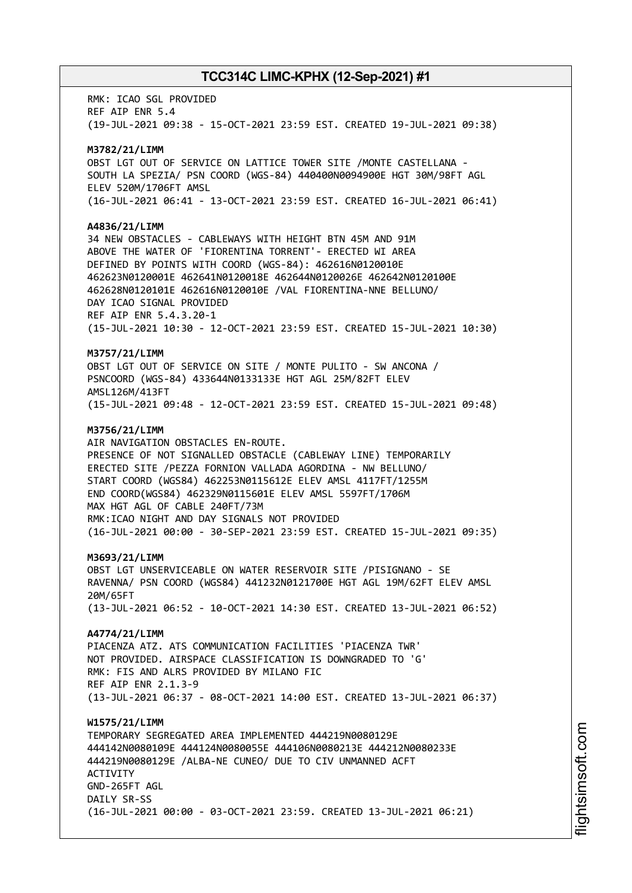RMK: ICAO SGL PROVIDED REF AIP ENR 5.4 (19-JUL-2021 09:38 - 15-OCT-2021 23:59 EST. CREATED 19-JUL-2021 09:38) **M3782/21/LIMM** OBST LGT OUT OF SERVICE ON LATTICE TOWER SITE /MONTE CASTELLANA - SOUTH LA SPEZIA/ PSN COORD (WGS-84) 440400N0094900E HGT 30M/98FT AGL ELEV 520M/1706FT AMSL (16-JUL-2021 06:41 - 13-OCT-2021 23:59 EST. CREATED 16-JUL-2021 06:41) **A4836/21/LIMM** 34 NEW OBSTACLES - CABLEWAYS WITH HEIGHT BTN 45M AND 91M ABOVE THE WATER OF 'FIORENTINA TORRENT'- ERECTED WI AREA DEFINED BY POINTS WITH COORD (WGS-84): 462616N0120010E 462623N0120001E 462641N0120018E 462644N0120026E 462642N0120100E 462628N0120101E 462616N0120010E /VAL FIORENTINA-NNE BELLUNO/ DAY ICAO SIGNAL PROVIDED REF AIP ENR 5.4.3.20-1 (15-JUL-2021 10:30 - 12-OCT-2021 23:59 EST. CREATED 15-JUL-2021 10:30) **M3757/21/LIMM** OBST LGT OUT OF SERVICE ON SITE / MONTE PULITO - SW ANCONA / PSNCOORD (WGS-84) 433644N0133133E HGT AGL 25M/82FT ELEV AMSL126M/413FT (15-JUL-2021 09:48 - 12-OCT-2021 23:59 EST. CREATED 15-JUL-2021 09:48) **M3756/21/LIMM** AIR NAVIGATION OBSTACLES EN-ROUTE. PRESENCE OF NOT SIGNALLED OBSTACLE (CABLEWAY LINE) TEMPORARILY ERECTED SITE /PEZZA FORNION VALLADA AGORDINA - NW BELLUNO/ START COORD (WGS84) 462253N0115612E ELEV AMSL 4117FT/1255M END COORD(WGS84) 462329N0115601E ELEV AMSL 5597FT/1706M MAX HGT AGL OF CABLE 240FT/73M RMK:ICAO NIGHT AND DAY SIGNALS NOT PROVIDED (16-JUL-2021 00:00 - 30-SEP-2021 23:59 EST. CREATED 15-JUL-2021 09:35) **M3693/21/LIMM** OBST LGT UNSERVICEABLE ON WATER RESERVOIR SITE /PISIGNANO - SE RAVENNA/ PSN COORD (WGS84) 441232N0121700E HGT AGL 19M/62FT ELEV AMSL 20M/65FT (13-JUL-2021 06:52 - 10-OCT-2021 14:30 EST. CREATED 13-JUL-2021 06:52) **A4774/21/LIMM** PIACENZA ATZ. ATS COMMUNICATION FACILITIES 'PIACENZA TWR' NOT PROVIDED. AIRSPACE CLASSIFICATION IS DOWNGRADED TO 'G' RMK: FIS AND ALRS PROVIDED BY MILANO FIC REF AIP ENR 2.1.3-9 (13-JUL-2021 06:37 - 08-OCT-2021 14:00 EST. CREATED 13-JUL-2021 06:37) **W1575/21/LIMM** TEMPORARY SEGREGATED AREA IMPLEMENTED 444219N0080129E 444142N0080109E 444124N0080055E 444106N0080213E 444212N0080233E 444219N0080129E /ALBA-NE CUNEO/ DUE TO CIV UNMANNED ACFT ACTIVITY GND-265FT AGL DATLY SR-SS (16-JUL-2021 00:00 - 03-OCT-2021 23:59. CREATED 13-JUL-2021 06:21)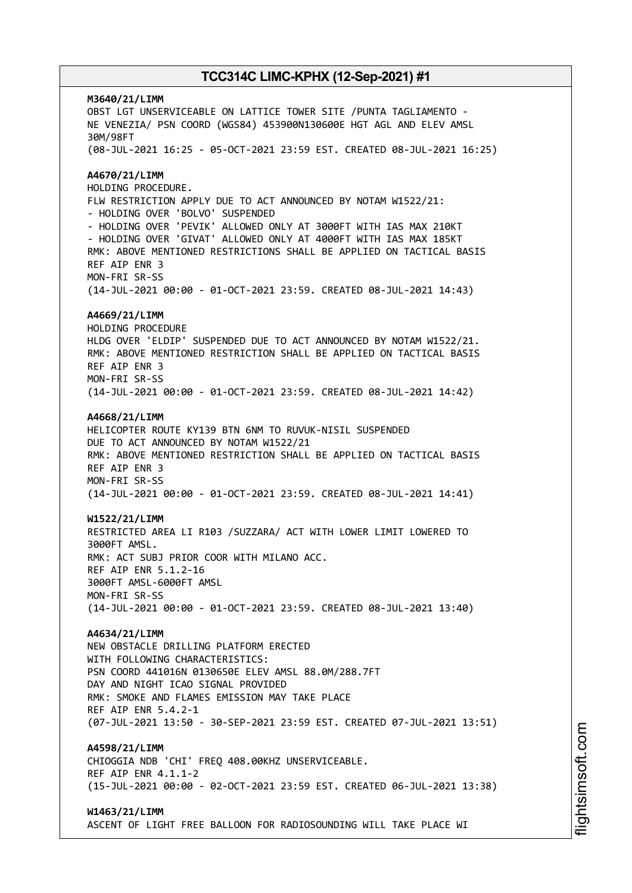**M3640/21/LIMM** OBST LGT UNSERVICEABLE ON LATTICE TOWER SITE /PUNTA TAGLIAMENTO - NE VENEZIA/ PSN COORD (WGS84) 453900N130600E HGT AGL AND ELEV AMSL 30M/98FT (08-JUL-2021 16:25 - 05-OCT-2021 23:59 EST. CREATED 08-JUL-2021 16:25) **A4670/21/LIMM** HOLDING PROCEDURE. FLW RESTRICTION APPLY DUE TO ACT ANNOUNCED BY NOTAM W1522/21: - HOLDING OVER 'BOLVO' SUSPENDED - HOLDING OVER 'PEVIK' ALLOWED ONLY AT 3000FT WITH IAS MAX 210KT - HOLDING OVER 'GIVAT' ALLOWED ONLY AT 4000FT WITH IAS MAX 185KT RMK: ABOVE MENTIONED RESTRICTIONS SHALL BE APPLIED ON TACTICAL BASIS REF AIP ENR 3 MON-FRI SR-SS (14-JUL-2021 00:00 - 01-OCT-2021 23:59. CREATED 08-JUL-2021 14:43) **A4669/21/LIMM** HOLDING PROCEDURE HLDG OVER 'ELDIP' SUSPENDED DUE TO ACT ANNOUNCED BY NOTAM W1522/21. RMK: ABOVE MENTIONED RESTRICTION SHALL BE APPLIED ON TACTICAL BASIS REF AIP ENR 3 MON-FRI SR-SS (14-JUL-2021 00:00 - 01-OCT-2021 23:59. CREATED 08-JUL-2021 14:42) **A4668/21/LIMM** HELICOPTER ROUTE KY139 BTN 6NM TO RUVUK-NISIL SUSPENDED DUE TO ACT ANNOUNCED BY NOTAM W1522/21 RMK: ABOVE MENTIONED RESTRICTION SHALL BE APPLIED ON TACTICAL BASIS REF AIP ENR 3 MON-FRI SR-SS (14-JUL-2021 00:00 - 01-OCT-2021 23:59. CREATED 08-JUL-2021 14:41) **W1522/21/LIMM** RESTRICTED AREA LI R103 /SUZZARA/ ACT WITH LOWER LIMIT LOWERED TO 3000FT AMSL. RMK: ACT SUBJ PRIOR COOR WITH MILANO ACC. REF AIP ENR 5.1.2-16 3000FT AMSL-6000FT AMSL MON-FRI SR-SS (14-JUL-2021 00:00 - 01-OCT-2021 23:59. CREATED 08-JUL-2021 13:40) **A4634/21/LIMM** NEW OBSTACLE DRILLING PLATFORM ERECTED WITH FOLLOWING CHARACTERISTICS: PSN COORD 441016N 0130650E ELEV AMSL 88.0M/288.7FT DAY AND NIGHT ICAO SIGNAL PROVIDED RMK: SMOKE AND FLAMES EMISSION MAY TAKE PLACE REF AIP ENR 5.4.2-1 (07-JUL-2021 13:50 - 30-SEP-2021 23:59 EST. CREATED 07-JUL-2021 13:51) **A4598/21/LIMM** CHIOGGIA NDB 'CHI' FREQ 408.00KHZ UNSERVICEABLE. REF AIP ENR 4.1.1-2 (15-JUL-2021 00:00 - 02-OCT-2021 23:59 EST. CREATED 06-JUL-2021 13:38) **W1463/21/LIMM** ASCENT OF LIGHT FREE BALLOON FOR RADIOSOUNDING WILL TAKE PLACE WI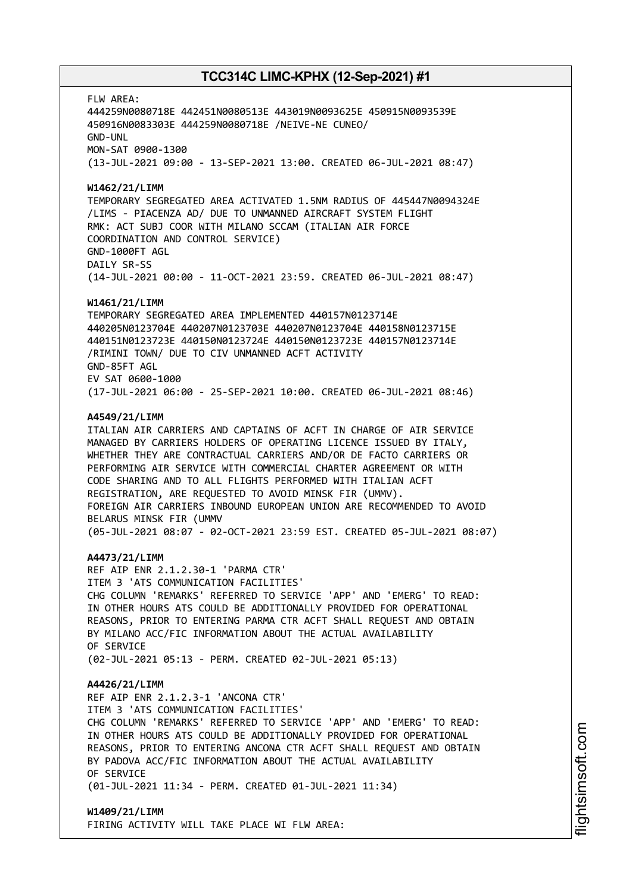FLW AREA:

444259N0080718E 442451N0080513E 443019N0093625E 450915N0093539E 450916N0083303E 444259N0080718E /NEIVE-NE CUNEO/ GND-UNL MON-SAT 0900-1300

(13-JUL-2021 09:00 - 13-SEP-2021 13:00. CREATED 06-JUL-2021 08:47)

### **W1462/21/LIMM**

TEMPORARY SEGREGATED AREA ACTIVATED 1.5NM RADIUS OF 445447N0094324E /LIMS - PIACENZA AD/ DUE TO UNMANNED AIRCRAFT SYSTEM FLIGHT RMK: ACT SUBJ COOR WITH MILANO SCCAM (ITALIAN AIR FORCE COORDINATION AND CONTROL SERVICE) GND-1000FT AGL DAILY SR-SS (14-JUL-2021 00:00 - 11-OCT-2021 23:59. CREATED 06-JUL-2021 08:47)

#### **W1461/21/LIMM**

TEMPORARY SEGREGATED AREA IMPLEMENTED 440157N0123714E 440205N0123704E 440207N0123703E 440207N0123704E 440158N0123715E 440151N0123723E 440150N0123724E 440150N0123723E 440157N0123714E /RIMINI TOWN/ DUE TO CIV UNMANNED ACFT ACTIVITY GND-85FT AGL EV SAT 0600-1000 (17-JUL-2021 06:00 - 25-SEP-2021 10:00. CREATED 06-JUL-2021 08:46)

#### **A4549/21/LIMM**

ITALIAN AIR CARRIERS AND CAPTAINS OF ACFT IN CHARGE OF AIR SERVICE MANAGED BY CARRIERS HOLDERS OF OPERATING LICENCE ISSUED BY ITALY, WHETHER THEY ARE CONTRACTUAL CARRIERS AND/OR DE FACTO CARRIERS OR PERFORMING AIR SERVICE WITH COMMERCIAL CHARTER AGREEMENT OR WITH CODE SHARING AND TO ALL FLIGHTS PERFORMED WITH ITALIAN ACFT REGISTRATION, ARE REQUESTED TO AVOID MINSK FIR (UMMV). FOREIGN AIR CARRIERS INBOUND EUROPEAN UNION ARE RECOMMENDED TO AVOID BELARUS MINSK FIR (UMMV (05-JUL-2021 08:07 - 02-OCT-2021 23:59 EST. CREATED 05-JUL-2021 08:07)

#### **A4473/21/LIMM**

REF AIP ENR 2.1.2.30-1 'PARMA CTR' ITEM 3 'ATS COMMUNICATION FACILITIES' CHG COLUMN 'REMARKS' REFERRED TO SERVICE 'APP' AND 'EMERG' TO READ: IN OTHER HOURS ATS COULD BE ADDITIONALLY PROVIDED FOR OPERATIONAL REASONS, PRIOR TO ENTERING PARMA CTR ACFT SHALL REQUEST AND OBTAIN BY MILANO ACC/FIC INFORMATION ABOUT THE ACTUAL AVAILABILITY OF SERVICE (02-JUL-2021 05:13 - PERM. CREATED 02-JUL-2021 05:13)

#### **A4426/21/LIMM**

REF AIP ENR 2.1.2.3-1 'ANCONA CTR' ITEM 3 'ATS COMMUNICATION FACILITIES' CHG COLUMN 'REMARKS' REFERRED TO SERVICE 'APP' AND 'EMERG' TO READ: IN OTHER HOURS ATS COULD BE ADDITIONALLY PROVIDED FOR OPERATIONAL REASONS, PRIOR TO ENTERING ANCONA CTR ACFT SHALL REQUEST AND OBTAIN BY PADOVA ACC/FIC INFORMATION ABOUT THE ACTUAL AVAILABILITY OF SERVICE (01-JUL-2021 11:34 - PERM. CREATED 01-JUL-2021 11:34)

**W1409/21/LIMM** FIRING ACTIVITY WILL TAKE PLACE WI FLW AREA: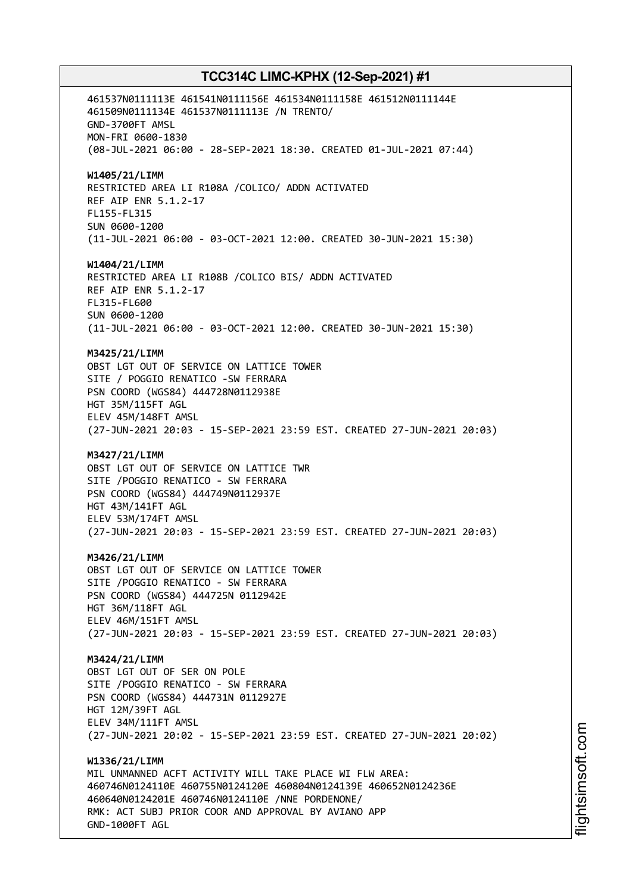461537N0111113E 461541N0111156E 461534N0111158E 461512N0111144E 461509N0111134E 461537N0111113E /N TRENTO/ GND-3700FT AMSL MON-FRI 0600-1830 (08-JUL-2021 06:00 - 28-SEP-2021 18:30. CREATED 01-JUL-2021 07:44) **W1405/21/LIMM** RESTRICTED AREA LI R108A /COLICO/ ADDN ACTIVATED REF AIP ENR 5.1.2-17 FL155-FL315 SUN 0600-1200 (11-JUL-2021 06:00 - 03-OCT-2021 12:00. CREATED 30-JUN-2021 15:30) **W1404/21/LIMM** RESTRICTED AREA LI R108B /COLICO BIS/ ADDN ACTIVATED REF AIP ENR 5.1.2-17 FL315-FL600 SUN 0600-1200 (11-JUL-2021 06:00 - 03-OCT-2021 12:00. CREATED 30-JUN-2021 15:30) **M3425/21/LIMM** OBST LGT OUT OF SERVICE ON LATTICE TOWER SITE / POGGIO RENATICO -SW FERRARA PSN COORD (WGS84) 444728N0112938E HGT 35M/115FT AGL ELEV 45M/148FT AMSL (27-JUN-2021 20:03 - 15-SEP-2021 23:59 EST. CREATED 27-JUN-2021 20:03) **M3427/21/LIMM** OBST LGT OUT OF SERVICE ON LATTICE TWR SITE /POGGIO RENATICO - SW FERRARA PSN COORD (WGS84) 444749N0112937E HGT 43M/141FT AGL ELEV 53M/174FT AMSL (27-JUN-2021 20:03 - 15-SEP-2021 23:59 EST. CREATED 27-JUN-2021 20:03) **M3426/21/LIMM** OBST LGT OUT OF SERVICE ON LATTICE TOWER SITE /POGGIO RENATICO - SW FERRARA PSN COORD (WGS84) 444725N 0112942E HGT 36M/118FT AGL ELEV 46M/151FT AMSL (27-JUN-2021 20:03 - 15-SEP-2021 23:59 EST. CREATED 27-JUN-2021 20:03) **M3424/21/LIMM** OBST LGT OUT OF SER ON POLE SITE /POGGIO RENATICO - SW FERRARA PSN COORD (WGS84) 444731N 0112927E HGT 12M/39FT AGL ELEV 34M/111FT AMSL (27-JUN-2021 20:02 - 15-SEP-2021 23:59 EST. CREATED 27-JUN-2021 20:02) **W1336/21/LIMM** MIL UNMANNED ACFT ACTIVITY WILL TAKE PLACE WI FLW AREA: 460746N0124110E 460755N0124120E 460804N0124139E 460652N0124236E 460640N0124201E 460746N0124110E /NNE PORDENONE/ RMK: ACT SUBJ PRIOR COOR AND APPROVAL BY AVIANO APP GND-1000FT AGL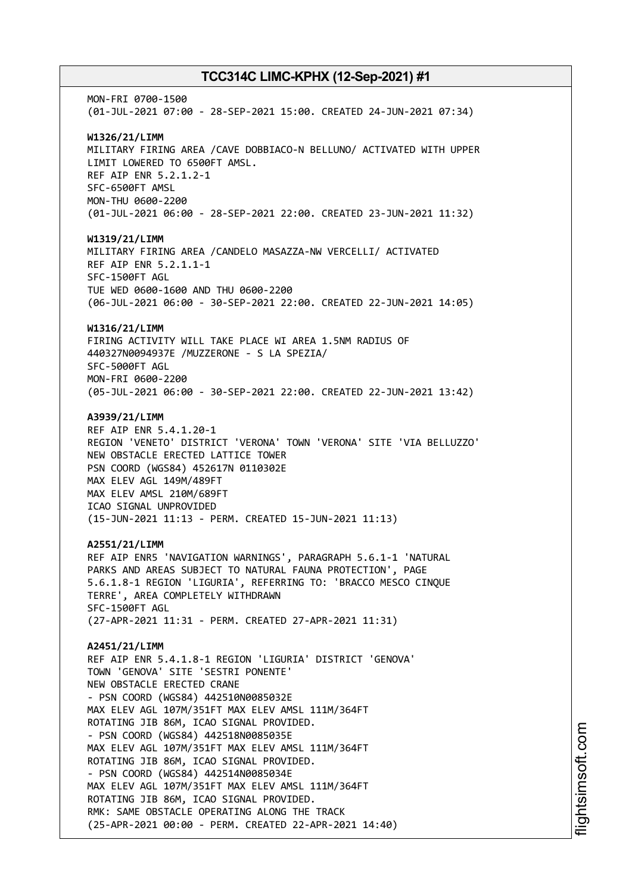MON-FRI 0700-1500 (01-JUL-2021 07:00 - 28-SEP-2021 15:00. CREATED 24-JUN-2021 07:34) **W1326/21/LIMM** MILITARY FIRING AREA /CAVE DOBBIACO-N BELLUNO/ ACTIVATED WITH UPPER LIMIT LOWERED TO 6500FT AMSL. REF AIP ENR 5.2.1.2-1 SFC-6500FT AMSL MON-THU 0600-2200 (01-JUL-2021 06:00 - 28-SEP-2021 22:00. CREATED 23-JUN-2021 11:32) **W1319/21/LIMM** MILITARY FIRING AREA /CANDELO MASAZZA-NW VERCELLI/ ACTIVATED REF AIP ENR 5.2.1.1-1 SFC-1500FT AGL TUE WED 0600-1600 AND THU 0600-2200 (06-JUL-2021 06:00 - 30-SEP-2021 22:00. CREATED 22-JUN-2021 14:05) **W1316/21/LIMM** FIRING ACTIVITY WILL TAKE PLACE WI AREA 1.5NM RADIUS OF 440327N0094937E /MUZZERONE - S LA SPEZIA/ SFC-5000FT AGL MON-FRI 0600-2200 (05-JUL-2021 06:00 - 30-SEP-2021 22:00. CREATED 22-JUN-2021 13:42) **A3939/21/LIMM** REF AIP ENR 5.4.1.20-1 REGION 'VENETO' DISTRICT 'VERONA' TOWN 'VERONA' SITE 'VIA BELLUZZO' NEW OBSTACLE ERECTED LATTICE TOWER PSN COORD (WGS84) 452617N 0110302E MAX ELEV AGL 149M/489FT MAX ELEV AMSL 210M/689FT ICAO SIGNAL UNPROVIDED (15-JUN-2021 11:13 - PERM. CREATED 15-JUN-2021 11:13) **A2551/21/LIMM** REF AIP ENR5 'NAVIGATION WARNINGS', PARAGRAPH 5.6.1-1 'NATURAL PARKS AND AREAS SUBJECT TO NATURAL FAUNA PROTECTION', PAGE 5.6.1.8-1 REGION 'LIGURIA', REFERRING TO: 'BRACCO MESCO CINQUE TERRE', AREA COMPLETELY WITHDRAWN SFC-1500FT AGL (27-APR-2021 11:31 - PERM. CREATED 27-APR-2021 11:31) **A2451/21/LIMM** REF AIP ENR 5.4.1.8-1 REGION 'LIGURIA' DISTRICT 'GENOVA' TOWN 'GENOVA' SITE 'SESTRI PONENTE' NEW OBSTACLE ERECTED CRANE - PSN COORD (WGS84) 442510N0085032E MAX ELEV AGL 107M/351FT MAX ELEV AMSL 111M/364FT ROTATING JIB 86M, ICAO SIGNAL PROVIDED. - PSN COORD (WGS84) 442518N0085035E MAX ELEV AGL 107M/351FT MAX ELEV AMSL 111M/364FT ROTATING JIB 86M, ICAO SIGNAL PROVIDED. - PSN COORD (WGS84) 442514N0085034E MAX ELEV AGL 107M/351FT MAX ELEV AMSL 111M/364FT ROTATING JIB 86M, ICAO SIGNAL PROVIDED. RMK: SAME OBSTACLE OPERATING ALONG THE TRACK (25-APR-2021 00:00 - PERM. CREATED 22-APR-2021 14:40)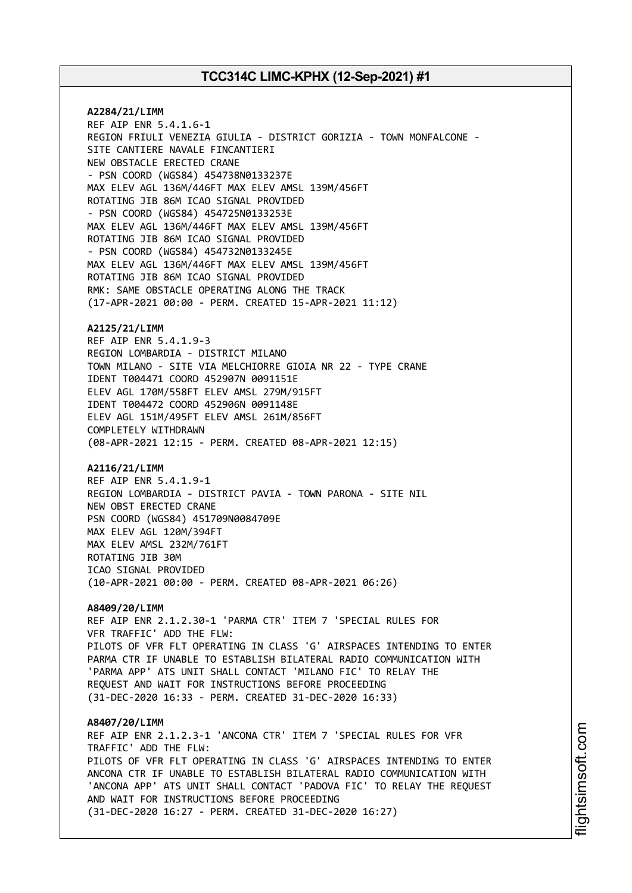**A2284/21/LIMM** REF AIP ENR 5.4.1.6-1 REGION FRIULI VENEZIA GIULIA - DISTRICT GORIZIA - TOWN MONFALCONE - SITE CANTIERE NAVALE FINCANTIERI NEW OBSTACLE ERECTED CRANE - PSN COORD (WGS84) 454738N0133237E MAX ELEV AGL 136M/446FT MAX ELEV AMSL 139M/456FT ROTATING JIB 86M ICAO SIGNAL PROVIDED - PSN COORD (WGS84) 454725N0133253E MAX ELEV AGL 136M/446FT MAX ELEV AMSL 139M/456FT ROTATING JIB 86M ICAO SIGNAL PROVIDED - PSN COORD (WGS84) 454732N0133245E MAX ELEV AGL 136M/446FT MAX ELEV AMSL 139M/456FT ROTATING JIB 86M ICAO SIGNAL PROVIDED RMK: SAME OBSTACLE OPERATING ALONG THE TRACK (17-APR-2021 00:00 - PERM. CREATED 15-APR-2021 11:12)

#### **A2125/21/LIMM**

REF AIP ENR 5.4.1.9-3 REGION LOMBARDIA - DISTRICT MILANO TOWN MILANO - SITE VIA MELCHIORRE GIOIA NR 22 - TYPE CRANE IDENT T004471 COORD 452907N 0091151E ELEV AGL 170M/558FT ELEV AMSL 279M/915FT IDENT T004472 COORD 452906N 0091148E ELEV AGL 151M/495FT ELEV AMSL 261M/856FT COMPLETELY WITHDRAWN (08-APR-2021 12:15 - PERM. CREATED 08-APR-2021 12:15)

#### **A2116/21/LIMM**

REF AIP ENR 5.4.1.9-1 REGION LOMBARDIA - DISTRICT PAVIA - TOWN PARONA - SITE NIL NEW OBST ERECTED CRANE PSN COORD (WGS84) 451709N0084709E MAX ELEV AGL 120M/394FT MAX ELEV AMSL 232M/761FT ROTATING JIB 30M ICAO SIGNAL PROVIDED (10-APR-2021 00:00 - PERM. CREATED 08-APR-2021 06:26)

### **A8409/20/LIMM**

REF AIP ENR 2.1.2.30-1 'PARMA CTR' ITEM 7 'SPECIAL RULES FOR VFR TRAFFIC' ADD THE FLW: PILOTS OF VFR FLT OPERATING IN CLASS 'G' AIRSPACES INTENDING TO ENTER PARMA CTR IF UNABLE TO ESTABLISH BILATERAL RADIO COMMUNICATION WITH 'PARMA APP' ATS UNIT SHALL CONTACT 'MILANO FIC' TO RELAY THE REQUEST AND WAIT FOR INSTRUCTIONS BEFORE PROCEEDING (31-DEC-2020 16:33 - PERM. CREATED 31-DEC-2020 16:33)

**A8407/20/LIMM** REF AIP ENR 2.1.2.3-1 'ANCONA CTR' ITEM 7 'SPECIAL RULES FOR VFR TRAFFIC' ADD THE FLW: PILOTS OF VFR FLT OPERATING IN CLASS 'G' AIRSPACES INTENDING TO ENTER ANCONA CTR IF UNABLE TO ESTABLISH BILATERAL RADIO COMMUNICATION WITH 'ANCONA APP' ATS UNIT SHALL CONTACT 'PADOVA FIC' TO RELAY THE REQUEST AND WAIT FOR INSTRUCTIONS BEFORE PROCEEDING (31-DEC-2020 16:27 - PERM. CREATED 31-DEC-2020 16:27)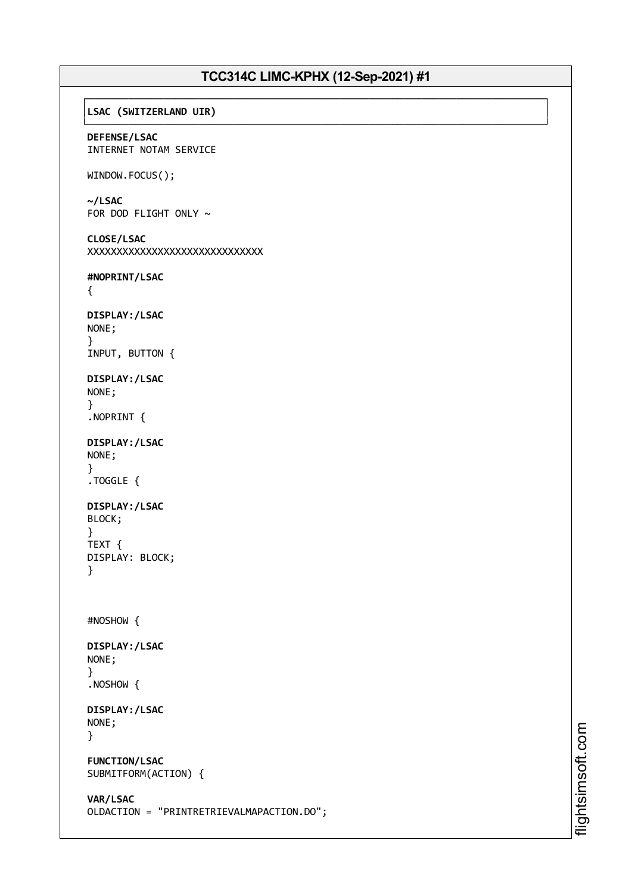### ┌──────────────────────────────────────────────────────────────────────────────┐ │**LSAC (SWITZERLAND UIR)** │

└──────────────────────────────────────────────────────────────────────────────┘ **DEFENSE/LSAC** INTERNET NOTAM SERVICE

## WINDOW.FOCUS();

**~/LSAC** FOR DOD FLIGHT ONLY  $\sim$ 

```
CLOSE/LSAC
XXXXXXXXXXXXXXXXXXXXXXXXXXXXXX
```
**#NOPRINT/LSAC**

```
{
```

```
DISPLAY:/LSAC
NONE;
}
INPUT, BUTTON {
```
**DISPLAY:/LSAC** NONE; }

```
.NOPRINT {
```

```
DISPLAY:/LSAC
NONE;
}
.TOGGLE {
```

```
DISPLAY:/LSAC
BLOCK;
```

```
}
TEXT {
DISPLAY: BLOCK;
}
```

```
#NOSHOW {
```

```
DISPLAY:/LSAC
NONE;
}
```

```
.NOSHOW {
```

```
DISPLAY:/LSAC
NONE;
}
```

```
FUNCTION/LSAC
SUBMITFORM(ACTION) {
```

```
VAR/LSAC
OLDACTION = "PRINTRETRIEVALMAPACTION.DO";
```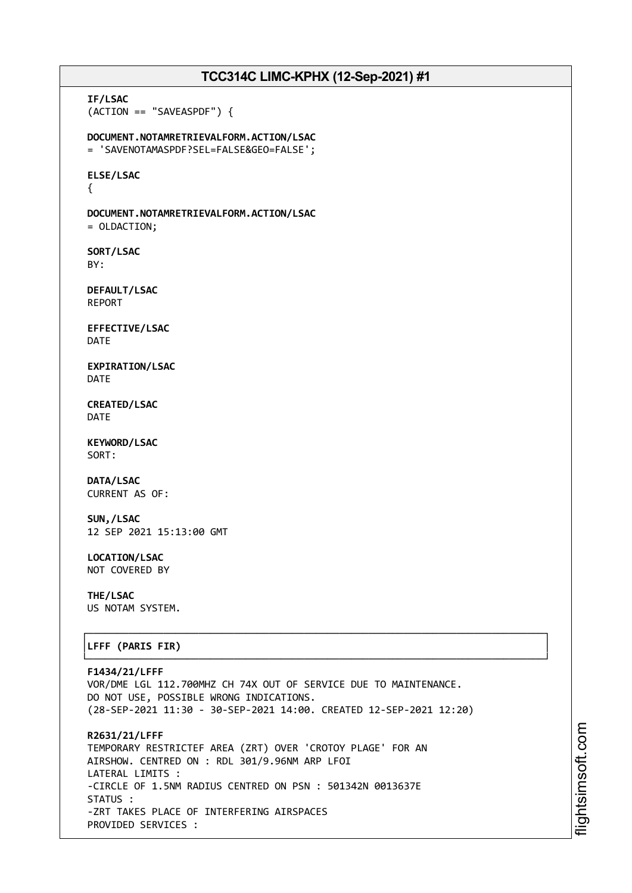**IF/LSAC** (ACTION == "SAVEASPDF") { **DOCUMENT.NOTAMRETRIEVALFORM.ACTION/LSAC** = 'SAVENOTAMASPDF?SEL=FALSE&GEO=FALSE'; **ELSE/LSAC** { **DOCUMENT.NOTAMRETRIEVALFORM.ACTION/LSAC** = OLDACTION; **SORT/LSAC** BY: **DEFAULT/LSAC** REPORT **EFFECTIVE/LSAC** DATE **EXPIRATION/LSAC** DATE **CREATED/LSAC** DATE **KEYWORD/LSAC** SORT: **DATA/LSAC** CURRENT AS OF: **SUN,/LSAC** 12 SEP 2021 15:13:00 GMT **LOCATION/LSAC** NOT COVERED BY **THE/LSAC** US NOTAM SYSTEM. ┌──────────────────────────────────────────────────────────────────────────────┐ │**LFFF (PARIS FIR)** │ └──────────────────────────────────────────────────────────────────────────────┘ **F1434/21/LFFF** VOR/DME LGL 112.700MHZ CH 74X OUT OF SERVICE DUE TO MAINTENANCE. DO NOT USE, POSSIBLE WRONG INDICATIONS. (28-SEP-2021 11:30 - 30-SEP-2021 14:00. CREATED 12-SEP-2021 12:20) **R2631/21/LFFF** TEMPORARY RESTRICTEF AREA (ZRT) OVER 'CROTOY PLAGE' FOR AN AIRSHOW. CENTRED ON : RDL 301/9.96NM ARP LFOI LATERAL LIMITS : -CIRCLE OF 1.5NM RADIUS CENTRED ON PSN : 501342N 0013637E STATUS :

-ZRT TAKES PLACE OF INTERFERING AIRSPACES

PROVIDED SERVICES :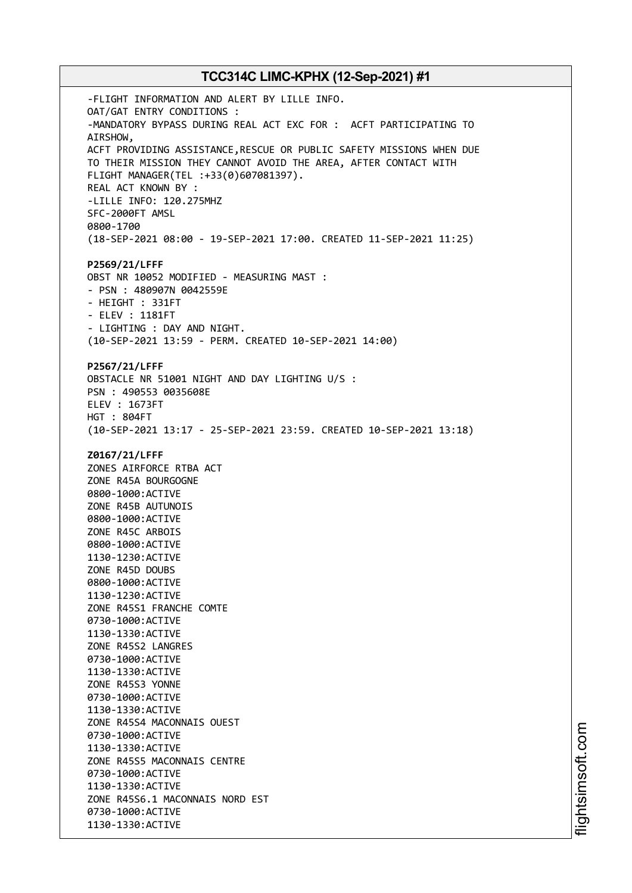-FLIGHT INFORMATION AND ALERT BY LILLE INFO. OAT/GAT ENTRY CONDITIONS : -MANDATORY BYPASS DURING REAL ACT EXC FOR : ACFT PARTICIPATING TO AIRSHOW, ACFT PROVIDING ASSISTANCE,RESCUE OR PUBLIC SAFETY MISSIONS WHEN DUE TO THEIR MISSION THEY CANNOT AVOID THE AREA, AFTER CONTACT WITH FLIGHT MANAGER(TEL :+33(0)607081397). REAL ACT KNOWN BY : -LILLE INFO: 120.275MHZ SFC-2000FT AMSL 0800-1700 (18-SEP-2021 08:00 - 19-SEP-2021 17:00. CREATED 11-SEP-2021 11:25) **P2569/21/LFFF** OBST NR 10052 MODIFIED - MEASURING MAST : - PSN : 480907N 0042559E - HEIGHT : 331FT - ELEV : 1181FT - LIGHTING : DAY AND NIGHT. (10-SEP-2021 13:59 - PERM. CREATED 10-SEP-2021 14:00) **P2567/21/LFFF** OBSTACLE NR 51001 NIGHT AND DAY LIGHTING U/S : PSN : 490553 0035608E ELEV : 1673FT HGT : 804FT (10-SEP-2021 13:17 - 25-SEP-2021 23:59. CREATED 10-SEP-2021 13:18) **Z0167/21/LFFF** ZONES AIRFORCE RTBA ACT ZONE R45A BOURGOGNE 0800-1000:ACTIVE ZONE R45B AUTUNOIS 0800-1000:ACTIVE ZONE R45C ARBOIS 0800-1000:ACTIVE 1130-1230:ACTIVE ZONE R45D DOUBS 0800-1000:ACTIVE 1130-1230:ACTIVE ZONE R45S1 FRANCHE COMTE 0730-1000:ACTIVE 1130-1330:ACTIVE ZONE R45S2 LANGRES 0730-1000:ACTIVE 1130-1330:ACTIVE ZONE R45S3 YONNE 0730-1000:ACTIVE 1130-1330:ACTIVE ZONE R45S4 MACONNAIS OUEST 0730-1000:ACTIVE 1130-1330:ACTIVE ZONE R45S5 MACONNAIS CENTRE 0730-1000:ACTIVE 1130-1330:ACTIVE ZONE R45S6.1 MACONNAIS NORD EST 0730-1000:ACTIVE 1130-1330:ACTIVE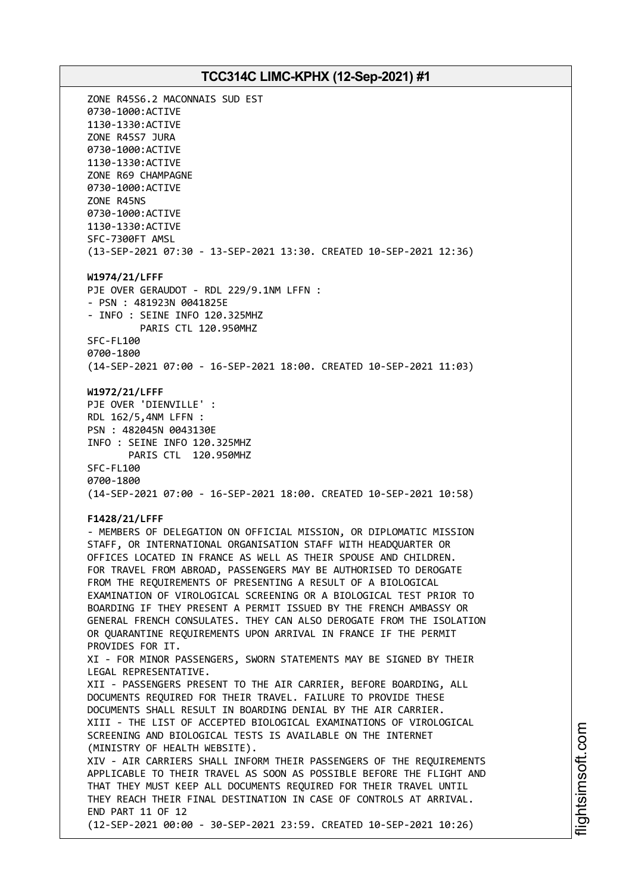ZONE R45S6.2 MACONNAIS SUD EST 0730-1000:ACTIVE 1130-1330:ACTIVE ZONE R45S7 JURA 0730-1000:ACTIVE 1130-1330:ACTIVE ZONE R69 CHAMPAGNE 0730-1000:ACTIVE ZONE R45NS 0730-1000:ACTIVE 1130-1330:ACTIVE SFC-7300FT AMSL (13-SEP-2021 07:30 - 13-SEP-2021 13:30. CREATED 10-SEP-2021 12:36) **W1974/21/LFFF** PJE OVER GERAUDOT - RDL 229/9.1NM LFFN : - PSN : 481923N 0041825E - INFO : SEINE INFO 120.325MHZ PARIS CTL 120.950MHZ SFC-FL100 0700-1800 (14-SEP-2021 07:00 - 16-SEP-2021 18:00. CREATED 10-SEP-2021 11:03) **W1972/21/LFFF** PJE OVER 'DIENVILLE' : RDL 162/5,4NM LFFN : PSN : 482045N 0043130E INFO : SEINE INFO 120.325MHZ PARIS CTL 120.950MHZ SFC-FL100 0700-1800 (14-SEP-2021 07:00 - 16-SEP-2021 18:00. CREATED 10-SEP-2021 10:58) **F1428/21/LFFF** - MEMBERS OF DELEGATION ON OFFICIAL MISSION, OR DIPLOMATIC MISSION STAFF, OR INTERNATIONAL ORGANISATION STAFF WITH HEADQUARTER OR OFFICES LOCATED IN FRANCE AS WELL AS THEIR SPOUSE AND CHILDREN. FOR TRAVEL FROM ABROAD, PASSENGERS MAY BE AUTHORISED TO DEROGATE FROM THE REQUIREMENTS OF PRESENTING A RESULT OF A BIOLOGICAL EXAMINATION OF VIROLOGICAL SCREENING OR A BIOLOGICAL TEST PRIOR TO BOARDING IF THEY PRESENT A PERMIT ISSUED BY THE FRENCH AMBASSY OR GENERAL FRENCH CONSULATES. THEY CAN ALSO DEROGATE FROM THE ISOLATION OR QUARANTINE REQUIREMENTS UPON ARRIVAL IN FRANCE IF THE PERMIT PROVIDES FOR IT. XI - FOR MINOR PASSENGERS, SWORN STATEMENTS MAY BE SIGNED BY THEIR LEGAL REPRESENTATIVE. XII - PASSENGERS PRESENT TO THE AIR CARRIER, BEFORE BOARDING, ALL DOCUMENTS REQUIRED FOR THEIR TRAVEL. FAILURE TO PROVIDE THESE DOCUMENTS SHALL RESULT IN BOARDING DENIAL BY THE AIR CARRIER. XIII - THE LIST OF ACCEPTED BIOLOGICAL EXAMINATIONS OF VIROLOGICAL SCREENING AND BIOLOGICAL TESTS IS AVAILABLE ON THE INTERNET (MINISTRY OF HEALTH WEBSITE). XIV - AIR CARRIERS SHALL INFORM THEIR PASSENGERS OF THE REQUIREMENTS APPLICABLE TO THEIR TRAVEL AS SOON AS POSSIBLE BEFORE THE FLIGHT AND THAT THEY MUST KEEP ALL DOCUMENTS REQUIRED FOR THEIR TRAVEL UNTIL THEY REACH THEIR FINAL DESTINATION IN CASE OF CONTROLS AT ARRIVAL. END PART 11 OF 12 (12-SEP-2021 00:00 - 30-SEP-2021 23:59. CREATED 10-SEP-2021 10:26)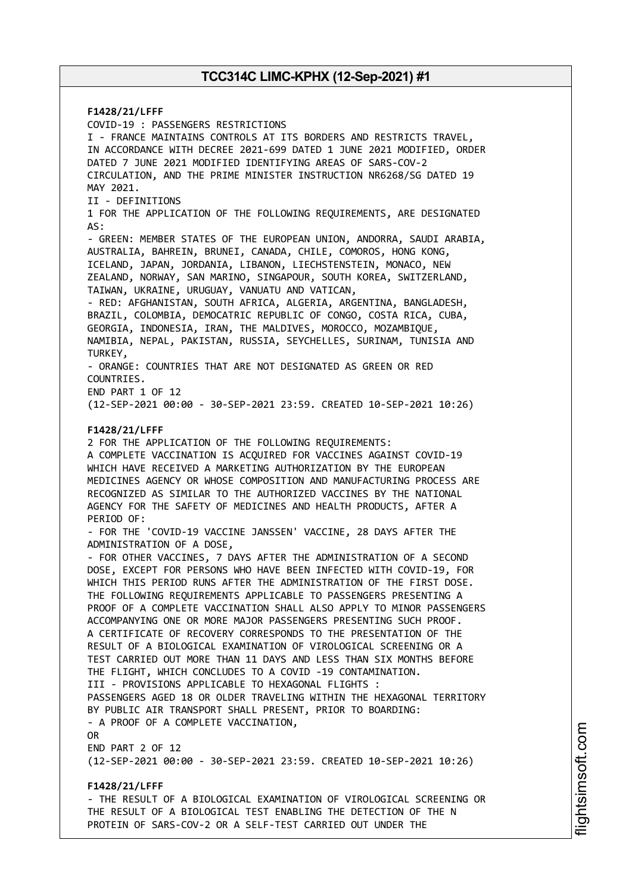**F1428/21/LFFF** COVID-19 : PASSENGERS RESTRICTIONS I - FRANCE MAINTAINS CONTROLS AT ITS BORDERS AND RESTRICTS TRAVEL, IN ACCORDANCE WITH DECREE 2021-699 DATED 1 JUNE 2021 MODIFIED, ORDER DATED 7 JUNE 2021 MODIFIED IDENTIFYING AREAS OF SARS-COV-2 CIRCULATION, AND THE PRIME MINISTER INSTRUCTION NR6268/SG DATED 19 MAY 2021. II - DEFINITIONS 1 FOR THE APPLICATION OF THE FOLLOWING REQUIREMENTS, ARE DESIGNATED AS: - GREEN: MEMBER STATES OF THE EUROPEAN UNION, ANDORRA, SAUDI ARABIA, AUSTRALIA, BAHREIN, BRUNEI, CANADA, CHILE, COMOROS, HONG KONG, ICELAND, JAPAN, JORDANIA, LIBANON, LIECHSTENSTEIN, MONACO, NEW ZEALAND, NORWAY, SAN MARINO, SINGAPOUR, SOUTH KOREA, SWITZERLAND, TAIWAN, UKRAINE, URUGUAY, VANUATU AND VATICAN, - RED: AFGHANISTAN, SOUTH AFRICA, ALGERIA, ARGENTINA, BANGLADESH, BRAZIL, COLOMBIA, DEMOCATRIC REPUBLIC OF CONGO, COSTA RICA, CUBA, GEORGIA, INDONESIA, IRAN, THE MALDIVES, MOROCCO, MOZAMBIQUE, NAMIBIA, NEPAL, PAKISTAN, RUSSIA, SEYCHELLES, SURINAM, TUNISIA AND TURKEY, - ORANGE: COUNTRIES THAT ARE NOT DESIGNATED AS GREEN OR RED COUNTRIES. END PART 1 OF 12 (12-SEP-2021 00:00 - 30-SEP-2021 23:59. CREATED 10-SEP-2021 10:26) **F1428/21/LFFF** 2 FOR THE APPLICATION OF THE FOLLOWING REQUIREMENTS: A COMPLETE VACCINATION IS ACQUIRED FOR VACCINES AGAINST COVID-19 WHICH HAVE RECEIVED A MARKETING AUTHORIZATION BY THE EUROPEAN MEDICINES AGENCY OR WHOSE COMPOSITION AND MANUFACTURING PROCESS ARE RECOGNIZED AS SIMILAR TO THE AUTHORIZED VACCINES BY THE NATIONAL AGENCY FOR THE SAFETY OF MEDICINES AND HEALTH PRODUCTS, AFTER A PERIOD OF: - FOR THE 'COVID-19 VACCINE JANSSEN' VACCINE, 28 DAYS AFTER THE ADMINISTRATION OF A DOSE, - FOR OTHER VACCINES, 7 DAYS AFTER THE ADMINISTRATION OF A SECOND DOSE, EXCEPT FOR PERSONS WHO HAVE BEEN INFECTED WITH COVID-19, FOR WHICH THIS PERIOD RUNS AFTER THE ADMINISTRATION OF THE FIRST DOSE. THE FOLLOWING REQUIREMENTS APPLICABLE TO PASSENGERS PRESENTING A PROOF OF A COMPLETE VACCINATION SHALL ALSO APPLY TO MINOR PASSENGERS ACCOMPANYING ONE OR MORE MAJOR PASSENGERS PRESENTING SUCH PROOF. A CERTIFICATE OF RECOVERY CORRESPONDS TO THE PRESENTATION OF THE RESULT OF A BIOLOGICAL EXAMINATION OF VIROLOGICAL SCREENING OR A TEST CARRIED OUT MORE THAN 11 DAYS AND LESS THAN SIX MONTHS BEFORE THE FLIGHT, WHICH CONCLUDES TO A COVID -19 CONTAMINATION. III - PROVISIONS APPLICABLE TO HEXAGONAL FLIGHTS : PASSENGERS AGED 18 OR OLDER TRAVELING WITHIN THE HEXAGONAL TERRITORY BY PUBLIC AIR TRANSPORT SHALL PRESENT, PRIOR TO BOARDING: - A PROOF OF A COMPLETE VACCINATION, OR END PART 2 OF 12 (12-SEP-2021 00:00 - 30-SEP-2021 23:59. CREATED 10-SEP-2021 10:26) **F1428/21/LFFF** - THE RESULT OF A BIOLOGICAL EXAMINATION OF VIROLOGICAL SCREENING OR THE RESULT OF A BIOLOGICAL TEST ENABLING THE DETECTION OF THE N

PROTEIN OF SARS-COV-2 OR A SELF-TEST CARRIED OUT UNDER THE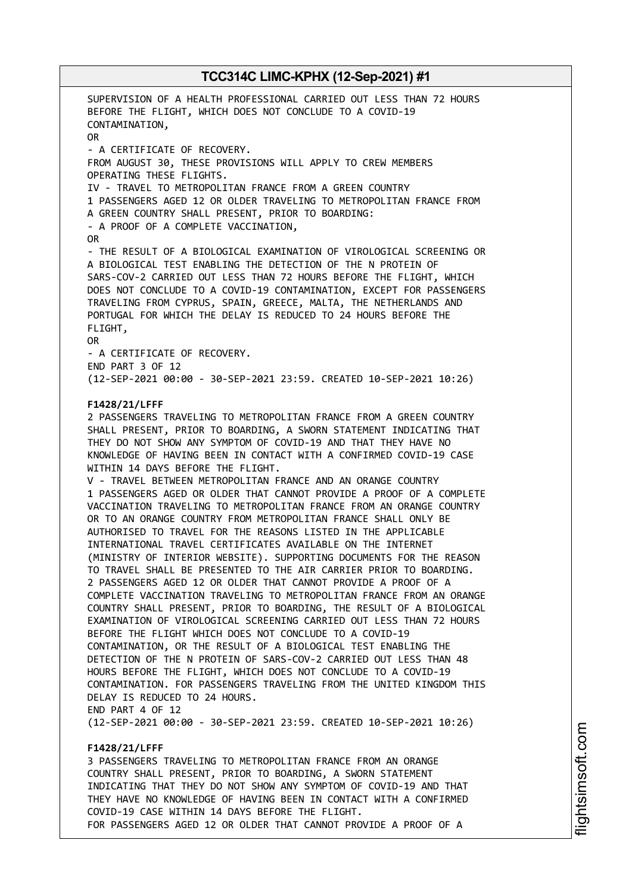SUPERVISION OF A HEALTH PROFESSIONAL CARRIED OUT LESS THAN 72 HOURS BEFORE THE FLIGHT, WHICH DOES NOT CONCLUDE TO A COVID-19 CONTAMINATION, OR - A CERTIFICATE OF RECOVERY. FROM AUGUST 30, THESE PROVISIONS WILL APPLY TO CREW MEMBERS OPERATING THESE FLIGHTS. IV - TRAVEL TO METROPOLITAN FRANCE FROM A GREEN COUNTRY 1 PASSENGERS AGED 12 OR OLDER TRAVELING TO METROPOLITAN FRANCE FROM A GREEN COUNTRY SHALL PRESENT, PRIOR TO BOARDING: - A PROOF OF A COMPLETE VACCINATION, OR - THE RESULT OF A BIOLOGICAL EXAMINATION OF VIROLOGICAL SCREENING OR A BIOLOGICAL TEST ENABLING THE DETECTION OF THE N PROTEIN OF SARS-COV-2 CARRIED OUT LESS THAN 72 HOURS BEFORE THE FLIGHT, WHICH DOES NOT CONCLUDE TO A COVID-19 CONTAMINATION, EXCEPT FOR PASSENGERS TRAVELING FROM CYPRUS, SPAIN, GREECE, MALTA, THE NETHERLANDS AND PORTUGAL FOR WHICH THE DELAY IS REDUCED TO 24 HOURS BEFORE THE FLIGHT, OR - A CERTIFICATE OF RECOVERY. END PART 3 OF 12 (12-SEP-2021 00:00 - 30-SEP-2021 23:59. CREATED 10-SEP-2021 10:26) **F1428/21/LFFF** 2 PASSENGERS TRAVELING TO METROPOLITAN FRANCE FROM A GREEN COUNTRY SHALL PRESENT, PRIOR TO BOARDING, A SWORN STATEMENT INDICATING THAT THEY DO NOT SHOW ANY SYMPTOM OF COVID-19 AND THAT THEY HAVE NO KNOWLEDGE OF HAVING BEEN IN CONTACT WITH A CONFIRMED COVID-19 CASE WITHIN 14 DAYS BEFORE THE FLIGHT. V - TRAVEL BETWEEN METROPOLITAN FRANCE AND AN ORANGE COUNTRY 1 PASSENGERS AGED OR OLDER THAT CANNOT PROVIDE A PROOF OF A COMPLETE VACCINATION TRAVELING TO METROPOLITAN FRANCE FROM AN ORANGE COUNTRY OR TO AN ORANGE COUNTRY FROM METROPOLITAN FRANCE SHALL ONLY BE AUTHORISED TO TRAVEL FOR THE REASONS LISTED IN THE APPLICABLE INTERNATIONAL TRAVEL CERTIFICATES AVAILABLE ON THE INTERNET (MINISTRY OF INTERIOR WEBSITE). SUPPORTING DOCUMENTS FOR THE REASON TO TRAVEL SHALL BE PRESENTED TO THE AIR CARRIER PRIOR TO BOARDING. 2 PASSENGERS AGED 12 OR OLDER THAT CANNOT PROVIDE A PROOF OF A COMPLETE VACCINATION TRAVELING TO METROPOLITAN FRANCE FROM AN ORANGE COUNTRY SHALL PRESENT, PRIOR TO BOARDING, THE RESULT OF A BIOLOGICAL EXAMINATION OF VIROLOGICAL SCREENING CARRIED OUT LESS THAN 72 HOURS BEFORE THE FLIGHT WHICH DOES NOT CONCLUDE TO A COVID-19 CONTAMINATION, OR THE RESULT OF A BIOLOGICAL TEST ENABLING THE DETECTION OF THE N PROTEIN OF SARS-COV-2 CARRIED OUT LESS THAN 48 HOURS BEFORE THE FLIGHT, WHICH DOES NOT CONCLUDE TO A COVID-19 CONTAMINATION. FOR PASSENGERS TRAVELING FROM THE UNITED KINGDOM THIS DELAY IS REDUCED TO 24 HOURS. END PART 4 OF 12 (12-SEP-2021 00:00 - 30-SEP-2021 23:59. CREATED 10-SEP-2021 10:26) **F1428/21/LFFF**

3 PASSENGERS TRAVELING TO METROPOLITAN FRANCE FROM AN ORANGE COUNTRY SHALL PRESENT, PRIOR TO BOARDING, A SWORN STATEMENT INDICATING THAT THEY DO NOT SHOW ANY SYMPTOM OF COVID-19 AND THAT THEY HAVE NO KNOWLEDGE OF HAVING BEEN IN CONTACT WITH A CONFIRMED COVID-19 CASE WITHIN 14 DAYS BEFORE THE FLIGHT. FOR PASSENGERS AGED 12 OR OLDER THAT CANNOT PROVIDE A PROOF OF A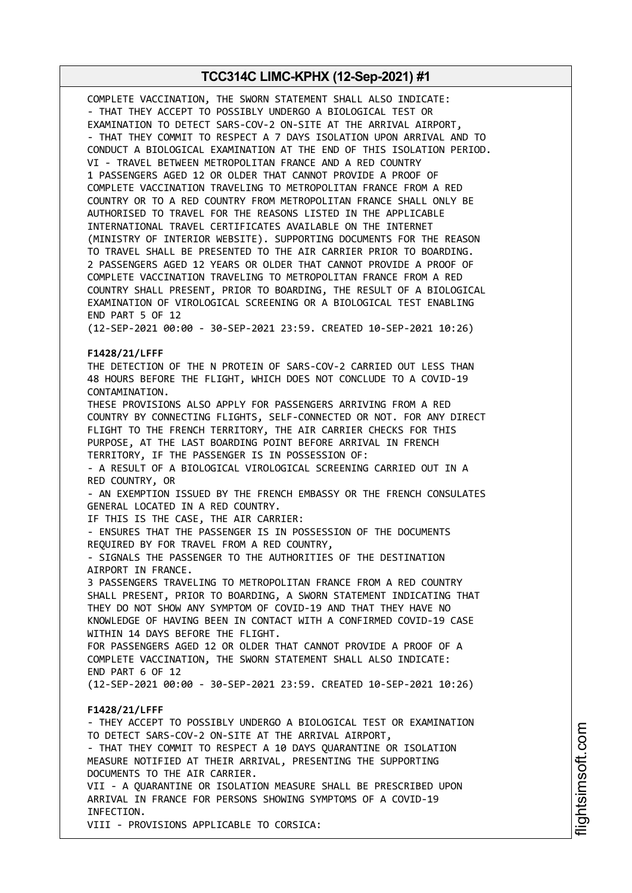COMPLETE VACCINATION, THE SWORN STATEMENT SHALL ALSO INDICATE: - THAT THEY ACCEPT TO POSSIBLY UNDERGO A BIOLOGICAL TEST OR EXAMINATION TO DETECT SARS-COV-2 ON-SITE AT THE ARRIVAL AIRPORT, - THAT THEY COMMIT TO RESPECT A 7 DAYS ISOLATION UPON ARRIVAL AND TO CONDUCT A BIOLOGICAL EXAMINATION AT THE END OF THIS ISOLATION PERIOD. VI - TRAVEL BETWEEN METROPOLITAN FRANCE AND A RED COUNTRY 1 PASSENGERS AGED 12 OR OLDER THAT CANNOT PROVIDE A PROOF OF COMPLETE VACCINATION TRAVELING TO METROPOLITAN FRANCE FROM A RED COUNTRY OR TO A RED COUNTRY FROM METROPOLITAN FRANCE SHALL ONLY BE AUTHORISED TO TRAVEL FOR THE REASONS LISTED IN THE APPLICABLE INTERNATIONAL TRAVEL CERTIFICATES AVAILABLE ON THE INTERNET (MINISTRY OF INTERIOR WEBSITE). SUPPORTING DOCUMENTS FOR THE REASON TO TRAVEL SHALL BE PRESENTED TO THE AIR CARRIER PRIOR TO BOARDING. 2 PASSENGERS AGED 12 YEARS OR OLDER THAT CANNOT PROVIDE A PROOF OF COMPLETE VACCINATION TRAVELING TO METROPOLITAN FRANCE FROM A RED COUNTRY SHALL PRESENT, PRIOR TO BOARDING, THE RESULT OF A BIOLOGICAL EXAMINATION OF VIROLOGICAL SCREENING OR A BIOLOGICAL TEST ENABLING END PART 5 OF 12

(12-SEP-2021 00:00 - 30-SEP-2021 23:59. CREATED 10-SEP-2021 10:26)

### **F1428/21/LFFF**

THE DETECTION OF THE N PROTEIN OF SARS-COV-2 CARRIED OUT LESS THAN 48 HOURS BEFORE THE FLIGHT, WHICH DOES NOT CONCLUDE TO A COVID-19 CONTAMINATION.

THESE PROVISIONS ALSO APPLY FOR PASSENGERS ARRIVING FROM A RED COUNTRY BY CONNECTING FLIGHTS, SELF-CONNECTED OR NOT. FOR ANY DIRECT FLIGHT TO THE FRENCH TERRITORY, THE AIR CARRIER CHECKS FOR THIS PURPOSE, AT THE LAST BOARDING POINT BEFORE ARRIVAL IN FRENCH TERRITORY, IF THE PASSENGER IS IN POSSESSION OF:

- A RESULT OF A BIOLOGICAL VIROLOGICAL SCREENING CARRIED OUT IN A RED COUNTRY, OR

- AN EXEMPTION ISSUED BY THE FRENCH EMBASSY OR THE FRENCH CONSULATES GENERAL LOCATED IN A RED COUNTRY.

IF THIS IS THE CASE, THE AIR CARRIER:

- ENSURES THAT THE PASSENGER IS IN POSSESSION OF THE DOCUMENTS REQUIRED BY FOR TRAVEL FROM A RED COUNTRY,

- SIGNALS THE PASSENGER TO THE AUTHORITIES OF THE DESTINATION AIRPORT IN FRANCE.

3 PASSENGERS TRAVELING TO METROPOLITAN FRANCE FROM A RED COUNTRY SHALL PRESENT, PRIOR TO BOARDING, A SWORN STATEMENT INDICATING THAT THEY DO NOT SHOW ANY SYMPTOM OF COVID-19 AND THAT THEY HAVE NO KNOWLEDGE OF HAVING BEEN IN CONTACT WITH A CONFIRMED COVID-19 CASE WITHIN 14 DAYS BEFORE THE FLIGHT. FOR PASSENGERS AGED 12 OR OLDER THAT CANNOT PROVIDE A PROOF OF A COMPLETE VACCINATION, THE SWORN STATEMENT SHALL ALSO INDICATE:

END PART 6 OF 12

(12-SEP-2021 00:00 - 30-SEP-2021 23:59. CREATED 10-SEP-2021 10:26)

### **F1428/21/LFFF**

- THEY ACCEPT TO POSSIBLY UNDERGO A BIOLOGICAL TEST OR EXAMINATION TO DETECT SARS-COV-2 ON-SITE AT THE ARRIVAL AIRPORT, - THAT THEY COMMIT TO RESPECT A 10 DAYS QUARANTINE OR ISOLATION MEASURE NOTIFIED AT THEIR ARRIVAL, PRESENTING THE SUPPORTING DOCUMENTS TO THE AIR CARRIER. VII - A QUARANTINE OR ISOLATION MEASURE SHALL BE PRESCRIBED UPON ARRIVAL IN FRANCE FOR PERSONS SHOWING SYMPTOMS OF A COVID-19 INFECTION. VIII - PROVISIONS APPLICABLE TO CORSICA: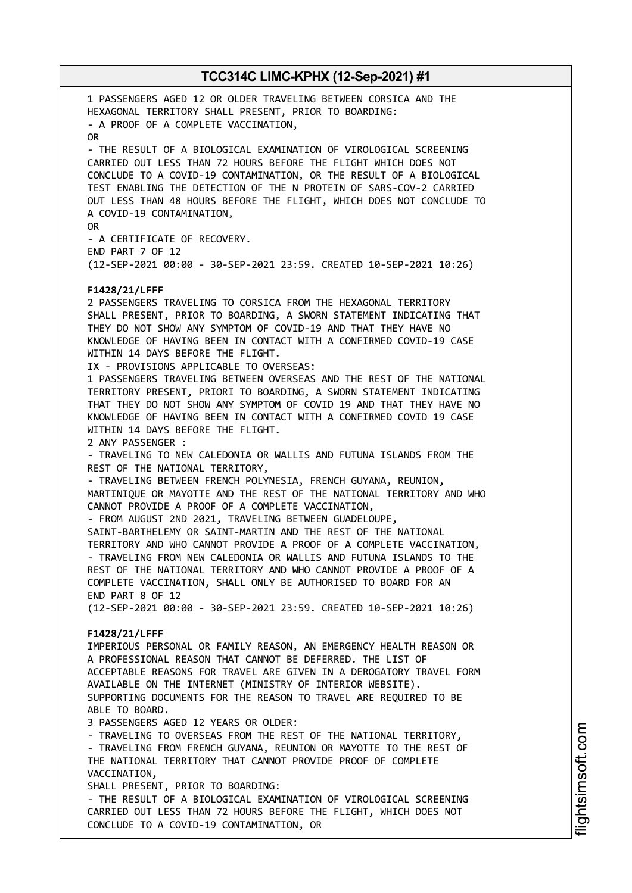1 PASSENGERS AGED 12 OR OLDER TRAVELING BETWEEN CORSICA AND THE HEXAGONAL TERRITORY SHALL PRESENT, PRIOR TO BOARDING: - A PROOF OF A COMPLETE VACCINATION, OR - THE RESULT OF A BIOLOGICAL EXAMINATION OF VIROLOGICAL SCREENING CARRIED OUT LESS THAN 72 HOURS BEFORE THE FLIGHT WHICH DOES NOT CONCLUDE TO A COVID-19 CONTAMINATION, OR THE RESULT OF A BIOLOGICAL TEST ENABLING THE DETECTION OF THE N PROTEIN OF SARS-COV-2 CARRIED OUT LESS THAN 48 HOURS BEFORE THE FLIGHT, WHICH DOES NOT CONCLUDE TO A COVID-19 CONTAMINATION, OR - A CERTIFICATE OF RECOVERY. END PART 7 OF 12 (12-SEP-2021 00:00 - 30-SEP-2021 23:59. CREATED 10-SEP-2021 10:26) **F1428/21/LFFF** 2 PASSENGERS TRAVELING TO CORSICA FROM THE HEXAGONAL TERRITORY SHALL PRESENT, PRIOR TO BOARDING, A SWORN STATEMENT INDICATING THAT THEY DO NOT SHOW ANY SYMPTOM OF COVID-19 AND THAT THEY HAVE NO KNOWLEDGE OF HAVING BEEN IN CONTACT WITH A CONFIRMED COVID-19 CASE WITHIN 14 DAYS BEFORE THE FLIGHT. IX - PROVISIONS APPLICABLE TO OVERSEAS: 1 PASSENGERS TRAVELING BETWEEN OVERSEAS AND THE REST OF THE NATIONAL TERRITORY PRESENT, PRIORI TO BOARDING, A SWORN STATEMENT INDICATING THAT THEY DO NOT SHOW ANY SYMPTOM OF COVID 19 AND THAT THEY HAVE NO KNOWLEDGE OF HAVING BEEN IN CONTACT WITH A CONFIRMED COVID 19 CASE WITHIN 14 DAYS BEFORE THE FLIGHT. 2 ANY PASSENGER : - TRAVELING TO NEW CALEDONIA OR WALLIS AND FUTUNA ISLANDS FROM THE REST OF THE NATIONAL TERRITORY, - TRAVELING BETWEEN FRENCH POLYNESIA, FRENCH GUYANA, REUNION, MARTINIQUE OR MAYOTTE AND THE REST OF THE NATIONAL TERRITORY AND WHO CANNOT PROVIDE A PROOF OF A COMPLETE VACCINATION, - FROM AUGUST 2ND 2021, TRAVELING BETWEEN GUADELOUPE, SAINT-BARTHELEMY OR SAINT-MARTIN AND THE REST OF THE NATIONAL TERRITORY AND WHO CANNOT PROVIDE A PROOF OF A COMPLETE VACCINATION, - TRAVELING FROM NEW CALEDONIA OR WALLIS AND FUTUNA ISLANDS TO THE REST OF THE NATIONAL TERRITORY AND WHO CANNOT PROVIDE A PROOF OF A COMPLETE VACCINATION, SHALL ONLY BE AUTHORISED TO BOARD FOR AN END PART 8 OF 12 (12-SEP-2021 00:00 - 30-SEP-2021 23:59. CREATED 10-SEP-2021 10:26) **F1428/21/LFFF** IMPERIOUS PERSONAL OR FAMILY REASON, AN EMERGENCY HEALTH REASON OR A PROFESSIONAL REASON THAT CANNOT BE DEFERRED. THE LIST OF ACCEPTABLE REASONS FOR TRAVEL ARE GIVEN IN A DEROGATORY TRAVEL FORM AVAILABLE ON THE INTERNET (MINISTRY OF INTERIOR WEBSITE). SUPPORTING DOCUMENTS FOR THE REASON TO TRAVEL ARE REQUIRED TO BE ABLE TO BOARD. 3 PASSENGERS AGED 12 YEARS OR OLDER: - TRAVELING TO OVERSEAS FROM THE REST OF THE NATIONAL TERRITORY, - TRAVELING FROM FRENCH GUYANA, REUNION OR MAYOTTE TO THE REST OF THE NATIONAL TERRITORY THAT CANNOT PROVIDE PROOF OF COMPLETE VACCINATION, SHALL PRESENT, PRIOR TO BOARDING: - THE RESULT OF A BIOLOGICAL EXAMINATION OF VIROLOGICAL SCREENING CARRIED OUT LESS THAN 72 HOURS BEFORE THE FLIGHT, WHICH DOES NOT CONCLUDE TO A COVID-19 CONTAMINATION, OR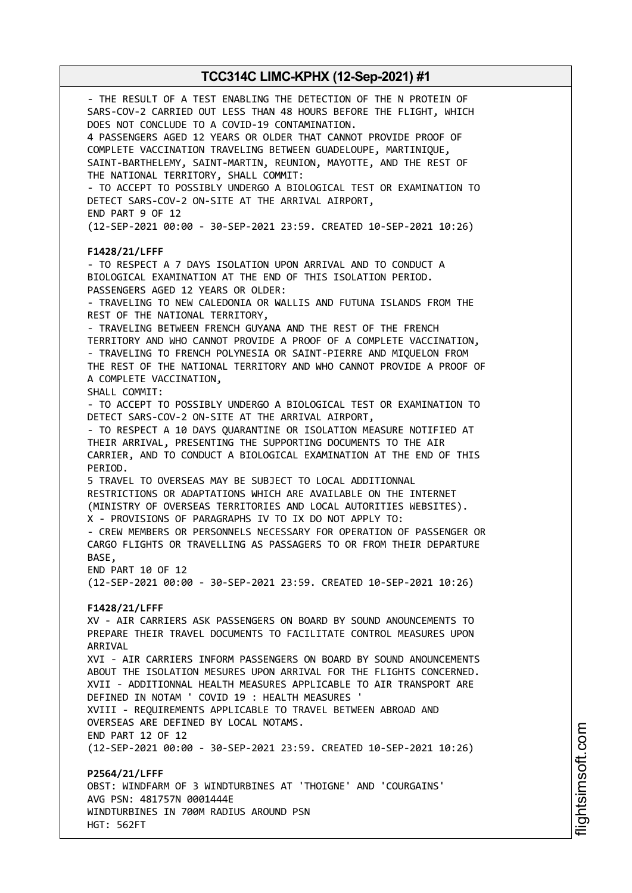- THE RESULT OF A TEST ENABLING THE DETECTION OF THE N PROTEIN OF SARS-COV-2 CARRIED OUT LESS THAN 48 HOURS BEFORE THE FLIGHT, WHICH DOES NOT CONCLUDE TO A COVID-19 CONTAMINATION. 4 PASSENGERS AGED 12 YEARS OR OLDER THAT CANNOT PROVIDE PROOF OF COMPLETE VACCINATION TRAVELING BETWEEN GUADELOUPE, MARTINIQUE, SAINT-BARTHELEMY, SAINT-MARTIN, REUNION, MAYOTTE, AND THE REST OF THE NATIONAL TERRITORY, SHALL COMMIT: - TO ACCEPT TO POSSIBLY UNDERGO A BIOLOGICAL TEST OR EXAMINATION TO DETECT SARS-COV-2 ON-SITE AT THE ARRIVAL AIRPORT, END PART 9 OF 12 (12-SEP-2021 00:00 - 30-SEP-2021 23:59. CREATED 10-SEP-2021 10:26) **F1428/21/LFFF** - TO RESPECT A 7 DAYS ISOLATION UPON ARRIVAL AND TO CONDUCT A BIOLOGICAL EXAMINATION AT THE END OF THIS ISOLATION PERIOD. PASSENGERS AGED 12 YEARS OR OLDER: - TRAVELING TO NEW CALEDONIA OR WALLIS AND FUTUNA ISLANDS FROM THE REST OF THE NATIONAL TERRITORY, - TRAVELING BETWEEN FRENCH GUYANA AND THE REST OF THE FRENCH TERRITORY AND WHO CANNOT PROVIDE A PROOF OF A COMPLETE VACCINATION, - TRAVELING TO FRENCH POLYNESIA OR SAINT-PIERRE AND MIQUELON FROM THE REST OF THE NATIONAL TERRITORY AND WHO CANNOT PROVIDE A PROOF OF A COMPLETE VACCINATION, SHALL COMMIT: - TO ACCEPT TO POSSIBLY UNDERGO A BIOLOGICAL TEST OR EXAMINATION TO DETECT SARS-COV-2 ON-SITE AT THE ARRIVAL AIRPORT, - TO RESPECT A 10 DAYS QUARANTINE OR ISOLATION MEASURE NOTIFIED AT THEIR ARRIVAL, PRESENTING THE SUPPORTING DOCUMENTS TO THE AIR CARRIER, AND TO CONDUCT A BIOLOGICAL EXAMINATION AT THE END OF THIS PERIOD. 5 TRAVEL TO OVERSEAS MAY BE SUBJECT TO LOCAL ADDITIONNAL RESTRICTIONS OR ADAPTATIONS WHICH ARE AVAILABLE ON THE INTERNET (MINISTRY OF OVERSEAS TERRITORIES AND LOCAL AUTORITIES WEBSITES). X - PROVISIONS OF PARAGRAPHS IV TO IX DO NOT APPLY TO: - CREW MEMBERS OR PERSONNELS NECESSARY FOR OPERATION OF PASSENGER OR CARGO FLIGHTS OR TRAVELLING AS PASSAGERS TO OR FROM THEIR DEPARTURE BASE, END PART 10 OF 12 (12-SEP-2021 00:00 - 30-SEP-2021 23:59. CREATED 10-SEP-2021 10:26) **F1428/21/LFFF** XV - AIR CARRIERS ASK PASSENGERS ON BOARD BY SOUND ANOUNCEMENTS TO PREPARE THEIR TRAVEL DOCUMENTS TO FACILITATE CONTROL MEASURES UPON ARRIVAL XVI - AIR CARRIERS INFORM PASSENGERS ON BOARD BY SOUND ANOUNCEMENTS ABOUT THE ISOLATION MESURES UPON ARRIVAL FOR THE FLIGHTS CONCERNED. XVII - ADDITIONNAL HEALTH MEASURES APPLICABLE TO AIR TRANSPORT ARE DEFINED IN NOTAM ' COVID 19 : HEALTH MEASURES ' XVIII - REQUIREMENTS APPLICABLE TO TRAVEL BETWEEN ABROAD AND OVERSEAS ARE DEFINED BY LOCAL NOTAMS. END PART 12 OF 12 (12-SEP-2021 00:00 - 30-SEP-2021 23:59. CREATED 10-SEP-2021 10:26) **P2564/21/LFFF** OBST: WINDFARM OF 3 WINDTURBINES AT 'THOIGNE' AND 'COURGAINS' AVG PSN: 481757N 0001444E WINDTURBINES IN 700M RADIUS AROUND PSN HGT: 562FT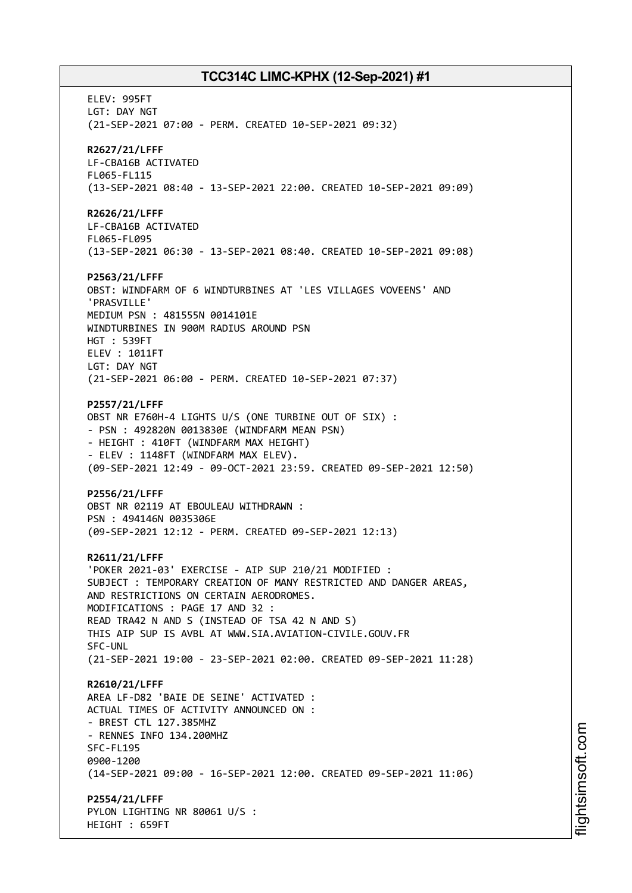ELEV: 995FT LGT: DAY NGT (21-SEP-2021 07:00 - PERM. CREATED 10-SEP-2021 09:32) **R2627/21/LFFF** LF-CBA16B ACTIVATED FL065-FL115 (13-SEP-2021 08:40 - 13-SEP-2021 22:00. CREATED 10-SEP-2021 09:09) **R2626/21/LFFF** LF-CBA16B ACTIVATED FL065-FL095 (13-SEP-2021 06:30 - 13-SEP-2021 08:40. CREATED 10-SEP-2021 09:08) **P2563/21/LFFF** OBST: WINDFARM OF 6 WINDTURBINES AT 'LES VILLAGES VOVEENS' AND 'PRASVILLE' MEDIUM PSN : 481555N 0014101E WINDTURBINES IN 900M RADIUS AROUND PSN HGT : 539FT ELEV : 1011FT LGT: DAY NGT (21-SEP-2021 06:00 - PERM. CREATED 10-SEP-2021 07:37) **P2557/21/LFFF** OBST NR E760H-4 LIGHTS U/S (ONE TURBINE OUT OF SIX) : - PSN : 492820N 0013830E (WINDFARM MEAN PSN) - HEIGHT : 410FT (WINDFARM MAX HEIGHT) - ELEV : 1148FT (WINDFARM MAX ELEV). (09-SEP-2021 12:49 - 09-OCT-2021 23:59. CREATED 09-SEP-2021 12:50) **P2556/21/LFFF** OBST NR 02119 AT EBOULEAU WITHDRAWN : PSN : 494146N 0035306E (09-SEP-2021 12:12 - PERM. CREATED 09-SEP-2021 12:13) **R2611/21/LFFF** 'POKER 2021-03' EXERCISE - AIP SUP 210/21 MODIFIED : SUBJECT : TEMPORARY CREATION OF MANY RESTRICTED AND DANGER AREAS, AND RESTRICTIONS ON CERTAIN AERODROMES. MODIFICATIONS : PAGE 17 AND 32 : READ TRA42 N AND S (INSTEAD OF TSA 42 N AND S) THIS AIP SUP IS AVBL AT WWW.SIA.AVIATION-CIVILE.GOUV.FR SFC-UNL (21-SEP-2021 19:00 - 23-SEP-2021 02:00. CREATED 09-SEP-2021 11:28) **R2610/21/LFFF** AREA LF-D82 'BAIE DE SEINE' ACTIVATED : ACTUAL TIMES OF ACTIVITY ANNOUNCED ON : - BREST CTL 127.385MHZ - RENNES INFO 134.200MHZ SFC-FL195 0900-1200 (14-SEP-2021 09:00 - 16-SEP-2021 12:00. CREATED 09-SEP-2021 11:06) **P2554/21/LFFF** PYLON LIGHTING NR 80061 U/S : HEIGHT : 659FT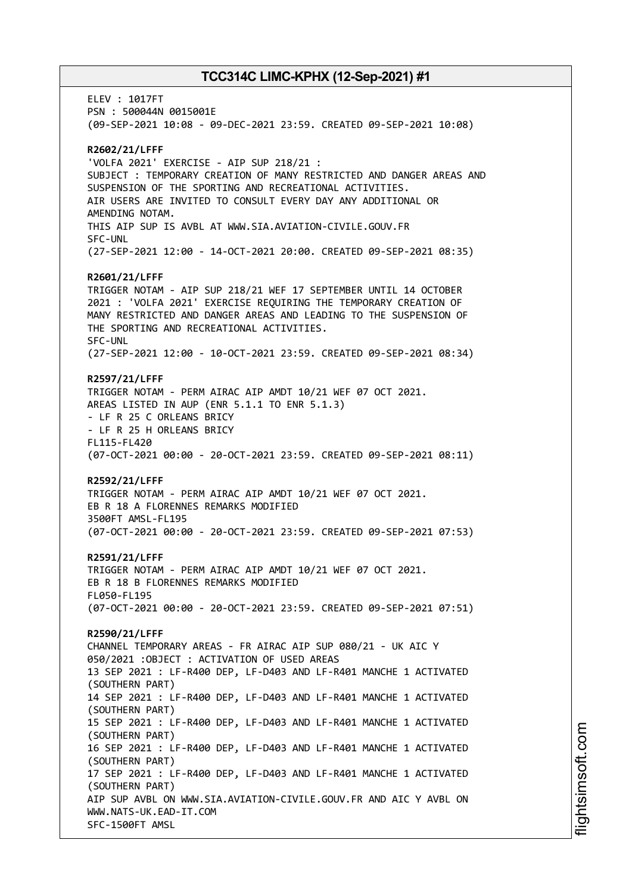ELEV : 1017FT PSN : 500044N 0015001E (09-SEP-2021 10:08 - 09-DEC-2021 23:59. CREATED 09-SEP-2021 10:08) **R2602/21/LFFF** 'VOLFA 2021' EXERCISE - AIP SUP 218/21 : SUBJECT : TEMPORARY CREATION OF MANY RESTRICTED AND DANGER AREAS AND SUSPENSION OF THE SPORTING AND RECREATIONAL ACTIVITIES. AIR USERS ARE INVITED TO CONSULT EVERY DAY ANY ADDITIONAL OR AMENDING NOTAM. THIS AIP SUP IS AVBL AT WWW.SIA.AVIATION-CIVILE.GOUV.FR SFC-UNL (27-SEP-2021 12:00 - 14-OCT-2021 20:00. CREATED 09-SEP-2021 08:35) **R2601/21/LFFF** TRIGGER NOTAM - AIP SUP 218/21 WEF 17 SEPTEMBER UNTIL 14 OCTOBER 2021 : 'VOLFA 2021' EXERCISE REQUIRING THE TEMPORARY CREATION OF MANY RESTRICTED AND DANGER AREAS AND LEADING TO THE SUSPENSION OF THE SPORTING AND RECREATIONAL ACTIVITIES. SFC-UNL (27-SEP-2021 12:00 - 10-OCT-2021 23:59. CREATED 09-SEP-2021 08:34) **R2597/21/LFFF** TRIGGER NOTAM - PERM AIRAC AIP AMDT 10/21 WEF 07 OCT 2021. AREAS LISTED IN AUP (ENR 5.1.1 TO ENR 5.1.3) - LF R 25 C ORLEANS BRICY - LF R 25 H ORLEANS BRICY FL115-FL420 (07-OCT-2021 00:00 - 20-OCT-2021 23:59. CREATED 09-SEP-2021 08:11) **R2592/21/LFFF** TRIGGER NOTAM - PERM AIRAC AIP AMDT 10/21 WEF 07 OCT 2021. EB R 18 A FLORENNES REMARKS MODIFIED 3500FT AMSL-FL195 (07-OCT-2021 00:00 - 20-OCT-2021 23:59. CREATED 09-SEP-2021 07:53) **R2591/21/LFFF** TRIGGER NOTAM - PERM AIRAC AIP AMDT 10/21 WEF 07 OCT 2021. EB R 18 B FLORENNES REMARKS MODIFIED FL050-FL195 (07-OCT-2021 00:00 - 20-OCT-2021 23:59. CREATED 09-SEP-2021 07:51) **R2590/21/LFFF** CHANNEL TEMPORARY AREAS - FR AIRAC AIP SUP 080/21 - UK AIC Y 050/2021 :OBJECT : ACTIVATION OF USED AREAS 13 SEP 2021 : LF-R400 DEP, LF-D403 AND LF-R401 MANCHE 1 ACTIVATED (SOUTHERN PART) 14 SEP 2021 : LF-R400 DEP, LF-D403 AND LF-R401 MANCHE 1 ACTIVATED (SOUTHERN PART) 15 SEP 2021 : LF-R400 DEP, LF-D403 AND LF-R401 MANCHE 1 ACTIVATED (SOUTHERN PART) 16 SEP 2021 : LF-R400 DEP, LF-D403 AND LF-R401 MANCHE 1 ACTIVATED (SOUTHERN PART) 17 SEP 2021 : LF-R400 DEP, LF-D403 AND LF-R401 MANCHE 1 ACTIVATED (SOUTHERN PART) AIP SUP AVBL ON WWW.SIA.AVIATION-CIVILE.GOUV.FR AND AIC Y AVBL ON WWW.NATS-UK.EAD-IT.COM SFC-1500FT AMSL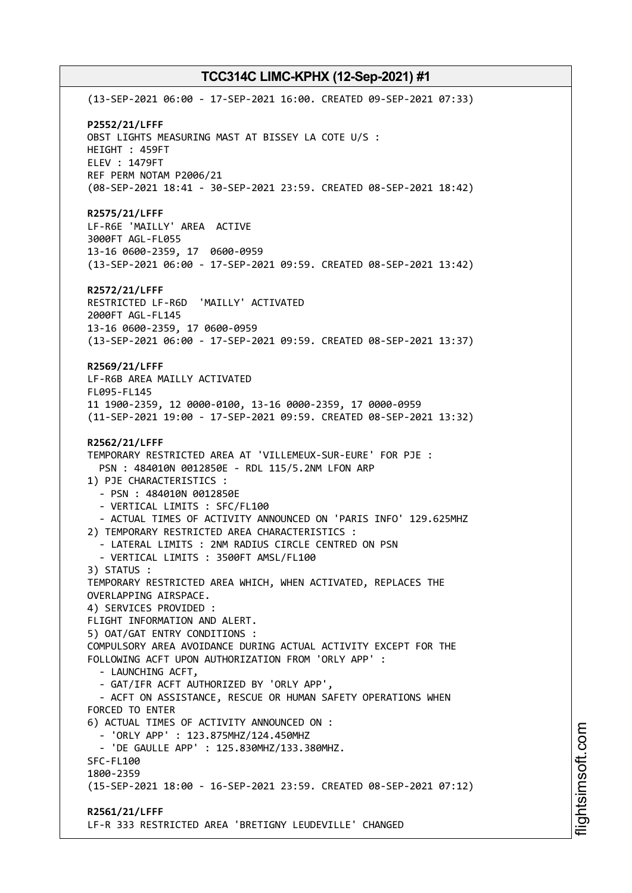(13-SEP-2021 06:00 - 17-SEP-2021 16:00. CREATED 09-SEP-2021 07:33) **P2552/21/LFFF** OBST LIGHTS MEASURING MAST AT BISSEY LA COTE U/S : HEIGHT : 459FT ELEV : 1479FT REF PERM NOTAM P2006/21 (08-SEP-2021 18:41 - 30-SEP-2021 23:59. CREATED 08-SEP-2021 18:42) **R2575/21/LFFF** LF-R6E 'MAILLY' AREA ACTIVE 3000FT AGL-FL055 13-16 0600-2359, 17 0600-0959 (13-SEP-2021 06:00 - 17-SEP-2021 09:59. CREATED 08-SEP-2021 13:42) **R2572/21/LFFF** RESTRICTED LF-R6D 'MAILLY' ACTIVATED 2000FT AGL-FL145 13-16 0600-2359, 17 0600-0959 (13-SEP-2021 06:00 - 17-SEP-2021 09:59. CREATED 08-SEP-2021 13:37) **R2569/21/LFFF** LF-R6B AREA MAILLY ACTIVATED FL095-FL145 11 1900-2359, 12 0000-0100, 13-16 0000-2359, 17 0000-0959 (11-SEP-2021 19:00 - 17-SEP-2021 09:59. CREATED 08-SEP-2021 13:32) **R2562/21/LFFF** TEMPORARY RESTRICTED AREA AT 'VILLEMEUX-SUR-EURE' FOR PJE : PSN : 484010N 0012850E - RDL 115/5.2NM LFON ARP 1) PJE CHARACTERISTICS : - PSN : 484010N 0012850E - VERTICAL LIMITS : SFC/FL100 - ACTUAL TIMES OF ACTIVITY ANNOUNCED ON 'PARIS INFO' 129.625MHZ 2) TEMPORARY RESTRICTED AREA CHARACTERISTICS : - LATERAL LIMITS : 2NM RADIUS CIRCLE CENTRED ON PSN - VERTICAL LIMITS : 3500FT AMSL/FL100 3) STATUS : TEMPORARY RESTRICTED AREA WHICH, WHEN ACTIVATED, REPLACES THE OVERLAPPING AIRSPACE. 4) SERVICES PROVIDED : FLIGHT INFORMATION AND ALERT. 5) OAT/GAT ENTRY CONDITIONS : COMPULSORY AREA AVOIDANCE DURING ACTUAL ACTIVITY EXCEPT FOR THE FOLLOWING ACFT UPON AUTHORIZATION FROM 'ORLY APP' : - LAUNCHING ACFT, - GAT/IFR ACFT AUTHORIZED BY 'ORLY APP', - ACFT ON ASSISTANCE, RESCUE OR HUMAN SAFETY OPERATIONS WHEN FORCED TO ENTER 6) ACTUAL TIMES OF ACTIVITY ANNOUNCED ON : - 'ORLY APP' : 123.875MHZ/124.450MHZ - 'DE GAULLE APP' : 125.830MHZ/133.380MHZ. SFC-FL100 1800-2359 (15-SEP-2021 18:00 - 16-SEP-2021 23:59. CREATED 08-SEP-2021 07:12) **R2561/21/LFFF** LF-R 333 RESTRICTED AREA 'BRETIGNY LEUDEVILLE' CHANGED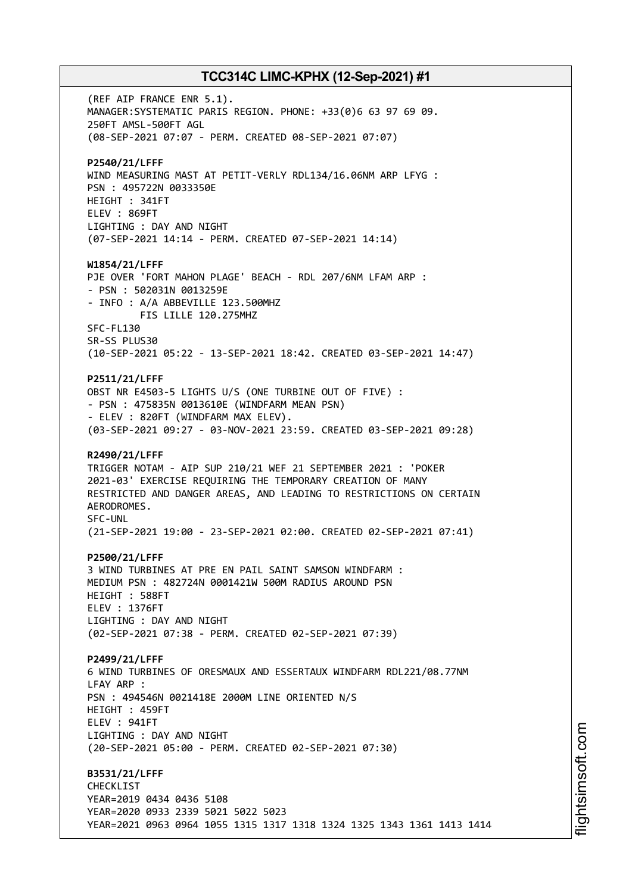(REF AIP FRANCE ENR 5.1). MANAGER:SYSTEMATIC PARIS REGION. PHONE: +33(0)6 63 97 69 09. 250FT AMSL-500FT AGL (08-SEP-2021 07:07 - PERM. CREATED 08-SEP-2021 07:07) **P2540/21/LFFF** WIND MEASURING MAST AT PETIT-VERLY RDL134/16.06NM ARP LFYG : PSN : 495722N 0033350E HEIGHT : 341FT ELEV : 869FT LIGHTING : DAY AND NIGHT (07-SEP-2021 14:14 - PERM. CREATED 07-SEP-2021 14:14) **W1854/21/LFFF** PJE OVER 'FORT MAHON PLAGE' BEACH - RDL 207/6NM LFAM ARP : - PSN : 502031N 0013259E - INFO : A/A ABBEVILLE 123.500MHZ FIS LILLE 120.275MHZ SFC-FL130 SR-SS PLUS30 (10-SEP-2021 05:22 - 13-SEP-2021 18:42. CREATED 03-SEP-2021 14:47) **P2511/21/LFFF** OBST NR E4503-5 LIGHTS U/S (ONE TURBINE OUT OF FIVE) : - PSN : 475835N 0013610E (WINDFARM MEAN PSN) - ELEV : 820FT (WINDFARM MAX ELEV). (03-SEP-2021 09:27 - 03-NOV-2021 23:59. CREATED 03-SEP-2021 09:28) **R2490/21/LFFF** TRIGGER NOTAM - AIP SUP 210/21 WEF 21 SEPTEMBER 2021 : 'POKER 2021-03' EXERCISE REQUIRING THE TEMPORARY CREATION OF MANY RESTRICTED AND DANGER AREAS, AND LEADING TO RESTRICTIONS ON CERTAIN AERODROMES. SFC-UNL (21-SEP-2021 19:00 - 23-SEP-2021 02:00. CREATED 02-SEP-2021 07:41) **P2500/21/LFFF** 3 WIND TURBINES AT PRE EN PAIL SAINT SAMSON WINDFARM : MEDIUM PSN : 482724N 0001421W 500M RADIUS AROUND PSN HEIGHT : 588FT ELEV : 1376FT LIGHTING : DAY AND NIGHT (02-SEP-2021 07:38 - PERM. CREATED 02-SEP-2021 07:39) **P2499/21/LFFF** 6 WIND TURBINES OF ORESMAUX AND ESSERTAUX WINDFARM RDL221/08.77NM LFAY ARP : PSN : 494546N 0021418E 2000M LINE ORIENTED N/S HEIGHT : 459FT ELEV : 941FT LIGHTING : DAY AND NIGHT (20-SEP-2021 05:00 - PERM. CREATED 02-SEP-2021 07:30) **B3531/21/LFFF** CHECKLIST YEAR=2019 0434 0436 5108 YEAR=2020 0933 2339 5021 5022 5023 YEAR=2021 0963 0964 1055 1315 1317 1318 1324 1325 1343 1361 1413 1414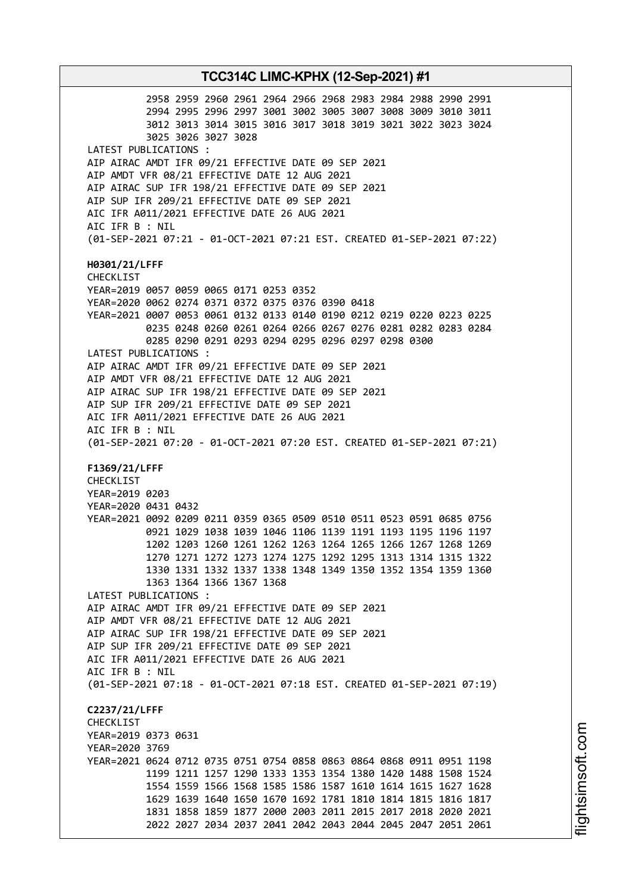**TCC314C LIMC-KPHX (12-Sep-2021) #1** 2958 2959 2960 2961 2964 2966 2968 2983 2984 2988 2990 2991 2994 2995 2996 2997 3001 3002 3005 3007 3008 3009 3010 3011 3012 3013 3014 3015 3016 3017 3018 3019 3021 3022 3023 3024 3025 3026 3027 3028 LATEST PUBLICATIONS : AIP AIRAC AMDT IFR 09/21 EFFECTIVE DATE 09 SEP 2021 AIP AMDT VFR 08/21 EFFECTIVE DATE 12 AUG 2021 AIP AIRAC SUP IFR 198/21 EFFECTIVE DATE 09 SEP 2021 AIP SUP IFR 209/21 EFFECTIVE DATE 09 SEP 2021 AIC IFR A011/2021 EFFECTIVE DATE 26 AUG 2021 AIC IFR B : NIL (01-SEP-2021 07:21 - 01-OCT-2021 07:21 EST. CREATED 01-SEP-2021 07:22) **H0301/21/LFFF** CHECKLIST YEAR=2019 0057 0059 0065 0171 0253 0352 YEAR=2020 0062 0274 0371 0372 0375 0376 0390 0418 YEAR=2021 0007 0053 0061 0132 0133 0140 0190 0212 0219 0220 0223 0225 0235 0248 0260 0261 0264 0266 0267 0276 0281 0282 0283 0284 0285 0290 0291 0293 0294 0295 0296 0297 0298 0300 LATEST PUBLICATIONS : AIP AIRAC AMDT IFR 09/21 EFFECTIVE DATE 09 SEP 2021 AIP AMDT VFR 08/21 EFFECTIVE DATE 12 AUG 2021 AIP AIRAC SUP IFR 198/21 EFFECTIVE DATE 09 SEP 2021 AIP SUP IFR 209/21 EFFECTIVE DATE 09 SEP 2021 AIC IFR A011/2021 EFFECTIVE DATE 26 AUG 2021 AIC IFR B : NIL (01-SEP-2021 07:20 - 01-OCT-2021 07:20 EST. CREATED 01-SEP-2021 07:21) **F1369/21/LFFF** CHECKLIST YEAR=2019 0203 YEAR=2020 0431 0432 YEAR=2021 0092 0209 0211 0359 0365 0509 0510 0511 0523 0591 0685 0756 0921 1029 1038 1039 1046 1106 1139 1191 1193 1195 1196 1197 1202 1203 1260 1261 1262 1263 1264 1265 1266 1267 1268 1269 1270 1271 1272 1273 1274 1275 1292 1295 1313 1314 1315 1322 1330 1331 1332 1337 1338 1348 1349 1350 1352 1354 1359 1360 1363 1364 1366 1367 1368 LATEST PUBLICATIONS : AIP AIRAC AMDT IFR 09/21 EFFECTIVE DATE 09 SEP 2021 AIP AMDT VFR 08/21 EFFECTIVE DATE 12 AUG 2021 AIP AIRAC SUP IFR 198/21 EFFECTIVE DATE 09 SEP 2021 AIP SUP IFR 209/21 EFFECTIVE DATE 09 SEP 2021 AIC IFR A011/2021 EFFECTIVE DATE 26 AUG 2021 AIC IFR B : NIL (01-SEP-2021 07:18 - 01-OCT-2021 07:18 EST. CREATED 01-SEP-2021 07:19) **C2237/21/LFFF** CHECKLIST YEAR=2019 0373 0631 YEAR=2020 3769 YEAR=2021 0624 0712 0735 0751 0754 0858 0863 0864 0868 0911 0951 1198 1199 1211 1257 1290 1333 1353 1354 1380 1420 1488 1508 1524 1554 1559 1566 1568 1585 1586 1587 1610 1614 1615 1627 1628 1629 1639 1640 1650 1670 1692 1781 1810 1814 1815 1816 1817 1831 1858 1859 1877 2000 2003 2011 2015 2017 2018 2020 2021 2022 2027 2034 2037 2041 2042 2043 2044 2045 2047 2051 2061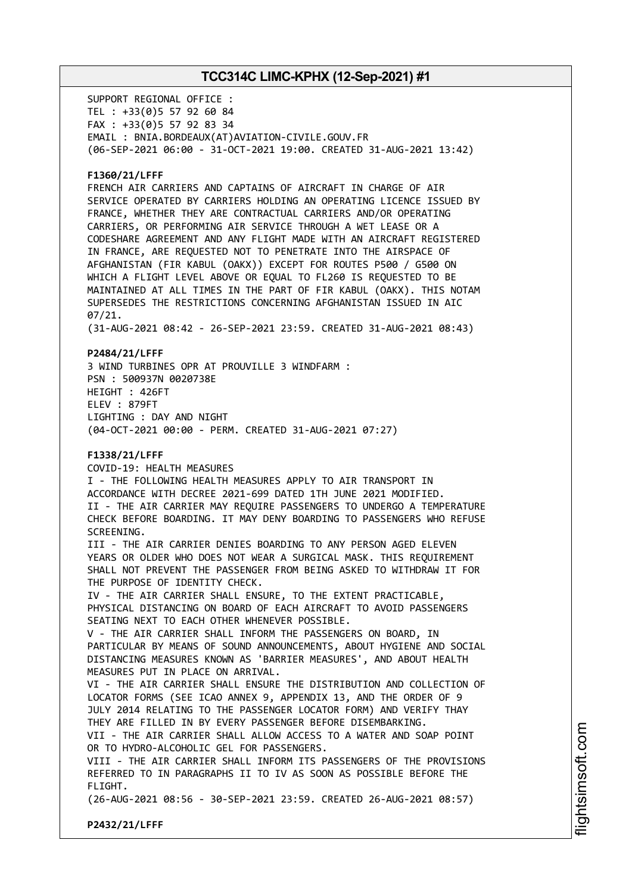SUPPORT REGIONAL OFFICE : TEL : +33(0)5 57 92 60 84 FAX : +33(0)5 57 92 83 34 EMAIL : BNIA.BORDEAUX(AT)AVIATION-CIVILE.GOUV.FR (06-SEP-2021 06:00 - 31-OCT-2021 19:00. CREATED 31-AUG-2021 13:42)

### **F1360/21/LFFF**

FRENCH AIR CARRIERS AND CAPTAINS OF AIRCRAFT IN CHARGE OF AIR SERVICE OPERATED BY CARRIERS HOLDING AN OPERATING LICENCE ISSUED BY FRANCE, WHETHER THEY ARE CONTRACTUAL CARRIERS AND/OR OPERATING CARRIERS, OR PERFORMING AIR SERVICE THROUGH A WET LEASE OR A CODESHARE AGREEMENT AND ANY FLIGHT MADE WITH AN AIRCRAFT REGISTERED IN FRANCE, ARE REQUESTED NOT TO PENETRATE INTO THE AIRSPACE OF AFGHANISTAN (FIR KABUL (OAKX)) EXCEPT FOR ROUTES P500 / G500 ON WHICH A FLIGHT LEVEL ABOVE OR EQUAL TO FL260 IS REQUESTED TO BE MAINTAINED AT ALL TIMES IN THE PART OF FIR KABUL (OAKX). THIS NOTAM SUPERSEDES THE RESTRICTIONS CONCERNING AFGHANISTAN ISSUED IN AIC 07/21.

(31-AUG-2021 08:42 - 26-SEP-2021 23:59. CREATED 31-AUG-2021 08:43)

### **P2484/21/LFFF**

3 WIND TURBINES OPR AT PROUVILLE 3 WINDFARM : PSN : 500937N 0020738E HEIGHT : 426FT ELEV : 879FT LIGHTING : DAY AND NIGHT (04-OCT-2021 00:00 - PERM. CREATED 31-AUG-2021 07:27)

### **F1338/21/LFFF**

COVID-19: HEALTH MEASURES I - THE FOLLOWING HEALTH MEASURES APPLY TO AIR TRANSPORT IN ACCORDANCE WITH DECREE 2021-699 DATED 1TH JUNE 2021 MODIFIED. II - THE AIR CARRIER MAY REQUIRE PASSENGERS TO UNDERGO A TEMPERATURE CHECK BEFORE BOARDING. IT MAY DENY BOARDING TO PASSENGERS WHO REFUSE SCREENING. III - THE AIR CARRIER DENIES BOARDING TO ANY PERSON AGED ELEVEN YEARS OR OLDER WHO DOES NOT WEAR A SURGICAL MASK. THIS REQUIREMENT SHALL NOT PREVENT THE PASSENGER FROM BEING ASKED TO WITHDRAW IT FOR THE PURPOSE OF IDENTITY CHECK. IV - THE AIR CARRIER SHALL ENSURE, TO THE EXTENT PRACTICABLE, PHYSICAL DISTANCING ON BOARD OF EACH AIRCRAFT TO AVOID PASSENGERS SEATING NEXT TO EACH OTHER WHENEVER POSSIBLE. V - THE AIR CARRIER SHALL INFORM THE PASSENGERS ON BOARD, IN PARTICULAR BY MEANS OF SOUND ANNOUNCEMENTS, ABOUT HYGIENE AND SOCIAL DISTANCING MEASURES KNOWN AS 'BARRIER MEASURES', AND ABOUT HEALTH MEASURES PUT IN PLACE ON ARRIVAL. VI - THE AIR CARRIER SHALL ENSURE THE DISTRIBUTION AND COLLECTION OF LOCATOR FORMS (SEE ICAO ANNEX 9, APPENDIX 13, AND THE ORDER OF 9 JULY 2014 RELATING TO THE PASSENGER LOCATOR FORM) AND VERIFY THAY THEY ARE FILLED IN BY EVERY PASSENGER BEFORE DISEMBARKING. VII - THE AIR CARRIER SHALL ALLOW ACCESS TO A WATER AND SOAP POINT OR TO HYDRO-ALCOHOLIC GEL FOR PASSENGERS.

VIII - THE AIR CARRIER SHALL INFORM ITS PASSENGERS OF THE PROVISIONS REFERRED TO IN PARAGRAPHS II TO IV AS SOON AS POSSIBLE BEFORE THE FLIGHT.

(26-AUG-2021 08:56 - 30-SEP-2021 23:59. CREATED 26-AUG-2021 08:57)

**P2432/21/LFFF**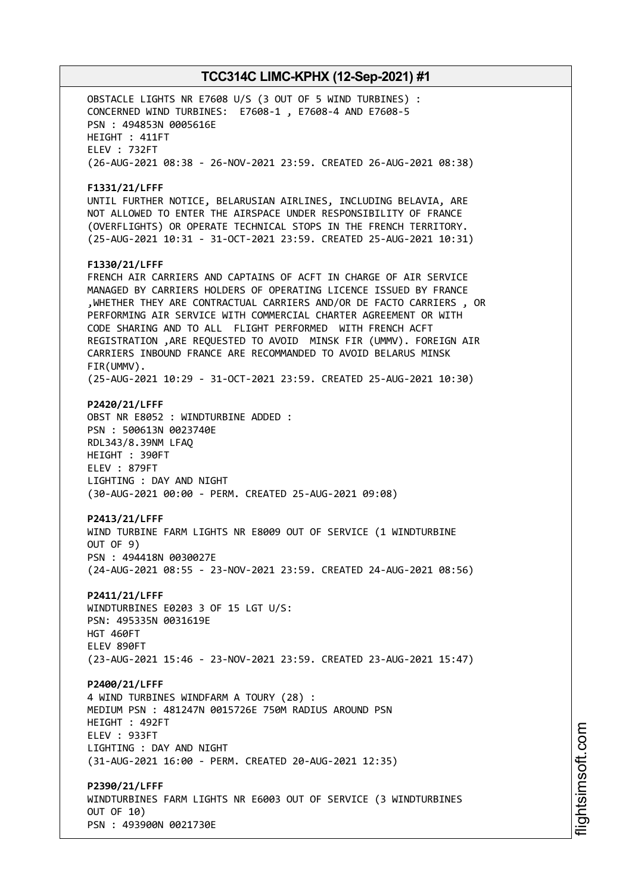OBSTACLE LIGHTS NR E7608 U/S (3 OUT OF 5 WIND TURBINES) : CONCERNED WIND TURBINES: E7608-1 , E7608-4 AND E7608-5 PSN : 494853N 0005616E HEIGHT : 411FT ELEV : 732FT (26-AUG-2021 08:38 - 26-NOV-2021 23:59. CREATED 26-AUG-2021 08:38) **F1331/21/LFFF** UNTIL FURTHER NOTICE, BELARUSIAN AIRLINES, INCLUDING BELAVIA, ARE NOT ALLOWED TO ENTER THE AIRSPACE UNDER RESPONSIBILITY OF FRANCE (OVERFLIGHTS) OR OPERATE TECHNICAL STOPS IN THE FRENCH TERRITORY. (25-AUG-2021 10:31 - 31-OCT-2021 23:59. CREATED 25-AUG-2021 10:31) **F1330/21/LFFF** FRENCH AIR CARRIERS AND CAPTAINS OF ACFT IN CHARGE OF AIR SERVICE MANAGED BY CARRIERS HOLDERS OF OPERATING LICENCE ISSUED BY FRANCE ,WHETHER THEY ARE CONTRACTUAL CARRIERS AND/OR DE FACTO CARRIERS , OR PERFORMING AIR SERVICE WITH COMMERCIAL CHARTER AGREEMENT OR WITH CODE SHARING AND TO ALL FLIGHT PERFORMED WITH FRENCH ACFT REGISTRATION ,ARE REQUESTED TO AVOID MINSK FIR (UMMV). FOREIGN AIR CARRIERS INBOUND FRANCE ARE RECOMMANDED TO AVOID BELARUS MINSK FIR(UMMV). (25-AUG-2021 10:29 - 31-OCT-2021 23:59. CREATED 25-AUG-2021 10:30) **P2420/21/LFFF** OBST NR E8052 : WINDTURBINE ADDED : PSN : 500613N 0023740E RDL343/8.39NM LFAQ HEIGHT : 390FT ELEV : 879FT LIGHTING : DAY AND NIGHT (30-AUG-2021 00:00 - PERM. CREATED 25-AUG-2021 09:08) **P2413/21/LFFF** WIND TURBINE FARM LIGHTS NR E8009 OUT OF SERVICE (1 WINDTURBINE OUT OF 9) PSN : 494418N 0030027E (24-AUG-2021 08:55 - 23-NOV-2021 23:59. CREATED 24-AUG-2021 08:56) **P2411/21/LFFF** WINDTURBINES E0203 3 OF 15 LGT U/S: PSN: 495335N 0031619E HGT 460FT ELEV 890FT (23-AUG-2021 15:46 - 23-NOV-2021 23:59. CREATED 23-AUG-2021 15:47) **P2400/21/LFFF** 4 WIND TURBINES WINDFARM A TOURY (28) : MEDIUM PSN : 481247N 0015726E 750M RADIUS AROUND PSN HEIGHT : 492FT ELEV : 933FT LIGHTING : DAY AND NIGHT (31-AUG-2021 16:00 - PERM. CREATED 20-AUG-2021 12:35) **P2390/21/LFFF** WINDTURBINES FARM LIGHTS NR E6003 OUT OF SERVICE (3 WINDTURBINES OUT OF 10) PSN : 493900N 0021730E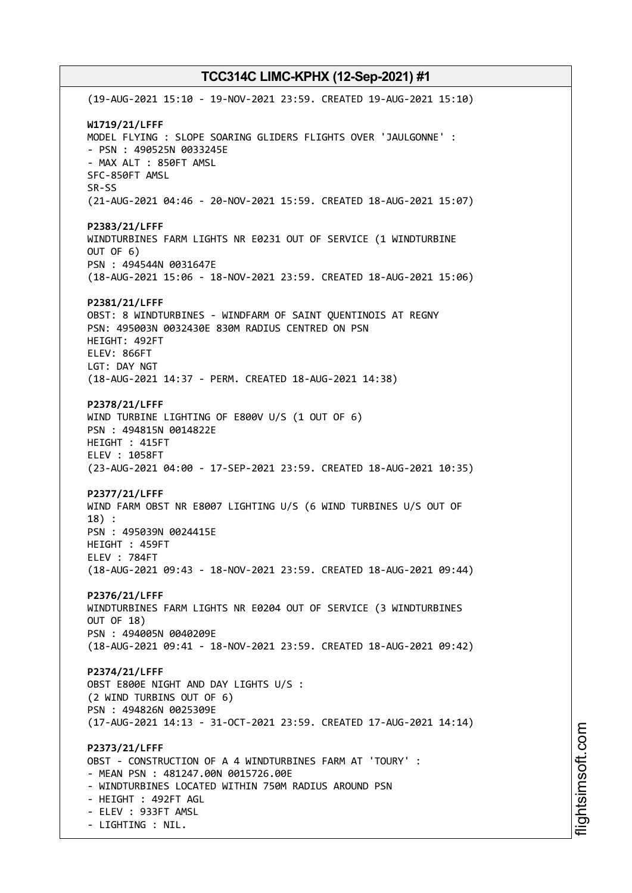(19-AUG-2021 15:10 - 19-NOV-2021 23:59. CREATED 19-AUG-2021 15:10) **W1719/21/LFFF** MODEL FLYING : SLOPE SOARING GLIDERS FLIGHTS OVER 'JAULGONNE' : - PSN : 490525N 0033245E - MAX ALT : 850FT AMSL SFC-850FT AMSL SR-SS (21-AUG-2021 04:46 - 20-NOV-2021 15:59. CREATED 18-AUG-2021 15:07) **P2383/21/LFFF** WINDTURBINES FARM LIGHTS NR E0231 OUT OF SERVICE (1 WINDTURBINE OUT OF 6) PSN : 494544N 0031647E (18-AUG-2021 15:06 - 18-NOV-2021 23:59. CREATED 18-AUG-2021 15:06) **P2381/21/LFFF** OBST: 8 WINDTURBINES - WINDFARM OF SAINT QUENTINOIS AT REGNY PSN: 495003N 0032430E 830M RADIUS CENTRED ON PSN HEIGHT: 492FT ELEV: 866FT LGT: DAY NGT (18-AUG-2021 14:37 - PERM. CREATED 18-AUG-2021 14:38) **P2378/21/LFFF** WIND TURBINE LIGHTING OF E800V U/S (1 OUT OF 6) PSN : 494815N 0014822E HEIGHT : 415FT ELEV : 1058FT (23-AUG-2021 04:00 - 17-SEP-2021 23:59. CREATED 18-AUG-2021 10:35) **P2377/21/LFFF** WIND FARM OBST NR E8007 LIGHTING U/S (6 WIND TURBINES U/S OUT OF 18) : PSN : 495039N 0024415E HEIGHT : 459FT ELEV : 784FT (18-AUG-2021 09:43 - 18-NOV-2021 23:59. CREATED 18-AUG-2021 09:44) **P2376/21/LFFF** WINDTURBINES FARM LIGHTS NR E0204 OUT OF SERVICE (3 WINDTURBINES OUT OF 18) PSN : 494005N 0040209E (18-AUG-2021 09:41 - 18-NOV-2021 23:59. CREATED 18-AUG-2021 09:42) **P2374/21/LFFF** OBST E800E NIGHT AND DAY LIGHTS U/S : (2 WIND TURBINS OUT OF 6) PSN : 494826N 0025309E (17-AUG-2021 14:13 - 31-OCT-2021 23:59. CREATED 17-AUG-2021 14:14) **P2373/21/LFFF** OBST - CONSTRUCTION OF A 4 WINDTURBINES FARM AT 'TOURY' : - MEAN PSN : 481247.00N 0015726.00E - WINDTURBINES LOCATED WITHIN 750M RADIUS AROUND PSN - HEIGHT : 492FT AGL - ELEV : 933FT AMSL - LIGHTING : NIL.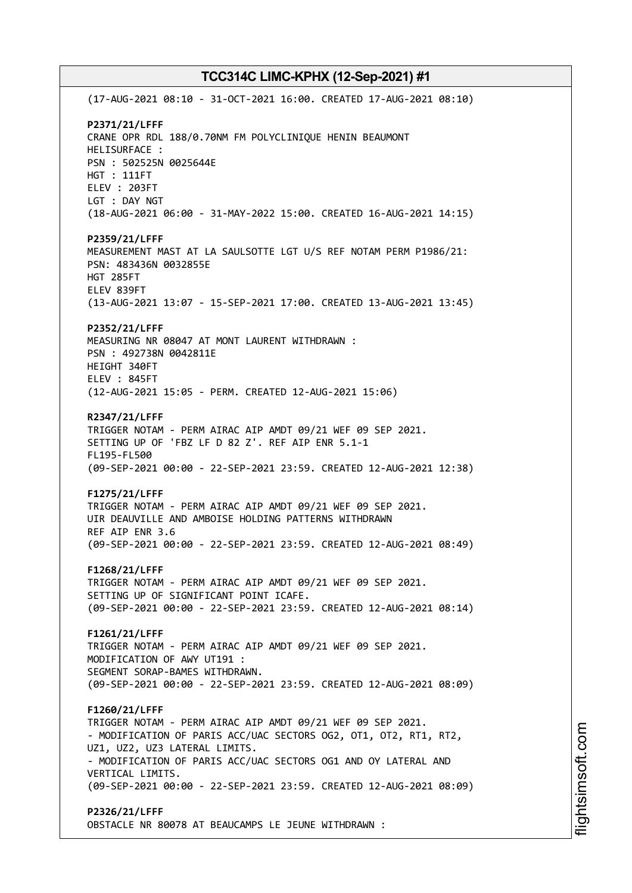(17-AUG-2021 08:10 - 31-OCT-2021 16:00. CREATED 17-AUG-2021 08:10) **P2371/21/LFFF** CRANE OPR RDL 188/0.70NM FM POLYCLINIQUE HENIN BEAUMONT HELISURFACE : PSN : 502525N 0025644E HGT : 111FT ELEV : 203FT LGT : DAY NGT (18-AUG-2021 06:00 - 31-MAY-2022 15:00. CREATED 16-AUG-2021 14:15) **P2359/21/LFFF** MEASUREMENT MAST AT LA SAULSOTTE LGT U/S REF NOTAM PERM P1986/21: PSN: 483436N 0032855E HGT 285FT ELEV 839FT (13-AUG-2021 13:07 - 15-SEP-2021 17:00. CREATED 13-AUG-2021 13:45) **P2352/21/LFFF** MEASURING NR 08047 AT MONT LAURENT WITHDRAWN : PSN : 492738N 0042811E HEIGHT 340FT ELEV : 845FT (12-AUG-2021 15:05 - PERM. CREATED 12-AUG-2021 15:06) **R2347/21/LFFF** TRIGGER NOTAM - PERM AIRAC AIP AMDT 09/21 WEF 09 SEP 2021. SETTING UP OF 'FBZ LF D 82 Z'. REF AIP ENR 5.1-1 FL195-FL500 (09-SEP-2021 00:00 - 22-SEP-2021 23:59. CREATED 12-AUG-2021 12:38) **F1275/21/LFFF** TRIGGER NOTAM - PERM AIRAC AIP AMDT 09/21 WEF 09 SEP 2021. UIR DEAUVILLE AND AMBOISE HOLDING PATTERNS WITHDRAWN REF AIP ENR 3.6 (09-SEP-2021 00:00 - 22-SEP-2021 23:59. CREATED 12-AUG-2021 08:49) **F1268/21/LFFF** TRIGGER NOTAM - PERM AIRAC AIP AMDT 09/21 WEF 09 SEP 2021. SETTING UP OF SIGNIFICANT POINT ICAFE. (09-SEP-2021 00:00 - 22-SEP-2021 23:59. CREATED 12-AUG-2021 08:14) **F1261/21/LFFF** TRIGGER NOTAM - PERM AIRAC AIP AMDT 09/21 WEF 09 SEP 2021. MODIFICATION OF AWY UT191 : SEGMENT SORAP-BAMES WITHDRAWN. (09-SEP-2021 00:00 - 22-SEP-2021 23:59. CREATED 12-AUG-2021 08:09) **F1260/21/LFFF** TRIGGER NOTAM - PERM AIRAC AIP AMDT 09/21 WEF 09 SEP 2021. - MODIFICATION OF PARIS ACC/UAC SECTORS OG2, OT1, OT2, RT1, RT2, UZ1, UZ2, UZ3 LATERAL LIMITS. - MODIFICATION OF PARIS ACC/UAC SECTORS OG1 AND OY LATERAL AND VERTICAL LIMITS. (09-SEP-2021 00:00 - 22-SEP-2021 23:59. CREATED 12-AUG-2021 08:09) **P2326/21/LFFF**

OBSTACLE NR 80078 AT BEAUCAMPS LE JEUNE WITHDRAWN :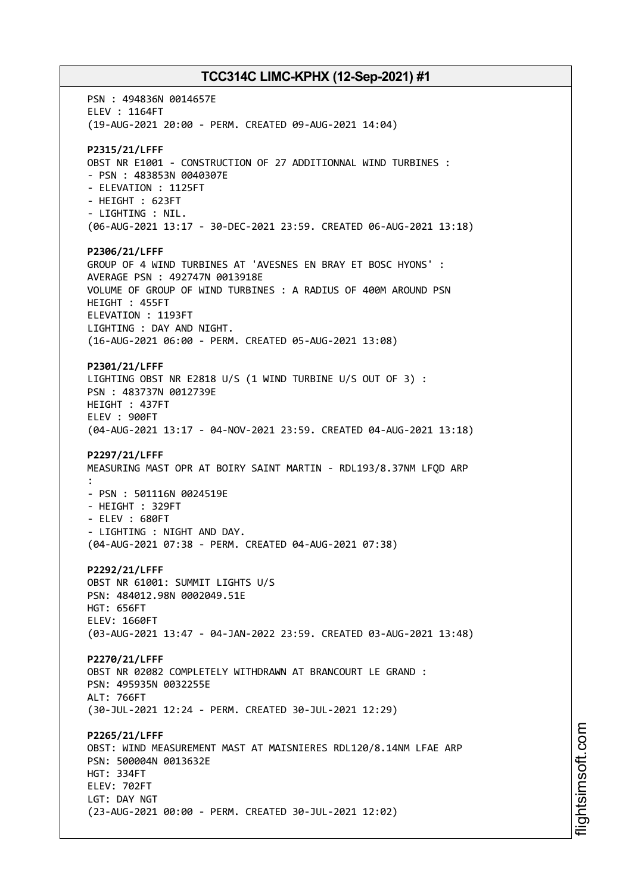PSN : 494836N 0014657E ELEV : 1164FT (19-AUG-2021 20:00 - PERM. CREATED 09-AUG-2021 14:04) **P2315/21/LFFF** OBST NR E1001 - CONSTRUCTION OF 27 ADDITIONNAL WIND TURBINES : - PSN : 483853N 0040307E - ELEVATION : 1125FT - HEIGHT : 623FT - LIGHTING : NIL. (06-AUG-2021 13:17 - 30-DEC-2021 23:59. CREATED 06-AUG-2021 13:18) **P2306/21/LFFF** GROUP OF 4 WIND TURBINES AT 'AVESNES EN BRAY ET BOSC HYONS' : AVERAGE PSN : 492747N 0013918E VOLUME OF GROUP OF WIND TURBINES : A RADIUS OF 400M AROUND PSN HEIGHT : 455FT ELEVATION : 1193FT LIGHTING : DAY AND NIGHT. (16-AUG-2021 06:00 - PERM. CREATED 05-AUG-2021 13:08) **P2301/21/LFFF** LIGHTING OBST NR E2818 U/S (1 WIND TURBINE U/S OUT OF 3) : PSN : 483737N 0012739E HEIGHT : 437FT ELEV : 900FT (04-AUG-2021 13:17 - 04-NOV-2021 23:59. CREATED 04-AUG-2021 13:18) **P2297/21/LFFF** MEASURING MAST OPR AT BOIRY SAINT MARTIN - RDL193/8.37NM LFQD ARP : - PSN : 501116N 0024519E - HEIGHT : 329FT - ELEV : 680FT - LIGHTING : NIGHT AND DAY. (04-AUG-2021 07:38 - PERM. CREATED 04-AUG-2021 07:38) **P2292/21/LFFF** OBST NR 61001: SUMMIT LIGHTS U/S PSN: 484012.98N 0002049.51E HGT: 656FT ELEV: 1660FT (03-AUG-2021 13:47 - 04-JAN-2022 23:59. CREATED 03-AUG-2021 13:48) **P2270/21/LFFF** OBST NR 02082 COMPLETELY WITHDRAWN AT BRANCOURT LE GRAND : PSN: 495935N 0032255E ALT: 766FT (30-JUL-2021 12:24 - PERM. CREATED 30-JUL-2021 12:29) **P2265/21/LFFF** OBST: WIND MEASUREMENT MAST AT MAISNIERES RDL120/8.14NM LFAE ARP PSN: 500004N 0013632E HGT: 334FT ELEV: 702FT LGT: DAY NGT (23-AUG-2021 00:00 - PERM. CREATED 30-JUL-2021 12:02)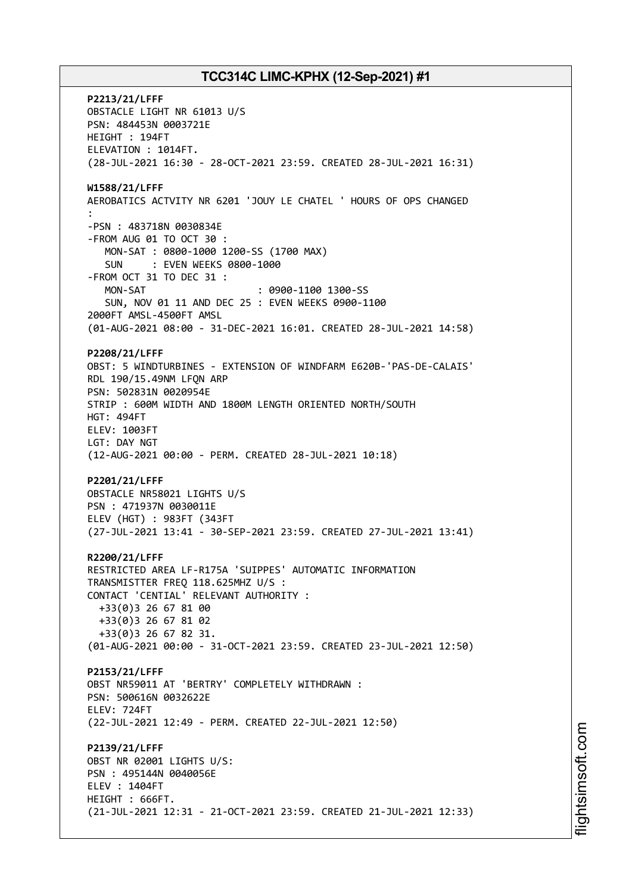**P2213/21/LFFF** OBSTACLE LIGHT NR 61013 U/S PSN: 484453N 0003721E HEIGHT : 194FT ELEVATION : 1014FT. (28-JUL-2021 16:30 - 28-OCT-2021 23:59. CREATED 28-JUL-2021 16:31) **W1588/21/LFFF** AEROBATICS ACTVITY NR 6201 'JOUY LE CHATEL ' HOURS OF OPS CHANGED : -PSN : 483718N 0030834E -FROM AUG 01 TO OCT 30 : MON-SAT : 0800-1000 1200-SS (1700 MAX) SUN : EVEN WEEKS 0800-1000 -FROM OCT 31 TO DEC 31 : MON-SAT : 0900-1100 1300-SS SUN, NOV 01 11 AND DEC 25 : EVEN WEEKS 0900-1100 2000FT AMSL-4500FT AMSL (01-AUG-2021 08:00 - 31-DEC-2021 16:01. CREATED 28-JUL-2021 14:58) **P2208/21/LFFF** OBST: 5 WINDTURBINES - EXTENSION OF WINDFARM E620B-'PAS-DE-CALAIS' RDL 190/15.49NM LFQN ARP PSN: 502831N 0020954E STRIP : 600M WIDTH AND 1800M LENGTH ORIENTED NORTH/SOUTH HGT: 494FT ELEV: 1003FT LGT: DAY NGT (12-AUG-2021 00:00 - PERM. CREATED 28-JUL-2021 10:18) **P2201/21/LFFF** OBSTACLE NR58021 LIGHTS U/S PSN : 471937N 0030011E ELEV (HGT) : 983FT (343FT (27-JUL-2021 13:41 - 30-SEP-2021 23:59. CREATED 27-JUL-2021 13:41) **R2200/21/LFFF** RESTRICTED AREA LF-R175A 'SUIPPES' AUTOMATIC INFORMATION TRANSMISTTER FREQ 118.625MHZ U/S : CONTACT 'CENTIAL' RELEVANT AUTHORITY : +33(0)3 26 67 81 00 +33(0)3 26 67 81 02 +33(0)3 26 67 82 31. (01-AUG-2021 00:00 - 31-OCT-2021 23:59. CREATED 23-JUL-2021 12:50) **P2153/21/LFFF** OBST NR59011 AT 'BERTRY' COMPLETELY WITHDRAWN : PSN: 500616N 0032622E ELEV: 724FT (22-JUL-2021 12:49 - PERM. CREATED 22-JUL-2021 12:50) **P2139/21/LFFF** OBST NR 02001 LIGHTS U/S: PSN : 495144N 0040056E ELEV : 1404FT HEIGHT : 666FT. (21-JUL-2021 12:31 - 21-OCT-2021 23:59. CREATED 21-JUL-2021 12:33)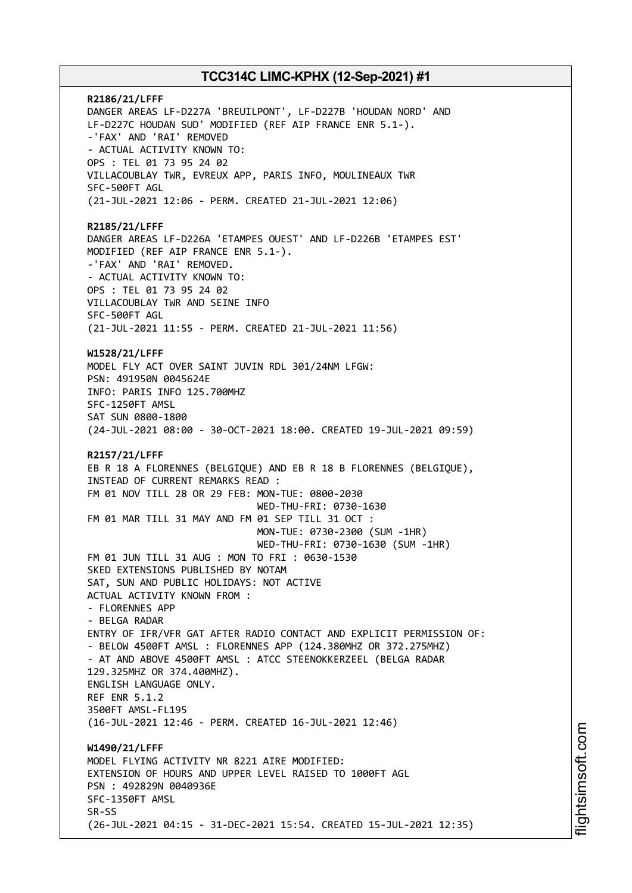**R2186/21/LFFF** DANGER AREAS LF-D227A 'BREUILPONT', LF-D227B 'HOUDAN NORD' AND LF-D227C HOUDAN SUD' MODIFIED (REF AIP FRANCE ENR 5.1-). -'FAX' AND 'RAI' REMOVED - ACTUAL ACTIVITY KNOWN TO: OPS : TEL 01 73 95 24 02 VILLACOUBLAY TWR, EVREUX APP, PARIS INFO, MOULINEAUX TWR SFC-500FT AGL (21-JUL-2021 12:06 - PERM. CREATED 21-JUL-2021 12:06) **R2185/21/LFFF** DANGER AREAS LF-D226A 'ETAMPES OUEST' AND LF-D226B 'ETAMPES EST' MODIFIED (REF AIP FRANCE ENR 5.1-). -'FAX' AND 'RAI' REMOVED. - ACTUAL ACTIVITY KNOWN TO: OPS : TEL 01 73 95 24 02 VILLACOUBLAY TWR AND SEINE INFO SFC-500FT AGL (21-JUL-2021 11:55 - PERM. CREATED 21-JUL-2021 11:56) **W1528/21/LFFF** MODEL FLY ACT OVER SAINT JUVIN RDL 301/24NM LFGW: PSN: 491950N 0045624E INFO: PARIS INFO 125.700MHZ SFC-1250FT AMSL SAT SUN 0800-1800 (24-JUL-2021 08:00 - 30-OCT-2021 18:00. CREATED 19-JUL-2021 09:59) **R2157/21/LFFF** EB R 18 A FLORENNES (BELGIQUE) AND EB R 18 B FLORENNES (BELGIQUE), INSTEAD OF CURRENT REMARKS READ : FM 01 NOV TILL 28 OR 29 FEB: MON-TUE: 0800-2030 WED-THU-FRI: 0730-1630 FM 01 MAR TILL 31 MAY AND FM 01 SEP TILL 31 OCT : MON-TUE: 0730-2300 (SUM -1HR) WED-THU-FRI: 0730-1630 (SUM -1HR) FM 01 JUN TILL 31 AUG : MON TO FRI : 0630-1530 SKED EXTENSIONS PUBLISHED BY NOTAM SAT, SUN AND PUBLIC HOLIDAYS: NOT ACTIVE ACTUAL ACTIVITY KNOWN FROM : - FLORENNES APP - BELGA RADAR ENTRY OF IFR/VFR GAT AFTER RADIO CONTACT AND EXPLICIT PERMISSION OF: - BELOW 4500FT AMSL : FLORENNES APP (124.380MHZ OR 372.275MHZ) - AT AND ABOVE 4500FT AMSL : ATCC STEENOKKERZEEL (BELGA RADAR 129.325MHZ OR 374.400MHZ). ENGLISH LANGUAGE ONLY. REF ENR 5.1.2 3500FT AMSL-FL195 (16-JUL-2021 12:46 - PERM. CREATED 16-JUL-2021 12:46) **W1490/21/LFFF** MODEL FLYING ACTIVITY NR 8221 AIRE MODIFIED: EXTENSION OF HOURS AND UPPER LEVEL RAISED TO 1000FT AGL PSN : 492829N 0040936E SFC-1350FT AMSL SR-SS (26-JUL-2021 04:15 - 31-DEC-2021 15:54. CREATED 15-JUL-2021 12:35)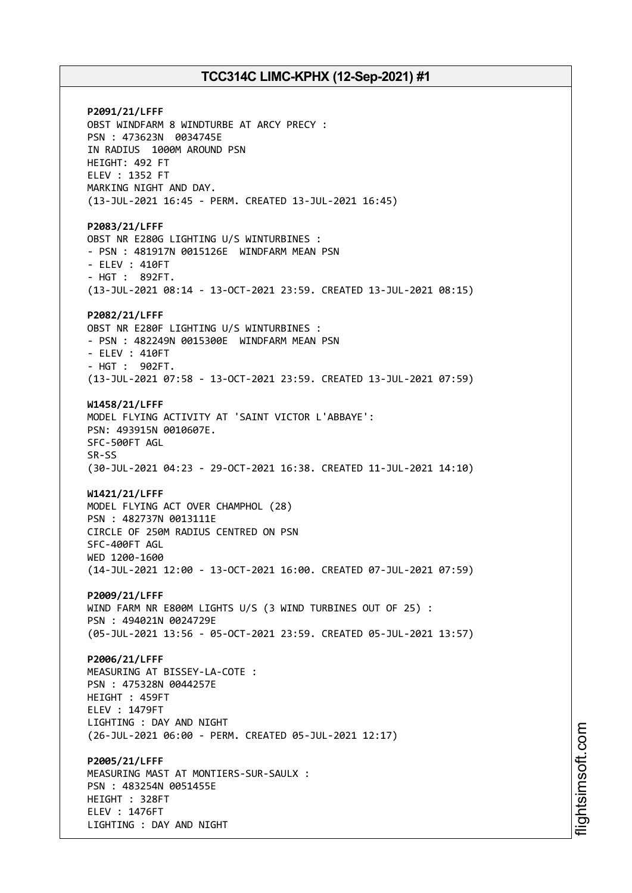**P2091/21/LFFF** OBST WINDFARM 8 WINDTURBE AT ARCY PRECY : PSN : 473623N 0034745E IN RADIUS 1000M AROUND PSN HEIGHT: 492 FT ELEV : 1352 FT MARKING NIGHT AND DAY. (13-JUL-2021 16:45 - PERM. CREATED 13-JUL-2021 16:45) **P2083/21/LFFF** OBST NR E280G LIGHTING U/S WINTURBINES : - PSN : 481917N 0015126E WINDFARM MEAN PSN - ELEV : 410FT - HGT : 892FT. (13-JUL-2021 08:14 - 13-OCT-2021 23:59. CREATED 13-JUL-2021 08:15) **P2082/21/LFFF** OBST NR E280F LIGHTING U/S WINTURBINES : - PSN : 482249N 0015300E WINDFARM MEAN PSN - ELEV : 410FT - HGT : 902FT. (13-JUL-2021 07:58 - 13-OCT-2021 23:59. CREATED 13-JUL-2021 07:59) **W1458/21/LFFF** MODEL FLYING ACTIVITY AT 'SAINT VICTOR L'ABBAYE': PSN: 493915N 0010607E. SFC-500FT AGL SR-SS (30-JUL-2021 04:23 - 29-OCT-2021 16:38. CREATED 11-JUL-2021 14:10) **W1421/21/LFFF** MODEL FLYING ACT OVER CHAMPHOL (28) PSN : 482737N 0013111E CIRCLE OF 250M RADIUS CENTRED ON PSN SFC-400FT AGL WED 1200-1600 (14-JUL-2021 12:00 - 13-OCT-2021 16:00. CREATED 07-JUL-2021 07:59) **P2009/21/LFFF** WIND FARM NR E800M LIGHTS U/S (3 WIND TURBINES OUT OF 25) : PSN : 494021N 0024729E (05-JUL-2021 13:56 - 05-OCT-2021 23:59. CREATED 05-JUL-2021 13:57) **P2006/21/LFFF** MEASURING AT BISSEY-LA-COTE : PSN : 475328N 0044257E HEIGHT : 459FT ELEV : 1479FT LIGHTING : DAY AND NIGHT (26-JUL-2021 06:00 - PERM. CREATED 05-JUL-2021 12:17) **P2005/21/LFFF** MEASURING MAST AT MONTIERS-SUR-SAULX : PSN : 483254N 0051455E HEIGHT : 328FT ELEV : 1476FT LIGHTING : DAY AND NIGHT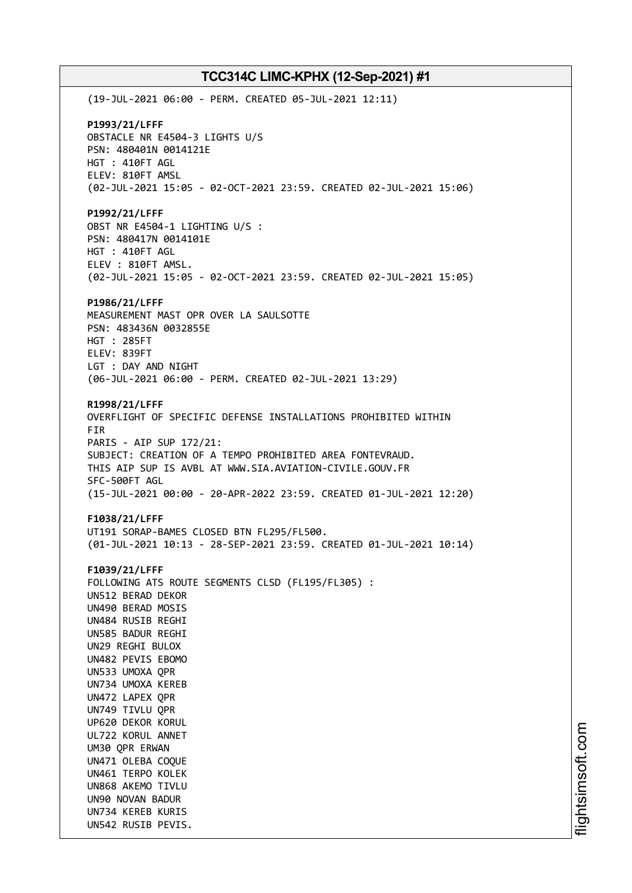(19-JUL-2021 06:00 - PERM. CREATED 05-JUL-2021 12:11) **P1993/21/LFFF** OBSTACLE NR E4504-3 LIGHTS U/S PSN: 480401N 0014121E HGT : 410FT AGL ELEV: 810FT AMSL (02-JUL-2021 15:05 - 02-OCT-2021 23:59. CREATED 02-JUL-2021 15:06) **P1992/21/LFFF** OBST NR E4504-1 LIGHTING U/S : PSN: 480417N 0014101E HGT : 410FT AGL ELEV : 810FT AMSL. (02-JUL-2021 15:05 - 02-OCT-2021 23:59. CREATED 02-JUL-2021 15:05) **P1986/21/LFFF** MEASUREMENT MAST OPR OVER LA SAULSOTTE PSN: 483436N 0032855E HGT : 285FT ELEV: 839FT LGT : DAY AND NIGHT (06-JUL-2021 06:00 - PERM. CREATED 02-JUL-2021 13:29) **R1998/21/LFFF** OVERFLIGHT OF SPECIFIC DEFENSE INSTALLATIONS PROHIBITED WITHIN FIR PARIS - AIP SUP 172/21: SUBJECT: CREATION OF A TEMPO PROHIBITED AREA FONTEVRAUD. THIS AIP SUP IS AVBL AT WWW.SIA.AVIATION-CIVILE.GOUV.FR SFC-500FT AGL (15-JUL-2021 00:00 - 20-APR-2022 23:59. CREATED 01-JUL-2021 12:20) **F1038/21/LFFF** UT191 SORAP-BAMES CLOSED BTN FL295/FL500. (01-JUL-2021 10:13 - 28-SEP-2021 23:59. CREATED 01-JUL-2021 10:14) **F1039/21/LFFF** FOLLOWING ATS ROUTE SEGMENTS CLSD (FL195/FL305) : UN512 BERAD DEKOR UN490 BERAD MOSIS UN484 RUSIB REGHI UN585 BADUR REGHI UN29 REGHI BULOX UN482 PEVIS EBOMO UN533 UMOXA QPR UN734 UMOXA KEREB UN472 LAPEX QPR UN749 TIVLU QPR UP620 DEKOR KORUL UL722 KORUL ANNET UM30 QPR ERWAN UN471 OLEBA COQUE UN461 TERPO KOLEK UN868 AKEMO TIVLU UN90 NOVAN BADUR UN734 KEREB KURIS UN542 RUSIB PEVIS.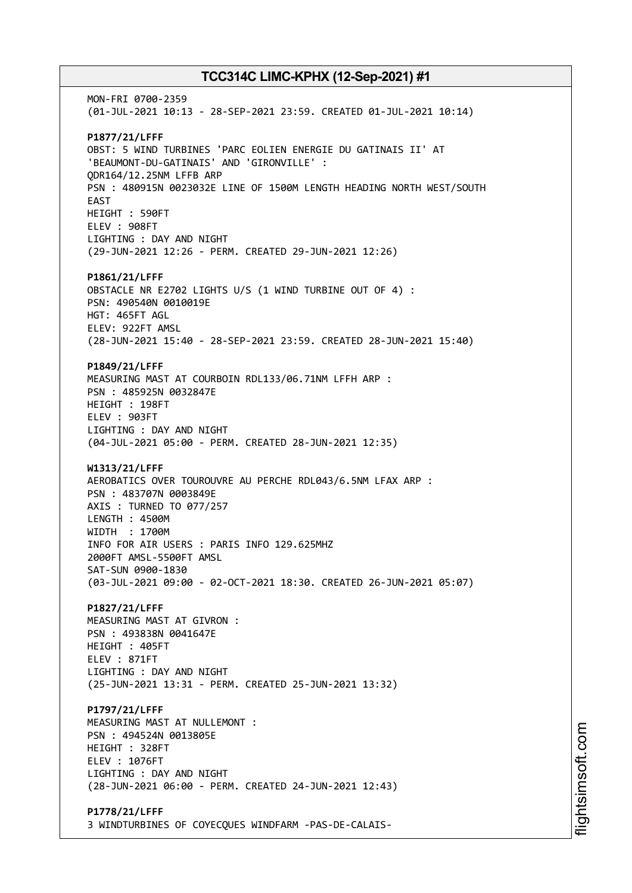MON-FRI 0700-2359 (01-JUL-2021 10:13 - 28-SEP-2021 23:59. CREATED 01-JUL-2021 10:14) **P1877/21/LFFF** OBST: 5 WIND TURBINES 'PARC EOLIEN ENERGIE DU GATINAIS II' AT 'BEAUMONT-DU-GATINAIS' AND 'GIRONVILLE' : QDR164/12.25NM LFFB ARP PSN : 480915N 0023032E LINE OF 1500M LENGTH HEADING NORTH WEST/SOUTH EAST HEIGHT : 590FT ELEV : 908FT LIGHTING : DAY AND NIGHT (29-JUN-2021 12:26 - PERM. CREATED 29-JUN-2021 12:26) **P1861/21/LFFF** OBSTACLE NR E2702 LIGHTS U/S (1 WIND TURBINE OUT OF 4) : PSN: 490540N 0010019E HGT: 465FT AGL ELEV: 922FT AMSL (28-JUN-2021 15:40 - 28-SEP-2021 23:59. CREATED 28-JUN-2021 15:40) **P1849/21/LFFF** MEASURING MAST AT COURBOIN RDL133/06.71NM LFFH ARP : PSN : 485925N 0032847E HEIGHT : 198FT ELEV : 903FT LIGHTING : DAY AND NIGHT (04-JUL-2021 05:00 - PERM. CREATED 28-JUN-2021 12:35) **W1313/21/LFFF** AEROBATICS OVER TOUROUVRE AU PERCHE RDL043/6.5NM LFAX ARP : PSN : 483707N 0003849E AXIS : TURNED TO 077/257 LENGTH : 4500M WIDTH : 1700M INFO FOR AIR USERS : PARIS INFO 129.625MHZ 2000FT AMSL-5500FT AMSL SAT-SUN 0900-1830 (03-JUL-2021 09:00 - 02-OCT-2021 18:30. CREATED 26-JUN-2021 05:07) **P1827/21/LFFF** MEASURING MAST AT GIVRON : PSN : 493838N 0041647E HEIGHT : 405FT ELEV : 871FT LIGHTING : DAY AND NIGHT (25-JUN-2021 13:31 - PERM. CREATED 25-JUN-2021 13:32) **P1797/21/LFFF** MEASURING MAST AT NULLEMONT : PSN : 494524N 0013805E HEIGHT : 328FT ELEV : 1076FT LIGHTING : DAY AND NIGHT (28-JUN-2021 06:00 - PERM. CREATED 24-JUN-2021 12:43) **P1778/21/LFFF** 3 WINDTURBINES OF COYECQUES WINDFARM -PAS-DE-CALAIS-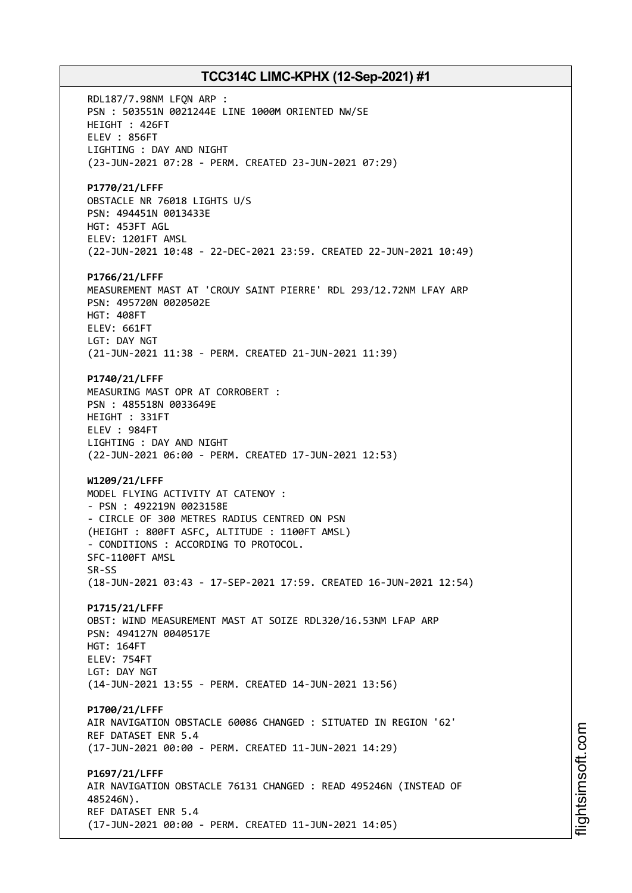RDL187/7.98NM LFQN ARP : PSN : 503551N 0021244E LINE 1000M ORIENTED NW/SE HEIGHT : 426FT ELEV : 856FT LIGHTING : DAY AND NIGHT (23-JUN-2021 07:28 - PERM. CREATED 23-JUN-2021 07:29) **P1770/21/LFFF** OBSTACLE NR 76018 LIGHTS U/S PSN: 494451N 0013433E HGT: 453FT AGL ELEV: 1201FT AMSL (22-JUN-2021 10:48 - 22-DEC-2021 23:59. CREATED 22-JUN-2021 10:49) **P1766/21/LFFF** MEASUREMENT MAST AT 'CROUY SAINT PIERRE' RDL 293/12.72NM LFAY ARP PSN: 495720N 0020502E HGT: 408FT ELEV: 661FT LGT: DAY NGT (21-JUN-2021 11:38 - PERM. CREATED 21-JUN-2021 11:39) **P1740/21/LFFF** MEASURING MAST OPR AT CORROBERT : PSN : 485518N 0033649E HEIGHT : 331FT ELEV : 984FT LIGHTING : DAY AND NIGHT (22-JUN-2021 06:00 - PERM. CREATED 17-JUN-2021 12:53) **W1209/21/LFFF** MODEL FLYING ACTIVITY AT CATENOY : - PSN : 492219N 0023158E - CIRCLE OF 300 METRES RADIUS CENTRED ON PSN (HEIGHT : 800FT ASFC, ALTITUDE : 1100FT AMSL) - CONDITIONS : ACCORDING TO PROTOCOL. SFC-1100FT AMSL SR-SS (18-JUN-2021 03:43 - 17-SEP-2021 17:59. CREATED 16-JUN-2021 12:54) **P1715/21/LFFF** OBST: WIND MEASUREMENT MAST AT SOIZE RDL320/16.53NM LFAP ARP PSN: 494127N 0040517E HGT: 164FT ELEV: 754FT LGT: DAY NGT (14-JUN-2021 13:55 - PERM. CREATED 14-JUN-2021 13:56) **P1700/21/LFFF** AIR NAVIGATION OBSTACLE 60086 CHANGED : SITUATED IN REGION '62' REF DATASET ENR 5.4 (17-JUN-2021 00:00 - PERM. CREATED 11-JUN-2021 14:29) **P1697/21/LFFF** AIR NAVIGATION OBSTACLE 76131 CHANGED : READ 495246N (INSTEAD OF 485246N). REF DATASET ENR 5.4 (17-JUN-2021 00:00 - PERM. CREATED 11-JUN-2021 14:05)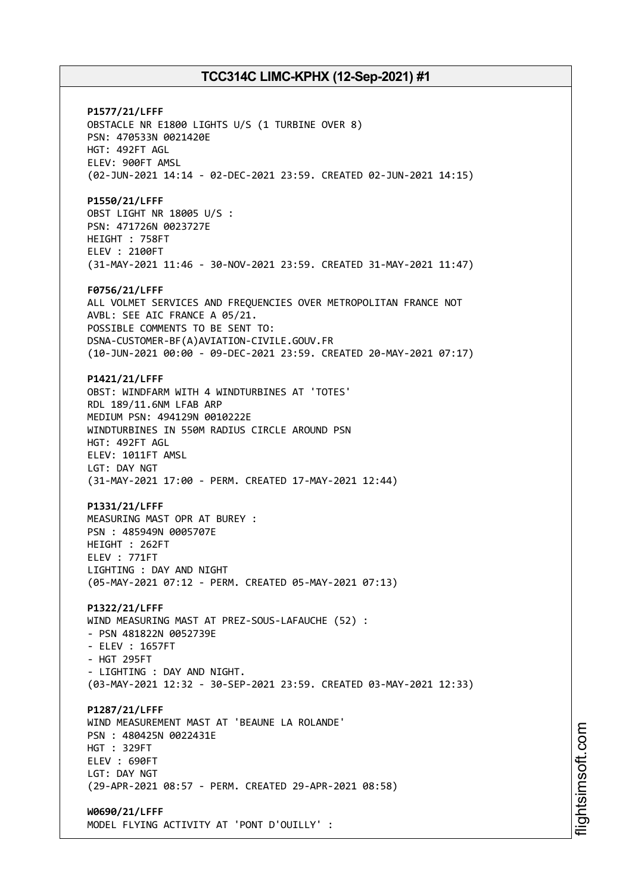**P1577/21/LFFF** OBSTACLE NR E1800 LIGHTS U/S (1 TURBINE OVER 8) PSN: 470533N 0021420E HGT: 492FT AGL ELEV: 900FT AMSL (02-JUN-2021 14:14 - 02-DEC-2021 23:59. CREATED 02-JUN-2021 14:15) **P1550/21/LFFF** OBST LIGHT NR 18005 U/S : PSN: 471726N 0023727E HEIGHT : 758FT ELEV : 2100FT (31-MAY-2021 11:46 - 30-NOV-2021 23:59. CREATED 31-MAY-2021 11:47) **F0756/21/LFFF** ALL VOLMET SERVICES AND FREQUENCIES OVER METROPOLITAN FRANCE NOT AVBL: SEE AIC FRANCE A 05/21. POSSIBLE COMMENTS TO BE SENT TO: DSNA-CUSTOMER-BF(A)AVIATION-CIVILE.GOUV.FR (10-JUN-2021 00:00 - 09-DEC-2021 23:59. CREATED 20-MAY-2021 07:17) **P1421/21/LFFF** OBST: WINDFARM WITH 4 WINDTURBINES AT 'TOTES' RDL 189/11.6NM LFAB ARP MEDIUM PSN: 494129N 0010222E WINDTURBINES IN 550M RADIUS CIRCLE AROUND PSN HGT: 492FT AGL ELEV: 1011FT AMSL LGT: DAY NGT (31-MAY-2021 17:00 - PERM. CREATED 17-MAY-2021 12:44) **P1331/21/LFFF** MEASURING MAST OPR AT BUREY : PSN : 485949N 0005707E HEIGHT : 262FT ELEV : 771FT LIGHTING : DAY AND NIGHT (05-MAY-2021 07:12 - PERM. CREATED 05-MAY-2021 07:13) **P1322/21/LFFF** WIND MEASURING MAST AT PREZ-SOUS-LAFAUCHE (52) : - PSN 481822N 0052739E - ELEV : 1657FT - HGT 295FT - LIGHTING : DAY AND NIGHT. (03-MAY-2021 12:32 - 30-SEP-2021 23:59. CREATED 03-MAY-2021 12:33) **P1287/21/LFFF** WIND MEASUREMENT MAST AT 'BEAUNE LA ROLANDE' PSN : 480425N 0022431E HGT : 329FT ELEV : 690FT LGT: DAY NGT (29-APR-2021 08:57 - PERM. CREATED 29-APR-2021 08:58) **W0690/21/LFFF** MODEL FLYING ACTIVITY AT 'PONT D'OUILLY' :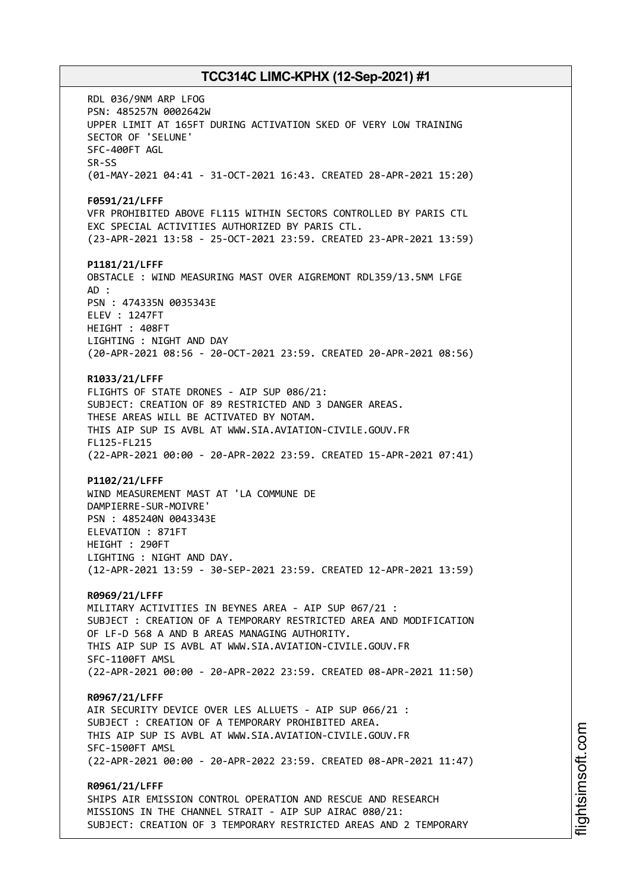RDL 036/9NM ARP LFOG PSN: 485257N 0002642W UPPER LIMIT AT 165FT DURING ACTIVATION SKED OF VERY LOW TRAINING SECTOR OF 'SELUNE' SFC-400FT AGL SR-SS (01-MAY-2021 04:41 - 31-OCT-2021 16:43. CREATED 28-APR-2021 15:20) **F0591/21/LFFF** VFR PROHIBITED ABOVE FL115 WITHIN SECTORS CONTROLLED BY PARIS CTL EXC SPECIAL ACTIVITIES AUTHORIZED BY PARIS CTL. (23-APR-2021 13:58 - 25-OCT-2021 23:59. CREATED 23-APR-2021 13:59) **P1181/21/LFFF** OBSTACLE : WIND MEASURING MAST OVER AIGREMONT RDL359/13.5NM LFGE AD : PSN : 474335N 0035343E ELEV : 1247FT HEIGHT : 408FT LIGHTING : NIGHT AND DAY (20-APR-2021 08:56 - 20-OCT-2021 23:59. CREATED 20-APR-2021 08:56) **R1033/21/LFFF** FLIGHTS OF STATE DRONES - AIP SUP 086/21: SUBJECT: CREATION OF 89 RESTRICTED AND 3 DANGER AREAS. THESE AREAS WILL BE ACTIVATED BY NOTAM. THIS AIP SUP IS AVBL AT WWW.SIA.AVIATION-CIVILE.GOUV.FR FL125-FL215 (22-APR-2021 00:00 - 20-APR-2022 23:59. CREATED 15-APR-2021 07:41) **P1102/21/LFFF** WIND MEASUREMENT MAST AT 'LA COMMUNE DE DAMPIERRE-SUR-MOIVRE' PSN : 485240N 0043343E ELEVATION : 871FT HEIGHT : 290FT LIGHTING : NIGHT AND DAY. (12-APR-2021 13:59 - 30-SEP-2021 23:59. CREATED 12-APR-2021 13:59) **R0969/21/LFFF** MILITARY ACTIVITIES IN BEYNES AREA - AIP SUP 067/21 : SUBJECT : CREATION OF A TEMPORARY RESTRICTED AREA AND MODIFICATION OF LF-D 568 A AND B AREAS MANAGING AUTHORITY. THIS AIP SUP IS AVBL AT WWW.SIA.AVIATION-CIVILE.GOUV.FR SFC-1100FT AMSL (22-APR-2021 00:00 - 20-APR-2022 23:59. CREATED 08-APR-2021 11:50) **R0967/21/LFFF** AIR SECURITY DEVICE OVER LES ALLUETS - AIP SUP 066/21 : SUBJECT : CREATION OF A TEMPORARY PROHIBITED AREA. THIS AIP SUP IS AVBL AT WWW.SIA.AVIATION-CIVILE.GOUV.FR SFC-1500FT AMSL (22-APR-2021 00:00 - 20-APR-2022 23:59. CREATED 08-APR-2021 11:47) **R0961/21/LFFF** SHIPS AIR EMISSION CONTROL OPERATION AND RESCUE AND RESEARCH MISSIONS IN THE CHANNEL STRAIT - AIP SUP AIRAC 080/21:

SUBJECT: CREATION OF 3 TEMPORARY RESTRICTED AREAS AND 2 TEMPORARY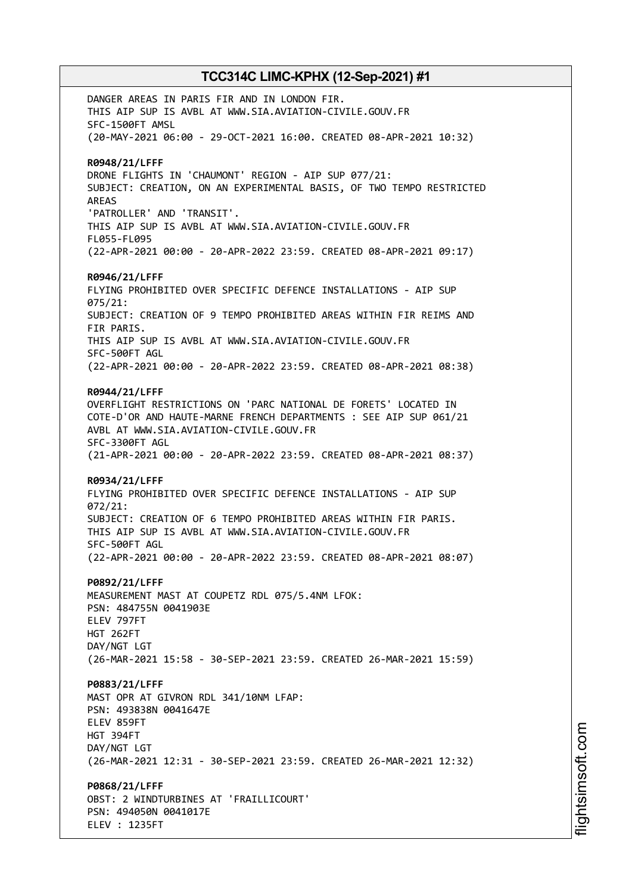DANGER AREAS IN PARIS FIR AND IN LONDON FIR. THIS AIP SUP IS AVBL AT WWW.SIA.AVIATION-CIVILE.GOUV.FR SFC-1500FT AMSL (20-MAY-2021 06:00 - 29-OCT-2021 16:00. CREATED 08-APR-2021 10:32) **R0948/21/LFFF** DRONE FLIGHTS IN 'CHAUMONT' REGION - AIP SUP 077/21: SUBJECT: CREATION, ON AN EXPERIMENTAL BASIS, OF TWO TEMPO RESTRICTED AREAS 'PATROLLER' AND 'TRANSIT'. THIS AIP SUP IS AVBL AT WWW.SIA.AVIATION-CIVILE.GOUV.FR FL055-FL095 (22-APR-2021 00:00 - 20-APR-2022 23:59. CREATED 08-APR-2021 09:17) **R0946/21/LFFF** FLYING PROHIBITED OVER SPECIFIC DEFENCE INSTALLATIONS - AIP SUP 075/21: SUBJECT: CREATION OF 9 TEMPO PROHIBITED AREAS WITHIN FIR REIMS AND FIR PARIS. THIS AIP SUP IS AVBL AT WWW.SIA.AVIATION-CIVILE.GOUV.FR SFC-500FT AGL (22-APR-2021 00:00 - 20-APR-2022 23:59. CREATED 08-APR-2021 08:38) **R0944/21/LFFF** OVERFLIGHT RESTRICTIONS ON 'PARC NATIONAL DE FORETS' LOCATED IN COTE-D'OR AND HAUTE-MARNE FRENCH DEPARTMENTS : SEE AIP SUP 061/21 AVBL AT WWW.SIA.AVIATION-CIVILE.GOUV.FR SFC-3300FT AGL (21-APR-2021 00:00 - 20-APR-2022 23:59. CREATED 08-APR-2021 08:37) **R0934/21/LFFF** FLYING PROHIBITED OVER SPECIFIC DEFENCE INSTALLATIONS - AIP SUP 072/21: SUBJECT: CREATION OF 6 TEMPO PROHIBITED AREAS WITHIN FIR PARIS. THIS AIP SUP IS AVBL AT WWW.SIA.AVIATION-CIVILE.GOUV.FR SFC-500FT AGL (22-APR-2021 00:00 - 20-APR-2022 23:59. CREATED 08-APR-2021 08:07) **P0892/21/LFFF** MEASUREMENT MAST AT COUPETZ RDL 075/5.4NM LFOK: PSN: 484755N 0041903E ELEV 797FT HGT 262FT DAY/NGT LGT (26-MAR-2021 15:58 - 30-SEP-2021 23:59. CREATED 26-MAR-2021 15:59) **P0883/21/LFFF** MAST OPR AT GIVRON RDL 341/10NM LFAP: PSN: 493838N 0041647E ELEV 859FT HGT 394FT DAY/NGT LGT (26-MAR-2021 12:31 - 30-SEP-2021 23:59. CREATED 26-MAR-2021 12:32) **P0868/21/LFFF** OBST: 2 WINDTURBINES AT 'FRAILLICOURT' PSN: 494050N 0041017E

ELEV : 1235FT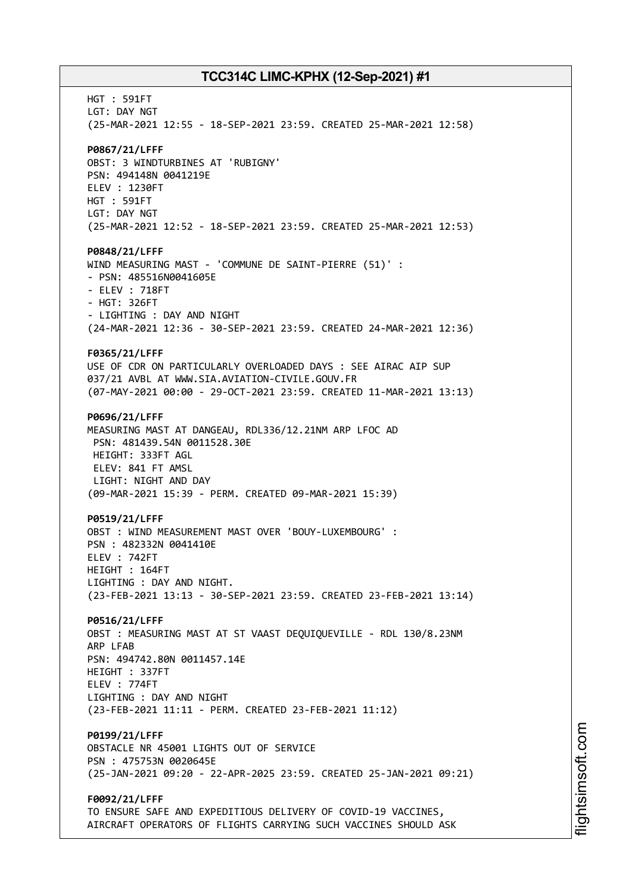HGT : 591FT LGT: DAY NGT (25-MAR-2021 12:55 - 18-SEP-2021 23:59. CREATED 25-MAR-2021 12:58) **P0867/21/LFFF** OBST: 3 WINDTURBINES AT 'RUBIGNY' PSN: 494148N 0041219E ELEV : 1230FT HGT : 591FT LGT: DAY NGT (25-MAR-2021 12:52 - 18-SEP-2021 23:59. CREATED 25-MAR-2021 12:53) **P0848/21/LFFF** WIND MEASURING MAST - 'COMMUNE DE SAINT-PIERRE (51)' : - PSN: 485516N0041605E - ELEV : 718FT - HGT: 326FT - LIGHTING : DAY AND NIGHT (24-MAR-2021 12:36 - 30-SEP-2021 23:59. CREATED 24-MAR-2021 12:36) **F0365/21/LFFF** USE OF CDR ON PARTICULARLY OVERLOADED DAYS : SEE AIRAC AIP SUP 037/21 AVBL AT WWW.SIA.AVIATION-CIVILE.GOUV.FR (07-MAY-2021 00:00 - 29-OCT-2021 23:59. CREATED 11-MAR-2021 13:13) **P0696/21/LFFF** MEASURING MAST AT DANGEAU, RDL336/12.21NM ARP LFOC AD PSN: 481439.54N 0011528.30E HEIGHT: 333FT AGL ELEV: 841 FT AMSL LIGHT: NIGHT AND DAY (09-MAR-2021 15:39 - PERM. CREATED 09-MAR-2021 15:39) **P0519/21/LFFF** OBST : WIND MEASUREMENT MAST OVER 'BOUY-LUXEMBOURG' : PSN : 482332N 0041410E ELEV : 742FT HEIGHT : 164FT LIGHTING : DAY AND NIGHT. (23-FEB-2021 13:13 - 30-SEP-2021 23:59. CREATED 23-FEB-2021 13:14) **P0516/21/LFFF** OBST : MEASURING MAST AT ST VAAST DEQUIQUEVILLE - RDL 130/8.23NM ARP LFAB PSN: 494742.80N 0011457.14E HEIGHT : 337FT ELEV : 774FT LIGHTING : DAY AND NIGHT (23-FEB-2021 11:11 - PERM. CREATED 23-FEB-2021 11:12) **P0199/21/LFFF** OBSTACLE NR 45001 LIGHTS OUT OF SERVICE PSN : 475753N 0020645E (25-JAN-2021 09:20 - 22-APR-2025 23:59. CREATED 25-JAN-2021 09:21) **F0092/21/LFFF** TO ENSURE SAFE AND EXPEDITIOUS DELIVERY OF COVID-19 VACCINES, AIRCRAFT OPERATORS OF FLIGHTS CARRYING SUCH VACCINES SHOULD ASK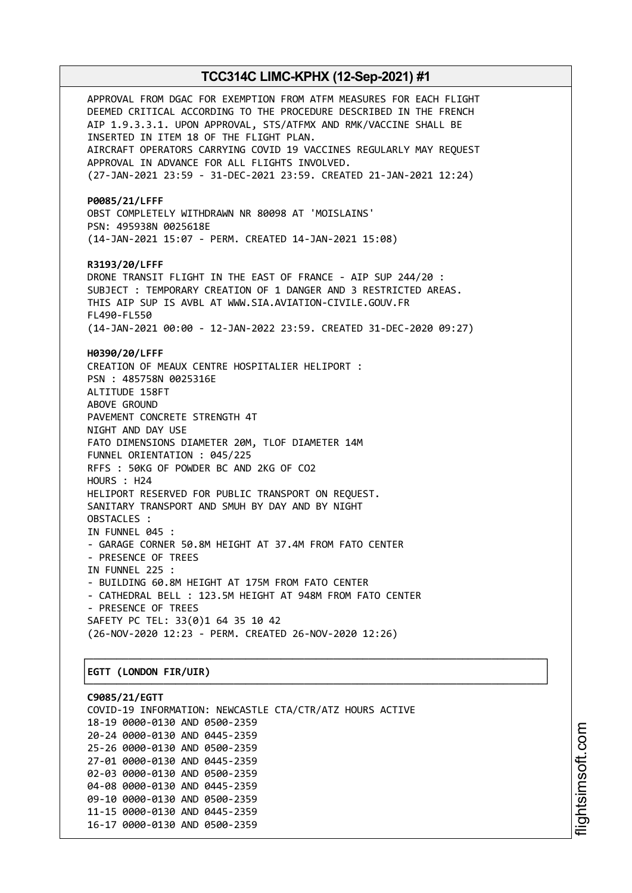APPROVAL FROM DGAC FOR EXEMPTION FROM ATFM MEASURES FOR EACH FLIGHT DEEMED CRITICAL ACCORDING TO THE PROCEDURE DESCRIBED IN THE FRENCH AIP 1.9.3.3.1. UPON APPROVAL, STS/ATFMX AND RMK/VACCINE SHALL BE INSERTED IN ITEM 18 OF THE FLIGHT PLAN. AIRCRAFT OPERATORS CARRYING COVID 19 VACCINES REGULARLY MAY REQUEST APPROVAL IN ADVANCE FOR ALL FLIGHTS INVOLVED. (27-JAN-2021 23:59 - 31-DEC-2021 23:59. CREATED 21-JAN-2021 12:24) **P0085/21/LFFF** OBST COMPLETELY WITHDRAWN NR 80098 AT 'MOISLAINS' PSN: 495938N 0025618E (14-JAN-2021 15:07 - PERM. CREATED 14-JAN-2021 15:08) **R3193/20/LFFF** DRONE TRANSIT FLIGHT IN THE EAST OF FRANCE - AIP SUP 244/20 : SUBJECT : TEMPORARY CREATION OF 1 DANGER AND 3 RESTRICTED AREAS. THIS AIP SUP IS AVBL AT WWW.SIA.AVIATION-CIVILE.GOUV.FR FL490-FL550 (14-JAN-2021 00:00 - 12-JAN-2022 23:59. CREATED 31-DEC-2020 09:27) **H0390/20/LFFF** CREATION OF MEAUX CENTRE HOSPITALIER HELIPORT : PSN : 485758N 0025316E ALTITUDE 158FT ABOVE GROUND PAVEMENT CONCRETE STRENGTH 4T NIGHT AND DAY USE FATO DIMENSIONS DIAMETER 20M, TLOF DIAMETER 14M FUNNEL ORIENTATION : 045/225 RFFS : 50KG OF POWDER BC AND 2KG OF CO2 HOURS : H24 HELIPORT RESERVED FOR PUBLIC TRANSPORT ON REQUEST. SANITARY TRANSPORT AND SMUH BY DAY AND BY NIGHT OBSTACLES : IN FUNNEL 045 : - GARAGE CORNER 50.8M HEIGHT AT 37.4M FROM FATO CENTER - PRESENCE OF TREES IN FUNNEL 225 : - BUILDING 60.8M HEIGHT AT 175M FROM FATO CENTER - CATHEDRAL BELL : 123.5M HEIGHT AT 948M FROM FATO CENTER - PRESENCE OF TREES SAFETY PC TEL: 33(0)1 64 35 10 42 (26-NOV-2020 12:23 - PERM. CREATED 26-NOV-2020 12:26) ┌──────────────────────────────────────────────────────────────────────────────┐ │**EGTT (LONDON FIR/UIR)** │

**C9085/21/EGTT** COVID-19 INFORMATION: NEWCASTLE CTA/CTR/ATZ HOURS ACTIVE 18-19 0000-0130 AND 0500-2359 20-24 0000-0130 AND 0445-2359 25-26 0000-0130 AND 0500-2359 27-01 0000-0130 AND 0445-2359 02-03 0000-0130 AND 0500-2359 04-08 0000-0130 AND 0445-2359 09-10 0000-0130 AND 0500-2359 11-15 0000-0130 AND 0445-2359 16-17 0000-0130 AND 0500-2359

└──────────────────────────────────────────────────────────────────────────────┘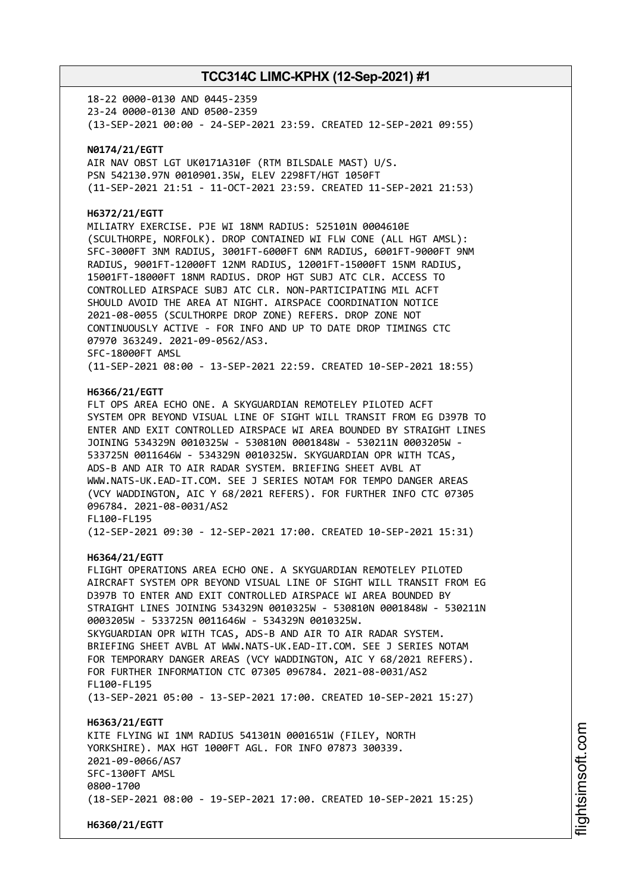18-22 0000-0130 AND 0445-2359 23-24 0000-0130 AND 0500-2359 (13-SEP-2021 00:00 - 24-SEP-2021 23:59. CREATED 12-SEP-2021 09:55)

### **N0174/21/EGTT**

AIR NAV OBST LGT UK0171A310F (RTM BILSDALE MAST) U/S. PSN 542130.97N 0010901.35W, ELEV 2298FT/HGT 1050FT (11-SEP-2021 21:51 - 11-OCT-2021 23:59. CREATED 11-SEP-2021 21:53)

### **H6372/21/EGTT**

MILIATRY EXERCISE. PJE WI 18NM RADIUS: 525101N 0004610E (SCULTHORPE, NORFOLK). DROP CONTAINED WI FLW CONE (ALL HGT AMSL): SFC-3000FT 3NM RADIUS, 3001FT-6000FT 6NM RADIUS, 6001FT-9000FT 9NM RADIUS, 9001FT-12000FT 12NM RADIUS, 12001FT-15000FT 15NM RADIUS, 15001FT-18000FT 18NM RADIUS. DROP HGT SUBJ ATC CLR. ACCESS TO CONTROLLED AIRSPACE SUBJ ATC CLR. NON-PARTICIPATING MIL ACFT SHOULD AVOID THE AREA AT NIGHT. AIRSPACE COORDINATION NOTICE 2021-08-0055 (SCULTHORPE DROP ZONE) REFERS. DROP ZONE NOT CONTINUOUSLY ACTIVE - FOR INFO AND UP TO DATE DROP TIMINGS CTC 07970 363249. 2021-09-0562/AS3. SFC-18000FT AMSL (11-SEP-2021 08:00 - 13-SEP-2021 22:59. CREATED 10-SEP-2021 18:55)

### **H6366/21/EGTT**

FLT OPS AREA ECHO ONE. A SKYGUARDIAN REMOTELEY PILOTED ACFT SYSTEM OPR BEYOND VISUAL LINE OF SIGHT WILL TRANSIT FROM EG D397B TO ENTER AND EXIT CONTROLLED AIRSPACE WI AREA BOUNDED BY STRAIGHT LINES JOINING 534329N 0010325W - 530810N 0001848W - 530211N 0003205W - 533725N 0011646W - 534329N 0010325W. SKYGUARDIAN OPR WITH TCAS, ADS-B AND AIR TO AIR RADAR SYSTEM. BRIEFING SHEET AVBL AT WWW.NATS-UK.EAD-IT.COM. SEE J SERIES NOTAM FOR TEMPO DANGER AREAS (VCY WADDINGTON, AIC Y 68/2021 REFERS). FOR FURTHER INFO CTC 07305 096784. 2021-08-0031/AS2 FL100-FL195

(12-SEP-2021 09:30 - 12-SEP-2021 17:00. CREATED 10-SEP-2021 15:31)

### **H6364/21/EGTT**

FLIGHT OPERATIONS AREA ECHO ONE. A SKYGUARDIAN REMOTELEY PILOTED AIRCRAFT SYSTEM OPR BEYOND VISUAL LINE OF SIGHT WILL TRANSIT FROM EG D397B TO ENTER AND EXIT CONTROLLED AIRSPACE WI AREA BOUNDED BY STRAIGHT LINES JOINING 534329N 0010325W - 530810N 0001848W - 530211N 0003205W - 533725N 0011646W - 534329N 0010325W. SKYGUARDIAN OPR WITH TCAS, ADS-B AND AIR TO AIR RADAR SYSTEM. BRIEFING SHEET AVBL AT WWW.NATS-UK.EAD-IT.COM. SEE J SERIES NOTAM FOR TEMPORARY DANGER AREAS (VCY WADDINGTON, AIC Y 68/2021 REFERS). FOR FURTHER INFORMATION CTC 07305 096784. 2021-08-0031/AS2 FL100-FL195 (13-SEP-2021 05:00 - 13-SEP-2021 17:00. CREATED 10-SEP-2021 15:27) **H6363/21/EGTT** KITE FLYING WI 1NM RADIUS 541301N 0001651W (FILEY, NORTH YORKSHIRE). MAX HGT 1000FT AGL. FOR INFO 07873 300339. 2021-09-0066/AS7 SFC-1300FT AMSL 0800-1700

(18-SEP-2021 08:00 - 19-SEP-2021 17:00. CREATED 10-SEP-2021 15:25)

**H6360/21/EGTT**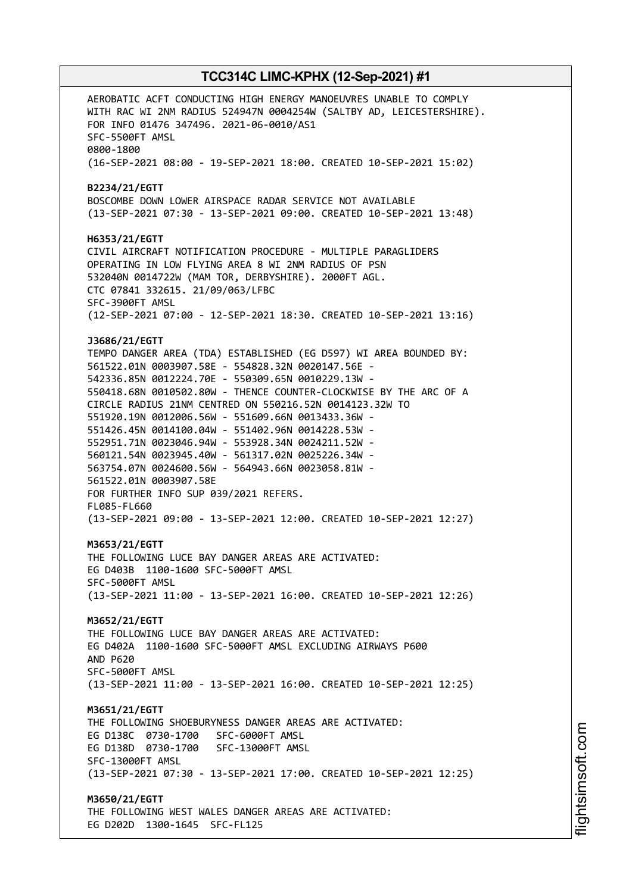AEROBATIC ACFT CONDUCTING HIGH ENERGY MANOEUVRES UNABLE TO COMPLY WITH RAC WI 2NM RADIUS 524947N 0004254W (SALTBY AD, LEICESTERSHIRE). FOR INFO 01476 347496. 2021-06-0010/AS1 SFC-5500FT AMSL 0800-1800 (16-SEP-2021 08:00 - 19-SEP-2021 18:00. CREATED 10-SEP-2021 15:02) **B2234/21/EGTT** BOSCOMBE DOWN LOWER AIRSPACE RADAR SERVICE NOT AVAILABLE (13-SEP-2021 07:30 - 13-SEP-2021 09:00. CREATED 10-SEP-2021 13:48) **H6353/21/EGTT** CIVIL AIRCRAFT NOTIFICATION PROCEDURE - MULTIPLE PARAGLIDERS OPERATING IN LOW FLYING AREA 8 WI 2NM RADIUS OF PSN 532040N 0014722W (MAM TOR, DERBYSHIRE). 2000FT AGL. CTC 07841 332615. 21/09/063/LFBC SFC-3900FT AMSL (12-SEP-2021 07:00 - 12-SEP-2021 18:30. CREATED 10-SEP-2021 13:16) **J3686/21/EGTT** TEMPO DANGER AREA (TDA) ESTABLISHED (EG D597) WI AREA BOUNDED BY: 561522.01N 0003907.58E - 554828.32N 0020147.56E - 542336.85N 0012224.70E - 550309.65N 0010229.13W - 550418.68N 0010502.80W - THENCE COUNTER-CLOCKWISE BY THE ARC OF A CIRCLE RADIUS 21NM CENTRED ON 550216.52N 0014123.32W TO 551920.19N 0012006.56W - 551609.66N 0013433.36W - 551426.45N 0014100.04W - 551402.96N 0014228.53W - 552951.71N 0023046.94W - 553928.34N 0024211.52W - 560121.54N 0023945.40W - 561317.02N 0025226.34W - 563754.07N 0024600.56W - 564943.66N 0023058.81W - 561522.01N 0003907.58E FOR FURTHER INFO SUP 039/2021 REFERS. FL085-FL660 (13-SEP-2021 09:00 - 13-SEP-2021 12:00. CREATED 10-SEP-2021 12:27) **M3653/21/EGTT** THE FOLLOWING LUCE BAY DANGER AREAS ARE ACTIVATED: EG D403B 1100-1600 SFC-5000FT AMSL SFC-5000FT AMSL (13-SEP-2021 11:00 - 13-SEP-2021 16:00. CREATED 10-SEP-2021 12:26) **M3652/21/EGTT** THE FOLLOWING LUCE BAY DANGER AREAS ARE ACTIVATED: EG D402A 1100-1600 SFC-5000FT AMSL EXCLUDING AIRWAYS P600 AND P620 SFC-5000FT AMSL (13-SEP-2021 11:00 - 13-SEP-2021 16:00. CREATED 10-SEP-2021 12:25) **M3651/21/EGTT** THE FOLLOWING SHOEBURYNESS DANGER AREAS ARE ACTIVATED: EG D138C 0730-1700 SFC-6000FT AMSL EG D138D 0730-1700 SFC-13000FT AMSL SFC-13000FT AMSL (13-SEP-2021 07:30 - 13-SEP-2021 17:00. CREATED 10-SEP-2021 12:25) **M3650/21/EGTT** THE FOLLOWING WEST WALES DANGER AREAS ARE ACTIVATED: EG D202D 1300-1645 SFC-FL125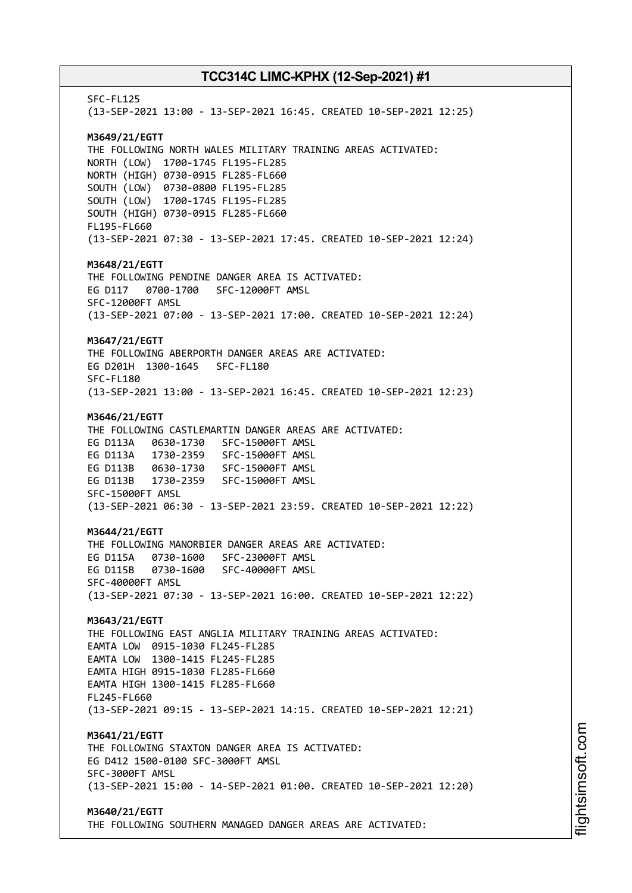SFC-FL125 (13-SEP-2021 13:00 - 13-SEP-2021 16:45. CREATED 10-SEP-2021 12:25) **M3649/21/EGTT** THE FOLLOWING NORTH WALES MILITARY TRAINING AREAS ACTIVATED: NORTH (LOW) 1700-1745 FL195-FL285 NORTH (HIGH) 0730-0915 FL285-FL660 SOUTH (LOW) 0730-0800 FL195-FL285 SOUTH (LOW) 1700-1745 FL195-FL285 SOUTH (HIGH) 0730-0915 FL285-FL660 FL195-FL660 (13-SEP-2021 07:30 - 13-SEP-2021 17:45. CREATED 10-SEP-2021 12:24) **M3648/21/EGTT** THE FOLLOWING PENDINE DANGER AREA IS ACTIVATED: EG D117 0700-1700 SFC-12000FT AMSL SFC-12000FT AMSL (13-SEP-2021 07:00 - 13-SEP-2021 17:00. CREATED 10-SEP-2021 12:24) **M3647/21/EGTT** THE FOLLOWING ABERPORTH DANGER AREAS ARE ACTIVATED: EG D201H 1300-1645 SFC-FL180 SFC-FL180 (13-SEP-2021 13:00 - 13-SEP-2021 16:45. CREATED 10-SEP-2021 12:23) **M3646/21/EGTT** THE FOLLOWING CASTLEMARTIN DANGER AREAS ARE ACTIVATED: EG D113A 0630-1730 SFC-15000FT AMSL EG D113A 1730-2359 SFC-15000FT AMSL EG D113B 0630-1730 SFC-15000FT AMSL EG D113B 1730-2359 SFC-15000FT AMSL SFC-15000FT AMSL (13-SEP-2021 06:30 - 13-SEP-2021 23:59. CREATED 10-SEP-2021 12:22) **M3644/21/EGTT** THE FOLLOWING MANORBIER DANGER AREAS ARE ACTIVATED: EG D115A 0730-1600 SFC-23000FT AMSL EG D115B 0730-1600 SFC-40000FT AMSL SFC-40000FT AMSL (13-SEP-2021 07:30 - 13-SEP-2021 16:00. CREATED 10-SEP-2021 12:22) **M3643/21/EGTT** THE FOLLOWING EAST ANGLIA MILITARY TRAINING AREAS ACTIVATED: EAMTA LOW 0915-1030 FL245-FL285 EAMTA LOW 1300-1415 FL245-FL285 EAMTA HIGH 0915-1030 FL285-FL660 EAMTA HIGH 1300-1415 FL285-FL660 FL245-FL660 (13-SEP-2021 09:15 - 13-SEP-2021 14:15. CREATED 10-SEP-2021 12:21) **M3641/21/EGTT** THE FOLLOWING STAXTON DANGER AREA IS ACTIVATED: EG D412 1500-0100 SFC-3000FT AMSL SFC-3000FT AMSL (13-SEP-2021 15:00 - 14-SEP-2021 01:00. CREATED 10-SEP-2021 12:20) **M3640/21/EGTT** THE FOLLOWING SOUTHERN MANAGED DANGER AREAS ARE ACTIVATED: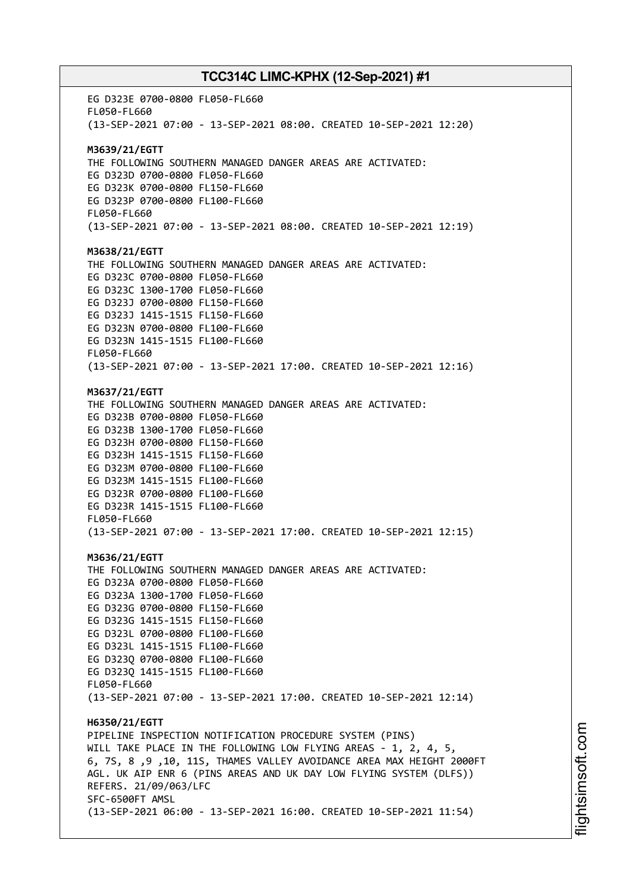EG D323E 0700-0800 FL050-FL660 FL050-FL660 (13-SEP-2021 07:00 - 13-SEP-2021 08:00. CREATED 10-SEP-2021 12:20) **M3639/21/EGTT** THE FOLLOWING SOUTHERN MANAGED DANGER AREAS ARE ACTIVATED: EG D323D 0700-0800 FL050-FL660 EG D323K 0700-0800 FL150-FL660 EG D323P 0700-0800 FL100-FL660 FL050-FL660 (13-SEP-2021 07:00 - 13-SEP-2021 08:00. CREATED 10-SEP-2021 12:19) **M3638/21/EGTT** THE FOLLOWING SOUTHERN MANAGED DANGER AREAS ARE ACTIVATED: EG D323C 0700-0800 FL050-FL660 EG D323C 1300-1700 FL050-FL660 EG D323J 0700-0800 FL150-FL660 EG D323J 1415-1515 FL150-FL660 EG D323N 0700-0800 FL100-FL660 EG D323N 1415-1515 FL100-FL660 FL050-FL660 (13-SEP-2021 07:00 - 13-SEP-2021 17:00. CREATED 10-SEP-2021 12:16) **M3637/21/EGTT** THE FOLLOWING SOUTHERN MANAGED DANGER AREAS ARE ACTIVATED: EG D323B 0700-0800 FL050-FL660 EG D323B 1300-1700 FL050-FL660 EG D323H 0700-0800 FL150-FL660 EG D323H 1415-1515 FL150-FL660 EG D323M 0700-0800 FL100-FL660 EG D323M 1415-1515 FL100-FL660 EG D323R 0700-0800 FL100-FL660 EG D323R 1415-1515 FL100-FL660 FL050-FL660 (13-SEP-2021 07:00 - 13-SEP-2021 17:00. CREATED 10-SEP-2021 12:15) **M3636/21/EGTT** THE FOLLOWING SOUTHERN MANAGED DANGER AREAS ARE ACTIVATED: EG D323A 0700-0800 FL050-FL660 EG D323A 1300-1700 FL050-FL660 EG D323G 0700-0800 FL150-FL660 EG D323G 1415-1515 FL150-FL660 EG D323L 0700-0800 FL100-FL660 EG D323L 1415-1515 FL100-FL660 EG D323Q 0700-0800 FL100-FL660 EG D323Q 1415-1515 FL100-FL660 FL050-FL660 (13-SEP-2021 07:00 - 13-SEP-2021 17:00. CREATED 10-SEP-2021 12:14) **H6350/21/EGTT** PIPELINE INSPECTION NOTIFICATION PROCEDURE SYSTEM (PINS) WILL TAKE PLACE IN THE FOLLOWING LOW FLYING AREAS - 1, 2, 4, 5, 6, 7S, 8 ,9 ,10, 11S, THAMES VALLEY AVOIDANCE AREA MAX HEIGHT 2000FT AGL. UK AIP ENR 6 (PINS AREAS AND UK DAY LOW FLYING SYSTEM (DLFS)) REFERS. 21/09/063/LFC SFC-6500FT AMSL (13-SEP-2021 06:00 - 13-SEP-2021 16:00. CREATED 10-SEP-2021 11:54)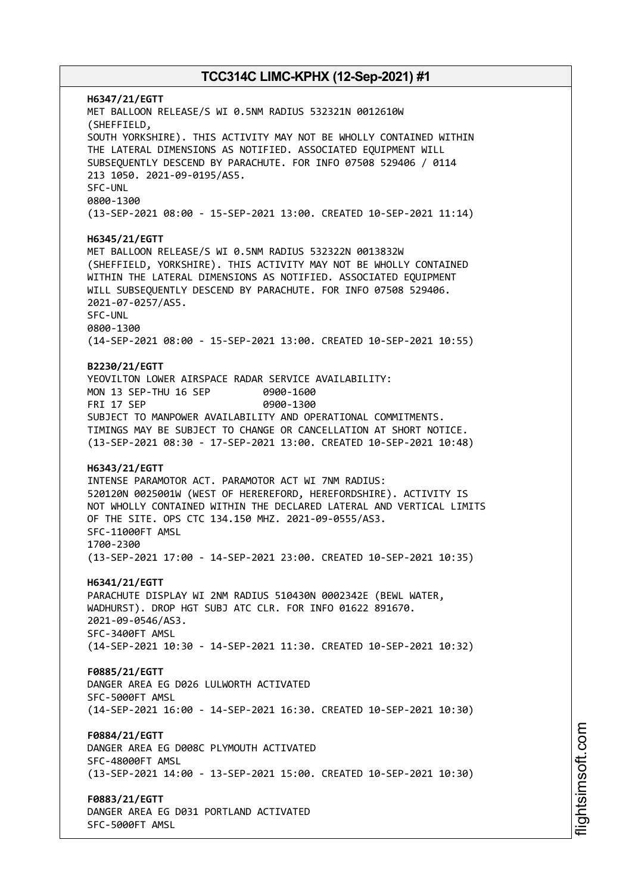**H6347/21/EGTT** MET BALLOON RELEASE/S WI 0.5NM RADIUS 532321N 0012610W (SHEFFIELD, SOUTH YORKSHIRE). THIS ACTIVITY MAY NOT BE WHOLLY CONTAINED WITHIN THE LATERAL DIMENSIONS AS NOTIFIED. ASSOCIATED EQUIPMENT WILL SUBSEQUENTLY DESCEND BY PARACHUTE. FOR INFO 07508 529406 / 0114 213 1050. 2021-09-0195/AS5. SFC-UNL 0800-1300 (13-SEP-2021 08:00 - 15-SEP-2021 13:00. CREATED 10-SEP-2021 11:14) **H6345/21/EGTT** MET BALLOON RELEASE/S WI 0.5NM RADIUS 532322N 0013832W (SHEFFIELD, YORKSHIRE). THIS ACTIVITY MAY NOT BE WHOLLY CONTAINED WITHIN THE LATERAL DIMENSIONS AS NOTIFIED. ASSOCIATED EQUIPMENT WILL SUBSEQUENTLY DESCEND BY PARACHUTE. FOR INFO 07508 529406. 2021-07-0257/AS5. SFC-UNL 0800-1300 (14-SEP-2021 08:00 - 15-SEP-2021 13:00. CREATED 10-SEP-2021 10:55) **B2230/21/EGTT** YEOVILTON LOWER AIRSPACE RADAR SERVICE AVAILABILITY: MON 13 SEP-THU 16 SEP 0900-1600 FRI 17 SEP 0900-1300 SUBJECT TO MANPOWER AVAILABILITY AND OPERATIONAL COMMITMENTS. TIMINGS MAY BE SUBJECT TO CHANGE OR CANCELLATION AT SHORT NOTICE. (13-SEP-2021 08:30 - 17-SEP-2021 13:00. CREATED 10-SEP-2021 10:48) **H6343/21/EGTT** INTENSE PARAMOTOR ACT. PARAMOTOR ACT WI 7NM RADIUS: 520120N 0025001W (WEST OF HEREREFORD, HEREFORDSHIRE). ACTIVITY IS NOT WHOLLY CONTAINED WITHIN THE DECLARED LATERAL AND VERTICAL LIMITS OF THE SITE. OPS CTC 134.150 MHZ. 2021-09-0555/AS3. SFC-11000FT AMSL 1700-2300 (13-SEP-2021 17:00 - 14-SEP-2021 23:00. CREATED 10-SEP-2021 10:35) **H6341/21/EGTT** PARACHUTE DISPLAY WI 2NM RADIUS 510430N 0002342E (BEWL WATER, WADHURST). DROP HGT SUBJ ATC CLR. FOR INFO 01622 891670. 2021-09-0546/AS3. SFC-3400FT AMSL (14-SEP-2021 10:30 - 14-SEP-2021 11:30. CREATED 10-SEP-2021 10:32) **F0885/21/EGTT** DANGER AREA EG D026 LULWORTH ACTIVATED SFC-5000FT AMSL (14-SEP-2021 16:00 - 14-SEP-2021 16:30. CREATED 10-SEP-2021 10:30) **F0884/21/EGTT** DANGER AREA EG D008C PLYMOUTH ACTIVATED SFC-48000FT AMSL (13-SEP-2021 14:00 - 13-SEP-2021 15:00. CREATED 10-SEP-2021 10:30) **F0883/21/EGTT** DANGER AREA EG D031 PORTLAND ACTIVATED SFC-5000FT AMSL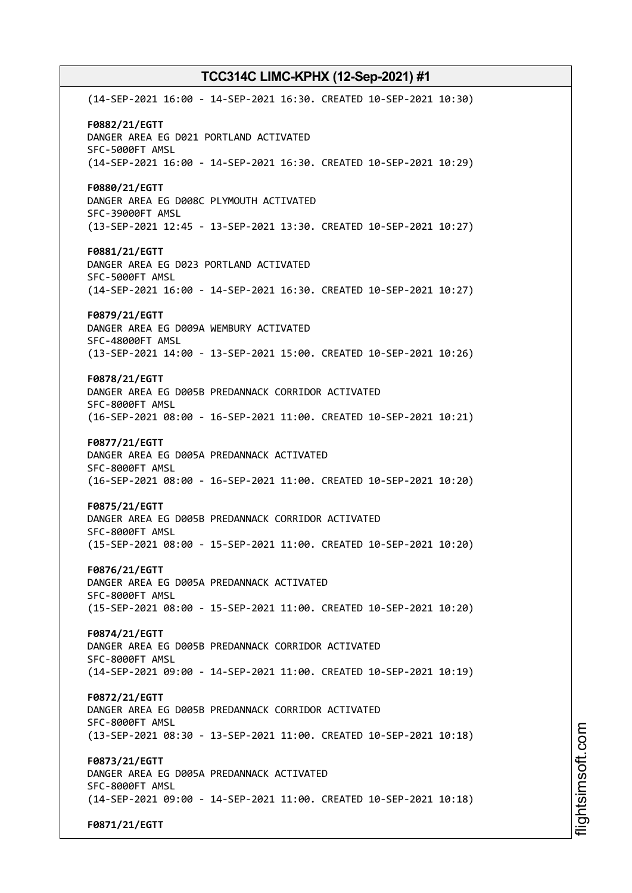(14-SEP-2021 16:00 - 14-SEP-2021 16:30. CREATED 10-SEP-2021 10:30) **F0882/21/EGTT** DANGER AREA EG D021 PORTLAND ACTIVATED SFC-5000FT AMSL (14-SEP-2021 16:00 - 14-SEP-2021 16:30. CREATED 10-SEP-2021 10:29) **F0880/21/EGTT** DANGER AREA EG D008C PLYMOUTH ACTIVATED SFC-39000FT AMSL (13-SEP-2021 12:45 - 13-SEP-2021 13:30. CREATED 10-SEP-2021 10:27) **F0881/21/EGTT** DANGER AREA EG D023 PORTLAND ACTIVATED SFC-5000FT AMSL (14-SEP-2021 16:00 - 14-SEP-2021 16:30. CREATED 10-SEP-2021 10:27) **F0879/21/EGTT** DANGER AREA EG D009A WEMBURY ACTIVATED SFC-48000FT AMSL (13-SEP-2021 14:00 - 13-SEP-2021 15:00. CREATED 10-SEP-2021 10:26) **F0878/21/EGTT** DANGER AREA EG D005B PREDANNACK CORRIDOR ACTIVATED SFC-8000FT AMSL (16-SEP-2021 08:00 - 16-SEP-2021 11:00. CREATED 10-SEP-2021 10:21) **F0877/21/EGTT** DANGER AREA EG D005A PREDANNACK ACTIVATED SFC-8000FT AMSL (16-SEP-2021 08:00 - 16-SEP-2021 11:00. CREATED 10-SEP-2021 10:20) **F0875/21/EGTT** DANGER AREA EG D005B PREDANNACK CORRIDOR ACTIVATED SFC-8000FT AMSL (15-SEP-2021 08:00 - 15-SEP-2021 11:00. CREATED 10-SEP-2021 10:20) **F0876/21/EGTT** DANGER AREA EG D005A PREDANNACK ACTIVATED SFC-8000FT AMSL (15-SEP-2021 08:00 - 15-SEP-2021 11:00. CREATED 10-SEP-2021 10:20) **F0874/21/EGTT** DANGER AREA EG D005B PREDANNACK CORRIDOR ACTIVATED SFC-8000FT AMSL (14-SEP-2021 09:00 - 14-SEP-2021 11:00. CREATED 10-SEP-2021 10:19) **F0872/21/EGTT** DANGER AREA EG D005B PREDANNACK CORRIDOR ACTIVATED SFC-8000FT AMSL (13-SEP-2021 08:30 - 13-SEP-2021 11:00. CREATED 10-SEP-2021 10:18) **F0873/21/EGTT** DANGER AREA EG D005A PREDANNACK ACTIVATED SFC-8000FT AMSL (14-SEP-2021 09:00 - 14-SEP-2021 11:00. CREATED 10-SEP-2021 10:18) **F0871/21/EGTT**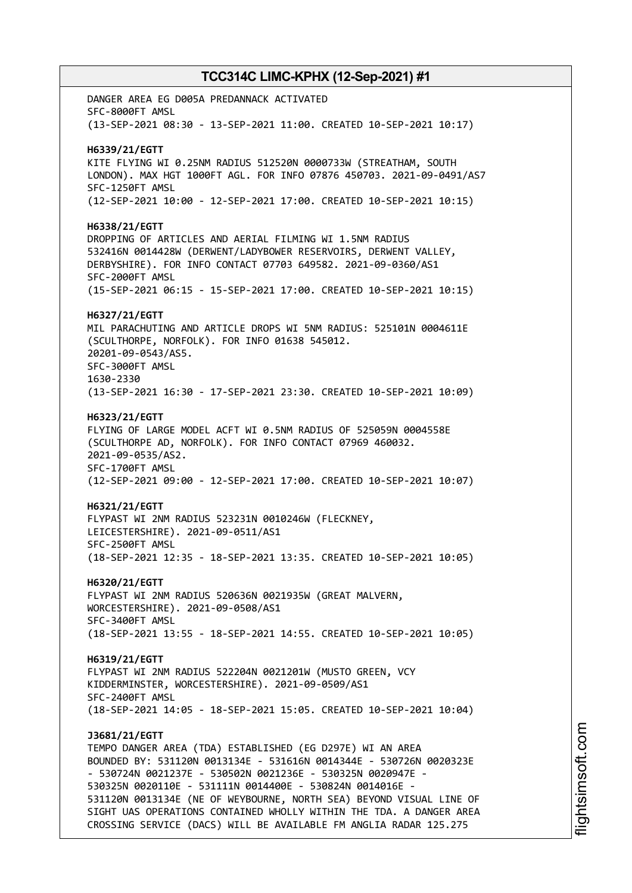DANGER AREA EG D005A PREDANNACK ACTIVATED SFC-8000FT AMSL (13-SEP-2021 08:30 - 13-SEP-2021 11:00. CREATED 10-SEP-2021 10:17) **H6339/21/EGTT** KITE FLYING WI 0.25NM RADIUS 512520N 0000733W (STREATHAM, SOUTH LONDON). MAX HGT 1000FT AGL. FOR INFO 07876 450703. 2021-09-0491/AS7 SFC-1250FT AMSL (12-SEP-2021 10:00 - 12-SEP-2021 17:00. CREATED 10-SEP-2021 10:15) **H6338/21/EGTT** DROPPING OF ARTICLES AND AERIAL FILMING WI 1.5NM RADIUS 532416N 0014428W (DERWENT/LADYBOWER RESERVOIRS, DERWENT VALLEY, DERBYSHIRE). FOR INFO CONTACT 07703 649582. 2021-09-0360/AS1 SFC-2000FT AMSL (15-SEP-2021 06:15 - 15-SEP-2021 17:00. CREATED 10-SEP-2021 10:15) **H6327/21/EGTT** MIL PARACHUTING AND ARTICLE DROPS WI 5NM RADIUS: 525101N 0004611E (SCULTHORPE, NORFOLK). FOR INFO 01638 545012. 20201-09-0543/AS5. SFC-3000FT AMSL 1630-2330 (13-SEP-2021 16:30 - 17-SEP-2021 23:30. CREATED 10-SEP-2021 10:09) **H6323/21/EGTT** FLYING OF LARGE MODEL ACFT WI 0.5NM RADIUS OF 525059N 0004558E (SCULTHORPE AD, NORFOLK). FOR INFO CONTACT 07969 460032. 2021-09-0535/AS2. SFC-1700FT AMSL (12-SEP-2021 09:00 - 12-SEP-2021 17:00. CREATED 10-SEP-2021 10:07) **H6321/21/EGTT** FLYPAST WI 2NM RADIUS 523231N 0010246W (FLECKNEY, LEICESTERSHIRE). 2021-09-0511/AS1 SFC-2500FT AMSL (18-SEP-2021 12:35 - 18-SEP-2021 13:35. CREATED 10-SEP-2021 10:05) **H6320/21/EGTT** FLYPAST WI 2NM RADIUS 520636N 0021935W (GREAT MALVERN, WORCESTERSHIRE). 2021-09-0508/AS1 SFC-3400FT AMSL (18-SEP-2021 13:55 - 18-SEP-2021 14:55. CREATED 10-SEP-2021 10:05) **H6319/21/EGTT** FLYPAST WI 2NM RADIUS 522204N 0021201W (MUSTO GREEN, VCY KIDDERMINSTER, WORCESTERSHIRE). 2021-09-0509/AS1 SFC-2400FT AMSL (18-SEP-2021 14:05 - 18-SEP-2021 15:05. CREATED 10-SEP-2021 10:04) **J3681/21/EGTT** TEMPO DANGER AREA (TDA) ESTABLISHED (EG D297E) WI AN AREA BOUNDED BY: 531120N 0013134E - 531616N 0014344E - 530726N 0020323E - 530724N 0021237E - 530502N 0021236E - 530325N 0020947E - 530325N 0020110E - 531111N 0014400E - 530824N 0014016E - 531120N 0013134E (NE OF WEYBOURNE, NORTH SEA) BEYOND VISUAL LINE OF SIGHT UAS OPERATIONS CONTAINED WHOLLY WITHIN THE TDA. A DANGER AREA CROSSING SERVICE (DACS) WILL BE AVAILABLE FM ANGLIA RADAR 125.275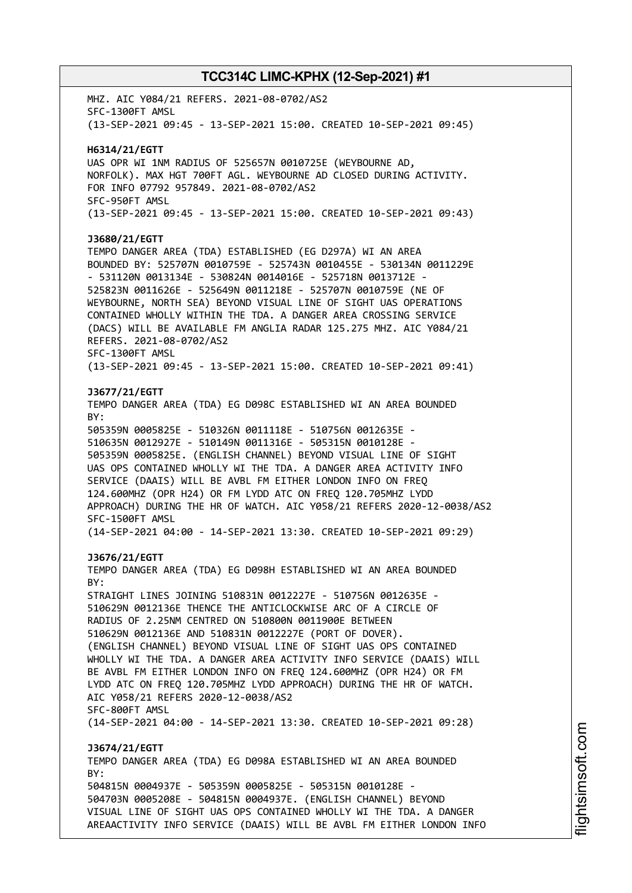MHZ. AIC Y084/21 REFERS. 2021-08-0702/AS2 SFC-1300FT AMSL (13-SEP-2021 09:45 - 13-SEP-2021 15:00. CREATED 10-SEP-2021 09:45) **H6314/21/EGTT** UAS OPR WI 1NM RADIUS OF 525657N 0010725E (WEYBOURNE AD, NORFOLK). MAX HGT 700FT AGL. WEYBOURNE AD CLOSED DURING ACTIVITY. FOR INFO 07792 957849. 2021-08-0702/AS2 SFC-950FT AMSL (13-SEP-2021 09:45 - 13-SEP-2021 15:00. CREATED 10-SEP-2021 09:43) **J3680/21/EGTT** TEMPO DANGER AREA (TDA) ESTABLISHED (EG D297A) WI AN AREA BOUNDED BY: 525707N 0010759E - 525743N 0010455E - 530134N 0011229E - 531120N 0013134E - 530824N 0014016E - 525718N 0013712E - 525823N 0011626E - 525649N 0011218E - 525707N 0010759E (NE OF WEYBOURNE, NORTH SEA) BEYOND VISUAL LINE OF SIGHT UAS OPERATIONS CONTAINED WHOLLY WITHIN THE TDA. A DANGER AREA CROSSING SERVICE (DACS) WILL BE AVAILABLE FM ANGLIA RADAR 125.275 MHZ. AIC Y084/21 REFERS. 2021-08-0702/AS2 SFC-1300FT AMSL (13-SEP-2021 09:45 - 13-SEP-2021 15:00. CREATED 10-SEP-2021 09:41) **J3677/21/EGTT** TEMPO DANGER AREA (TDA) EG D098C ESTABLISHED WI AN AREA BOUNDED BY: 505359N 0005825E - 510326N 0011118E - 510756N 0012635E - 510635N 0012927E - 510149N 0011316E - 505315N 0010128E - 505359N 0005825E. (ENGLISH CHANNEL) BEYOND VISUAL LINE OF SIGHT UAS OPS CONTAINED WHOLLY WI THE TDA. A DANGER AREA ACTIVITY INFO SERVICE (DAAIS) WILL BE AVBL FM EITHER LONDON INFO ON FREQ 124.600MHZ (OPR H24) OR FM LYDD ATC ON FREQ 120.705MHZ LYDD APPROACH) DURING THE HR OF WATCH. AIC Y058/21 REFERS 2020-12-0038/AS2 SFC-1500FT AMSL (14-SEP-2021 04:00 - 14-SEP-2021 13:30. CREATED 10-SEP-2021 09:29) **J3676/21/EGTT** TEMPO DANGER AREA (TDA) EG D098H ESTABLISHED WI AN AREA BOUNDED  $RY$ STRAIGHT LINES JOINING 510831N 0012227E - 510756N 0012635E - 510629N 0012136E THENCE THE ANTICLOCKWISE ARC OF A CIRCLE OF RADIUS OF 2.25NM CENTRED ON 510800N 0011900E BETWEEN 510629N 0012136E AND 510831N 0012227E (PORT OF DOVER). (ENGLISH CHANNEL) BEYOND VISUAL LINE OF SIGHT UAS OPS CONTAINED WHOLLY WI THE TDA. A DANGER AREA ACTIVITY INFO SERVICE (DAAIS) WILL BE AVBL FM EITHER LONDON INFO ON FREQ 124.600MHZ (OPR H24) OR FM LYDD ATC ON FREQ 120.705MHZ LYDD APPROACH) DURING THE HR OF WATCH. AIC Y058/21 REFERS 2020-12-0038/AS2 SFC-800FT AMSL (14-SEP-2021 04:00 - 14-SEP-2021 13:30. CREATED 10-SEP-2021 09:28) **J3674/21/EGTT** TEMPO DANGER AREA (TDA) EG D098A ESTABLISHED WI AN AREA BOUNDED BY: 504815N 0004937E - 505359N 0005825E - 505315N 0010128E - 504703N 0005208E - 504815N 0004937E. (ENGLISH CHANNEL) BEYOND VISUAL LINE OF SIGHT UAS OPS CONTAINED WHOLLY WI THE TDA. A DANGER AREAACTIVITY INFO SERVICE (DAAIS) WILL BE AVBL FM EITHER LONDON INFO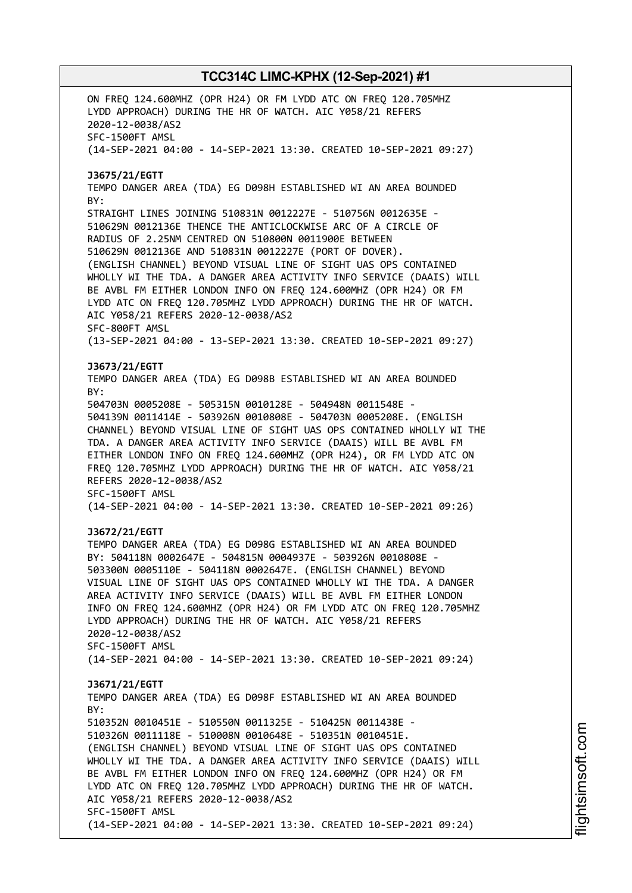ON FREQ 124.600MHZ (OPR H24) OR FM LYDD ATC ON FREQ 120.705MHZ LYDD APPROACH) DURING THE HR OF WATCH. AIC Y058/21 REFERS 2020-12-0038/AS2 SFC-1500FT AMSL (14-SEP-2021 04:00 - 14-SEP-2021 13:30. CREATED 10-SEP-2021 09:27) **J3675/21/EGTT** TEMPO DANGER AREA (TDA) EG D098H ESTABLISHED WI AN AREA BOUNDED BY: STRAIGHT LINES JOINING 510831N 0012227E - 510756N 0012635E - 510629N 0012136E THENCE THE ANTICLOCKWISE ARC OF A CIRCLE OF RADIUS OF 2.25NM CENTRED ON 510800N 0011900E BETWEEN 510629N 0012136E AND 510831N 0012227E (PORT OF DOVER). (ENGLISH CHANNEL) BEYOND VISUAL LINE OF SIGHT UAS OPS CONTAINED WHOLLY WI THE TDA. A DANGER AREA ACTIVITY INFO SERVICE (DAAIS) WILL BE AVBL FM EITHER LONDON INFO ON FREQ 124.600MHZ (OPR H24) OR FM LYDD ATC ON FREQ 120.705MHZ LYDD APPROACH) DURING THE HR OF WATCH. AIC Y058/21 REFERS 2020-12-0038/AS2 SFC-800FT AMSL (13-SEP-2021 04:00 - 13-SEP-2021 13:30. CREATED 10-SEP-2021 09:27) **J3673/21/EGTT** TEMPO DANGER AREA (TDA) EG D098B ESTABLISHED WI AN AREA BOUNDED BY: 504703N 0005208E - 505315N 0010128E - 504948N 0011548E - 504139N 0011414E - 503926N 0010808E - 504703N 0005208E. (ENGLISH CHANNEL) BEYOND VISUAL LINE OF SIGHT UAS OPS CONTAINED WHOLLY WI THE TDA. A DANGER AREA ACTIVITY INFO SERVICE (DAAIS) WILL BE AVBL FM EITHER LONDON INFO ON FREQ 124.600MHZ (OPR H24), OR FM LYDD ATC ON FREQ 120.705MHZ LYDD APPROACH) DURING THE HR OF WATCH. AIC Y058/21 REFERS 2020-12-0038/AS2 SFC-1500FT AMSL (14-SEP-2021 04:00 - 14-SEP-2021 13:30. CREATED 10-SEP-2021 09:26) **J3672/21/EGTT** TEMPO DANGER AREA (TDA) EG D098G ESTABLISHED WI AN AREA BOUNDED BY: 504118N 0002647E - 504815N 0004937E - 503926N 0010808E - 503300N 0005110E - 504118N 0002647E. (ENGLISH CHANNEL) BEYOND VISUAL LINE OF SIGHT UAS OPS CONTAINED WHOLLY WI THE TDA. A DANGER AREA ACTIVITY INFO SERVICE (DAAIS) WILL BE AVBL FM EITHER LONDON INFO ON FREQ 124.600MHZ (OPR H24) OR FM LYDD ATC ON FREQ 120.705MHZ LYDD APPROACH) DURING THE HR OF WATCH. AIC Y058/21 REFERS 2020-12-0038/AS2 SFC-1500FT AMSL (14-SEP-2021 04:00 - 14-SEP-2021 13:30. CREATED 10-SEP-2021 09:24) **J3671/21/EGTT** TEMPO DANGER AREA (TDA) EG D098F ESTABLISHED WI AN AREA BOUNDED  $RY$ 510352N 0010451E - 510550N 0011325E - 510425N 0011438E - 510326N 0011118E - 510008N 0010648E - 510351N 0010451E. (ENGLISH CHANNEL) BEYOND VISUAL LINE OF SIGHT UAS OPS CONTAINED WHOLLY WI THE TDA. A DANGER AREA ACTIVITY INFO SERVICE (DAAIS) WILL BE AVBL FM EITHER LONDON INFO ON FREQ 124.600MHZ (OPR H24) OR FM LYDD ATC ON FREQ 120.705MHZ LYDD APPROACH) DURING THE HR OF WATCH. AIC Y058/21 REFERS 2020-12-0038/AS2 SFC-1500FT AMSL (14-SEP-2021 04:00 - 14-SEP-2021 13:30. CREATED 10-SEP-2021 09:24)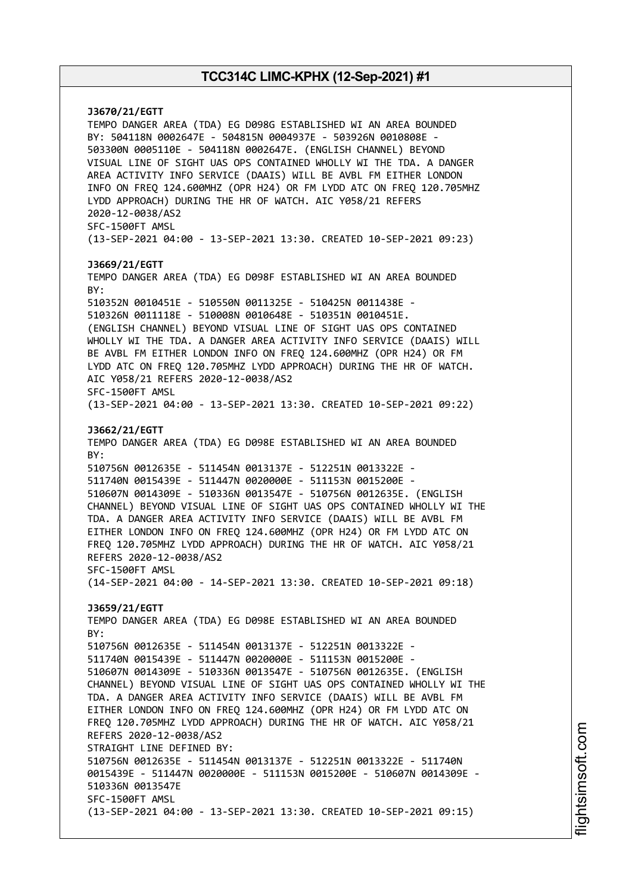**J3670/21/EGTT** TEMPO DANGER AREA (TDA) EG D098G ESTABLISHED WI AN AREA BOUNDED BY: 504118N 0002647E - 504815N 0004937E - 503926N 0010808E - 503300N 0005110E - 504118N 0002647E. (ENGLISH CHANNEL) BEYOND VISUAL LINE OF SIGHT UAS OPS CONTAINED WHOLLY WI THE TDA. A DANGER AREA ACTIVITY INFO SERVICE (DAAIS) WILL BE AVBL FM EITHER LONDON INFO ON FREQ 124.600MHZ (OPR H24) OR FM LYDD ATC ON FREQ 120.705MHZ LYDD APPROACH) DURING THE HR OF WATCH. AIC Y058/21 REFERS 2020-12-0038/AS2 SFC-1500FT AMSL (13-SEP-2021 04:00 - 13-SEP-2021 13:30. CREATED 10-SEP-2021 09:23) **J3669/21/EGTT** TEMPO DANGER AREA (TDA) EG D098F ESTABLISHED WI AN AREA BOUNDED BY: 510352N 0010451E - 510550N 0011325E - 510425N 0011438E - 510326N 0011118E - 510008N 0010648E - 510351N 0010451E. (ENGLISH CHANNEL) BEYOND VISUAL LINE OF SIGHT UAS OPS CONTAINED WHOLLY WI THE TDA. A DANGER AREA ACTIVITY INFO SERVICE (DAAIS) WILL BE AVBL FM EITHER LONDON INFO ON FREQ 124.600MHZ (OPR H24) OR FM LYDD ATC ON FREQ 120.705MHZ LYDD APPROACH) DURING THE HR OF WATCH. AIC Y058/21 REFERS 2020-12-0038/AS2 SFC-1500FT AMSL (13-SEP-2021 04:00 - 13-SEP-2021 13:30. CREATED 10-SEP-2021 09:22) **J3662/21/EGTT** TEMPO DANGER AREA (TDA) EG D098E ESTABLISHED WI AN AREA BOUNDED BY: 510756N 0012635E - 511454N 0013137E - 512251N 0013322E - 511740N 0015439E - 511447N 0020000E - 511153N 0015200E - 510607N 0014309E - 510336N 0013547E - 510756N 0012635E. (ENGLISH CHANNEL) BEYOND VISUAL LINE OF SIGHT UAS OPS CONTAINED WHOLLY WI THE TDA. A DANGER AREA ACTIVITY INFO SERVICE (DAAIS) WILL BE AVBL FM EITHER LONDON INFO ON FREQ 124.600MHZ (OPR H24) OR FM LYDD ATC ON FREQ 120.705MHZ LYDD APPROACH) DURING THE HR OF WATCH. AIC Y058/21 REFERS 2020-12-0038/AS2 SFC-1500FT AMSL (14-SEP-2021 04:00 - 14-SEP-2021 13:30. CREATED 10-SEP-2021 09:18) **J3659/21/EGTT** TEMPO DANGER AREA (TDA) EG D098E ESTABLISHED WI AN AREA BOUNDED BY: 510756N 0012635E - 511454N 0013137E - 512251N 0013322E - 511740N 0015439E - 511447N 0020000E - 511153N 0015200E - 510607N 0014309E - 510336N 0013547E - 510756N 0012635E. (ENGLISH CHANNEL) BEYOND VISUAL LINE OF SIGHT UAS OPS CONTAINED WHOLLY WI THE TDA. A DANGER AREA ACTIVITY INFO SERVICE (DAAIS) WILL BE AVBL FM EITHER LONDON INFO ON FREQ 124.600MHZ (OPR H24) OR FM LYDD ATC ON FREQ 120.705MHZ LYDD APPROACH) DURING THE HR OF WATCH. AIC Y058/21 REFERS 2020-12-0038/AS2 STRAIGHT LINE DEFINED BY: 510756N 0012635E - 511454N 0013137E - 512251N 0013322E - 511740N 0015439E - 511447N 0020000E - 511153N 0015200E - 510607N 0014309E - 510336N 0013547E SFC-1500FT AMSL (13-SEP-2021 04:00 - 13-SEP-2021 13:30. CREATED 10-SEP-2021 09:15)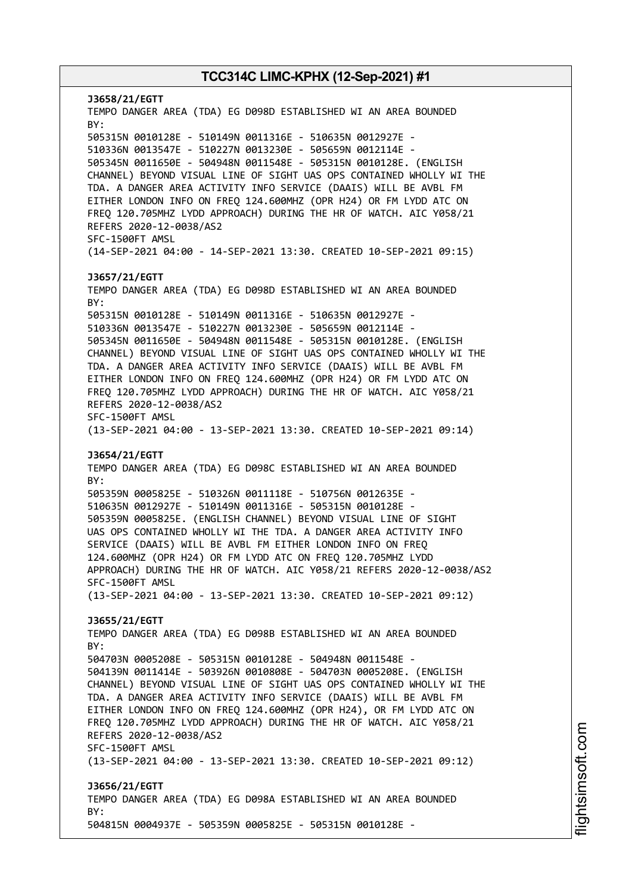**J3658/21/EGTT** TEMPO DANGER AREA (TDA) EG D098D ESTABLISHED WI AN AREA BOUNDED BY: 505315N 0010128E - 510149N 0011316E - 510635N 0012927E - 510336N 0013547E - 510227N 0013230E - 505659N 0012114E - 505345N 0011650E - 504948N 0011548E - 505315N 0010128E. (ENGLISH CHANNEL) BEYOND VISUAL LINE OF SIGHT UAS OPS CONTAINED WHOLLY WI THE TDA. A DANGER AREA ACTIVITY INFO SERVICE (DAAIS) WILL BE AVBL FM EITHER LONDON INFO ON FREQ 124.600MHZ (OPR H24) OR FM LYDD ATC ON FREQ 120.705MHZ LYDD APPROACH) DURING THE HR OF WATCH. AIC Y058/21 REFERS 2020-12-0038/AS2 SFC-1500FT AMSL (14-SEP-2021 04:00 - 14-SEP-2021 13:30. CREATED 10-SEP-2021 09:15) **J3657/21/EGTT** TEMPO DANGER AREA (TDA) EG D098D ESTABLISHED WI AN AREA BOUNDED BY: 505315N 0010128E - 510149N 0011316E - 510635N 0012927E - 510336N 0013547E - 510227N 0013230E - 505659N 0012114E - 505345N 0011650E - 504948N 0011548E - 505315N 0010128E. (ENGLISH CHANNEL) BEYOND VISUAL LINE OF SIGHT UAS OPS CONTAINED WHOLLY WI THE TDA. A DANGER AREA ACTIVITY INFO SERVICE (DAAIS) WILL BE AVBL FM EITHER LONDON INFO ON FREQ 124.600MHZ (OPR H24) OR FM LYDD ATC ON FREQ 120.705MHZ LYDD APPROACH) DURING THE HR OF WATCH. AIC Y058/21 REFERS 2020-12-0038/AS2 SFC-1500FT AMSL (13-SEP-2021 04:00 - 13-SEP-2021 13:30. CREATED 10-SEP-2021 09:14) **J3654/21/EGTT** TEMPO DANGER AREA (TDA) EG D098C ESTABLISHED WI AN AREA BOUNDED BY: 505359N 0005825E - 510326N 0011118E - 510756N 0012635E - 510635N 0012927E - 510149N 0011316E - 505315N 0010128E - 505359N 0005825E. (ENGLISH CHANNEL) BEYOND VISUAL LINE OF SIGHT UAS OPS CONTAINED WHOLLY WI THE TDA. A DANGER AREA ACTIVITY INFO SERVICE (DAAIS) WILL BE AVBL FM EITHER LONDON INFO ON FREQ 124.600MHZ (OPR H24) OR FM LYDD ATC ON FREQ 120.705MHZ LYDD APPROACH) DURING THE HR OF WATCH. AIC Y058/21 REFERS 2020-12-0038/AS2 SFC-1500FT AMSL (13-SEP-2021 04:00 - 13-SEP-2021 13:30. CREATED 10-SEP-2021 09:12) **J3655/21/EGTT** TEMPO DANGER AREA (TDA) EG D098B ESTABLISHED WI AN AREA BOUNDED  $RY$ 504703N 0005208E - 505315N 0010128E - 504948N 0011548E - 504139N 0011414E - 503926N 0010808E - 504703N 0005208E. (ENGLISH CHANNEL) BEYOND VISUAL LINE OF SIGHT UAS OPS CONTAINED WHOLLY WI THE TDA. A DANGER AREA ACTIVITY INFO SERVICE (DAAIS) WILL BE AVBL FM EITHER LONDON INFO ON FREQ 124.600MHZ (OPR H24), OR FM LYDD ATC ON FREQ 120.705MHZ LYDD APPROACH) DURING THE HR OF WATCH. AIC Y058/21 REFERS 2020-12-0038/AS2 SFC-1500FT AMSL (13-SEP-2021 04:00 - 13-SEP-2021 13:30. CREATED 10-SEP-2021 09:12) **J3656/21/EGTT** TEMPO DANGER AREA (TDA) EG D098A ESTABLISHED WI AN AREA BOUNDED BY: 504815N 0004937E - 505359N 0005825E - 505315N 0010128E -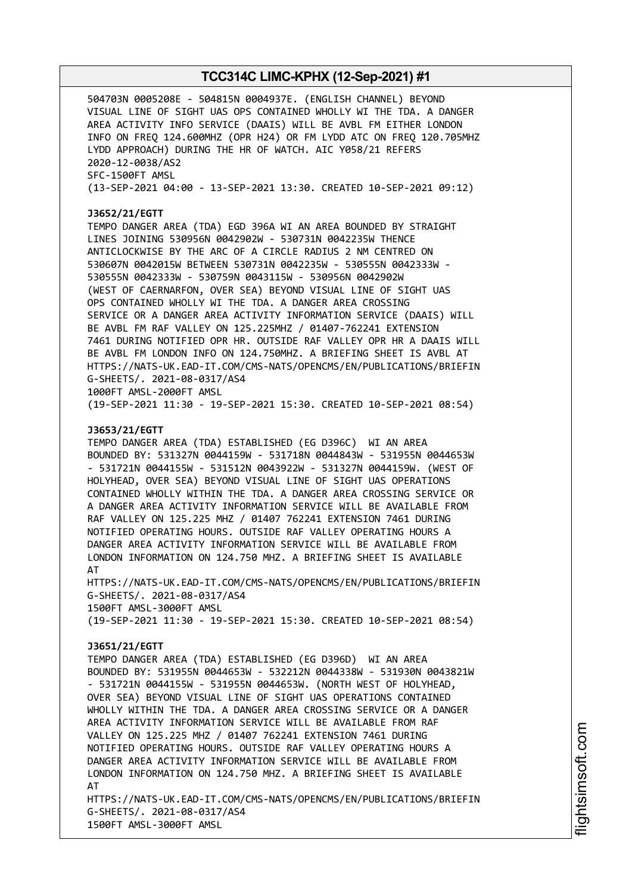504703N 0005208E - 504815N 0004937E. (ENGLISH CHANNEL) BEYOND VISUAL LINE OF SIGHT UAS OPS CONTAINED WHOLLY WI THE TDA. A DANGER AREA ACTIVITY INFO SERVICE (DAAIS) WILL BE AVBL FM EITHER LONDON INFO ON FREQ 124.600MHZ (OPR H24) OR FM LYDD ATC ON FREQ 120.705MHZ LYDD APPROACH) DURING THE HR OF WATCH. AIC Y058/21 REFERS 2020-12-0038/AS2 SFC-1500FT AMSL (13-SEP-2021 04:00 - 13-SEP-2021 13:30. CREATED 10-SEP-2021 09:12)

### **J3652/21/EGTT**

TEMPO DANGER AREA (TDA) EGD 396A WI AN AREA BOUNDED BY STRAIGHT LINES JOINING 530956N 0042902W - 530731N 0042235W THENCE ANTICLOCKWISE BY THE ARC OF A CIRCLE RADIUS 2 NM CENTRED ON 530607N 0042015W BETWEEN 530731N 0042235W - 530555N 0042333W - 530555N 0042333W - 530759N 0043115W - 530956N 0042902W (WEST OF CAERNARFON, OVER SEA) BEYOND VISUAL LINE OF SIGHT UAS OPS CONTAINED WHOLLY WI THE TDA. A DANGER AREA CROSSING SERVICE OR A DANGER AREA ACTIVITY INFORMATION SERVICE (DAAIS) WILL BE AVBL FM RAF VALLEY ON 125.225MHZ / 01407-762241 EXTENSION 7461 DURING NOTIFIED OPR HR. OUTSIDE RAF VALLEY OPR HR A DAAIS WILL BE AVBL FM LONDON INFO ON 124.750MHZ. A BRIEFING SHEET IS AVBL AT HTTPS://NATS-UK.EAD-IT.COM/CMS-NATS/OPENCMS/EN/PUBLICATIONS/BRIEFIN G-SHEETS/. 2021-08-0317/AS4 1000FT AMSL-2000FT AMSL

(19-SEP-2021 11:30 - 19-SEP-2021 15:30. CREATED 10-SEP-2021 08:54)

### **J3653/21/EGTT**

TEMPO DANGER AREA (TDA) ESTABLISHED (EG D396C) WI AN AREA BOUNDED BY: 531327N 0044159W - 531718N 0044843W - 531955N 0044653W - 531721N 0044155W - 531512N 0043922W - 531327N 0044159W. (WEST OF HOLYHEAD, OVER SEA) BEYOND VISUAL LINE OF SIGHT UAS OPERATIONS CONTAINED WHOLLY WITHIN THE TDA. A DANGER AREA CROSSING SERVICE OR A DANGER AREA ACTIVITY INFORMATION SERVICE WILL BE AVAILABLE FROM RAF VALLEY ON 125.225 MHZ / 01407 762241 EXTENSION 7461 DURING NOTIFIED OPERATING HOURS. OUTSIDE RAF VALLEY OPERATING HOURS A DANGER AREA ACTIVITY INFORMATION SERVICE WILL BE AVAILABLE FROM LONDON INFORMATION ON 124.750 MHZ. A BRIEFING SHEET IS AVAILABLE AT

HTTPS://NATS-UK.EAD-IT.COM/CMS-NATS/OPENCMS/EN/PUBLICATIONS/BRIEFIN G-SHEETS/. 2021-08-0317/AS4 1500FT AMSL-3000FT AMSL

(19-SEP-2021 11:30 - 19-SEP-2021 15:30. CREATED 10-SEP-2021 08:54)

### **J3651/21/EGTT**

TEMPO DANGER AREA (TDA) ESTABLISHED (EG D396D) WI AN AREA BOUNDED BY: 531955N 0044653W - 532212N 0044338W - 531930N 0043821W - 531721N 0044155W - 531955N 0044653W. (NORTH WEST OF HOLYHEAD, OVER SEA) BEYOND VISUAL LINE OF SIGHT UAS OPERATIONS CONTAINED WHOLLY WITHIN THE TDA. A DANGER AREA CROSSING SERVICE OR A DANGER AREA ACTIVITY INFORMATION SERVICE WILL BE AVAILABLE FROM RAF VALLEY ON 125.225 MHZ / 01407 762241 EXTENSION 7461 DURING NOTIFIED OPERATING HOURS. OUTSIDE RAF VALLEY OPERATING HOURS A DANGER AREA ACTIVITY INFORMATION SERVICE WILL BE AVAILABLE FROM LONDON INFORMATION ON 124.750 MHZ. A BRIEFING SHEET IS AVAILABLE AT

HTTPS://NATS-UK.EAD-IT.COM/CMS-NATS/OPENCMS/EN/PUBLICATIONS/BRIEFIN G-SHEETS/. 2021-08-0317/AS4 1500FT AMSL-3000FT AMSL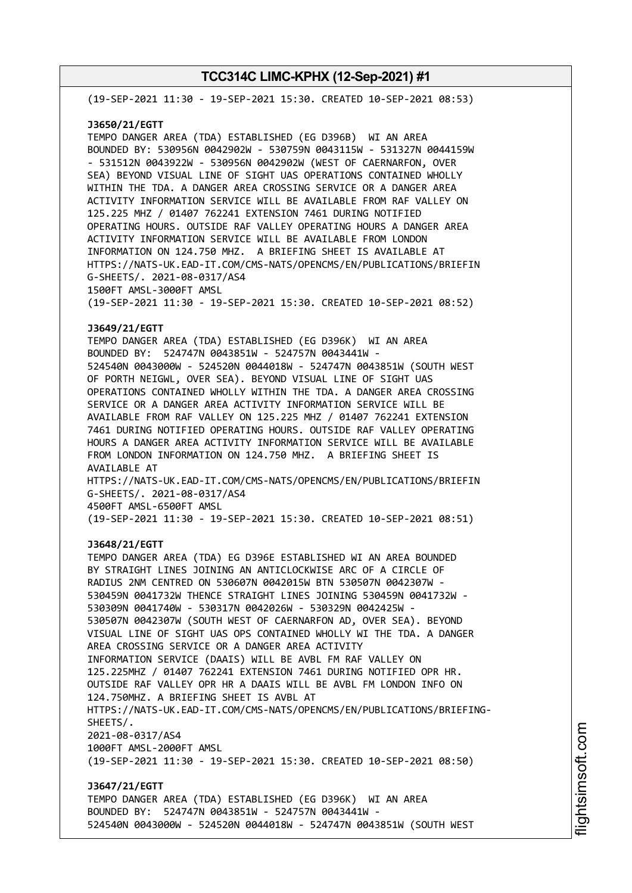(19-SEP-2021 11:30 - 19-SEP-2021 15:30. CREATED 10-SEP-2021 08:53)

### **J3650/21/EGTT**

TEMPO DANGER AREA (TDA) ESTABLISHED (EG D396B) WI AN AREA BOUNDED BY: 530956N 0042902W - 530759N 0043115W - 531327N 0044159W - 531512N 0043922W - 530956N 0042902W (WEST OF CAERNARFON, OVER SEA) BEYOND VISUAL LINE OF SIGHT UAS OPERATIONS CONTAINED WHOLLY WITHIN THE TDA. A DANGER AREA CROSSING SERVICE OR A DANGER AREA ACTIVITY INFORMATION SERVICE WILL BE AVAILABLE FROM RAF VALLEY ON 125.225 MHZ / 01407 762241 EXTENSION 7461 DURING NOTIFIED OPERATING HOURS. OUTSIDE RAF VALLEY OPERATING HOURS A DANGER AREA ACTIVITY INFORMATION SERVICE WILL BE AVAILABLE FROM LONDON INFORMATION ON 124.750 MHZ. A BRIEFING SHEET IS AVAILABLE AT HTTPS://NATS-UK.EAD-IT.COM/CMS-NATS/OPENCMS/EN/PUBLICATIONS/BRIEFIN G-SHEETS/. 2021-08-0317/AS4 1500FT AMSL-3000FT AMSL

(19-SEP-2021 11:30 - 19-SEP-2021 15:30. CREATED 10-SEP-2021 08:52)

### **J3649/21/EGTT**

TEMPO DANGER AREA (TDA) ESTABLISHED (EG D396K) WI AN AREA BOUNDED BY: 524747N 0043851W - 524757N 0043441W - 524540N 0043000W - 524520N 0044018W - 524747N 0043851W (SOUTH WEST OF PORTH NEIGWL, OVER SEA). BEYOND VISUAL LINE OF SIGHT UAS OPERATIONS CONTAINED WHOLLY WITHIN THE TDA. A DANGER AREA CROSSING SERVICE OR A DANGER AREA ACTIVITY INFORMATION SERVICE WILL BE AVAILABLE FROM RAF VALLEY ON 125.225 MHZ / 01407 762241 EXTENSION 7461 DURING NOTIFIED OPERATING HOURS. OUTSIDE RAF VALLEY OPERATING HOURS A DANGER AREA ACTIVITY INFORMATION SERVICE WILL BE AVAILABLE FROM LONDON INFORMATION ON 124.750 MHZ. A BRIEFING SHEET IS AVAILABLE AT HTTPS://NATS-UK.EAD-IT.COM/CMS-NATS/OPENCMS/EN/PUBLICATIONS/BRIEFIN G-SHEETS/. 2021-08-0317/AS4 4500FT AMSL-6500FT AMSL

(19-SEP-2021 11:30 - 19-SEP-2021 15:30. CREATED 10-SEP-2021 08:51)

#### **J3648/21/EGTT**

TEMPO DANGER AREA (TDA) EG D396E ESTABLISHED WI AN AREA BOUNDED BY STRAIGHT LINES JOINING AN ANTICLOCKWISE ARC OF A CIRCLE OF RADIUS 2NM CENTRED ON 530607N 0042015W BTN 530507N 0042307W - 530459N 0041732W THENCE STRAIGHT LINES JOINING 530459N 0041732W - 530309N 0041740W - 530317N 0042026W - 530329N 0042425W - 530507N 0042307W (SOUTH WEST OF CAERNARFON AD, OVER SEA). BEYOND VISUAL LINE OF SIGHT UAS OPS CONTAINED WHOLLY WI THE TDA. A DANGER AREA CROSSING SERVICE OR A DANGER AREA ACTIVITY INFORMATION SERVICE (DAAIS) WILL BE AVBL FM RAF VALLEY ON 125.225MHZ / 01407 762241 EXTENSION 7461 DURING NOTIFIED OPR HR. OUTSIDE RAF VALLEY OPR HR A DAAIS WILL BE AVBL FM LONDON INFO ON 124.750MHZ. A BRIEFING SHEET IS AVBL AT HTTPS://NATS-UK.EAD-IT.COM/CMS-NATS/OPENCMS/EN/PUBLICATIONS/BRIEFING-SHEETS/. 2021-08-0317/AS4 1000FT AMSL-2000FT AMSL (19-SEP-2021 11:30 - 19-SEP-2021 15:30. CREATED 10-SEP-2021 08:50) **J3647/21/EGTT** TEMPO DANGER AREA (TDA) ESTABLISHED (EG D396K) WI AN AREA BOUNDED BY: 524747N 0043851W - 524757N 0043441W -

524540N 0043000W - 524520N 0044018W - 524747N 0043851W (SOUTH WEST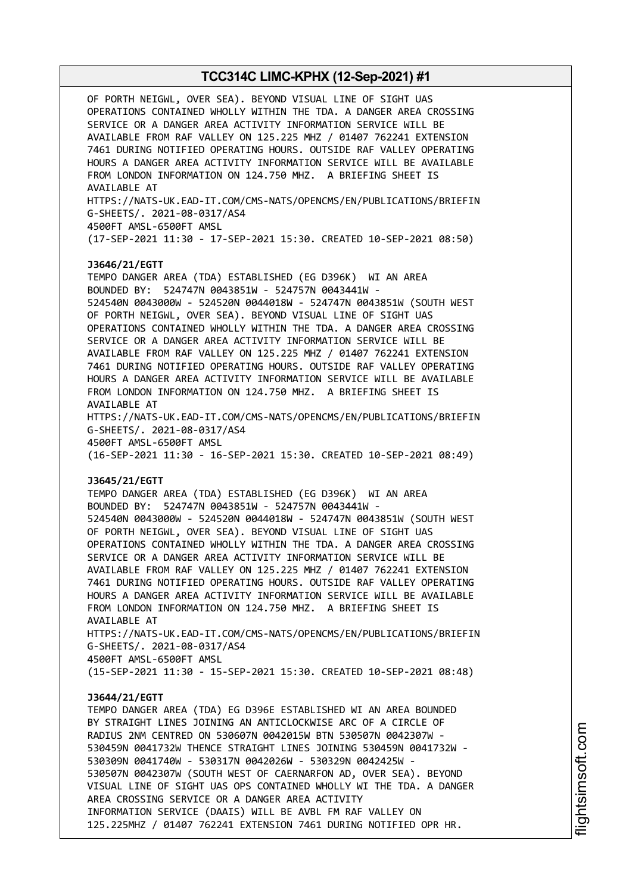OF PORTH NEIGWL, OVER SEA). BEYOND VISUAL LINE OF SIGHT UAS OPERATIONS CONTAINED WHOLLY WITHIN THE TDA. A DANGER AREA CROSSING SERVICE OR A DANGER AREA ACTIVITY INFORMATION SERVICE WILL BE AVAILABLE FROM RAF VALLEY ON 125.225 MHZ / 01407 762241 EXTENSION 7461 DURING NOTIFIED OPERATING HOURS. OUTSIDE RAF VALLEY OPERATING HOURS A DANGER AREA ACTIVITY INFORMATION SERVICE WILL BE AVAILABLE FROM LONDON INFORMATION ON 124.750 MHZ. A BRIEFING SHEET IS AVAILABLE AT HTTPS://NATS-UK.EAD-IT.COM/CMS-NATS/OPENCMS/EN/PUBLICATIONS/BRIEFIN G-SHEETS/. 2021-08-0317/AS4 4500FT AMSL-6500FT AMSL (17-SEP-2021 11:30 - 17-SEP-2021 15:30. CREATED 10-SEP-2021 08:50) **J3646/21/EGTT** TEMPO DANGER AREA (TDA) ESTABLISHED (EG D396K) WI AN AREA BOUNDED BY: 524747N 0043851W - 524757N 0043441W - 524540N 0043000W - 524520N 0044018W - 524747N 0043851W (SOUTH WEST OF PORTH NEIGWL, OVER SEA). BEYOND VISUAL LINE OF SIGHT UAS OPERATIONS CONTAINED WHOLLY WITHIN THE TDA. A DANGER AREA CROSSING SERVICE OR A DANGER AREA ACTIVITY INFORMATION SERVICE WILL BE AVAILABLE FROM RAF VALLEY ON 125.225 MHZ / 01407 762241 EXTENSION 7461 DURING NOTIFIED OPERATING HOURS. OUTSIDE RAF VALLEY OPERATING HOURS A DANGER AREA ACTIVITY INFORMATION SERVICE WILL BE AVAILABLE FROM LONDON INFORMATION ON 124.750 MHZ. A BRIEFING SHEET IS AVAILABLE AT HTTPS://NATS-UK.EAD-IT.COM/CMS-NATS/OPENCMS/EN/PUBLICATIONS/BRIEFIN G-SHEETS/. 2021-08-0317/AS4 4500FT AMSL-6500FT AMSL (16-SEP-2021 11:30 - 16-SEP-2021 15:30. CREATED 10-SEP-2021 08:49) **J3645/21/EGTT** TEMPO DANGER AREA (TDA) ESTABLISHED (EG D396K) WI AN AREA BOUNDED BY: 524747N 0043851W - 524757N 0043441W - 524540N 0043000W - 524520N 0044018W - 524747N 0043851W (SOUTH WEST OF PORTH NEIGWL, OVER SEA). BEYOND VISUAL LINE OF SIGHT UAS OPERATIONS CONTAINED WHOLLY WITHIN THE TDA. A DANGER AREA CROSSING SERVICE OR A DANGER AREA ACTIVITY INFORMATION SERVICE WILL BE AVAILABLE FROM RAF VALLEY ON 125.225 MHZ / 01407 762241 EXTENSION 7461 DURING NOTIFIED OPERATING HOURS. OUTSIDE RAF VALLEY OPERATING HOURS A DANGER AREA ACTIVITY INFORMATION SERVICE WILL BE AVAILABLE FROM LONDON INFORMATION ON 124.750 MHZ. A BRIEFING SHEET IS AVAILABLE AT HTTPS://NATS-UK.EAD-IT.COM/CMS-NATS/OPENCMS/EN/PUBLICATIONS/BRIEFIN G-SHEETS/. 2021-08-0317/AS4 4500FT AMSL-6500FT AMSL (15-SEP-2021 11:30 - 15-SEP-2021 15:30. CREATED 10-SEP-2021 08:48) **J3644/21/EGTT** TEMPO DANGER AREA (TDA) EG D396E ESTABLISHED WI AN AREA BOUNDED BY STRAIGHT LINES JOINING AN ANTICLOCKWISE ARC OF A CIRCLE OF RADIUS 2NM CENTRED ON 530607N 0042015W BTN 530507N 0042307W - 530459N 0041732W THENCE STRAIGHT LINES JOINING 530459N 0041732W - 530309N 0041740W - 530317N 0042026W - 530329N 0042425W - 530507N 0042307W (SOUTH WEST OF CAERNARFON AD, OVER SEA). BEYOND VISUAL LINE OF SIGHT UAS OPS CONTAINED WHOLLY WI THE TDA. A DANGER AREA CROSSING SERVICE OR A DANGER AREA ACTIVITY INFORMATION SERVICE (DAAIS) WILL BE AVBL FM RAF VALLEY ON 125.225MHZ / 01407 762241 EXTENSION 7461 DURING NOTIFIED OPR HR.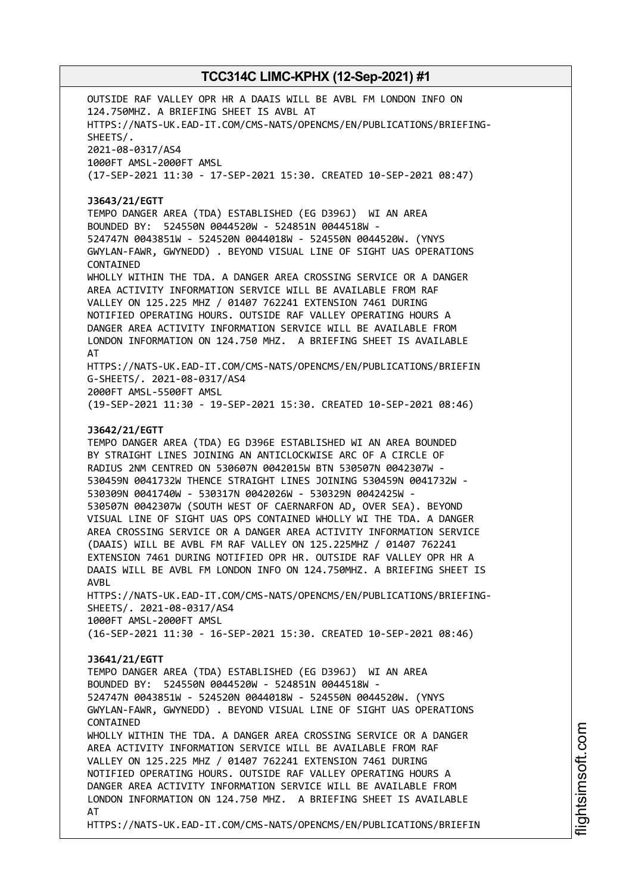OUTSIDE RAF VALLEY OPR HR A DAAIS WILL BE AVBL FM LONDON INFO ON 124.750MHZ. A BRIEFING SHEET IS AVBL AT HTTPS://NATS-UK.EAD-IT.COM/CMS-NATS/OPENCMS/EN/PUBLICATIONS/BRIEFING-SHEETS/. 2021-08-0317/AS4 1000FT AMSL-2000FT AMSL (17-SEP-2021 11:30 - 17-SEP-2021 15:30. CREATED 10-SEP-2021 08:47) **J3643/21/EGTT** TEMPO DANGER AREA (TDA) ESTABLISHED (EG D396J) WI AN AREA BOUNDED BY: 524550N 0044520W - 524851N 0044518W - 524747N 0043851W - 524520N 0044018W - 524550N 0044520W. (YNYS GWYLAN-FAWR, GWYNEDD) . BEYOND VISUAL LINE OF SIGHT UAS OPERATIONS CONTAINED WHOLLY WITHIN THE TDA. A DANGER AREA CROSSING SERVICE OR A DANGER AREA ACTIVITY INFORMATION SERVICE WILL BE AVAILABLE FROM RAF VALLEY ON 125.225 MHZ / 01407 762241 EXTENSION 7461 DURING NOTIFIED OPERATING HOURS. OUTSIDE RAF VALLEY OPERATING HOURS A DANGER AREA ACTIVITY INFORMATION SERVICE WILL BE AVAILABLE FROM LONDON INFORMATION ON 124.750 MHZ. A BRIEFING SHEET IS AVAILABLE AT HTTPS://NATS-UK.EAD-IT.COM/CMS-NATS/OPENCMS/EN/PUBLICATIONS/BRIEFIN G-SHEETS/. 2021-08-0317/AS4 2000FT AMSL-5500FT AMSL (19-SEP-2021 11:30 - 19-SEP-2021 15:30. CREATED 10-SEP-2021 08:46) **J3642/21/EGTT** TEMPO DANGER AREA (TDA) EG D396E ESTABLISHED WI AN AREA BOUNDED BY STRAIGHT LINES JOINING AN ANTICLOCKWISE ARC OF A CIRCLE OF RADIUS 2NM CENTRED ON 530607N 0042015W BTN 530507N 0042307W - 530459N 0041732W THENCE STRAIGHT LINES JOINING 530459N 0041732W - 530309N 0041740W - 530317N 0042026W - 530329N 0042425W - 530507N 0042307W (SOUTH WEST OF CAERNARFON AD, OVER SEA). BEYOND VISUAL LINE OF SIGHT UAS OPS CONTAINED WHOLLY WI THE TDA. A DANGER AREA CROSSING SERVICE OR A DANGER AREA ACTIVITY INFORMATION SERVICE (DAAIS) WILL BE AVBL FM RAF VALLEY ON 125.225MHZ / 01407 762241 EXTENSION 7461 DURING NOTIFIED OPR HR. OUTSIDE RAF VALLEY OPR HR A DAAIS WILL BE AVBL FM LONDON INFO ON 124.750MHZ. A BRIEFING SHEET IS AVBL HTTPS://NATS-UK.EAD-IT.COM/CMS-NATS/OPENCMS/EN/PUBLICATIONS/BRIEFING-SHEETS/. 2021-08-0317/AS4 1000FT AMSL-2000FT AMSL (16-SEP-2021 11:30 - 16-SEP-2021 15:30. CREATED 10-SEP-2021 08:46) **J3641/21/EGTT** TEMPO DANGER AREA (TDA) ESTABLISHED (EG D396J) WI AN AREA BOUNDED BY: 524550N 0044520W - 524851N 0044518W - 524747N 0043851W - 524520N 0044018W - 524550N 0044520W. (YNYS GWYLAN-FAWR, GWYNEDD) . BEYOND VISUAL LINE OF SIGHT UAS OPERATIONS CONTAINED WHOLLY WITHIN THE TDA. A DANGER AREA CROSSING SERVICE OR A DANGER AREA ACTIVITY INFORMATION SERVICE WILL BE AVAILABLE FROM RAF VALLEY ON 125.225 MHZ / 01407 762241 EXTENSION 7461 DURING NOTIFIED OPERATING HOURS. OUTSIDE RAF VALLEY OPERATING HOURS A DANGER AREA ACTIVITY INFORMATION SERVICE WILL BE AVAILABLE FROM LONDON INFORMATION ON 124.750 MHZ. A BRIEFING SHEET IS AVAILABLE AT HTTPS://NATS-UK.EAD-IT.COM/CMS-NATS/OPENCMS/EN/PUBLICATIONS/BRIEFIN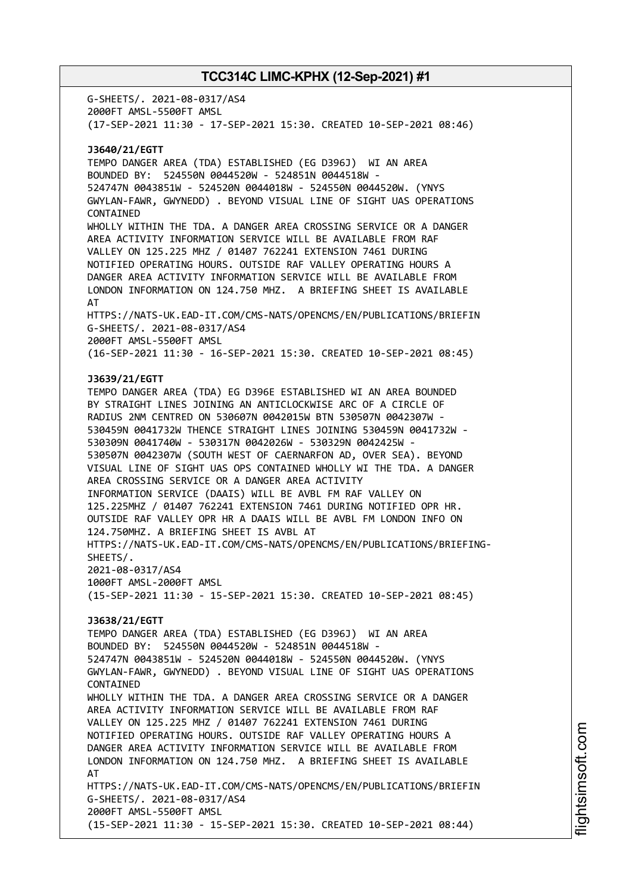G-SHEETS/. 2021-08-0317/AS4 2000FT AMSL-5500FT AMSL (17-SEP-2021 11:30 - 17-SEP-2021 15:30. CREATED 10-SEP-2021 08:46) **J3640/21/EGTT** TEMPO DANGER AREA (TDA) ESTABLISHED (EG D396J) WI AN AREA BOUNDED BY: 524550N 0044520W - 524851N 0044518W - 524747N 0043851W - 524520N 0044018W - 524550N 0044520W. (YNYS GWYLAN-FAWR, GWYNEDD) . BEYOND VISUAL LINE OF SIGHT UAS OPERATIONS CONTAINED WHOLLY WITHIN THE TDA. A DANGER AREA CROSSING SERVICE OR A DANGER AREA ACTIVITY INFORMATION SERVICE WILL BE AVAILABLE FROM RAF VALLEY ON 125.225 MHZ / 01407 762241 EXTENSION 7461 DURING NOTIFIED OPERATING HOURS. OUTSIDE RAF VALLEY OPERATING HOURS A DANGER AREA ACTIVITY INFORMATION SERVICE WILL BE AVAILABLE FROM LONDON INFORMATION ON 124.750 MHZ. A BRIEFING SHEET IS AVAILABLE AT HTTPS://NATS-UK.EAD-IT.COM/CMS-NATS/OPENCMS/EN/PUBLICATIONS/BRIEFIN G-SHEETS/. 2021-08-0317/AS4 2000FT AMSL-5500FT AMSL (16-SEP-2021 11:30 - 16-SEP-2021 15:30. CREATED 10-SEP-2021 08:45) **J3639/21/EGTT** TEMPO DANGER AREA (TDA) EG D396E ESTABLISHED WI AN AREA BOUNDED BY STRAIGHT LINES JOINING AN ANTICLOCKWISE ARC OF A CIRCLE OF RADIUS 2NM CENTRED ON 530607N 0042015W BTN 530507N 0042307W - 530459N 0041732W THENCE STRAIGHT LINES JOINING 530459N 0041732W - 530309N 0041740W - 530317N 0042026W - 530329N 0042425W - 530507N 0042307W (SOUTH WEST OF CAERNARFON AD, OVER SEA). BEYOND VISUAL LINE OF SIGHT UAS OPS CONTAINED WHOLLY WI THE TDA. A DANGER AREA CROSSING SERVICE OR A DANGER AREA ACTIVITY INFORMATION SERVICE (DAAIS) WILL BE AVBL FM RAF VALLEY ON 125.225MHZ / 01407 762241 EXTENSION 7461 DURING NOTIFIED OPR HR. OUTSIDE RAF VALLEY OPR HR A DAAIS WILL BE AVBL FM LONDON INFO ON 124.750MHZ. A BRIEFING SHEET IS AVBL AT HTTPS://NATS-UK.EAD-IT.COM/CMS-NATS/OPENCMS/EN/PUBLICATIONS/BRIEFING-SHEETS/. 2021-08-0317/AS4 1000FT AMSL-2000FT AMSL (15-SEP-2021 11:30 - 15-SEP-2021 15:30. CREATED 10-SEP-2021 08:45) **J3638/21/EGTT** TEMPO DANGER AREA (TDA) ESTABLISHED (EG D396J) WI AN AREA BOUNDED BY: 524550N 0044520W - 524851N 0044518W - 524747N 0043851W - 524520N 0044018W - 524550N 0044520W. (YNYS GWYLAN-FAWR, GWYNEDD) . BEYOND VISUAL LINE OF SIGHT UAS OPERATIONS CONTAINED WHOLLY WITHIN THE TDA. A DANGER AREA CROSSING SERVICE OR A DANGER AREA ACTIVITY INFORMATION SERVICE WILL BE AVAILABLE FROM RAF VALLEY ON 125.225 MHZ / 01407 762241 EXTENSION 7461 DURING NOTIFIED OPERATING HOURS. OUTSIDE RAF VALLEY OPERATING HOURS A DANGER AREA ACTIVITY INFORMATION SERVICE WILL BE AVAILABLE FROM LONDON INFORMATION ON 124.750 MHZ. A BRIEFING SHEET IS AVAILABLE AT HTTPS://NATS-UK.EAD-IT.COM/CMS-NATS/OPENCMS/EN/PUBLICATIONS/BRIEFIN G-SHEETS/. 2021-08-0317/AS4 2000FT AMSL-5500FT AMSL (15-SEP-2021 11:30 - 15-SEP-2021 15:30. CREATED 10-SEP-2021 08:44)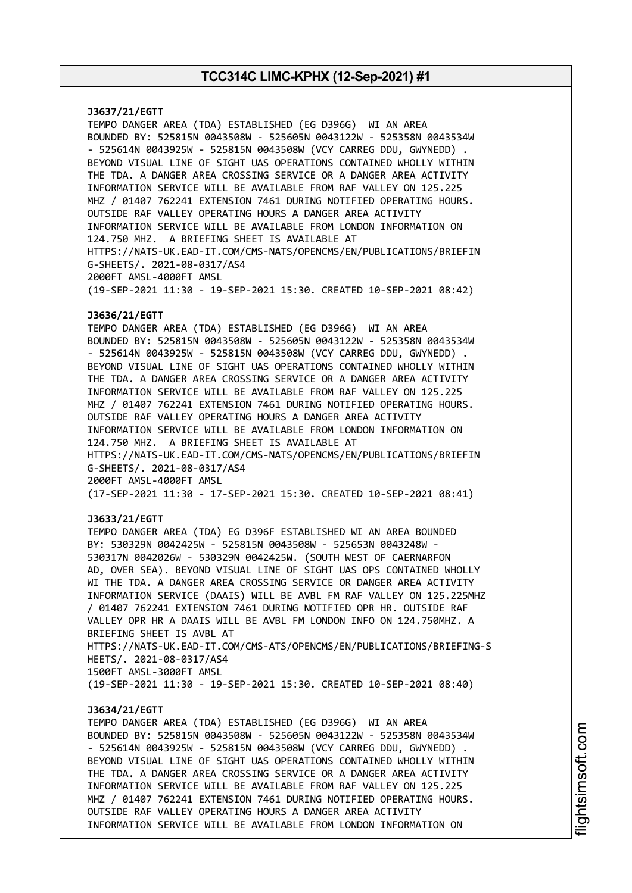**J3637/21/EGTT** TEMPO DANGER AREA (TDA) ESTABLISHED (EG D396G) WI AN AREA BOUNDED BY: 525815N 0043508W - 525605N 0043122W - 525358N 0043534W - 525614N 0043925W - 525815N 0043508W (VCY CARREG DDU, GWYNEDD) . BEYOND VISUAL LINE OF SIGHT UAS OPERATIONS CONTAINED WHOLLY WITHIN THE TDA. A DANGER AREA CROSSING SERVICE OR A DANGER AREA ACTIVITY INFORMATION SERVICE WILL BE AVAILABLE FROM RAF VALLEY ON 125.225 MHZ / 01407 762241 EXTENSION 7461 DURING NOTIFIED OPERATING HOURS. OUTSIDE RAF VALLEY OPERATING HOURS A DANGER AREA ACTIVITY INFORMATION SERVICE WILL BE AVAILABLE FROM LONDON INFORMATION ON 124.750 MHZ. A BRIEFING SHEET IS AVAILABLE AT HTTPS://NATS-UK.EAD-IT.COM/CMS-NATS/OPENCMS/EN/PUBLICATIONS/BRIEFIN G-SHEETS/. 2021-08-0317/AS4 2000FT AMSL-4000FT AMSL (19-SEP-2021 11:30 - 19-SEP-2021 15:30. CREATED 10-SEP-2021 08:42) **J3636/21/EGTT** TEMPO DANGER AREA (TDA) ESTABLISHED (EG D396G) WI AN AREA BOUNDED BY: 525815N 0043508W - 525605N 0043122W - 525358N 0043534W - 525614N 0043925W - 525815N 0043508W (VCY CARREG DDU, GWYNEDD) . BEYOND VISUAL LINE OF SIGHT UAS OPERATIONS CONTAINED WHOLLY WITHIN THE TDA. A DANGER AREA CROSSING SERVICE OR A DANGER AREA ACTIVITY INFORMATION SERVICE WILL BE AVAILABLE FROM RAF VALLEY ON 125.225 MHZ / 01407 762241 EXTENSION 7461 DURING NOTIFIED OPERATING HOURS. OUTSIDE RAF VALLEY OPERATING HOURS A DANGER AREA ACTIVITY INFORMATION SERVICE WILL BE AVAILABLE FROM LONDON INFORMATION ON 124.750 MHZ. A BRIEFING SHEET IS AVAILABLE AT HTTPS://NATS-UK.EAD-IT.COM/CMS-NATS/OPENCMS/EN/PUBLICATIONS/BRIEFIN G-SHEETS/. 2021-08-0317/AS4 2000FT AMSL-4000FT AMSL (17-SEP-2021 11:30 - 17-SEP-2021 15:30. CREATED 10-SEP-2021 08:41) **J3633/21/EGTT** TEMPO DANGER AREA (TDA) EG D396F ESTABLISHED WI AN AREA BOUNDED BY: 530329N 0042425W - 525815N 0043508W - 525653N 0043248W - 530317N 0042026W - 530329N 0042425W. (SOUTH WEST OF CAERNARFON AD, OVER SEA). BEYOND VISUAL LINE OF SIGHT UAS OPS CONTAINED WHOLLY WI THE TDA. A DANGER AREA CROSSING SERVICE OR DANGER AREA ACTIVITY INFORMATION SERVICE (DAAIS) WILL BE AVBL FM RAF VALLEY ON 125.225MHZ / 01407 762241 EXTENSION 7461 DURING NOTIFIED OPR HR. OUTSIDE RAF VALLEY OPR HR A DAAIS WILL BE AVBL FM LONDON INFO ON 124.750MHZ. A BRIEFING SHEET IS AVBL AT HTTPS://NATS-UK.EAD-IT.COM/CMS-ATS/OPENCMS/EN/PUBLICATIONS/BRIEFING-S HEETS/. 2021-08-0317/AS4 1500FT AMSL-3000FT AMSL (19-SEP-2021 11:30 - 19-SEP-2021 15:30. CREATED 10-SEP-2021 08:40) **J3634/21/EGTT** TEMPO DANGER AREA (TDA) ESTABLISHED (EG D396G) WI AN AREA BOUNDED BY: 525815N 0043508W - 525605N 0043122W - 525358N 0043534W - 525614N 0043925W - 525815N 0043508W (VCY CARREG DDU, GWYNEDD) . BEYOND VISUAL LINE OF SIGHT UAS OPERATIONS CONTAINED WHOLLY WITHIN THE TDA. A DANGER AREA CROSSING SERVICE OR A DANGER AREA ACTIVITY INFORMATION SERVICE WILL BE AVAILABLE FROM RAF VALLEY ON 125.225 MHZ / 01407 762241 EXTENSION 7461 DURING NOTIFIED OPERATING HOURS.

OUTSIDE RAF VALLEY OPERATING HOURS A DANGER AREA ACTIVITY INFORMATION SERVICE WILL BE AVAILABLE FROM LONDON INFORMATION ON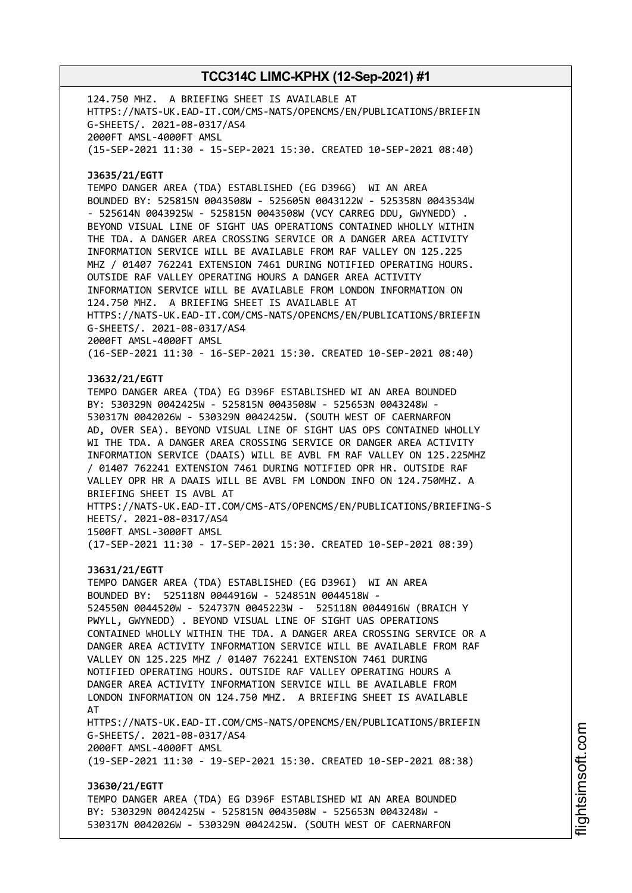124.750 MHZ. A BRIEFING SHEET IS AVAILABLE AT HTTPS://NATS-UK.EAD-IT.COM/CMS-NATS/OPENCMS/EN/PUBLICATIONS/BRIEFIN G-SHEETS/. 2021-08-0317/AS4 2000FT AMSL-4000FT AMSL (15-SEP-2021 11:30 - 15-SEP-2021 15:30. CREATED 10-SEP-2021 08:40) **J3635/21/EGTT** TEMPO DANGER AREA (TDA) ESTABLISHED (EG D396G) WI AN AREA BOUNDED BY: 525815N 0043508W - 525605N 0043122W - 525358N 0043534W - 525614N 0043925W - 525815N 0043508W (VCY CARREG DDU, GWYNEDD) . BEYOND VISUAL LINE OF SIGHT UAS OPERATIONS CONTAINED WHOLLY WITHIN THE TDA. A DANGER AREA CROSSING SERVICE OR A DANGER AREA ACTIVITY INFORMATION SERVICE WILL BE AVAILABLE FROM RAF VALLEY ON 125.225 MHZ / 01407 762241 EXTENSION 7461 DURING NOTIFIED OPERATING HOURS. OUTSIDE RAF VALLEY OPERATING HOURS A DANGER AREA ACTIVITY INFORMATION SERVICE WILL BE AVAILABLE FROM LONDON INFORMATION ON 124.750 MHZ. A BRIEFING SHEET IS AVAILABLE AT HTTPS://NATS-UK.EAD-IT.COM/CMS-NATS/OPENCMS/EN/PUBLICATIONS/BRIEFIN G-SHEETS/. 2021-08-0317/AS4 2000FT AMSL-4000FT AMSL (16-SEP-2021 11:30 - 16-SEP-2021 15:30. CREATED 10-SEP-2021 08:40) **J3632/21/EGTT** TEMPO DANGER AREA (TDA) EG D396F ESTABLISHED WI AN AREA BOUNDED BY: 530329N 0042425W - 525815N 0043508W - 525653N 0043248W - 530317N 0042026W - 530329N 0042425W. (SOUTH WEST OF CAERNARFON AD, OVER SEA). BEYOND VISUAL LINE OF SIGHT UAS OPS CONTAINED WHOLLY WI THE TDA. A DANGER AREA CROSSING SERVICE OR DANGER AREA ACTIVITY INFORMATION SERVICE (DAAIS) WILL BE AVBL FM RAF VALLEY ON 125.225MHZ / 01407 762241 EXTENSION 7461 DURING NOTIFIED OPR HR. OUTSIDE RAF VALLEY OPR HR A DAAIS WILL BE AVBL FM LONDON INFO ON 124.750MHZ. A BRIEFING SHEET IS AVBL AT HTTPS://NATS-UK.EAD-IT.COM/CMS-ATS/OPENCMS/EN/PUBLICATIONS/BRIEFING-S HEETS/. 2021-08-0317/AS4 1500FT AMSL-3000FT AMSL (17-SEP-2021 11:30 - 17-SEP-2021 15:30. CREATED 10-SEP-2021 08:39) **J3631/21/EGTT** TEMPO DANGER AREA (TDA) ESTABLISHED (EG D396I) WI AN AREA BOUNDED BY: 525118N 0044916W - 524851N 0044518W - 524550N 0044520W - 524737N 0045223W - 525118N 0044916W (BRAICH Y PWYLL, GWYNEDD) . BEYOND VISUAL LINE OF SIGHT UAS OPERATIONS CONTAINED WHOLLY WITHIN THE TDA. A DANGER AREA CROSSING SERVICE OR A DANGER AREA ACTIVITY INFORMATION SERVICE WILL BE AVAILABLE FROM RAF VALLEY ON 125.225 MHZ / 01407 762241 EXTENSION 7461 DURING NOTIFIED OPERATING HOURS. OUTSIDE RAF VALLEY OPERATING HOURS A DANGER AREA ACTIVITY INFORMATION SERVICE WILL BE AVAILABLE FROM LONDON INFORMATION ON 124.750 MHZ. A BRIEFING SHEET IS AVAILABLE AT HTTPS://NATS-UK.EAD-IT.COM/CMS-NATS/OPENCMS/EN/PUBLICATIONS/BRIEFIN G-SHEETS/. 2021-08-0317/AS4 2000FT AMSL-4000FT AMSL (19-SEP-2021 11:30 - 19-SEP-2021 15:30. CREATED 10-SEP-2021 08:38) **J3630/21/EGTT** TEMPO DANGER AREA (TDA) EG D396F ESTABLISHED WI AN AREA BOUNDED BY: 530329N 0042425W - 525815N 0043508W - 525653N 0043248W - 530317N 0042026W - 530329N 0042425W. (SOUTH WEST OF CAERNARFON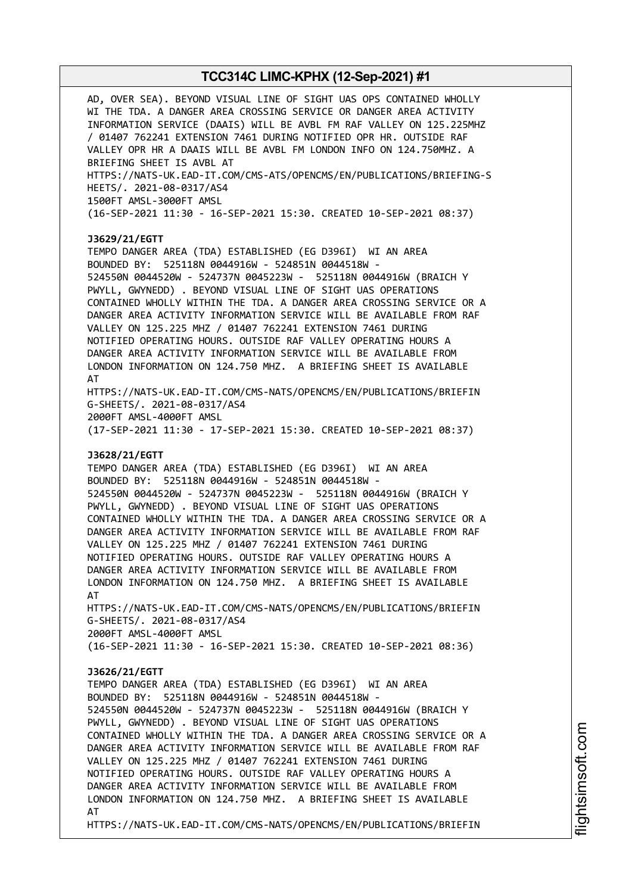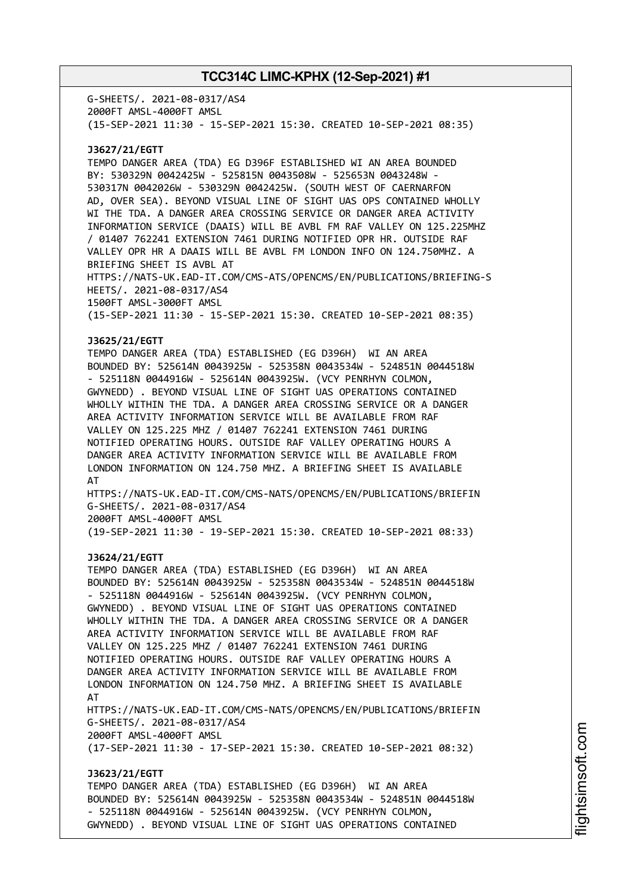G-SHEETS/. 2021-08-0317/AS4 2000FT AMSL-4000FT AMSL (15-SEP-2021 11:30 - 15-SEP-2021 15:30. CREATED 10-SEP-2021 08:35)

### **J3627/21/EGTT**

TEMPO DANGER AREA (TDA) EG D396F ESTABLISHED WI AN AREA BOUNDED BY: 530329N 0042425W - 525815N 0043508W - 525653N 0043248W - 530317N 0042026W - 530329N 0042425W. (SOUTH WEST OF CAERNARFON AD, OVER SEA). BEYOND VISUAL LINE OF SIGHT UAS OPS CONTAINED WHOLLY WI THE TDA. A DANGER AREA CROSSING SERVICE OR DANGER AREA ACTIVITY INFORMATION SERVICE (DAAIS) WILL BE AVBL FM RAF VALLEY ON 125.225MHZ / 01407 762241 EXTENSION 7461 DURING NOTIFIED OPR HR. OUTSIDE RAF VALLEY OPR HR A DAAIS WILL BE AVBL FM LONDON INFO ON 124.750MHZ. A BRIEFING SHEET IS AVBL AT HTTPS://NATS-UK.EAD-IT.COM/CMS-ATS/OPENCMS/EN/PUBLICATIONS/BRIEFING-S HEETS/. 2021-08-0317/AS4 1500FT AMSL-3000FT AMSL (15-SEP-2021 11:30 - 15-SEP-2021 15:30. CREATED 10-SEP-2021 08:35)

### **J3625/21/EGTT**

TEMPO DANGER AREA (TDA) ESTABLISHED (EG D396H) WI AN AREA BOUNDED BY: 525614N 0043925W - 525358N 0043534W - 524851N 0044518W - 525118N 0044916W - 525614N 0043925W. (VCY PENRHYN COLMON, GWYNEDD) . BEYOND VISUAL LINE OF SIGHT UAS OPERATIONS CONTAINED WHOLLY WITHIN THE TDA. A DANGER AREA CROSSING SERVICE OR A DANGER AREA ACTIVITY INFORMATION SERVICE WILL BE AVAILABLE FROM RAF VALLEY ON 125.225 MHZ / 01407 762241 EXTENSION 7461 DURING NOTIFIED OPERATING HOURS. OUTSIDE RAF VALLEY OPERATING HOURS A DANGER AREA ACTIVITY INFORMATION SERVICE WILL BE AVAILABLE FROM LONDON INFORMATION ON 124.750 MHZ. A BRIEFING SHEET IS AVAILABLE AT

HTTPS://NATS-UK.EAD-IT.COM/CMS-NATS/OPENCMS/EN/PUBLICATIONS/BRIEFIN G-SHEETS/. 2021-08-0317/AS4 2000FT AMSL-4000FT AMSL

(19-SEP-2021 11:30 - 19-SEP-2021 15:30. CREATED 10-SEP-2021 08:33)

### **J3624/21/EGTT**

TEMPO DANGER AREA (TDA) ESTABLISHED (EG D396H) WI AN AREA BOUNDED BY: 525614N 0043925W - 525358N 0043534W - 524851N 0044518W - 525118N 0044916W - 525614N 0043925W. (VCY PENRHYN COLMON, GWYNEDD) . BEYOND VISUAL LINE OF SIGHT UAS OPERATIONS CONTAINED WHOLLY WITHIN THE TDA. A DANGER AREA CROSSING SERVICE OR A DANGER AREA ACTIVITY INFORMATION SERVICE WILL BE AVAILABLE FROM RAF VALLEY ON 125.225 MHZ / 01407 762241 EXTENSION 7461 DURING NOTIFIED OPERATING HOURS. OUTSIDE RAF VALLEY OPERATING HOURS A DANGER AREA ACTIVITY INFORMATION SERVICE WILL BE AVAILABLE FROM LONDON INFORMATION ON 124.750 MHZ. A BRIEFING SHEET IS AVAILABLE AT HTTPS://NATS-UK.EAD-IT.COM/CMS-NATS/OPENCMS/EN/PUBLICATIONS/BRIEFIN G-SHEETS/. 2021-08-0317/AS4

2000FT AMSL-4000FT AMSL

(17-SEP-2021 11:30 - 17-SEP-2021 15:30. CREATED 10-SEP-2021 08:32)

#### **J3623/21/EGTT**

TEMPO DANGER AREA (TDA) ESTABLISHED (EG D396H) WI AN AREA BOUNDED BY: 525614N 0043925W - 525358N 0043534W - 524851N 0044518W - 525118N 0044916W - 525614N 0043925W. (VCY PENRHYN COLMON, GWYNEDD) . BEYOND VISUAL LINE OF SIGHT UAS OPERATIONS CONTAINED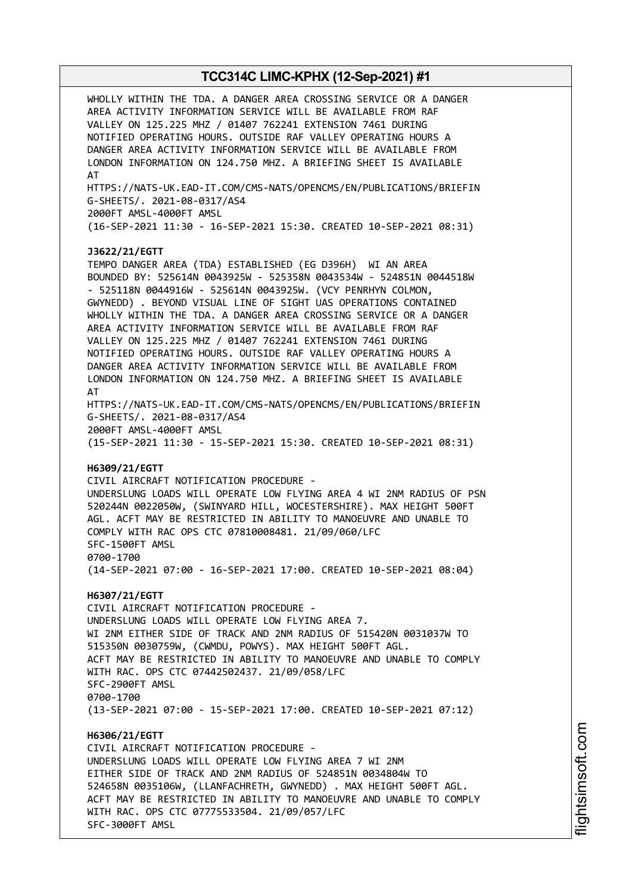WHOLLY WITHIN THE TDA. A DANGER AREA CROSSING SERVICE OR A DANGER AREA ACTIVITY INFORMATION SERVICE WILL BE AVAILABLE FROM RAF VALLEY ON 125.225 MHZ / 01407 762241 EXTENSION 7461 DURING NOTIFIED OPERATING HOURS. OUTSIDE RAF VALLEY OPERATING HOURS A DANGER AREA ACTIVITY INFORMATION SERVICE WILL BE AVAILABLE FROM LONDON INFORMATION ON 124.750 MHZ. A BRIEFING SHEET IS AVAILABLE AT HTTPS://NATS-UK.EAD-IT.COM/CMS-NATS/OPENCMS/EN/PUBLICATIONS/BRIEFIN G-SHEETS/. 2021-08-0317/AS4 2000FT AMSL-4000FT AMSL (16-SEP-2021 11:30 - 16-SEP-2021 15:30. CREATED 10-SEP-2021 08:31) **J3622/21/EGTT** TEMPO DANGER AREA (TDA) ESTABLISHED (EG D396H) WI AN AREA BOUNDED BY: 525614N 0043925W - 525358N 0043534W - 524851N 0044518W - 525118N 0044916W - 525614N 0043925W. (VCY PENRHYN COLMON, GWYNEDD) . BEYOND VISUAL LINE OF SIGHT UAS OPERATIONS CONTAINED WHOLLY WITHIN THE TDA. A DANGER AREA CROSSING SERVICE OR A DANGER AREA ACTIVITY INFORMATION SERVICE WILL BE AVAILABLE FROM RAF VALLEY ON 125.225 MHZ / 01407 762241 EXTENSION 7461 DURING NOTIFIED OPERATING HOURS. OUTSIDE RAF VALLEY OPERATING HOURS A DANGER AREA ACTIVITY INFORMATION SERVICE WILL BE AVAILABLE FROM LONDON INFORMATION ON 124.750 MHZ. A BRIEFING SHEET IS AVAILABLE AT HTTPS://NATS-UK.EAD-IT.COM/CMS-NATS/OPENCMS/EN/PUBLICATIONS/BRIEFIN G-SHEETS/. 2021-08-0317/AS4 2000FT AMSL-4000FT AMSL (15-SEP-2021 11:30 - 15-SEP-2021 15:30. CREATED 10-SEP-2021 08:31) **H6309/21/EGTT** CIVIL AIRCRAFT NOTIFICATION PROCEDURE - UNDERSLUNG LOADS WILL OPERATE LOW FLYING AREA 4 WI 2NM RADIUS OF PSN 520244N 0022050W, (SWINYARD HILL, WOCESTERSHIRE). MAX HEIGHT 500FT AGL. ACFT MAY BE RESTRICTED IN ABILITY TO MANOEUVRE AND UNABLE TO COMPLY WITH RAC OPS CTC 07810008481. 21/09/060/LFC SFC-1500FT AMSL 0700-1700 (14-SEP-2021 07:00 - 16-SEP-2021 17:00. CREATED 10-SEP-2021 08:04) **H6307/21/EGTT** CIVIL AIRCRAFT NOTIFICATION PROCEDURE - UNDERSLUNG LOADS WILL OPERATE LOW FLYING AREA 7. WI 2NM EITHER SIDE OF TRACK AND 2NM RADIUS OF 515420N 0031037W TO 515350N 0030759W, (CWMDU, POWYS). MAX HEIGHT 500FT AGL. ACFT MAY BE RESTRICTED IN ABILITY TO MANOEUVRE AND UNABLE TO COMPLY WITH RAC. OPS CTC 07442502437. 21/09/058/LFC SFC-2900FT AMSL 0700-1700 (13-SEP-2021 07:00 - 15-SEP-2021 17:00. CREATED 10-SEP-2021 07:12) **H6306/21/EGTT** CIVIL AIRCRAFT NOTIFICATION PROCEDURE - UNDERSLUNG LOADS WILL OPERATE LOW FLYING AREA 7 WI 2NM EITHER SIDE OF TRACK AND 2NM RADIUS OF 524851N 0034804W TO 524658N 0035106W, (LLANFACHRETH, GWYNEDD) . MAX HEIGHT 500FT AGL. ACFT MAY BE RESTRICTED IN ABILITY TO MANOEUVRE AND UNABLE TO COMPLY WITH RAC. OPS CTC 07775533504. 21/09/057/LFC SFC-3000FT AMSL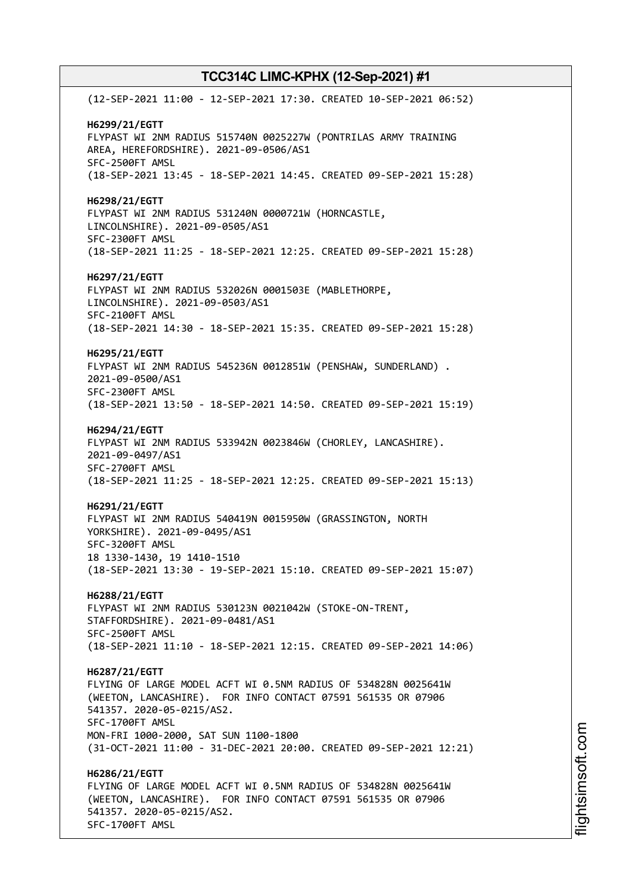(12-SEP-2021 11:00 - 12-SEP-2021 17:30. CREATED 10-SEP-2021 06:52) **H6299/21/EGTT** FLYPAST WI 2NM RADIUS 515740N 0025227W (PONTRILAS ARMY TRAINING AREA, HEREFORDSHIRE). 2021-09-0506/AS1 SFC-2500FT AMSL (18-SEP-2021 13:45 - 18-SEP-2021 14:45. CREATED 09-SEP-2021 15:28) **H6298/21/EGTT** FLYPAST WI 2NM RADIUS 531240N 0000721W (HORNCASTLE, LINCOLNSHIRE). 2021-09-0505/AS1 SFC-2300FT AMSL (18-SEP-2021 11:25 - 18-SEP-2021 12:25. CREATED 09-SEP-2021 15:28) **H6297/21/EGTT** FLYPAST WI 2NM RADIUS 532026N 0001503E (MABLETHORPE, LINCOLNSHIRE). 2021-09-0503/AS1 SFC-2100FT AMSL (18-SEP-2021 14:30 - 18-SEP-2021 15:35. CREATED 09-SEP-2021 15:28) **H6295/21/EGTT** FLYPAST WI 2NM RADIUS 545236N 0012851W (PENSHAW, SUNDERLAND) . 2021-09-0500/AS1 SFC-2300FT AMSL (18-SEP-2021 13:50 - 18-SEP-2021 14:50. CREATED 09-SEP-2021 15:19) **H6294/21/EGTT** FLYPAST WI 2NM RADIUS 533942N 0023846W (CHORLEY, LANCASHIRE). 2021-09-0497/AS1 SFC-2700FT AMSL (18-SEP-2021 11:25 - 18-SEP-2021 12:25. CREATED 09-SEP-2021 15:13) **H6291/21/EGTT** FLYPAST WI 2NM RADIUS 540419N 0015950W (GRASSINGTON, NORTH YORKSHIRE). 2021-09-0495/AS1 SFC-3200FT AMSL 18 1330-1430, 19 1410-1510 (18-SEP-2021 13:30 - 19-SEP-2021 15:10. CREATED 09-SEP-2021 15:07) **H6288/21/EGTT** FLYPAST WI 2NM RADIUS 530123N 0021042W (STOKE-ON-TRENT, STAFFORDSHIRE). 2021-09-0481/AS1 SFC-2500FT AMSL (18-SEP-2021 11:10 - 18-SEP-2021 12:15. CREATED 09-SEP-2021 14:06) **H6287/21/EGTT** FLYING OF LARGE MODEL ACFT WI 0.5NM RADIUS OF 534828N 0025641W (WEETON, LANCASHIRE). FOR INFO CONTACT 07591 561535 OR 07906 541357. 2020-05-0215/AS2. SFC-1700FT AMSL MON-FRI 1000-2000, SAT SUN 1100-1800 (31-OCT-2021 11:00 - 31-DEC-2021 20:00. CREATED 09-SEP-2021 12:21) **H6286/21/EGTT** FLYING OF LARGE MODEL ACFT WI 0.5NM RADIUS OF 534828N 0025641W (WEETON, LANCASHIRE). FOR INFO CONTACT 07591 561535 OR 07906 541357. 2020-05-0215/AS2. SFC-1700FT AMSL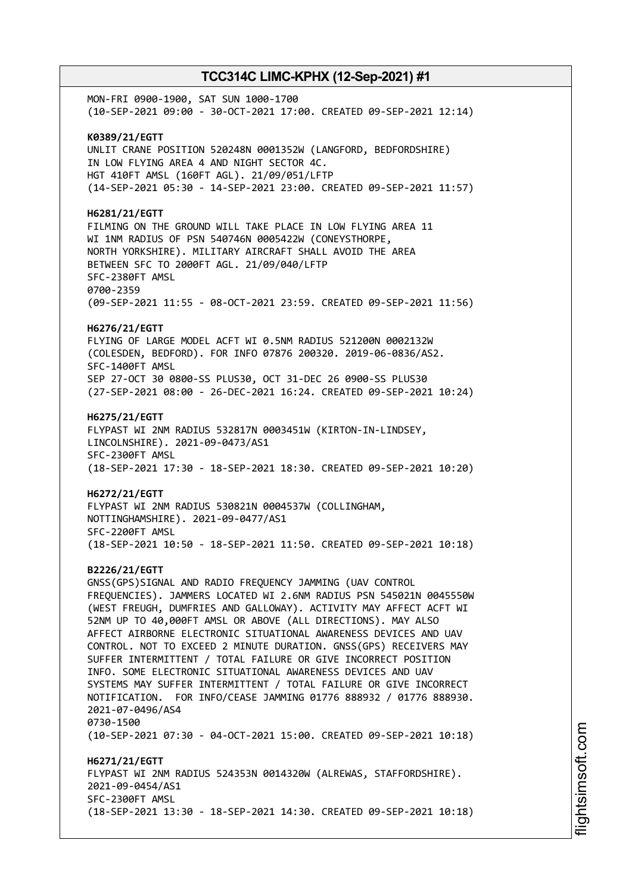MON-FRI 0900-1900, SAT SUN 1000-1700 (10-SEP-2021 09:00 - 30-OCT-2021 17:00. CREATED 09-SEP-2021 12:14) **K0389/21/EGTT** UNLIT CRANE POSITION 520248N 0001352W (LANGFORD, BEDFORDSHIRE) IN LOW FLYING AREA 4 AND NIGHT SECTOR 4C. HGT 410FT AMSL (160FT AGL). 21/09/051/LFTP (14-SEP-2021 05:30 - 14-SEP-2021 23:00. CREATED 09-SEP-2021 11:57) **H6281/21/EGTT** FILMING ON THE GROUND WILL TAKE PLACE IN LOW FLYING AREA 11 WI 1NM RADIUS OF PSN 540746N 0005422W (CONEYSTHORPE, NORTH YORKSHIRE). MILITARY AIRCRAFT SHALL AVOID THE AREA BETWEEN SFC TO 2000FT AGL. 21/09/040/LFTP SFC-2380FT AMSL 0700-2359 (09-SEP-2021 11:55 - 08-OCT-2021 23:59. CREATED 09-SEP-2021 11:56) **H6276/21/EGTT** FLYING OF LARGE MODEL ACFT WI 0.5NM RADIUS 521200N 0002132W (COLESDEN, BEDFORD). FOR INFO 07876 200320. 2019-06-0836/AS2. SFC-1400FT AMSL SEP 27-OCT 30 0800-SS PLUS30, OCT 31-DEC 26 0900-SS PLUS30 (27-SEP-2021 08:00 - 26-DEC-2021 16:24. CREATED 09-SEP-2021 10:24) **H6275/21/EGTT** FLYPAST WI 2NM RADIUS 532817N 0003451W (KIRTON-IN-LINDSEY, LINCOLNSHIRE). 2021-09-0473/AS1 SFC-2300FT AMSL (18-SEP-2021 17:30 - 18-SEP-2021 18:30. CREATED 09-SEP-2021 10:20) **H6272/21/EGTT** FLYPAST WI 2NM RADIUS 530821N 0004537W (COLLINGHAM, NOTTINGHAMSHIRE). 2021-09-0477/AS1 SFC-2200FT AMSL (18-SEP-2021 10:50 - 18-SEP-2021 11:50. CREATED 09-SEP-2021 10:18) **B2226/21/EGTT** GNSS(GPS)SIGNAL AND RADIO FREQUENCY JAMMING (UAV CONTROL FREQUENCIES). JAMMERS LOCATED WI 2.6NM RADIUS PSN 545021N 0045550W (WEST FREUGH, DUMFRIES AND GALLOWAY). ACTIVITY MAY AFFECT ACFT WI 52NM UP TO 40,000FT AMSL OR ABOVE (ALL DIRECTIONS). MAY ALSO AFFECT AIRBORNE ELECTRONIC SITUATIONAL AWARENESS DEVICES AND UAV CONTROL. NOT TO EXCEED 2 MINUTE DURATION. GNSS(GPS) RECEIVERS MAY SUFFER INTERMITTENT / TOTAL FAILURE OR GIVE INCORRECT POSITION INFO. SOME ELECTRONIC SITUATIONAL AWARENESS DEVICES AND UAV SYSTEMS MAY SUFFER INTERMITTENT / TOTAL FAILURE OR GIVE INCORRECT NOTIFICATION. FOR INFO/CEASE JAMMING 01776 888932 / 01776 888930. 2021-07-0496/AS4 0730-1500 (10-SEP-2021 07:30 - 04-OCT-2021 15:00. CREATED 09-SEP-2021 10:18) **H6271/21/EGTT** FLYPAST WI 2NM RADIUS 524353N 0014320W (ALREWAS, STAFFORDSHIRE). 2021-09-0454/AS1 SFC-2300FT AMSL (18-SEP-2021 13:30 - 18-SEP-2021 14:30. CREATED 09-SEP-2021 10:18)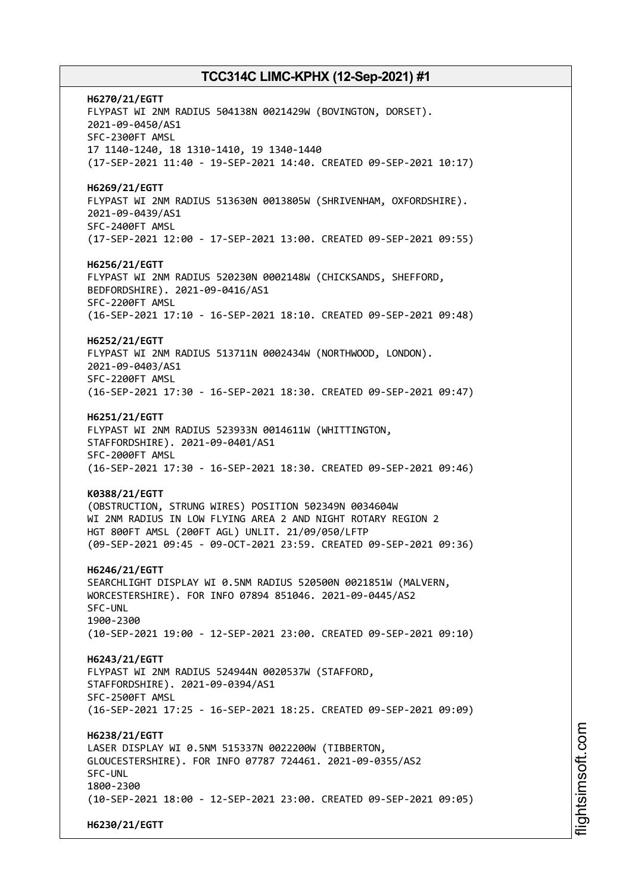**H6270/21/EGTT** FLYPAST WI 2NM RADIUS 504138N 0021429W (BOVINGTON, DORSET). 2021-09-0450/AS1 SFC-2300FT AMSL 17 1140-1240, 18 1310-1410, 19 1340-1440 (17-SEP-2021 11:40 - 19-SEP-2021 14:40. CREATED 09-SEP-2021 10:17) **H6269/21/EGTT** FLYPAST WI 2NM RADIUS 513630N 0013805W (SHRIVENHAM, OXFORDSHIRE). 2021-09-0439/AS1 SFC-2400FT AMSL (17-SEP-2021 12:00 - 17-SEP-2021 13:00. CREATED 09-SEP-2021 09:55) **H6256/21/EGTT** FLYPAST WI 2NM RADIUS 520230N 0002148W (CHICKSANDS, SHEFFORD, BEDFORDSHIRE). 2021-09-0416/AS1 SFC-2200FT AMSL (16-SEP-2021 17:10 - 16-SEP-2021 18:10. CREATED 09-SEP-2021 09:48) **H6252/21/EGTT** FLYPAST WI 2NM RADIUS 513711N 0002434W (NORTHWOOD, LONDON). 2021-09-0403/AS1 SFC-2200FT AMSL (16-SEP-2021 17:30 - 16-SEP-2021 18:30. CREATED 09-SEP-2021 09:47) **H6251/21/EGTT** FLYPAST WI 2NM RADIUS 523933N 0014611W (WHITTINGTON, STAFFORDSHIRE). 2021-09-0401/AS1 SFC-2000FT AMSL (16-SEP-2021 17:30 - 16-SEP-2021 18:30. CREATED 09-SEP-2021 09:46) **K0388/21/EGTT** (OBSTRUCTION, STRUNG WIRES) POSITION 502349N 0034604W WI 2NM RADIUS IN LOW FLYING AREA 2 AND NIGHT ROTARY REGION 2 HGT 800FT AMSL (200FT AGL) UNLIT. 21/09/050/LFTP (09-SEP-2021 09:45 - 09-OCT-2021 23:59. CREATED 09-SEP-2021 09:36) **H6246/21/EGTT** SEARCHLIGHT DISPLAY WI 0.5NM RADIUS 520500N 0021851W (MALVERN, WORCESTERSHIRE). FOR INFO 07894 851046. 2021-09-0445/AS2 SFC-UNL 1900-2300 (10-SEP-2021 19:00 - 12-SEP-2021 23:00. CREATED 09-SEP-2021 09:10) **H6243/21/EGTT** FLYPAST WI 2NM RADIUS 524944N 0020537W (STAFFORD, STAFFORDSHIRE). 2021-09-0394/AS1 SFC-2500FT AMSL (16-SEP-2021 17:25 - 16-SEP-2021 18:25. CREATED 09-SEP-2021 09:09) **H6238/21/EGTT** LASER DISPLAY WI 0.5NM 515337N 0022200W (TIBBERTON, GLOUCESTERSHIRE). FOR INFO 07787 724461. 2021-09-0355/AS2 SFC-UNL 1800-2300 (10-SEP-2021 18:00 - 12-SEP-2021 23:00. CREATED 09-SEP-2021 09:05) **H6230/21/EGTT**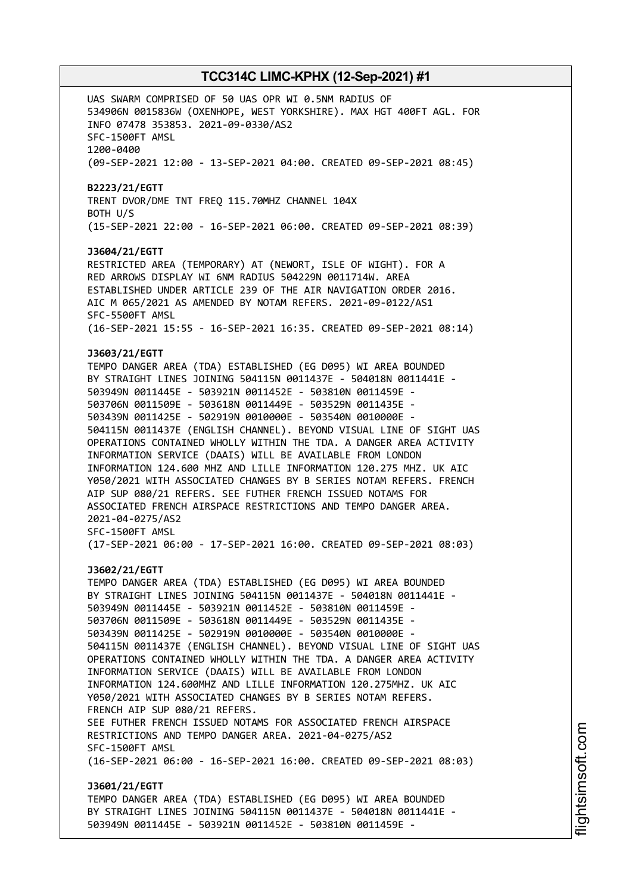UAS SWARM COMPRISED OF 50 UAS OPR WI 0.5NM RADIUS OF 534906N 0015836W (OXENHOPE, WEST YORKSHIRE). MAX HGT 400FT AGL. FOR INFO 07478 353853. 2021-09-0330/AS2 SFC-1500FT AMSL 1200-0400 (09-SEP-2021 12:00 - 13-SEP-2021 04:00. CREATED 09-SEP-2021 08:45) **B2223/21/EGTT** TRENT DVOR/DME TNT FREQ 115.70MHZ CHANNEL 104X BOTH U/S (15-SEP-2021 22:00 - 16-SEP-2021 06:00. CREATED 09-SEP-2021 08:39) **J3604/21/EGTT** RESTRICTED AREA (TEMPORARY) AT (NEWORT, ISLE OF WIGHT). FOR A RED ARROWS DISPLAY WI 6NM RADIUS 504229N 0011714W. AREA ESTABLISHED UNDER ARTICLE 239 OF THE AIR NAVIGATION ORDER 2016. AIC M 065/2021 AS AMENDED BY NOTAM REFERS. 2021-09-0122/AS1 SFC-5500FT AMSL (16-SEP-2021 15:55 - 16-SEP-2021 16:35. CREATED 09-SEP-2021 08:14) **J3603/21/EGTT** TEMPO DANGER AREA (TDA) ESTABLISHED (EG D095) WI AREA BOUNDED BY STRAIGHT LINES JOINING 504115N 0011437E - 504018N 0011441E - 503949N 0011445E - 503921N 0011452E - 503810N 0011459E - 503706N 0011509E - 503618N 0011449E - 503529N 0011435E - 503439N 0011425E - 502919N 0010000E - 503540N 0010000E - 504115N 0011437E (ENGLISH CHANNEL). BEYOND VISUAL LINE OF SIGHT UAS OPERATIONS CONTAINED WHOLLY WITHIN THE TDA. A DANGER AREA ACTIVITY INFORMATION SERVICE (DAAIS) WILL BE AVAILABLE FROM LONDON INFORMATION 124.600 MHZ AND LILLE INFORMATION 120.275 MHZ. UK AIC Y050/2021 WITH ASSOCIATED CHANGES BY B SERIES NOTAM REFERS. FRENCH AIP SUP 080/21 REFERS. SEE FUTHER FRENCH ISSUED NOTAMS FOR ASSOCIATED FRENCH AIRSPACE RESTRICTIONS AND TEMPO DANGER AREA. 2021-04-0275/AS2 SFC-1500FT AMSL (17-SEP-2021 06:00 - 17-SEP-2021 16:00. CREATED 09-SEP-2021 08:03) **J3602/21/EGTT** TEMPO DANGER AREA (TDA) ESTABLISHED (EG D095) WI AREA BOUNDED BY STRAIGHT LINES JOINING 504115N 0011437E - 504018N 0011441E - 503949N 0011445E - 503921N 0011452E - 503810N 0011459E - 503706N 0011509E - 503618N 0011449E - 503529N 0011435E - 503439N 0011425E - 502919N 0010000E - 503540N 0010000E - 504115N 0011437E (ENGLISH CHANNEL). BEYOND VISUAL LINE OF SIGHT UAS OPERATIONS CONTAINED WHOLLY WITHIN THE TDA. A DANGER AREA ACTIVITY INFORMATION SERVICE (DAAIS) WILL BE AVAILABLE FROM LONDON INFORMATION 124.600MHZ AND LILLE INFORMATION 120.275MHZ. UK AIC Y050/2021 WITH ASSOCIATED CHANGES BY B SERIES NOTAM REFERS. FRENCH AIP SUP 080/21 REFERS. SEE FUTHER FRENCH ISSUED NOTAMS FOR ASSOCIATED FRENCH AIRSPACE RESTRICTIONS AND TEMPO DANGER AREA. 2021-04-0275/AS2 SFC-1500FT AMSL (16-SEP-2021 06:00 - 16-SEP-2021 16:00. CREATED 09-SEP-2021 08:03) **J3601/21/EGTT** TEMPO DANGER AREA (TDA) ESTABLISHED (EG D095) WI AREA BOUNDED BY STRAIGHT LINES JOINING 504115N 0011437E - 504018N 0011441E - 503949N 0011445E - 503921N 0011452E - 503810N 0011459E -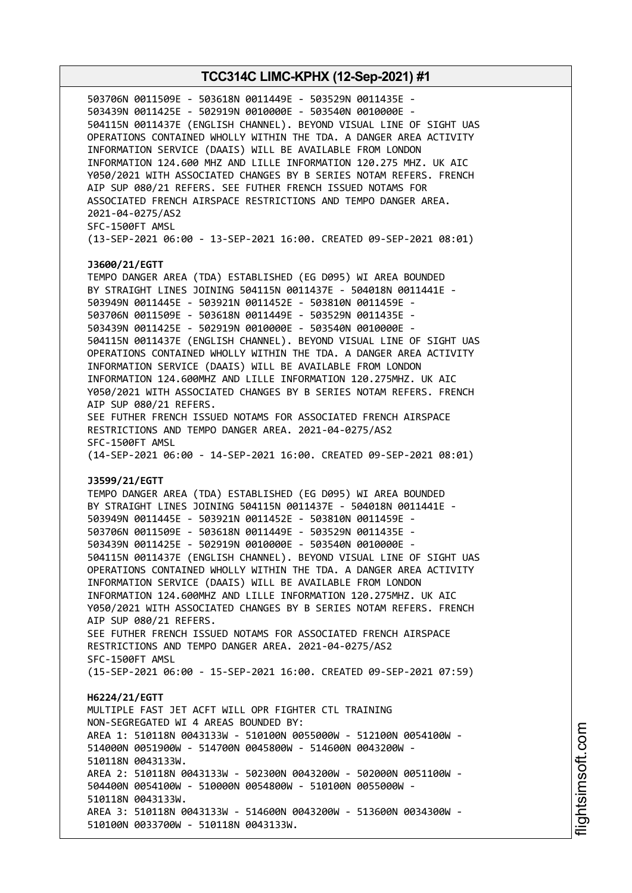503706N 0011509E - 503618N 0011449E - 503529N 0011435E - 503439N 0011425E - 502919N 0010000E - 503540N 0010000E - 504115N 0011437E (ENGLISH CHANNEL). BEYOND VISUAL LINE OF SIGHT UAS OPERATIONS CONTAINED WHOLLY WITHIN THE TDA. A DANGER AREA ACTIVITY INFORMATION SERVICE (DAAIS) WILL BE AVAILABLE FROM LONDON INFORMATION 124.600 MHZ AND LILLE INFORMATION 120.275 MHZ. UK AIC Y050/2021 WITH ASSOCIATED CHANGES BY B SERIES NOTAM REFERS. FRENCH AIP SUP 080/21 REFERS. SEE FUTHER FRENCH ISSUED NOTAMS FOR ASSOCIATED FRENCH AIRSPACE RESTRICTIONS AND TEMPO DANGER AREA. 2021-04-0275/AS2 SFC-1500FT AMSL (13-SEP-2021 06:00 - 13-SEP-2021 16:00. CREATED 09-SEP-2021 08:01) **J3600/21/EGTT** TEMPO DANGER AREA (TDA) ESTABLISHED (EG D095) WI AREA BOUNDED BY STRAIGHT LINES JOINING 504115N 0011437E - 504018N 0011441E - 503949N 0011445E - 503921N 0011452E - 503810N 0011459E - 503706N 0011509E - 503618N 0011449E - 503529N 0011435E - 503439N 0011425E - 502919N 0010000E - 503540N 0010000E - 504115N 0011437E (ENGLISH CHANNEL). BEYOND VISUAL LINE OF SIGHT UAS OPERATIONS CONTAINED WHOLLY WITHIN THE TDA. A DANGER AREA ACTIVITY INFORMATION SERVICE (DAAIS) WILL BE AVAILABLE FROM LONDON INFORMATION 124.600MHZ AND LILLE INFORMATION 120.275MHZ. UK AIC Y050/2021 WITH ASSOCIATED CHANGES BY B SERIES NOTAM REFERS. FRENCH AIP SUP 080/21 REFERS. SEE FUTHER FRENCH ISSUED NOTAMS FOR ASSOCIATED FRENCH AIRSPACE RESTRICTIONS AND TEMPO DANGER AREA. 2021-04-0275/AS2 SFC-1500FT AMSL (14-SEP-2021 06:00 - 14-SEP-2021 16:00. CREATED 09-SEP-2021 08:01) **J3599/21/EGTT** TEMPO DANGER AREA (TDA) ESTABLISHED (EG D095) WI AREA BOUNDED BY STRAIGHT LINES JOINING 504115N 0011437E - 504018N 0011441E - 503949N 0011445E - 503921N 0011452E - 503810N 0011459E - 503706N 0011509E - 503618N 0011449E - 503529N 0011435E - 503439N 0011425E - 502919N 0010000E - 503540N 0010000E - 504115N 0011437E (ENGLISH CHANNEL). BEYOND VISUAL LINE OF SIGHT UAS OPERATIONS CONTAINED WHOLLY WITHIN THE TDA. A DANGER AREA ACTIVITY INFORMATION SERVICE (DAAIS) WILL BE AVAILABLE FROM LONDON INFORMATION 124.600MHZ AND LILLE INFORMATION 120.275MHZ. UK AIC Y050/2021 WITH ASSOCIATED CHANGES BY B SERIES NOTAM REFERS. FRENCH AIP SUP 080/21 REFERS. SEE FUTHER FRENCH ISSUED NOTAMS FOR ASSOCIATED FRENCH AIRSPACE RESTRICTIONS AND TEMPO DANGER AREA. 2021-04-0275/AS2 SFC-1500FT AMSL (15-SEP-2021 06:00 - 15-SEP-2021 16:00. CREATED 09-SEP-2021 07:59) **H6224/21/EGTT** MULTIPLE FAST JET ACFT WILL OPR FIGHTER CTL TRAINING NON-SEGREGATED WI 4 AREAS BOUNDED BY: AREA 1: 510118N 0043133W - 510100N 0055000W - 512100N 0054100W - 514000N 0051900W - 514700N 0045800W - 514600N 0043200W - 510118N 0043133W. AREA 2: 510118N 0043133W - 502300N 0043200W - 502000N 0051100W - 504400N 0054100W - 510000N 0054800W - 510100N 0055000W - 510118N 0043133W. AREA 3: 510118N 0043133W - 514600N 0043200W - 513600N 0034300W - 510100N 0033700W - 510118N 0043133W.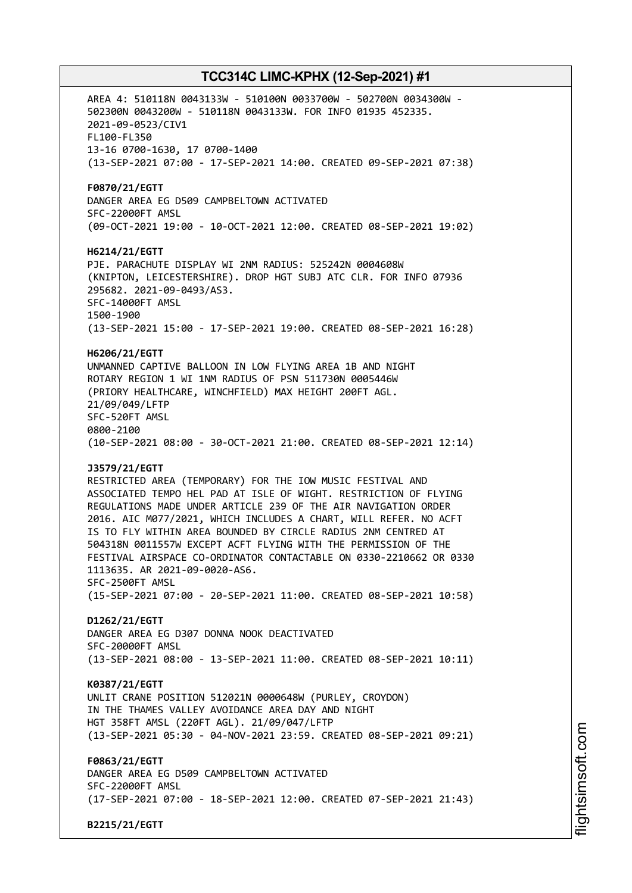AREA 4: 510118N 0043133W - 510100N 0033700W - 502700N 0034300W - 502300N 0043200W - 510118N 0043133W. FOR INFO 01935 452335. 2021-09-0523/CIV1 FL100-FL350 13-16 0700-1630, 17 0700-1400 (13-SEP-2021 07:00 - 17-SEP-2021 14:00. CREATED 09-SEP-2021 07:38) **F0870/21/EGTT** DANGER AREA EG D509 CAMPBELTOWN ACTIVATED SFC-22000FT AMSL (09-OCT-2021 19:00 - 10-OCT-2021 12:00. CREATED 08-SEP-2021 19:02) **H6214/21/EGTT** PJE. PARACHUTE DISPLAY WI 2NM RADIUS: 525242N 0004608W (KNIPTON, LEICESTERSHIRE). DROP HGT SUBJ ATC CLR. FOR INFO 07936 295682. 2021-09-0493/AS3. SFC-14000FT AMSL 1500-1900 (13-SEP-2021 15:00 - 17-SEP-2021 19:00. CREATED 08-SEP-2021 16:28) **H6206/21/EGTT** UNMANNED CAPTIVE BALLOON IN LOW FLYING AREA 1B AND NIGHT ROTARY REGION 1 WI 1NM RADIUS OF PSN 511730N 0005446W (PRIORY HEALTHCARE, WINCHFIELD) MAX HEIGHT 200FT AGL. 21/09/049/LFTP SFC-520FT AMSL 0800-2100 (10-SEP-2021 08:00 - 30-OCT-2021 21:00. CREATED 08-SEP-2021 12:14) **J3579/21/EGTT** RESTRICTED AREA (TEMPORARY) FOR THE IOW MUSIC FESTIVAL AND ASSOCIATED TEMPO HEL PAD AT ISLE OF WIGHT. RESTRICTION OF FLYING REGULATIONS MADE UNDER ARTICLE 239 OF THE AIR NAVIGATION ORDER 2016. AIC M077/2021, WHICH INCLUDES A CHART, WILL REFER. NO ACFT IS TO FLY WITHIN AREA BOUNDED BY CIRCLE RADIUS 2NM CENTRED AT 504318N 0011557W EXCEPT ACFT FLYING WITH THE PERMISSION OF THE FESTIVAL AIRSPACE CO-ORDINATOR CONTACTABLE ON 0330-2210662 OR 0330 1113635. AR 2021-09-0020-AS6. SFC-2500FT AMSL (15-SEP-2021 07:00 - 20-SEP-2021 11:00. CREATED 08-SEP-2021 10:58) **D1262/21/EGTT** DANGER AREA EG D307 DONNA NOOK DEACTIVATED SFC-20000FT AMSL (13-SEP-2021 08:00 - 13-SEP-2021 11:00. CREATED 08-SEP-2021 10:11) **K0387/21/EGTT** UNLIT CRANE POSITION 512021N 0000648W (PURLEY, CROYDON) IN THE THAMES VALLEY AVOIDANCE AREA DAY AND NIGHT HGT 358FT AMSL (220FT AGL). 21/09/047/LFTP (13-SEP-2021 05:30 - 04-NOV-2021 23:59. CREATED 08-SEP-2021 09:21) **F0863/21/EGTT** DANGER AREA EG D509 CAMPBELTOWN ACTIVATED SFC-22000FT AMSL (17-SEP-2021 07:00 - 18-SEP-2021 12:00. CREATED 07-SEP-2021 21:43) **B2215/21/EGTT**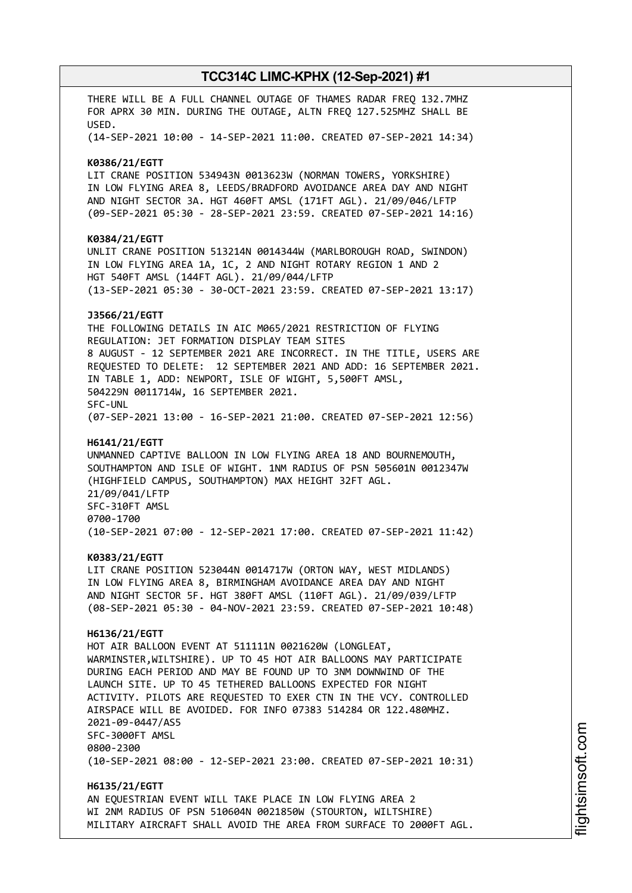THERE WILL BE A FULL CHANNEL OUTAGE OF THAMES RADAR FREQ 132.7MHZ FOR APRX 30 MIN. DURING THE OUTAGE, ALTN FREQ 127.525MHZ SHALL BE USED. (14-SEP-2021 10:00 - 14-SEP-2021 11:00. CREATED 07-SEP-2021 14:34) **K0386/21/EGTT** LIT CRANE POSITION 534943N 0013623W (NORMAN TOWERS, YORKSHIRE) IN LOW FLYING AREA 8, LEEDS/BRADFORD AVOIDANCE AREA DAY AND NIGHT AND NIGHT SECTOR 3A. HGT 460FT AMSL (171FT AGL). 21/09/046/LFTP (09-SEP-2021 05:30 - 28-SEP-2021 23:59. CREATED 07-SEP-2021 14:16) **K0384/21/EGTT** UNLIT CRANE POSITION 513214N 0014344W (MARLBOROUGH ROAD, SWINDON) IN LOW FLYING AREA 1A, 1C, 2 AND NIGHT ROTARY REGION 1 AND 2 HGT 540FT AMSL (144FT AGL). 21/09/044/LFTP (13-SEP-2021 05:30 - 30-OCT-2021 23:59. CREATED 07-SEP-2021 13:17) **J3566/21/EGTT** THE FOLLOWING DETAILS IN AIC M065/2021 RESTRICTION OF FLYING REGULATION: JET FORMATION DISPLAY TEAM SITES 8 AUGUST - 12 SEPTEMBER 2021 ARE INCORRECT. IN THE TITLE, USERS ARE REQUESTED TO DELETE: 12 SEPTEMBER 2021 AND ADD: 16 SEPTEMBER 2021. IN TABLE 1, ADD: NEWPORT, ISLE OF WIGHT, 5,500FT AMSL, 504229N 0011714W, 16 SEPTEMBER 2021. SFC-UNL (07-SEP-2021 13:00 - 16-SEP-2021 21:00. CREATED 07-SEP-2021 12:56) **H6141/21/EGTT** UNMANNED CAPTIVE BALLOON IN LOW FLYING AREA 18 AND BOURNEMOUTH, SOUTHAMPTON AND ISLE OF WIGHT. 1NM RADIUS OF PSN 505601N 0012347W (HIGHFIELD CAMPUS, SOUTHAMPTON) MAX HEIGHT 32FT AGL. 21/09/041/LFTP SFC-310FT AMSL 0700-1700 (10-SEP-2021 07:00 - 12-SEP-2021 17:00. CREATED 07-SEP-2021 11:42) **K0383/21/EGTT** LIT CRANE POSITION 523044N 0014717W (ORTON WAY, WEST MIDLANDS) IN LOW FLYING AREA 8, BIRMINGHAM AVOIDANCE AREA DAY AND NIGHT AND NIGHT SECTOR 5F. HGT 380FT AMSL (110FT AGL). 21/09/039/LFTP (08-SEP-2021 05:30 - 04-NOV-2021 23:59. CREATED 07-SEP-2021 10:48) **H6136/21/EGTT** HOT AIR BALLOON EVENT AT 511111N 0021620W (LONGLEAT, WARMINSTER,WILTSHIRE). UP TO 45 HOT AIR BALLOONS MAY PARTICIPATE DURING EACH PERIOD AND MAY BE FOUND UP TO 3NM DOWNWIND OF THE LAUNCH SITE. UP TO 45 TETHERED BALLOONS EXPECTED FOR NIGHT ACTIVITY. PILOTS ARE REQUESTED TO EXER CTN IN THE VCY. CONTROLLED AIRSPACE WILL BE AVOIDED. FOR INFO 07383 514284 OR 122.480MHZ. 2021-09-0447/AS5 SFC-3000FT AMSL 0800-2300 (10-SEP-2021 08:00 - 12-SEP-2021 23:00. CREATED 07-SEP-2021 10:31) **H6135/21/EGTT** AN EQUESTRIAN EVENT WILL TAKE PLACE IN LOW FLYING AREA 2 WI 2NM RADIUS OF PSN 510604N 0021850W (STOURTON, WILTSHIRE)

MILITARY AIRCRAFT SHALL AVOID THE AREA FROM SURFACE TO 2000FT AGL.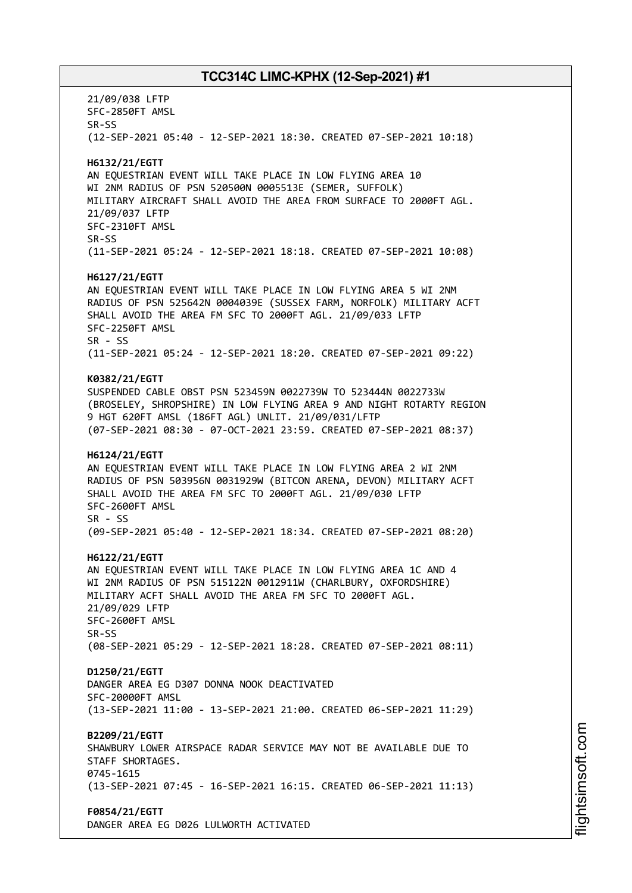21/09/038 LFTP SFC-2850FT AMSL SR-SS (12-SEP-2021 05:40 - 12-SEP-2021 18:30. CREATED 07-SEP-2021 10:18) **H6132/21/EGTT** AN EQUESTRIAN EVENT WILL TAKE PLACE IN LOW FLYING AREA 10 WI 2NM RADIUS OF PSN 520500N 0005513E (SEMER, SUFFOLK) MILITARY AIRCRAFT SHALL AVOID THE AREA FROM SURFACE TO 2000FT AGL. 21/09/037 LFTP SFC-2310FT AMSL SR-SS (11-SEP-2021 05:24 - 12-SEP-2021 18:18. CREATED 07-SEP-2021 10:08) **H6127/21/EGTT** AN EQUESTRIAN EVENT WILL TAKE PLACE IN LOW FLYING AREA 5 WI 2NM RADIUS OF PSN 525642N 0004039E (SUSSEX FARM, NORFOLK) MILITARY ACFT SHALL AVOID THE AREA FM SFC TO 2000FT AGL. 21/09/033 LFTP SFC-2250FT AMSL SR - SS (11-SEP-2021 05:24 - 12-SEP-2021 18:20. CREATED 07-SEP-2021 09:22) **K0382/21/EGTT** SUSPENDED CABLE OBST PSN 523459N 0022739W TO 523444N 0022733W (BROSELEY, SHROPSHIRE) IN LOW FLYING AREA 9 AND NIGHT ROTARTY REGION 9 HGT 620FT AMSL (186FT AGL) UNLIT. 21/09/031/LFTP (07-SEP-2021 08:30 - 07-OCT-2021 23:59. CREATED 07-SEP-2021 08:37) **H6124/21/EGTT** AN EQUESTRIAN EVENT WILL TAKE PLACE IN LOW FLYING AREA 2 WI 2NM RADIUS OF PSN 503956N 0031929W (BITCON ARENA, DEVON) MILITARY ACFT SHALL AVOID THE AREA FM SFC TO 2000FT AGL. 21/09/030 LFTP SFC-2600FT AMSL  $SR - SS$ (09-SEP-2021 05:40 - 12-SEP-2021 18:34. CREATED 07-SEP-2021 08:20) **H6122/21/EGTT** AN EQUESTRIAN EVENT WILL TAKE PLACE IN LOW FLYING AREA 1C AND 4 WI 2NM RADIUS OF PSN 515122N 0012911W (CHARLBURY, OXFORDSHIRE) MILITARY ACFT SHALL AVOID THE AREA FM SFC TO 2000FT AGL. 21/09/029 LFTP SFC-2600FT AMSL SR-SS (08-SEP-2021 05:29 - 12-SEP-2021 18:28. CREATED 07-SEP-2021 08:11) **D1250/21/EGTT** DANGER AREA EG D307 DONNA NOOK DEACTIVATED SFC-20000FT AMSL (13-SEP-2021 11:00 - 13-SEP-2021 21:00. CREATED 06-SEP-2021 11:29) **B2209/21/EGTT** SHAWBURY LOWER AIRSPACE RADAR SERVICE MAY NOT BE AVAILABLE DUE TO STAFF SHORTAGES. 0745-1615 (13-SEP-2021 07:45 - 16-SEP-2021 16:15. CREATED 06-SEP-2021 11:13) **F0854/21/EGTT** DANGER AREA EG D026 LULWORTH ACTIVATED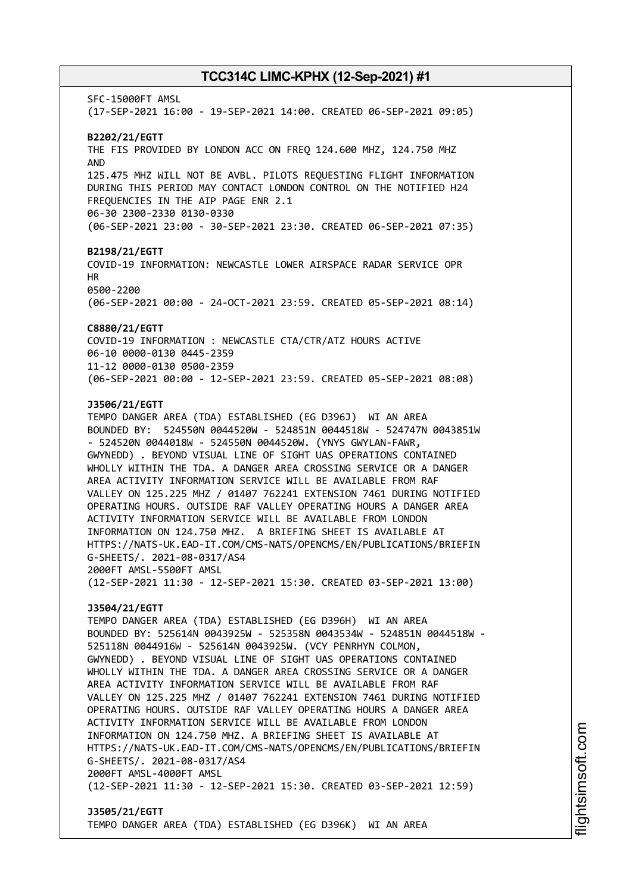SFC-15000FT AMSL (17-SEP-2021 16:00 - 19-SEP-2021 14:00. CREATED 06-SEP-2021 09:05) **B2202/21/EGTT** THE FIS PROVIDED BY LONDON ACC ON FREQ 124.600 MHZ, 124.750 MHZ AND 125.475 MHZ WILL NOT BE AVBL. PILOTS REQUESTING FLIGHT INFORMATION DURING THIS PERIOD MAY CONTACT LONDON CONTROL ON THE NOTIFIED H24 FREQUENCIES IN THE AIP PAGE ENR 2.1 06-30 2300-2330 0130-0330 (06-SEP-2021 23:00 - 30-SEP-2021 23:30. CREATED 06-SEP-2021 07:35) **B2198/21/EGTT** COVID-19 INFORMATION: NEWCASTLE LOWER AIRSPACE RADAR SERVICE OPR HR 0500-2200 (06-SEP-2021 00:00 - 24-OCT-2021 23:59. CREATED 05-SEP-2021 08:14) **C8880/21/EGTT** COVID-19 INFORMATION : NEWCASTLE CTA/CTR/ATZ HOURS ACTIVE 06-10 0000-0130 0445-2359 11-12 0000-0130 0500-2359 (06-SEP-2021 00:00 - 12-SEP-2021 23:59. CREATED 05-SEP-2021 08:08) **J3506/21/EGTT** TEMPO DANGER AREA (TDA) ESTABLISHED (EG D396J) WI AN AREA BOUNDED BY: 524550N 0044520W - 524851N 0044518W - 524747N 0043851W - 524520N 0044018W - 524550N 0044520W. (YNYS GWYLAN-FAWR, GWYNEDD) . BEYOND VISUAL LINE OF SIGHT UAS OPERATIONS CONTAINED WHOLLY WITHIN THE TDA. A DANGER AREA CROSSING SERVICE OR A DANGER AREA ACTIVITY INFORMATION SERVICE WILL BE AVAILABLE FROM RAF VALLEY ON 125.225 MHZ / 01407 762241 EXTENSION 7461 DURING NOTIFIED OPERATING HOURS. OUTSIDE RAF VALLEY OPERATING HOURS A DANGER AREA ACTIVITY INFORMATION SERVICE WILL BE AVAILABLE FROM LONDON INFORMATION ON 124.750 MHZ. A BRIEFING SHEET IS AVAILABLE AT HTTPS://NATS-UK.EAD-IT.COM/CMS-NATS/OPENCMS/EN/PUBLICATIONS/BRIEFIN G-SHEETS/. 2021-08-0317/AS4 2000FT AMSL-5500FT AMSL (12-SEP-2021 11:30 - 12-SEP-2021 15:30. CREATED 03-SEP-2021 13:00) **J3504/21/EGTT** TEMPO DANGER AREA (TDA) ESTABLISHED (EG D396H) WI AN AREA BOUNDED BY: 525614N 0043925W - 525358N 0043534W - 524851N 0044518W - 525118N 0044916W - 525614N 0043925W. (VCY PENRHYN COLMON, GWYNEDD) . BEYOND VISUAL LINE OF SIGHT UAS OPERATIONS CONTAINED WHOLLY WITHIN THE TDA. A DANGER AREA CROSSING SERVICE OR A DANGER AREA ACTIVITY INFORMATION SERVICE WILL BE AVAILABLE FROM RAF VALLEY ON 125.225 MHZ / 01407 762241 EXTENSION 7461 DURING NOTIFIED OPERATING HOURS. OUTSIDE RAF VALLEY OPERATING HOURS A DANGER AREA ACTIVITY INFORMATION SERVICE WILL BE AVAILABLE FROM LONDON INFORMATION ON 124.750 MHZ. A BRIEFING SHEET IS AVAILABLE AT HTTPS://NATS-UK.EAD-IT.COM/CMS-NATS/OPENCMS/EN/PUBLICATIONS/BRIEFIN G-SHEETS/. 2021-08-0317/AS4 2000FT AMSL-4000FT AMSL (12-SEP-2021 11:30 - 12-SEP-2021 15:30. CREATED 03-SEP-2021 12:59)

### **J3505/21/EGTT** TEMPO DANGER AREA (TDA) ESTABLISHED (EG D396K) WI AN AREA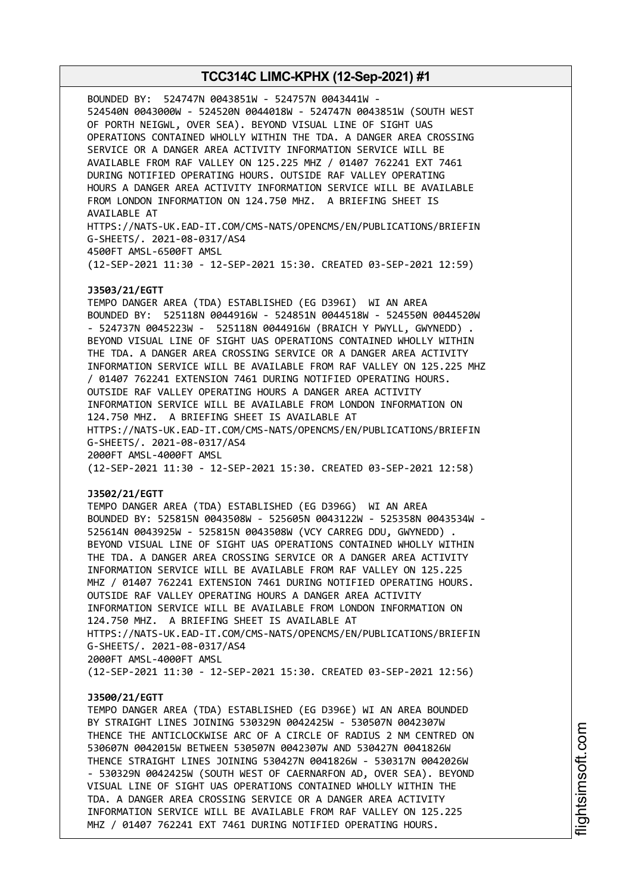BOUNDED BY: 524747N 0043851W - 524757N 0043441W - 524540N 0043000W - 524520N 0044018W - 524747N 0043851W (SOUTH WEST OF PORTH NEIGWL, OVER SEA). BEYOND VISUAL LINE OF SIGHT UAS OPERATIONS CONTAINED WHOLLY WITHIN THE TDA. A DANGER AREA CROSSING SERVICE OR A DANGER AREA ACTIVITY INFORMATION SERVICE WILL BE AVAILABLE FROM RAF VALLEY ON 125.225 MHZ / 01407 762241 EXT 7461 DURING NOTIFIED OPERATING HOURS. OUTSIDE RAF VALLEY OPERATING HOURS A DANGER AREA ACTIVITY INFORMATION SERVICE WILL BE AVAILABLE FROM LONDON INFORMATION ON 124.750 MHZ. A BRIEFING SHEET IS AVAILABLE AT HTTPS://NATS-UK.EAD-IT.COM/CMS-NATS/OPENCMS/EN/PUBLICATIONS/BRIEFIN G-SHEETS/. 2021-08-0317/AS4 4500FT AMSL-6500FT AMSL (12-SEP-2021 11:30 - 12-SEP-2021 15:30. CREATED 03-SEP-2021 12:59) **J3503/21/EGTT** TEMPO DANGER AREA (TDA) ESTABLISHED (EG D396I) WI AN AREA BOUNDED BY: 525118N 0044916W - 524851N 0044518W - 524550N 0044520W - 524737N 0045223W - 525118N 0044916W (BRAICH Y PWYLL, GWYNEDD) . BEYOND VISUAL LINE OF SIGHT UAS OPERATIONS CONTAINED WHOLLY WITHIN THE TDA. A DANGER AREA CROSSING SERVICE OR A DANGER AREA ACTIVITY INFORMATION SERVICE WILL BE AVAILABLE FROM RAF VALLEY ON 125.225 MHZ / 01407 762241 EXTENSION 7461 DURING NOTIFIED OPERATING HOURS. OUTSIDE RAF VALLEY OPERATING HOURS A DANGER AREA ACTIVITY INFORMATION SERVICE WILL BE AVAILABLE FROM LONDON INFORMATION ON 124.750 MHZ. A BRIEFING SHEET IS AVAILABLE AT HTTPS://NATS-UK.EAD-IT.COM/CMS-NATS/OPENCMS/EN/PUBLICATIONS/BRIEFIN G-SHEETS/. 2021-08-0317/AS4 2000FT AMSL-4000FT AMSL (12-SEP-2021 11:30 - 12-SEP-2021 15:30. CREATED 03-SEP-2021 12:58) **J3502/21/EGTT** TEMPO DANGER AREA (TDA) ESTABLISHED (EG D396G) WI AN AREA BOUNDED BY: 525815N 0043508W - 525605N 0043122W - 525358N 0043534W - 525614N 0043925W - 525815N 0043508W (VCY CARREG DDU, GWYNEDD) . BEYOND VISUAL LINE OF SIGHT UAS OPERATIONS CONTAINED WHOLLY WITHIN THE TDA. A DANGER AREA CROSSING SERVICE OR A DANGER AREA ACTIVITY INFORMATION SERVICE WILL BE AVAILABLE FROM RAF VALLEY ON 125.225 MHZ / 01407 762241 EXTENSION 7461 DURING NOTIFIED OPERATING HOURS. OUTSIDE RAF VALLEY OPERATING HOURS A DANGER AREA ACTIVITY INFORMATION SERVICE WILL BE AVAILABLE FROM LONDON INFORMATION ON 124.750 MHZ. A BRIEFING SHEET IS AVAILABLE AT

HTTPS://NATS-UK.EAD-IT.COM/CMS-NATS/OPENCMS/EN/PUBLICATIONS/BRIEFIN G-SHEETS/. 2021-08-0317/AS4

2000FT AMSL-4000FT AMSL

(12-SEP-2021 11:30 - 12-SEP-2021 15:30. CREATED 03-SEP-2021 12:56)

### **J3500/21/EGTT**

TEMPO DANGER AREA (TDA) ESTABLISHED (EG D396E) WI AN AREA BOUNDED BY STRAIGHT LINES JOINING 530329N 0042425W - 530507N 0042307W THENCE THE ANTICLOCKWISE ARC OF A CIRCLE OF RADIUS 2 NM CENTRED ON 530607N 0042015W BETWEEN 530507N 0042307W AND 530427N 0041826W THENCE STRAIGHT LINES JOINING 530427N 0041826W - 530317N 0042026W - 530329N 0042425W (SOUTH WEST OF CAERNARFON AD, OVER SEA). BEYOND VISUAL LINE OF SIGHT UAS OPERATIONS CONTAINED WHOLLY WITHIN THE TDA. A DANGER AREA CROSSING SERVICE OR A DANGER AREA ACTIVITY INFORMATION SERVICE WILL BE AVAILABLE FROM RAF VALLEY ON 125.225 MHZ / 01407 762241 EXT 7461 DURING NOTIFIED OPERATING HOURS.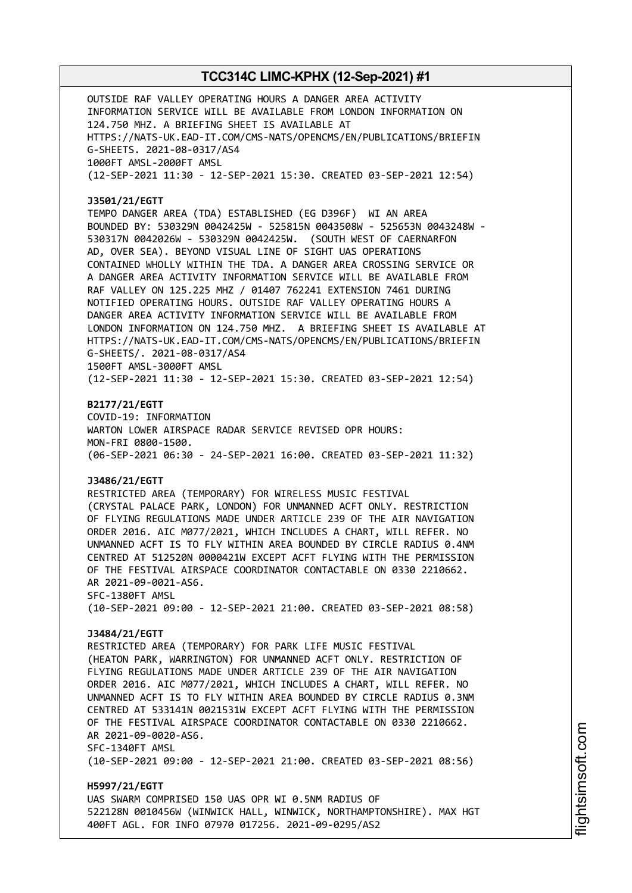OUTSIDE RAF VALLEY OPERATING HOURS A DANGER AREA ACTIVITY INFORMATION SERVICE WILL BE AVAILABLE FROM LONDON INFORMATION ON 124.750 MHZ. A BRIEFING SHEET IS AVAILABLE AT HTTPS://NATS-UK.EAD-IT.COM/CMS-NATS/OPENCMS/EN/PUBLICATIONS/BRIEFIN G-SHEETS. 2021-08-0317/AS4 1000FT AMSL-2000FT AMSL (12-SEP-2021 11:30 - 12-SEP-2021 15:30. CREATED 03-SEP-2021 12:54)

#### **J3501/21/EGTT**

TEMPO DANGER AREA (TDA) ESTABLISHED (EG D396F) WI AN AREA BOUNDED BY: 530329N 0042425W - 525815N 0043508W - 525653N 0043248W - 530317N 0042026W - 530329N 0042425W. (SOUTH WEST OF CAERNARFON AD, OVER SEA). BEYOND VISUAL LINE OF SIGHT UAS OPERATIONS CONTAINED WHOLLY WITHIN THE TDA. A DANGER AREA CROSSING SERVICE OR A DANGER AREA ACTIVITY INFORMATION SERVICE WILL BE AVAILABLE FROM RAF VALLEY ON 125.225 MHZ / 01407 762241 EXTENSION 7461 DURING NOTIFIED OPERATING HOURS. OUTSIDE RAF VALLEY OPERATING HOURS A DANGER AREA ACTIVITY INFORMATION SERVICE WILL BE AVAILABLE FROM LONDON INFORMATION ON 124.750 MHZ. A BRIEFING SHEET IS AVAILABLE AT HTTPS://NATS-UK.EAD-IT.COM/CMS-NATS/OPENCMS/EN/PUBLICATIONS/BRIEFIN G-SHEETS/. 2021-08-0317/AS4 1500FT AMSL-3000FT AMSL

(12-SEP-2021 11:30 - 12-SEP-2021 15:30. CREATED 03-SEP-2021 12:54)

#### **B2177/21/EGTT**

COVID-19: INFORMATION WARTON LOWER AIRSPACE RADAR SERVICE REVISED OPR HOURS: MON-FRI 0800-1500. (06-SEP-2021 06:30 - 24-SEP-2021 16:00. CREATED 03-SEP-2021 11:32)

### **J3486/21/EGTT**

RESTRICTED AREA (TEMPORARY) FOR WIRELESS MUSIC FESTIVAL (CRYSTAL PALACE PARK, LONDON) FOR UNMANNED ACFT ONLY. RESTRICTION OF FLYING REGULATIONS MADE UNDER ARTICLE 239 OF THE AIR NAVIGATION ORDER 2016. AIC M077/2021, WHICH INCLUDES A CHART, WILL REFER. NO UNMANNED ACFT IS TO FLY WITHIN AREA BOUNDED BY CIRCLE RADIUS 0.4NM CENTRED AT 512520N 0000421W EXCEPT ACFT FLYING WITH THE PERMISSION OF THE FESTIVAL AIRSPACE COORDINATOR CONTACTABLE ON 0330 2210662. AR 2021-09-0021-AS6. SFC-1380FT AMSL (10-SEP-2021 09:00 - 12-SEP-2021 21:00. CREATED 03-SEP-2021 08:58)

#### **J3484/21/EGTT**

RESTRICTED AREA (TEMPORARY) FOR PARK LIFE MUSIC FESTIVAL (HEATON PARK, WARRINGTON) FOR UNMANNED ACFT ONLY. RESTRICTION OF FLYING REGULATIONS MADE UNDER ARTICLE 239 OF THE AIR NAVIGATION ORDER 2016. AIC M077/2021, WHICH INCLUDES A CHART, WILL REFER. NO UNMANNED ACFT IS TO FLY WITHIN AREA BOUNDED BY CIRCLE RADIUS 0.3NM CENTRED AT 533141N 0021531W EXCEPT ACFT FLYING WITH THE PERMISSION OF THE FESTIVAL AIRSPACE COORDINATOR CONTACTABLE ON 0330 2210662. AR 2021-09-0020-AS6. SFC-1340FT AMSL (10-SEP-2021 09:00 - 12-SEP-2021 21:00. CREATED 03-SEP-2021 08:56)

**H5997/21/EGTT** UAS SWARM COMPRISED 150 UAS OPR WI 0.5NM RADIUS OF 522128N 0010456W (WINWICK HALL, WINWICK, NORTHAMPTONSHIRE). MAX HGT 400FT AGL. FOR INFO 07970 017256. 2021-09-0295/AS2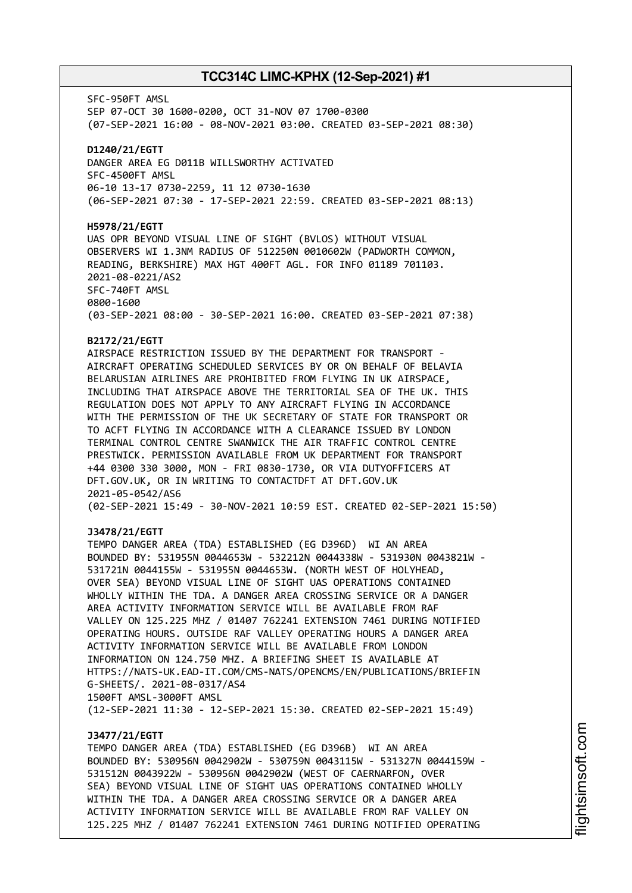SFC-950FT AMSL SEP 07-OCT 30 1600-0200, OCT 31-NOV 07 1700-0300 (07-SEP-2021 16:00 - 08-NOV-2021 03:00. CREATED 03-SEP-2021 08:30) **D1240/21/EGTT** DANGER AREA EG D011B WILLSWORTHY ACTIVATED SFC-4500FT AMSL 06-10 13-17 0730-2259, 11 12 0730-1630 (06-SEP-2021 07:30 - 17-SEP-2021 22:59. CREATED 03-SEP-2021 08:13) **H5978/21/EGTT** UAS OPR BEYOND VISUAL LINE OF SIGHT (BVLOS) WITHOUT VISUAL OBSERVERS WI 1.3NM RADIUS OF 512250N 0010602W (PADWORTH COMMON, READING, BERKSHIRE) MAX HGT 400FT AGL. FOR INFO 01189 701103. 2021-08-0221/AS2 SFC-740FT AMSL 0800-1600 (03-SEP-2021 08:00 - 30-SEP-2021 16:00. CREATED 03-SEP-2021 07:38)

### **B2172/21/EGTT**

AIRSPACE RESTRICTION ISSUED BY THE DEPARTMENT FOR TRANSPORT - AIRCRAFT OPERATING SCHEDULED SERVICES BY OR ON BEHALF OF BELAVIA BELARUSIAN AIRLINES ARE PROHIBITED FROM FLYING IN UK AIRSPACE, INCLUDING THAT AIRSPACE ABOVE THE TERRITORIAL SEA OF THE UK. THIS REGULATION DOES NOT APPLY TO ANY AIRCRAFT FLYING IN ACCORDANCE WITH THE PERMISSION OF THE UK SECRETARY OF STATE FOR TRANSPORT OR TO ACFT FLYING IN ACCORDANCE WITH A CLEARANCE ISSUED BY LONDON TERMINAL CONTROL CENTRE SWANWICK THE AIR TRAFFIC CONTROL CENTRE PRESTWICK. PERMISSION AVAILABLE FROM UK DEPARTMENT FOR TRANSPORT +44 0300 330 3000, MON - FRI 0830-1730, OR VIA DUTYOFFICERS AT DFT.GOV.UK, OR IN WRITING TO CONTACTDFT AT DFT.GOV.UK 2021-05-0542/AS6 (02-SEP-2021 15:49 - 30-NOV-2021 10:59 EST. CREATED 02-SEP-2021 15:50)

#### **J3478/21/EGTT**

TEMPO DANGER AREA (TDA) ESTABLISHED (EG D396D) WI AN AREA BOUNDED BY: 531955N 0044653W - 532212N 0044338W - 531930N 0043821W - 531721N 0044155W - 531955N 0044653W. (NORTH WEST OF HOLYHEAD, OVER SEA) BEYOND VISUAL LINE OF SIGHT UAS OPERATIONS CONTAINED WHOLLY WITHIN THE TDA. A DANGER AREA CROSSING SERVICE OR A DANGER AREA ACTIVITY INFORMATION SERVICE WILL BE AVAILABLE FROM RAF VALLEY ON 125.225 MHZ / 01407 762241 EXTENSION 7461 DURING NOTIFIED OPERATING HOURS. OUTSIDE RAF VALLEY OPERATING HOURS A DANGER AREA ACTIVITY INFORMATION SERVICE WILL BE AVAILABLE FROM LONDON INFORMATION ON 124.750 MHZ. A BRIEFING SHEET IS AVAILABLE AT HTTPS://NATS-UK.EAD-IT.COM/CMS-NATS/OPENCMS/EN/PUBLICATIONS/BRIEFIN G-SHEETS/. 2021-08-0317/AS4 1500FT AMSL-3000FT AMSL (12-SEP-2021 11:30 - 12-SEP-2021 15:30. CREATED 02-SEP-2021 15:49)

### **J3477/21/EGTT**

TEMPO DANGER AREA (TDA) ESTABLISHED (EG D396B) WI AN AREA BOUNDED BY: 530956N 0042902W - 530759N 0043115W - 531327N 0044159W - 531512N 0043922W - 530956N 0042902W (WEST OF CAERNARFON, OVER SEA) BEYOND VISUAL LINE OF SIGHT UAS OPERATIONS CONTAINED WHOLLY WITHIN THE TDA. A DANGER AREA CROSSING SERVICE OR A DANGER AREA ACTIVITY INFORMATION SERVICE WILL BE AVAILABLE FROM RAF VALLEY ON 125.225 MHZ / 01407 762241 EXTENSION 7461 DURING NOTIFIED OPERATING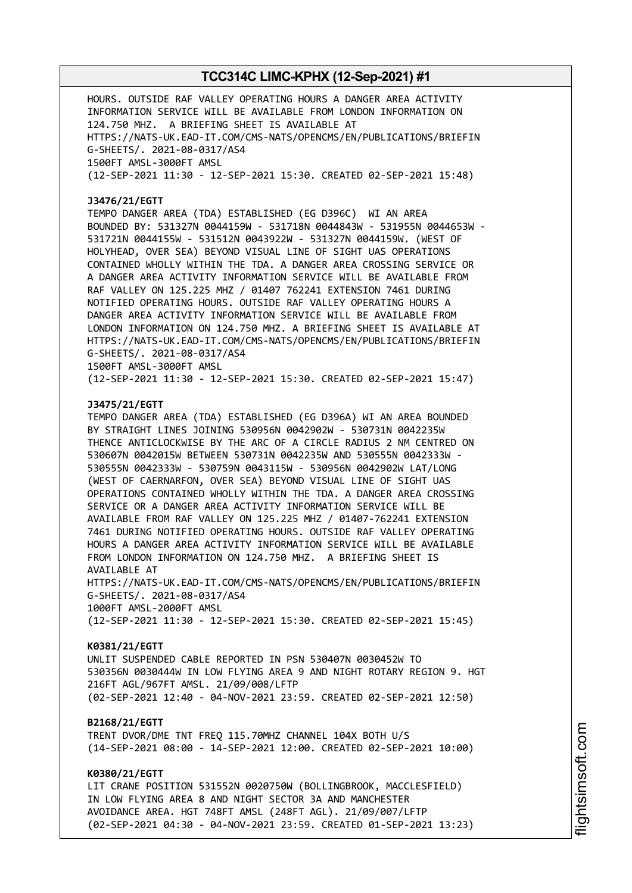HOURS. OUTSIDE RAF VALLEY OPERATING HOURS A DANGER AREA ACTIVITY INFORMATION SERVICE WILL BE AVAILABLE FROM LONDON INFORMATION ON 124.750 MHZ. A BRIEFING SHEET IS AVAILABLE AT HTTPS://NATS-UK.EAD-IT.COM/CMS-NATS/OPENCMS/EN/PUBLICATIONS/BRIEFIN G-SHEETS/. 2021-08-0317/AS4 1500FT AMSL-3000FT AMSL (12-SEP-2021 11:30 - 12-SEP-2021 15:30. CREATED 02-SEP-2021 15:48)

#### **J3476/21/EGTT**

TEMPO DANGER AREA (TDA) ESTABLISHED (EG D396C) WI AN AREA BOUNDED BY: 531327N 0044159W - 531718N 0044843W - 531955N 0044653W - 531721N 0044155W - 531512N 0043922W - 531327N 0044159W. (WEST OF HOLYHEAD, OVER SEA) BEYOND VISUAL LINE OF SIGHT UAS OPERATIONS CONTAINED WHOLLY WITHIN THE TDA. A DANGER AREA CROSSING SERVICE OR A DANGER AREA ACTIVITY INFORMATION SERVICE WILL BE AVAILABLE FROM RAF VALLEY ON 125.225 MHZ / 01407 762241 EXTENSION 7461 DURING NOTIFIED OPERATING HOURS. OUTSIDE RAF VALLEY OPERATING HOURS A DANGER AREA ACTIVITY INFORMATION SERVICE WILL BE AVAILABLE FROM LONDON INFORMATION ON 124.750 MHZ. A BRIEFING SHEET IS AVAILABLE AT HTTPS://NATS-UK.EAD-IT.COM/CMS-NATS/OPENCMS/EN/PUBLICATIONS/BRIEFIN G-SHEETS/. 2021-08-0317/AS4 1500FT AMSL-3000FT AMSL

(12-SEP-2021 11:30 - 12-SEP-2021 15:30. CREATED 02-SEP-2021 15:47)

### **J3475/21/EGTT**

TEMPO DANGER AREA (TDA) ESTABLISHED (EG D396A) WI AN AREA BOUNDED BY STRAIGHT LINES JOINING 530956N 0042902W - 530731N 0042235W THENCE ANTICLOCKWISE BY THE ARC OF A CIRCLE RADIUS 2 NM CENTRED ON 530607N 0042015W BETWEEN 530731N 0042235W AND 530555N 0042333W - 530555N 0042333W - 530759N 0043115W - 530956N 0042902W LAT/LONG (WEST OF CAERNARFON, OVER SEA) BEYOND VISUAL LINE OF SIGHT UAS OPERATIONS CONTAINED WHOLLY WITHIN THE TDA. A DANGER AREA CROSSING SERVICE OR A DANGER AREA ACTIVITY INFORMATION SERVICE WILL BE AVAILABLE FROM RAF VALLEY ON 125.225 MHZ / 01407-762241 EXTENSION 7461 DURING NOTIFIED OPERATING HOURS. OUTSIDE RAF VALLEY OPERATING HOURS A DANGER AREA ACTIVITY INFORMATION SERVICE WILL BE AVAILABLE FROM LONDON INFORMATION ON 124.750 MHZ. A BRIEFING SHEET IS AVAILABLE AT

HTTPS://NATS-UK.EAD-IT.COM/CMS-NATS/OPENCMS/EN/PUBLICATIONS/BRIEFIN G-SHEETS/. 2021-08-0317/AS4 1000FT AMSL-2000FT AMSL

(12-SEP-2021 11:30 - 12-SEP-2021 15:30. CREATED 02-SEP-2021 15:45)

#### **K0381/21/EGTT**

UNLIT SUSPENDED CABLE REPORTED IN PSN 530407N 0030452W TO 530356N 0030444W IN LOW FLYING AREA 9 AND NIGHT ROTARY REGION 9. HGT 216FT AGL/967FT AMSL. 21/09/008/LFTP (02-SEP-2021 12:40 - 04-NOV-2021 23:59. CREATED 02-SEP-2021 12:50)

#### **B2168/21/EGTT**

TRENT DVOR/DME TNT FREQ 115.70MHZ CHANNEL 104X BOTH U/S (14-SEP-2021 08:00 - 14-SEP-2021 12:00. CREATED 02-SEP-2021 10:00)

### **K0380/21/EGTT**

LIT CRANE POSITION 531552N 0020750W (BOLLINGBROOK, MACCLESFIELD) IN LOW FLYING AREA 8 AND NIGHT SECTOR 3A AND MANCHESTER AVOIDANCE AREA. HGT 748FT AMSL (248FT AGL). 21/09/007/LFTP (02-SEP-2021 04:30 - 04-NOV-2021 23:59. CREATED 01-SEP-2021 13:23)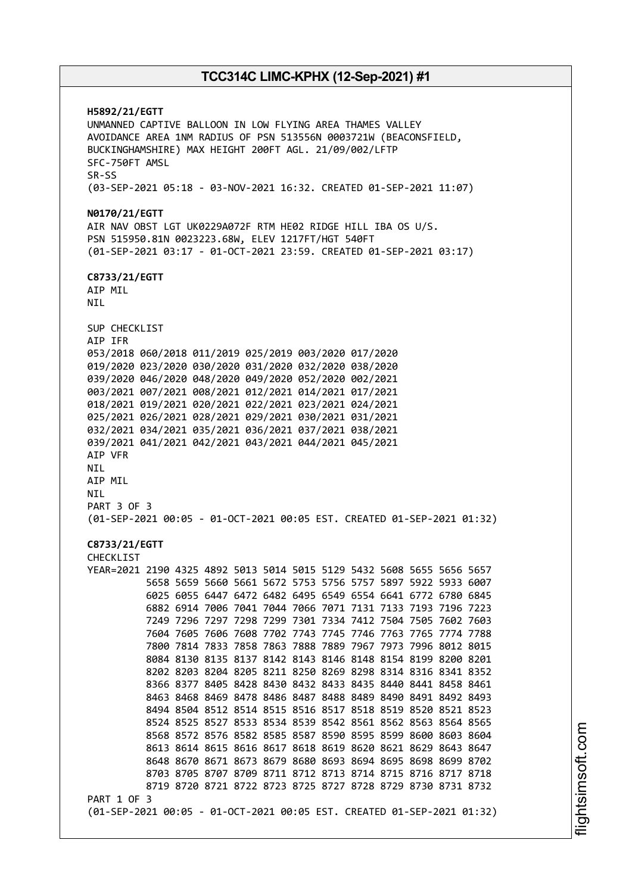**H5892/21/EGTT** UNMANNED CAPTIVE BALLOON IN LOW FLYING AREA THAMES VALLEY AVOIDANCE AREA 1NM RADIUS OF PSN 513556N 0003721W (BEACONSFIELD, BUCKINGHAMSHIRE) MAX HEIGHT 200FT AGL. 21/09/002/LFTP SFC-750FT AMSL SR-SS (03-SEP-2021 05:18 - 03-NOV-2021 16:32. CREATED 01-SEP-2021 11:07) **N0170/21/EGTT** AIR NAV OBST LGT UK0229A072F RTM HE02 RIDGE HILL IBA OS U/S. PSN 515950.81N 0023223.68W, ELEV 1217FT/HGT 540FT (01-SEP-2021 03:17 - 01-OCT-2021 23:59. CREATED 01-SEP-2021 03:17) **C8733/21/EGTT** AIP MIL NIL SUP CHECKLIST AIP IFR 053/2018 060/2018 011/2019 025/2019 003/2020 017/2020 019/2020 023/2020 030/2020 031/2020 032/2020 038/2020 039/2020 046/2020 048/2020 049/2020 052/2020 002/2021 003/2021 007/2021 008/2021 012/2021 014/2021 017/2021 018/2021 019/2021 020/2021 022/2021 023/2021 024/2021 025/2021 026/2021 028/2021 029/2021 030/2021 031/2021 032/2021 034/2021 035/2021 036/2021 037/2021 038/2021 039/2021 041/2021 042/2021 043/2021 044/2021 045/2021 AIP VFR NIL AIP MIL NIL PART 3 OF 3 (01-SEP-2021 00:05 - 01-OCT-2021 00:05 EST. CREATED 01-SEP-2021 01:32) **C8733/21/EGTT** CHECKLIST YEAR=2021 2190 4325 4892 5013 5014 5015 5129 5432 5608 5655 5656 5657 5658 5659 5660 5661 5672 5753 5756 5757 5897 5922 5933 6007 6025 6055 6447 6472 6482 6495 6549 6554 6641 6772 6780 6845 6882 6914 7006 7041 7044 7066 7071 7131 7133 7193 7196 7223 7249 7296 7297 7298 7299 7301 7334 7412 7504 7505 7602 7603 7604 7605 7606 7608 7702 7743 7745 7746 7763 7765 7774 7788 7800 7814 7833 7858 7863 7888 7889 7967 7973 7996 8012 8015 8084 8130 8135 8137 8142 8143 8146 8148 8154 8199 8200 8201 8202 8203 8204 8205 8211 8250 8269 8298 8314 8316 8341 8352 8366 8377 8405 8428 8430 8432 8433 8435 8440 8441 8458 8461 8463 8468 8469 8478 8486 8487 8488 8489 8490 8491 8492 8493 8494 8504 8512 8514 8515 8516 8517 8518 8519 8520 8521 8523 8524 8525 8527 8533 8534 8539 8542 8561 8562 8563 8564 8565 8568 8572 8576 8582 8585 8587 8590 8595 8599 8600 8603 8604 8613 8614 8615 8616 8617 8618 8619 8620 8621 8629 8643 8647 8648 8670 8671 8673 8679 8680 8693 8694 8695 8698 8699 8702 8703 8705 8707 8709 8711 8712 8713 8714 8715 8716 8717 8718 8719 8720 8721 8722 8723 8725 8727 8728 8729 8730 8731 8732 PART 1 OF 3 (01-SEP-2021 00:05 - 01-OCT-2021 00:05 EST. CREATED 01-SEP-2021 01:32)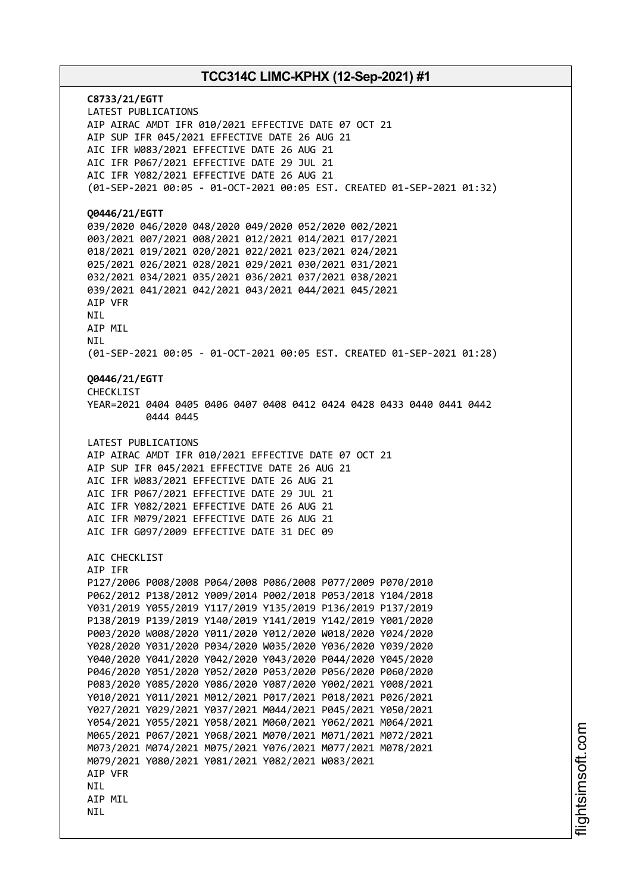**C8733/21/EGTT** LATEST PUBLICATIONS AIP AIRAC AMDT IFR 010/2021 EFFECTIVE DATE 07 OCT 21 AIP SUP IFR 045/2021 EFFECTIVE DATE 26 AUG 21 AIC IFR W083/2021 EFFECTIVE DATE 26 AUG 21 AIC IFR P067/2021 EFFECTIVE DATE 29 JUL 21 AIC IFR Y082/2021 EFFECTIVE DATE 26 AUG 21 (01-SEP-2021 00:05 - 01-OCT-2021 00:05 EST. CREATED 01-SEP-2021 01:32) **Q0446/21/EGTT** 039/2020 046/2020 048/2020 049/2020 052/2020 002/2021 003/2021 007/2021 008/2021 012/2021 014/2021 017/2021 018/2021 019/2021 020/2021 022/2021 023/2021 024/2021 025/2021 026/2021 028/2021 029/2021 030/2021 031/2021 032/2021 034/2021 035/2021 036/2021 037/2021 038/2021 039/2021 041/2021 042/2021 043/2021 044/2021 045/2021 AIP VFR NIL AIP MIL **NTI** (01-SEP-2021 00:05 - 01-OCT-2021 00:05 EST. CREATED 01-SEP-2021 01:28) **Q0446/21/EGTT** CHECKLIST YEAR=2021 0404 0405 0406 0407 0408 0412 0424 0428 0433 0440 0441 0442 0444 0445 LATEST PUBLICATIONS AIP AIRAC AMDT IFR 010/2021 EFFECTIVE DATE 07 OCT 21 AIP SUP IFR 045/2021 EFFECTIVE DATE 26 AUG 21 AIC IFR W083/2021 EFFECTIVE DATE 26 AUG 21 AIC IFR P067/2021 EFFECTIVE DATE 29 JUL 21 AIC IFR Y082/2021 EFFECTIVE DATE 26 AUG 21 AIC IFR M079/2021 EFFECTIVE DATE 26 AUG 21 AIC IFR G097/2009 EFFECTIVE DATE 31 DEC 09 AIC CHECKLIST AIP IFR P127/2006 P008/2008 P064/2008 P086/2008 P077/2009 P070/2010 P062/2012 P138/2012 Y009/2014 P002/2018 P053/2018 Y104/2018 Y031/2019 Y055/2019 Y117/2019 Y135/2019 P136/2019 P137/2019 P138/2019 P139/2019 Y140/2019 Y141/2019 Y142/2019 Y001/2020 P003/2020 W008/2020 Y011/2020 Y012/2020 W018/2020 Y024/2020 Y028/2020 Y031/2020 P034/2020 W035/2020 Y036/2020 Y039/2020 Y040/2020 Y041/2020 Y042/2020 Y043/2020 P044/2020 Y045/2020 P046/2020 Y051/2020 Y052/2020 P053/2020 P056/2020 P060/2020 P083/2020 Y085/2020 Y086/2020 Y087/2020 Y002/2021 Y008/2021 Y010/2021 Y011/2021 M012/2021 P017/2021 P018/2021 P026/2021 Y027/2021 Y029/2021 Y037/2021 M044/2021 P045/2021 Y050/2021 Y054/2021 Y055/2021 Y058/2021 M060/2021 Y062/2021 M064/2021 M065/2021 P067/2021 Y068/2021 M070/2021 M071/2021 M072/2021 M073/2021 M074/2021 M075/2021 Y076/2021 M077/2021 M078/2021 M079/2021 Y080/2021 Y081/2021 Y082/2021 W083/2021 AIP VFR NIL AIP MIL NIL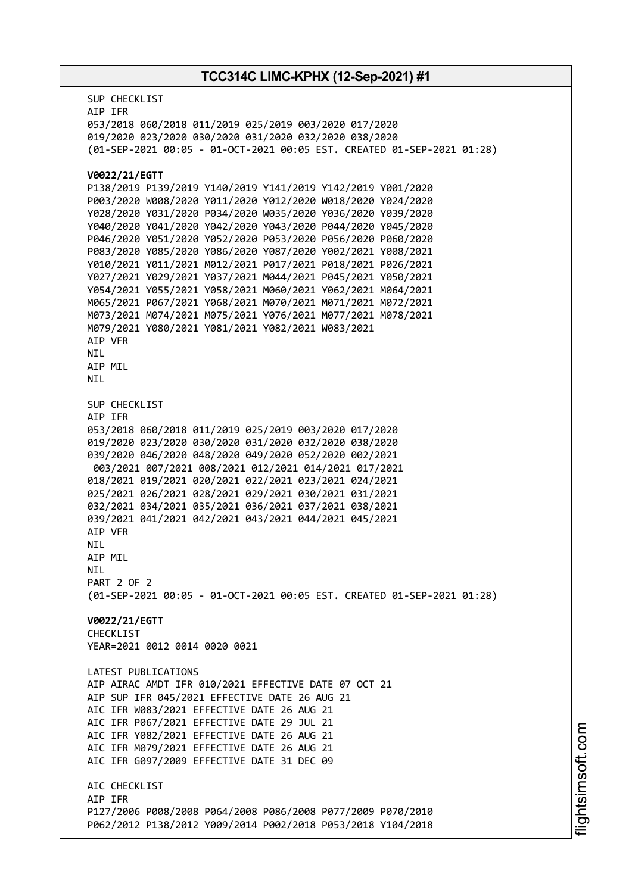SUP CHECKLIST AIP IFR 053/2018 060/2018 011/2019 025/2019 003/2020 017/2020 019/2020 023/2020 030/2020 031/2020 032/2020 038/2020 (01-SEP-2021 00:05 - 01-OCT-2021 00:05 EST. CREATED 01-SEP-2021 01:28) **V0022/21/EGTT** P138/2019 P139/2019 Y140/2019 Y141/2019 Y142/2019 Y001/2020 P003/2020 W008/2020 Y011/2020 Y012/2020 W018/2020 Y024/2020 Y028/2020 Y031/2020 P034/2020 W035/2020 Y036/2020 Y039/2020 Y040/2020 Y041/2020 Y042/2020 Y043/2020 P044/2020 Y045/2020 P046/2020 Y051/2020 Y052/2020 P053/2020 P056/2020 P060/2020 P083/2020 Y085/2020 Y086/2020 Y087/2020 Y002/2021 Y008/2021 Y010/2021 Y011/2021 M012/2021 P017/2021 P018/2021 P026/2021 Y027/2021 Y029/2021 Y037/2021 M044/2021 P045/2021 Y050/2021 Y054/2021 Y055/2021 Y058/2021 M060/2021 Y062/2021 M064/2021 M065/2021 P067/2021 Y068/2021 M070/2021 M071/2021 M072/2021 M073/2021 M074/2021 M075/2021 Y076/2021 M077/2021 M078/2021 M079/2021 Y080/2021 Y081/2021 Y082/2021 W083/2021 AIP VFR NIL AIP MIL NIL SUP CHECKLIST AIP IFR 053/2018 060/2018 011/2019 025/2019 003/2020 017/2020 019/2020 023/2020 030/2020 031/2020 032/2020 038/2020 039/2020 046/2020 048/2020 049/2020 052/2020 002/2021 003/2021 007/2021 008/2021 012/2021 014/2021 017/2021 018/2021 019/2021 020/2021 022/2021 023/2021 024/2021 025/2021 026/2021 028/2021 029/2021 030/2021 031/2021 032/2021 034/2021 035/2021 036/2021 037/2021 038/2021 039/2021 041/2021 042/2021 043/2021 044/2021 045/2021 AIP VFR **NTI** AIP MIL **NTI** PART 2 OF 2 (01-SEP-2021 00:05 - 01-OCT-2021 00:05 EST. CREATED 01-SEP-2021 01:28) **V0022/21/EGTT** CHECKLIST YEAR=2021 0012 0014 0020 0021 LATEST PUBLICATIONS AIP AIRAC AMDT IFR 010/2021 EFFECTIVE DATE 07 OCT 21 AIP SUP IFR 045/2021 EFFECTIVE DATE 26 AUG 21 AIC IFR W083/2021 EFFECTIVE DATE 26 AUG 21 AIC IFR P067/2021 EFFECTIVE DATE 29 JUL 21 AIC IFR Y082/2021 EFFECTIVE DATE 26 AUG 21 AIC IFR M079/2021 EFFECTIVE DATE 26 AUG 21 AIC IFR G097/2009 EFFECTIVE DATE 31 DEC 09 ATC CHECKLIST AIP IFR P127/2006 P008/2008 P064/2008 P086/2008 P077/2009 P070/2010 P062/2012 P138/2012 Y009/2014 P002/2018 P053/2018 Y104/2018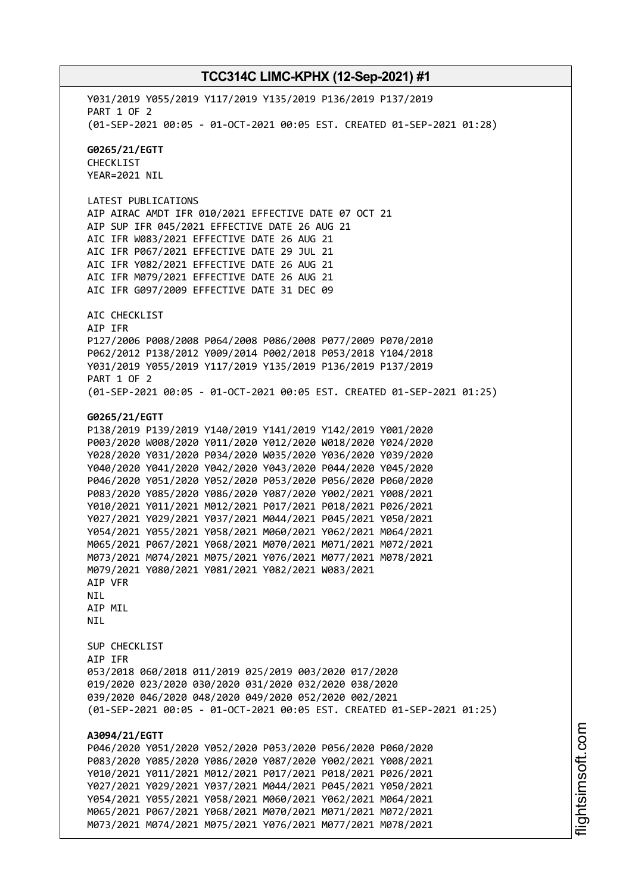Y031/2019 Y055/2019 Y117/2019 Y135/2019 P136/2019 P137/2019 PART 1 OF 2 (01-SEP-2021 00:05 - 01-OCT-2021 00:05 EST. CREATED 01-SEP-2021 01:28) **G0265/21/EGTT** CHECKLIST YEAR=2021 NIL LATEST PUBLICATIONS AIP AIRAC AMDT IFR 010/2021 EFFECTIVE DATE 07 OCT 21 AIP SUP IFR 045/2021 EFFECTIVE DATE 26 AUG 21 AIC IFR W083/2021 EFFECTIVE DATE 26 AUG 21 AIC IFR P067/2021 EFFECTIVE DATE 29 JUL 21 AIC IFR Y082/2021 EFFECTIVE DATE 26 AUG 21 AIC IFR M079/2021 EFFECTIVE DATE 26 AUG 21 AIC IFR G097/2009 EFFECTIVE DATE 31 DEC 09 AIC CHECKLIST AIP IFR P127/2006 P008/2008 P064/2008 P086/2008 P077/2009 P070/2010 P062/2012 P138/2012 Y009/2014 P002/2018 P053/2018 Y104/2018 Y031/2019 Y055/2019 Y117/2019 Y135/2019 P136/2019 P137/2019 PART 1 OF 2 (01-SEP-2021 00:05 - 01-OCT-2021 00:05 EST. CREATED 01-SEP-2021 01:25) **G0265/21/EGTT** P138/2019 P139/2019 Y140/2019 Y141/2019 Y142/2019 Y001/2020 P003/2020 W008/2020 Y011/2020 Y012/2020 W018/2020 Y024/2020 Y028/2020 Y031/2020 P034/2020 W035/2020 Y036/2020 Y039/2020 Y040/2020 Y041/2020 Y042/2020 Y043/2020 P044/2020 Y045/2020 P046/2020 Y051/2020 Y052/2020 P053/2020 P056/2020 P060/2020 P083/2020 Y085/2020 Y086/2020 Y087/2020 Y002/2021 Y008/2021 Y010/2021 Y011/2021 M012/2021 P017/2021 P018/2021 P026/2021 Y027/2021 Y029/2021 Y037/2021 M044/2021 P045/2021 Y050/2021 Y054/2021 Y055/2021 Y058/2021 M060/2021 Y062/2021 M064/2021 M065/2021 P067/2021 Y068/2021 M070/2021 M071/2021 M072/2021 M073/2021 M074/2021 M075/2021 Y076/2021 M077/2021 M078/2021 M079/2021 Y080/2021 Y081/2021 Y082/2021 W083/2021 AIP VFR NIL AIP MIL NIL SUP CHECKLIST AIP IFR 053/2018 060/2018 011/2019 025/2019 003/2020 017/2020 019/2020 023/2020 030/2020 031/2020 032/2020 038/2020 039/2020 046/2020 048/2020 049/2020 052/2020 002/2021 (01-SEP-2021 00:05 - 01-OCT-2021 00:05 EST. CREATED 01-SEP-2021 01:25) **A3094/21/EGTT** P046/2020 Y051/2020 Y052/2020 P053/2020 P056/2020 P060/2020 P083/2020 Y085/2020 Y086/2020 Y087/2020 Y002/2021 Y008/2021 Y010/2021 Y011/2021 M012/2021 P017/2021 P018/2021 P026/2021 Y027/2021 Y029/2021 Y037/2021 M044/2021 P045/2021 Y050/2021 Y054/2021 Y055/2021 Y058/2021 M060/2021 Y062/2021 M064/2021 M065/2021 P067/2021 Y068/2021 M070/2021 M071/2021 M072/2021 M073/2021 M074/2021 M075/2021 Y076/2021 M077/2021 M078/2021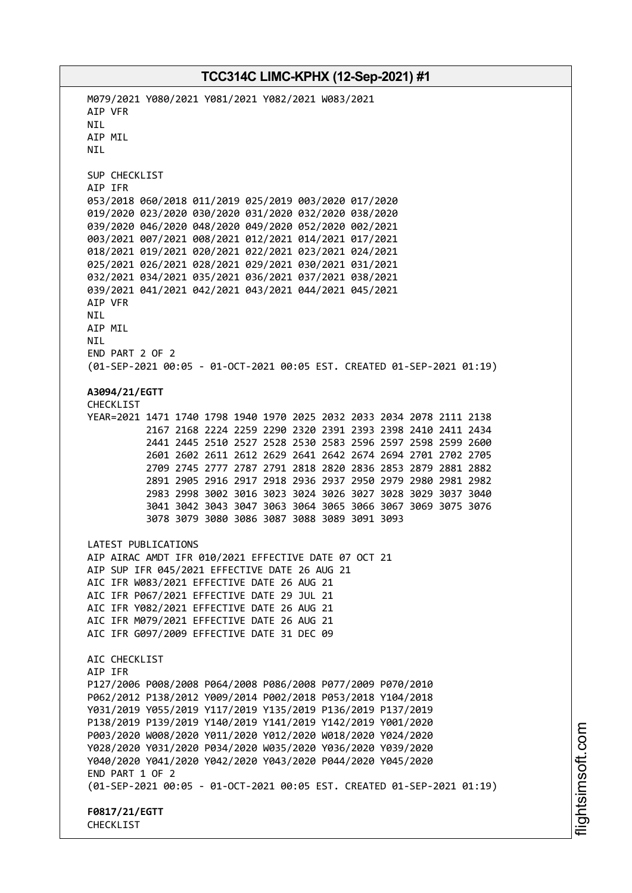M079/2021 Y080/2021 Y081/2021 Y082/2021 W083/2021 AIP VFR NIL AIP MIL **NTI** SUP CHECKLIST AIP IFR 053/2018 060/2018 011/2019 025/2019 003/2020 017/2020 019/2020 023/2020 030/2020 031/2020 032/2020 038/2020 039/2020 046/2020 048/2020 049/2020 052/2020 002/2021 003/2021 007/2021 008/2021 012/2021 014/2021 017/2021 018/2021 019/2021 020/2021 022/2021 023/2021 024/2021 025/2021 026/2021 028/2021 029/2021 030/2021 031/2021 032/2021 034/2021 035/2021 036/2021 037/2021 038/2021 039/2021 041/2021 042/2021 043/2021 044/2021 045/2021 AIP VFR NIL AIP MIL **NTI** END PART 2 OF 2 (01-SEP-2021 00:05 - 01-OCT-2021 00:05 EST. CREATED 01-SEP-2021 01:19) **A3094/21/EGTT** CHECKLIST YEAR=2021 1471 1740 1798 1940 1970 2025 2032 2033 2034 2078 2111 2138 2167 2168 2224 2259 2290 2320 2391 2393 2398 2410 2411 2434 2441 2445 2510 2527 2528 2530 2583 2596 2597 2598 2599 2600 2601 2602 2611 2612 2629 2641 2642 2674 2694 2701 2702 2705 2709 2745 2777 2787 2791 2818 2820 2836 2853 2879 2881 2882 2891 2905 2916 2917 2918 2936 2937 2950 2979 2980 2981 2982 2983 2998 3002 3016 3023 3024 3026 3027 3028 3029 3037 3040 3041 3042 3043 3047 3063 3064 3065 3066 3067 3069 3075 3076 3078 3079 3080 3086 3087 3088 3089 3091 3093 LATEST PUBLICATIONS AIP AIRAC AMDT IFR 010/2021 EFFECTIVE DATE 07 OCT 21 AIP SUP IFR 045/2021 EFFECTIVE DATE 26 AUG 21 AIC IFR W083/2021 EFFECTIVE DATE 26 AUG 21 AIC IFR P067/2021 EFFECTIVE DATE 29 JUL 21 AIC IFR Y082/2021 EFFECTIVE DATE 26 AUG 21 AIC IFR M079/2021 EFFECTIVE DATE 26 AUG 21 AIC IFR G097/2009 EFFECTIVE DATE 31 DEC 09 ATC CHECKLIST AIP IFR P127/2006 P008/2008 P064/2008 P086/2008 P077/2009 P070/2010 P062/2012 P138/2012 Y009/2014 P002/2018 P053/2018 Y104/2018 Y031/2019 Y055/2019 Y117/2019 Y135/2019 P136/2019 P137/2019 P138/2019 P139/2019 Y140/2019 Y141/2019 Y142/2019 Y001/2020 P003/2020 W008/2020 Y011/2020 Y012/2020 W018/2020 Y024/2020 Y028/2020 Y031/2020 P034/2020 W035/2020 Y036/2020 Y039/2020 Y040/2020 Y041/2020 Y042/2020 Y043/2020 P044/2020 Y045/2020 END PART 1 OF 2 (01-SEP-2021 00:05 - 01-OCT-2021 00:05 EST. CREATED 01-SEP-2021 01:19) **F0817/21/EGTT** CHECKLIST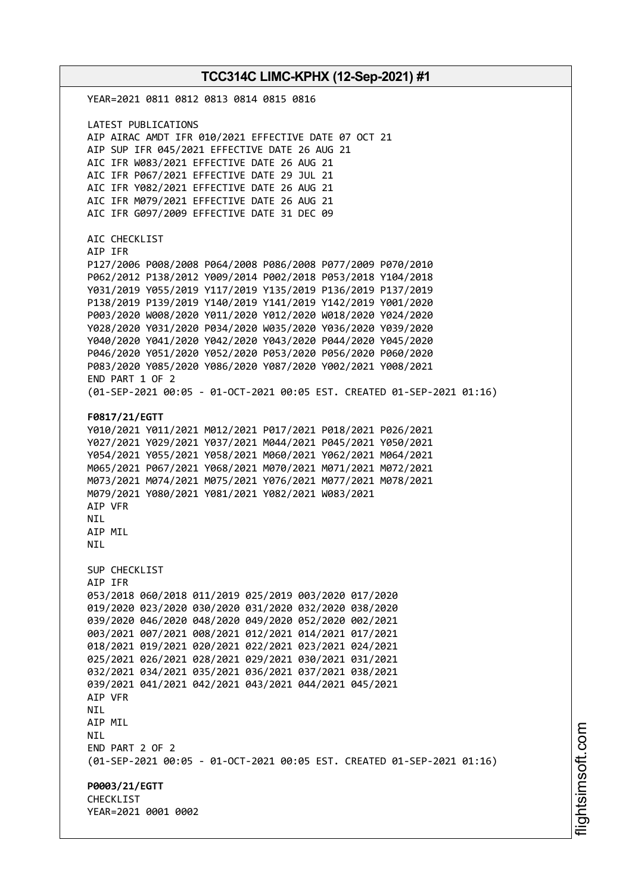YEAR=2021 0811 0812 0813 0814 0815 0816 LATEST PUBLICATIONS AIP AIRAC AMDT IFR 010/2021 EFFECTIVE DATE 07 OCT 21 AIP SUP IFR 045/2021 EFFECTIVE DATE 26 AUG 21 AIC IFR W083/2021 EFFECTIVE DATE 26 AUG 21 AIC IFR P067/2021 EFFECTIVE DATE 29 JUL 21 AIC IFR Y082/2021 EFFECTIVE DATE 26 AUG 21 AIC IFR M079/2021 EFFECTIVE DATE 26 AUG 21 AIC IFR G097/2009 EFFECTIVE DATE 31 DEC 09 AIC CHECKLIST AIP IFR P127/2006 P008/2008 P064/2008 P086/2008 P077/2009 P070/2010 P062/2012 P138/2012 Y009/2014 P002/2018 P053/2018 Y104/2018 Y031/2019 Y055/2019 Y117/2019 Y135/2019 P136/2019 P137/2019 P138/2019 P139/2019 Y140/2019 Y141/2019 Y142/2019 Y001/2020 P003/2020 W008/2020 Y011/2020 Y012/2020 W018/2020 Y024/2020 Y028/2020 Y031/2020 P034/2020 W035/2020 Y036/2020 Y039/2020 Y040/2020 Y041/2020 Y042/2020 Y043/2020 P044/2020 Y045/2020 P046/2020 Y051/2020 Y052/2020 P053/2020 P056/2020 P060/2020 P083/2020 Y085/2020 Y086/2020 Y087/2020 Y002/2021 Y008/2021 END PART 1 OF 2 (01-SEP-2021 00:05 - 01-OCT-2021 00:05 EST. CREATED 01-SEP-2021 01:16) **F0817/21/EGTT** Y010/2021 Y011/2021 M012/2021 P017/2021 P018/2021 P026/2021 Y027/2021 Y029/2021 Y037/2021 M044/2021 P045/2021 Y050/2021 Y054/2021 Y055/2021 Y058/2021 M060/2021 Y062/2021 M064/2021 M065/2021 P067/2021 Y068/2021 M070/2021 M071/2021 M072/2021 M073/2021 M074/2021 M075/2021 Y076/2021 M077/2021 M078/2021 M079/2021 Y080/2021 Y081/2021 Y082/2021 W083/2021 AIP VFR **NTI** AIP MIL **NTL** SUP CHECKLIST AIP IFR 053/2018 060/2018 011/2019 025/2019 003/2020 017/2020 019/2020 023/2020 030/2020 031/2020 032/2020 038/2020 039/2020 046/2020 048/2020 049/2020 052/2020 002/2021 003/2021 007/2021 008/2021 012/2021 014/2021 017/2021 018/2021 019/2021 020/2021 022/2021 023/2021 024/2021 025/2021 026/2021 028/2021 029/2021 030/2021 031/2021 032/2021 034/2021 035/2021 036/2021 037/2021 038/2021 039/2021 041/2021 042/2021 043/2021 044/2021 045/2021 AIP VFR NIL AIP MIL NIL END PART 2 OF 2 (01-SEP-2021 00:05 - 01-OCT-2021 00:05 EST. CREATED 01-SEP-2021 01:16) **P0003/21/EGTT CHECKLIST** YEAR=2021 0001 0002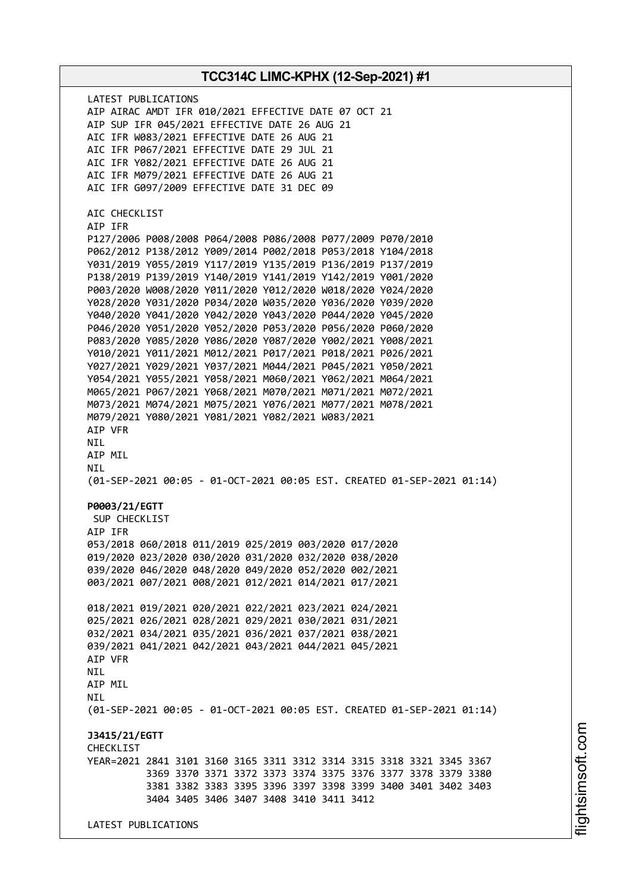**TCC314C LIMC-KPHX (12-Sep-2021) #1** LATEST PUBLICATIONS AIP AIRAC AMDT IFR 010/2021 EFFECTIVE DATE 07 OCT 21 AIP SUP IFR 045/2021 EFFECTIVE DATE 26 AUG 21 AIC IFR W083/2021 EFFECTIVE DATE 26 AUG 21 AIC IFR P067/2021 EFFECTIVE DATE 29 JUL 21 AIC IFR Y082/2021 EFFECTIVE DATE 26 AUG 21 AIC IFR M079/2021 EFFECTIVE DATE 26 AUG 21 AIC IFR G097/2009 EFFECTIVE DATE 31 DEC 09 AIC CHECKLIST AIP IFR P127/2006 P008/2008 P064/2008 P086/2008 P077/2009 P070/2010 P062/2012 P138/2012 Y009/2014 P002/2018 P053/2018 Y104/2018 Y031/2019 Y055/2019 Y117/2019 Y135/2019 P136/2019 P137/2019 P138/2019 P139/2019 Y140/2019 Y141/2019 Y142/2019 Y001/2020 P003/2020 W008/2020 Y011/2020 Y012/2020 W018/2020 Y024/2020 Y028/2020 Y031/2020 P034/2020 W035/2020 Y036/2020 Y039/2020 Y040/2020 Y041/2020 Y042/2020 Y043/2020 P044/2020 Y045/2020 P046/2020 Y051/2020 Y052/2020 P053/2020 P056/2020 P060/2020 P083/2020 Y085/2020 Y086/2020 Y087/2020 Y002/2021 Y008/2021 Y010/2021 Y011/2021 M012/2021 P017/2021 P018/2021 P026/2021 Y027/2021 Y029/2021 Y037/2021 M044/2021 P045/2021 Y050/2021 Y054/2021 Y055/2021 Y058/2021 M060/2021 Y062/2021 M064/2021 M065/2021 P067/2021 Y068/2021 M070/2021 M071/2021 M072/2021 M073/2021 M074/2021 M075/2021 Y076/2021 M077/2021 M078/2021 M079/2021 Y080/2021 Y081/2021 Y082/2021 W083/2021 AIP VFR NIL AIP MIL **NTI** (01-SEP-2021 00:05 - 01-OCT-2021 00:05 EST. CREATED 01-SEP-2021 01:14) **P0003/21/EGTT** SUP CHECKLIST AIP IFR 053/2018 060/2018 011/2019 025/2019 003/2020 017/2020 019/2020 023/2020 030/2020 031/2020 032/2020 038/2020 039/2020 046/2020 048/2020 049/2020 052/2020 002/2021 003/2021 007/2021 008/2021 012/2021 014/2021 017/2021 018/2021 019/2021 020/2021 022/2021 023/2021 024/2021 025/2021 026/2021 028/2021 029/2021 030/2021 031/2021 032/2021 034/2021 035/2021 036/2021 037/2021 038/2021 039/2021 041/2021 042/2021 043/2021 044/2021 045/2021 AIP VFR **NTI** AIP MIL **NTI** (01-SEP-2021 00:05 - 01-OCT-2021 00:05 EST. CREATED 01-SEP-2021 01:14) **J3415/21/EGTT CHECKLIST** YEAR=2021 2841 3101 3160 3165 3311 3312 3314 3315 3318 3321 3345 3367 3369 3370 3371 3372 3373 3374 3375 3376 3377 3378 3379 3380 3381 3382 3383 3395 3396 3397 3398 3399 3400 3401 3402 3403 3404 3405 3406 3407 3408 3410 3411 3412 LATEST PUBLICATIONS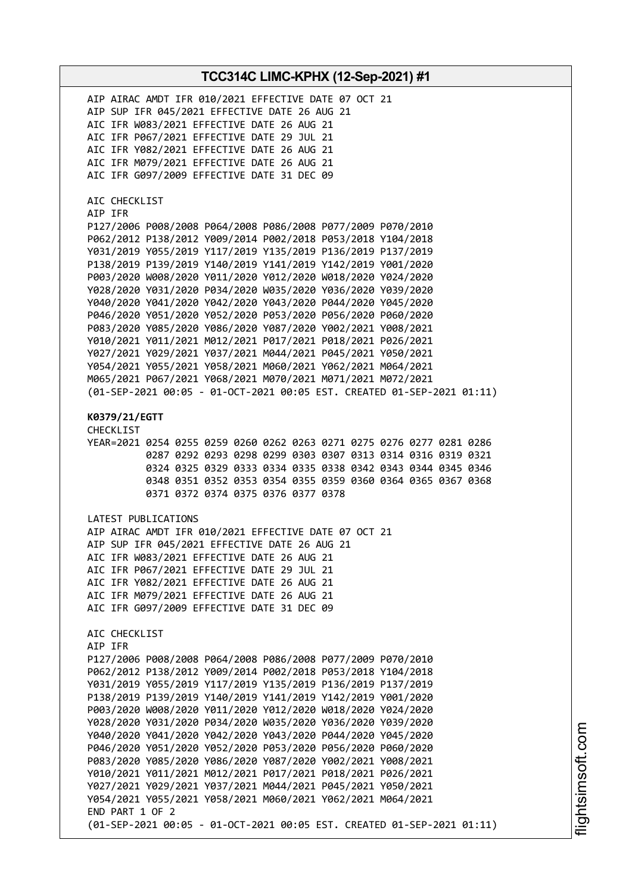| AIP AIRAC AMDT IFR 010/2021 EFFECTIVE DATE 07 OCT 21<br>AIP SUP IFR 045/2021 EFFECTIVE DATE 26 AUG 21<br>AIC IFR W083/2021 EFFECTIVE DATE 26 AUG 21<br>AIC IFR P067/2021 EFFECTIVE DATE 29 JUL 21<br>AIC IFR Y082/2021 EFFECTIVE DATE 26 AUG 21<br>AIC IFR M079/2021 EFFECTIVE DATE 26 AUG 21<br>AIC IFR G097/2009 EFFECTIVE DATE 31 DEC 09                                                                                                                                                                                                                                                                                                                                                                                                                                                                                                                                                                                                           |
|-------------------------------------------------------------------------------------------------------------------------------------------------------------------------------------------------------------------------------------------------------------------------------------------------------------------------------------------------------------------------------------------------------------------------------------------------------------------------------------------------------------------------------------------------------------------------------------------------------------------------------------------------------------------------------------------------------------------------------------------------------------------------------------------------------------------------------------------------------------------------------------------------------------------------------------------------------|
| AIC CHECKLIST<br>AIP IFR<br>P127/2006 P008/2008 P064/2008 P086/2008 P077/2009 P070/2010<br>P062/2012 P138/2012 Y009/2014 P002/2018 P053/2018 Y104/2018<br>Y031/2019 Y055/2019 Y117/2019 Y135/2019 P136/2019 P137/2019<br>P138/2019 P139/2019 Y140/2019 Y141/2019 Y142/2019 Y001/2020<br>P003/2020 W008/2020 Y011/2020 Y012/2020 W018/2020 Y024/2020<br>Y028/2020 Y031/2020 P034/2020 W035/2020 Y036/2020 Y039/2020<br>Y040/2020 Y041/2020 Y042/2020 Y043/2020 P044/2020 Y045/2020<br>P046/2020 Y051/2020 Y052/2020 P053/2020 P056/2020 P060/2020<br>P083/2020 Y085/2020 Y086/2020 Y087/2020 Y002/2021 Y008/2021<br>Y010/2021 Y011/2021 M012/2021 P017/2021 P018/2021 P026/2021<br>Y027/2021 Y029/2021 Y037/2021 M044/2021 P045/2021 Y050/2021<br>Y054/2021 Y055/2021 Y058/2021 M060/2021 Y062/2021 M064/2021<br>M065/2021 P067/2021 Y068/2021 M070/2021 M071/2021 M072/2021<br>(01-SEP-2021 00:05 - 01-OCT-2021 00:05 EST. CREATED 01-SEP-2021 01:11) |
| K0379/21/EGTT<br><b>CHECKLIST</b><br>YEAR=2021 0254 0255 0259 0260 0262 0263 0271 0275 0276 0277 0281 0286<br>0287 0292 0293 0298 0299 0303 0307 0313 0314 0316 0319 0321<br>0324 0325 0329 0333 0334 0335 0338 0342 0343 0344 0345 0346<br>0348 0351 0352 0353 0354 0355 0359 0360 0364 0365 0367 0368<br>0371 0372 0374 0375 0376 0377 0378                                                                                                                                                                                                                                                                                                                                                                                                                                                                                                                                                                                                         |
| LATEST PUBLICATIONS<br>AIP AIRAC AMDT IFR 010/2021 EFFECTIVE DATE 07 OCT 21<br>AIP SUP IFR 045/2021 EFFECTIVE DATE 26 AUG 21<br>AIC IFR W083/2021 EFFECTIVE DATE 26 AUG 21<br>AIC IFR P067/2021 EFFECTIVE DATE 29 JUL 21<br>AIC IFR Y082/2021 EFFECTIVE DATE 26 AUG 21<br>AIC IFR M079/2021 EFFECTIVE DATE 26 AUG 21<br>AIC IFR G097/2009 EFFECTIVE DATE 31 DEC 09                                                                                                                                                                                                                                                                                                                                                                                                                                                                                                                                                                                    |
| AIC CHECKLIST<br>AIP IFR<br>P127/2006 P008/2008 P064/2008 P086/2008 P077/2009 P070/2010<br>P062/2012 P138/2012 Y009/2014 P002/2018 P053/2018 Y104/2018<br>Y031/2019 Y055/2019 Y117/2019 Y135/2019 P136/2019 P137/2019<br>P138/2019 P139/2019 Y140/2019 Y141/2019 Y142/2019 Y001/2020<br>P003/2020 W008/2020 Y011/2020 Y012/2020 W018/2020 Y024/2020<br>Y028/2020 Y031/2020 P034/2020 W035/2020 Y036/2020 Y039/2020<br>Y040/2020 Y041/2020 Y042/2020 Y043/2020 P044/2020 Y045/2020<br>P046/2020 Y051/2020 Y052/2020 P053/2020 P056/2020 P060/2020<br>P083/2020 Y085/2020 Y086/2020 Y087/2020 Y002/2021 Y008/2021<br>Y010/2021 Y011/2021 M012/2021 P017/2021 P018/2021 P026/2021<br>Y027/2021 Y029/2021 Y037/2021 M044/2021 P045/2021 Y050/2021<br>Y054/2021 Y055/2021 Y058/2021 M060/2021 Y062/2021 M064/2021<br>END PART 1 OF 2<br>(01-SEP-2021 00:05 - 01-OCT-2021 00:05 EST. CREATED 01-SEP-2021 01:11)                                             |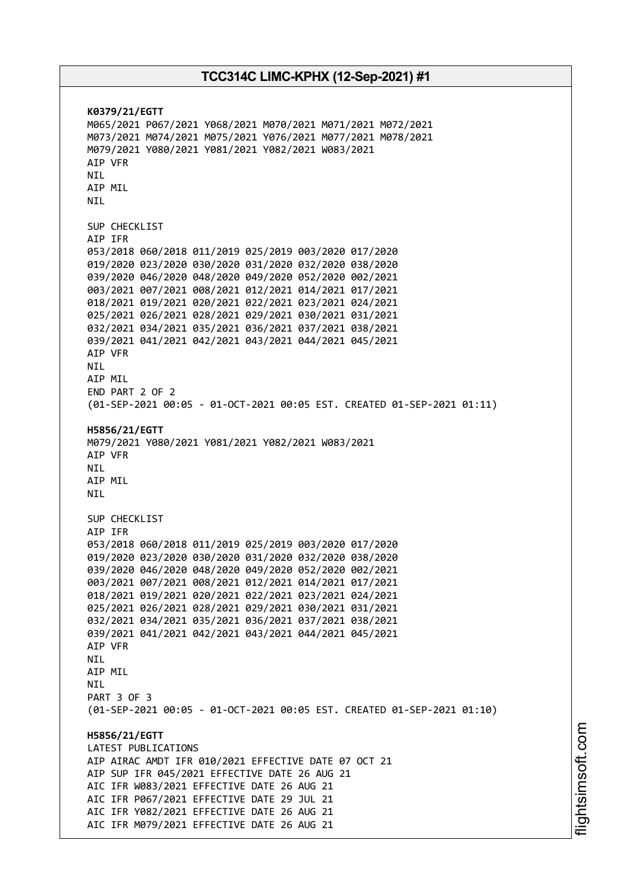**K0379/21/EGTT** M065/2021 P067/2021 Y068/2021 M070/2021 M071/2021 M072/2021 M073/2021 M074/2021 M075/2021 Y076/2021 M077/2021 M078/2021 M079/2021 Y080/2021 Y081/2021 Y082/2021 W083/2021 AIP VFR NIL AIP MIL NIL SUP CHECKLIST AIP IFR 053/2018 060/2018 011/2019 025/2019 003/2020 017/2020 019/2020 023/2020 030/2020 031/2020 032/2020 038/2020 039/2020 046/2020 048/2020 049/2020 052/2020 002/2021 003/2021 007/2021 008/2021 012/2021 014/2021 017/2021 018/2021 019/2021 020/2021 022/2021 023/2021 024/2021 025/2021 026/2021 028/2021 029/2021 030/2021 031/2021 032/2021 034/2021 035/2021 036/2021 037/2021 038/2021 039/2021 041/2021 042/2021 043/2021 044/2021 045/2021 AIP VFR NIL AIP MIL END PART 2 OF 2 (01-SEP-2021 00:05 - 01-OCT-2021 00:05 EST. CREATED 01-SEP-2021 01:11) **H5856/21/EGTT** M079/2021 Y080/2021 Y081/2021 Y082/2021 W083/2021 AIP VFR **NTI** AIP MIL NIL SUP CHECKLIST AIP IFR 053/2018 060/2018 011/2019 025/2019 003/2020 017/2020 019/2020 023/2020 030/2020 031/2020 032/2020 038/2020 039/2020 046/2020 048/2020 049/2020 052/2020 002/2021 003/2021 007/2021 008/2021 012/2021 014/2021 017/2021 018/2021 019/2021 020/2021 022/2021 023/2021 024/2021 025/2021 026/2021 028/2021 029/2021 030/2021 031/2021 032/2021 034/2021 035/2021 036/2021 037/2021 038/2021 039/2021 041/2021 042/2021 043/2021 044/2021 045/2021 AIP VFR **NTI** AIP MIL NIL PART 3 OF 3 (01-SEP-2021 00:05 - 01-OCT-2021 00:05 EST. CREATED 01-SEP-2021 01:10) **H5856/21/EGTT** LATEST PUBLICATIONS AIP AIRAC AMDT IFR 010/2021 EFFECTIVE DATE 07 OCT 21 AIP SUP IFR 045/2021 EFFECTIVE DATE 26 AUG 21 AIC IFR W083/2021 EFFECTIVE DATE 26 AUG 21 AIC IFR P067/2021 EFFECTIVE DATE 29 JUL 21 AIC IFR Y082/2021 EFFECTIVE DATE 26 AUG 21 AIC IFR M079/2021 EFFECTIVE DATE 26 AUG 21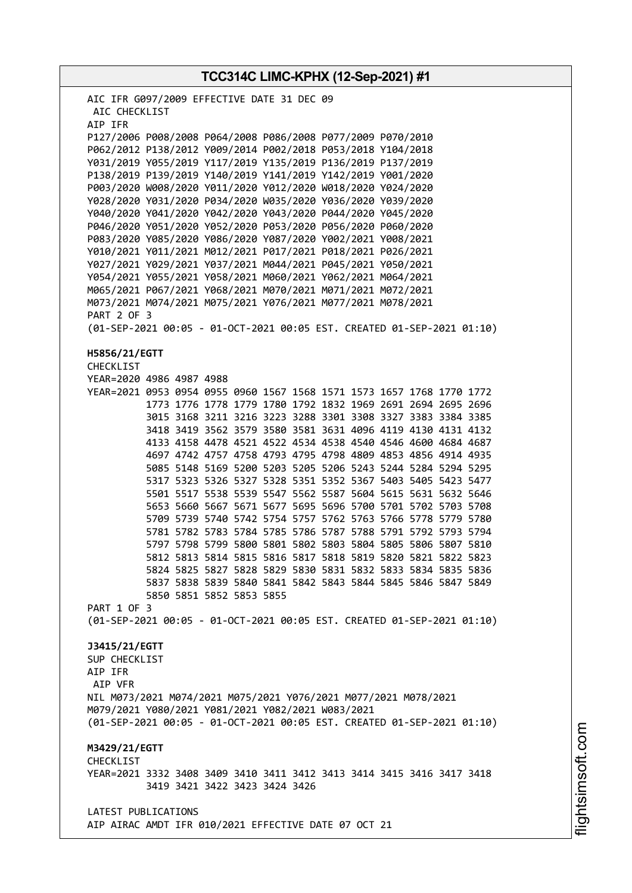**TCC314C LIMC-KPHX (12-Sep-2021) #1** AIC IFR G097/2009 EFFECTIVE DATE 31 DEC 09 AIC CHECKLIST AIP IFR P127/2006 P008/2008 P064/2008 P086/2008 P077/2009 P070/2010 P062/2012 P138/2012 Y009/2014 P002/2018 P053/2018 Y104/2018 Y031/2019 Y055/2019 Y117/2019 Y135/2019 P136/2019 P137/2019 P138/2019 P139/2019 Y140/2019 Y141/2019 Y142/2019 Y001/2020 P003/2020 W008/2020 Y011/2020 Y012/2020 W018/2020 Y024/2020 Y028/2020 Y031/2020 P034/2020 W035/2020 Y036/2020 Y039/2020 Y040/2020 Y041/2020 Y042/2020 Y043/2020 P044/2020 Y045/2020 P046/2020 Y051/2020 Y052/2020 P053/2020 P056/2020 P060/2020 P083/2020 Y085/2020 Y086/2020 Y087/2020 Y002/2021 Y008/2021 Y010/2021 Y011/2021 M012/2021 P017/2021 P018/2021 P026/2021 Y027/2021 Y029/2021 Y037/2021 M044/2021 P045/2021 Y050/2021 Y054/2021 Y055/2021 Y058/2021 M060/2021 Y062/2021 M064/2021 M065/2021 P067/2021 Y068/2021 M070/2021 M071/2021 M072/2021 M073/2021 M074/2021 M075/2021 Y076/2021 M077/2021 M078/2021 PART 2 OF 3 (01-SEP-2021 00:05 - 01-OCT-2021 00:05 EST. CREATED 01-SEP-2021 01:10) **H5856/21/EGTT** CHECKLIST YEAR=2020 4986 4987 4988 YEAR=2021 0953 0954 0955 0960 1567 1568 1571 1573 1657 1768 1770 1772 1773 1776 1778 1779 1780 1792 1832 1969 2691 2694 2695 2696 3015 3168 3211 3216 3223 3288 3301 3308 3327 3383 3384 3385 3418 3419 3562 3579 3580 3581 3631 4096 4119 4130 4131 4132 4133 4158 4478 4521 4522 4534 4538 4540 4546 4600 4684 4687 4697 4742 4757 4758 4793 4795 4798 4809 4853 4856 4914 4935 5085 5148 5169 5200 5203 5205 5206 5243 5244 5284 5294 5295 5317 5323 5326 5327 5328 5351 5352 5367 5403 5405 5423 5477 5501 5517 5538 5539 5547 5562 5587 5604 5615 5631 5632 5646 5653 5660 5667 5671 5677 5695 5696 5700 5701 5702 5703 5708 5709 5739 5740 5742 5754 5757 5762 5763 5766 5778 5779 5780 5781 5782 5783 5784 5785 5786 5787 5788 5791 5792 5793 5794 5797 5798 5799 5800 5801 5802 5803 5804 5805 5806 5807 5810 5812 5813 5814 5815 5816 5817 5818 5819 5820 5821 5822 5823 5824 5825 5827 5828 5829 5830 5831 5832 5833 5834 5835 5836 5837 5838 5839 5840 5841 5842 5843 5844 5845 5846 5847 5849 5850 5851 5852 5853 5855 PART 1 OF 3 (01-SEP-2021 00:05 - 01-OCT-2021 00:05 EST. CREATED 01-SEP-2021 01:10) **J3415/21/EGTT** SUP CHECKLIST AIP IFR AIP VFR NIL M073/2021 M074/2021 M075/2021 Y076/2021 M077/2021 M078/2021 M079/2021 Y080/2021 Y081/2021 Y082/2021 W083/2021 (01-SEP-2021 00:05 - 01-OCT-2021 00:05 EST. CREATED 01-SEP-2021 01:10) **M3429/21/EGTT** CHECKLIST YEAR=2021 3332 3408 3409 3410 3411 3412 3413 3414 3415 3416 3417 3418 3419 3421 3422 3423 3424 3426 LATEST PUBLICATIONS AIP AIRAC AMDT IFR 010/2021 EFFECTIVE DATE 07 OCT 21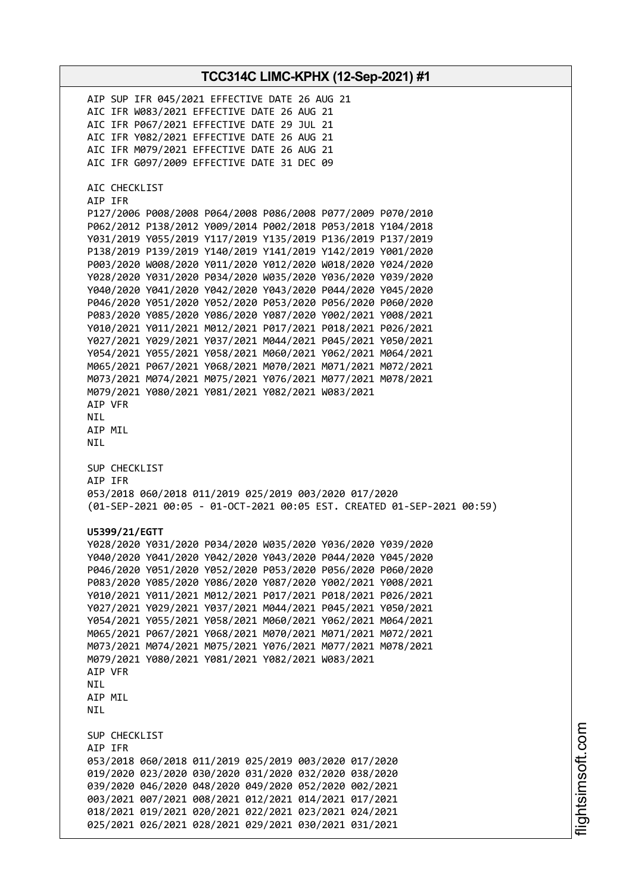**TCC314C LIMC-KPHX (12-Sep-2021) #1** AIP SUP IFR 045/2021 EFFECTIVE DATE 26 AUG 21 AIC IFR W083/2021 EFFECTIVE DATE 26 AUG 21 AIC IFR P067/2021 EFFECTIVE DATE 29 JUL 21 AIC IFR Y082/2021 EFFECTIVE DATE 26 AUG 21 AIC IFR M079/2021 EFFECTIVE DATE 26 AUG 21 AIC IFR G097/2009 EFFECTIVE DATE 31 DEC 09 AIC CHECKLIST AIP IFR P127/2006 P008/2008 P064/2008 P086/2008 P077/2009 P070/2010 P062/2012 P138/2012 Y009/2014 P002/2018 P053/2018 Y104/2018 Y031/2019 Y055/2019 Y117/2019 Y135/2019 P136/2019 P137/2019 P138/2019 P139/2019 Y140/2019 Y141/2019 Y142/2019 Y001/2020 P003/2020 W008/2020 Y011/2020 Y012/2020 W018/2020 Y024/2020 Y028/2020 Y031/2020 P034/2020 W035/2020 Y036/2020 Y039/2020 Y040/2020 Y041/2020 Y042/2020 Y043/2020 P044/2020 Y045/2020 P046/2020 Y051/2020 Y052/2020 P053/2020 P056/2020 P060/2020 P083/2020 Y085/2020 Y086/2020 Y087/2020 Y002/2021 Y008/2021 Y010/2021 Y011/2021 M012/2021 P017/2021 P018/2021 P026/2021 Y027/2021 Y029/2021 Y037/2021 M044/2021 P045/2021 Y050/2021 Y054/2021 Y055/2021 Y058/2021 M060/2021 Y062/2021 M064/2021 M065/2021 P067/2021 Y068/2021 M070/2021 M071/2021 M072/2021 M073/2021 M074/2021 M075/2021 Y076/2021 M077/2021 M078/2021 M079/2021 Y080/2021 Y081/2021 Y082/2021 W083/2021 AIP VFR NIL AIP MIL NIL SUP CHECKLIST AIP IFR 053/2018 060/2018 011/2019 025/2019 003/2020 017/2020 (01-SEP-2021 00:05 - 01-OCT-2021 00:05 EST. CREATED 01-SEP-2021 00:59) **U5399/21/EGTT** Y028/2020 Y031/2020 P034/2020 W035/2020 Y036/2020 Y039/2020 Y040/2020 Y041/2020 Y042/2020 Y043/2020 P044/2020 Y045/2020 P046/2020 Y051/2020 Y052/2020 P053/2020 P056/2020 P060/2020 P083/2020 Y085/2020 Y086/2020 Y087/2020 Y002/2021 Y008/2021 Y010/2021 Y011/2021 M012/2021 P017/2021 P018/2021 P026/2021 Y027/2021 Y029/2021 Y037/2021 M044/2021 P045/2021 Y050/2021 Y054/2021 Y055/2021 Y058/2021 M060/2021 Y062/2021 M064/2021 M065/2021 P067/2021 Y068/2021 M070/2021 M071/2021 M072/2021 M073/2021 M074/2021 M075/2021 Y076/2021 M077/2021 M078/2021 M079/2021 Y080/2021 Y081/2021 Y082/2021 W083/2021 AIP VFR **NTL** AIP MIL **NTI** SUP CHECKLIST AIP IFR 053/2018 060/2018 011/2019 025/2019 003/2020 017/2020 019/2020 023/2020 030/2020 031/2020 032/2020 038/2020 039/2020 046/2020 048/2020 049/2020 052/2020 002/2021 003/2021 007/2021 008/2021 012/2021 014/2021 017/2021 018/2021 019/2021 020/2021 022/2021 023/2021 024/2021 025/2021 026/2021 028/2021 029/2021 030/2021 031/2021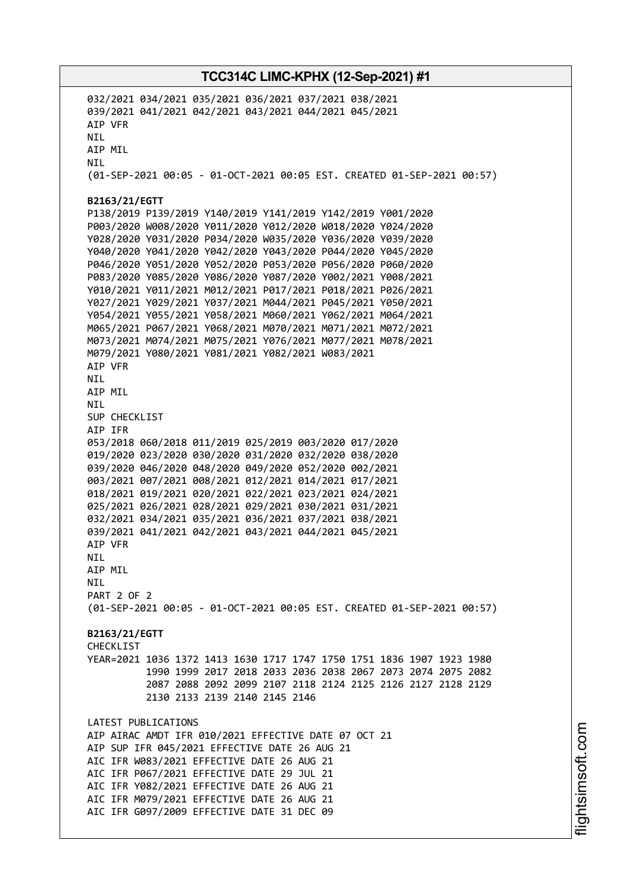032/2021 034/2021 035/2021 036/2021 037/2021 038/2021 039/2021 041/2021 042/2021 043/2021 044/2021 045/2021 AIP VFR NIL AIP MIL NIL (01-SEP-2021 00:05 - 01-OCT-2021 00:05 EST. CREATED 01-SEP-2021 00:57) **B2163/21/EGTT** P138/2019 P139/2019 Y140/2019 Y141/2019 Y142/2019 Y001/2020 P003/2020 W008/2020 Y011/2020 Y012/2020 W018/2020 Y024/2020 Y028/2020 Y031/2020 P034/2020 W035/2020 Y036/2020 Y039/2020 Y040/2020 Y041/2020 Y042/2020 Y043/2020 P044/2020 Y045/2020 P046/2020 Y051/2020 Y052/2020 P053/2020 P056/2020 P060/2020 P083/2020 Y085/2020 Y086/2020 Y087/2020 Y002/2021 Y008/2021 Y010/2021 Y011/2021 M012/2021 P017/2021 P018/2021 P026/2021 Y027/2021 Y029/2021 Y037/2021 M044/2021 P045/2021 Y050/2021 Y054/2021 Y055/2021 Y058/2021 M060/2021 Y062/2021 M064/2021 M065/2021 P067/2021 Y068/2021 M070/2021 M071/2021 M072/2021 M073/2021 M074/2021 M075/2021 Y076/2021 M077/2021 M078/2021 M079/2021 Y080/2021 Y081/2021 Y082/2021 W083/2021 AIP VFR NIL AIP MIL NIL SUP CHECKLIST AIP IFR 053/2018 060/2018 011/2019 025/2019 003/2020 017/2020 019/2020 023/2020 030/2020 031/2020 032/2020 038/2020 039/2020 046/2020 048/2020 049/2020 052/2020 002/2021 003/2021 007/2021 008/2021 012/2021 014/2021 017/2021 018/2021 019/2021 020/2021 022/2021 023/2021 024/2021 025/2021 026/2021 028/2021 029/2021 030/2021 031/2021 032/2021 034/2021 035/2021 036/2021 037/2021 038/2021 039/2021 041/2021 042/2021 043/2021 044/2021 045/2021 AIP VFR NIL AIP MIL NIL PART 2 OF 2 (01-SEP-2021 00:05 - 01-OCT-2021 00:05 EST. CREATED 01-SEP-2021 00:57) **B2163/21/EGTT CHECKLIST** YEAR=2021 1036 1372 1413 1630 1717 1747 1750 1751 1836 1907 1923 1980 1990 1999 2017 2018 2033 2036 2038 2067 2073 2074 2075 2082 2087 2088 2092 2099 2107 2118 2124 2125 2126 2127 2128 2129 2130 2133 2139 2140 2145 2146 LATEST PUBLICATIONS AIP AIRAC AMDT IFR 010/2021 EFFECTIVE DATE 07 OCT 21 AIP SUP IFR 045/2021 EFFECTIVE DATE 26 AUG 21 AIC IFR W083/2021 EFFECTIVE DATE 26 AUG 21 AIC IFR P067/2021 EFFECTIVE DATE 29 JUL 21 AIC IFR Y082/2021 EFFECTIVE DATE 26 AUG 21 AIC IFR M079/2021 EFFECTIVE DATE 26 AUG 21 AIC IFR G097/2009 EFFECTIVE DATE 31 DEC 09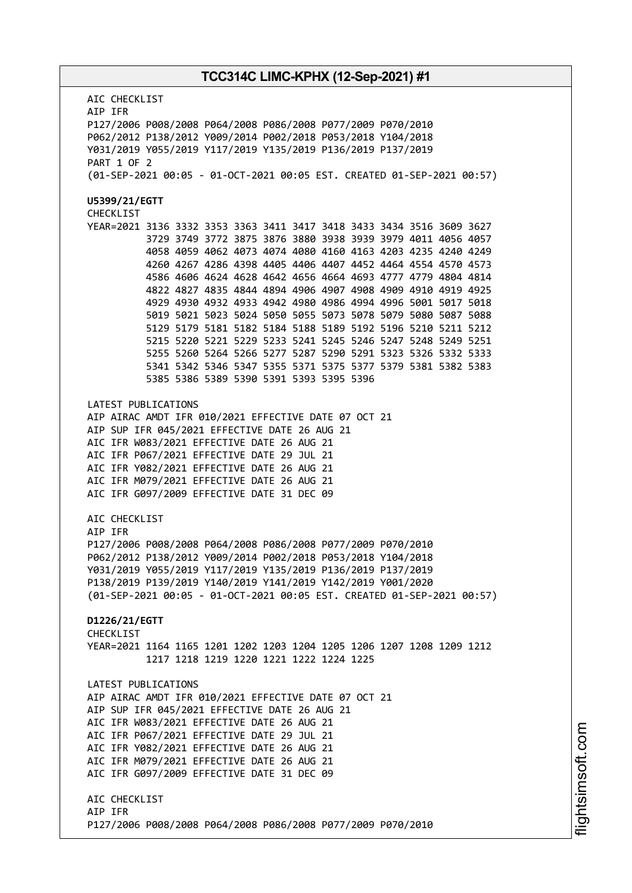AIC CHECKLIST AIP IFR P127/2006 P008/2008 P064/2008 P086/2008 P077/2009 P070/2010 P062/2012 P138/2012 Y009/2014 P002/2018 P053/2018 Y104/2018 Y031/2019 Y055/2019 Y117/2019 Y135/2019 P136/2019 P137/2019 PART 1 OF 2 (01-SEP-2021 00:05 - 01-OCT-2021 00:05 EST. CREATED 01-SEP-2021 00:57) **U5399/21/EGTT** CHECKLIST YEAR=2021 3136 3332 3353 3363 3411 3417 3418 3433 3434 3516 3609 3627 3729 3749 3772 3875 3876 3880 3938 3939 3979 4011 4056 4057 4058 4059 4062 4073 4074 4080 4160 4163 4203 4235 4240 4249 4260 4267 4286 4398 4405 4406 4407 4452 4464 4554 4570 4573 4586 4606 4624 4628 4642 4656 4664 4693 4777 4779 4804 4814 4822 4827 4835 4844 4894 4906 4907 4908 4909 4910 4919 4925 4929 4930 4932 4933 4942 4980 4986 4994 4996 5001 5017 5018 5019 5021 5023 5024 5050 5055 5073 5078 5079 5080 5087 5088 5129 5179 5181 5182 5184 5188 5189 5192 5196 5210 5211 5212 5215 5220 5221 5229 5233 5241 5245 5246 5247 5248 5249 5251 5255 5260 5264 5266 5277 5287 5290 5291 5323 5326 5332 5333 5341 5342 5346 5347 5355 5371 5375 5377 5379 5381 5382 5383 5385 5386 5389 5390 5391 5393 5395 5396 LATEST PUBLICATIONS AIP AIRAC AMDT IFR 010/2021 EFFECTIVE DATE 07 OCT 21 AIP SUP IFR 045/2021 EFFECTIVE DATE 26 AUG 21 AIC IFR W083/2021 EFFECTIVE DATE 26 AUG 21 AIC IFR P067/2021 EFFECTIVE DATE 29 JUL 21 AIC IFR Y082/2021 EFFECTIVE DATE 26 AUG 21 AIC IFR M079/2021 EFFECTIVE DATE 26 AUG 21 AIC IFR G097/2009 EFFECTIVE DATE 31 DEC 09 AIC CHECKLIST AIP IFR P127/2006 P008/2008 P064/2008 P086/2008 P077/2009 P070/2010 P062/2012 P138/2012 Y009/2014 P002/2018 P053/2018 Y104/2018 Y031/2019 Y055/2019 Y117/2019 Y135/2019 P136/2019 P137/2019 P138/2019 P139/2019 Y140/2019 Y141/2019 Y142/2019 Y001/2020 (01-SEP-2021 00:05 - 01-OCT-2021 00:05 EST. CREATED 01-SEP-2021 00:57) **D1226/21/EGTT** CHECKLIST YEAR=2021 1164 1165 1201 1202 1203 1204 1205 1206 1207 1208 1209 1212 1217 1218 1219 1220 1221 1222 1224 1225 LATEST PUBLICATIONS AIP AIRAC AMDT IFR 010/2021 EFFECTIVE DATE 07 OCT 21 AIP SUP IFR 045/2021 EFFECTIVE DATE 26 AUG 21 AIC IFR W083/2021 EFFECTIVE DATE 26 AUG 21 AIC IFR P067/2021 EFFECTIVE DATE 29 JUL 21 AIC IFR Y082/2021 EFFECTIVE DATE 26 AUG 21 AIC IFR M079/2021 EFFECTIVE DATE 26 AUG 21 AIC IFR G097/2009 EFFECTIVE DATE 31 DEC 09 AIC CHECKLIST AIP IFR P127/2006 P008/2008 P064/2008 P086/2008 P077/2009 P070/2010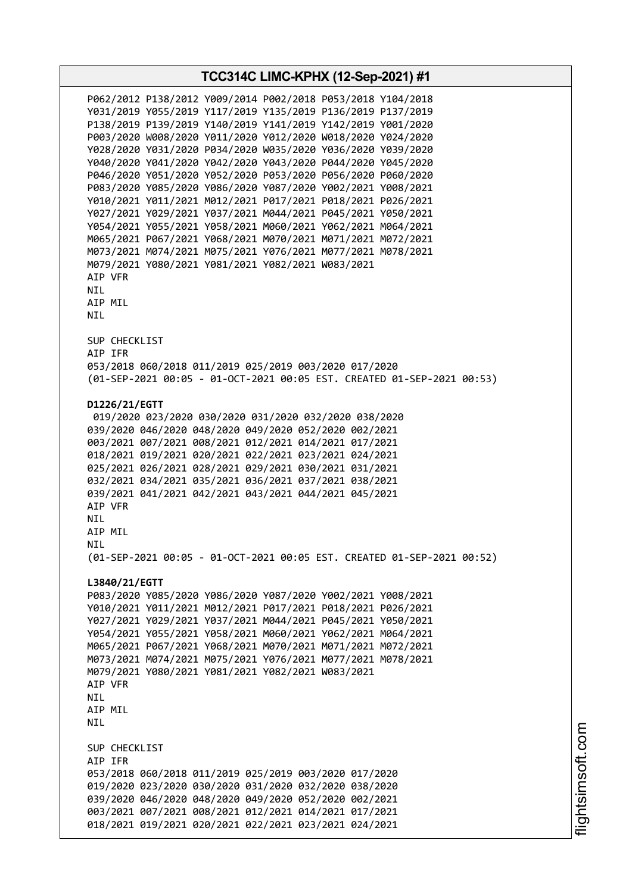**TCC314C LIMC-KPHX (12-Sep-2021) #1** P062/2012 P138/2012 Y009/2014 P002/2018 P053/2018 Y104/2018 Y031/2019 Y055/2019 Y117/2019 Y135/2019 P136/2019 P137/2019 P138/2019 P139/2019 Y140/2019 Y141/2019 Y142/2019 Y001/2020 P003/2020 W008/2020 Y011/2020 Y012/2020 W018/2020 Y024/2020 Y028/2020 Y031/2020 P034/2020 W035/2020 Y036/2020 Y039/2020 Y040/2020 Y041/2020 Y042/2020 Y043/2020 P044/2020 Y045/2020 P046/2020 Y051/2020 Y052/2020 P053/2020 P056/2020 P060/2020 P083/2020 Y085/2020 Y086/2020 Y087/2020 Y002/2021 Y008/2021 Y010/2021 Y011/2021 M012/2021 P017/2021 P018/2021 P026/2021 Y027/2021 Y029/2021 Y037/2021 M044/2021 P045/2021 Y050/2021 Y054/2021 Y055/2021 Y058/2021 M060/2021 Y062/2021 M064/2021 M065/2021 P067/2021 Y068/2021 M070/2021 M071/2021 M072/2021 M073/2021 M074/2021 M075/2021 Y076/2021 M077/2021 M078/2021 M079/2021 Y080/2021 Y081/2021 Y082/2021 W083/2021 AIP VFR NIL AIP MIL NIL SUP CHECKLIST AIP IFR 053/2018 060/2018 011/2019 025/2019 003/2020 017/2020 (01-SEP-2021 00:05 - 01-OCT-2021 00:05 EST. CREATED 01-SEP-2021 00:53) **D1226/21/EGTT** 019/2020 023/2020 030/2020 031/2020 032/2020 038/2020 039/2020 046/2020 048/2020 049/2020 052/2020 002/2021 003/2021 007/2021 008/2021 012/2021 014/2021 017/2021 018/2021 019/2021 020/2021 022/2021 023/2021 024/2021 025/2021 026/2021 028/2021 029/2021 030/2021 031/2021 032/2021 034/2021 035/2021 036/2021 037/2021 038/2021 039/2021 041/2021 042/2021 043/2021 044/2021 045/2021 AIP VFR NIL AIP MIL **NTL** (01-SEP-2021 00:05 - 01-OCT-2021 00:05 EST. CREATED 01-SEP-2021 00:52) **L3840/21/EGTT** P083/2020 Y085/2020 Y086/2020 Y087/2020 Y002/2021 Y008/2021 Y010/2021 Y011/2021 M012/2021 P017/2021 P018/2021 P026/2021 Y027/2021 Y029/2021 Y037/2021 M044/2021 P045/2021 Y050/2021 Y054/2021 Y055/2021 Y058/2021 M060/2021 Y062/2021 M064/2021 M065/2021 P067/2021 Y068/2021 M070/2021 M071/2021 M072/2021 M073/2021 M074/2021 M075/2021 Y076/2021 M077/2021 M078/2021 M079/2021 Y080/2021 Y081/2021 Y082/2021 W083/2021 AIP VFR **NTI** AIP MIL NIL SUP CHECKLIST AIP IFR 053/2018 060/2018 011/2019 025/2019 003/2020 017/2020 019/2020 023/2020 030/2020 031/2020 032/2020 038/2020 039/2020 046/2020 048/2020 049/2020 052/2020 002/2021 003/2021 007/2021 008/2021 012/2021 014/2021 017/2021 018/2021 019/2021 020/2021 022/2021 023/2021 024/2021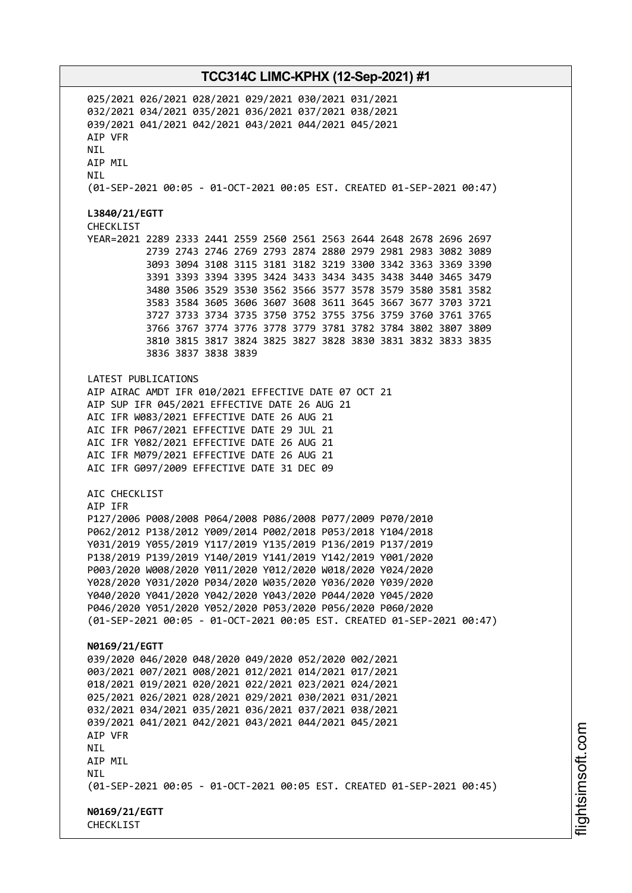025/2021 026/2021 028/2021 029/2021 030/2021 031/2021 032/2021 034/2021 035/2021 036/2021 037/2021 038/2021 039/2021 041/2021 042/2021 043/2021 044/2021 045/2021 AIP VFR **NTI** AIP MIL NIL (01-SEP-2021 00:05 - 01-OCT-2021 00:05 EST. CREATED 01-SEP-2021 00:47) **L3840/21/EGTT** CHECKLIST YEAR=2021 2289 2333 2441 2559 2560 2561 2563 2644 2648 2678 2696 2697 2739 2743 2746 2769 2793 2874 2880 2979 2981 2983 3082 3089 3093 3094 3108 3115 3181 3182 3219 3300 3342 3363 3369 3390 3391 3393 3394 3395 3424 3433 3434 3435 3438 3440 3465 3479 3480 3506 3529 3530 3562 3566 3577 3578 3579 3580 3581 3582 3583 3584 3605 3606 3607 3608 3611 3645 3667 3677 3703 3721 3727 3733 3734 3735 3750 3752 3755 3756 3759 3760 3761 3765 3766 3767 3774 3776 3778 3779 3781 3782 3784 3802 3807 3809 3810 3815 3817 3824 3825 3827 3828 3830 3831 3832 3833 3835 3836 3837 3838 3839 LATEST PUBLICATIONS AIP AIRAC AMDT IFR 010/2021 EFFECTIVE DATE 07 OCT 21 AIP SUP IFR 045/2021 EFFECTIVE DATE 26 AUG 21 AIC IFR W083/2021 EFFECTIVE DATE 26 AUG 21 AIC IFR P067/2021 EFFECTIVE DATE 29 JUL 21 AIC IFR Y082/2021 EFFECTIVE DATE 26 AUG 21 AIC IFR M079/2021 EFFECTIVE DATE 26 AUG 21 AIC IFR G097/2009 EFFECTIVE DATE 31 DEC 09 AIC CHECKLIST AIP IFR P127/2006 P008/2008 P064/2008 P086/2008 P077/2009 P070/2010 P062/2012 P138/2012 Y009/2014 P002/2018 P053/2018 Y104/2018 Y031/2019 Y055/2019 Y117/2019 Y135/2019 P136/2019 P137/2019 P138/2019 P139/2019 Y140/2019 Y141/2019 Y142/2019 Y001/2020 P003/2020 W008/2020 Y011/2020 Y012/2020 W018/2020 Y024/2020 Y028/2020 Y031/2020 P034/2020 W035/2020 Y036/2020 Y039/2020 Y040/2020 Y041/2020 Y042/2020 Y043/2020 P044/2020 Y045/2020 P046/2020 Y051/2020 Y052/2020 P053/2020 P056/2020 P060/2020 (01-SEP-2021 00:05 - 01-OCT-2021 00:05 EST. CREATED 01-SEP-2021 00:47) **N0169/21/EGTT** 039/2020 046/2020 048/2020 049/2020 052/2020 002/2021 003/2021 007/2021 008/2021 012/2021 014/2021 017/2021 018/2021 019/2021 020/2021 022/2021 023/2021 024/2021 025/2021 026/2021 028/2021 029/2021 030/2021 031/2021 032/2021 034/2021 035/2021 036/2021 037/2021 038/2021 039/2021 041/2021 042/2021 043/2021 044/2021 045/2021 AIP VFR NIL AIP MIL **NTL** (01-SEP-2021 00:05 - 01-OCT-2021 00:05 EST. CREATED 01-SEP-2021 00:45) **N0169/21/EGTT** CHECKLIST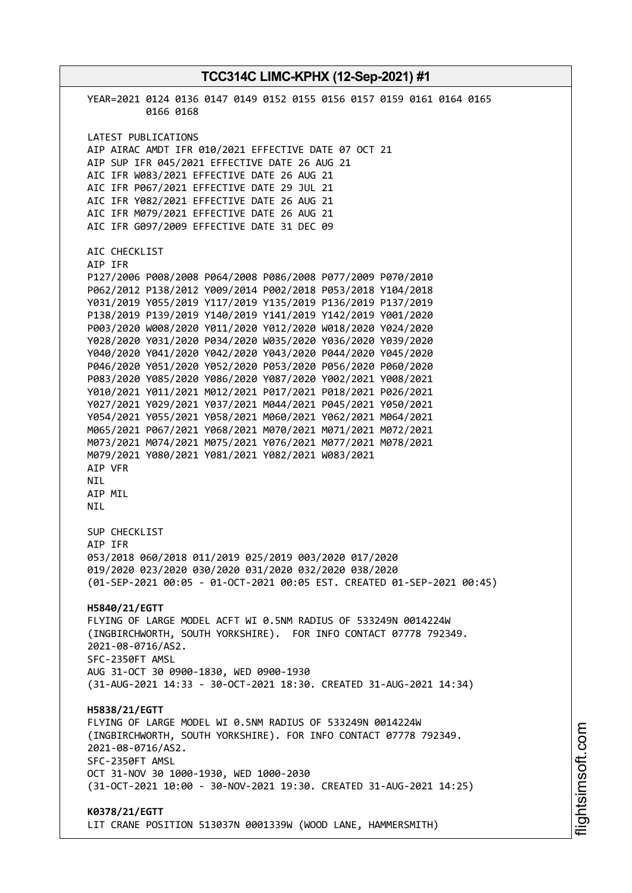**TCC314C LIMC-KPHX (12-Sep-2021) #1** YEAR=2021 0124 0136 0147 0149 0152 0155 0156 0157 0159 0161 0164 0165 0166 0168 LATEST PUBLICATIONS AIP AIRAC AMDT IFR 010/2021 EFFECTIVE DATE 07 OCT 21 AIP SUP IFR 045/2021 EFFECTIVE DATE 26 AUG 21 AIC IFR W083/2021 EFFECTIVE DATE 26 AUG 21 AIC IFR P067/2021 EFFECTIVE DATE 29 JUL 21 AIC IFR Y082/2021 EFFECTIVE DATE 26 AUG 21 AIC IFR M079/2021 EFFECTIVE DATE 26 AUG 21 AIC IFR G097/2009 EFFECTIVE DATE 31 DEC 09 AIC CHECKLIST AIP IFR P127/2006 P008/2008 P064/2008 P086/2008 P077/2009 P070/2010 P062/2012 P138/2012 Y009/2014 P002/2018 P053/2018 Y104/2018 Y031/2019 Y055/2019 Y117/2019 Y135/2019 P136/2019 P137/2019 P138/2019 P139/2019 Y140/2019 Y141/2019 Y142/2019 Y001/2020 P003/2020 W008/2020 Y011/2020 Y012/2020 W018/2020 Y024/2020 Y028/2020 Y031/2020 P034/2020 W035/2020 Y036/2020 Y039/2020 Y040/2020 Y041/2020 Y042/2020 Y043/2020 P044/2020 Y045/2020 P046/2020 Y051/2020 Y052/2020 P053/2020 P056/2020 P060/2020 P083/2020 Y085/2020 Y086/2020 Y087/2020 Y002/2021 Y008/2021 Y010/2021 Y011/2021 M012/2021 P017/2021 P018/2021 P026/2021 Y027/2021 Y029/2021 Y037/2021 M044/2021 P045/2021 Y050/2021 Y054/2021 Y055/2021 Y058/2021 M060/2021 Y062/2021 M064/2021 M065/2021 P067/2021 Y068/2021 M070/2021 M071/2021 M072/2021 M073/2021 M074/2021 M075/2021 Y076/2021 M077/2021 M078/2021 M079/2021 Y080/2021 Y081/2021 Y082/2021 W083/2021 AIP VFR NIL AIP MIL NIL SUP CHECKLIST AIP IFR 053/2018 060/2018 011/2019 025/2019 003/2020 017/2020 019/2020 023/2020 030/2020 031/2020 032/2020 038/2020 (01-SEP-2021 00:05 - 01-OCT-2021 00:05 EST. CREATED 01-SEP-2021 00:45) **H5840/21/EGTT** FLYING OF LARGE MODEL ACFT WI 0.5NM RADIUS OF 533249N 0014224W (INGBIRCHWORTH, SOUTH YORKSHIRE). FOR INFO CONTACT 07778 792349. 2021-08-0716/AS2. SFC-2350FT AMSL AUG 31-OCT 30 0900-1830, WED 0900-1930 (31-AUG-2021 14:33 - 30-OCT-2021 18:30. CREATED 31-AUG-2021 14:34) **H5838/21/EGTT** FLYING OF LARGE MODEL WI 0.5NM RADIUS OF 533249N 0014224W (INGBIRCHWORTH, SOUTH YORKSHIRE). FOR INFO CONTACT 07778 792349. 2021-08-0716/AS2. SFC-2350FT AMSL OCT 31-NOV 30 1000-1930, WED 1000-2030 (31-OCT-2021 10:00 - 30-NOV-2021 19:30. CREATED 31-AUG-2021 14:25) **K0378/21/EGTT** LIT CRANE POSITION 513037N 0001339W (WOOD LANE, HAMMERSMITH)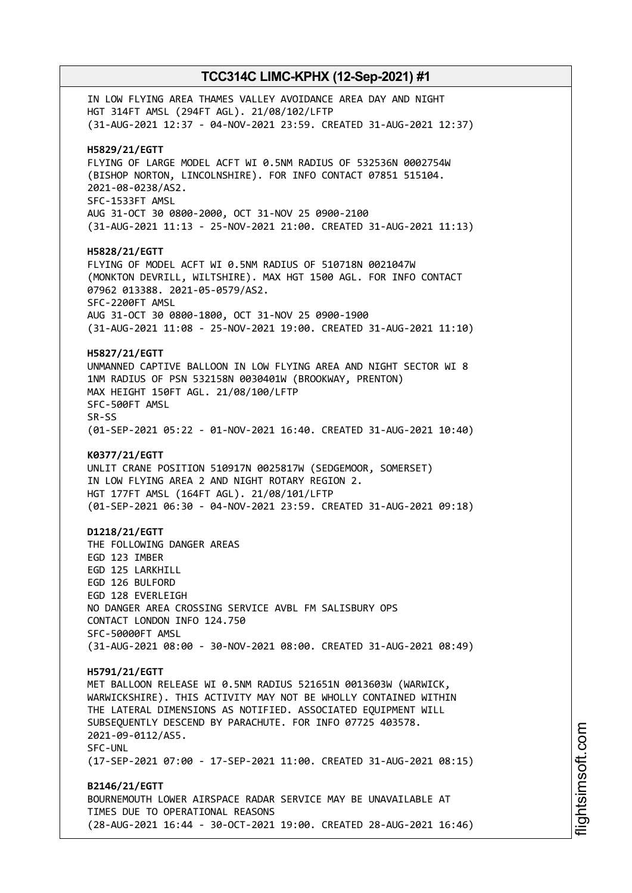IN LOW FLYING AREA THAMES VALLEY AVOIDANCE AREA DAY AND NIGHT HGT 314FT AMSL (294FT AGL). 21/08/102/LFTP (31-AUG-2021 12:37 - 04-NOV-2021 23:59. CREATED 31-AUG-2021 12:37) **H5829/21/EGTT** FLYING OF LARGE MODEL ACFT WI 0.5NM RADIUS OF 532536N 0002754W (BISHOP NORTON, LINCOLNSHIRE). FOR INFO CONTACT 07851 515104. 2021-08-0238/AS2. SFC-1533FT AMSL AUG 31-OCT 30 0800-2000, OCT 31-NOV 25 0900-2100 (31-AUG-2021 11:13 - 25-NOV-2021 21:00. CREATED 31-AUG-2021 11:13) **H5828/21/EGTT** FLYING OF MODEL ACFT WI 0.5NM RADIUS OF 510718N 0021047W (MONKTON DEVRILL, WILTSHIRE). MAX HGT 1500 AGL. FOR INFO CONTACT 07962 013388. 2021-05-0579/AS2. SFC-2200FT AMSL AUG 31-OCT 30 0800-1800, OCT 31-NOV 25 0900-1900 (31-AUG-2021 11:08 - 25-NOV-2021 19:00. CREATED 31-AUG-2021 11:10) **H5827/21/EGTT** UNMANNED CAPTIVE BALLOON IN LOW FLYING AREA AND NIGHT SECTOR WI 8 1NM RADIUS OF PSN 532158N 0030401W (BROOKWAY, PRENTON) MAX HEIGHT 150FT AGL. 21/08/100/LFTP SFC-500FT AMSL SR-SS (01-SEP-2021 05:22 - 01-NOV-2021 16:40. CREATED 31-AUG-2021 10:40) **K0377/21/EGTT** UNLIT CRANE POSITION 510917N 0025817W (SEDGEMOOR, SOMERSET) IN LOW FLYING AREA 2 AND NIGHT ROTARY REGION 2. HGT 177FT AMSL (164FT AGL). 21/08/101/LFTP (01-SEP-2021 06:30 - 04-NOV-2021 23:59. CREATED 31-AUG-2021 09:18) **D1218/21/EGTT** THE FOLLOWING DANGER AREAS EGD 123 IMBER EGD 125 LARKHILL EGD 126 BULFORD EGD 128 EVERLEIGH NO DANGER AREA CROSSING SERVICE AVBL FM SALISBURY OPS CONTACT LONDON INFO 124.750 SFC-50000FT AMSL (31-AUG-2021 08:00 - 30-NOV-2021 08:00. CREATED 31-AUG-2021 08:49) **H5791/21/EGTT** MET BALLOON RELEASE WI 0.5NM RADIUS 521651N 0013603W (WARWICK, WARWICKSHIRE). THIS ACTIVITY MAY NOT BE WHOLLY CONTAINED WITHIN THE LATERAL DIMENSIONS AS NOTIFIED. ASSOCIATED EQUIPMENT WILL SUBSEQUENTLY DESCEND BY PARACHUTE. FOR INFO 07725 403578. 2021-09-0112/AS5. SFC-UNL (17-SEP-2021 07:00 - 17-SEP-2021 11:00. CREATED 31-AUG-2021 08:15) **B2146/21/EGTT** BOURNEMOUTH LOWER AIRSPACE RADAR SERVICE MAY BE UNAVAILABLE AT TIMES DUE TO OPERATIONAL REASONS (28-AUG-2021 16:44 - 30-OCT-2021 19:00. CREATED 28-AUG-2021 16:46)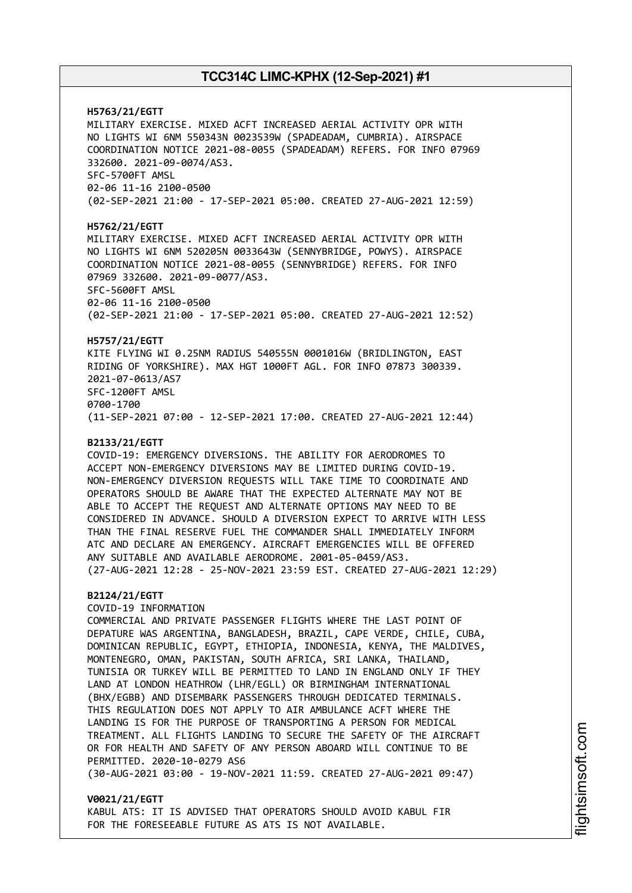**H5763/21/EGTT** MILITARY EXERCISE. MIXED ACFT INCREASED AERIAL ACTIVITY OPR WITH NO LIGHTS WI 6NM 550343N 0023539W (SPADEADAM, CUMBRIA). AIRSPACE COORDINATION NOTICE 2021-08-0055 (SPADEADAM) REFERS. FOR INFO 07969 332600. 2021-09-0074/AS3. SFC-5700FT AMSL 02-06 11-16 2100-0500 (02-SEP-2021 21:00 - 17-SEP-2021 05:00. CREATED 27-AUG-2021 12:59) **H5762/21/EGTT** MILITARY EXERCISE. MIXED ACFT INCREASED AERIAL ACTIVITY OPR WITH NO LIGHTS WI 6NM 520205N 0033643W (SENNYBRIDGE, POWYS). AIRSPACE COORDINATION NOTICE 2021-08-0055 (SENNYBRIDGE) REFERS. FOR INFO 07969 332600. 2021-09-0077/AS3. SFC-5600FT AMSL 02-06 11-16 2100-0500 (02-SEP-2021 21:00 - 17-SEP-2021 05:00. CREATED 27-AUG-2021 12:52) **H5757/21/EGTT** KITE FLYING WI 0.25NM RADIUS 540555N 0001016W (BRIDLINGTON, EAST RIDING OF YORKSHIRE). MAX HGT 1000FT AGL. FOR INFO 07873 300339. 2021-07-0613/AS7 SFC-1200FT AMSL 0700-1700 (11-SEP-2021 07:00 - 12-SEP-2021 17:00. CREATED 27-AUG-2021 12:44) **B2133/21/EGTT** COVID-19: EMERGENCY DIVERSIONS. THE ABILITY FOR AERODROMES TO ACCEPT NON-EMERGENCY DIVERSIONS MAY BE LIMITED DURING COVID-19. NON-EMERGENCY DIVERSION REQUESTS WILL TAKE TIME TO COORDINATE AND OPERATORS SHOULD BE AWARE THAT THE EXPECTED ALTERNATE MAY NOT BE ABLE TO ACCEPT THE REQUEST AND ALTERNATE OPTIONS MAY NEED TO BE CONSIDERED IN ADVANCE. SHOULD A DIVERSION EXPECT TO ARRIVE WITH LESS THAN THE FINAL RESERVE FUEL THE COMMANDER SHALL IMMEDIATELY INFORM ATC AND DECLARE AN EMERGENCY. AIRCRAFT EMERGENCIES WILL BE OFFERED ANY SUITABLE AND AVAILABLE AERODROME. 2001-05-0459/AS3. (27-AUG-2021 12:28 - 25-NOV-2021 23:59 EST. CREATED 27-AUG-2021 12:29) **B2124/21/EGTT** COVID-19 INFORMATION COMMERCIAL AND PRIVATE PASSENGER FLIGHTS WHERE THE LAST POINT OF DEPATURE WAS ARGENTINA, BANGLADESH, BRAZIL, CAPE VERDE, CHILE, CUBA, DOMINICAN REPUBLIC, EGYPT, ETHIOPIA, INDONESIA, KENYA, THE MALDIVES, MONTENEGRO, OMAN, PAKISTAN, SOUTH AFRICA, SRI LANKA, THAILAND, TUNISIA OR TURKEY WILL BE PERMITTED TO LAND IN ENGLAND ONLY IF THEY LAND AT LONDON HEATHROW (LHR/EGLL) OR BIRMINGHAM INTERNATIONAL (BHX/EGBB) AND DISEMBARK PASSENGERS THROUGH DEDICATED TERMINALS. THIS REGULATION DOES NOT APPLY TO AIR AMBULANCE ACFT WHERE THE LANDING IS FOR THE PURPOSE OF TRANSPORTING A PERSON FOR MEDICAL TREATMENT. ALL FLIGHTS LANDING TO SECURE THE SAFETY OF THE AIRCRAFT OR FOR HEALTH AND SAFETY OF ANY PERSON ABOARD WILL CONTINUE TO BE PERMITTED. 2020-10-0279 AS6 (30-AUG-2021 03:00 - 19-NOV-2021 11:59. CREATED 27-AUG-2021 09:47)

### **V0021/21/EGTT** KABUL ATS: IT IS ADVISED THAT OPERATORS SHOULD AVOID KABUL FIR FOR THE FORESEEABLE FUTURE AS ATS IS NOT AVAILABLE.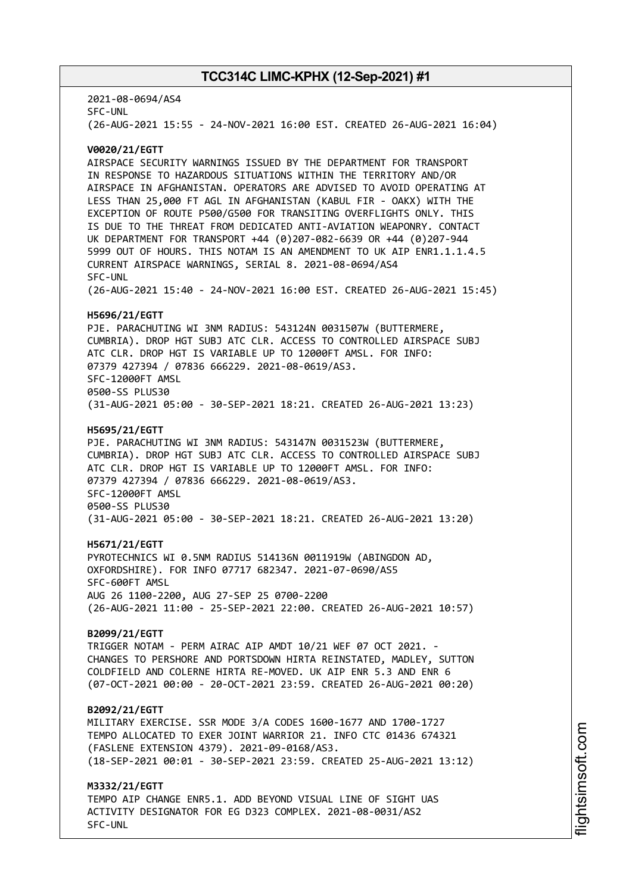2021-08-0694/AS4 SFC-UNL (26-AUG-2021 15:55 - 24-NOV-2021 16:00 EST. CREATED 26-AUG-2021 16:04)

#### **V0020/21/EGTT**

AIRSPACE SECURITY WARNINGS ISSUED BY THE DEPARTMENT FOR TRANSPORT IN RESPONSE TO HAZARDOUS SITUATIONS WITHIN THE TERRITORY AND/OR AIRSPACE IN AFGHANISTAN. OPERATORS ARE ADVISED TO AVOID OPERATING AT LESS THAN 25,000 FT AGL IN AFGHANISTAN (KABUL FIR - OAKX) WITH THE EXCEPTION OF ROUTE P500/G500 FOR TRANSITING OVERFLIGHTS ONLY. THIS IS DUE TO THE THREAT FROM DEDICATED ANTI-AVIATION WEAPONRY. CONTACT UK DEPARTMENT FOR TRANSPORT +44 (0)207-082-6639 OR +44 (0)207-944 5999 OUT OF HOURS. THIS NOTAM IS AN AMENDMENT TO UK AIP ENR1.1.1.4.5 CURRENT AIRSPACE WARNINGS, SERIAL 8. 2021-08-0694/AS4 SFC-UNL (26-AUG-2021 15:40 - 24-NOV-2021 16:00 EST. CREATED 26-AUG-2021 15:45)

#### **H5696/21/EGTT**

PJE. PARACHUTING WI 3NM RADIUS: 543124N 0031507W (BUTTERMERE, CUMBRIA). DROP HGT SUBJ ATC CLR. ACCESS TO CONTROLLED AIRSPACE SUBJ ATC CLR. DROP HGT IS VARIABLE UP TO 12000FT AMSL. FOR INFO: 07379 427394 / 07836 666229. 2021-08-0619/AS3. SFC-12000FT AMSL 0500-SS PLUS30 (31-AUG-2021 05:00 - 30-SEP-2021 18:21. CREATED 26-AUG-2021 13:23)

#### **H5695/21/EGTT**

PJE. PARACHUTING WI 3NM RADIUS: 543147N 0031523W (BUTTERMERE, CUMBRIA). DROP HGT SUBJ ATC CLR. ACCESS TO CONTROLLED AIRSPACE SUBJ ATC CLR. DROP HGT IS VARIABLE UP TO 12000FT AMSL. FOR INFO: 07379 427394 / 07836 666229. 2021-08-0619/AS3. SFC-12000FT AMSL 0500-SS PLUS30 (31-AUG-2021 05:00 - 30-SEP-2021 18:21. CREATED 26-AUG-2021 13:20)

#### **H5671/21/EGTT**

PYROTECHNICS WI 0.5NM RADIUS 514136N 0011919W (ABINGDON AD, OXFORDSHIRE). FOR INFO 07717 682347. 2021-07-0690/AS5 SFC-600FT AMSL AUG 26 1100-2200, AUG 27-SEP 25 0700-2200 (26-AUG-2021 11:00 - 25-SEP-2021 22:00. CREATED 26-AUG-2021 10:57)

#### **B2099/21/EGTT**

TRIGGER NOTAM - PERM AIRAC AIP AMDT 10/21 WEF 07 OCT 2021. - CHANGES TO PERSHORE AND PORTSDOWN HIRTA REINSTATED, MADLEY, SUTTON COLDFIELD AND COLERNE HIRTA RE-MOVED. UK AIP ENR 5.3 AND ENR 6 (07-OCT-2021 00:00 - 20-OCT-2021 23:59. CREATED 26-AUG-2021 00:20)

#### **B2092/21/EGTT**

MILITARY EXERCISE. SSR MODE 3/A CODES 1600-1677 AND 1700-1727 TEMPO ALLOCATED TO EXER JOINT WARRIOR 21. INFO CTC 01436 674321 (FASLENE EXTENSION 4379). 2021-09-0168/AS3. (18-SEP-2021 00:01 - 30-SEP-2021 23:59. CREATED 25-AUG-2021 13:12)

**M3332/21/EGTT** TEMPO AIP CHANGE ENR5.1. ADD BEYOND VISUAL LINE OF SIGHT UAS ACTIVITY DESIGNATOR FOR EG D323 COMPLEX. 2021-08-0031/AS2 SFC-UNL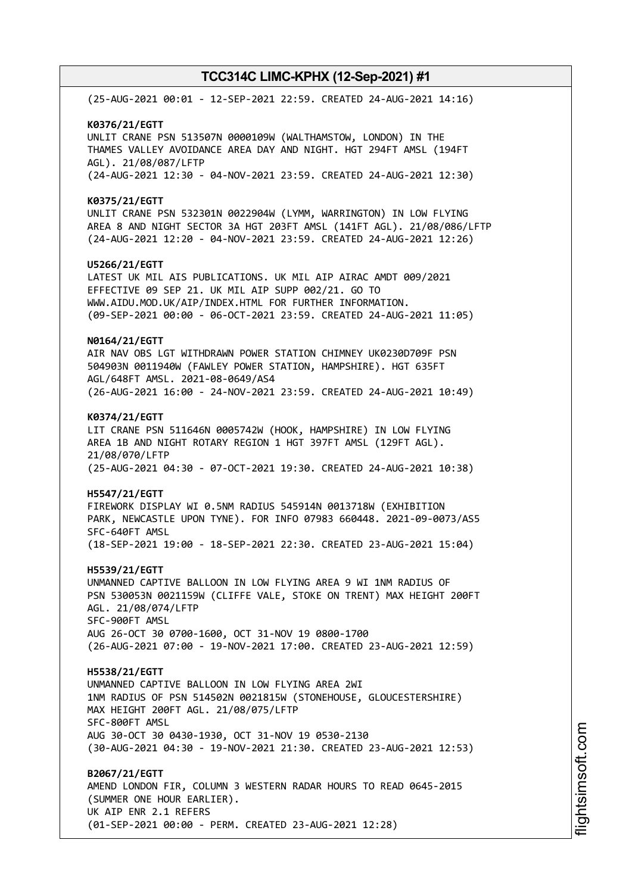(25-AUG-2021 00:01 - 12-SEP-2021 22:59. CREATED 24-AUG-2021 14:16) **K0376/21/EGTT** UNLIT CRANE PSN 513507N 0000109W (WALTHAMSTOW, LONDON) IN THE THAMES VALLEY AVOIDANCE AREA DAY AND NIGHT. HGT 294FT AMSL (194FT AGL). 21/08/087/LFTP (24-AUG-2021 12:30 - 04-NOV-2021 23:59. CREATED 24-AUG-2021 12:30) **K0375/21/EGTT** UNLIT CRANE PSN 532301N 0022904W (LYMM, WARRINGTON) IN LOW FLYING AREA 8 AND NIGHT SECTOR 3A HGT 203FT AMSL (141FT AGL). 21/08/086/LFTP (24-AUG-2021 12:20 - 04-NOV-2021 23:59. CREATED 24-AUG-2021 12:26) **U5266/21/EGTT** LATEST UK MIL AIS PUBLICATIONS. UK MIL AIP AIRAC AMDT 009/2021 EFFECTIVE 09 SEP 21. UK MIL AIP SUPP 002/21. GO TO WWW.AIDU.MOD.UK/AIP/INDEX.HTML FOR FURTHER INFORMATION. (09-SEP-2021 00:00 - 06-OCT-2021 23:59. CREATED 24-AUG-2021 11:05) **N0164/21/EGTT** AIR NAV OBS LGT WITHDRAWN POWER STATION CHIMNEY UK0230D709F PSN 504903N 0011940W (FAWLEY POWER STATION, HAMPSHIRE). HGT 635FT AGL/648FT AMSL. 2021-08-0649/AS4 (26-AUG-2021 16:00 - 24-NOV-2021 23:59. CREATED 24-AUG-2021 10:49) **K0374/21/EGTT** LIT CRANE PSN 511646N 0005742W (HOOK, HAMPSHIRE) IN LOW FLYING AREA 1B AND NIGHT ROTARY REGION 1 HGT 397FT AMSL (129FT AGL). 21/08/070/LFTP (25-AUG-2021 04:30 - 07-OCT-2021 19:30. CREATED 24-AUG-2021 10:38) **H5547/21/EGTT** FIREWORK DISPLAY WI 0.5NM RADIUS 545914N 0013718W (EXHIBITION PARK, NEWCASTLE UPON TYNE). FOR INFO 07983 660448. 2021-09-0073/AS5 SFC-640FT AMSL (18-SEP-2021 19:00 - 18-SEP-2021 22:30. CREATED 23-AUG-2021 15:04) **H5539/21/EGTT** UNMANNED CAPTIVE BALLOON IN LOW FLYING AREA 9 WI 1NM RADIUS OF PSN 530053N 0021159W (CLIFFE VALE, STOKE ON TRENT) MAX HEIGHT 200FT AGL. 21/08/074/LFTP SFC-900FT AMSL AUG 26-OCT 30 0700-1600, OCT 31-NOV 19 0800-1700 (26-AUG-2021 07:00 - 19-NOV-2021 17:00. CREATED 23-AUG-2021 12:59) **H5538/21/EGTT** UNMANNED CAPTIVE BALLOON IN LOW FLYING AREA 2WI 1NM RADIUS OF PSN 514502N 0021815W (STONEHOUSE, GLOUCESTERSHIRE) MAX HEIGHT 200FT AGL. 21/08/075/LFTP SFC-800FT AMSL AUG 30-OCT 30 0430-1930, OCT 31-NOV 19 0530-2130 (30-AUG-2021 04:30 - 19-NOV-2021 21:30. CREATED 23-AUG-2021 12:53) **B2067/21/EGTT** AMEND LONDON FIR, COLUMN 3 WESTERN RADAR HOURS TO READ 0645-2015 (SUMMER ONE HOUR EARLIER). UK AIP ENR 2.1 REFERS (01-SEP-2021 00:00 - PERM. CREATED 23-AUG-2021 12:28)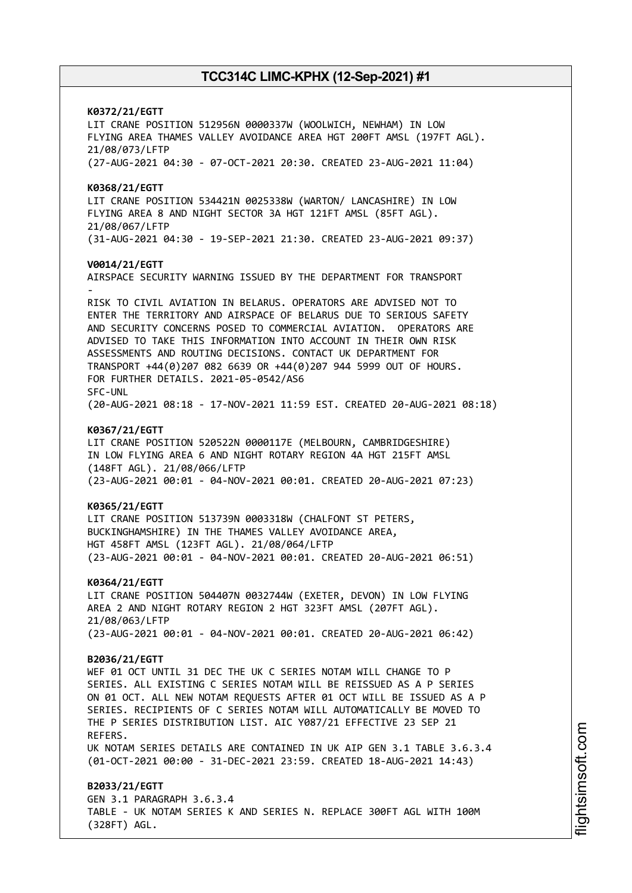**K0372/21/EGTT** LIT CRANE POSITION 512956N 0000337W (WOOLWICH, NEWHAM) IN LOW FLYING AREA THAMES VALLEY AVOIDANCE AREA HGT 200FT AMSL (197FT AGL). 21/08/073/LFTP (27-AUG-2021 04:30 - 07-OCT-2021 20:30. CREATED 23-AUG-2021 11:04) **K0368/21/EGTT** LIT CRANE POSITION 534421N 0025338W (WARTON/ LANCASHIRE) IN LOW FLYING AREA 8 AND NIGHT SECTOR 3A HGT 121FT AMSL (85FT AGL). 21/08/067/LFTP (31-AUG-2021 04:30 - 19-SEP-2021 21:30. CREATED 23-AUG-2021 09:37) **V0014/21/EGTT** AIRSPACE SECURITY WARNING ISSUED BY THE DEPARTMENT FOR TRANSPORT - RISK TO CIVIL AVIATION IN BELARUS. OPERATORS ARE ADVISED NOT TO ENTER THE TERRITORY AND AIRSPACE OF BELARUS DUE TO SERIOUS SAFETY AND SECURITY CONCERNS POSED TO COMMERCIAL AVIATION. OPERATORS ARE ADVISED TO TAKE THIS INFORMATION INTO ACCOUNT IN THEIR OWN RISK ASSESSMENTS AND ROUTING DECISIONS. CONTACT UK DEPARTMENT FOR TRANSPORT +44(0)207 082 6639 OR +44(0)207 944 5999 OUT OF HOURS. FOR FURTHER DETAILS. 2021-05-0542/AS6 SFC-UNL (20-AUG-2021 08:18 - 17-NOV-2021 11:59 EST. CREATED 20-AUG-2021 08:18) **K0367/21/EGTT** LIT CRANE POSITION 520522N 0000117E (MELBOURN, CAMBRIDGESHIRE) IN LOW FLYING AREA 6 AND NIGHT ROTARY REGION 4A HGT 215FT AMSL (148FT AGL). 21/08/066/LFTP (23-AUG-2021 00:01 - 04-NOV-2021 00:01. CREATED 20-AUG-2021 07:23) **K0365/21/EGTT** LIT CRANE POSITION 513739N 0003318W (CHALFONT ST PETERS, BUCKINGHAMSHIRE) IN THE THAMES VALLEY AVOIDANCE AREA, HGT 458FT AMSL (123FT AGL). 21/08/064/LFTP (23-AUG-2021 00:01 - 04-NOV-2021 00:01. CREATED 20-AUG-2021 06:51) **K0364/21/EGTT** LIT CRANE POSITION 504407N 0032744W (EXETER, DEVON) IN LOW FLYING AREA 2 AND NIGHT ROTARY REGION 2 HGT 323FT AMSL (207FT AGL). 21/08/063/LFTP (23-AUG-2021 00:01 - 04-NOV-2021 00:01. CREATED 20-AUG-2021 06:42) **B2036/21/EGTT** WEF 01 OCT UNTIL 31 DEC THE UK C SERIES NOTAM WILL CHANGE TO P SERIES. ALL EXISTING C SERIES NOTAM WILL BE REISSUED AS A P SERIES ON 01 OCT. ALL NEW NOTAM REQUESTS AFTER 01 OCT WILL BE ISSUED AS A P SERIES. RECIPIENTS OF C SERIES NOTAM WILL AUTOMATICALLY BE MOVED TO THE P SERIES DISTRIBUTION LIST. AIC Y087/21 EFFECTIVE 23 SEP 21 REFERS. UK NOTAM SERIES DETAILS ARE CONTAINED IN UK AIP GEN 3.1 TABLE 3.6.3.4 (01-OCT-2021 00:00 - 31-DEC-2021 23:59. CREATED 18-AUG-2021 14:43) **B2033/21/EGTT** GEN 3.1 PARAGRAPH 3.6.3.4 TABLE - UK NOTAM SERIES K AND SERIES N. REPLACE 300FT AGL WITH 100M

(328FT) AGL.

m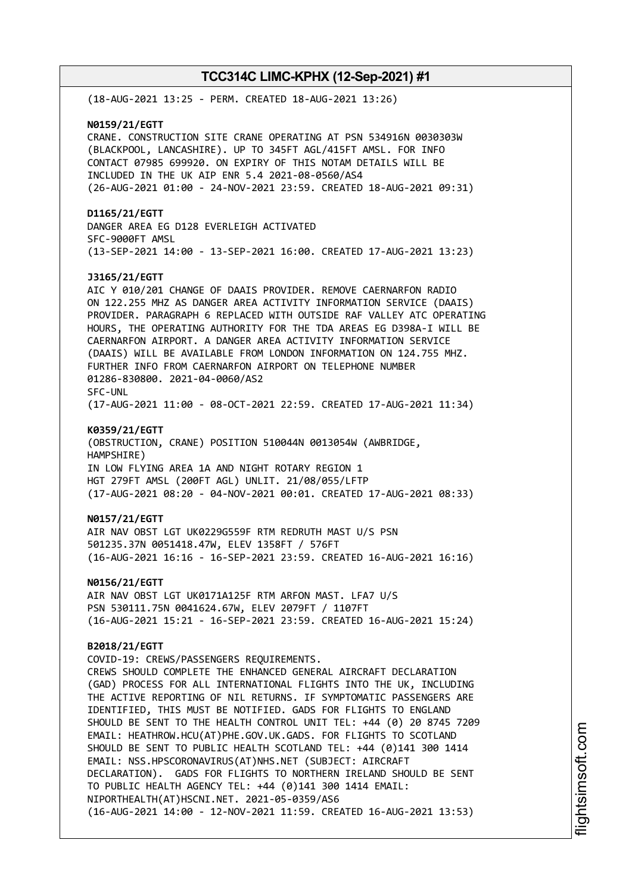(18-AUG-2021 13:25 - PERM. CREATED 18-AUG-2021 13:26) **N0159/21/EGTT** CRANE. CONSTRUCTION SITE CRANE OPERATING AT PSN 534916N 0030303W (BLACKPOOL, LANCASHIRE). UP TO 345FT AGL/415FT AMSL. FOR INFO CONTACT 07985 699920. ON EXPIRY OF THIS NOTAM DETAILS WILL BE INCLUDED IN THE UK AIP ENR 5.4 2021-08-0560/AS4 (26-AUG-2021 01:00 - 24-NOV-2021 23:59. CREATED 18-AUG-2021 09:31) **D1165/21/EGTT** DANGER AREA EG D128 EVERLEIGH ACTIVATED SFC-9000FT AMSL (13-SEP-2021 14:00 - 13-SEP-2021 16:00. CREATED 17-AUG-2021 13:23) **J3165/21/EGTT** AIC Y 010/201 CHANGE OF DAAIS PROVIDER. REMOVE CAERNARFON RADIO ON 122.255 MHZ AS DANGER AREA ACTIVITY INFORMATION SERVICE (DAAIS) PROVIDER. PARAGRAPH 6 REPLACED WITH OUTSIDE RAF VALLEY ATC OPERATING HOURS, THE OPERATING AUTHORITY FOR THE TDA AREAS EG D398A-I WILL BE CAERNARFON AIRPORT. A DANGER AREA ACTIVITY INFORMATION SERVICE (DAAIS) WILL BE AVAILABLE FROM LONDON INFORMATION ON 124.755 MHZ. FURTHER INFO FROM CAERNARFON AIRPORT ON TELEPHONE NUMBER 01286-830800. 2021-04-0060/AS2 SFC-UNL (17-AUG-2021 11:00 - 08-OCT-2021 22:59. CREATED 17-AUG-2021 11:34) **K0359/21/EGTT** (OBSTRUCTION, CRANE) POSITION 510044N 0013054W (AWBRIDGE, HAMPSHIRE) IN LOW FLYING AREA 1A AND NIGHT ROTARY REGION 1 HGT 279FT AMSL (200FT AGL) UNLIT. 21/08/055/LFTP (17-AUG-2021 08:20 - 04-NOV-2021 00:01. CREATED 17-AUG-2021 08:33) **N0157/21/EGTT** AIR NAV OBST LGT UK0229G559F RTM REDRUTH MAST U/S PSN 501235.37N 0051418.47W, ELEV 1358FT / 576FT (16-AUG-2021 16:16 - 16-SEP-2021 23:59. CREATED 16-AUG-2021 16:16) **N0156/21/EGTT** AIR NAV OBST LGT UK0171A125F RTM ARFON MAST. LFA7 U/S PSN 530111.75N 0041624.67W, ELEV 2079FT / 1107FT (16-AUG-2021 15:21 - 16-SEP-2021 23:59. CREATED 16-AUG-2021 15:24) **B2018/21/EGTT** COVID-19: CREWS/PASSENGERS REQUIREMENTS. CREWS SHOULD COMPLETE THE ENHANCED GENERAL AIRCRAFT DECLARATION (GAD) PROCESS FOR ALL INTERNATIONAL FLIGHTS INTO THE UK, INCLUDING THE ACTIVE REPORTING OF NIL RETURNS. IF SYMPTOMATIC PASSENGERS ARE IDENTIFIED, THIS MUST BE NOTIFIED. GADS FOR FLIGHTS TO ENGLAND SHOULD BE SENT TO THE HEALTH CONTROL UNIT TEL: +44 (0) 20 8745 7209 EMAIL: HEATHROW.HCU(AT)PHE.GOV.UK.GADS. FOR FLIGHTS TO SCOTLAND SHOULD BE SENT TO PUBLIC HEALTH SCOTLAND TEL: +44 (0)141 300 1414 EMAIL: NSS.HPSCORONAVIRUS(AT)NHS.NET (SUBJECT: AIRCRAFT DECLARATION). GADS FOR FLIGHTS TO NORTHERN IRELAND SHOULD BE SENT TO PUBLIC HEALTH AGENCY TEL: +44 (0)141 300 1414 EMAIL: NIPORTHEALTH(AT)HSCNI.NET. 2021-05-0359/AS6 (16-AUG-2021 14:00 - 12-NOV-2021 11:59. CREATED 16-AUG-2021 13:53)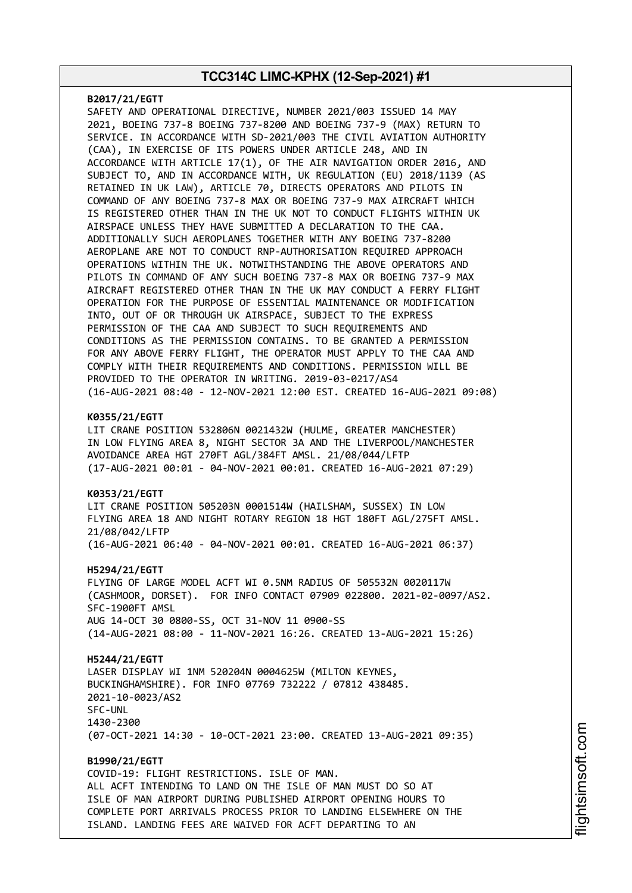#### **B2017/21/EGTT**

SAFETY AND OPERATIONAL DIRECTIVE, NUMBER 2021/003 ISSUED 14 MAY 2021, BOEING 737-8 BOEING 737-8200 AND BOEING 737-9 (MAX) RETURN TO SERVICE. IN ACCORDANCE WITH SD-2021/003 THE CIVIL AVIATION AUTHORITY (CAA), IN EXERCISE OF ITS POWERS UNDER ARTICLE 248, AND IN ACCORDANCE WITH ARTICLE 17(1), OF THE AIR NAVIGATION ORDER 2016, AND SUBJECT TO, AND IN ACCORDANCE WITH, UK REGULATION (EU) 2018/1139 (AS RETAINED IN UK LAW), ARTICLE 70, DIRECTS OPERATORS AND PILOTS IN COMMAND OF ANY BOEING 737-8 MAX OR BOEING 737-9 MAX AIRCRAFT WHICH IS REGISTERED OTHER THAN IN THE UK NOT TO CONDUCT FLIGHTS WITHIN UK AIRSPACE UNLESS THEY HAVE SUBMITTED A DECLARATION TO THE CAA. ADDITIONALLY SUCH AEROPLANES TOGETHER WITH ANY BOEING 737-8200 AEROPLANE ARE NOT TO CONDUCT RNP-AUTHORISATION REQUIRED APPROACH OPERATIONS WITHIN THE UK. NOTWITHSTANDING THE ABOVE OPERATORS AND PILOTS IN COMMAND OF ANY SUCH BOEING 737-8 MAX OR BOEING 737-9 MAX AIRCRAFT REGISTERED OTHER THAN IN THE UK MAY CONDUCT A FERRY FLIGHT OPERATION FOR THE PURPOSE OF ESSENTIAL MAINTENANCE OR MODIFICATION INTO, OUT OF OR THROUGH UK AIRSPACE, SUBJECT TO THE EXPRESS PERMISSION OF THE CAA AND SUBJECT TO SUCH REQUIREMENTS AND CONDITIONS AS THE PERMISSION CONTAINS. TO BE GRANTED A PERMISSION FOR ANY ABOVE FERRY FLIGHT, THE OPERATOR MUST APPLY TO THE CAA AND COMPLY WITH THEIR REQUIREMENTS AND CONDITIONS. PERMISSION WILL BE PROVIDED TO THE OPERATOR IN WRITING. 2019-03-0217/AS4 (16-AUG-2021 08:40 - 12-NOV-2021 12:00 EST. CREATED 16-AUG-2021 09:08)

### **K0355/21/EGTT**

LIT CRANE POSITION 532806N 0021432W (HULME, GREATER MANCHESTER) IN LOW FLYING AREA 8, NIGHT SECTOR 3A AND THE LIVERPOOL/MANCHESTER AVOIDANCE AREA HGT 270FT AGL/384FT AMSL. 21/08/044/LFTP (17-AUG-2021 00:01 - 04-NOV-2021 00:01. CREATED 16-AUG-2021 07:29)

#### **K0353/21/EGTT**

LIT CRANE POSITION 505203N 0001514W (HAILSHAM, SUSSEX) IN LOW FLYING AREA 18 AND NIGHT ROTARY REGION 18 HGT 180FT AGL/275FT AMSL. 21/08/042/LFTP (16-AUG-2021 06:40 - 04-NOV-2021 00:01. CREATED 16-AUG-2021 06:37)

#### **H5294/21/EGTT**

FLYING OF LARGE MODEL ACFT WI 0.5NM RADIUS OF 505532N 0020117W (CASHMOOR, DORSET). FOR INFO CONTACT 07909 022800. 2021-02-0097/AS2. SFC-1900FT AMSL AUG 14-OCT 30 0800-SS, OCT 31-NOV 11 0900-SS (14-AUG-2021 08:00 - 11-NOV-2021 16:26. CREATED 13-AUG-2021 15:26)

#### **H5244/21/EGTT**

LASER DISPLAY WI 1NM 520204N 0004625W (MILTON KEYNES, BUCKINGHAMSHIRE). FOR INFO 07769 732222 / 07812 438485. 2021-10-0023/AS2 SFC-UNL 1430-2300 (07-OCT-2021 14:30 - 10-OCT-2021 23:00. CREATED 13-AUG-2021 09:35)

**B1990/21/EGTT** COVID-19: FLIGHT RESTRICTIONS. ISLE OF MAN. ALL ACFT INTENDING TO LAND ON THE ISLE OF MAN MUST DO SO AT ISLE OF MAN AIRPORT DURING PUBLISHED AIRPORT OPENING HOURS TO COMPLETE PORT ARRIVALS PROCESS PRIOR TO LANDING ELSEWHERE ON THE ISLAND. LANDING FEES ARE WAIVED FOR ACFT DEPARTING TO AN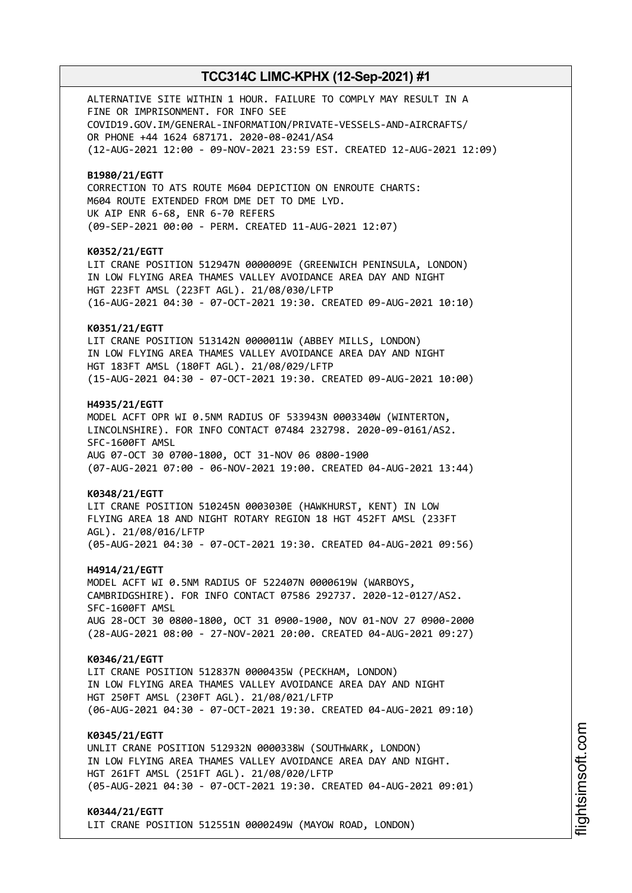ALTERNATIVE SITE WITHIN 1 HOUR. FAILURE TO COMPLY MAY RESULT IN A FINE OR IMPRISONMENT. FOR INFO SEE COVID19.GOV.IM/GENERAL-INFORMATION/PRIVATE-VESSELS-AND-AIRCRAFTS/ OR PHONE +44 1624 687171. 2020-08-0241/AS4 (12-AUG-2021 12:00 - 09-NOV-2021 23:59 EST. CREATED 12-AUG-2021 12:09) **B1980/21/EGTT** CORRECTION TO ATS ROUTE M604 DEPICTION ON ENROUTE CHARTS: M604 ROUTE EXTENDED FROM DME DET TO DME LYD. UK AIP ENR 6-68, ENR 6-70 REFERS (09-SEP-2021 00:00 - PERM. CREATED 11-AUG-2021 12:07) **K0352/21/EGTT** LIT CRANE POSITION 512947N 0000009E (GREENWICH PENINSULA, LONDON) IN LOW FLYING AREA THAMES VALLEY AVOIDANCE AREA DAY AND NIGHT HGT 223FT AMSL (223FT AGL). 21/08/030/LFTP (16-AUG-2021 04:30 - 07-OCT-2021 19:30. CREATED 09-AUG-2021 10:10) **K0351/21/EGTT** LIT CRANE POSITION 513142N 0000011W (ABBEY MILLS, LONDON) IN LOW FLYING AREA THAMES VALLEY AVOIDANCE AREA DAY AND NIGHT HGT 183FT AMSL (180FT AGL). 21/08/029/LFTP (15-AUG-2021 04:30 - 07-OCT-2021 19:30. CREATED 09-AUG-2021 10:00) **H4935/21/EGTT** MODEL ACFT OPR WI 0.5NM RADIUS OF 533943N 0003340W (WINTERTON, LINCOLNSHIRE). FOR INFO CONTACT 07484 232798. 2020-09-0161/AS2. SFC-1600FT AMSL AUG 07-OCT 30 0700-1800, OCT 31-NOV 06 0800-1900 (07-AUG-2021 07:00 - 06-NOV-2021 19:00. CREATED 04-AUG-2021 13:44) **K0348/21/EGTT** LIT CRANE POSITION 510245N 0003030E (HAWKHURST, KENT) IN LOW FLYING AREA 18 AND NIGHT ROTARY REGION 18 HGT 452FT AMSL (233FT AGL). 21/08/016/LFTP (05-AUG-2021 04:30 - 07-OCT-2021 19:30. CREATED 04-AUG-2021 09:56) **H4914/21/EGTT** MODEL ACFT WI 0.5NM RADIUS OF 522407N 0000619W (WARBOYS, CAMBRIDGSHIRE). FOR INFO CONTACT 07586 292737. 2020-12-0127/AS2. SFC-1600FT AMSL AUG 28-OCT 30 0800-1800, OCT 31 0900-1900, NOV 01-NOV 27 0900-2000 (28-AUG-2021 08:00 - 27-NOV-2021 20:00. CREATED 04-AUG-2021 09:27) **K0346/21/EGTT** LIT CRANE POSITION 512837N 0000435W (PECKHAM, LONDON) IN LOW FLYING AREA THAMES VALLEY AVOIDANCE AREA DAY AND NIGHT HGT 250FT AMSL (230FT AGL). 21/08/021/LFTP (06-AUG-2021 04:30 - 07-OCT-2021 19:30. CREATED 04-AUG-2021 09:10) **K0345/21/EGTT** UNLIT CRANE POSITION 512932N 0000338W (SOUTHWARK, LONDON) IN LOW FLYING AREA THAMES VALLEY AVOIDANCE AREA DAY AND NIGHT. HGT 261FT AMSL (251FT AGL). 21/08/020/LFTP (05-AUG-2021 04:30 - 07-OCT-2021 19:30. CREATED 04-AUG-2021 09:01) **K0344/21/EGTT**

LIT CRANE POSITION 512551N 0000249W (MAYOW ROAD, LONDON)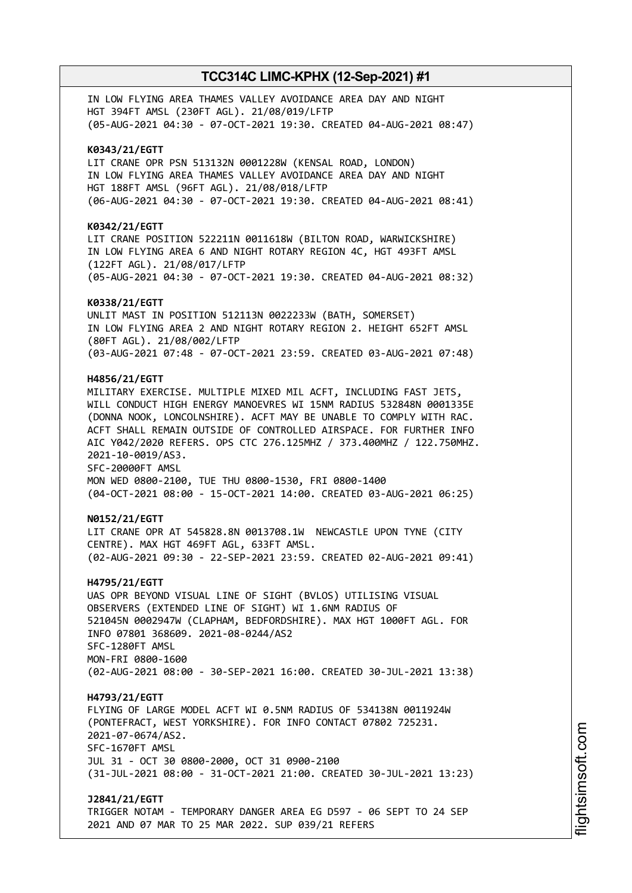IN LOW FLYING AREA THAMES VALLEY AVOIDANCE AREA DAY AND NIGHT HGT 394FT AMSL (230FT AGL). 21/08/019/LFTP (05-AUG-2021 04:30 - 07-OCT-2021 19:30. CREATED 04-AUG-2021 08:47) **K0343/21/EGTT** LIT CRANE OPR PSN 513132N 0001228W (KENSAL ROAD, LONDON) IN LOW FLYING AREA THAMES VALLEY AVOIDANCE AREA DAY AND NIGHT HGT 188FT AMSL (96FT AGL). 21/08/018/LFTP (06-AUG-2021 04:30 - 07-OCT-2021 19:30. CREATED 04-AUG-2021 08:41) **K0342/21/EGTT** LIT CRANE POSITION 522211N 0011618W (BILTON ROAD, WARWICKSHIRE) IN LOW FLYING AREA 6 AND NIGHT ROTARY REGION 4C, HGT 493FT AMSL (122FT AGL). 21/08/017/LFTP (05-AUG-2021 04:30 - 07-OCT-2021 19:30. CREATED 04-AUG-2021 08:32) **K0338/21/EGTT** UNLIT MAST IN POSITION 512113N 0022233W (BATH, SOMERSET) IN LOW FLYING AREA 2 AND NIGHT ROTARY REGION 2. HEIGHT 652FT AMSL (80FT AGL). 21/08/002/LFTP (03-AUG-2021 07:48 - 07-OCT-2021 23:59. CREATED 03-AUG-2021 07:48) **H4856/21/EGTT** MILITARY EXERCISE. MULTIPLE MIXED MIL ACFT, INCLUDING FAST JETS, WILL CONDUCT HIGH ENERGY MANOEVRES WI 15NM RADIUS 532848N 0001335E (DONNA NOOK, LONCOLNSHIRE). ACFT MAY BE UNABLE TO COMPLY WITH RAC. ACFT SHALL REMAIN OUTSIDE OF CONTROLLED AIRSPACE. FOR FURTHER INFO AIC Y042/2020 REFERS. OPS CTC 276.125MHZ / 373.400MHZ / 122.750MHZ. 2021-10-0019/AS3. SFC-20000FT AMSL MON WED 0800-2100, TUE THU 0800-1530, FRI 0800-1400 (04-OCT-2021 08:00 - 15-OCT-2021 14:00. CREATED 03-AUG-2021 06:25) **N0152/21/EGTT** LIT CRANE OPR AT 545828.8N 0013708.1W NEWCASTLE UPON TYNE (CITY CENTRE). MAX HGT 469FT AGL, 633FT AMSL. (02-AUG-2021 09:30 - 22-SEP-2021 23:59. CREATED 02-AUG-2021 09:41) **H4795/21/EGTT** UAS OPR BEYOND VISUAL LINE OF SIGHT (BVLOS) UTILISING VISUAL OBSERVERS (EXTENDED LINE OF SIGHT) WI 1.6NM RADIUS OF 521045N 0002947W (CLAPHAM, BEDFORDSHIRE). MAX HGT 1000FT AGL. FOR INFO 07801 368609. 2021-08-0244/AS2 SFC-1280FT AMSL MON-FRI 0800-1600 (02-AUG-2021 08:00 - 30-SEP-2021 16:00. CREATED 30-JUL-2021 13:38) **H4793/21/EGTT** FLYING OF LARGE MODEL ACFT WI 0.5NM RADIUS OF 534138N 0011924W (PONTEFRACT, WEST YORKSHIRE). FOR INFO CONTACT 07802 725231. 2021-07-0674/AS2. SFC-1670FT AMSL JUL 31 - OCT 30 0800-2000, OCT 31 0900-2100 (31-JUL-2021 08:00 - 31-OCT-2021 21:00. CREATED 30-JUL-2021 13:23) **J2841/21/EGTT** TRIGGER NOTAM - TEMPORARY DANGER AREA EG D597 - 06 SEPT TO 24 SEP 2021 AND 07 MAR TO 25 MAR 2022. SUP 039/21 REFERS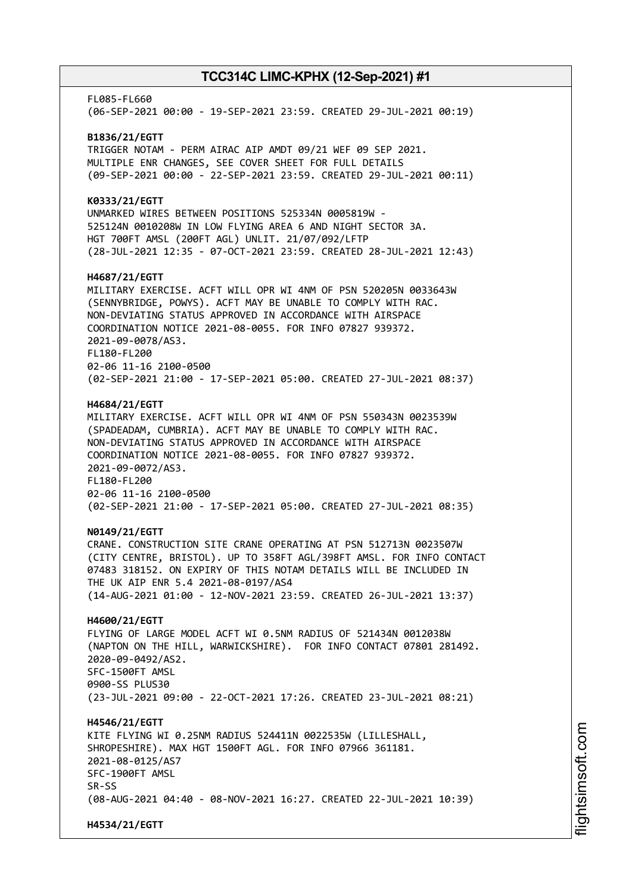FL085-FL660 (06-SEP-2021 00:00 - 19-SEP-2021 23:59. CREATED 29-JUL-2021 00:19) **B1836/21/EGTT** TRIGGER NOTAM - PERM AIRAC AIP AMDT 09/21 WEF 09 SEP 2021. MULTIPLE ENR CHANGES, SEE COVER SHEET FOR FULL DETAILS (09-SEP-2021 00:00 - 22-SEP-2021 23:59. CREATED 29-JUL-2021 00:11) **K0333/21/EGTT** UNMARKED WIRES BETWEEN POSITIONS 525334N 0005819W - 525124N 0010208W IN LOW FLYING AREA 6 AND NIGHT SECTOR 3A. HGT 700FT AMSL (200FT AGL) UNLIT. 21/07/092/LFTP (28-JUL-2021 12:35 - 07-OCT-2021 23:59. CREATED 28-JUL-2021 12:43) **H4687/21/EGTT** MILITARY EXERCISE. ACFT WILL OPR WI 4NM OF PSN 520205N 0033643W (SENNYBRIDGE, POWYS). ACFT MAY BE UNABLE TO COMPLY WITH RAC. NON-DEVIATING STATUS APPROVED IN ACCORDANCE WITH AIRSPACE COORDINATION NOTICE 2021-08-0055. FOR INFO 07827 939372. 2021-09-0078/AS3. FL180-FL200 02-06 11-16 2100-0500 (02-SEP-2021 21:00 - 17-SEP-2021 05:00. CREATED 27-JUL-2021 08:37) **H4684/21/EGTT** MILITARY EXERCISE. ACFT WILL OPR WI 4NM OF PSN 550343N 0023539W (SPADEADAM, CUMBRIA). ACFT MAY BE UNABLE TO COMPLY WITH RAC. NON-DEVIATING STATUS APPROVED IN ACCORDANCE WITH AIRSPACE COORDINATION NOTICE 2021-08-0055. FOR INFO 07827 939372. 2021-09-0072/AS3. FL180-FL200 02-06 11-16 2100-0500 (02-SEP-2021 21:00 - 17-SEP-2021 05:00. CREATED 27-JUL-2021 08:35) **N0149/21/EGTT** CRANE. CONSTRUCTION SITE CRANE OPERATING AT PSN 512713N 0023507W (CITY CENTRE, BRISTOL). UP TO 358FT AGL/398FT AMSL. FOR INFO CONTACT 07483 318152. ON EXPIRY OF THIS NOTAM DETAILS WILL BE INCLUDED IN THE UK AIP ENR 5.4 2021-08-0197/AS4 (14-AUG-2021 01:00 - 12-NOV-2021 23:59. CREATED 26-JUL-2021 13:37) **H4600/21/EGTT** FLYING OF LARGE MODEL ACFT WI 0.5NM RADIUS OF 521434N 0012038W (NAPTON ON THE HILL, WARWICKSHIRE). FOR INFO CONTACT 07801 281492. 2020-09-0492/AS2. SFC-1500FT AMSL 0900-SS PLUS30 (23-JUL-2021 09:00 - 22-OCT-2021 17:26. CREATED 23-JUL-2021 08:21) **H4546/21/EGTT** KITE FLYING WI 0.25NM RADIUS 524411N 0022535W (LILLESHALL, SHROPESHIRE). MAX HGT 1500FT AGL. FOR INFO 07966 361181. 2021-08-0125/AS7 SFC-1900FT AMSL SR-SS (08-AUG-2021 04:40 - 08-NOV-2021 16:27. CREATED 22-JUL-2021 10:39) **H4534/21/EGTT**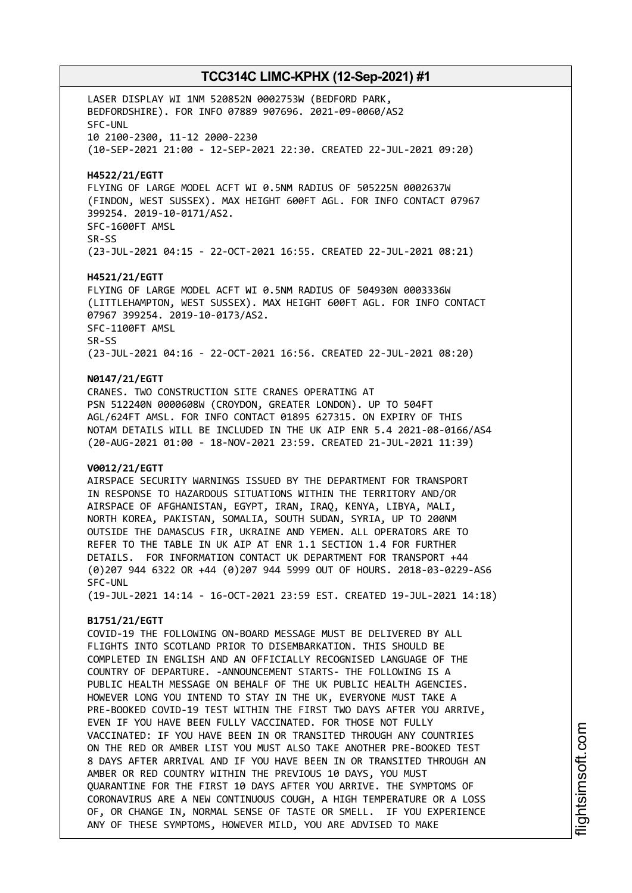LASER DISPLAY WI 1NM 520852N 0002753W (BEDFORD PARK, BEDFORDSHIRE). FOR INFO 07889 907696. 2021-09-0060/AS2 SFC-UNL 10 2100-2300, 11-12 2000-2230 (10-SEP-2021 21:00 - 12-SEP-2021 22:30. CREATED 22-JUL-2021 09:20)

**H4522/21/EGTT**

FLYING OF LARGE MODEL ACFT WI 0.5NM RADIUS OF 505225N 0002637W (FINDON, WEST SUSSEX). MAX HEIGHT 600FT AGL. FOR INFO CONTACT 07967 399254. 2019-10-0171/AS2. SFC-1600FT AMSL SR-SS (23-JUL-2021 04:15 - 22-OCT-2021 16:55. CREATED 22-JUL-2021 08:21)

**H4521/21/EGTT**

FLYING OF LARGE MODEL ACFT WI 0.5NM RADIUS OF 504930N 0003336W (LITTLEHAMPTON, WEST SUSSEX). MAX HEIGHT 600FT AGL. FOR INFO CONTACT 07967 399254. 2019-10-0173/AS2. SFC-1100FT AMSL SR-SS (23-JUL-2021 04:16 - 22-OCT-2021 16:56. CREATED 22-JUL-2021 08:20)

#### **N0147/21/EGTT**

CRANES. TWO CONSTRUCTION SITE CRANES OPERATING AT PSN 512240N 0000608W (CROYDON, GREATER LONDON). UP TO 504FT AGL/624FT AMSL. FOR INFO CONTACT 01895 627315. ON EXPIRY OF THIS NOTAM DETAILS WILL BE INCLUDED IN THE UK AIP ENR 5.4 2021-08-0166/AS4 (20-AUG-2021 01:00 - 18-NOV-2021 23:59. CREATED 21-JUL-2021 11:39)

#### **V0012/21/EGTT**

AIRSPACE SECURITY WARNINGS ISSUED BY THE DEPARTMENT FOR TRANSPORT IN RESPONSE TO HAZARDOUS SITUATIONS WITHIN THE TERRITORY AND/OR AIRSPACE OF AFGHANISTAN, EGYPT, IRAN, IRAQ, KENYA, LIBYA, MALI, NORTH KOREA, PAKISTAN, SOMALIA, SOUTH SUDAN, SYRIA, UP TO 200NM OUTSIDE THE DAMASCUS FIR, UKRAINE AND YEMEN. ALL OPERATORS ARE TO REFER TO THE TABLE IN UK AIP AT ENR 1.1 SECTION 1.4 FOR FURTHER DETAILS. FOR INFORMATION CONTACT UK DEPARTMENT FOR TRANSPORT +44 (0)207 944 6322 OR +44 (0)207 944 5999 OUT OF HOURS. 2018-03-0229-AS6 SFC-UNL

(19-JUL-2021 14:14 - 16-OCT-2021 23:59 EST. CREATED 19-JUL-2021 14:18)

### **B1751/21/EGTT**

COVID-19 THE FOLLOWING ON-BOARD MESSAGE MUST BE DELIVERED BY ALL FLIGHTS INTO SCOTLAND PRIOR TO DISEMBARKATION. THIS SHOULD BE COMPLETED IN ENGLISH AND AN OFFICIALLY RECOGNISED LANGUAGE OF THE COUNTRY OF DEPARTURE. -ANNOUNCEMENT STARTS- THE FOLLOWING IS A PUBLIC HEALTH MESSAGE ON BEHALF OF THE UK PUBLIC HEALTH AGENCIES. HOWEVER LONG YOU INTEND TO STAY IN THE UK, EVERYONE MUST TAKE A PRE-BOOKED COVID-19 TEST WITHIN THE FIRST TWO DAYS AFTER YOU ARRIVE, EVEN IF YOU HAVE BEEN FULLY VACCINATED. FOR THOSE NOT FULLY VACCINATED: IF YOU HAVE BEEN IN OR TRANSITED THROUGH ANY COUNTRIES ON THE RED OR AMBER LIST YOU MUST ALSO TAKE ANOTHER PRE-BOOKED TEST 8 DAYS AFTER ARRIVAL AND IF YOU HAVE BEEN IN OR TRANSITED THROUGH AN AMBER OR RED COUNTRY WITHIN THE PREVIOUS 10 DAYS, YOU MUST QUARANTINE FOR THE FIRST 10 DAYS AFTER YOU ARRIVE. THE SYMPTOMS OF CORONAVIRUS ARE A NEW CONTINUOUS COUGH, A HIGH TEMPERATURE OR A LOSS OF, OR CHANGE IN, NORMAL SENSE OF TASTE OR SMELL. IF YOU EXPERIENCE ANY OF THESE SYMPTOMS, HOWEVER MILD, YOU ARE ADVISED TO MAKE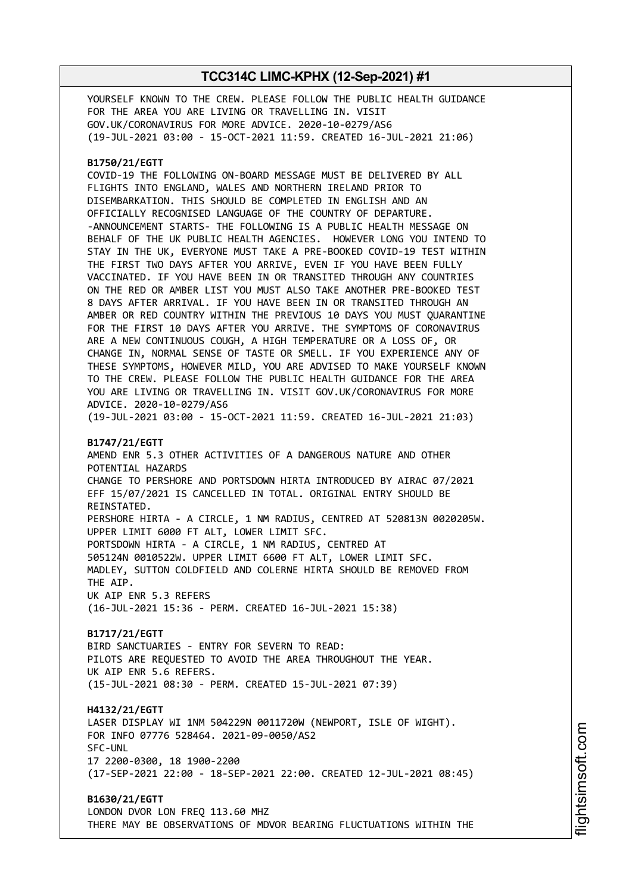YOURSELF KNOWN TO THE CREW. PLEASE FOLLOW THE PUBLIC HEALTH GUIDANCE FOR THE AREA YOU ARE LIVING OR TRAVELLING IN. VISIT GOV.UK/CORONAVIRUS FOR MORE ADVICE. 2020-10-0279/AS6 (19-JUL-2021 03:00 - 15-OCT-2021 11:59. CREATED 16-JUL-2021 21:06)

### **B1750/21/EGTT**

COVID-19 THE FOLLOWING ON-BOARD MESSAGE MUST BE DELIVERED BY ALL FLIGHTS INTO ENGLAND, WALES AND NORTHERN IRELAND PRIOR TO DISEMBARKATION. THIS SHOULD BE COMPLETED IN ENGLISH AND AN OFFICIALLY RECOGNISED LANGUAGE OF THE COUNTRY OF DEPARTURE. -ANNOUNCEMENT STARTS- THE FOLLOWING IS A PUBLIC HEALTH MESSAGE ON BEHALF OF THE UK PUBLIC HEALTH AGENCIES. HOWEVER LONG YOU INTEND TO STAY IN THE UK, EVERYONE MUST TAKE A PRE-BOOKED COVID-19 TEST WITHIN THE FIRST TWO DAYS AFTER YOU ARRIVE, EVEN IF YOU HAVE BEEN FULLY VACCINATED. IF YOU HAVE BEEN IN OR TRANSITED THROUGH ANY COUNTRIES ON THE RED OR AMBER LIST YOU MUST ALSO TAKE ANOTHER PRE-BOOKED TEST 8 DAYS AFTER ARRIVAL. IF YOU HAVE BEEN IN OR TRANSITED THROUGH AN AMBER OR RED COUNTRY WITHIN THE PREVIOUS 10 DAYS YOU MUST QUARANTINE FOR THE FIRST 10 DAYS AFTER YOU ARRIVE. THE SYMPTOMS OF CORONAVIRUS ARE A NEW CONTINUOUS COUGH, A HIGH TEMPERATURE OR A LOSS OF, OR CHANGE IN, NORMAL SENSE OF TASTE OR SMELL. IF YOU EXPERIENCE ANY OF THESE SYMPTOMS, HOWEVER MILD, YOU ARE ADVISED TO MAKE YOURSELF KNOWN TO THE CREW. PLEASE FOLLOW THE PUBLIC HEALTH GUIDANCE FOR THE AREA YOU ARE LIVING OR TRAVELLING IN. VISIT GOV.UK/CORONAVIRUS FOR MORE ADVICE. 2020-10-0279/AS6

# (19-JUL-2021 03:00 - 15-OCT-2021 11:59. CREATED 16-JUL-2021 21:03)

### **B1747/21/EGTT**

AMEND ENR 5.3 OTHER ACTIVITIES OF A DANGEROUS NATURE AND OTHER POTENTIAL HAZARDS CHANGE TO PERSHORE AND PORTSDOWN HIRTA INTRODUCED BY AIRAC 07/2021 EFF 15/07/2021 IS CANCELLED IN TOTAL. ORIGINAL ENTRY SHOULD BE REINSTATED. PERSHORE HIRTA - A CIRCLE, 1 NM RADIUS, CENTRED AT 520813N 0020205W. UPPER LIMIT 6000 FT ALT, LOWER LIMIT SFC. PORTSDOWN HIRTA - A CIRCLE, 1 NM RADIUS, CENTRED AT 505124N 0010522W. UPPER LIMIT 6600 FT ALT, LOWER LIMIT SFC. MADLEY, SUTTON COLDFIELD AND COLERNE HIRTA SHOULD BE REMOVED FROM THE AIP. UK AIP ENR 5.3 REFERS

(16-JUL-2021 15:36 - PERM. CREATED 16-JUL-2021 15:38)

### **B1717/21/EGTT** BIRD SANCTUARIES - ENTRY FOR SEVERN TO READ: PILOTS ARE REQUESTED TO AVOID THE AREA THROUGHOUT THE YEAR. UK AIP ENR 5.6 REFERS. (15-JUL-2021 08:30 - PERM. CREATED 15-JUL-2021 07:39)

**H4132/21/EGTT** LASER DISPLAY WI 1NM 504229N 0011720W (NEWPORT, ISLE OF WIGHT). FOR INFO 07776 528464. 2021-09-0050/AS2 SFC-UNL 17 2200-0300, 18 1900-2200 (17-SEP-2021 22:00 - 18-SEP-2021 22:00. CREATED 12-JUL-2021 08:45)

**B1630/21/EGTT** LONDON DVOR LON FREQ 113.60 MHZ THERE MAY BE OBSERVATIONS OF MDVOR BEARING FLUCTUATIONS WITHIN THE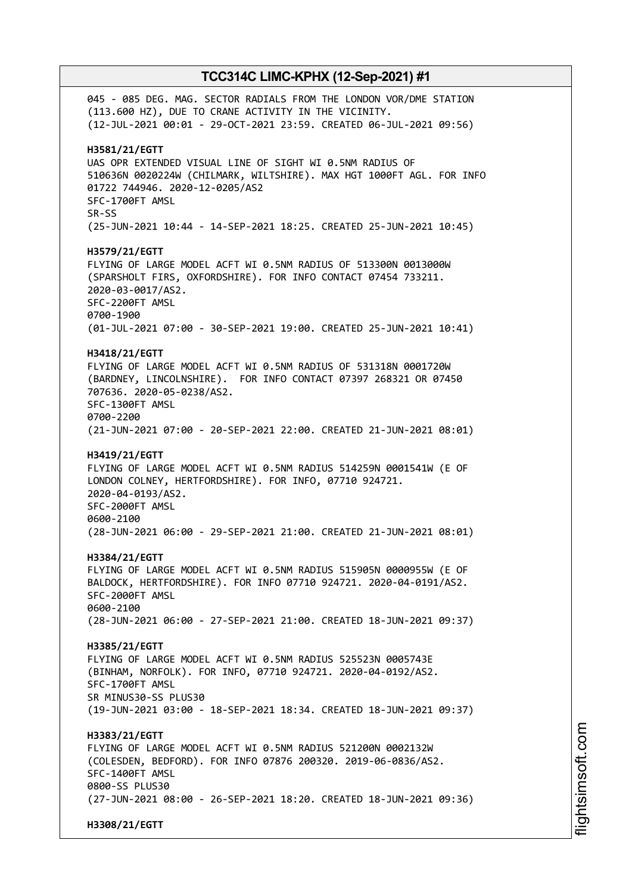045 - 085 DEG. MAG. SECTOR RADIALS FROM THE LONDON VOR/DME STATION (113.600 HZ), DUE TO CRANE ACTIVITY IN THE VICINITY. (12-JUL-2021 00:01 - 29-OCT-2021 23:59. CREATED 06-JUL-2021 09:56) **H3581/21/EGTT** UAS OPR EXTENDED VISUAL LINE OF SIGHT WI 0.5NM RADIUS OF 510636N 0020224W (CHILMARK, WILTSHIRE). MAX HGT 1000FT AGL. FOR INFO 01722 744946. 2020-12-0205/AS2 SFC-1700FT AMSL SR-SS (25-JUN-2021 10:44 - 14-SEP-2021 18:25. CREATED 25-JUN-2021 10:45) **H3579/21/EGTT** FLYING OF LARGE MODEL ACFT WI 0.5NM RADIUS OF 513300N 0013000W (SPARSHOLT FIRS, OXFORDSHIRE). FOR INFO CONTACT 07454 733211. 2020-03-0017/AS2. SFC-2200FT AMSL 0700-1900 (01-JUL-2021 07:00 - 30-SEP-2021 19:00. CREATED 25-JUN-2021 10:41) **H3418/21/EGTT** FLYING OF LARGE MODEL ACFT WI 0.5NM RADIUS OF 531318N 0001720W (BARDNEY, LINCOLNSHIRE). FOR INFO CONTACT 07397 268321 OR 07450 707636. 2020-05-0238/AS2. SFC-1300FT AMSL 0700-2200 (21-JUN-2021 07:00 - 20-SEP-2021 22:00. CREATED 21-JUN-2021 08:01) **H3419/21/EGTT** FLYING OF LARGE MODEL ACFT WI 0.5NM RADIUS 514259N 0001541W (E OF LONDON COLNEY, HERTFORDSHIRE). FOR INFO, 07710 924721. 2020-04-0193/AS2. SFC-2000FT AMSL 0600-2100 (28-JUN-2021 06:00 - 29-SEP-2021 21:00. CREATED 21-JUN-2021 08:01) **H3384/21/EGTT** FLYING OF LARGE MODEL ACFT WI 0.5NM RADIUS 515905N 0000955W (E OF BALDOCK, HERTFORDSHIRE). FOR INFO 07710 924721. 2020-04-0191/AS2. SFC-2000FT AMSL 0600-2100 (28-JUN-2021 06:00 - 27-SEP-2021 21:00. CREATED 18-JUN-2021 09:37) **H3385/21/EGTT** FLYING OF LARGE MODEL ACFT WI 0.5NM RADIUS 525523N 0005743E (BINHAM, NORFOLK). FOR INFO, 07710 924721. 2020-04-0192/AS2. SFC-1700FT AMSL SR MINUS30-SS PLUS30 (19-JUN-2021 03:00 - 18-SEP-2021 18:34. CREATED 18-JUN-2021 09:37) **H3383/21/EGTT** FLYING OF LARGE MODEL ACFT WI 0.5NM RADIUS 521200N 0002132W (COLESDEN, BEDFORD). FOR INFO 07876 200320. 2019-06-0836/AS2. SFC-1400FT AMSL 0800-SS PLUS30 (27-JUN-2021 08:00 - 26-SEP-2021 18:20. CREATED 18-JUN-2021 09:36) **H3308/21/EGTT**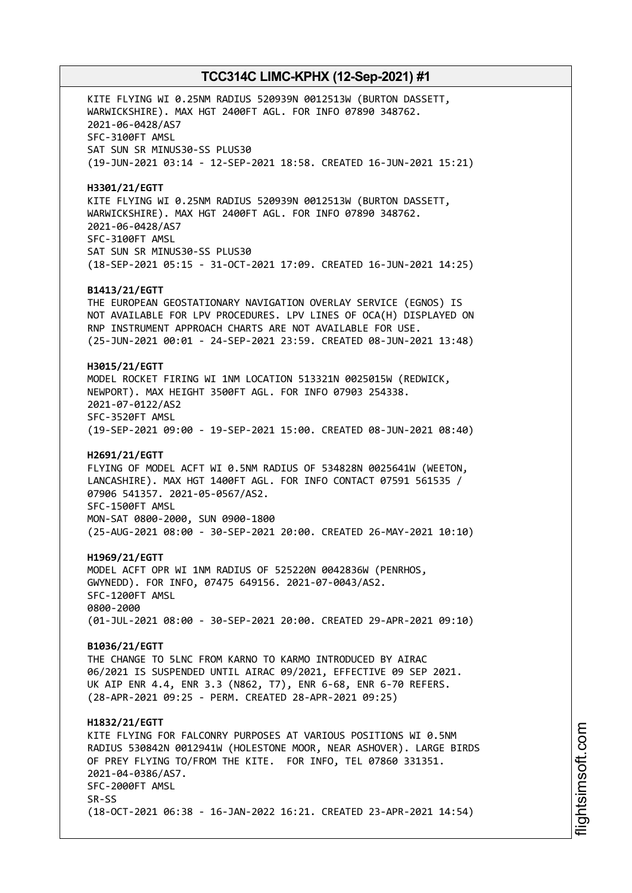KITE FLYING WI 0.25NM RADIUS 520939N 0012513W (BURTON DASSETT, WARWICKSHIRE). MAX HGT 2400FT AGL. FOR INFO 07890 348762. 2021-06-0428/AS7 SFC-3100FT AMSL SAT SUN SR MINUS30-SS PLUS30 (19-JUN-2021 03:14 - 12-SEP-2021 18:58. CREATED 16-JUN-2021 15:21) **H3301/21/EGTT** KITE FLYING WI 0.25NM RADIUS 520939N 0012513W (BURTON DASSETT, WARWICKSHIRE). MAX HGT 2400FT AGL. FOR INFO 07890 348762. 2021-06-0428/AS7 SFC-3100FT AMSL SAT SUN SR MINUS30-SS PLUS30 (18-SEP-2021 05:15 - 31-OCT-2021 17:09. CREATED 16-JUN-2021 14:25) **B1413/21/EGTT** THE EUROPEAN GEOSTATIONARY NAVIGATION OVERLAY SERVICE (EGNOS) IS NOT AVAILABLE FOR LPV PROCEDURES. LPV LINES OF OCA(H) DISPLAYED ON RNP INSTRUMENT APPROACH CHARTS ARE NOT AVAILABLE FOR USE. (25-JUN-2021 00:01 - 24-SEP-2021 23:59. CREATED 08-JUN-2021 13:48) **H3015/21/EGTT** MODEL ROCKET FIRING WI 1NM LOCATION 513321N 0025015W (REDWICK, NEWPORT). MAX HEIGHT 3500FT AGL. FOR INFO 07903 254338. 2021-07-0122/AS2 SFC-3520FT AMSL (19-SEP-2021 09:00 - 19-SEP-2021 15:00. CREATED 08-JUN-2021 08:40) **H2691/21/EGTT** FLYING OF MODEL ACFT WI 0.5NM RADIUS OF 534828N 0025641W (WEETON, LANCASHIRE). MAX HGT 1400FT AGL. FOR INFO CONTACT 07591 561535 / 07906 541357. 2021-05-0567/AS2. SFC-1500FT AMSL MON-SAT 0800-2000, SUN 0900-1800 (25-AUG-2021 08:00 - 30-SEP-2021 20:00. CREATED 26-MAY-2021 10:10) **H1969/21/EGTT** MODEL ACFT OPR WI 1NM RADIUS OF 525220N 0042836W (PENRHOS, GWYNEDD). FOR INFO, 07475 649156. 2021-07-0043/AS2. SFC-1200FT AMSL 0800-2000 (01-JUL-2021 08:00 - 30-SEP-2021 20:00. CREATED 29-APR-2021 09:10) **B1036/21/EGTT** THE CHANGE TO 5LNC FROM KARNO TO KARMO INTRODUCED BY AIRAC 06/2021 IS SUSPENDED UNTIL AIRAC 09/2021, EFFECTIVE 09 SEP 2021. UK AIP ENR 4.4, ENR 3.3 (N862, T7), ENR 6-68, ENR 6-70 REFERS. (28-APR-2021 09:25 - PERM. CREATED 28-APR-2021 09:25) **H1832/21/EGTT** KITE FLYING FOR FALCONRY PURPOSES AT VARIOUS POSITIONS WI 0.5NM RADIUS 530842N 0012941W (HOLESTONE MOOR, NEAR ASHOVER). LARGE BIRDS OF PREY FLYING TO/FROM THE KITE. FOR INFO, TEL 07860 331351. 2021-04-0386/AS7. SFC-2000FT AMSL SR-SS (18-OCT-2021 06:38 - 16-JAN-2022 16:21. CREATED 23-APR-2021 14:54)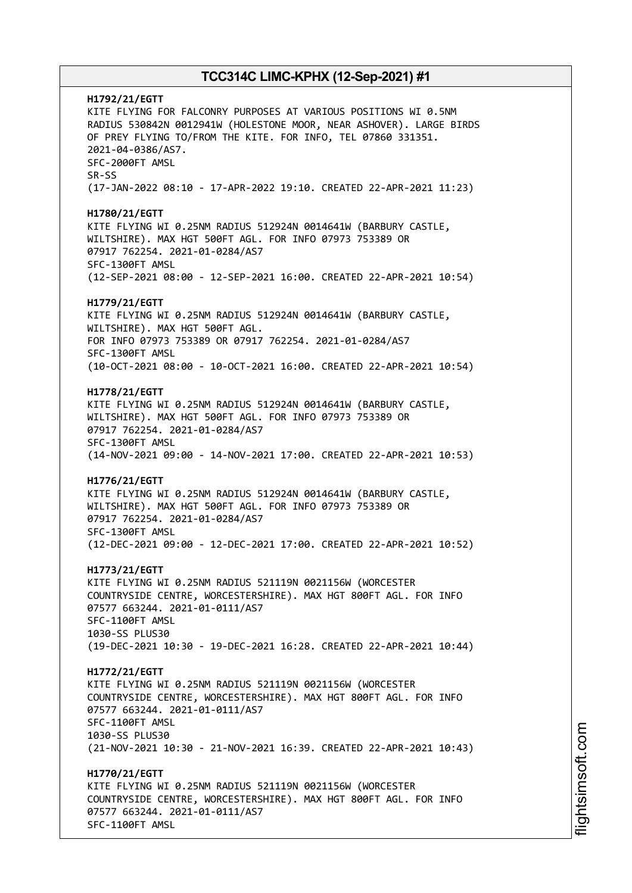**H1792/21/EGTT** KITE FLYING FOR FALCONRY PURPOSES AT VARIOUS POSITIONS WI 0.5NM RADIUS 530842N 0012941W (HOLESTONE MOOR, NEAR ASHOVER). LARGE BIRDS OF PREY FLYING TO/FROM THE KITE. FOR INFO, TEL 07860 331351. 2021-04-0386/AS7. SFC-2000FT AMSL SR-SS (17-JAN-2022 08:10 - 17-APR-2022 19:10. CREATED 22-APR-2021 11:23) **H1780/21/EGTT** KITE FLYING WI 0.25NM RADIUS 512924N 0014641W (BARBURY CASTLE, WILTSHIRE). MAX HGT 500FT AGL. FOR INFO 07973 753389 OR 07917 762254. 2021-01-0284/AS7 SFC-1300FT AMSL (12-SEP-2021 08:00 - 12-SEP-2021 16:00. CREATED 22-APR-2021 10:54) **H1779/21/EGTT** KITE FLYING WI 0.25NM RADIUS 512924N 0014641W (BARBURY CASTLE, WILTSHIRE). MAX HGT 500FT AGL. FOR INFO 07973 753389 OR 07917 762254. 2021-01-0284/AS7 SFC-1300FT AMSL (10-OCT-2021 08:00 - 10-OCT-2021 16:00. CREATED 22-APR-2021 10:54) **H1778/21/EGTT** KITE FLYING WI 0.25NM RADIUS 512924N 0014641W (BARBURY CASTLE, WILTSHIRE). MAX HGT 500FT AGL. FOR INFO 07973 753389 OR 07917 762254. 2021-01-0284/AS7 SFC-1300FT AMSL (14-NOV-2021 09:00 - 14-NOV-2021 17:00. CREATED 22-APR-2021 10:53) **H1776/21/EGTT** KITE FLYING WI 0.25NM RADIUS 512924N 0014641W (BARBURY CASTLE, WILTSHIRE). MAX HGT 500FT AGL. FOR INFO 07973 753389 OR 07917 762254. 2021-01-0284/AS7 SFC-1300FT AMSL (12-DEC-2021 09:00 - 12-DEC-2021 17:00. CREATED 22-APR-2021 10:52) **H1773/21/EGTT** KITE FLYING WI 0.25NM RADIUS 521119N 0021156W (WORCESTER COUNTRYSIDE CENTRE, WORCESTERSHIRE). MAX HGT 800FT AGL. FOR INFO 07577 663244. 2021-01-0111/AS7 SFC-1100FT AMSL 1030-SS PLUS30 (19-DEC-2021 10:30 - 19-DEC-2021 16:28. CREATED 22-APR-2021 10:44) **H1772/21/EGTT** KITE FLYING WI 0.25NM RADIUS 521119N 0021156W (WORCESTER COUNTRYSIDE CENTRE, WORCESTERSHIRE). MAX HGT 800FT AGL. FOR INFO 07577 663244. 2021-01-0111/AS7 SFC-1100FT AMSL 1030-SS PLUS30 (21-NOV-2021 10:30 - 21-NOV-2021 16:39. CREATED 22-APR-2021 10:43) **H1770/21/EGTT** KITE FLYING WI 0.25NM RADIUS 521119N 0021156W (WORCESTER COUNTRYSIDE CENTRE, WORCESTERSHIRE). MAX HGT 800FT AGL. FOR INFO 07577 663244. 2021-01-0111/AS7 SFC-1100FT AMSL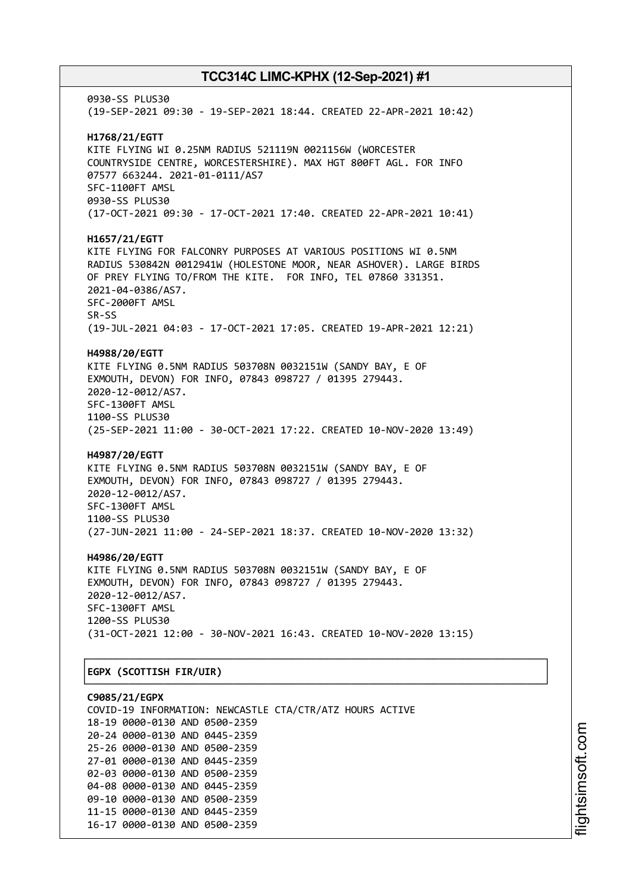0930-SS PLUS30 (19-SEP-2021 09:30 - 19-SEP-2021 18:44. CREATED 22-APR-2021 10:42) **H1768/21/EGTT** KITE FLYING WI 0.25NM RADIUS 521119N 0021156W (WORCESTER COUNTRYSIDE CENTRE, WORCESTERSHIRE). MAX HGT 800FT AGL. FOR INFO 07577 663244. 2021-01-0111/AS7 SFC-1100FT AMSL 0930-SS PLUS30 (17-OCT-2021 09:30 - 17-OCT-2021 17:40. CREATED 22-APR-2021 10:41) **H1657/21/EGTT** KITE FLYING FOR FALCONRY PURPOSES AT VARIOUS POSITIONS WI 0.5NM RADIUS 530842N 0012941W (HOLESTONE MOOR, NEAR ASHOVER). LARGE BIRDS OF PREY FLYING TO/FROM THE KITE. FOR INFO, TEL 07860 331351. 2021-04-0386/AS7. SFC-2000FT AMSL SR-SS (19-JUL-2021 04:03 - 17-OCT-2021 17:05. CREATED 19-APR-2021 12:21) **H4988/20/EGTT** KITE FLYING 0.5NM RADIUS 503708N 0032151W (SANDY BAY, E OF EXMOUTH, DEVON) FOR INFO, 07843 098727 / 01395 279443. 2020-12-0012/AS7. SFC-1300FT AMSL 1100-SS PLUS30 (25-SEP-2021 11:00 - 30-OCT-2021 17:22. CREATED 10-NOV-2020 13:49) **H4987/20/EGTT** KITE FLYING 0.5NM RADIUS 503708N 0032151W (SANDY BAY, E OF EXMOUTH, DEVON) FOR INFO, 07843 098727 / 01395 279443. 2020-12-0012/AS7. SFC-1300FT AMSL 1100-SS PLUS30 (27-JUN-2021 11:00 - 24-SEP-2021 18:37. CREATED 10-NOV-2020 13:32) **H4986/20/EGTT** KITE FLYING 0.5NM RADIUS 503708N 0032151W (SANDY BAY, E OF EXMOUTH, DEVON) FOR INFO, 07843 098727 / 01395 279443. 2020-12-0012/AS7. SFC-1300FT AMSL 1200-SS PLUS30 (31-OCT-2021 12:00 - 30-NOV-2021 16:43. CREATED 10-NOV-2020 13:15) ┌──────────────────────────────────────────────────────────────────────────────┐ │**EGPX (SCOTTISH FIR/UIR)** │

└──────────────────────────────────────────────────────────────────────────────┘ **C9085/21/EGPX** COVID-19 INFORMATION: NEWCASTLE CTA/CTR/ATZ HOURS ACTIVE 18-19 0000-0130 AND 0500-2359 20-24 0000-0130 AND 0445-2359 25-26 0000-0130 AND 0500-2359 27-01 0000-0130 AND 0445-2359 02-03 0000-0130 AND 0500-2359 04-08 0000-0130 AND 0445-2359 09-10 0000-0130 AND 0500-2359 11-15 0000-0130 AND 0445-2359 16-17 0000-0130 AND 0500-2359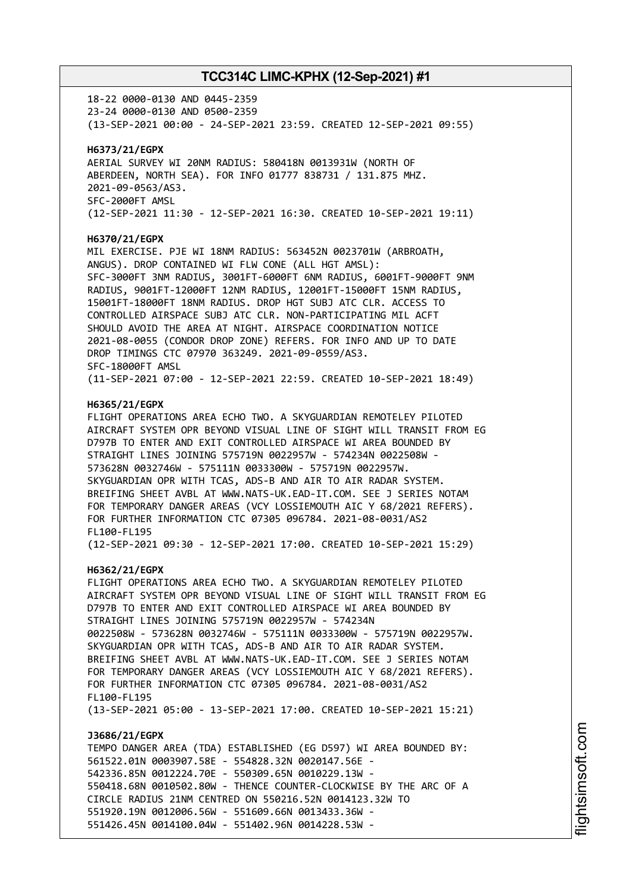18-22 0000-0130 AND 0445-2359 23-24 0000-0130 AND 0500-2359 (13-SEP-2021 00:00 - 24-SEP-2021 23:59. CREATED 12-SEP-2021 09:55) **H6373/21/EGPX** AERIAL SURVEY WI 20NM RADIUS: 580418N 0013931W (NORTH OF ABERDEEN, NORTH SEA). FOR INFO 01777 838731 / 131.875 MHZ. 2021-09-0563/AS3. SFC-2000FT AMSL (12-SEP-2021 11:30 - 12-SEP-2021 16:30. CREATED 10-SEP-2021 19:11) **H6370/21/EGPX** MIL EXERCISE. PJE WI 18NM RADIUS: 563452N 0023701W (ARBROATH, ANGUS). DROP CONTAINED WI FLW CONE (ALL HGT AMSL): SFC-3000FT 3NM RADIUS, 3001FT-6000FT 6NM RADIUS, 6001FT-9000FT 9NM RADIUS, 9001FT-12000FT 12NM RADIUS, 12001FT-15000FT 15NM RADIUS, 15001FT-18000FT 18NM RADIUS. DROP HGT SUBJ ATC CLR. ACCESS TO CONTROLLED AIRSPACE SUBJ ATC CLR. NON-PARTICIPATING MIL ACFT SHOULD AVOID THE AREA AT NIGHT. AIRSPACE COORDINATION NOTICE 2021-08-0055 (CONDOR DROP ZONE) REFERS. FOR INFO AND UP TO DATE DROP TIMINGS CTC 07970 363249. 2021-09-0559/AS3. SFC-18000FT AMSL (11-SEP-2021 07:00 - 12-SEP-2021 22:59. CREATED 10-SEP-2021 18:49) **H6365/21/EGPX** FLIGHT OPERATIONS AREA ECHO TWO. A SKYGUARDIAN REMOTELEY PILOTED AIRCRAFT SYSTEM OPR BEYOND VISUAL LINE OF SIGHT WILL TRANSIT FROM EG D797B TO ENTER AND EXIT CONTROLLED AIRSPACE WI AREA BOUNDED BY STRAIGHT LINES JOINING 575719N 0022957W - 574234N 0022508W - 573628N 0032746W - 575111N 0033300W - 575719N 0022957W. SKYGUARDIAN OPR WITH TCAS, ADS-B AND AIR TO AIR RADAR SYSTEM. BREIFING SHEET AVBL AT WWW.NATS-UK.EAD-IT.COM. SEE J SERIES NOTAM FOR TEMPORARY DANGER AREAS (VCY LOSSIEMOUTH AIC Y 68/2021 REFERS). FOR FURTHER INFORMATION CTC 07305 096784. 2021-08-0031/AS2 FL100-FL195 (12-SEP-2021 09:30 - 12-SEP-2021 17:00. CREATED 10-SEP-2021 15:29) **H6362/21/EGPX** FLIGHT OPERATIONS AREA ECHO TWO. A SKYGUARDIAN REMOTELEY PILOTED AIRCRAFT SYSTEM OPR BEYOND VISUAL LINE OF SIGHT WILL TRANSIT FROM EG D797B TO ENTER AND EXIT CONTROLLED AIRSPACE WI AREA BOUNDED BY STRAIGHT LINES JOINING 575719N 0022957W - 574234N 0022508W - 573628N 0032746W - 575111N 0033300W - 575719N 0022957W. SKYGUARDIAN OPR WITH TCAS, ADS-B AND AIR TO AIR RADAR SYSTEM. BREIFING SHEET AVBL AT WWW.NATS-UK.EAD-IT.COM. SEE J SERIES NOTAM FOR TEMPORARY DANGER AREAS (VCY LOSSIEMOUTH AIC Y 68/2021 REFERS). FOR FURTHER INFORMATION CTC 07305 096784. 2021-08-0031/AS2 FL100-FL195 (13-SEP-2021 05:00 - 13-SEP-2021 17:00. CREATED 10-SEP-2021 15:21) **J3686/21/EGPX** TEMPO DANGER AREA (TDA) ESTABLISHED (EG D597) WI AREA BOUNDED BY: 561522.01N 0003907.58E - 554828.32N 0020147.56E - 542336.85N 0012224.70E - 550309.65N 0010229.13W - 550418.68N 0010502.80W - THENCE COUNTER-CLOCKWISE BY THE ARC OF A

CIRCLE RADIUS 21NM CENTRED ON 550216.52N 0014123.32W TO 551920.19N 0012006.56W - 551609.66N 0013433.36W -

551426.45N 0014100.04W - 551402.96N 0014228.53W -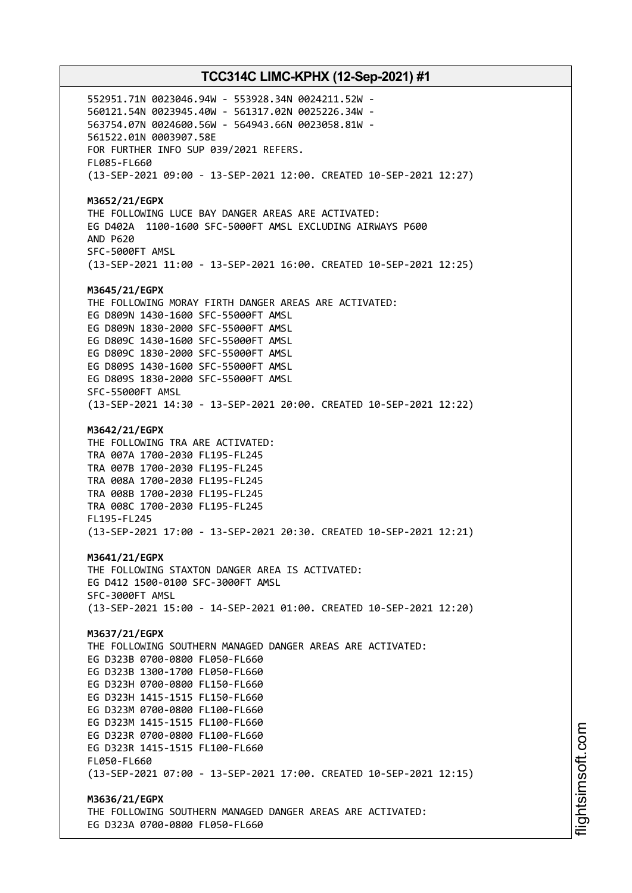552951.71N 0023046.94W - 553928.34N 0024211.52W - 560121.54N 0023945.40W - 561317.02N 0025226.34W - 563754.07N 0024600.56W - 564943.66N 0023058.81W - 561522.01N 0003907.58E FOR FURTHER INFO SUP 039/2021 REFERS. FL085-FL660 (13-SEP-2021 09:00 - 13-SEP-2021 12:00. CREATED 10-SEP-2021 12:27) **M3652/21/EGPX** THE FOLLOWING LUCE BAY DANGER AREAS ARE ACTIVATED: EG D402A 1100-1600 SFC-5000FT AMSL EXCLUDING AIRWAYS P600 AND P620 SFC-5000FT AMSL (13-SEP-2021 11:00 - 13-SEP-2021 16:00. CREATED 10-SEP-2021 12:25) **M3645/21/EGPX** THE FOLLOWING MORAY FIRTH DANGER AREAS ARE ACTIVATED: EG D809N 1430-1600 SFC-55000FT AMSL EG D809N 1830-2000 SFC-55000FT AMSL EG D809C 1430-1600 SFC-55000FT AMSL EG D809C 1830-2000 SFC-55000FT AMSL EG D809S 1430-1600 SFC-55000FT AMSL EG D809S 1830-2000 SFC-55000FT AMSL SFC-55000FT AMSL (13-SEP-2021 14:30 - 13-SEP-2021 20:00. CREATED 10-SEP-2021 12:22) **M3642/21/EGPX** THE FOLLOWING TRA ARE ACTIVATED: TRA 007A 1700-2030 FL195-FL245 TRA 007B 1700-2030 FL195-FL245 TRA 008A 1700-2030 FL195-FL245 TRA 008B 1700-2030 FL195-FL245 TRA 008C 1700-2030 FL195-FL245 FL195-FL245 (13-SEP-2021 17:00 - 13-SEP-2021 20:30. CREATED 10-SEP-2021 12:21) **M3641/21/EGPX** THE FOLLOWING STAXTON DANGER AREA IS ACTIVATED: EG D412 1500-0100 SFC-3000FT AMSL SFC-3000FT AMSL (13-SEP-2021 15:00 - 14-SEP-2021 01:00. CREATED 10-SEP-2021 12:20) **M3637/21/EGPX** THE FOLLOWING SOUTHERN MANAGED DANGER AREAS ARE ACTIVATED: EG D323B 0700-0800 FL050-FL660 EG D323B 1300-1700 FL050-FL660 EG D323H 0700-0800 FL150-FL660 EG D323H 1415-1515 FL150-FL660 EG D323M 0700-0800 FL100-FL660 EG D323M 1415-1515 FL100-FL660 EG D323R 0700-0800 FL100-FL660 EG D323R 1415-1515 FL100-FL660 FL050-FL660 (13-SEP-2021 07:00 - 13-SEP-2021 17:00. CREATED 10-SEP-2021 12:15) **M3636/21/EGPX** THE FOLLOWING SOUTHERN MANAGED DANGER AREAS ARE ACTIVATED:

EG D323A 0700-0800 FL050-FL660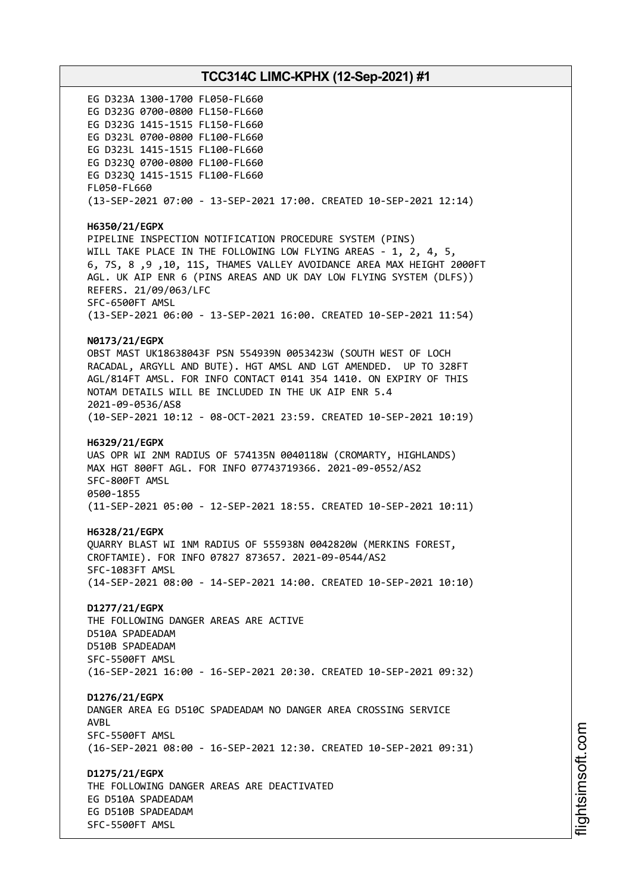EG D323A 1300-1700 FL050-FL660 EG D323G 0700-0800 FL150-FL660 EG D323G 1415-1515 FL150-FL660 EG D323L 0700-0800 FL100-FL660 EG D323L 1415-1515 FL100-FL660 EG D323Q 0700-0800 FL100-FL660 EG D323Q 1415-1515 FL100-FL660 FL050-FL660 (13-SEP-2021 07:00 - 13-SEP-2021 17:00. CREATED 10-SEP-2021 12:14) **H6350/21/EGPX** PIPELINE INSPECTION NOTIFICATION PROCEDURE SYSTEM (PINS) WILL TAKE PLACE IN THE FOLLOWING LOW FLYING AREAS - 1, 2, 4, 5, 6, 7S, 8 ,9 ,10, 11S, THAMES VALLEY AVOIDANCE AREA MAX HEIGHT 2000FT AGL. UK AIP ENR 6 (PINS AREAS AND UK DAY LOW FLYING SYSTEM (DLFS)) REFERS. 21/09/063/LFC SFC-6500FT AMSL (13-SEP-2021 06:00 - 13-SEP-2021 16:00. CREATED 10-SEP-2021 11:54) **N0173/21/EGPX** OBST MAST UK18638043F PSN 554939N 0053423W (SOUTH WEST OF LOCH RACADAL, ARGYLL AND BUTE). HGT AMSL AND LGT AMENDED. UP TO 328FT AGL/814FT AMSL. FOR INFO CONTACT 0141 354 1410. ON EXPIRY OF THIS NOTAM DETAILS WILL BE INCLUDED IN THE UK AIP ENR 5.4 2021-09-0536/AS8 (10-SEP-2021 10:12 - 08-OCT-2021 23:59. CREATED 10-SEP-2021 10:19) **H6329/21/EGPX** UAS OPR WI 2NM RADIUS OF 574135N 0040118W (CROMARTY, HIGHLANDS) MAX HGT 800FT AGL. FOR INFO 07743719366. 2021-09-0552/AS2 SFC-800FT AMSL 0500-1855 (11-SEP-2021 05:00 - 12-SEP-2021 18:55. CREATED 10-SEP-2021 10:11) **H6328/21/EGPX** QUARRY BLAST WI 1NM RADIUS OF 555938N 0042820W (MERKINS FOREST, CROFTAMIE). FOR INFO 07827 873657. 2021-09-0544/AS2 SFC-1083FT AMSL (14-SEP-2021 08:00 - 14-SEP-2021 14:00. CREATED 10-SEP-2021 10:10) **D1277/21/EGPX** THE FOLLOWING DANGER AREAS ARE ACTIVE D510A SPADEADAM D510B SPADEADAM SFC-5500FT AMSL (16-SEP-2021 16:00 - 16-SEP-2021 20:30. CREATED 10-SEP-2021 09:32) **D1276/21/EGPX** DANGER AREA EG D510C SPADEADAM NO DANGER AREA CROSSING SERVICE AVBL SFC-5500FT AMSL (16-SEP-2021 08:00 - 16-SEP-2021 12:30. CREATED 10-SEP-2021 09:31) **D1275/21/EGPX** THE FOLLOWING DANGER AREAS ARE DEACTIVATED EG D510A SPADEADAM EG D510B SPADEADAM SFC-5500FT AMSL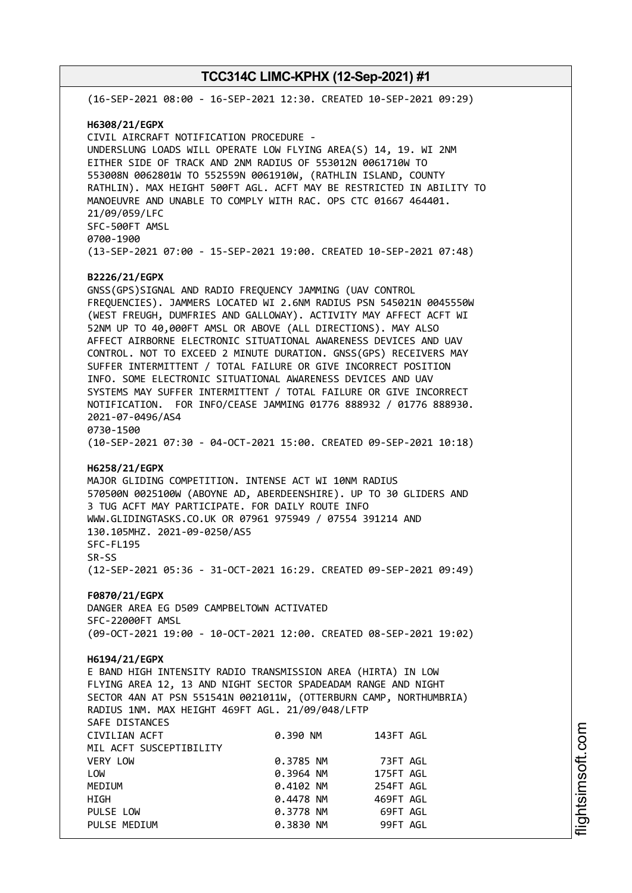(16-SEP-2021 08:00 - 16-SEP-2021 12:30. CREATED 10-SEP-2021 09:29) **H6308/21/EGPX** CIVIL AIRCRAFT NOTIFICATION PROCEDURE - UNDERSLUNG LOADS WILL OPERATE LOW FLYING AREA(S) 14, 19. WI 2NM EITHER SIDE OF TRACK AND 2NM RADIUS OF 553012N 0061710W TO 553008N 0062801W TO 552559N 0061910W, (RATHLIN ISLAND, COUNTY RATHLIN). MAX HEIGHT 500FT AGL. ACFT MAY BE RESTRICTED IN ABILITY TO MANOEUVRE AND UNABLE TO COMPLY WITH RAC. OPS CTC 01667 464401. 21/09/059/LFC SFC-500FT AMSL 0700-1900 (13-SEP-2021 07:00 - 15-SEP-2021 19:00. CREATED 10-SEP-2021 07:48) **B2226/21/EGPX** GNSS(GPS)SIGNAL AND RADIO FREQUENCY JAMMING (UAV CONTROL FREQUENCIES). JAMMERS LOCATED WI 2.6NM RADIUS PSN 545021N 0045550W (WEST FREUGH, DUMFRIES AND GALLOWAY). ACTIVITY MAY AFFECT ACFT WI 52NM UP TO 40,000FT AMSL OR ABOVE (ALL DIRECTIONS). MAY ALSO AFFECT AIRBORNE ELECTRONIC SITUATIONAL AWARENESS DEVICES AND UAV CONTROL. NOT TO EXCEED 2 MINUTE DURATION. GNSS(GPS) RECEIVERS MAY SUFFER INTERMITTENT / TOTAL FAILURE OR GIVE INCORRECT POSITION INFO. SOME ELECTRONIC SITUATIONAL AWARENESS DEVICES AND UAV SYSTEMS MAY SUFFER INTERMITTENT / TOTAL FAILURE OR GIVE INCORRECT NOTIFICATION. FOR INFO/CEASE JAMMING 01776 888932 / 01776 888930. 2021-07-0496/AS4 0730-1500 (10-SEP-2021 07:30 - 04-OCT-2021 15:00. CREATED 09-SEP-2021 10:18) **H6258/21/EGPX** MAJOR GLIDING COMPETITION. INTENSE ACT WI 10NM RADIUS 570500N 0025100W (ABOYNE AD, ABERDEENSHIRE). UP TO 30 GLIDERS AND 3 TUG ACFT MAY PARTICIPATE. FOR DAILY ROUTE INFO WWW.GLIDINGTASKS.CO.UK OR 07961 975949 / 07554 391214 AND 130.105MHZ. 2021-09-0250/AS5 SFC-FL195 SR-SS (12-SEP-2021 05:36 - 31-OCT-2021 16:29. CREATED 09-SEP-2021 09:49) **F0870/21/EGPX** DANGER AREA EG D509 CAMPBELTOWN ACTIVATED SFC-22000FT AMSL (09-OCT-2021 19:00 - 10-OCT-2021 12:00. CREATED 08-SEP-2021 19:02) **H6194/21/EGPX** E BAND HIGH INTENSITY RADIO TRANSMISSION AREA (HIRTA) IN LOW FLYING AREA 12, 13 AND NIGHT SECTOR SPADEADAM RANGE AND NIGHT SECTOR 4AN AT PSN 551541N 0021011W, (OTTERBURN CAMP, NORTHUMBRIA) RADIUS 1NM. MAX HEIGHT 469FT AGL. 21/09/048/LFTP SAFE DISTANCES CIVILIAN ACFT 0.390 NM 143FT AGL MIL ACFT SUSCEPTIBILITY VERY LOW 0.3785 NM 73FT AGL LOW 0.3964 NM 175FT AGL MEDIUM 0.4102 NM 254FT AGL HIGH 0.4478 NM 469FT AGL PULSE LOW **0.3778 NM** 69FT AGL PULSE MEDIUM 0.3830 NM 99FT AGL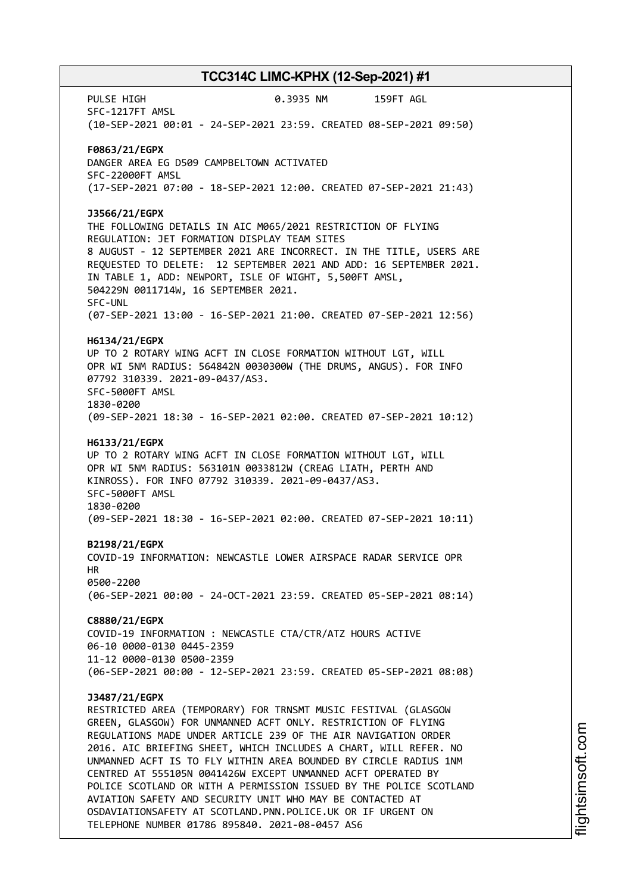PULSE HIGH 0.3935 NM 159FT AGL SFC-1217FT AMSL (10-SEP-2021 00:01 - 24-SEP-2021 23:59. CREATED 08-SEP-2021 09:50) **F0863/21/EGPX** DANGER AREA EG D509 CAMPBELTOWN ACTIVATED SFC-22000FT AMSL (17-SEP-2021 07:00 - 18-SEP-2021 12:00. CREATED 07-SEP-2021 21:43) **J3566/21/EGPX** THE FOLLOWING DETAILS IN AIC M065/2021 RESTRICTION OF FLYING REGULATION: JET FORMATION DISPLAY TEAM SITES 8 AUGUST - 12 SEPTEMBER 2021 ARE INCORRECT. IN THE TITLE, USERS ARE REQUESTED TO DELETE: 12 SEPTEMBER 2021 AND ADD: 16 SEPTEMBER 2021. IN TABLE 1, ADD: NEWPORT, ISLE OF WIGHT, 5,500FT AMSL, 504229N 0011714W, 16 SEPTEMBER 2021. SFC-UNL (07-SEP-2021 13:00 - 16-SEP-2021 21:00. CREATED 07-SEP-2021 12:56) **H6134/21/EGPX** UP TO 2 ROTARY WING ACFT IN CLOSE FORMATION WITHOUT LGT, WILL OPR WI 5NM RADIUS: 564842N 0030300W (THE DRUMS, ANGUS). FOR INFO 07792 310339. 2021-09-0437/AS3. SFC-5000FT AMSL 1830-0200 (09-SEP-2021 18:30 - 16-SEP-2021 02:00. CREATED 07-SEP-2021 10:12) **H6133/21/EGPX** UP TO 2 ROTARY WING ACFT IN CLOSE FORMATION WITHOUT LGT, WILL OPR WI 5NM RADIUS: 563101N 0033812W (CREAG LIATH, PERTH AND KINROSS). FOR INFO 07792 310339. 2021-09-0437/AS3. SFC-5000FT AMSL 1830-0200 (09-SEP-2021 18:30 - 16-SEP-2021 02:00. CREATED 07-SEP-2021 10:11) **B2198/21/EGPX** COVID-19 INFORMATION: NEWCASTLE LOWER AIRSPACE RADAR SERVICE OPR HR 0500-2200 (06-SEP-2021 00:00 - 24-OCT-2021 23:59. CREATED 05-SEP-2021 08:14) **C8880/21/EGPX** COVID-19 INFORMATION : NEWCASTLE CTA/CTR/ATZ HOURS ACTIVE 06-10 0000-0130 0445-2359 11-12 0000-0130 0500-2359 (06-SEP-2021 00:00 - 12-SEP-2021 23:59. CREATED 05-SEP-2021 08:08) **J3487/21/EGPX** RESTRICTED AREA (TEMPORARY) FOR TRNSMT MUSIC FESTIVAL (GLASGOW GREEN, GLASGOW) FOR UNMANNED ACFT ONLY. RESTRICTION OF FLYING REGULATIONS MADE UNDER ARTICLE 239 OF THE AIR NAVIGATION ORDER 2016. AIC BRIEFING SHEET, WHICH INCLUDES A CHART, WILL REFER. NO UNMANNED ACFT IS TO FLY WITHIN AREA BOUNDED BY CIRCLE RADIUS 1NM CENTRED AT 555105N 0041426W EXCEPT UNMANNED ACFT OPERATED BY POLICE SCOTLAND OR WITH A PERMISSION ISSUED BY THE POLICE SCOTLAND AVIATION SAFETY AND SECURITY UNIT WHO MAY BE CONTACTED AT OSDAVIATIONSAFETY AT SCOTLAND.PNN.POLICE.UK OR IF URGENT ON TELEPHONE NUMBER 01786 895840. 2021-08-0457 AS6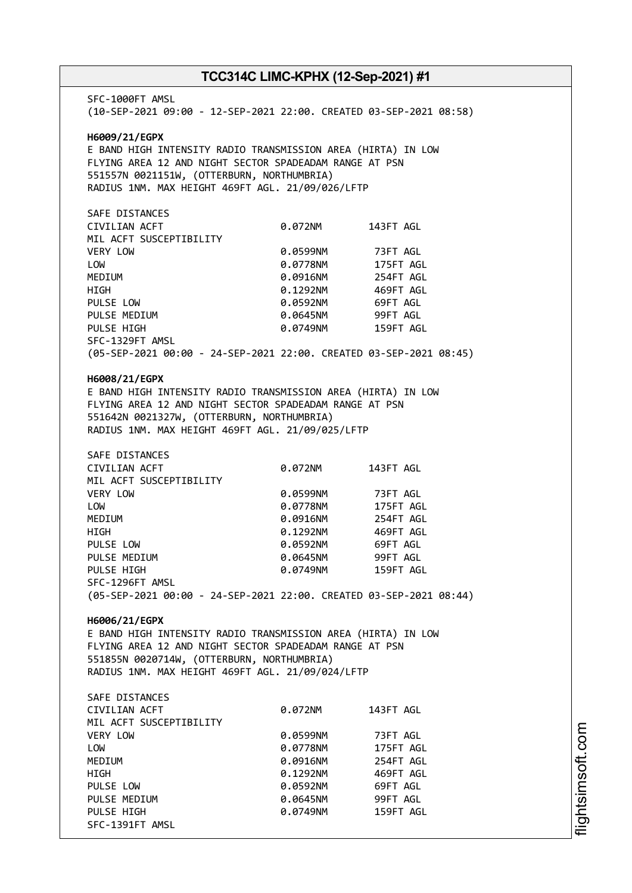SFC-1000FT AMSL (10-SEP-2021 09:00 - 12-SEP-2021 22:00. CREATED 03-SEP-2021 08:58) **H6009/21/EGPX** E BAND HIGH INTENSITY RADIO TRANSMISSION AREA (HIRTA) IN LOW FLYING AREA 12 AND NIGHT SECTOR SPADEADAM RANGE AT PSN 551557N 0021151W, (OTTERBURN, NORTHUMBRIA) RADIUS 1NM. MAX HEIGHT 469FT AGL. 21/09/026/LFTP SAFE DISTANCES CIVILIAN ACFT 0.072NM 143FT AGL MIL ACFT SUSCEPTIBILITY VERY LOW 0.0599NM 73FT AGL LOW 0.0778NM 175FT AGL MEDIUM 0.0916NM 254FT AGL HIGH 0.1292NM 469FT AGL PULSE LOW 0.0592NM 69FT AGL PULSE MEDIUM  $0.0645$ NM 99FT AGL PULSE HIGH 0.0749NM 159FT AGL SFC-1329FT AMSL (05-SEP-2021 00:00 - 24-SEP-2021 22:00. CREATED 03-SEP-2021 08:45) **H6008/21/EGPX** E BAND HIGH INTENSITY RADIO TRANSMISSION AREA (HIRTA) IN LOW FLYING AREA 12 AND NIGHT SECTOR SPADEADAM RANGE AT PSN 551642N 0021327W, (OTTERBURN, NORTHUMBRIA) RADIUS 1NM. MAX HEIGHT 469FT AGL. 21/09/025/LFTP SAFE DISTANCES CIVILIAN ACFT 0.072NM 143FT AGL MIL ACFT SUSCEPTIBILITY VERY LOW 0.0599NM 73FT AGL LOW 0.0778NM 175FT AGL MEDIUM 0.0916NM 254FT AGL HIGH 0.1292NM 469FT AGL PULSE LOW 0.0592NM 69FT AGL PULSE MEDIUM  $0.0645$ NM 99FT AGL PULSE HIGH 0.0749NM 159FT AGL SFC-1296FT AMSL (05-SEP-2021 00:00 - 24-SEP-2021 22:00. CREATED 03-SEP-2021 08:44) **H6006/21/EGPX** E BAND HIGH INTENSITY RADIO TRANSMISSION AREA (HIRTA) IN LOW FLYING AREA 12 AND NIGHT SECTOR SPADEADAM RANGE AT PSN 551855N 0020714W, (OTTERBURN, NORTHUMBRIA) RADIUS 1NM. MAX HEIGHT 469FT AGL. 21/09/024/LFTP SAFE DISTANCES CIVILIAN ACFT 0.072NM 143FT AGL MIL ACFT SUSCEPTIBILITY VERY LOW 0.0599NM 73FT AGL LOW 0.0778NM 175FT AGL MEDIUM 0.0916NM 254FT AGL HIGH 0.1292NM 469FT AGL PULSE LOW 0.0592NM 69FT AGL PULSE MEDIUM  $0.0645$ NM 99FT AGL PULSE HIGH **DELACT CONTROLLY AGENCY OR AGENCY OF AGENCY OF AGENCY CONTROLLY AGENCY OF AGENCY OF AGENCY** SFC-1391FT AMSL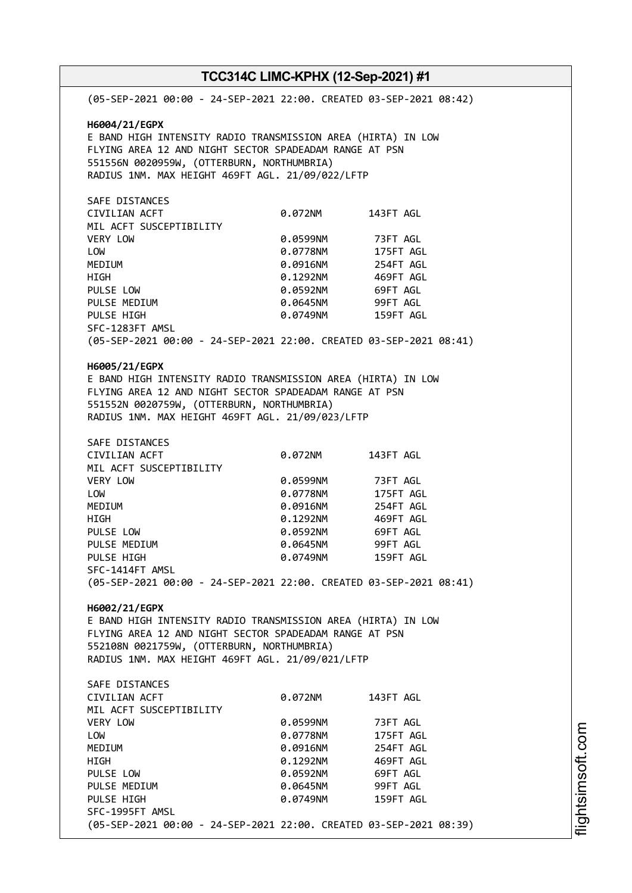| TCC314C LIMC-KPHX (12-Sep-2021) #1                                                    |          |                       |  |  |
|---------------------------------------------------------------------------------------|----------|-----------------------|--|--|
| (05-SEP-2021 00:00 - 24-SEP-2021 22:00. CREATED 03-SEP-2021 08:42)                    |          |                       |  |  |
| H6004/21/EGPX                                                                         |          |                       |  |  |
| E BAND HIGH INTENSITY RADIO TRANSMISSION AREA (HIRTA) IN LOW                          |          |                       |  |  |
| FLYING AREA 12 AND NIGHT SECTOR SPADEADAM RANGE AT PSN                                |          |                       |  |  |
| 551556N 0020959W, (OTTERBURN, NORTHUMBRIA)                                            |          |                       |  |  |
| RADIUS 1NM. MAX HEIGHT 469FT AGL. 21/09/022/LFTP                                      |          |                       |  |  |
|                                                                                       |          |                       |  |  |
| SAFE DISTANCES                                                                        |          |                       |  |  |
| CIVILIAN ACFT                                                                         | 0.072NM  | 143FT AGL             |  |  |
| MIL ACFT SUSCEPTIBILITY                                                               |          |                       |  |  |
| VERY LOW                                                                              | 0.0599NM | 73FT AGL              |  |  |
| LOW                                                                                   | 0.0778NM | 175FT AGL             |  |  |
| <b>MEDIUM</b>                                                                         | 0.0916NM | 254FT AGL             |  |  |
| HIGH                                                                                  | 0.1292NM | 469FT AGL             |  |  |
| PULSE LOW                                                                             | 0.0592NM | 69FT AGL              |  |  |
| PULSE MEDIUM                                                                          | 0.0645NM | 99FT AGL              |  |  |
| PULSE HIGH                                                                            | 0.0749NM | 159FT AGL             |  |  |
| SFC-1283FT AMSL                                                                       |          |                       |  |  |
| (05-SEP-2021 00:00 - 24-SEP-2021 22:00. CREATED 03-SEP-2021 08:41)                    |          |                       |  |  |
| H6005/21/EGPX                                                                         |          |                       |  |  |
| E BAND HIGH INTENSITY RADIO TRANSMISSION AREA (HIRTA) IN LOW                          |          |                       |  |  |
| FLYING AREA 12 AND NIGHT SECTOR SPADEADAM RANGE AT PSN                                |          |                       |  |  |
| 551552N 0020759W, (OTTERBURN, NORTHUMBRIA)                                            |          |                       |  |  |
| RADIUS 1NM. MAX HEIGHT 469FT AGL. 21/09/023/LFTP                                      |          |                       |  |  |
|                                                                                       |          |                       |  |  |
| SAFE DISTANCES                                                                        |          |                       |  |  |
| CIVILIAN ACFT                                                                         | 0.072NM  | 143FT AGL             |  |  |
| MIL ACFT SUSCEPTIBILITY                                                               |          |                       |  |  |
| VERY LOW                                                                              | 0.0599NM | 73FT AGL<br>175FT AGL |  |  |
| LOW                                                                                   | 0.0778NM |                       |  |  |
| MEDIUM                                                                                | 0.0916NM | 254FT AGL             |  |  |
| HIGH                                                                                  | 0.1292NM | 469FT AGL             |  |  |
| PULSE LOW                                                                             | 0.0592NM | 69FT AGL              |  |  |
| PULSE MEDIUM                                                                          |          | 0.0645NM 99FT AGL     |  |  |
| PULSE HIGH                                                                            | 0.0749NM | 159FT AGL             |  |  |
| SFC-1414FT AMSL<br>(05-SEP-2021 00:00 - 24-SEP-2021 22:00. CREATED 03-SEP-2021 08:41) |          |                       |  |  |
|                                                                                       |          |                       |  |  |
| H6002/21/EGPX                                                                         |          |                       |  |  |
| E BAND HIGH INTENSITY RADIO TRANSMISSION AREA (HIRTA) IN LOW                          |          |                       |  |  |
| FLYING AREA 12 AND NIGHT SECTOR SPADEADAM RANGE AT PSN                                |          |                       |  |  |
| 552108N 0021759W, (OTTERBURN, NORTHUMBRIA)                                            |          |                       |  |  |
| RADIUS 1NM. MAX HEIGHT 469FT AGL. 21/09/021/LFTP                                      |          |                       |  |  |
| SAFE DISTANCES                                                                        |          |                       |  |  |
| CIVILIAN ACFT                                                                         | 0.072NM  | 143FT AGL             |  |  |
| MIL ACFT SUSCEPTIBILITY                                                               |          |                       |  |  |
| VERY LOW                                                                              | 0.0599NM | 73FT AGL              |  |  |
| LOW                                                                                   | 0.0778NM | 175FT AGL             |  |  |
| <b>MEDIUM</b>                                                                         | 0.0916NM | 254FT AGL             |  |  |
| HIGH                                                                                  | 0.1292NM | 469FT AGL             |  |  |
| PULSE LOW                                                                             | 0.0592NM | 69FT AGL              |  |  |
| PULSE MEDIUM                                                                          | 0.0645NM | 99FT AGL              |  |  |
| PULSE HIGH                                                                            | 0.0749NM | 159FT AGL             |  |  |
| SFC-1995FT AMSL                                                                       |          |                       |  |  |
| (05-SEP-2021 00:00 - 24-SEP-2021 22:00. CREATED 03-SEP-2021 08:39)                    |          |                       |  |  |
|                                                                                       |          |                       |  |  |

i⊒<br>⊫

htsim soft.c o

m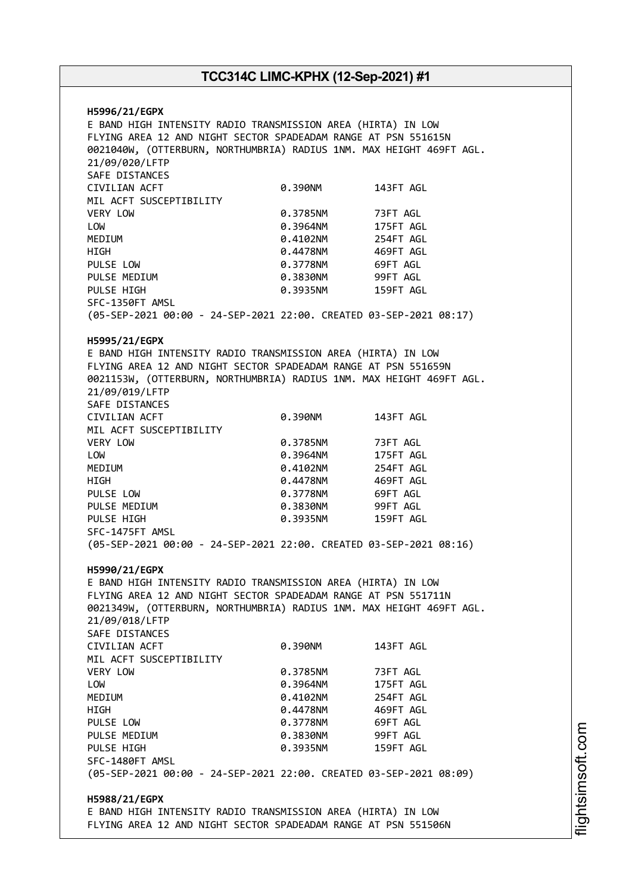**H5996/21/EGPX** E BAND HIGH INTENSITY RADIO TRANSMISSION AREA (HIRTA) IN LOW FLYING AREA 12 AND NIGHT SECTOR SPADEADAM RANGE AT PSN 551615N 0021040W, (OTTERBURN, NORTHUMBRIA) RADIUS 1NM. MAX HEIGHT 469FT AGL. 21/09/020/LFTP SAFE DISTANCES CIVILIAN ACFT 0.390NM 143FT AGL MIL ACFT SUSCEPTIBILITY VERY LOW 0.3785NM 73FT AGL LOW 0.3964NM 175FT AGL MEDIUM 0.4102NM HIGH 0.4478NM 469FT AGL PULSE LOW **0.3778NM** 69FT AGL PULSE MEDIUM  $0.3830N$  99FT AGL PULSE HIGH 0.3935NM 159FT AGL SFC-1350FT AMSL (05-SEP-2021 00:00 - 24-SEP-2021 22:00. CREATED 03-SEP-2021 08:17) **H5995/21/EGPX** E BAND HIGH INTENSITY RADIO TRANSMISSION AREA (HIRTA) IN LOW FLYING AREA 12 AND NIGHT SECTOR SPADEADAM RANGE AT PSN 551659N 0021153W, (OTTERBURN, NORTHUMBRIA) RADIUS 1NM. MAX HEIGHT 469FT AGL. 21/09/019/LFTP SAFE DISTANCES CIVILIAN ACFT 0.390NM 143FT AGL MIL ACFT SUSCEPTIBILITY VERY LOW 0.3785NM 73FT AGL LOW 0.3964NM 175FT AGL MEDIUM 0.4102NM 254FT AGL HIGH 0.4478NM 469FT AGL PULSE LOW 0.3778NM 69FT AGL PULSE MEDIUM 0.3830NM 99FT AGL 0.3935NM 159FT AGL SFC-1475FT AMSL (05-SEP-2021 00:00 - 24-SEP-2021 22:00. CREATED 03-SEP-2021 08:16) **H5990/21/EGPX** E BAND HIGH INTENSITY RADIO TRANSMISSION AREA (HIRTA) IN LOW FLYING AREA 12 AND NIGHT SECTOR SPADEADAM RANGE AT PSN 551711N 0021349W, (OTTERBURN, NORTHUMBRIA) RADIUS 1NM. MAX HEIGHT 469FT AGL. 21/09/018/LFTP SAFE DISTANCES CIVILIAN ACFT 0.390NM 143FT AGL MIL ACFT SUSCEPTIBILITY VERY LOW 0.3785NM 73FT AGL LOW 0.3964NM 175FT AGL MEDIUM 0.4102NM 254FT AGL HIGH 0.4478NM 469FT AGL PULSE LOW **0.3778NM** 69FT AGL PULSE MEDIUM  $0.3830N$ M 99FT AGL PULSE HIGH 0.3935NM 159FT AGL SFC-1480FT AMSL (05-SEP-2021 00:00 - 24-SEP-2021 22:00. CREATED 03-SEP-2021 08:09) **H5988/21/EGPX** E BAND HIGH INTENSITY RADIO TRANSMISSION AREA (HIRTA) IN LOW FLYING AREA 12 AND NIGHT SECTOR SPADEADAM RANGE AT PSN 551506N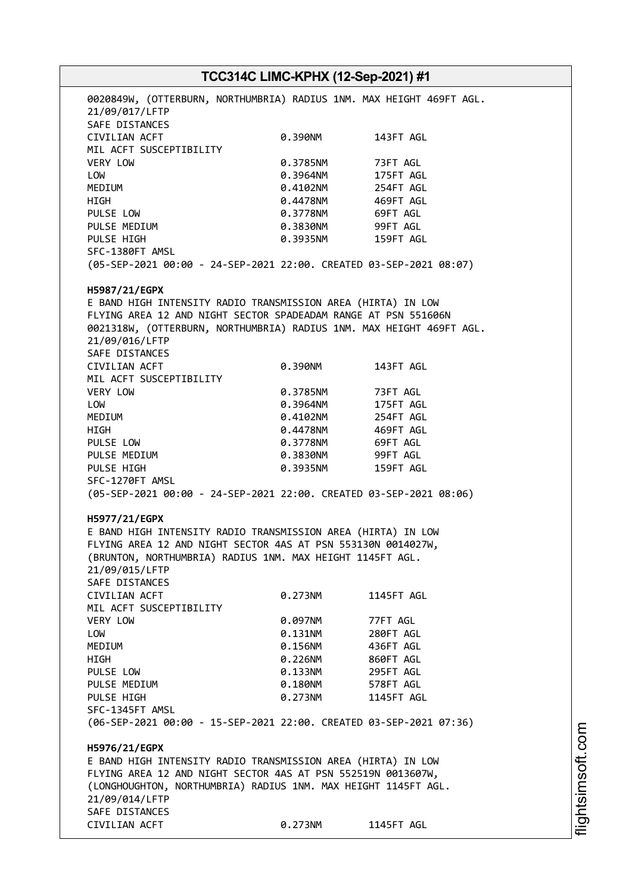# **TCC314C LIMC-KPHX (12-Sep-2021) #1** 0020849W, (OTTERBURN, NORTHUMBRIA) RADIUS 1NM. MAX HEIGHT 469FT AGL. 21/09/017/LFTP SAFE DISTANCES CIVILIAN ACFT 0.390NM 143FT AGL MIL ACFT SUSCEPTIBILITY VERY LOW 0.3785NM 73FT AGL LOW 0.3964NM 175FT AGL MEDIUM 0.4102NM 254FT AGL HIGH 0.4478NM 469FT AGL PULSE LOW 0.3778NM 69FT AGL PULSE MEDIUM  $0.3830N$ M 99FT AGL PULSE HIGH 0.3935NM 159FT AGL SFC-1380FT AMSL (05-SEP-2021 00:00 - 24-SEP-2021 22:00. CREATED 03-SEP-2021 08:07) **H5987/21/EGPX** E BAND HIGH INTENSITY RADIO TRANSMISSION AREA (HIRTA) IN LOW FLYING AREA 12 AND NIGHT SECTOR SPADEADAM RANGE AT PSN 551606N 0021318W, (OTTERBURN, NORTHUMBRIA) RADIUS 1NM. MAX HEIGHT 469FT AGL. 21/09/016/LFTP SAFE DISTANCES CIVILIAN ACFT 0.390NM 143FT AGL MIL ACFT SUSCEPTIBILITY VERY LOW 0.3785NM 73FT AGL LOW 0.3964NM 175FT AGL MEDIUM 0.4102NM 254FT AGL HIGH 0.4478NM 469FT AGL PULSE LOW **0.3778NM** 69FT AGL PULSE MEDIUM 0.3830NM 99FT AGL PULSE HIGH 0.3935NM 159FT AGL SFC-1270FT AMSL (05-SEP-2021 00:00 - 24-SEP-2021 22:00. CREATED 03-SEP-2021 08:06) **H5977/21/EGPX** E BAND HIGH INTENSITY RADIO TRANSMISSION AREA (HIRTA) IN LOW FLYING AREA 12 AND NIGHT SECTOR 4AS AT PSN 553130N 0014027W, (BRUNTON, NORTHUMBRIA) RADIUS 1NM. MAX HEIGHT 1145FT AGL. 21/09/015/LFTP SAFE DISTANCES CIVILIAN ACFT 0.273NM 1145FT AGL MIL ACFT SUSCEPTIBILITY VERY LOW 0.097NM 77FT AGL LOW 0.131NM 280FT AGL MEDIUM 0.156NM 436FT AGL HIGH 0.226NM 860FT AGL PULSE LOW 0.133NM 295FT AGL PULSE MEDIUM 0.180NM 578FT AGL PULSE HTGH 0.273NM 1145FT AGL SFC-1345FT AMSL (06-SEP-2021 00:00 - 15-SEP-2021 22:00. CREATED 03-SEP-2021 07:36) **H5976/21/EGPX** E BAND HIGH INTENSITY RADIO TRANSMISSION AREA (HIRTA) IN LOW FLYING AREA 12 AND NIGHT SECTOR 4AS AT PSN 552519N 0013607W, (LONGHOUGHTON, NORTHUMBRIA) RADIUS 1NM. MAX HEIGHT 1145FT AGL. 21/09/014/LFTP SAFE DISTANCES CIVILIAN ACFT 0.273NM 1145FT AGL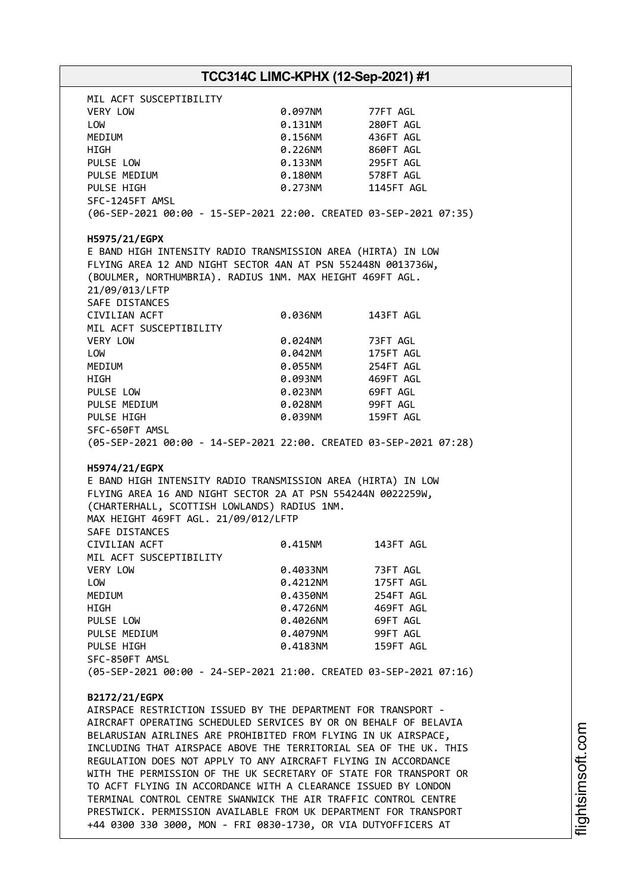|                                                                                                                                                                                                                                                                                                                                                                                                                                                                                                                                                                                                                                                                                                                                                                                                                                                                                                                                                                                                                                                                                                                                                                                                                                                                 | TCC314C LIMC-KPHX (12-Sep-2021) #1 |            |  |  |  |
|-----------------------------------------------------------------------------------------------------------------------------------------------------------------------------------------------------------------------------------------------------------------------------------------------------------------------------------------------------------------------------------------------------------------------------------------------------------------------------------------------------------------------------------------------------------------------------------------------------------------------------------------------------------------------------------------------------------------------------------------------------------------------------------------------------------------------------------------------------------------------------------------------------------------------------------------------------------------------------------------------------------------------------------------------------------------------------------------------------------------------------------------------------------------------------------------------------------------------------------------------------------------|------------------------------------|------------|--|--|--|
| MIL ACFT SUSCEPTIBILITY                                                                                                                                                                                                                                                                                                                                                                                                                                                                                                                                                                                                                                                                                                                                                                                                                                                                                                                                                                                                                                                                                                                                                                                                                                         |                                    |            |  |  |  |
| VERY LOW                                                                                                                                                                                                                                                                                                                                                                                                                                                                                                                                                                                                                                                                                                                                                                                                                                                                                                                                                                                                                                                                                                                                                                                                                                                        | 0.097NM                            | 77FT AGL   |  |  |  |
| LOW                                                                                                                                                                                                                                                                                                                                                                                                                                                                                                                                                                                                                                                                                                                                                                                                                                                                                                                                                                                                                                                                                                                                                                                                                                                             | 0.131NM                            | 280FT AGL  |  |  |  |
| MEDIUM                                                                                                                                                                                                                                                                                                                                                                                                                                                                                                                                                                                                                                                                                                                                                                                                                                                                                                                                                                                                                                                                                                                                                                                                                                                          | 0.156NM                            | 436FT AGL  |  |  |  |
| HIGH                                                                                                                                                                                                                                                                                                                                                                                                                                                                                                                                                                                                                                                                                                                                                                                                                                                                                                                                                                                                                                                                                                                                                                                                                                                            | 0.226NM                            | 860FT AGL  |  |  |  |
|                                                                                                                                                                                                                                                                                                                                                                                                                                                                                                                                                                                                                                                                                                                                                                                                                                                                                                                                                                                                                                                                                                                                                                                                                                                                 |                                    |            |  |  |  |
| PULSE LOW                                                                                                                                                                                                                                                                                                                                                                                                                                                                                                                                                                                                                                                                                                                                                                                                                                                                                                                                                                                                                                                                                                                                                                                                                                                       | 0.133NM                            | 295FT AGL  |  |  |  |
| PULSE MEDIUM                                                                                                                                                                                                                                                                                                                                                                                                                                                                                                                                                                                                                                                                                                                                                                                                                                                                                                                                                                                                                                                                                                                                                                                                                                                    | 0.180NM                            | 578FT AGL  |  |  |  |
| PULSE HIGH                                                                                                                                                                                                                                                                                                                                                                                                                                                                                                                                                                                                                                                                                                                                                                                                                                                                                                                                                                                                                                                                                                                                                                                                                                                      | 0.273NM                            | 1145FT AGL |  |  |  |
| SFC-1245FT AMSL                                                                                                                                                                                                                                                                                                                                                                                                                                                                                                                                                                                                                                                                                                                                                                                                                                                                                                                                                                                                                                                                                                                                                                                                                                                 |                                    |            |  |  |  |
| (06-SEP-2021 00:00 - 15-SEP-2021 22:00. CREATED 03-SEP-2021 07:35)                                                                                                                                                                                                                                                                                                                                                                                                                                                                                                                                                                                                                                                                                                                                                                                                                                                                                                                                                                                                                                                                                                                                                                                              |                                    |            |  |  |  |
| H5975/21/EGPX                                                                                                                                                                                                                                                                                                                                                                                                                                                                                                                                                                                                                                                                                                                                                                                                                                                                                                                                                                                                                                                                                                                                                                                                                                                   |                                    |            |  |  |  |
| E BAND HIGH INTENSITY RADIO TRANSMISSION AREA (HIRTA) IN LOW                                                                                                                                                                                                                                                                                                                                                                                                                                                                                                                                                                                                                                                                                                                                                                                                                                                                                                                                                                                                                                                                                                                                                                                                    |                                    |            |  |  |  |
| FLYING AREA 12 AND NIGHT SECTOR 4AN AT PSN 552448N 0013736W,                                                                                                                                                                                                                                                                                                                                                                                                                                                                                                                                                                                                                                                                                                                                                                                                                                                                                                                                                                                                                                                                                                                                                                                                    |                                    |            |  |  |  |
| (BOULMER, NORTHUMBRIA). RADIUS 1NM. MAX HEIGHT 469FT AGL.                                                                                                                                                                                                                                                                                                                                                                                                                                                                                                                                                                                                                                                                                                                                                                                                                                                                                                                                                                                                                                                                                                                                                                                                       |                                    |            |  |  |  |
| 21/09/013/LFTP                                                                                                                                                                                                                                                                                                                                                                                                                                                                                                                                                                                                                                                                                                                                                                                                                                                                                                                                                                                                                                                                                                                                                                                                                                                  |                                    |            |  |  |  |
| SAFE DISTANCES                                                                                                                                                                                                                                                                                                                                                                                                                                                                                                                                                                                                                                                                                                                                                                                                                                                                                                                                                                                                                                                                                                                                                                                                                                                  |                                    |            |  |  |  |
| CIVILIAN ACFT                                                                                                                                                                                                                                                                                                                                                                                                                                                                                                                                                                                                                                                                                                                                                                                                                                                                                                                                                                                                                                                                                                                                                                                                                                                   | 0.036NM                            | 143FT AGL  |  |  |  |
| MIL ACFT SUSCEPTIBILITY                                                                                                                                                                                                                                                                                                                                                                                                                                                                                                                                                                                                                                                                                                                                                                                                                                                                                                                                                                                                                                                                                                                                                                                                                                         |                                    |            |  |  |  |
| VERY LOW                                                                                                                                                                                                                                                                                                                                                                                                                                                                                                                                                                                                                                                                                                                                                                                                                                                                                                                                                                                                                                                                                                                                                                                                                                                        | 0.024NM                            | 73FT AGL   |  |  |  |
| LOW                                                                                                                                                                                                                                                                                                                                                                                                                                                                                                                                                                                                                                                                                                                                                                                                                                                                                                                                                                                                                                                                                                                                                                                                                                                             | 0.042NM                            | 175FT AGL  |  |  |  |
| MEDIUM                                                                                                                                                                                                                                                                                                                                                                                                                                                                                                                                                                                                                                                                                                                                                                                                                                                                                                                                                                                                                                                                                                                                                                                                                                                          | 0.055NM                            | 254FT AGL  |  |  |  |
| HIGH                                                                                                                                                                                                                                                                                                                                                                                                                                                                                                                                                                                                                                                                                                                                                                                                                                                                                                                                                                                                                                                                                                                                                                                                                                                            | 0.093NM                            | 469FT AGL  |  |  |  |
|                                                                                                                                                                                                                                                                                                                                                                                                                                                                                                                                                                                                                                                                                                                                                                                                                                                                                                                                                                                                                                                                                                                                                                                                                                                                 |                                    |            |  |  |  |
| PULSE LOW                                                                                                                                                                                                                                                                                                                                                                                                                                                                                                                                                                                                                                                                                                                                                                                                                                                                                                                                                                                                                                                                                                                                                                                                                                                       | 0.023NM                            | 69FT AGL   |  |  |  |
| PULSE MEDIUM                                                                                                                                                                                                                                                                                                                                                                                                                                                                                                                                                                                                                                                                                                                                                                                                                                                                                                                                                                                                                                                                                                                                                                                                                                                    | 0.028NM                            | 99FT AGL   |  |  |  |
| PULSE HIGH                                                                                                                                                                                                                                                                                                                                                                                                                                                                                                                                                                                                                                                                                                                                                                                                                                                                                                                                                                                                                                                                                                                                                                                                                                                      | 0.039NM                            | 159FT AGL  |  |  |  |
| SFC-650FT AMSL                                                                                                                                                                                                                                                                                                                                                                                                                                                                                                                                                                                                                                                                                                                                                                                                                                                                                                                                                                                                                                                                                                                                                                                                                                                  |                                    |            |  |  |  |
|                                                                                                                                                                                                                                                                                                                                                                                                                                                                                                                                                                                                                                                                                                                                                                                                                                                                                                                                                                                                                                                                                                                                                                                                                                                                 |                                    |            |  |  |  |
|                                                                                                                                                                                                                                                                                                                                                                                                                                                                                                                                                                                                                                                                                                                                                                                                                                                                                                                                                                                                                                                                                                                                                                                                                                                                 |                                    |            |  |  |  |
|                                                                                                                                                                                                                                                                                                                                                                                                                                                                                                                                                                                                                                                                                                                                                                                                                                                                                                                                                                                                                                                                                                                                                                                                                                                                 |                                    |            |  |  |  |
|                                                                                                                                                                                                                                                                                                                                                                                                                                                                                                                                                                                                                                                                                                                                                                                                                                                                                                                                                                                                                                                                                                                                                                                                                                                                 |                                    |            |  |  |  |
|                                                                                                                                                                                                                                                                                                                                                                                                                                                                                                                                                                                                                                                                                                                                                                                                                                                                                                                                                                                                                                                                                                                                                                                                                                                                 | 0.415NM                            | 143FT AGL  |  |  |  |
|                                                                                                                                                                                                                                                                                                                                                                                                                                                                                                                                                                                                                                                                                                                                                                                                                                                                                                                                                                                                                                                                                                                                                                                                                                                                 |                                    |            |  |  |  |
|                                                                                                                                                                                                                                                                                                                                                                                                                                                                                                                                                                                                                                                                                                                                                                                                                                                                                                                                                                                                                                                                                                                                                                                                                                                                 | 0.4033NM                           |            |  |  |  |
|                                                                                                                                                                                                                                                                                                                                                                                                                                                                                                                                                                                                                                                                                                                                                                                                                                                                                                                                                                                                                                                                                                                                                                                                                                                                 |                                    | 73FT AGL   |  |  |  |
|                                                                                                                                                                                                                                                                                                                                                                                                                                                                                                                                                                                                                                                                                                                                                                                                                                                                                                                                                                                                                                                                                                                                                                                                                                                                 | 0.4212NM                           | 175FT AGL  |  |  |  |
|                                                                                                                                                                                                                                                                                                                                                                                                                                                                                                                                                                                                                                                                                                                                                                                                                                                                                                                                                                                                                                                                                                                                                                                                                                                                 | 0.4350NM                           | 254FT AGL  |  |  |  |
|                                                                                                                                                                                                                                                                                                                                                                                                                                                                                                                                                                                                                                                                                                                                                                                                                                                                                                                                                                                                                                                                                                                                                                                                                                                                 | 0.4726NM                           | 469FT AGL  |  |  |  |
|                                                                                                                                                                                                                                                                                                                                                                                                                                                                                                                                                                                                                                                                                                                                                                                                                                                                                                                                                                                                                                                                                                                                                                                                                                                                 | 0.4026NM                           | 69FT AGL   |  |  |  |
|                                                                                                                                                                                                                                                                                                                                                                                                                                                                                                                                                                                                                                                                                                                                                                                                                                                                                                                                                                                                                                                                                                                                                                                                                                                                 | 0.4079NM                           | 99FT AGL   |  |  |  |
|                                                                                                                                                                                                                                                                                                                                                                                                                                                                                                                                                                                                                                                                                                                                                                                                                                                                                                                                                                                                                                                                                                                                                                                                                                                                 | 0.4183NM                           | 159FT AGL  |  |  |  |
|                                                                                                                                                                                                                                                                                                                                                                                                                                                                                                                                                                                                                                                                                                                                                                                                                                                                                                                                                                                                                                                                                                                                                                                                                                                                 |                                    |            |  |  |  |
|                                                                                                                                                                                                                                                                                                                                                                                                                                                                                                                                                                                                                                                                                                                                                                                                                                                                                                                                                                                                                                                                                                                                                                                                                                                                 |                                    |            |  |  |  |
|                                                                                                                                                                                                                                                                                                                                                                                                                                                                                                                                                                                                                                                                                                                                                                                                                                                                                                                                                                                                                                                                                                                                                                                                                                                                 |                                    |            |  |  |  |
|                                                                                                                                                                                                                                                                                                                                                                                                                                                                                                                                                                                                                                                                                                                                                                                                                                                                                                                                                                                                                                                                                                                                                                                                                                                                 |                                    |            |  |  |  |
|                                                                                                                                                                                                                                                                                                                                                                                                                                                                                                                                                                                                                                                                                                                                                                                                                                                                                                                                                                                                                                                                                                                                                                                                                                                                 |                                    |            |  |  |  |
|                                                                                                                                                                                                                                                                                                                                                                                                                                                                                                                                                                                                                                                                                                                                                                                                                                                                                                                                                                                                                                                                                                                                                                                                                                                                 |                                    |            |  |  |  |
|                                                                                                                                                                                                                                                                                                                                                                                                                                                                                                                                                                                                                                                                                                                                                                                                                                                                                                                                                                                                                                                                                                                                                                                                                                                                 |                                    |            |  |  |  |
|                                                                                                                                                                                                                                                                                                                                                                                                                                                                                                                                                                                                                                                                                                                                                                                                                                                                                                                                                                                                                                                                                                                                                                                                                                                                 |                                    |            |  |  |  |
|                                                                                                                                                                                                                                                                                                                                                                                                                                                                                                                                                                                                                                                                                                                                                                                                                                                                                                                                                                                                                                                                                                                                                                                                                                                                 |                                    |            |  |  |  |
|                                                                                                                                                                                                                                                                                                                                                                                                                                                                                                                                                                                                                                                                                                                                                                                                                                                                                                                                                                                                                                                                                                                                                                                                                                                                 |                                    |            |  |  |  |
|                                                                                                                                                                                                                                                                                                                                                                                                                                                                                                                                                                                                                                                                                                                                                                                                                                                                                                                                                                                                                                                                                                                                                                                                                                                                 |                                    |            |  |  |  |
|                                                                                                                                                                                                                                                                                                                                                                                                                                                                                                                                                                                                                                                                                                                                                                                                                                                                                                                                                                                                                                                                                                                                                                                                                                                                 |                                    |            |  |  |  |
| (05-SEP-2021 00:00 - 14-SEP-2021 22:00. CREATED 03-SEP-2021 07:28)<br>H5974/21/EGPX<br>E BAND HIGH INTENSITY RADIO TRANSMISSION AREA (HIRTA) IN LOW<br>FLYING AREA 16 AND NIGHT SECTOR 2A AT PSN 554244N 0022259W,<br>(CHARTERHALL, SCOTTISH LOWLANDS) RADIUS 1NM.<br>MAX HEIGHT 469FT AGL. 21/09/012/LFTP<br>SAFE DISTANCES<br>CIVILIAN ACFT<br>MIL ACFT SUSCEPTIBILITY<br>VERY LOW<br>LOW<br>MEDIUM<br>HIGH<br>PULSE LOW<br>PULSE MEDIUM<br>PULSE HIGH<br>SFC-850FT AMSL<br>(05-SEP-2021 00:00 - 24-SEP-2021 21:00. CREATED 03-SEP-2021 07:16)<br>B2172/21/EGPX<br>AIRSPACE RESTRICTION ISSUED BY THE DEPARTMENT FOR TRANSPORT -<br>AIRCRAFT OPERATING SCHEDULED SERVICES BY OR ON BEHALF OF BELAVIA<br>BELARUSIAN AIRLINES ARE PROHIBITED FROM FLYING IN UK AIRSPACE,<br>INCLUDING THAT AIRSPACE ABOVE THE TERRITORIAL SEA OF THE UK. THIS<br>REGULATION DOES NOT APPLY TO ANY AIRCRAFT FLYING IN ACCORDANCE<br>WITH THE PERMISSION OF THE UK SECRETARY OF STATE FOR TRANSPORT OR<br>TO ACFT FLYING IN ACCORDANCE WITH A CLEARANCE ISSUED BY LONDON<br>TERMINAL CONTROL CENTRE SWANWICK THE AIR TRAFFIC CONTROL CENTRE<br>PRESTWICK. PERMISSION AVAILABLE FROM UK DEPARTMENT FOR TRANSPORT<br>+44 0300 330 3000, MON - FRI 0830-1730, OR VIA DUTYOFFICERS AT |                                    |            |  |  |  |

m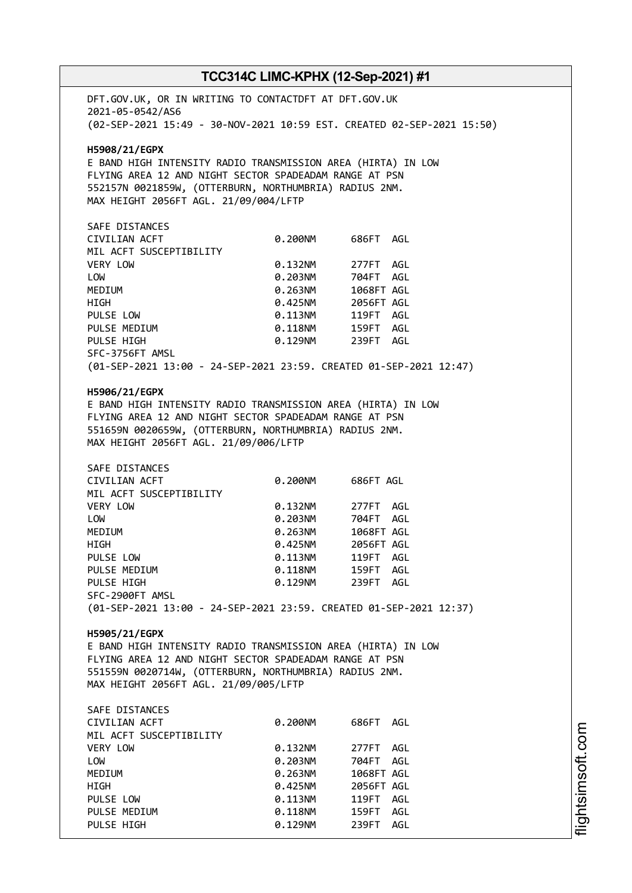# **TCC314C LIMC-KPHX (12-Sep-2021) #1** DFT.GOV.UK, OR IN WRITING TO CONTACTDFT AT DFT.GOV.UK 2021-05-0542/AS6 (02-SEP-2021 15:49 - 30-NOV-2021 10:59 EST. CREATED 02-SEP-2021 15:50) **H5908/21/EGPX** E BAND HIGH INTENSITY RADIO TRANSMISSION AREA (HIRTA) IN LOW FLYING AREA 12 AND NIGHT SECTOR SPADEADAM RANGE AT PSN 552157N 0021859W, (OTTERBURN, NORTHUMBRIA) RADIUS 2NM. MAX HEIGHT 2056FT AGL. 21/09/004/LFTP SAFE DISTANCES CIVILIAN ACFT 0.200NM 686FT AGL MIL ACFT SUSCEPTIBILITY VERY LOW 0.132NM 277FT AGL LOW 0.203NM 704FT AGL MEDIUM 0.263NM 1068FT AGL HIGH 0.425NM 2056FT AGL PULSE LOW 0.113NM 119FT AGL PULSE MEDIUM  $0.118$ NM 159FT AGL PULSE HIGH 0.129NM 239FT AGL SFC-3756FT AMSL (01-SEP-2021 13:00 - 24-SEP-2021 23:59. CREATED 01-SEP-2021 12:47) **H5906/21/EGPX** E BAND HIGH INTENSITY RADIO TRANSMISSION AREA (HIRTA) IN LOW FLYING AREA 12 AND NIGHT SECTOR SPADEADAM RANGE AT PSN 551659N 0020659W, (OTTERBURN, NORTHUMBRIA) RADIUS 2NM. MAX HEIGHT 2056FT AGL. 21/09/006/LFTP SAFE DISTANCES CIVILIAN ACFT 0.200NM 686FT AGL MIL ACFT SUSCEPTIBILITY VERY LOW **0.132NM** 277FT AGL LOW 0.203NM 704FT AGL MEDIUM 0.263NM 1068FT AGL HIGH 0.425NM 2056FT AGL PULSE LOW 0.113NM 119FT AGL PULSE MEDIUM 0.118NM PULSE HIGH 0.129NM 239FT AGL SFC-2900FT AMSL (01-SEP-2021 13:00 - 24-SEP-2021 23:59. CREATED 01-SEP-2021 12:37) **H5905/21/EGPX** E BAND HIGH INTENSITY RADIO TRANSMISSION AREA (HIRTA) IN LOW FLYING AREA 12 AND NIGHT SECTOR SPADEADAM RANGE AT PSN 551559N 0020714W, (OTTERBURN, NORTHUMBRIA) RADIUS 2NM. MAX HEIGHT 2056FT AGL. 21/09/005/LFTP SAFE DISTANCES

| CIVILIAN ACFT           | 0.200NM | 686FT      | AGL |
|-------------------------|---------|------------|-----|
| MIL ACFT SUSCEPTIBILITY |         |            |     |
| VERY LOW                | 0.132NM | 277FT      | AGL |
| LOW                     | 0.203NM | 704FT      | AGL |
| MEDIUM                  | 0.263NM | 1068FT AGL |     |
| HIGH                    | 0.425NM | 2056FT AGL |     |
| PULSE LOW               | 0.113NM | 119FT      | AGL |
| PULSE MEDIUM            | 0.118NM | 159FT      | AGL |
| PULSE HIGH              | 0.129NM | 239FT      | AGL |
|                         |         |            |     |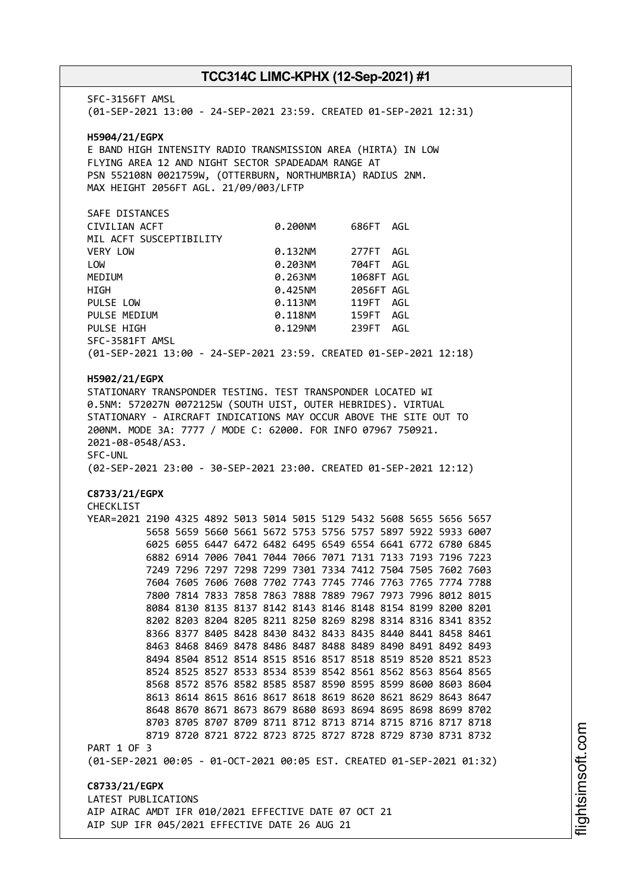SFC-3156FT AMSL (01-SEP-2021 13:00 - 24-SEP-2021 23:59. CREATED 01-SEP-2021 12:31) **H5904/21/EGPX** E BAND HIGH INTENSITY RADIO TRANSMISSION AREA (HIRTA) IN LOW FLYING AREA 12 AND NIGHT SECTOR SPADEADAM RANGE AT PSN 552108N 0021759W, (OTTERBURN, NORTHUMBRIA) RADIUS 2NM. MAX HEIGHT 2056FT AGL. 21/09/003/LFTP SAFE DISTANCES CIVILIAN ACFT 0.200NM 686FT AGL MIL ACFT SUSCEPTIBILITY VERY LOW 0.132NM 277FT AGL LOW 0.203NM 704FT AGL MEDIUM 0.263NM 1068FT AGL HIGH 0.425NM 2056FT AGL PULSE LOW 0.113NM 119FT AGL PULSE MEDIUM  $0.118$ NM 159FT AGL PULSE HIGH  $0.129$ NM 239FT AGL SFC-3581FT AMSL (01-SEP-2021 13:00 - 24-SEP-2021 23:59. CREATED 01-SEP-2021 12:18) **H5902/21/EGPX** STATIONARY TRANSPONDER TESTING. TEST TRANSPONDER LOCATED WI 0.5NM: 572027N 0072125W (SOUTH UIST, OUTER HEBRIDES). VIRTUAL STATIONARY - AIRCRAFT INDICATIONS MAY OCCUR ABOVE THE SITE OUT TO 200NM. MODE 3A: 7777 / MODE C: 62000. FOR INFO 07967 750921. 2021-08-0548/AS3. SFC-UNL (02-SEP-2021 23:00 - 30-SEP-2021 23:00. CREATED 01-SEP-2021 12:12) **C8733/21/EGPX** CHECKLIST YEAR=2021 2190 4325 4892 5013 5014 5015 5129 5432 5608 5655 5656 5657 5658 5659 5660 5661 5672 5753 5756 5757 5897 5922 5933 6007 6025 6055 6447 6472 6482 6495 6549 6554 6641 6772 6780 6845 6882 6914 7006 7041 7044 7066 7071 7131 7133 7193 7196 7223 7249 7296 7297 7298 7299 7301 7334 7412 7504 7505 7602 7603 7604 7605 7606 7608 7702 7743 7745 7746 7763 7765 7774 7788 7800 7814 7833 7858 7863 7888 7889 7967 7973 7996 8012 8015 8084 8130 8135 8137 8142 8143 8146 8148 8154 8199 8200 8201 8202 8203 8204 8205 8211 8250 8269 8298 8314 8316 8341 8352 8366 8377 8405 8428 8430 8432 8433 8435 8440 8441 8458 8461 8463 8468 8469 8478 8486 8487 8488 8489 8490 8491 8492 8493 8494 8504 8512 8514 8515 8516 8517 8518 8519 8520 8521 8523 8524 8525 8527 8533 8534 8539 8542 8561 8562 8563 8564 8565 8568 8572 8576 8582 8585 8587 8590 8595 8599 8600 8603 8604 8613 8614 8615 8616 8617 8618 8619 8620 8621 8629 8643 8647 8648 8670 8671 8673 8679 8680 8693 8694 8695 8698 8699 8702 8703 8705 8707 8709 8711 8712 8713 8714 8715 8716 8717 8718 8719 8720 8721 8722 8723 8725 8727 8728 8729 8730 8731 8732 PART 1 OF 3 (01-SEP-2021 00:05 - 01-OCT-2021 00:05 EST. CREATED 01-SEP-2021 01:32) **C8733/21/EGPX** LATEST PUBLICATIONS AIP AIRAC AMDT IFR 010/2021 EFFECTIVE DATE 07 OCT 21 AIP SUP IFR 045/2021 EFFECTIVE DATE 26 AUG 21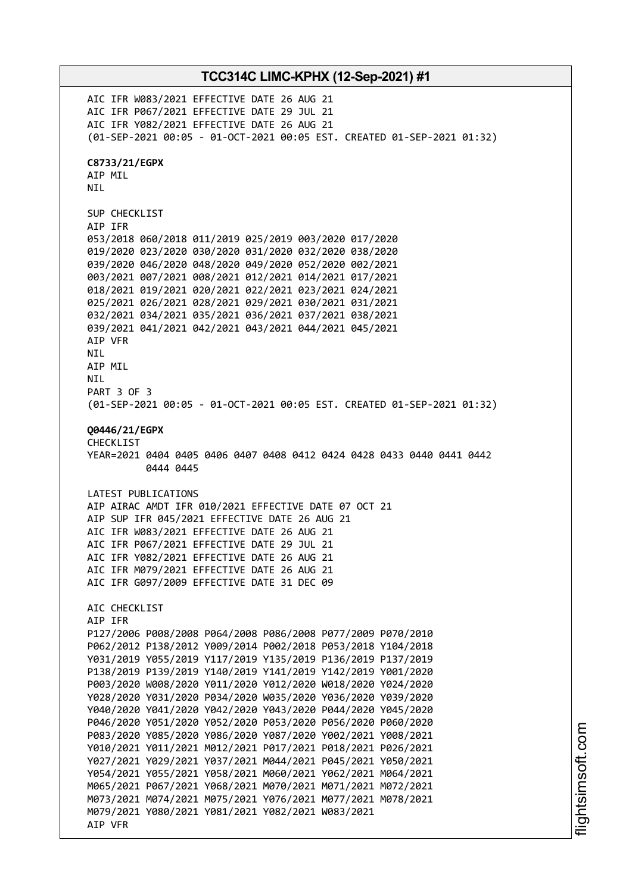**TCC314C LIMC-KPHX (12-Sep-2021) #1** AIC IFR W083/2021 EFFECTIVE DATE 26 AUG 21 AIC IFR P067/2021 EFFECTIVE DATE 29 JUL 21 AIC IFR Y082/2021 EFFECTIVE DATE 26 AUG 21 (01-SEP-2021 00:05 - 01-OCT-2021 00:05 EST. CREATED 01-SEP-2021 01:32) **C8733/21/EGPX** AIP MIL NIL SUP CHECKLIST AIP IFR 053/2018 060/2018 011/2019 025/2019 003/2020 017/2020 019/2020 023/2020 030/2020 031/2020 032/2020 038/2020 039/2020 046/2020 048/2020 049/2020 052/2020 002/2021 003/2021 007/2021 008/2021 012/2021 014/2021 017/2021 018/2021 019/2021 020/2021 022/2021 023/2021 024/2021 025/2021 026/2021 028/2021 029/2021 030/2021 031/2021 032/2021 034/2021 035/2021 036/2021 037/2021 038/2021 039/2021 041/2021 042/2021 043/2021 044/2021 045/2021 AIP VFR NIL AIP MIL **NTI** PART 3 OF 3 (01-SEP-2021 00:05 - 01-OCT-2021 00:05 EST. CREATED 01-SEP-2021 01:32) **Q0446/21/EGPX** CHECKLIST YEAR=2021 0404 0405 0406 0407 0408 0412 0424 0428 0433 0440 0441 0442 0444 0445 LATEST PUBLICATIONS AIP AIRAC AMDT IFR 010/2021 EFFECTIVE DATE 07 OCT 21 AIP SUP IFR 045/2021 EFFECTIVE DATE 26 AUG 21 AIC IFR W083/2021 EFFECTIVE DATE 26 AUG 21 AIC IFR P067/2021 EFFECTIVE DATE 29 JUL 21 AIC IFR Y082/2021 EFFECTIVE DATE 26 AUG 21 AIC IFR M079/2021 EFFECTIVE DATE 26 AUG 21 AIC IFR G097/2009 EFFECTIVE DATE 31 DEC 09 AIC CHECKLIST AIP IFR P127/2006 P008/2008 P064/2008 P086/2008 P077/2009 P070/2010 P062/2012 P138/2012 Y009/2014 P002/2018 P053/2018 Y104/2018 Y031/2019 Y055/2019 Y117/2019 Y135/2019 P136/2019 P137/2019 P138/2019 P139/2019 Y140/2019 Y141/2019 Y142/2019 Y001/2020 P003/2020 W008/2020 Y011/2020 Y012/2020 W018/2020 Y024/2020 Y028/2020 Y031/2020 P034/2020 W035/2020 Y036/2020 Y039/2020 Y040/2020 Y041/2020 Y042/2020 Y043/2020 P044/2020 Y045/2020 P046/2020 Y051/2020 Y052/2020 P053/2020 P056/2020 P060/2020 P083/2020 Y085/2020 Y086/2020 Y087/2020 Y002/2021 Y008/2021 Y010/2021 Y011/2021 M012/2021 P017/2021 P018/2021 P026/2021 Y027/2021 Y029/2021 Y037/2021 M044/2021 P045/2021 Y050/2021 Y054/2021 Y055/2021 Y058/2021 M060/2021 Y062/2021 M064/2021 M065/2021 P067/2021 Y068/2021 M070/2021 M071/2021 M072/2021 M073/2021 M074/2021 M075/2021 Y076/2021 M077/2021 M078/2021 M079/2021 Y080/2021 Y081/2021 Y082/2021 W083/2021 AIP VFR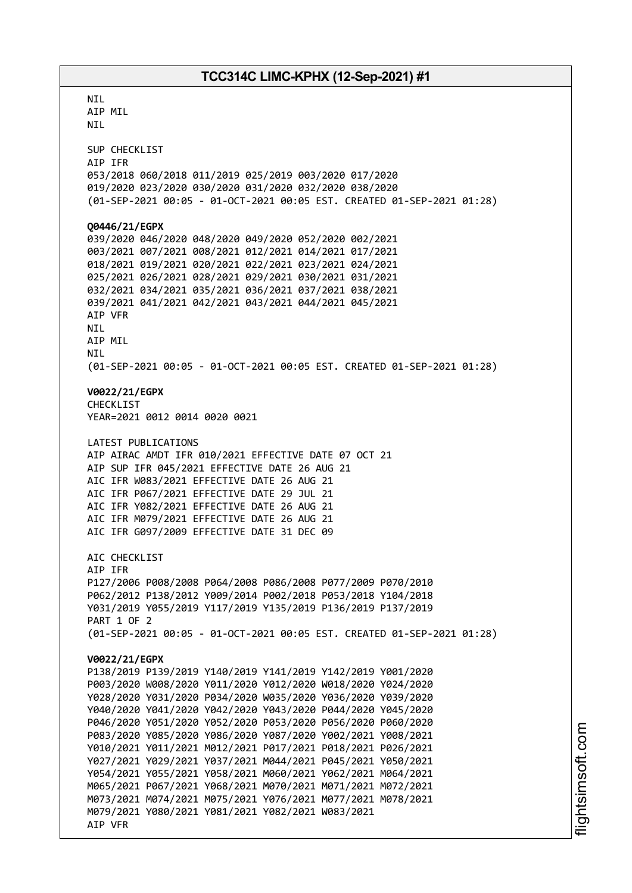**NTI** AIP MIL NIL SUP CHECKLIST AIP IFR 053/2018 060/2018 011/2019 025/2019 003/2020 017/2020 019/2020 023/2020 030/2020 031/2020 032/2020 038/2020 (01-SEP-2021 00:05 - 01-OCT-2021 00:05 EST. CREATED 01-SEP-2021 01:28) **Q0446/21/EGPX** 039/2020 046/2020 048/2020 049/2020 052/2020 002/2021 003/2021 007/2021 008/2021 012/2021 014/2021 017/2021 018/2021 019/2021 020/2021 022/2021 023/2021 024/2021 025/2021 026/2021 028/2021 029/2021 030/2021 031/2021 032/2021 034/2021 035/2021 036/2021 037/2021 038/2021 039/2021 041/2021 042/2021 043/2021 044/2021 045/2021 AIP VFR NIL AIP MIL NIL (01-SEP-2021 00:05 - 01-OCT-2021 00:05 EST. CREATED 01-SEP-2021 01:28) **V0022/21/EGPX** CHECKLIST YEAR=2021 0012 0014 0020 0021 LATEST PUBLICATIONS AIP AIRAC AMDT IFR 010/2021 EFFECTIVE DATE 07 OCT 21 AIP SUP IFR 045/2021 EFFECTIVE DATE 26 AUG 21 AIC IFR W083/2021 EFFECTIVE DATE 26 AUG 21 AIC IFR P067/2021 EFFECTIVE DATE 29 JUL 21 AIC IFR Y082/2021 EFFECTIVE DATE 26 AUG 21 AIC IFR M079/2021 EFFECTIVE DATE 26 AUG 21 AIC IFR G097/2009 EFFECTIVE DATE 31 DEC 09 AIC CHECKLIST AIP IFR P127/2006 P008/2008 P064/2008 P086/2008 P077/2009 P070/2010 P062/2012 P138/2012 Y009/2014 P002/2018 P053/2018 Y104/2018 Y031/2019 Y055/2019 Y117/2019 Y135/2019 P136/2019 P137/2019 PART 1 OF 2 (01-SEP-2021 00:05 - 01-OCT-2021 00:05 EST. CREATED 01-SEP-2021 01:28) **V0022/21/EGPX** P138/2019 P139/2019 Y140/2019 Y141/2019 Y142/2019 Y001/2020 P003/2020 W008/2020 Y011/2020 Y012/2020 W018/2020 Y024/2020 Y028/2020 Y031/2020 P034/2020 W035/2020 Y036/2020 Y039/2020 Y040/2020 Y041/2020 Y042/2020 Y043/2020 P044/2020 Y045/2020 P046/2020 Y051/2020 Y052/2020 P053/2020 P056/2020 P060/2020 P083/2020 Y085/2020 Y086/2020 Y087/2020 Y002/2021 Y008/2021 Y010/2021 Y011/2021 M012/2021 P017/2021 P018/2021 P026/2021 Y027/2021 Y029/2021 Y037/2021 M044/2021 P045/2021 Y050/2021 Y054/2021 Y055/2021 Y058/2021 M060/2021 Y062/2021 M064/2021 M065/2021 P067/2021 Y068/2021 M070/2021 M071/2021 M072/2021 M073/2021 M074/2021 M075/2021 Y076/2021 M077/2021 M078/2021 M079/2021 Y080/2021 Y081/2021 Y082/2021 W083/2021 AIP VFR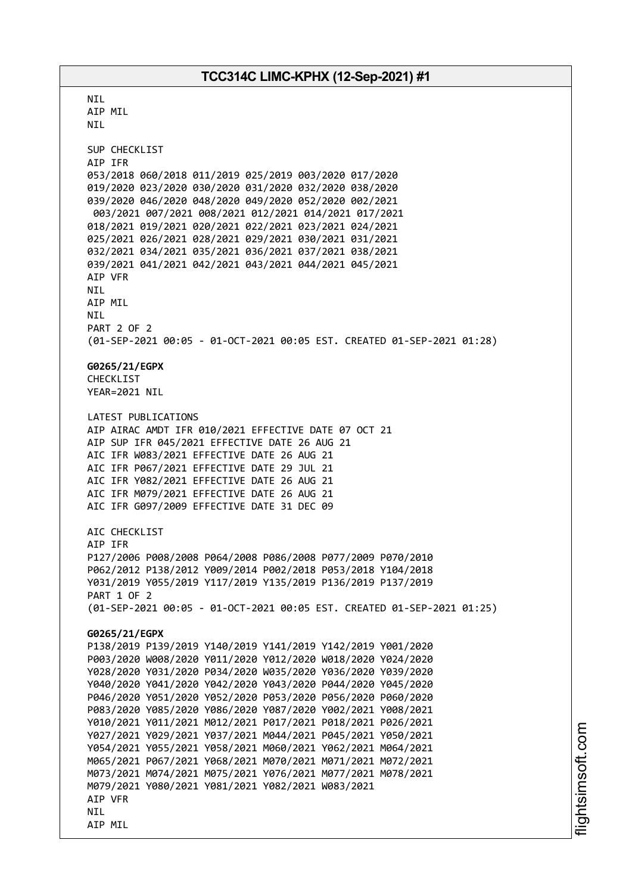**NTI** AIP MIL NIL SUP CHECKLIST AIP IFR 053/2018 060/2018 011/2019 025/2019 003/2020 017/2020 019/2020 023/2020 030/2020 031/2020 032/2020 038/2020 039/2020 046/2020 048/2020 049/2020 052/2020 002/2021 003/2021 007/2021 008/2021 012/2021 014/2021 017/2021 018/2021 019/2021 020/2021 022/2021 023/2021 024/2021 025/2021 026/2021 028/2021 029/2021 030/2021 031/2021 032/2021 034/2021 035/2021 036/2021 037/2021 038/2021 039/2021 041/2021 042/2021 043/2021 044/2021 045/2021 AIP VFR NIL AIP MIL NIL PART 2 OF 2 (01-SEP-2021 00:05 - 01-OCT-2021 00:05 EST. CREATED 01-SEP-2021 01:28) **G0265/21/EGPX** CHECKL<sub>IST</sub> YEAR=2021 NIL LATEST PUBLICATIONS AIP AIRAC AMDT IFR 010/2021 EFFECTIVE DATE 07 OCT 21 AIP SUP IFR 045/2021 EFFECTIVE DATE 26 AUG 21 AIC IFR W083/2021 EFFECTIVE DATE 26 AUG 21 AIC IFR P067/2021 EFFECTIVE DATE 29 JUL 21 AIC IFR Y082/2021 EFFECTIVE DATE 26 AUG 21 AIC IFR M079/2021 EFFECTIVE DATE 26 AUG 21 AIC IFR G097/2009 EFFECTIVE DATE 31 DEC 09 AIC CHECKLIST AIP IFR P127/2006 P008/2008 P064/2008 P086/2008 P077/2009 P070/2010 P062/2012 P138/2012 Y009/2014 P002/2018 P053/2018 Y104/2018 Y031/2019 Y055/2019 Y117/2019 Y135/2019 P136/2019 P137/2019 PART 1 OF 2 (01-SEP-2021 00:05 - 01-OCT-2021 00:05 EST. CREATED 01-SEP-2021 01:25) **G0265/21/EGPX** P138/2019 P139/2019 Y140/2019 Y141/2019 Y142/2019 Y001/2020 P003/2020 W008/2020 Y011/2020 Y012/2020 W018/2020 Y024/2020 Y028/2020 Y031/2020 P034/2020 W035/2020 Y036/2020 Y039/2020 Y040/2020 Y041/2020 Y042/2020 Y043/2020 P044/2020 Y045/2020 P046/2020 Y051/2020 Y052/2020 P053/2020 P056/2020 P060/2020 P083/2020 Y085/2020 Y086/2020 Y087/2020 Y002/2021 Y008/2021 Y010/2021 Y011/2021 M012/2021 P017/2021 P018/2021 P026/2021 Y027/2021 Y029/2021 Y037/2021 M044/2021 P045/2021 Y050/2021 Y054/2021 Y055/2021 Y058/2021 M060/2021 Y062/2021 M064/2021 M065/2021 P067/2021 Y068/2021 M070/2021 M071/2021 M072/2021 M073/2021 M074/2021 M075/2021 Y076/2021 M077/2021 M078/2021 M079/2021 Y080/2021 Y081/2021 Y082/2021 W083/2021 AIP VFR NIL AIP MIL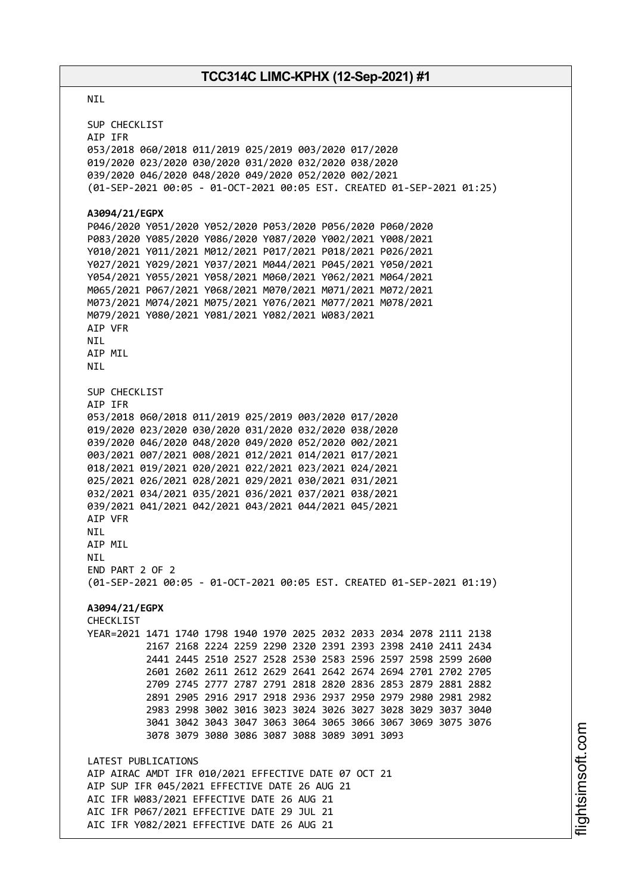#### NIL

SUP CHECKLIST AIP IFR 053/2018 060/2018 011/2019 025/2019 003/2020 017/2020 019/2020 023/2020 030/2020 031/2020 032/2020 038/2020 039/2020 046/2020 048/2020 049/2020 052/2020 002/2021 (01-SEP-2021 00:05 - 01-OCT-2021 00:05 EST. CREATED 01-SEP-2021 01:25) **A3094/21/EGPX** P046/2020 Y051/2020 Y052/2020 P053/2020 P056/2020 P060/2020 P083/2020 Y085/2020 Y086/2020 Y087/2020 Y002/2021 Y008/2021 Y010/2021 Y011/2021 M012/2021 P017/2021 P018/2021 P026/2021 Y027/2021 Y029/2021 Y037/2021 M044/2021 P045/2021 Y050/2021 Y054/2021 Y055/2021 Y058/2021 M060/2021 Y062/2021 M064/2021 M065/2021 P067/2021 Y068/2021 M070/2021 M071/2021 M072/2021 M073/2021 M074/2021 M075/2021 Y076/2021 M077/2021 M078/2021 M079/2021 Y080/2021 Y081/2021 Y082/2021 W083/2021 AIP VFR **NTI** AIP MIL NIL SUP CHECKLIST AIP IFR 053/2018 060/2018 011/2019 025/2019 003/2020 017/2020 019/2020 023/2020 030/2020 031/2020 032/2020 038/2020 039/2020 046/2020 048/2020 049/2020 052/2020 002/2021 003/2021 007/2021 008/2021 012/2021 014/2021 017/2021 018/2021 019/2021 020/2021 022/2021 023/2021 024/2021 025/2021 026/2021 028/2021 029/2021 030/2021 031/2021 032/2021 034/2021 035/2021 036/2021 037/2021 038/2021 039/2021 041/2021 042/2021 043/2021 044/2021 045/2021 AIP VFR NIL AIP MIL NIL END PART 2 OF 2 (01-SEP-2021 00:05 - 01-OCT-2021 00:05 EST. CREATED 01-SEP-2021 01:19) **A3094/21/EGPX** CHECKLIST YEAR=2021 1471 1740 1798 1940 1970 2025 2032 2033 2034 2078 2111 2138 2167 2168 2224 2259 2290 2320 2391 2393 2398 2410 2411 2434 2441 2445 2510 2527 2528 2530 2583 2596 2597 2598 2599 2600 2601 2602 2611 2612 2629 2641 2642 2674 2694 2701 2702 2705 2709 2745 2777 2787 2791 2818 2820 2836 2853 2879 2881 2882 2891 2905 2916 2917 2918 2936 2937 2950 2979 2980 2981 2982 2983 2998 3002 3016 3023 3024 3026 3027 3028 3029 3037 3040 3041 3042 3043 3047 3063 3064 3065 3066 3067 3069 3075 3076 3078 3079 3080 3086 3087 3088 3089 3091 3093 LATEST PUBLICATIONS AIP AIRAC AMDT IFR 010/2021 EFFECTIVE DATE 07 OCT 21 AIP SUP IFR 045/2021 EFFECTIVE DATE 26 AUG 21 AIC IFR W083/2021 EFFECTIVE DATE 26 AUG 21 AIC IFR P067/2021 EFFECTIVE DATE 29 JUL 21 AIC IFR Y082/2021 EFFECTIVE DATE 26 AUG 21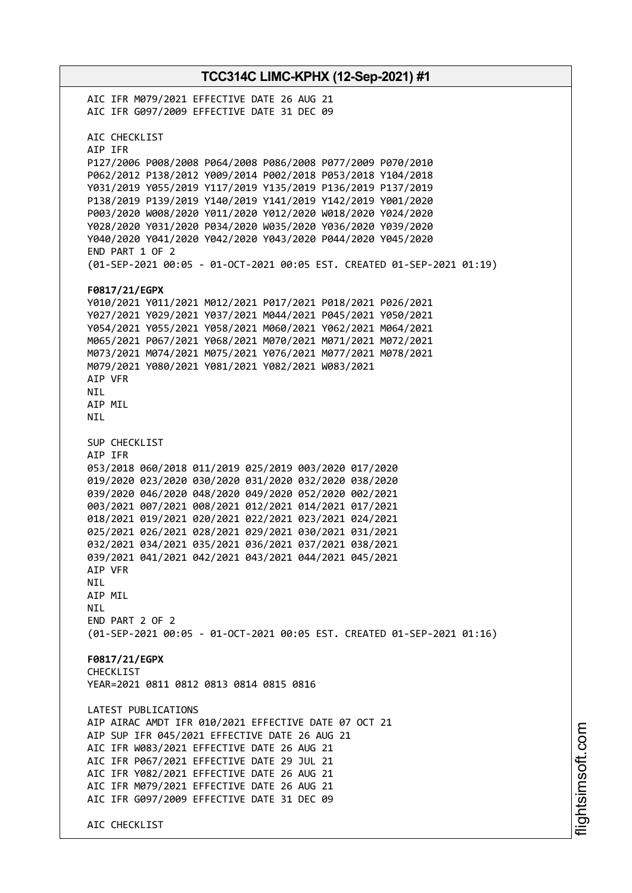**TCC314C LIMC-KPHX (12-Sep-2021) #1** AIC IFR M079/2021 EFFECTIVE DATE 26 AUG 21 AIC IFR G097/2009 EFFECTIVE DATE 31 DEC 09 AIC CHECKLIST AIP IFR P127/2006 P008/2008 P064/2008 P086/2008 P077/2009 P070/2010 P062/2012 P138/2012 Y009/2014 P002/2018 P053/2018 Y104/2018 Y031/2019 Y055/2019 Y117/2019 Y135/2019 P136/2019 P137/2019 P138/2019 P139/2019 Y140/2019 Y141/2019 Y142/2019 Y001/2020 P003/2020 W008/2020 Y011/2020 Y012/2020 W018/2020 Y024/2020 Y028/2020 Y031/2020 P034/2020 W035/2020 Y036/2020 Y039/2020 Y040/2020 Y041/2020 Y042/2020 Y043/2020 P044/2020 Y045/2020 END PART 1 OF 2 (01-SEP-2021 00:05 - 01-OCT-2021 00:05 EST. CREATED 01-SEP-2021 01:19) **F0817/21/EGPX** Y010/2021 Y011/2021 M012/2021 P017/2021 P018/2021 P026/2021 Y027/2021 Y029/2021 Y037/2021 M044/2021 P045/2021 Y050/2021 Y054/2021 Y055/2021 Y058/2021 M060/2021 Y062/2021 M064/2021 M065/2021 P067/2021 Y068/2021 M070/2021 M071/2021 M072/2021 M073/2021 M074/2021 M075/2021 Y076/2021 M077/2021 M078/2021 M079/2021 Y080/2021 Y081/2021 Y082/2021 W083/2021 AIP VFR NIL AIP MIL NIL SUP CHECKLIST AIP IFR 053/2018 060/2018 011/2019 025/2019 003/2020 017/2020 019/2020 023/2020 030/2020 031/2020 032/2020 038/2020 039/2020 046/2020 048/2020 049/2020 052/2020 002/2021 003/2021 007/2021 008/2021 012/2021 014/2021 017/2021 018/2021 019/2021 020/2021 022/2021 023/2021 024/2021 025/2021 026/2021 028/2021 029/2021 030/2021 031/2021 032/2021 034/2021 035/2021 036/2021 037/2021 038/2021 039/2021 041/2021 042/2021 043/2021 044/2021 045/2021 AIP VFR NIL AIP MIL **NTI** END PART 2 OF 2 (01-SEP-2021 00:05 - 01-OCT-2021 00:05 EST. CREATED 01-SEP-2021 01:16) **F0817/21/EGPX** CHECKLIST YEAR=2021 0811 0812 0813 0814 0815 0816 LATEST PUBLICATIONS AIP AIRAC AMDT IFR 010/2021 EFFECTIVE DATE 07 OCT 21 AIP SUP IFR 045/2021 EFFECTIVE DATE 26 AUG 21 AIC IFR W083/2021 EFFECTIVE DATE 26 AUG 21 AIC IFR P067/2021 EFFECTIVE DATE 29 JUL 21 AIC IFR Y082/2021 EFFECTIVE DATE 26 AUG 21 AIC IFR M079/2021 EFFECTIVE DATE 26 AUG 21 AIC IFR G097/2009 EFFECTIVE DATE 31 DEC 09 AIC CHECKLIST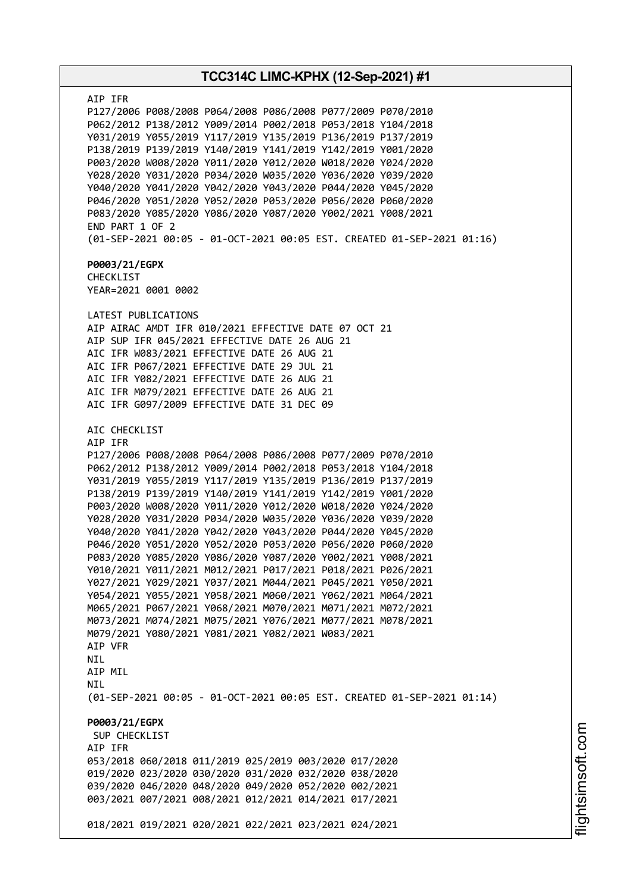**TCC314C LIMC-KPHX (12-Sep-2021) #1** AIP IFR P127/2006 P008/2008 P064/2008 P086/2008 P077/2009 P070/2010 P062/2012 P138/2012 Y009/2014 P002/2018 P053/2018 Y104/2018 Y031/2019 Y055/2019 Y117/2019 Y135/2019 P136/2019 P137/2019 P138/2019 P139/2019 Y140/2019 Y141/2019 Y142/2019 Y001/2020 P003/2020 W008/2020 Y011/2020 Y012/2020 W018/2020 Y024/2020 Y028/2020 Y031/2020 P034/2020 W035/2020 Y036/2020 Y039/2020 Y040/2020 Y041/2020 Y042/2020 Y043/2020 P044/2020 Y045/2020 P046/2020 Y051/2020 Y052/2020 P053/2020 P056/2020 P060/2020 P083/2020 Y085/2020 Y086/2020 Y087/2020 Y002/2021 Y008/2021 END PART 1 OF 2 (01-SEP-2021 00:05 - 01-OCT-2021 00:05 EST. CREATED 01-SEP-2021 01:16) **P0003/21/EGPX** CHECKLIST YEAR=2021 0001 0002 LATEST PUBLICATIONS AIP AIRAC AMDT IFR 010/2021 EFFECTIVE DATE 07 OCT 21 AIP SUP IFR 045/2021 EFFECTIVE DATE 26 AUG 21 AIC IFR W083/2021 EFFECTIVE DATE 26 AUG 21 AIC IFR P067/2021 EFFECTIVE DATE 29 JUL 21 AIC IFR Y082/2021 EFFECTIVE DATE 26 AUG 21 AIC IFR M079/2021 EFFECTIVE DATE 26 AUG 21 AIC IFR G097/2009 EFFECTIVE DATE 31 DEC 09 AIC CHECKLIST AIP IFR P127/2006 P008/2008 P064/2008 P086/2008 P077/2009 P070/2010 P062/2012 P138/2012 Y009/2014 P002/2018 P053/2018 Y104/2018 Y031/2019 Y055/2019 Y117/2019 Y135/2019 P136/2019 P137/2019 P138/2019 P139/2019 Y140/2019 Y141/2019 Y142/2019 Y001/2020 P003/2020 W008/2020 Y011/2020 Y012/2020 W018/2020 Y024/2020 Y028/2020 Y031/2020 P034/2020 W035/2020 Y036/2020 Y039/2020 Y040/2020 Y041/2020 Y042/2020 Y043/2020 P044/2020 Y045/2020 P046/2020 Y051/2020 Y052/2020 P053/2020 P056/2020 P060/2020 P083/2020 Y085/2020 Y086/2020 Y087/2020 Y002/2021 Y008/2021 Y010/2021 Y011/2021 M012/2021 P017/2021 P018/2021 P026/2021 Y027/2021 Y029/2021 Y037/2021 M044/2021 P045/2021 Y050/2021 Y054/2021 Y055/2021 Y058/2021 M060/2021 Y062/2021 M064/2021 M065/2021 P067/2021 Y068/2021 M070/2021 M071/2021 M072/2021 M073/2021 M074/2021 M075/2021 Y076/2021 M077/2021 M078/2021 M079/2021 Y080/2021 Y081/2021 Y082/2021 W083/2021 AIP VFR NIL AIP MIL **NTI** (01-SEP-2021 00:05 - 01-OCT-2021 00:05 EST. CREATED 01-SEP-2021 01:14) **P0003/21/EGPX** SUP CHECKLIST AIP IFR 053/2018 060/2018 011/2019 025/2019 003/2020 017/2020 019/2020 023/2020 030/2020 031/2020 032/2020 038/2020 039/2020 046/2020 048/2020 049/2020 052/2020 002/2021 003/2021 007/2021 008/2021 012/2021 014/2021 017/2021 018/2021 019/2021 020/2021 022/2021 023/2021 024/2021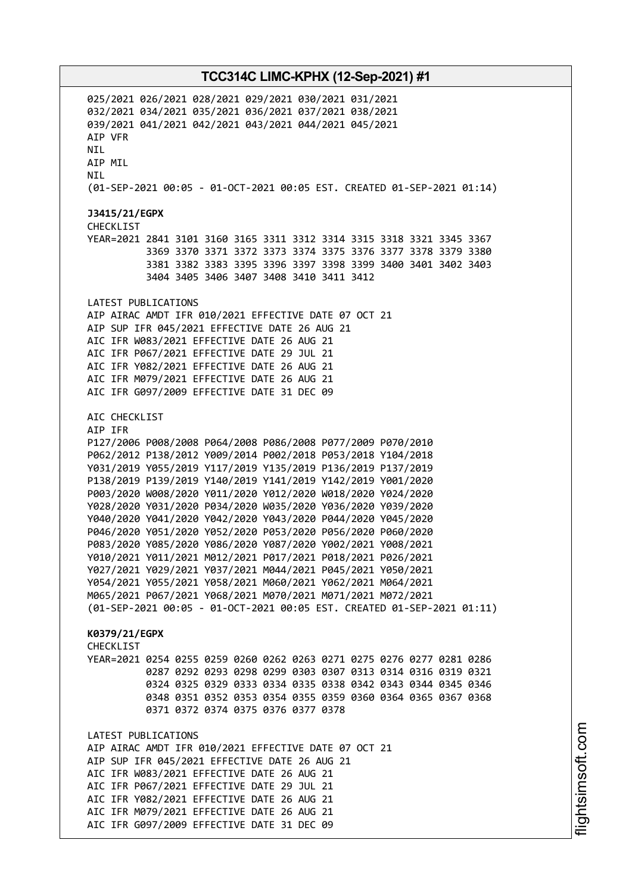025/2021 026/2021 028/2021 029/2021 030/2021 031/2021 032/2021 034/2021 035/2021 036/2021 037/2021 038/2021 039/2021 041/2021 042/2021 043/2021 044/2021 045/2021 AIP VFR **NTI** AIP MIL NIL (01-SEP-2021 00:05 - 01-OCT-2021 00:05 EST. CREATED 01-SEP-2021 01:14) **J3415/21/EGPX** CHECKLIST YEAR=2021 2841 3101 3160 3165 3311 3312 3314 3315 3318 3321 3345 3367 3369 3370 3371 3372 3373 3374 3375 3376 3377 3378 3379 3380 3381 3382 3383 3395 3396 3397 3398 3399 3400 3401 3402 3403 3404 3405 3406 3407 3408 3410 3411 3412 LATEST PUBLICATIONS AIP AIRAC AMDT IFR 010/2021 EFFECTIVE DATE 07 OCT 21 AIP SUP IFR 045/2021 EFFECTIVE DATE 26 AUG 21 AIC IFR W083/2021 EFFECTIVE DATE 26 AUG 21 AIC IFR P067/2021 EFFECTIVE DATE 29 JUL 21 AIC IFR Y082/2021 EFFECTIVE DATE 26 AUG 21 AIC IFR M079/2021 EFFECTIVE DATE 26 AUG 21 AIC IFR G097/2009 EFFECTIVE DATE 31 DEC 09 AIC CHECKLIST AIP IFR P127/2006 P008/2008 P064/2008 P086/2008 P077/2009 P070/2010 P062/2012 P138/2012 Y009/2014 P002/2018 P053/2018 Y104/2018 Y031/2019 Y055/2019 Y117/2019 Y135/2019 P136/2019 P137/2019 P138/2019 P139/2019 Y140/2019 Y141/2019 Y142/2019 Y001/2020 P003/2020 W008/2020 Y011/2020 Y012/2020 W018/2020 Y024/2020 Y028/2020 Y031/2020 P034/2020 W035/2020 Y036/2020 Y039/2020 Y040/2020 Y041/2020 Y042/2020 Y043/2020 P044/2020 Y045/2020 P046/2020 Y051/2020 Y052/2020 P053/2020 P056/2020 P060/2020 P083/2020 Y085/2020 Y086/2020 Y087/2020 Y002/2021 Y008/2021 Y010/2021 Y011/2021 M012/2021 P017/2021 P018/2021 P026/2021 Y027/2021 Y029/2021 Y037/2021 M044/2021 P045/2021 Y050/2021 Y054/2021 Y055/2021 Y058/2021 M060/2021 Y062/2021 M064/2021 M065/2021 P067/2021 Y068/2021 M070/2021 M071/2021 M072/2021 (01-SEP-2021 00:05 - 01-OCT-2021 00:05 EST. CREATED 01-SEP-2021 01:11) **K0379/21/EGPX CHECKLIST** YEAR=2021 0254 0255 0259 0260 0262 0263 0271 0275 0276 0277 0281 0286 0287 0292 0293 0298 0299 0303 0307 0313 0314 0316 0319 0321 0324 0325 0329 0333 0334 0335 0338 0342 0343 0344 0345 0346 0348 0351 0352 0353 0354 0355 0359 0360 0364 0365 0367 0368 0371 0372 0374 0375 0376 0377 0378 LATEST PUBLICATIONS AIP AIRAC AMDT IFR 010/2021 EFFECTIVE DATE 07 OCT 21 AIP SUP IFR 045/2021 EFFECTIVE DATE 26 AUG 21 AIC IFR W083/2021 EFFECTIVE DATE 26 AUG 21 AIC IFR P067/2021 EFFECTIVE DATE 29 JUL 21 AIC IFR Y082/2021 EFFECTIVE DATE 26 AUG 21 AIC IFR M079/2021 EFFECTIVE DATE 26 AUG 21 AIC IFR G097/2009 EFFECTIVE DATE 31 DEC 09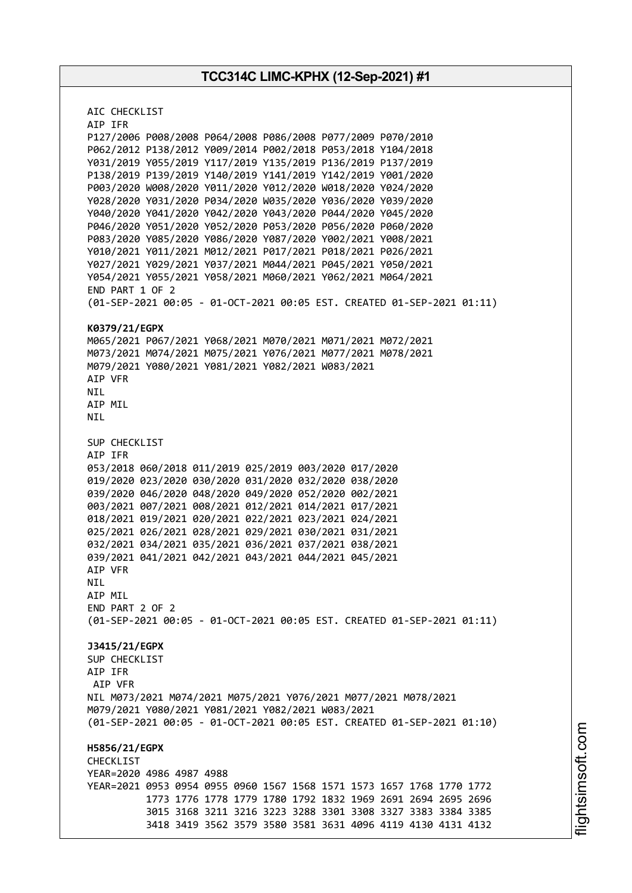AIC CHECKLIST AIP IFR P127/2006 P008/2008 P064/2008 P086/2008 P077/2009 P070/2010 P062/2012 P138/2012 Y009/2014 P002/2018 P053/2018 Y104/2018 Y031/2019 Y055/2019 Y117/2019 Y135/2019 P136/2019 P137/2019 P138/2019 P139/2019 Y140/2019 Y141/2019 Y142/2019 Y001/2020 P003/2020 W008/2020 Y011/2020 Y012/2020 W018/2020 Y024/2020 Y028/2020 Y031/2020 P034/2020 W035/2020 Y036/2020 Y039/2020 Y040/2020 Y041/2020 Y042/2020 Y043/2020 P044/2020 Y045/2020 P046/2020 Y051/2020 Y052/2020 P053/2020 P056/2020 P060/2020 P083/2020 Y085/2020 Y086/2020 Y087/2020 Y002/2021 Y008/2021 Y010/2021 Y011/2021 M012/2021 P017/2021 P018/2021 P026/2021 Y027/2021 Y029/2021 Y037/2021 M044/2021 P045/2021 Y050/2021 Y054/2021 Y055/2021 Y058/2021 M060/2021 Y062/2021 M064/2021 END PART 1 OF 2 (01-SEP-2021 00:05 - 01-OCT-2021 00:05 EST. CREATED 01-SEP-2021 01:11) **K0379/21/EGPX** M065/2021 P067/2021 Y068/2021 M070/2021 M071/2021 M072/2021 M073/2021 M074/2021 M075/2021 Y076/2021 M077/2021 M078/2021 M079/2021 Y080/2021 Y081/2021 Y082/2021 W083/2021 AIP VFR NIL AIP MIL NIL SUP CHECKLIST AIP IFR 053/2018 060/2018 011/2019 025/2019 003/2020 017/2020 019/2020 023/2020 030/2020 031/2020 032/2020 038/2020 039/2020 046/2020 048/2020 049/2020 052/2020 002/2021 003/2021 007/2021 008/2021 012/2021 014/2021 017/2021 018/2021 019/2021 020/2021 022/2021 023/2021 024/2021 025/2021 026/2021 028/2021 029/2021 030/2021 031/2021 032/2021 034/2021 035/2021 036/2021 037/2021 038/2021 039/2021 041/2021 042/2021 043/2021 044/2021 045/2021 AIP VFR NIL AIP MIL END PART 2 OF 2 (01-SEP-2021 00:05 - 01-OCT-2021 00:05 EST. CREATED 01-SEP-2021 01:11) **J3415/21/EGPX** SUP CHECKLIST AIP IFR AIP VFR NIL M073/2021 M074/2021 M075/2021 Y076/2021 M077/2021 M078/2021 M079/2021 Y080/2021 Y081/2021 Y082/2021 W083/2021 (01-SEP-2021 00:05 - 01-OCT-2021 00:05 EST. CREATED 01-SEP-2021 01:10) **H5856/21/EGPX** CHECKLIST YEAR=2020 4986 4987 4988 YEAR=2021 0953 0954 0955 0960 1567 1568 1571 1573 1657 1768 1770 1772 1773 1776 1778 1779 1780 1792 1832 1969 2691 2694 2695 2696 3015 3168 3211 3216 3223 3288 3301 3308 3327 3383 3384 3385 3418 3419 3562 3579 3580 3581 3631 4096 4119 4130 4131 4132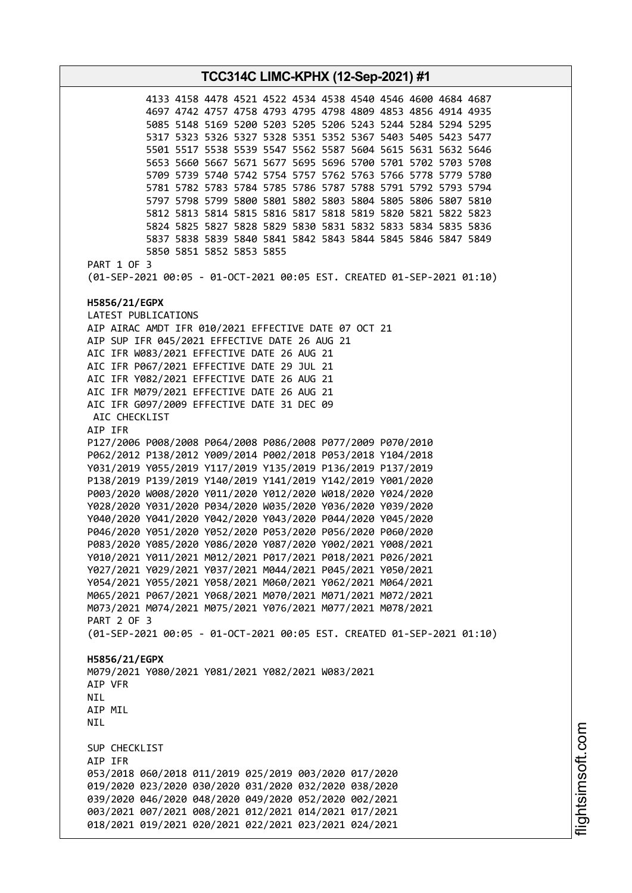**TCC314C LIMC-KPHX (12-Sep-2021) #1** 4133 4158 4478 4521 4522 4534 4538 4540 4546 4600 4684 4687 4697 4742 4757 4758 4793 4795 4798 4809 4853 4856 4914 4935 5085 5148 5169 5200 5203 5205 5206 5243 5244 5284 5294 5295 5317 5323 5326 5327 5328 5351 5352 5367 5403 5405 5423 5477 5501 5517 5538 5539 5547 5562 5587 5604 5615 5631 5632 5646 5653 5660 5667 5671 5677 5695 5696 5700 5701 5702 5703 5708 5709 5739 5740 5742 5754 5757 5762 5763 5766 5778 5779 5780 5781 5782 5783 5784 5785 5786 5787 5788 5791 5792 5793 5794 5797 5798 5799 5800 5801 5802 5803 5804 5805 5806 5807 5810 5812 5813 5814 5815 5816 5817 5818 5819 5820 5821 5822 5823 5824 5825 5827 5828 5829 5830 5831 5832 5833 5834 5835 5836 5837 5838 5839 5840 5841 5842 5843 5844 5845 5846 5847 5849 5850 5851 5852 5853 5855 PART 1 OF 3 (01-SEP-2021 00:05 - 01-OCT-2021 00:05 EST. CREATED 01-SEP-2021 01:10) **H5856/21/EGPX** LATEST PUBLICATIONS AIP AIRAC AMDT IFR 010/2021 EFFECTIVE DATE 07 OCT 21 AIP SUP IFR 045/2021 EFFECTIVE DATE 26 AUG 21 AIC IFR W083/2021 EFFECTIVE DATE 26 AUG 21 AIC IFR P067/2021 EFFECTIVE DATE 29 JUL 21 AIC IFR Y082/2021 EFFECTIVE DATE 26 AUG 21 AIC IFR M079/2021 EFFECTIVE DATE 26 AUG 21 AIC IFR G097/2009 EFFECTIVE DATE 31 DEC 09 AIC CHECKLIST AIP IFR P127/2006 P008/2008 P064/2008 P086/2008 P077/2009 P070/2010 P062/2012 P138/2012 Y009/2014 P002/2018 P053/2018 Y104/2018 Y031/2019 Y055/2019 Y117/2019 Y135/2019 P136/2019 P137/2019 P138/2019 P139/2019 Y140/2019 Y141/2019 Y142/2019 Y001/2020 P003/2020 W008/2020 Y011/2020 Y012/2020 W018/2020 Y024/2020 Y028/2020 Y031/2020 P034/2020 W035/2020 Y036/2020 Y039/2020 Y040/2020 Y041/2020 Y042/2020 Y043/2020 P044/2020 Y045/2020 P046/2020 Y051/2020 Y052/2020 P053/2020 P056/2020 P060/2020 P083/2020 Y085/2020 Y086/2020 Y087/2020 Y002/2021 Y008/2021 Y010/2021 Y011/2021 M012/2021 P017/2021 P018/2021 P026/2021 Y027/2021 Y029/2021 Y037/2021 M044/2021 P045/2021 Y050/2021 Y054/2021 Y055/2021 Y058/2021 M060/2021 Y062/2021 M064/2021 M065/2021 P067/2021 Y068/2021 M070/2021 M071/2021 M072/2021 M073/2021 M074/2021 M075/2021 Y076/2021 M077/2021 M078/2021 PART 2 OF 3 (01-SEP-2021 00:05 - 01-OCT-2021 00:05 EST. CREATED 01-SEP-2021 01:10) **H5856/21/EGPX** M079/2021 Y080/2021 Y081/2021 Y082/2021 W083/2021 AIP VFR **NTI** AIP MIL NIL SUP CHECKLIST AIP IFR 053/2018 060/2018 011/2019 025/2019 003/2020 017/2020 019/2020 023/2020 030/2020 031/2020 032/2020 038/2020 039/2020 046/2020 048/2020 049/2020 052/2020 002/2021 003/2021 007/2021 008/2021 012/2021 014/2021 017/2021 018/2021 019/2021 020/2021 022/2021 023/2021 024/2021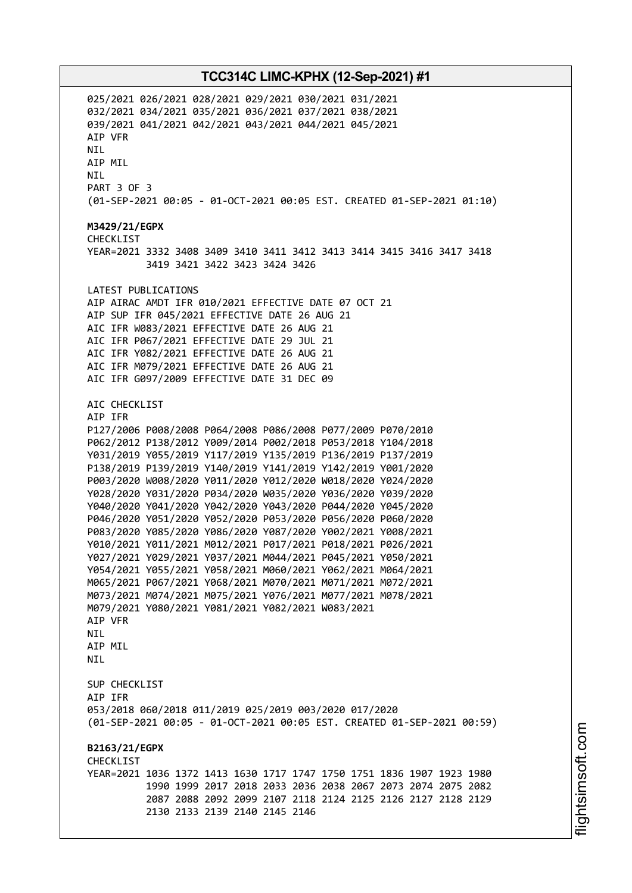025/2021 026/2021 028/2021 029/2021 030/2021 031/2021 032/2021 034/2021 035/2021 036/2021 037/2021 038/2021 039/2021 041/2021 042/2021 043/2021 044/2021 045/2021 AIP VFR **NTI** AIP MIL NIL PART 3 OF 3 (01-SEP-2021 00:05 - 01-OCT-2021 00:05 EST. CREATED 01-SEP-2021 01:10) **M3429/21/EGPX** CHECKL<sub>IST</sub> YEAR=2021 3332 3408 3409 3410 3411 3412 3413 3414 3415 3416 3417 3418 3419 3421 3422 3423 3424 3426 LATEST PUBLICATIONS AIP AIRAC AMDT IFR 010/2021 EFFECTIVE DATE 07 OCT 21 AIP SUP IFR 045/2021 EFFECTIVE DATE 26 AUG 21 AIC IFR W083/2021 EFFECTIVE DATE 26 AUG 21 AIC IFR P067/2021 EFFECTIVE DATE 29 JUL 21 AIC IFR Y082/2021 EFFECTIVE DATE 26 AUG 21 AIC IFR M079/2021 EFFECTIVE DATE 26 AUG 21 AIC IFR G097/2009 EFFECTIVE DATE 31 DEC 09 AIC CHECKLIST AIP IFR P127/2006 P008/2008 P064/2008 P086/2008 P077/2009 P070/2010 P062/2012 P138/2012 Y009/2014 P002/2018 P053/2018 Y104/2018 Y031/2019 Y055/2019 Y117/2019 Y135/2019 P136/2019 P137/2019 P138/2019 P139/2019 Y140/2019 Y141/2019 Y142/2019 Y001/2020 P003/2020 W008/2020 Y011/2020 Y012/2020 W018/2020 Y024/2020 Y028/2020 Y031/2020 P034/2020 W035/2020 Y036/2020 Y039/2020 Y040/2020 Y041/2020 Y042/2020 Y043/2020 P044/2020 Y045/2020 P046/2020 Y051/2020 Y052/2020 P053/2020 P056/2020 P060/2020 P083/2020 Y085/2020 Y086/2020 Y087/2020 Y002/2021 Y008/2021 Y010/2021 Y011/2021 M012/2021 P017/2021 P018/2021 P026/2021 Y027/2021 Y029/2021 Y037/2021 M044/2021 P045/2021 Y050/2021 Y054/2021 Y055/2021 Y058/2021 M060/2021 Y062/2021 M064/2021 M065/2021 P067/2021 Y068/2021 M070/2021 M071/2021 M072/2021 M073/2021 M074/2021 M075/2021 Y076/2021 M077/2021 M078/2021 M079/2021 Y080/2021 Y081/2021 Y082/2021 W083/2021 AIP VFR NIL AIP MIL **NTI** SUP CHECKLIST AIP IFR 053/2018 060/2018 011/2019 025/2019 003/2020 017/2020 (01-SEP-2021 00:05 - 01-OCT-2021 00:05 EST. CREATED 01-SEP-2021 00:59) **B2163/21/EGPX** CHECKLIST YEAR=2021 1036 1372 1413 1630 1717 1747 1750 1751 1836 1907 1923 1980 1990 1999 2017 2018 2033 2036 2038 2067 2073 2074 2075 2082 2087 2088 2092 2099 2107 2118 2124 2125 2126 2127 2128 2129 2130 2133 2139 2140 2145 2146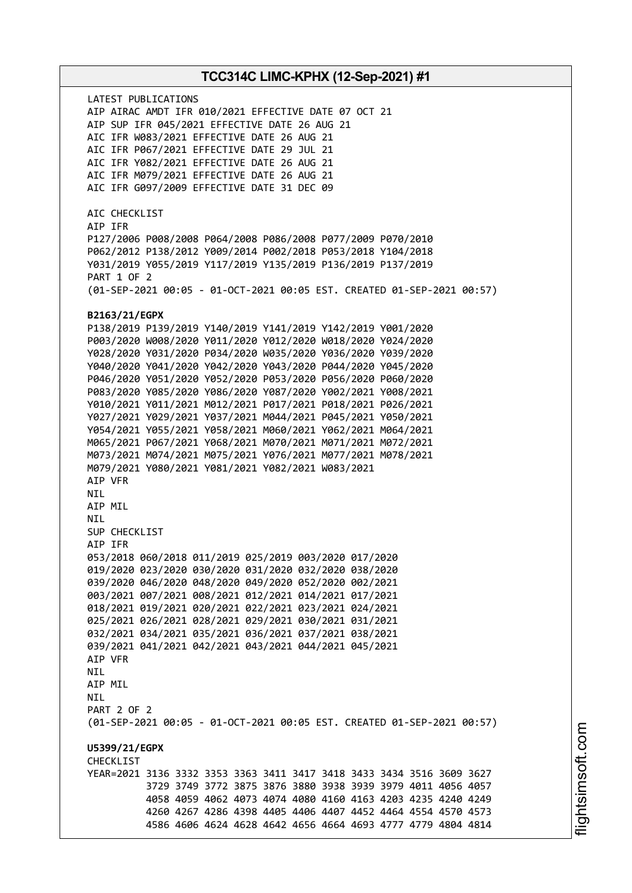LATEST PUBLICATIONS AIP AIRAC AMDT IFR 010/2021 EFFECTIVE DATE 07 OCT 21 AIP SUP IFR 045/2021 EFFECTIVE DATE 26 AUG 21 AIC IFR W083/2021 EFFECTIVE DATE 26 AUG 21 AIC IFR P067/2021 EFFECTIVE DATE 29 JUL 21 AIC IFR Y082/2021 EFFECTIVE DATE 26 AUG 21 AIC IFR M079/2021 EFFECTIVE DATE 26 AUG 21 AIC IFR G097/2009 EFFECTIVE DATE 31 DEC 09 AIC CHECKLIST AIP IFR P127/2006 P008/2008 P064/2008 P086/2008 P077/2009 P070/2010 P062/2012 P138/2012 Y009/2014 P002/2018 P053/2018 Y104/2018 Y031/2019 Y055/2019 Y117/2019 Y135/2019 P136/2019 P137/2019 PART 1 OF 2 (01-SEP-2021 00:05 - 01-OCT-2021 00:05 EST. CREATED 01-SEP-2021 00:57) **B2163/21/EGPX** P138/2019 P139/2019 Y140/2019 Y141/2019 Y142/2019 Y001/2020 P003/2020 W008/2020 Y011/2020 Y012/2020 W018/2020 Y024/2020 Y028/2020 Y031/2020 P034/2020 W035/2020 Y036/2020 Y039/2020 Y040/2020 Y041/2020 Y042/2020 Y043/2020 P044/2020 Y045/2020 P046/2020 Y051/2020 Y052/2020 P053/2020 P056/2020 P060/2020 P083/2020 Y085/2020 Y086/2020 Y087/2020 Y002/2021 Y008/2021 Y010/2021 Y011/2021 M012/2021 P017/2021 P018/2021 P026/2021 Y027/2021 Y029/2021 Y037/2021 M044/2021 P045/2021 Y050/2021 Y054/2021 Y055/2021 Y058/2021 M060/2021 Y062/2021 M064/2021 M065/2021 P067/2021 Y068/2021 M070/2021 M071/2021 M072/2021 M073/2021 M074/2021 M075/2021 Y076/2021 M077/2021 M078/2021 M079/2021 Y080/2021 Y081/2021 Y082/2021 W083/2021 AIP VFR NIL AIP MIL NIL SUP CHECKLIST AIP IFR 053/2018 060/2018 011/2019 025/2019 003/2020 017/2020 019/2020 023/2020 030/2020 031/2020 032/2020 038/2020 039/2020 046/2020 048/2020 049/2020 052/2020 002/2021 003/2021 007/2021 008/2021 012/2021 014/2021 017/2021 018/2021 019/2021 020/2021 022/2021 023/2021 024/2021 025/2021 026/2021 028/2021 029/2021 030/2021 031/2021 032/2021 034/2021 035/2021 036/2021 037/2021 038/2021 039/2021 041/2021 042/2021 043/2021 044/2021 045/2021 AIP VFR NIL AIP MIL **NTI** PART 2 OF 2 (01-SEP-2021 00:05 - 01-OCT-2021 00:05 EST. CREATED 01-SEP-2021 00:57) **U5399/21/EGPX** CHECKLIST YEAR=2021 3136 3332 3353 3363 3411 3417 3418 3433 3434 3516 3609 3627 3729 3749 3772 3875 3876 3880 3938 3939 3979 4011 4056 4057 4058 4059 4062 4073 4074 4080 4160 4163 4203 4235 4240 4249 4260 4267 4286 4398 4405 4406 4407 4452 4464 4554 4570 4573 4586 4606 4624 4628 4642 4656 4664 4693 4777 4779 4804 4814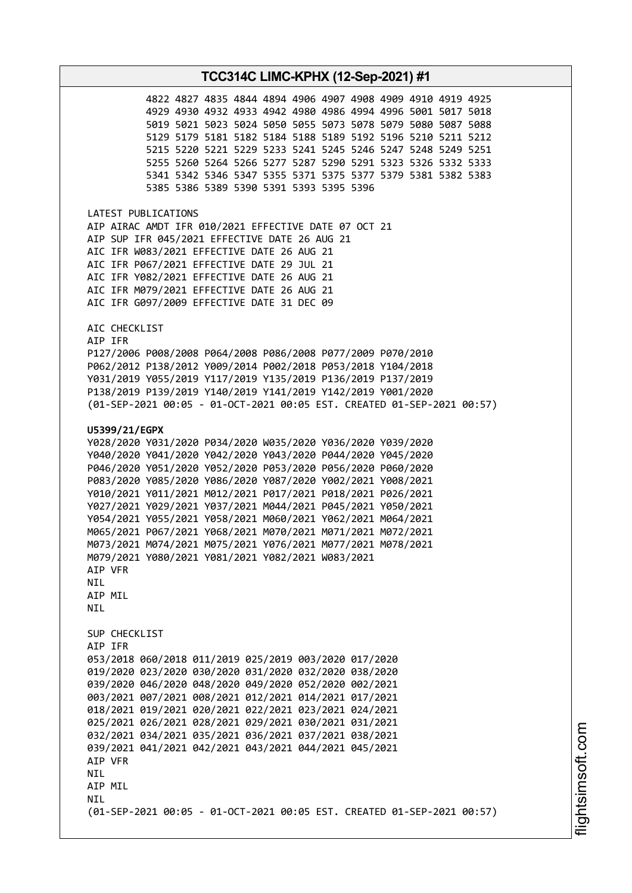4827 4835 4844 4894 4906 4907 4908 4909 4910 4919 4925 4930 4932 4933 4942 4980 4986 4994 4996 5001 5017 5018 5021 5023 5024 5050 5055 5073 5078 5079 5080 5087 5088 5179 5181 5182 5184 5188 5189 5192 5196 5210 5211 5212 5220 5221 5229 5233 5241 5245 5246 5247 5248 5249 5251 5260 5264 5266 5277 5287 5290 5291 5323 5326 5332 5333 5342 5346 5347 5355 5371 5375 5377 5379 5381 5382 5383 5386 5389 5390 5391 5393 5395 5396

LATEST PUBLICATIONS AIP AIRAC AMDT IFR 010/2021 EFFECTIVE DATE 07 OCT 21 AIP SUP IFR 045/2021 EFFECTIVE DATE 26 AUG 21 AIC IFR W083/2021 EFFECTIVE DATE 26 AUG 21 AIC IFR P067/2021 EFFECTIVE DATE 29 JUL 21 AIC IFR Y082/2021 EFFECTIVE DATE 26 AUG 21 AIC IFR M079/2021 EFFECTIVE DATE 26 AUG 21 AIC IFR G097/2009 EFFECTIVE DATE 31 DEC 09

AIC CHECKLIST

AIP IFR P127/2006 P008/2008 P064/2008 P086/2008 P077/2009 P070/2010 P062/2012 P138/2012 Y009/2014 P002/2018 P053/2018 Y104/2018 Y031/2019 Y055/2019 Y117/2019 Y135/2019 P136/2019 P137/2019 P138/2019 P139/2019 Y140/2019 Y141/2019 Y142/2019 Y001/2020 (01-SEP-2021 00:05 - 01-OCT-2021 00:05 EST. CREATED 01-SEP-2021 00:57)

#### **U5399/21/EGPX**

Y028/2020 Y031/2020 P034/2020 W035/2020 Y036/2020 Y039/2020 Y040/2020 Y041/2020 Y042/2020 Y043/2020 P044/2020 Y045/2020 P046/2020 Y051/2020 Y052/2020 P053/2020 P056/2020 P060/2020 P083/2020 Y085/2020 Y086/2020 Y087/2020 Y002/2021 Y008/2021 Y010/2021 Y011/2021 M012/2021 P017/2021 P018/2021 P026/2021 Y027/2021 Y029/2021 Y037/2021 M044/2021 P045/2021 Y050/2021 Y054/2021 Y055/2021 Y058/2021 M060/2021 Y062/2021 M064/2021 M065/2021 P067/2021 Y068/2021 M070/2021 M071/2021 M072/2021 M073/2021 M074/2021 M075/2021 Y076/2021 M077/2021 M078/2021 M079/2021 Y080/2021 Y081/2021 Y082/2021 W083/2021 AIP VFR NIL AIP MIL **NTI** SUP CHECKLIST AIP IFR 053/2018 060/2018 011/2019 025/2019 003/2020 017/2020 019/2020 023/2020 030/2020 031/2020 032/2020 038/2020 039/2020 046/2020 048/2020 049/2020 052/2020 002/2021 003/2021 007/2021 008/2021 012/2021 014/2021 017/2021 018/2021 019/2021 020/2021 022/2021 023/2021 024/2021 025/2021 026/2021 028/2021 029/2021 030/2021 031/2021 032/2021 034/2021 035/2021 036/2021 037/2021 038/2021 039/2021 041/2021 042/2021 043/2021 044/2021 045/2021 AIP VFR **NTL** AIP MIL **NTI** (01-SEP-2021 00:05 - 01-OCT-2021 00:05 EST. CREATED 01-SEP-2021 00:57)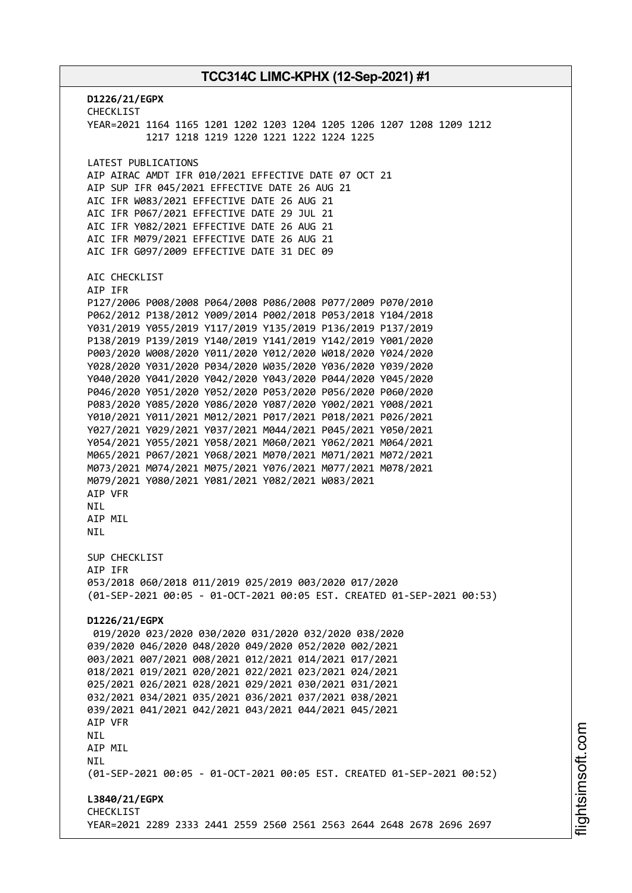**D1226/21/EGPX** CHECKLIST YEAR=2021 1164 1165 1201 1202 1203 1204 1205 1206 1207 1208 1209 1212 1217 1218 1219 1220 1221 1222 1224 1225 LATEST PUBLICATIONS AIP AIRAC AMDT IFR 010/2021 EFFECTIVE DATE 07 OCT 21 AIP SUP IFR 045/2021 EFFECTIVE DATE 26 AUG 21 AIC IFR W083/2021 EFFECTIVE DATE 26 AUG 21 AIC IFR P067/2021 EFFECTIVE DATE 29 JUL 21 AIC IFR Y082/2021 EFFECTIVE DATE 26 AUG 21 AIC IFR M079/2021 EFFECTIVE DATE 26 AUG 21 AIC IFR G097/2009 EFFECTIVE DATE 31 DEC 09 AIC CHECKLIST AIP IFR P127/2006 P008/2008 P064/2008 P086/2008 P077/2009 P070/2010 P062/2012 P138/2012 Y009/2014 P002/2018 P053/2018 Y104/2018 Y031/2019 Y055/2019 Y117/2019 Y135/2019 P136/2019 P137/2019 P138/2019 P139/2019 Y140/2019 Y141/2019 Y142/2019 Y001/2020 P003/2020 W008/2020 Y011/2020 Y012/2020 W018/2020 Y024/2020 Y028/2020 Y031/2020 P034/2020 W035/2020 Y036/2020 Y039/2020 Y040/2020 Y041/2020 Y042/2020 Y043/2020 P044/2020 Y045/2020 P046/2020 Y051/2020 Y052/2020 P053/2020 P056/2020 P060/2020 P083/2020 Y085/2020 Y086/2020 Y087/2020 Y002/2021 Y008/2021 Y010/2021 Y011/2021 M012/2021 P017/2021 P018/2021 P026/2021 Y027/2021 Y029/2021 Y037/2021 M044/2021 P045/2021 Y050/2021 Y054/2021 Y055/2021 Y058/2021 M060/2021 Y062/2021 M064/2021 M065/2021 P067/2021 Y068/2021 M070/2021 M071/2021 M072/2021 M073/2021 M074/2021 M075/2021 Y076/2021 M077/2021 M078/2021 M079/2021 Y080/2021 Y081/2021 Y082/2021 W083/2021 AIP VFR NIL **ATP MTL** NIL SUP CHECKLIST AIP IFR 053/2018 060/2018 011/2019 025/2019 003/2020 017/2020 (01-SEP-2021 00:05 - 01-OCT-2021 00:05 EST. CREATED 01-SEP-2021 00:53) **D1226/21/EGPX** 019/2020 023/2020 030/2020 031/2020 032/2020 038/2020 039/2020 046/2020 048/2020 049/2020 052/2020 002/2021 003/2021 007/2021 008/2021 012/2021 014/2021 017/2021 018/2021 019/2021 020/2021 022/2021 023/2021 024/2021 025/2021 026/2021 028/2021 029/2021 030/2021 031/2021 032/2021 034/2021 035/2021 036/2021 037/2021 038/2021 039/2021 041/2021 042/2021 043/2021 044/2021 045/2021 AIP VFR NIL AIP MIL NIL (01-SEP-2021 00:05 - 01-OCT-2021 00:05 EST. CREATED 01-SEP-2021 00:52) **L3840/21/EGPX** CHECKLIST YEAR=2021 2289 2333 2441 2559 2560 2561 2563 2644 2648 2678 2696 2697

m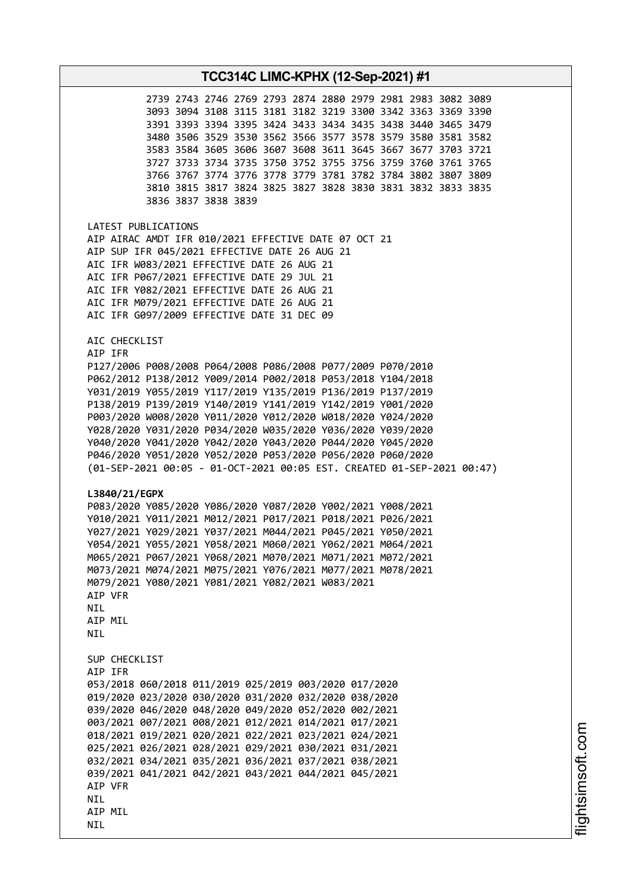| TCC314C LIMC-KPHX (12-Sep-2021) #1                                                                                                                                                                                                                                                                                                                                                                                                                                                                                                                                                                                                                                                                                                                                                                                                                                                                                                                                                                                                                                                                                             |  |  |  |  |
|--------------------------------------------------------------------------------------------------------------------------------------------------------------------------------------------------------------------------------------------------------------------------------------------------------------------------------------------------------------------------------------------------------------------------------------------------------------------------------------------------------------------------------------------------------------------------------------------------------------------------------------------------------------------------------------------------------------------------------------------------------------------------------------------------------------------------------------------------------------------------------------------------------------------------------------------------------------------------------------------------------------------------------------------------------------------------------------------------------------------------------|--|--|--|--|
| 2739 2743 2746 2769 2793 2874 2880 2979 2981 2983 3082 3089<br>3093 3094 3108 3115 3181 3182 3219 3300 3342 3363 3369 3390<br>3391 3393 3394 3395 3424 3433 3434 3435 3438 3440 3465 3479<br>3480 3506 3529 3530 3562 3566 3577 3578 3579 3580 3581 3582<br>3583 3584 3605 3606 3607 3608 3611 3645 3667 3677 3703 3721<br>3727 3733 3734 3735 3750 3752 3755 3756 3759 3760 3761 3765<br>3766 3767 3774 3776 3778 3779 3781 3782 3784 3802 3807 3809<br>3810 3815 3817 3824 3825 3827 3828 3830 3831 3832 3833 3835<br>3836 3837 3838 3839                                                                                                                                                                                                                                                                                                                                                                                                                                                                                                                                                                                    |  |  |  |  |
| LATEST PUBLICATIONS<br>AIP AIRAC AMDT IFR 010/2021 EFFECTIVE DATE 07 OCT 21<br>AIP SUP IFR 045/2021 EFFECTIVE DATE 26 AUG 21<br>AIC IFR W083/2021 EFFECTIVE DATE 26 AUG 21<br>AIC IFR P067/2021 EFFECTIVE DATE 29 JUL 21<br>AIC IFR Y082/2021 EFFECTIVE DATE 26 AUG 21<br>AIC IFR M079/2021 EFFECTIVE DATE 26 AUG 21<br>AIC IFR G097/2009 EFFECTIVE DATE 31 DEC 09                                                                                                                                                                                                                                                                                                                                                                                                                                                                                                                                                                                                                                                                                                                                                             |  |  |  |  |
| AIC CHECKLIST<br>AIP IFR<br>P127/2006 P008/2008 P064/2008 P086/2008 P077/2009 P070/2010<br>P062/2012 P138/2012 Y009/2014 P002/2018 P053/2018 Y104/2018<br>Y031/2019 Y055/2019 Y117/2019 Y135/2019 P136/2019 P137/2019<br>P138/2019 P139/2019 Y140/2019 Y141/2019 Y142/2019 Y001/2020<br>P003/2020 W008/2020 Y011/2020 Y012/2020 W018/2020 Y024/2020<br>Y028/2020 Y031/2020 P034/2020 W035/2020 Y036/2020 Y039/2020<br>Y040/2020 Y041/2020 Y042/2020 Y043/2020 P044/2020 Y045/2020<br>P046/2020 Y051/2020 Y052/2020 P053/2020 P056/2020 P060/2020<br>(01-SEP-2021 00:05 - 01-OCT-2021 00:05 EST. CREATED 01-SEP-2021 00:47)<br>L3840/21/EGPX<br>P083/2020 Y085/2020 Y086/2020 Y087/2020 Y002/2021 Y008/2021<br>Y010/2021 Y011/2021 M012/2021 P017/2021 P018/2021 P026/2021<br>Y027/2021 Y029/2021 Y037/2021 M044/2021 P045/2021 Y050/2021<br>Y054/2021 Y055/2021 Y058/2021 M060/2021 Y062/2021 M064/2021<br>M065/2021 P067/2021 Y068/2021 M070/2021 M071/2021 M072/2021<br>M073/2021 M074/2021 M075/2021 Y076/2021 M077/2021 M078/2021<br>M079/2021 Y080/2021 Y081/2021 Y082/2021 W083/2021<br>AIP VFR<br>NIL<br>AIP MIL<br>NIL |  |  |  |  |
| SUP CHECKLIST<br>AIP IFR<br>053/2018 060/2018 011/2019 025/2019 003/2020 017/2020<br>019/2020 023/2020 030/2020 031/2020 032/2020 038/2020<br>039/2020 046/2020 048/2020 049/2020 052/2020 002/2021<br>003/2021 007/2021 008/2021 012/2021 014/2021 017/2021<br>018/2021 019/2021 020/2021 022/2021 023/2021 024/2021<br>025/2021 026/2021 028/2021 029/2021 030/2021 031/2021<br>032/2021 034/2021 035/2021 036/2021 037/2021 038/2021<br>039/2021 041/2021 042/2021 043/2021 044/2021 045/2021<br>AIP VFR<br>NIL<br>AIP MIL<br>NIL                                                                                                                                                                                                                                                                                                                                                                                                                                                                                                                                                                                           |  |  |  |  |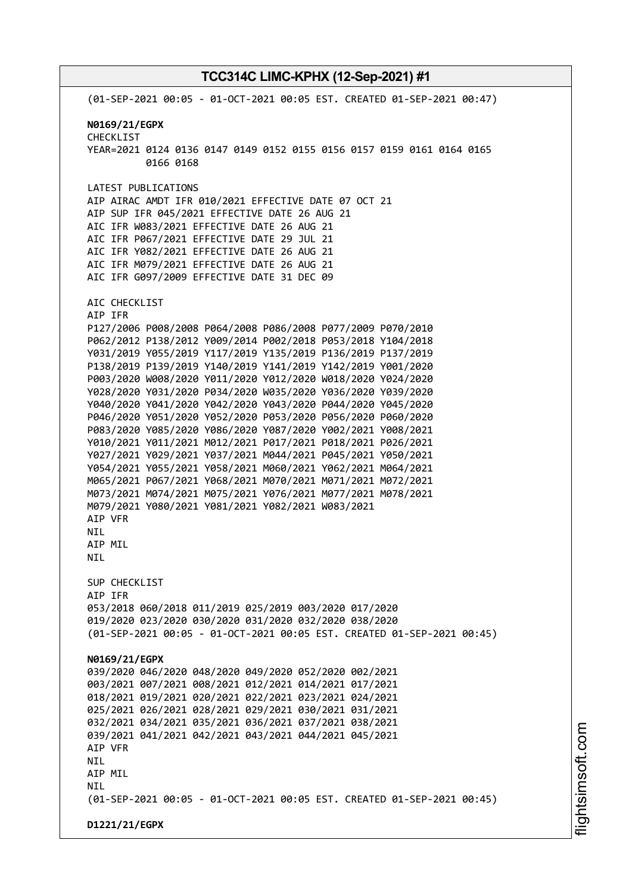(01-SEP-2021 00:05 - 01-OCT-2021 00:05 EST. CREATED 01-SEP-2021 00:47) **N0169/21/EGPX** CHECKLIST YEAR=2021 0124 0136 0147 0149 0152 0155 0156 0157 0159 0161 0164 0165 0166 0168 LATEST PUBLICATIONS AIP AIRAC AMDT IFR 010/2021 EFFECTIVE DATE 07 OCT 21 AIP SUP IFR 045/2021 EFFECTIVE DATE 26 AUG 21 AIC IFR W083/2021 EFFECTIVE DATE 26 AUG 21 AIC IFR P067/2021 EFFECTIVE DATE 29 JUL 21 AIC IFR Y082/2021 EFFECTIVE DATE 26 AUG 21 AIC IFR M079/2021 EFFECTIVE DATE 26 AUG 21 AIC IFR G097/2009 EFFECTIVE DATE 31 DEC 09 AIC CHECKLIST AIP IFR P127/2006 P008/2008 P064/2008 P086/2008 P077/2009 P070/2010 P062/2012 P138/2012 Y009/2014 P002/2018 P053/2018 Y104/2018 Y031/2019 Y055/2019 Y117/2019 Y135/2019 P136/2019 P137/2019 P138/2019 P139/2019 Y140/2019 Y141/2019 Y142/2019 Y001/2020 P003/2020 W008/2020 Y011/2020 Y012/2020 W018/2020 Y024/2020 Y028/2020 Y031/2020 P034/2020 W035/2020 Y036/2020 Y039/2020 Y040/2020 Y041/2020 Y042/2020 Y043/2020 P044/2020 Y045/2020 P046/2020 Y051/2020 Y052/2020 P053/2020 P056/2020 P060/2020 P083/2020 Y085/2020 Y086/2020 Y087/2020 Y002/2021 Y008/2021 Y010/2021 Y011/2021 M012/2021 P017/2021 P018/2021 P026/2021 Y027/2021 Y029/2021 Y037/2021 M044/2021 P045/2021 Y050/2021 Y054/2021 Y055/2021 Y058/2021 M060/2021 Y062/2021 M064/2021 M065/2021 P067/2021 Y068/2021 M070/2021 M071/2021 M072/2021 M073/2021 M074/2021 M075/2021 Y076/2021 M077/2021 M078/2021 M079/2021 Y080/2021 Y081/2021 Y082/2021 W083/2021 AIP VFR NIL AIP MIL NIL SUP CHECKLIST AIP IFR 053/2018 060/2018 011/2019 025/2019 003/2020 017/2020 019/2020 023/2020 030/2020 031/2020 032/2020 038/2020 (01-SEP-2021 00:05 - 01-OCT-2021 00:05 EST. CREATED 01-SEP-2021 00:45) **N0169/21/EGPX** 039/2020 046/2020 048/2020 049/2020 052/2020 002/2021 003/2021 007/2021 008/2021 012/2021 014/2021 017/2021 018/2021 019/2021 020/2021 022/2021 023/2021 024/2021 025/2021 026/2021 028/2021 029/2021 030/2021 031/2021 032/2021 034/2021 035/2021 036/2021 037/2021 038/2021 039/2021 041/2021 042/2021 043/2021 044/2021 045/2021 AIP VFR NIL AIP MIL NIL (01-SEP-2021 00:05 - 01-OCT-2021 00:05 EST. CREATED 01-SEP-2021 00:45) **D1221/21/EGPX**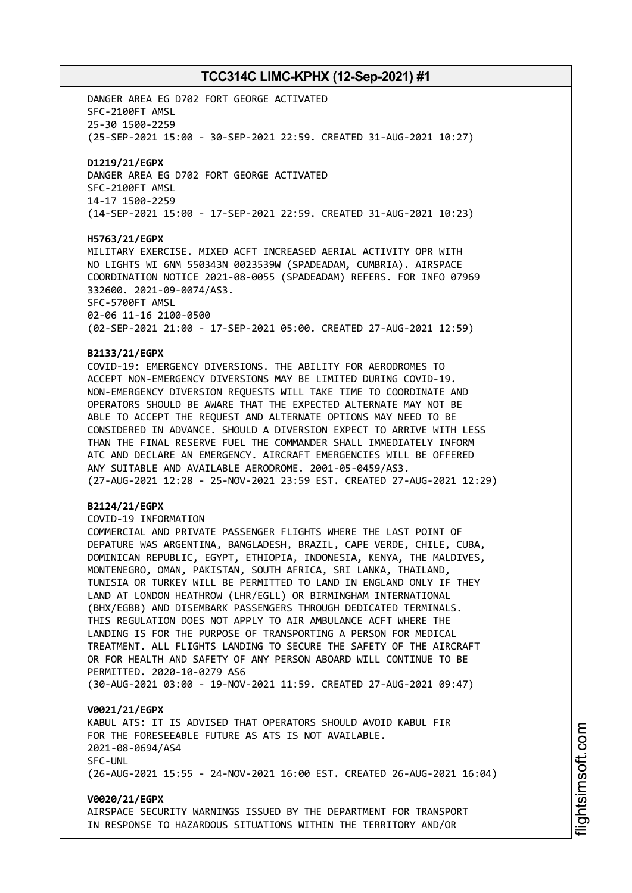DANGER AREA EG D702 FORT GEORGE ACTIVATED SFC-2100FT AMSL 25-30 1500-2259 (25-SEP-2021 15:00 - 30-SEP-2021 22:59. CREATED 31-AUG-2021 10:27) **D1219/21/EGPX** DANGER AREA EG D702 FORT GEORGE ACTIVATED SFC-2100FT AMSL 14-17 1500-2259 (14-SEP-2021 15:00 - 17-SEP-2021 22:59. CREATED 31-AUG-2021 10:23) **H5763/21/EGPX** MILITARY EXERCISE. MIXED ACFT INCREASED AERIAL ACTIVITY OPR WITH NO LIGHTS WI 6NM 550343N 0023539W (SPADEADAM, CUMBRIA). AIRSPACE COORDINATION NOTICE 2021-08-0055 (SPADEADAM) REFERS. FOR INFO 07969 332600. 2021-09-0074/AS3. SFC-5700FT AMSL 02-06 11-16 2100-0500 (02-SEP-2021 21:00 - 17-SEP-2021 05:00. CREATED 27-AUG-2021 12:59)

#### **B2133/21/EGPX**

COVID-19: EMERGENCY DIVERSIONS. THE ABILITY FOR AERODROMES TO ACCEPT NON-EMERGENCY DIVERSIONS MAY BE LIMITED DURING COVID-19. NON-EMERGENCY DIVERSION REQUESTS WILL TAKE TIME TO COORDINATE AND OPERATORS SHOULD BE AWARE THAT THE EXPECTED ALTERNATE MAY NOT BE ABLE TO ACCEPT THE REQUEST AND ALTERNATE OPTIONS MAY NEED TO BE CONSIDERED IN ADVANCE. SHOULD A DIVERSION EXPECT TO ARRIVE WITH LESS THAN THE FINAL RESERVE FUEL THE COMMANDER SHALL IMMEDIATELY INFORM ATC AND DECLARE AN EMERGENCY. AIRCRAFT EMERGENCIES WILL BE OFFERED ANY SUITABLE AND AVAILABLE AERODROME. 2001-05-0459/AS3. (27-AUG-2021 12:28 - 25-NOV-2021 23:59 EST. CREATED 27-AUG-2021 12:29)

#### **B2124/21/EGPX**

COVID-19 INFORMATION

COMMERCIAL AND PRIVATE PASSENGER FLIGHTS WHERE THE LAST POINT OF DEPATURE WAS ARGENTINA, BANGLADESH, BRAZIL, CAPE VERDE, CHILE, CUBA, DOMINICAN REPUBLIC, EGYPT, ETHIOPIA, INDONESIA, KENYA, THE MALDIVES, MONTENEGRO, OMAN, PAKISTAN, SOUTH AFRICA, SRI LANKA, THAILAND, TUNISIA OR TURKEY WILL BE PERMITTED TO LAND IN ENGLAND ONLY IF THEY LAND AT LONDON HEATHROW (LHR/EGLL) OR BIRMINGHAM INTERNATIONAL (BHX/EGBB) AND DISEMBARK PASSENGERS THROUGH DEDICATED TERMINALS. THIS REGULATION DOES NOT APPLY TO AIR AMBULANCE ACFT WHERE THE LANDING IS FOR THE PURPOSE OF TRANSPORTING A PERSON FOR MEDICAL TREATMENT. ALL FLIGHTS LANDING TO SECURE THE SAFETY OF THE AIRCRAFT OR FOR HEALTH AND SAFETY OF ANY PERSON ABOARD WILL CONTINUE TO BE PERMITTED. 2020-10-0279 AS6 (30-AUG-2021 03:00 - 19-NOV-2021 11:59. CREATED 27-AUG-2021 09:47)

#### **V0021/21/EGPX**

KABUL ATS: IT IS ADVISED THAT OPERATORS SHOULD AVOID KABUL FIR FOR THE FORESEEABLE FUTURE AS ATS IS NOT AVAILABLE. 2021-08-0694/AS4 SFC-UNL (26-AUG-2021 15:55 - 24-NOV-2021 16:00 EST. CREATED 26-AUG-2021 16:04)

#### **V0020/21/EGPX**

AIRSPACE SECURITY WARNINGS ISSUED BY THE DEPARTMENT FOR TRANSPORT IN RESPONSE TO HAZARDOUS SITUATIONS WITHIN THE TERRITORY AND/OR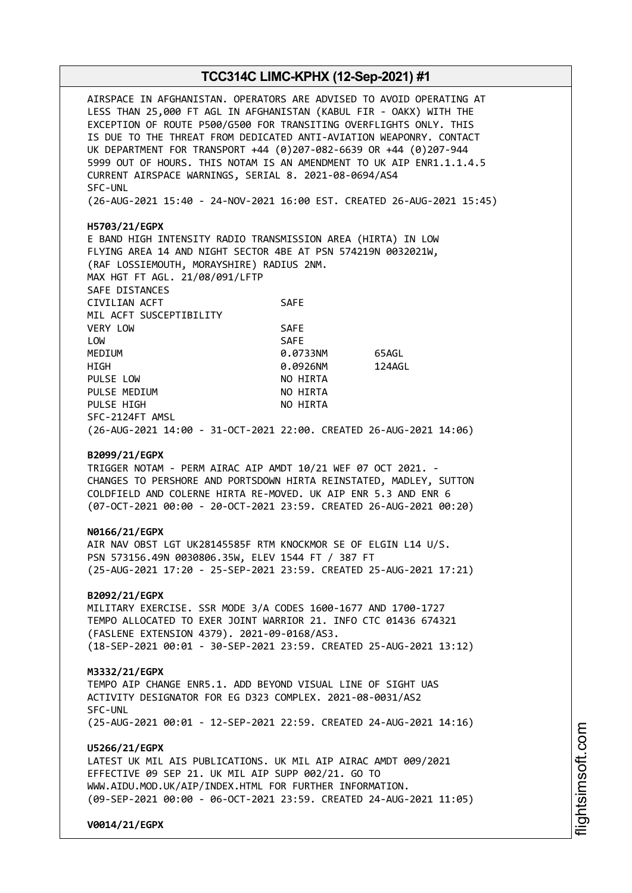AIRSPACE IN AFGHANISTAN. OPERATORS ARE ADVISED TO AVOID OPERATING AT LESS THAN 25,000 FT AGL IN AFGHANISTAN (KABUL FIR - OAKX) WITH THE EXCEPTION OF ROUTE P500/G500 FOR TRANSITING OVERFLIGHTS ONLY. THIS IS DUE TO THE THREAT FROM DEDICATED ANTI-AVIATION WEAPONRY. CONTACT UK DEPARTMENT FOR TRANSPORT +44 (0)207-082-6639 OR +44 (0)207-944 5999 OUT OF HOURS. THIS NOTAM IS AN AMENDMENT TO UK AIP ENR1.1.1.4.5 CURRENT AIRSPACE WARNINGS, SERIAL 8. 2021-08-0694/AS4 SFC-UNL (26-AUG-2021 15:40 - 24-NOV-2021 16:00 EST. CREATED 26-AUG-2021 15:45) **H5703/21/EGPX** E BAND HIGH INTENSITY RADIO TRANSMISSION AREA (HIRTA) IN LOW FLYING AREA 14 AND NIGHT SECTOR 4BE AT PSN 574219N 0032021W, (RAF LOSSIEMOUTH, MORAYSHIRE) RADIUS 2NM. MAX HGT FT AGL. 21/08/091/LFTP SAFE DISTANCES CIVILIAN ACFT SAFE MIL ACFT SUSCEPTIBILITY VERY LOW SAFE LOW SAFE MEDIUM 0.0733NM 65AGL HIGH 0.0926NM 124AGL PULSE LOW NO HIRTA PULSE MEDIUM NO HIRTA PULSE HIGH NO HIRTA SFC-2124FT AMSL (26-AUG-2021 14:00 - 31-OCT-2021 22:00. CREATED 26-AUG-2021 14:06) **B2099/21/EGPX** TRIGGER NOTAM - PERM AIRAC AIP AMDT 10/21 WEF 07 OCT 2021. - CHANGES TO PERSHORE AND PORTSDOWN HIRTA REINSTATED, MADLEY, SUTTON COLDFIELD AND COLERNE HIRTA RE-MOVED. UK AIP ENR 5.3 AND ENR 6 (07-OCT-2021 00:00 - 20-OCT-2021 23:59. CREATED 26-AUG-2021 00:20) **N0166/21/EGPX** AIR NAV OBST LGT UK28145585F RTM KNOCKMOR SE OF ELGIN L14 U/S. PSN 573156.49N 0030806.35W, ELEV 1544 FT / 387 FT (25-AUG-2021 17:20 - 25-SEP-2021 23:59. CREATED 25-AUG-2021 17:21) **B2092/21/EGPX** MILITARY EXERCISE. SSR MODE 3/A CODES 1600-1677 AND 1700-1727 TEMPO ALLOCATED TO EXER JOINT WARRIOR 21. INFO CTC 01436 674321 (FASLENE EXTENSION 4379). 2021-09-0168/AS3. (18-SEP-2021 00:01 - 30-SEP-2021 23:59. CREATED 25-AUG-2021 13:12) **M3332/21/EGPX** TEMPO AIP CHANGE ENR5.1. ADD BEYOND VISUAL LINE OF SIGHT UAS ACTIVITY DESIGNATOR FOR EG D323 COMPLEX. 2021-08-0031/AS2 SFC-UNL (25-AUG-2021 00:01 - 12-SEP-2021 22:59. CREATED 24-AUG-2021 14:16) **U5266/21/EGPX** LATEST UK MIL AIS PUBLICATIONS. UK MIL AIP AIRAC AMDT 009/2021 EFFECTIVE 09 SEP 21. UK MIL AIP SUPP 002/21. GO TO WWW.AIDU.MOD.UK/AIP/INDEX.HTML FOR FURTHER INFORMATION. (09-SEP-2021 00:00 - 06-OCT-2021 23:59. CREATED 24-AUG-2021 11:05) **V0014/21/EGPX**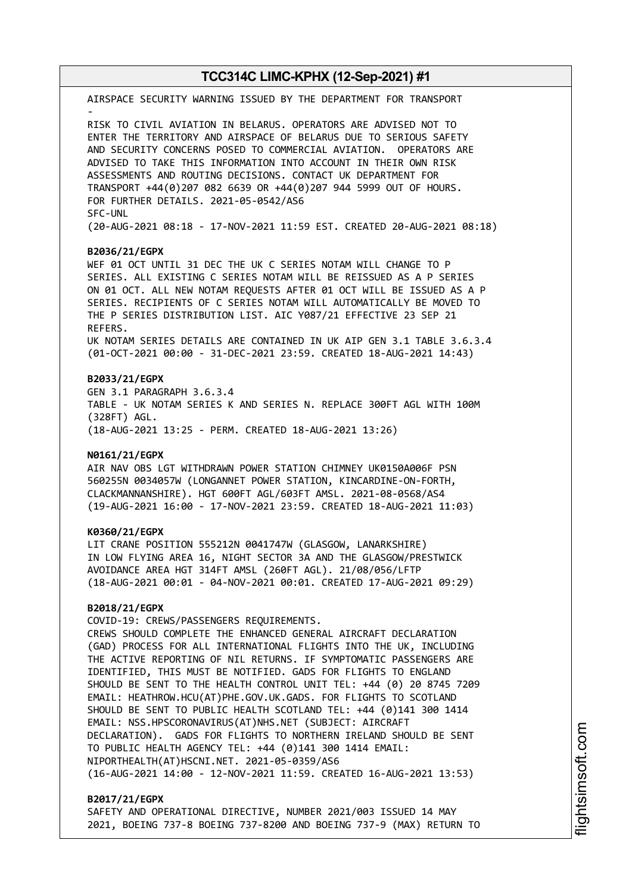AIRSPACE SECURITY WARNING ISSUED BY THE DEPARTMENT FOR TRANSPORT - RISK TO CIVIL AVIATION IN BELARUS. OPERATORS ARE ADVISED NOT TO ENTER THE TERRITORY AND AIRSPACE OF BELARUS DUE TO SERIOUS SAFETY AND SECURITY CONCERNS POSED TO COMMERCIAL AVIATION. OPERATORS ARE ADVISED TO TAKE THIS INFORMATION INTO ACCOUNT IN THEIR OWN RISK ASSESSMENTS AND ROUTING DECISIONS. CONTACT UK DEPARTMENT FOR TRANSPORT +44(0)207 082 6639 OR +44(0)207 944 5999 OUT OF HOURS. FOR FURTHER DETAILS. 2021-05-0542/AS6 SFC-UNL (20-AUG-2021 08:18 - 17-NOV-2021 11:59 EST. CREATED 20-AUG-2021 08:18)

#### **B2036/21/EGPX**

WEF 01 OCT UNTIL 31 DEC THE UK C SERIES NOTAM WILL CHANGE TO P SERIES. ALL EXISTING C SERIES NOTAM WILL BE REISSUED AS A P SERIES ON 01 OCT. ALL NEW NOTAM REQUESTS AFTER 01 OCT WILL BE ISSUED AS A P SERIES. RECIPIENTS OF C SERIES NOTAM WILL AUTOMATICALLY BE MOVED TO THE P SERIES DISTRIBUTION LIST. AIC Y087/21 EFFECTIVE 23 SEP 21 REFERS. UK NOTAM SERIES DETAILS ARE CONTAINED IN UK AIP GEN 3.1 TABLE 3.6.3.4 (01-OCT-2021 00:00 - 31-DEC-2021 23:59. CREATED 18-AUG-2021 14:43)

#### **B2033/21/EGPX**

GEN 3.1 PARAGRAPH 3.6.3.4 TABLE - UK NOTAM SERIES K AND SERIES N. REPLACE 300FT AGL WITH 100M (328FT) AGL. (18-AUG-2021 13:25 - PERM. CREATED 18-AUG-2021 13:26)

#### **N0161/21/EGPX**

AIR NAV OBS LGT WITHDRAWN POWER STATION CHIMNEY UK0150A006F PSN 560255N 0034057W (LONGANNET POWER STATION, KINCARDINE-ON-FORTH, CLACKMANNANSHIRE). HGT 600FT AGL/603FT AMSL. 2021-08-0568/AS4 (19-AUG-2021 16:00 - 17-NOV-2021 23:59. CREATED 18-AUG-2021 11:03)

#### **K0360/21/EGPX**

LIT CRANE POSITION 555212N 0041747W (GLASGOW, LANARKSHIRE) IN LOW FLYING AREA 16, NIGHT SECTOR 3A AND THE GLASGOW/PRESTWICK AVOIDANCE AREA HGT 314FT AMSL (260FT AGL). 21/08/056/LFTP (18-AUG-2021 00:01 - 04-NOV-2021 00:01. CREATED 17-AUG-2021 09:29)

#### **B2018/21/EGPX**

COVID-19: CREWS/PASSENGERS REQUIREMENTS. CREWS SHOULD COMPLETE THE ENHANCED GENERAL AIRCRAFT DECLARATION (GAD) PROCESS FOR ALL INTERNATIONAL FLIGHTS INTO THE UK, INCLUDING THE ACTIVE REPORTING OF NIL RETURNS. IF SYMPTOMATIC PASSENGERS ARE IDENTIFIED, THIS MUST BE NOTIFIED. GADS FOR FLIGHTS TO ENGLAND SHOULD BE SENT TO THE HEALTH CONTROL UNIT TEL: +44 (0) 20 8745 7209 EMAIL: HEATHROW.HCU(AT)PHE.GOV.UK.GADS. FOR FLIGHTS TO SCOTLAND SHOULD BE SENT TO PUBLIC HEALTH SCOTLAND TEL: +44 (0)141 300 1414 EMAIL: NSS.HPSCORONAVIRUS(AT)NHS.NET (SUBJECT: AIRCRAFT DECLARATION). GADS FOR FLIGHTS TO NORTHERN IRELAND SHOULD BE SENT TO PUBLIC HEALTH AGENCY TEL: +44 (0)141 300 1414 EMAIL: NIPORTHEALTH(AT)HSCNI.NET. 2021-05-0359/AS6 (16-AUG-2021 14:00 - 12-NOV-2021 11:59. CREATED 16-AUG-2021 13:53)

#### **B2017/21/EGPX**

SAFETY AND OPERATIONAL DIRECTIVE, NUMBER 2021/003 ISSUED 14 MAY 2021, BOEING 737-8 BOEING 737-8200 AND BOEING 737-9 (MAX) RETURN TO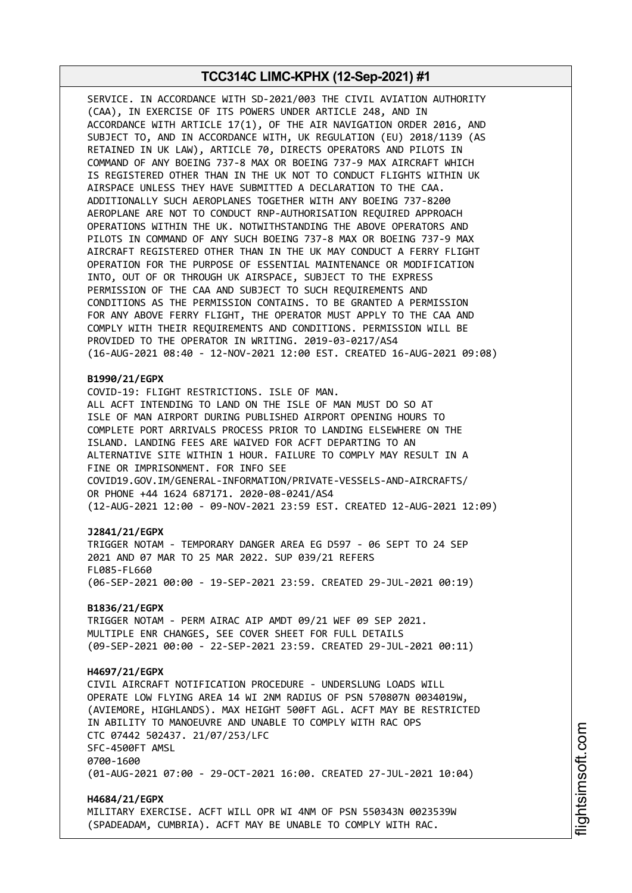SERVICE. IN ACCORDANCE WITH SD-2021/003 THE CIVIL AVIATION AUTHORITY (CAA), IN EXERCISE OF ITS POWERS UNDER ARTICLE 248, AND IN ACCORDANCE WITH ARTICLE 17(1), OF THE AIR NAVIGATION ORDER 2016, AND SUBJECT TO, AND IN ACCORDANCE WITH, UK REGULATION (EU) 2018/1139 (AS RETAINED IN UK LAW), ARTICLE 70, DIRECTS OPERATORS AND PILOTS IN COMMAND OF ANY BOEING 737-8 MAX OR BOEING 737-9 MAX AIRCRAFT WHICH IS REGISTERED OTHER THAN IN THE UK NOT TO CONDUCT FLIGHTS WITHIN UK AIRSPACE UNLESS THEY HAVE SUBMITTED A DECLARATION TO THE CAA. ADDITIONALLY SUCH AEROPLANES TOGETHER WITH ANY BOEING 737-8200 AEROPLANE ARE NOT TO CONDUCT RNP-AUTHORISATION REQUIRED APPROACH OPERATIONS WITHIN THE UK. NOTWITHSTANDING THE ABOVE OPERATORS AND PILOTS IN COMMAND OF ANY SUCH BOEING 737-8 MAX OR BOEING 737-9 MAX AIRCRAFT REGISTERED OTHER THAN IN THE UK MAY CONDUCT A FERRY FLIGHT OPERATION FOR THE PURPOSE OF ESSENTIAL MAINTENANCE OR MODIFICATION INTO, OUT OF OR THROUGH UK AIRSPACE, SUBJECT TO THE EXPRESS PERMISSION OF THE CAA AND SUBJECT TO SUCH REQUIREMENTS AND CONDITIONS AS THE PERMISSION CONTAINS. TO BE GRANTED A PERMISSION FOR ANY ABOVE FERRY FLIGHT, THE OPERATOR MUST APPLY TO THE CAA AND COMPLY WITH THEIR REQUIREMENTS AND CONDITIONS. PERMISSION WILL BE PROVIDED TO THE OPERATOR IN WRITING. 2019-03-0217/AS4 (16-AUG-2021 08:40 - 12-NOV-2021 12:00 EST. CREATED 16-AUG-2021 09:08)

#### **B1990/21/EGPX**

COVID-19: FLIGHT RESTRICTIONS. ISLE OF MAN. ALL ACFT INTENDING TO LAND ON THE ISLE OF MAN MUST DO SO AT ISLE OF MAN AIRPORT DURING PUBLISHED AIRPORT OPENING HOURS TO COMPLETE PORT ARRIVALS PROCESS PRIOR TO LANDING ELSEWHERE ON THE ISLAND. LANDING FEES ARE WAIVED FOR ACFT DEPARTING TO AN ALTERNATIVE SITE WITHIN 1 HOUR. FAILURE TO COMPLY MAY RESULT IN A FINE OR IMPRISONMENT. FOR INFO SEE COVID19.GOV.IM/GENERAL-INFORMATION/PRIVATE-VESSELS-AND-AIRCRAFTS/ OR PHONE +44 1624 687171. 2020-08-0241/AS4 (12-AUG-2021 12:00 - 09-NOV-2021 23:59 EST. CREATED 12-AUG-2021 12:09)

#### **J2841/21/EGPX**

TRIGGER NOTAM - TEMPORARY DANGER AREA EG D597 - 06 SEPT TO 24 SEP 2021 AND 07 MAR TO 25 MAR 2022. SUP 039/21 REFERS FL085-FL660 (06-SEP-2021 00:00 - 19-SEP-2021 23:59. CREATED 29-JUL-2021 00:19)

#### **B1836/21/EGPX**

TRIGGER NOTAM - PERM AIRAC AIP AMDT 09/21 WEF 09 SEP 2021. MULTIPLE ENR CHANGES, SEE COVER SHEET FOR FULL DETAILS (09-SEP-2021 00:00 - 22-SEP-2021 23:59. CREATED 29-JUL-2021 00:11)

#### **H4697/21/EGPX**

CIVIL AIRCRAFT NOTIFICATION PROCEDURE - UNDERSLUNG LOADS WILL OPERATE LOW FLYING AREA 14 WI 2NM RADIUS OF PSN 570807N 0034019W, (AVIEMORE, HIGHLANDS). MAX HEIGHT 500FT AGL. ACFT MAY BE RESTRICTED IN ABILITY TO MANOEUVRE AND UNABLE TO COMPLY WITH RAC OPS CTC 07442 502437. 21/07/253/LFC SFC-4500FT AMSL 0700-1600 (01-AUG-2021 07:00 - 29-OCT-2021 16:00. CREATED 27-JUL-2021 10:04)

**H4684/21/EGPX** MILITARY EXERCISE. ACFT WILL OPR WI 4NM OF PSN 550343N 0023539W (SPADEADAM, CUMBRIA). ACFT MAY BE UNABLE TO COMPLY WITH RAC.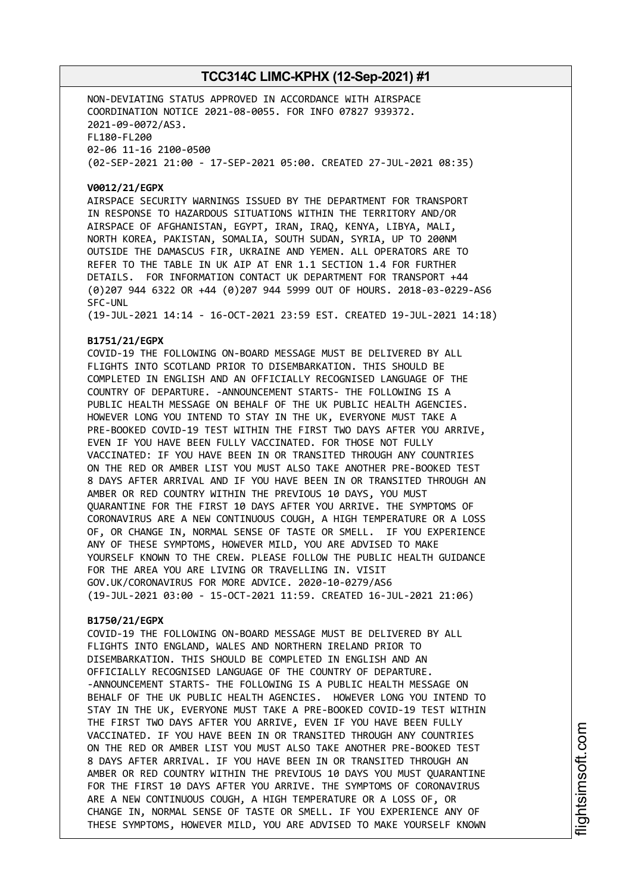NON-DEVIATING STATUS APPROVED IN ACCORDANCE WITH AIRSPACE COORDINATION NOTICE 2021-08-0055. FOR INFO 07827 939372. 2021-09-0072/AS3. FL180-FL200 02-06 11-16 2100-0500 (02-SEP-2021 21:00 - 17-SEP-2021 05:00. CREATED 27-JUL-2021 08:35)

#### **V0012/21/EGPX**

AIRSPACE SECURITY WARNINGS ISSUED BY THE DEPARTMENT FOR TRANSPORT IN RESPONSE TO HAZARDOUS SITUATIONS WITHIN THE TERRITORY AND/OR AIRSPACE OF AFGHANISTAN, EGYPT, IRAN, IRAQ, KENYA, LIBYA, MALI, NORTH KOREA, PAKISTAN, SOMALIA, SOUTH SUDAN, SYRIA, UP TO 200NM OUTSIDE THE DAMASCUS FIR, UKRAINE AND YEMEN. ALL OPERATORS ARE TO REFER TO THE TABLE IN UK AIP AT ENR 1.1 SECTION 1.4 FOR FURTHER DETAILS. FOR INFORMATION CONTACT UK DEPARTMENT FOR TRANSPORT +44 (0)207 944 6322 OR +44 (0)207 944 5999 OUT OF HOURS. 2018-03-0229-AS6 SFC-UNL

(19-JUL-2021 14:14 - 16-OCT-2021 23:59 EST. CREATED 19-JUL-2021 14:18)

### **B1751/21/EGPX**

COVID-19 THE FOLLOWING ON-BOARD MESSAGE MUST BE DELIVERED BY ALL FLIGHTS INTO SCOTLAND PRIOR TO DISEMBARKATION. THIS SHOULD BE COMPLETED IN ENGLISH AND AN OFFICIALLY RECOGNISED LANGUAGE OF THE COUNTRY OF DEPARTURE. -ANNOUNCEMENT STARTS- THE FOLLOWING IS A PUBLIC HEALTH MESSAGE ON BEHALF OF THE UK PUBLIC HEALTH AGENCIES. HOWEVER LONG YOU INTEND TO STAY IN THE UK, EVERYONE MUST TAKE A PRE-BOOKED COVID-19 TEST WITHIN THE FIRST TWO DAYS AFTER YOU ARRIVE, EVEN IF YOU HAVE BEEN FULLY VACCINATED. FOR THOSE NOT FULLY VACCINATED: IF YOU HAVE BEEN IN OR TRANSITED THROUGH ANY COUNTRIES ON THE RED OR AMBER LIST YOU MUST ALSO TAKE ANOTHER PRE-BOOKED TEST 8 DAYS AFTER ARRIVAL AND IF YOU HAVE BEEN IN OR TRANSITED THROUGH AN AMBER OR RED COUNTRY WITHIN THE PREVIOUS 10 DAYS, YOU MUST QUARANTINE FOR THE FIRST 10 DAYS AFTER YOU ARRIVE. THE SYMPTOMS OF CORONAVIRUS ARE A NEW CONTINUOUS COUGH, A HIGH TEMPERATURE OR A LOSS OF, OR CHANGE IN, NORMAL SENSE OF TASTE OR SMELL. IF YOU EXPERIENCE ANY OF THESE SYMPTOMS, HOWEVER MILD, YOU ARE ADVISED TO MAKE YOURSELF KNOWN TO THE CREW. PLEASE FOLLOW THE PUBLIC HEALTH GUIDANCE FOR THE AREA YOU ARE LIVING OR TRAVELLING IN. VISIT GOV.UK/CORONAVIRUS FOR MORE ADVICE. 2020-10-0279/AS6 (19-JUL-2021 03:00 - 15-OCT-2021 11:59. CREATED 16-JUL-2021 21:06)

### **B1750/21/EGPX**

COVID-19 THE FOLLOWING ON-BOARD MESSAGE MUST BE DELIVERED BY ALL FLIGHTS INTO ENGLAND, WALES AND NORTHERN IRELAND PRIOR TO DISEMBARKATION. THIS SHOULD BE COMPLETED IN ENGLISH AND AN OFFICIALLY RECOGNISED LANGUAGE OF THE COUNTRY OF DEPARTURE. -ANNOUNCEMENT STARTS- THE FOLLOWING IS A PUBLIC HEALTH MESSAGE ON BEHALF OF THE UK PUBLIC HEALTH AGENCIES. HOWEVER LONG YOU INTEND TO STAY IN THE UK, EVERYONE MUST TAKE A PRE-BOOKED COVID-19 TEST WITHIN THE FIRST TWO DAYS AFTER YOU ARRIVE, EVEN IF YOU HAVE BEEN FULLY VACCINATED. IF YOU HAVE BEEN IN OR TRANSITED THROUGH ANY COUNTRIES ON THE RED OR AMBER LIST YOU MUST ALSO TAKE ANOTHER PRE-BOOKED TEST 8 DAYS AFTER ARRIVAL. IF YOU HAVE BEEN IN OR TRANSITED THROUGH AN AMBER OR RED COUNTRY WITHIN THE PREVIOUS 10 DAYS YOU MUST QUARANTINE FOR THE FIRST 10 DAYS AFTER YOU ARRIVE. THE SYMPTOMS OF CORONAVIRUS ARE A NEW CONTINUOUS COUGH, A HIGH TEMPERATURE OR A LOSS OF, OR CHANGE IN, NORMAL SENSE OF TASTE OR SMELL. IF YOU EXPERIENCE ANY OF THESE SYMPTOMS, HOWEVER MILD, YOU ARE ADVISED TO MAKE YOURSELF KNOWN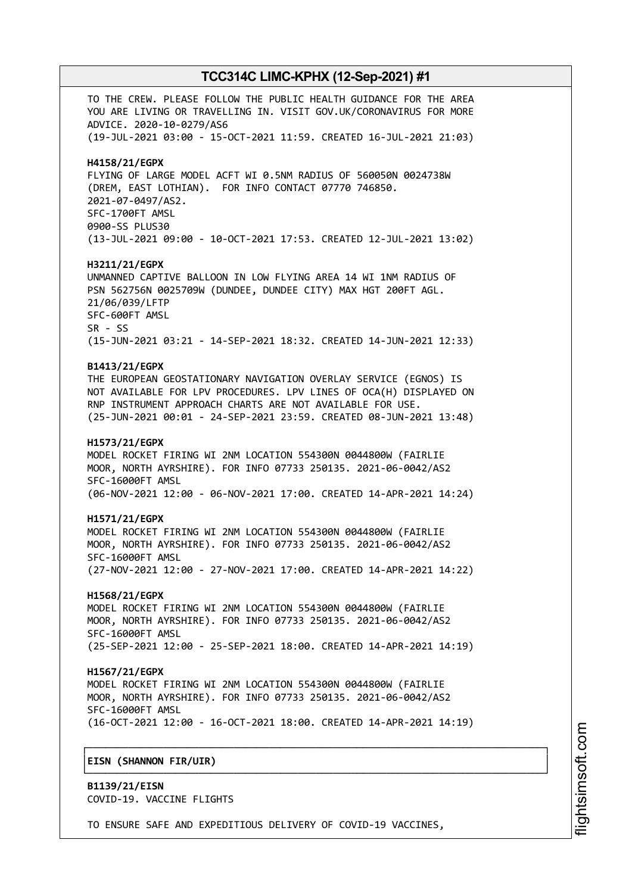TO THE CREW. PLEASE FOLLOW THE PUBLIC HEALTH GUIDANCE FOR THE AREA YOU ARE LIVING OR TRAVELLING IN. VISIT GOV.UK/CORONAVIRUS FOR MORE ADVICE. 2020-10-0279/AS6 (19-JUL-2021 03:00 - 15-OCT-2021 11:59. CREATED 16-JUL-2021 21:03) **H4158/21/EGPX** FLYING OF LARGE MODEL ACFT WI 0.5NM RADIUS OF 560050N 0024738W (DREM, EAST LOTHIAN). FOR INFO CONTACT 07770 746850. 2021-07-0497/AS2. SFC-1700FT AMSL 0900-SS PLUS30 (13-JUL-2021 09:00 - 10-OCT-2021 17:53. CREATED 12-JUL-2021 13:02) **H3211/21/EGPX** UNMANNED CAPTIVE BALLOON IN LOW FLYING AREA 14 WI 1NM RADIUS OF PSN 562756N 0025709W (DUNDEE, DUNDEE CITY) MAX HGT 200FT AGL. 21/06/039/LFTP SFC-600FT AMSL SR - SS (15-JUN-2021 03:21 - 14-SEP-2021 18:32. CREATED 14-JUN-2021 12:33) **B1413/21/EGPX** THE EUROPEAN GEOSTATIONARY NAVIGATION OVERLAY SERVICE (EGNOS) IS NOT AVAILABLE FOR LPV PROCEDURES. LPV LINES OF OCA(H) DISPLAYED ON RNP INSTRUMENT APPROACH CHARTS ARE NOT AVAILABLE FOR USE. (25-JUN-2021 00:01 - 24-SEP-2021 23:59. CREATED 08-JUN-2021 13:48) **H1573/21/EGPX** MODEL ROCKET FIRING WI 2NM LOCATION 554300N 0044800W (FAIRLIE MOOR, NORTH AYRSHIRE). FOR INFO 07733 250135. 2021-06-0042/AS2 SFC-16000FT AMSL (06-NOV-2021 12:00 - 06-NOV-2021 17:00. CREATED 14-APR-2021 14:24) **H1571/21/EGPX** MODEL ROCKET FIRING WI 2NM LOCATION 554300N 0044800W (FAIRLIE MOOR, NORTH AYRSHIRE). FOR INFO 07733 250135. 2021-06-0042/AS2 SFC-16000FT AMSL (27-NOV-2021 12:00 - 27-NOV-2021 17:00. CREATED 14-APR-2021 14:22) **H1568/21/EGPX** MODEL ROCKET FIRING WI 2NM LOCATION 554300N 0044800W (FAIRLIE MOOR, NORTH AYRSHIRE). FOR INFO 07733 250135. 2021-06-0042/AS2 SFC-16000FT AMSL (25-SEP-2021 12:00 - 25-SEP-2021 18:00. CREATED 14-APR-2021 14:19) **H1567/21/EGPX** MODEL ROCKET FIRING WI 2NM LOCATION 554300N 0044800W (FAIRLIE MOOR, NORTH AYRSHIRE). FOR INFO 07733 250135. 2021-06-0042/AS2 SFC-16000FT AMSL (16-OCT-2021 12:00 - 16-OCT-2021 18:00. CREATED 14-APR-2021 14:19) ┌──────────────────────────────────────────────────────────────────────────────┐ │**EISN (SHANNON FIR/UIR)** │ └──────────────────────────────────────────────────────────────────────────────┘

**B1139/21/EISN** COVID-19. VACCINE FLIGHTS

TO ENSURE SAFE AND EXPEDITIOUS DELIVERY OF COVID-19 VACCINES,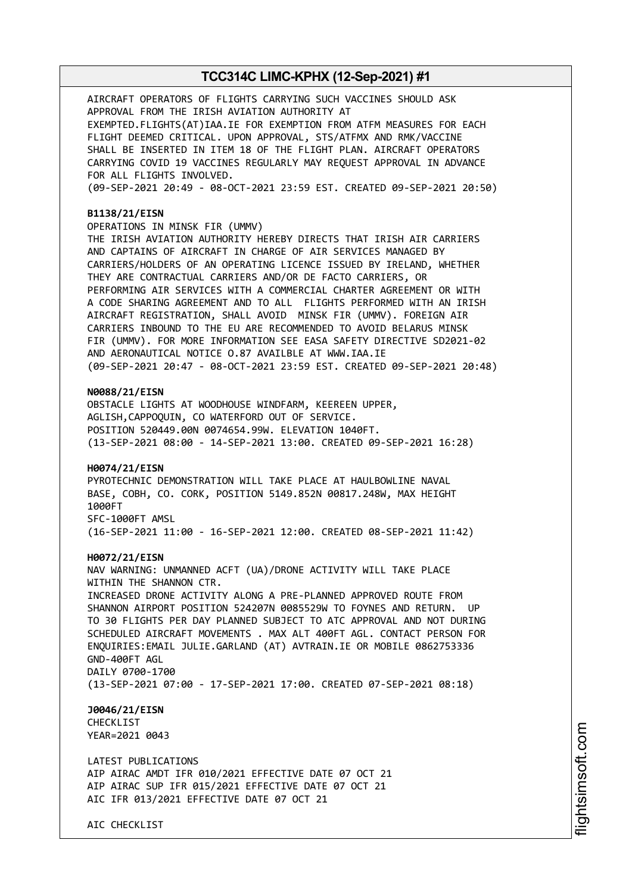AIRCRAFT OPERATORS OF FLIGHTS CARRYING SUCH VACCINES SHOULD ASK APPROVAL FROM THE IRISH AVIATION AUTHORITY AT EXEMPTED.FLIGHTS(AT)IAA.IE FOR EXEMPTION FROM ATFM MEASURES FOR EACH FLIGHT DEEMED CRITICAL. UPON APPROVAL, STS/ATFMX AND RMK/VACCINE SHALL BE INSERTED IN ITEM 18 OF THE FLIGHT PLAN. AIRCRAFT OPERATORS CARRYING COVID 19 VACCINES REGULARLY MAY REQUEST APPROVAL IN ADVANCE FOR ALL FLIGHTS INVOLVED. (09-SEP-2021 20:49 - 08-OCT-2021 23:59 EST. CREATED 09-SEP-2021 20:50)

#### **B1138/21/EISN**

OPERATIONS IN MINSK FIR (UMMV)

THE IRISH AVIATION AUTHORITY HEREBY DIRECTS THAT IRISH AIR CARRIERS AND CAPTAINS OF AIRCRAFT IN CHARGE OF AIR SERVICES MANAGED BY CARRIERS/HOLDERS OF AN OPERATING LICENCE ISSUED BY IRELAND, WHETHER THEY ARE CONTRACTUAL CARRIERS AND/OR DE FACTO CARRIERS, OR PERFORMING AIR SERVICES WITH A COMMERCIAL CHARTER AGREEMENT OR WITH A CODE SHARING AGREEMENT AND TO ALL FLIGHTS PERFORMED WITH AN IRISH AIRCRAFT REGISTRATION, SHALL AVOID MINSK FIR (UMMV). FOREIGN AIR CARRIERS INBOUND TO THE EU ARE RECOMMENDED TO AVOID BELARUS MINSK FIR (UMMV). FOR MORE INFORMATION SEE EASA SAFETY DIRECTIVE SD2021-02 AND AERONAUTICAL NOTICE O.87 AVAILBLE AT WWW.IAA.IE (09-SEP-2021 20:47 - 08-OCT-2021 23:59 EST. CREATED 09-SEP-2021 20:48)

#### **N0088/21/EISN**

OBSTACLE LIGHTS AT WOODHOUSE WINDFARM, KEEREEN UPPER, AGLISH,CAPPOQUIN, CO WATERFORD OUT OF SERVICE. POSITION 520449.00N 0074654.99W. ELEVATION 1040FT. (13-SEP-2021 08:00 - 14-SEP-2021 13:00. CREATED 09-SEP-2021 16:28)

#### **H0074/21/EISN**

PYROTECHNIC DEMONSTRATION WILL TAKE PLACE AT HAULBOWLINE NAVAL BASE, COBH, CO. CORK, POSITION 5149.852N 00817.248W, MAX HEIGHT 1000FT SFC-1000FT AMSL (16-SEP-2021 11:00 - 16-SEP-2021 12:00. CREATED 08-SEP-2021 11:42)

#### **H0072/21/EISN**

NAV WARNING: UNMANNED ACFT (UA)/DRONE ACTIVITY WILL TAKE PLACE WITHIN THE SHANNON CTR. INCREASED DRONE ACTIVITY ALONG A PRE-PLANNED APPROVED ROUTE FROM SHANNON AIRPORT POSITION 524207N 0085529W TO FOYNES AND RETURN. UP TO 30 FLIGHTS PER DAY PLANNED SUBJECT TO ATC APPROVAL AND NOT DURING SCHEDULED AIRCRAFT MOVEMENTS . MAX ALT 400FT AGL. CONTACT PERSON FOR ENQUIRIES:EMAIL JULIE.GARLAND (AT) AVTRAIN.IE OR MOBILE 0862753336 GND-400FT AGL DAILY 0700-1700 (13-SEP-2021 07:00 - 17-SEP-2021 17:00. CREATED 07-SEP-2021 08:18)

**J0046/21/EISN** CHECKLIST YEAR=2021 0043

LATEST PUBLICATIONS AIP AIRAC AMDT IFR 010/2021 EFFECTIVE DATE 07 OCT 21 AIP AIRAC SUP IFR 015/2021 EFFECTIVE DATE 07 OCT 21 AIC IFR 013/2021 EFFECTIVE DATE 07 OCT 21

AIC CHECKLIST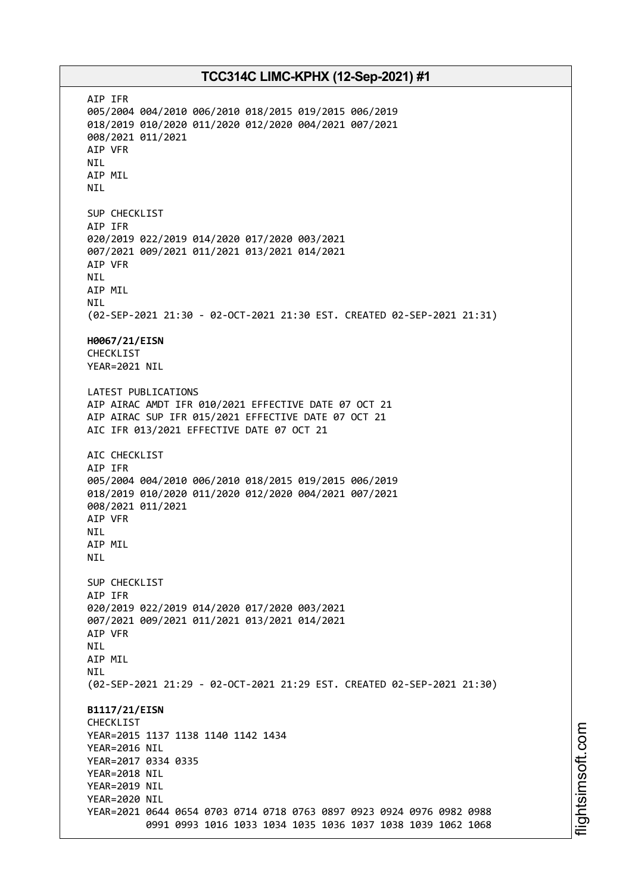AIP IFR 005/2004 004/2010 006/2010 018/2015 019/2015 006/2019 018/2019 010/2020 011/2020 012/2020 004/2021 007/2021 008/2021 011/2021 AIP VFR NIL AIP MIL NIL SUP CHECKLIST AIP IFR 020/2019 022/2019 014/2020 017/2020 003/2021 007/2021 009/2021 011/2021 013/2021 014/2021 AIP VFR NIL AIP MIL NIL (02-SEP-2021 21:30 - 02-OCT-2021 21:30 EST. CREATED 02-SEP-2021 21:31) **H0067/21/EISN** CHECKLIST YEAR=2021 NIL LATEST PUBLICATIONS AIP AIRAC AMDT IFR 010/2021 EFFECTIVE DATE 07 OCT 21 AIP AIRAC SUP IFR 015/2021 EFFECTIVE DATE 07 OCT 21 AIC IFR 013/2021 EFFECTIVE DATE 07 OCT 21 AIC CHECKLIST AIP IFR 005/2004 004/2010 006/2010 018/2015 019/2015 006/2019 018/2019 010/2020 011/2020 012/2020 004/2021 007/2021 008/2021 011/2021 AIP VFR NIL AIP MIL NIL SUP CHECKLIST AIP IFR 020/2019 022/2019 014/2020 017/2020 003/2021 007/2021 009/2021 011/2021 013/2021 014/2021 AIP VFR NIL AIP MIL **NTI** (02-SEP-2021 21:29 - 02-OCT-2021 21:29 EST. CREATED 02-SEP-2021 21:30) **B1117/21/EISN** CHECKLIST YEAR=2015 1137 1138 1140 1142 1434 YEAR=2016 NIL YEAR=2017 0334 0335 YEAR=2018 NIL YEAR=2019 NIL YEAR=2020 NIL YEAR=2021 0644 0654 0703 0714 0718 0763 0897 0923 0924 0976 0982 0988 0991 0993 1016 1033 1034 1035 1036 1037 1038 1039 1062 1068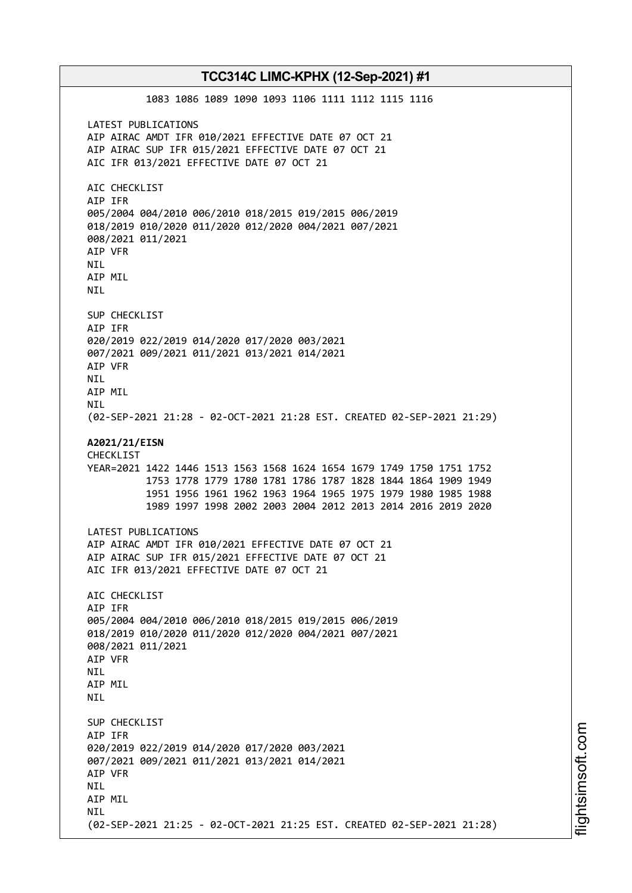1083 1086 1089 1090 1093 1106 1111 1112 1115 1116 LATEST PUBLICATIONS AIP AIRAC AMDT IFR 010/2021 EFFECTIVE DATE 07 OCT 21 AIP AIRAC SUP IFR 015/2021 EFFECTIVE DATE 07 OCT 21 AIC IFR 013/2021 EFFECTIVE DATE 07 OCT 21 AIC CHECKLIST AIP IFR 005/2004 004/2010 006/2010 018/2015 019/2015 006/2019 018/2019 010/2020 011/2020 012/2020 004/2021 007/2021 008/2021 011/2021 AIP VFR NIL AIP MIL NIL SUP CHECKLIST AIP IFR 020/2019 022/2019 014/2020 017/2020 003/2021 007/2021 009/2021 011/2021 013/2021 014/2021 AIP VFR NIL AIP MIL NIL (02-SEP-2021 21:28 - 02-OCT-2021 21:28 EST. CREATED 02-SEP-2021 21:29) **A2021/21/EISN** CHECKLIST YEAR=2021 1422 1446 1513 1563 1568 1624 1654 1679 1749 1750 1751 1752 1753 1778 1779 1780 1781 1786 1787 1828 1844 1864 1909 1949 1951 1956 1961 1962 1963 1964 1965 1975 1979 1980 1985 1988 1989 1997 1998 2002 2003 2004 2012 2013 2014 2016 2019 2020 LATEST PUBLICATIONS AIP AIRAC AMDT IFR 010/2021 EFFECTIVE DATE 07 OCT 21 AIP AIRAC SUP IFR 015/2021 EFFECTIVE DATE 07 OCT 21 AIC IFR 013/2021 EFFECTIVE DATE 07 OCT 21 AIC CHECKLIST AIP IFR 005/2004 004/2010 006/2010 018/2015 019/2015 006/2019 018/2019 010/2020 011/2020 012/2020 004/2021 007/2021 008/2021 011/2021 AIP VFR **NTI** AIP MIL **NTI** SUP CHECKLIST AIP IFR 020/2019 022/2019 014/2020 017/2020 003/2021 007/2021 009/2021 011/2021 013/2021 014/2021 AIP VFR NIL AIP MIL **NTI** (02-SEP-2021 21:25 - 02-OCT-2021 21:25 EST. CREATED 02-SEP-2021 21:28)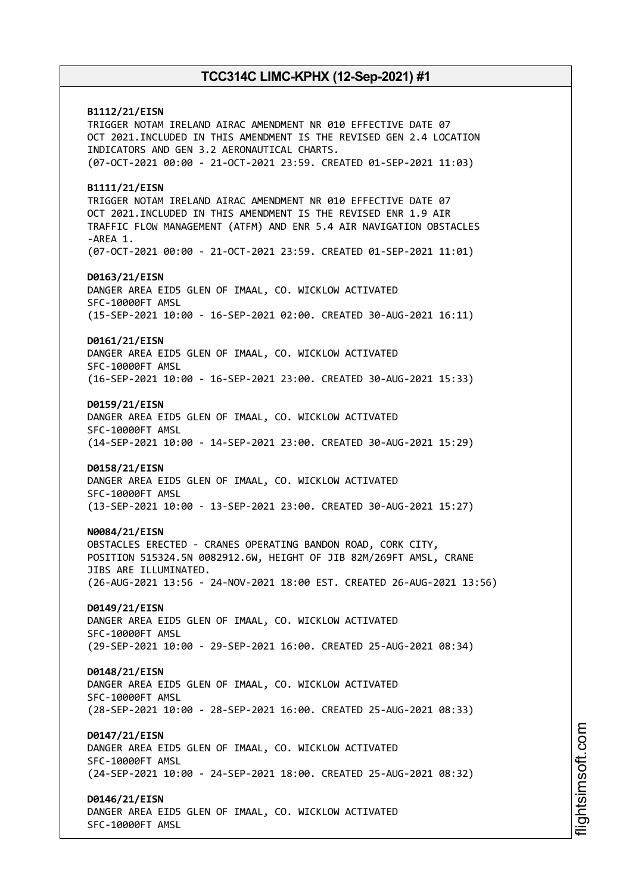**B1112/21/EISN** TRIGGER NOTAM IRELAND AIRAC AMENDMENT NR 010 EFFECTIVE DATE 07 OCT 2021.INCLUDED IN THIS AMENDMENT IS THE REVISED GEN 2.4 LOCATION INDICATORS AND GEN 3.2 AERONAUTICAL CHARTS. (07-OCT-2021 00:00 - 21-OCT-2021 23:59. CREATED 01-SEP-2021 11:03) **B1111/21/EISN** TRIGGER NOTAM IRELAND AIRAC AMENDMENT NR 010 EFFECTIVE DATE 07 OCT 2021.INCLUDED IN THIS AMENDMENT IS THE REVISED ENR 1.9 AIR TRAFFIC FLOW MANAGEMENT (ATFM) AND ENR 5.4 AIR NAVIGATION OBSTACLES -AREA 1. (07-OCT-2021 00:00 - 21-OCT-2021 23:59. CREATED 01-SEP-2021 11:01) **D0163/21/EISN** DANGER AREA EID5 GLEN OF IMAAL, CO. WICKLOW ACTIVATED SFC-10000FT AMSL (15-SEP-2021 10:00 - 16-SEP-2021 02:00. CREATED 30-AUG-2021 16:11) **D0161/21/EISN** DANGER AREA EID5 GLEN OF IMAAL, CO. WICKLOW ACTIVATED SFC-10000FT AMSL (16-SEP-2021 10:00 - 16-SEP-2021 23:00. CREATED 30-AUG-2021 15:33) **D0159/21/EISN** DANGER AREA EID5 GLEN OF IMAAL, CO. WICKLOW ACTIVATED SFC-10000FT AMSL (14-SEP-2021 10:00 - 14-SEP-2021 23:00. CREATED 30-AUG-2021 15:29) **D0158/21/EISN** DANGER AREA EID5 GLEN OF IMAAL, CO. WICKLOW ACTIVATED SFC-10000FT AMSL (13-SEP-2021 10:00 - 13-SEP-2021 23:00. CREATED 30-AUG-2021 15:27) **N0084/21/EISN** OBSTACLES ERECTED - CRANES OPERATING BANDON ROAD, CORK CITY, POSITION 515324.5N 0082912.6W, HEIGHT OF JIB 82M/269FT AMSL, CRANE JIBS ARE ILLUMINATED. (26-AUG-2021 13:56 - 24-NOV-2021 18:00 EST. CREATED 26-AUG-2021 13:56) **D0149/21/EISN** DANGER AREA EID5 GLEN OF IMAAL, CO. WICKLOW ACTIVATED SFC-10000FT AMSL (29-SEP-2021 10:00 - 29-SEP-2021 16:00. CREATED 25-AUG-2021 08:34) **D0148/21/EISN** DANGER AREA EID5 GLEN OF IMAAL, CO. WICKLOW ACTIVATED SFC-10000FT AMSL (28-SEP-2021 10:00 - 28-SEP-2021 16:00. CREATED 25-AUG-2021 08:33) **D0147/21/EISN** DANGER AREA EID5 GLEN OF IMAAL, CO. WICKLOW ACTIVATED SFC-10000FT AMSL (24-SEP-2021 10:00 - 24-SEP-2021 18:00. CREATED 25-AUG-2021 08:32) **D0146/21/EISN** DANGER AREA EID5 GLEN OF IMAAL, CO. WICKLOW ACTIVATED SFC-10000FT AMSL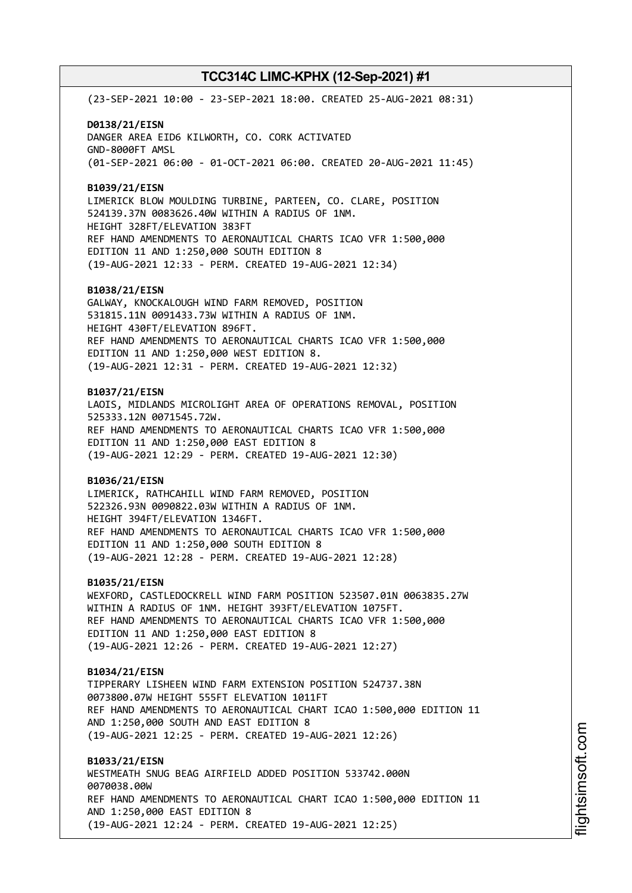(23-SEP-2021 10:00 - 23-SEP-2021 18:00. CREATED 25-AUG-2021 08:31)

**D0138/21/EISN** DANGER AREA EID6 KILWORTH, CO. CORK ACTIVATED GND-8000FT AMSL (01-SEP-2021 06:00 - 01-OCT-2021 06:00. CREATED 20-AUG-2021 11:45)

**B1039/21/EISN**

LIMERICK BLOW MOULDING TURBINE, PARTEEN, CO. CLARE, POSITION 524139.37N 0083626.40W WITHIN A RADIUS OF 1NM. HEIGHT 328FT/ELEVATION 383FT REF HAND AMENDMENTS TO AERONAUTICAL CHARTS ICAO VFR 1:500,000 EDITION 11 AND 1:250,000 SOUTH EDITION 8 (19-AUG-2021 12:33 - PERM. CREATED 19-AUG-2021 12:34)

#### **B1038/21/EISN**

GALWAY, KNOCKALOUGH WIND FARM REMOVED, POSITION 531815.11N 0091433.73W WITHIN A RADIUS OF 1NM. HEIGHT 430FT/ELEVATION 896FT. REF HAND AMENDMENTS TO AERONAUTICAL CHARTS ICAO VFR 1:500,000 EDITION 11 AND 1:250,000 WEST EDITION 8. (19-AUG-2021 12:31 - PERM. CREATED 19-AUG-2021 12:32)

#### **B1037/21/EISN**

LAOIS, MIDLANDS MICROLIGHT AREA OF OPERATIONS REMOVAL, POSITION 525333.12N 0071545.72W. REF HAND AMENDMENTS TO AERONAUTICAL CHARTS ICAO VFR 1:500,000 EDITION 11 AND 1:250,000 EAST EDITION 8 (19-AUG-2021 12:29 - PERM. CREATED 19-AUG-2021 12:30)

#### **B1036/21/EISN**

LIMERICK, RATHCAHILL WIND FARM REMOVED, POSITION 522326.93N 0090822.03W WITHIN A RADIUS OF 1NM. HEIGHT 394FT/ELEVATION 1346FT. REF HAND AMENDMENTS TO AERONAUTICAL CHARTS ICAO VFR 1:500,000 EDITION 11 AND 1:250,000 SOUTH EDITION 8 (19-AUG-2021 12:28 - PERM. CREATED 19-AUG-2021 12:28)

#### **B1035/21/EISN**

WEXFORD, CASTLEDOCKRELL WIND FARM POSITION 523507.01N 0063835.27W WITHIN A RADIUS OF 1NM. HEIGHT 393FT/ELEVATION 1075FT. REF HAND AMENDMENTS TO AERONAUTICAL CHARTS ICAO VFR 1:500,000 EDITION 11 AND 1:250,000 EAST EDITION 8 (19-AUG-2021 12:26 - PERM. CREATED 19-AUG-2021 12:27)

#### **B1034/21/EISN**

TIPPERARY LISHEEN WIND FARM EXTENSION POSITION 524737.38N 0073800.07W HEIGHT 555FT ELEVATION 1011FT REF HAND AMENDMENTS TO AERONAUTICAL CHART ICAO 1:500,000 EDITION 11 AND 1:250,000 SOUTH AND EAST EDITION 8 (19-AUG-2021 12:25 - PERM. CREATED 19-AUG-2021 12:26)

**B1033/21/EISN** WESTMEATH SNUG BEAG AIRFIELD ADDED POSITION 533742.000N 0070038.00W REF HAND AMENDMENTS TO AERONAUTICAL CHART ICAO 1:500,000 EDITION 11 AND 1:250,000 EAST EDITION 8 (19-AUG-2021 12:24 - PERM. CREATED 19-AUG-2021 12:25)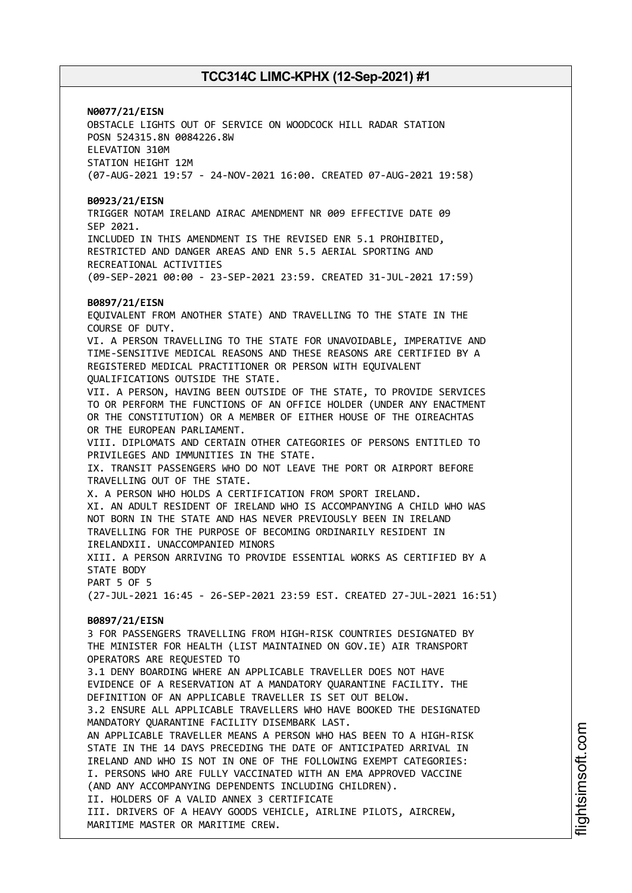# **N0077/21/EISN**

OBSTACLE LIGHTS OUT OF SERVICE ON WOODCOCK HILL RADAR STATION POSN 524315.8N 0084226.8W ELEVATION 310M STATION HEIGHT 12M (07-AUG-2021 19:57 - 24-NOV-2021 16:00. CREATED 07-AUG-2021 19:58)

### **B0923/21/EISN**

TRIGGER NOTAM IRELAND AIRAC AMENDMENT NR 009 EFFECTIVE DATE 09 SEP 2021. INCLUDED IN THIS AMENDMENT IS THE REVISED ENR 5.1 PROHIBITED, RESTRICTED AND DANGER AREAS AND ENR 5.5 AERIAL SPORTING AND RECREATIONAL ACTIVITIES

(09-SEP-2021 00:00 - 23-SEP-2021 23:59. CREATED 31-JUL-2021 17:59)

### **B0897/21/EISN**

EQUIVALENT FROM ANOTHER STATE) AND TRAVELLING TO THE STATE IN THE COURSE OF DUTY. VI. A PERSON TRAVELLING TO THE STATE FOR UNAVOIDABLE, IMPERATIVE AND TIME-SENSITIVE MEDICAL REASONS AND THESE REASONS ARE CERTIFIED BY A REGISTERED MEDICAL PRACTITIONER OR PERSON WITH EQUIVALENT QUALIFICATIONS OUTSIDE THE STATE. VII. A PERSON, HAVING BEEN OUTSIDE OF THE STATE, TO PROVIDE SERVICES TO OR PERFORM THE FUNCTIONS OF AN OFFICE HOLDER (UNDER ANY ENACTMENT OR THE CONSTITUTION) OR A MEMBER OF EITHER HOUSE OF THE OIREACHTAS OR THE EUROPEAN PARLIAMENT. VIII. DIPLOMATS AND CERTAIN OTHER CATEGORIES OF PERSONS ENTITLED TO PRIVILEGES AND IMMUNITIES IN THE STATE. IX. TRANSIT PASSENGERS WHO DO NOT LEAVE THE PORT OR AIRPORT BEFORE TRAVELLING OUT OF THE STATE. X. A PERSON WHO HOLDS A CERTIFICATION FROM SPORT IRELAND. XI. AN ADULT RESIDENT OF IRELAND WHO IS ACCOMPANYING A CHILD WHO WAS NOT BORN IN THE STATE AND HAS NEVER PREVIOUSLY BEEN IN IRELAND TRAVELLING FOR THE PURPOSE OF BECOMING ORDINARILY RESIDENT IN IRELANDXII. UNACCOMPANIED MINORS XIII. A PERSON ARRIVING TO PROVIDE ESSENTIAL WORKS AS CERTIFIED BY A STATE BODY PART 5 OF 5 (27-JUL-2021 16:45 - 26-SEP-2021 23:59 EST. CREATED 27-JUL-2021 16:51) **B0897/21/EISN** 3 FOR PASSENGERS TRAVELLING FROM HIGH-RISK COUNTRIES DESIGNATED BY THE MINISTER FOR HEALTH (LIST MAINTAINED ON GOV.IE) AIR TRANSPORT OPERATORS ARE REQUESTED TO 3.1 DENY BOARDING WHERE AN APPLICABLE TRAVELLER DOES NOT HAVE EVIDENCE OF A RESERVATION AT A MANDATORY QUARANTINE FACILITY. THE DEFINITION OF AN APPLICABLE TRAVELLER IS SET OUT BELOW. 3.2 ENSURE ALL APPLICABLE TRAVELLERS WHO HAVE BOOKED THE DESIGNATED MANDATORY QUARANTINE FACILITY DISEMBARK LAST. AN APPLICABLE TRAVELLER MEANS A PERSON WHO HAS BEEN TO A HIGH-RISK STATE IN THE 14 DAYS PRECEDING THE DATE OF ANTICIPATED ARRIVAL IN IRELAND AND WHO IS NOT IN ONE OF THE FOLLOWING EXEMPT CATEGORIES: I. PERSONS WHO ARE FULLY VACCINATED WITH AN EMA APPROVED VACCINE (AND ANY ACCOMPANYING DEPENDENTS INCLUDING CHILDREN).

II. HOLDERS OF A VALID ANNEX 3 CERTIFICATE III. DRIVERS OF A HEAVY GOODS VEHICLE, AIRLINE PILOTS, AIRCREW, MARITIME MASTER OR MARITIME CREW.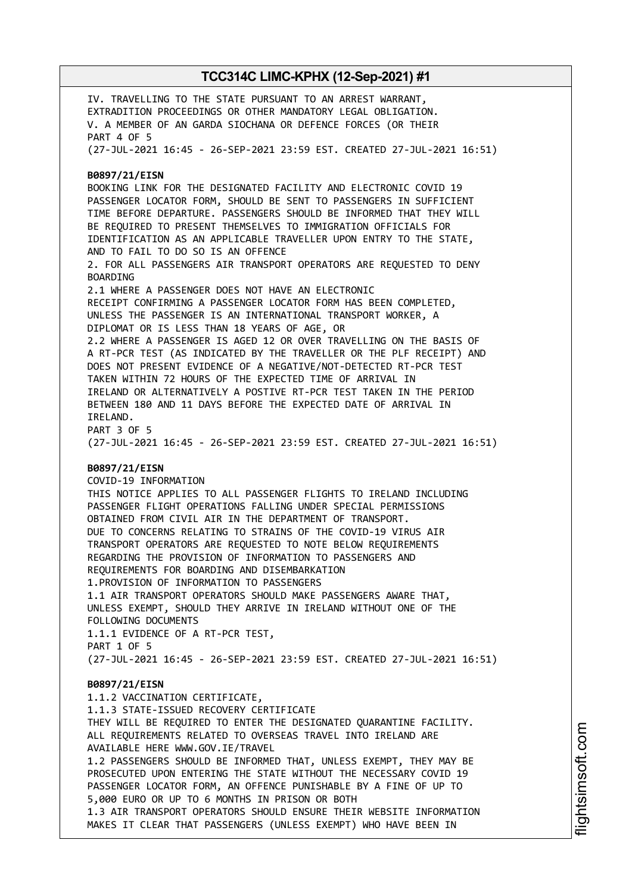IV. TRAVELLING TO THE STATE PURSUANT TO AN ARREST WARRANT, EXTRADITION PROCEEDINGS OR OTHER MANDATORY LEGAL OBLIGATION. V. A MEMBER OF AN GARDA SIOCHANA OR DEFENCE FORCES (OR THEIR PART 4 OF 5 (27-JUL-2021 16:45 - 26-SEP-2021 23:59 EST. CREATED 27-JUL-2021 16:51) **B0897/21/EISN** BOOKING LINK FOR THE DESIGNATED FACILITY AND ELECTRONIC COVID 19 PASSENGER LOCATOR FORM, SHOULD BE SENT TO PASSENGERS IN SUFFICIENT TIME BEFORE DEPARTURE. PASSENGERS SHOULD BE INFORMED THAT THEY WILL BE REQUIRED TO PRESENT THEMSELVES TO IMMIGRATION OFFICIALS FOR IDENTIFICATION AS AN APPLICABLE TRAVELLER UPON ENTRY TO THE STATE, AND TO FAIL TO DO SO IS AN OFFENCE 2. FOR ALL PASSENGERS AIR TRANSPORT OPERATORS ARE REQUESTED TO DENY BOARDING 2.1 WHERE A PASSENGER DOES NOT HAVE AN ELECTRONIC RECEIPT CONFIRMING A PASSENGER LOCATOR FORM HAS BEEN COMPLETED, UNLESS THE PASSENGER IS AN INTERNATIONAL TRANSPORT WORKER, A DIPLOMAT OR IS LESS THAN 18 YEARS OF AGE, OR 2.2 WHERE A PASSENGER IS AGED 12 OR OVER TRAVELLING ON THE BASIS OF A RT-PCR TEST (AS INDICATED BY THE TRAVELLER OR THE PLF RECEIPT) AND DOES NOT PRESENT EVIDENCE OF A NEGATIVE/NOT-DETECTED RT-PCR TEST TAKEN WITHIN 72 HOURS OF THE EXPECTED TIME OF ARRIVAL IN IRELAND OR ALTERNATIVELY A POSTIVE RT-PCR TEST TAKEN IN THE PERIOD BETWEEN 180 AND 11 DAYS BEFORE THE EXPECTED DATE OF ARRIVAL IN IRELAND. PART 3 OF 5 (27-JUL-2021 16:45 - 26-SEP-2021 23:59 EST. CREATED 27-JUL-2021 16:51) **B0897/21/EISN** COVID-19 INFORMATION THIS NOTICE APPLIES TO ALL PASSENGER FLIGHTS TO IRELAND INCLUDING PASSENGER FLIGHT OPERATIONS FALLING UNDER SPECIAL PERMISSIONS OBTAINED FROM CIVIL AIR IN THE DEPARTMENT OF TRANSPORT. DUE TO CONCERNS RELATING TO STRAINS OF THE COVID-19 VIRUS AIR TRANSPORT OPERATORS ARE REQUESTED TO NOTE BELOW REQUIREMENTS REGARDING THE PROVISION OF INFORMATION TO PASSENGERS AND REQUIREMENTS FOR BOARDING AND DISEMBARKATION 1.PROVISION OF INFORMATION TO PASSENGERS 1.1 AIR TRANSPORT OPERATORS SHOULD MAKE PASSENGERS AWARE THAT, UNLESS EXEMPT, SHOULD THEY ARRIVE IN IRELAND WITHOUT ONE OF THE FOLLOWING DOCUMENTS 1.1.1 EVIDENCE OF A RT-PCR TEST, PART 1 OF 5 (27-JUL-2021 16:45 - 26-SEP-2021 23:59 EST. CREATED 27-JUL-2021 16:51) **B0897/21/EISN** 1.1.2 VACCINATION CERTIFICATE, 1.1.3 STATE-ISSUED RECOVERY CERTIFICATE THEY WILL BE REQUIRED TO ENTER THE DESIGNATED QUARANTINE FACILITY. ALL REQUIREMENTS RELATED TO OVERSEAS TRAVEL INTO IRELAND ARE AVAILABLE HERE WWW.GOV.IE/TRAVEL 1.2 PASSENGERS SHOULD BE INFORMED THAT, UNLESS EXEMPT, THEY MAY BE PROSECUTED UPON ENTERING THE STATE WITHOUT THE NECESSARY COVID 19 PASSENGER LOCATOR FORM, AN OFFENCE PUNISHABLE BY A FINE OF UP TO 5,000 EURO OR UP TO 6 MONTHS IN PRISON OR BOTH 1.3 AIR TRANSPORT OPERATORS SHOULD ENSURE THEIR WEBSITE INFORMATION MAKES IT CLEAR THAT PASSENGERS (UNLESS EXEMPT) WHO HAVE BEEN IN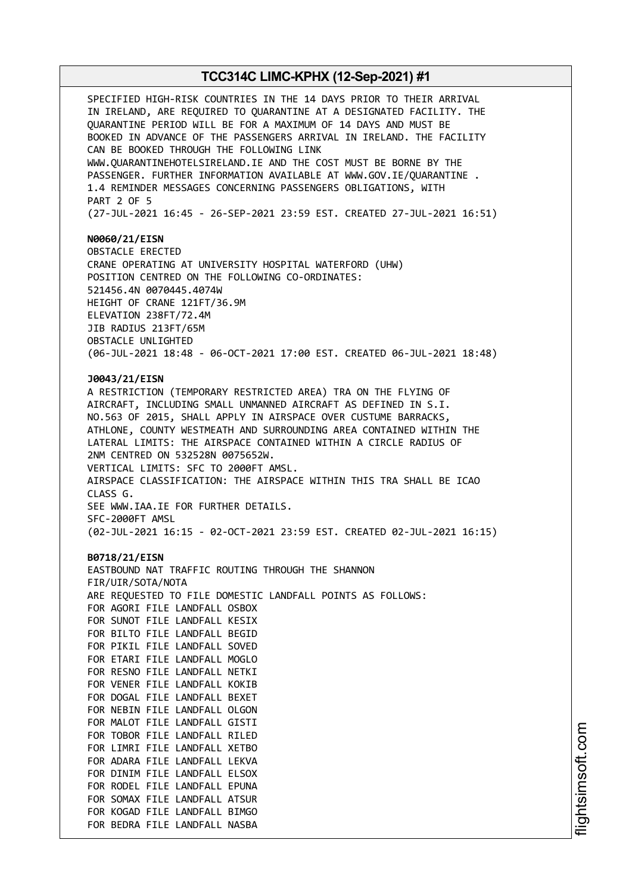SPECIFIED HIGH-RISK COUNTRIES IN THE 14 DAYS PRIOR TO THEIR ARRIVAL IN IRELAND, ARE REQUIRED TO QUARANTINE AT A DESIGNATED FACILITY. THE QUARANTINE PERIOD WILL BE FOR A MAXIMUM OF 14 DAYS AND MUST BE BOOKED IN ADVANCE OF THE PASSENGERS ARRIVAL IN IRELAND. THE FACILITY CAN BE BOOKED THROUGH THE FOLLOWING LINK WWW.QUARANTINEHOTELSIRELAND.IE AND THE COST MUST BE BORNE BY THE PASSENGER. FURTHER INFORMATION AVAILABLE AT WWW.GOV.IE/QUARANTINE . 1.4 REMINDER MESSAGES CONCERNING PASSENGERS OBLIGATIONS, WITH PART 2 OF 5 (27-JUL-2021 16:45 - 26-SEP-2021 23:59 EST. CREATED 27-JUL-2021 16:51) **N0060/21/EISN** OBSTACLE ERECTED CRANE OPERATING AT UNIVERSITY HOSPITAL WATERFORD (UHW) POSITION CENTRED ON THE FOLLOWING CO-ORDINATES: 521456.4N 0070445.4074W HEIGHT OF CRANE 121FT/36.9M ELEVATION 238FT/72.4M JIB RADIUS 213FT/65M OBSTACLE UNLIGHTED (06-JUL-2021 18:48 - 06-OCT-2021 17:00 EST. CREATED 06-JUL-2021 18:48) **J0043/21/EISN** A RESTRICTION (TEMPORARY RESTRICTED AREA) TRA ON THE FLYING OF AIRCRAFT, INCLUDING SMALL UNMANNED AIRCRAFT AS DEFINED IN S.I. NO.563 OF 2015, SHALL APPLY IN AIRSPACE OVER CUSTUME BARRACKS, ATHLONE, COUNTY WESTMEATH AND SURROUNDING AREA CONTAINED WITHIN THE LATERAL LIMITS: THE AIRSPACE CONTAINED WITHIN A CIRCLE RADIUS OF 2NM CENTRED ON 532528N 0075652W. VERTICAL LIMITS: SFC TO 2000FT AMSL. AIRSPACE CLASSIFICATION: THE AIRSPACE WITHIN THIS TRA SHALL BE ICAO CLASS G. SEE WWW.IAA.IE FOR FURTHER DETAILS. SFC-2000FT AMSL (02-JUL-2021 16:15 - 02-OCT-2021 23:59 EST. CREATED 02-JUL-2021 16:15) **B0718/21/EISN** EASTBOUND NAT TRAFFIC ROUTING THROUGH THE SHANNON FIR/UIR/SOTA/NOTA ARE REQUESTED TO FILE DOMESTIC LANDFALL POINTS AS FOLLOWS: FOR AGORI FILE LANDFALL OSBOX FOR SUNOT FILE LANDFALL KESIX FOR BILTO FILE LANDFALL BEGID FOR PIKIL FILE LANDFALL SOVED FOR ETARI FILE LANDFALL MOGLO FOR RESNO FILE LANDFALL NETKI FOR VENER FILE LANDFALL KOKIB FOR DOGAL FILE LANDFALL BEXET FOR NEBIN FILE LANDFALL OLGON FOR MALOT FILE LANDFALL GISTI FOR TOBOR FILE LANDFALL RILED FOR LIMRI FILE LANDFALL XETBO FOR ADARA FILE LANDFALL LEKVA FOR DINIM FILE LANDFALL ELSOX FOR RODEL FILE LANDFALL EPUNA FOR SOMAX FILE LANDFALL ATSUR FOR KOGAD FILE LANDFALL BIMGO FOR BEDRA FILE LANDFALL NASBA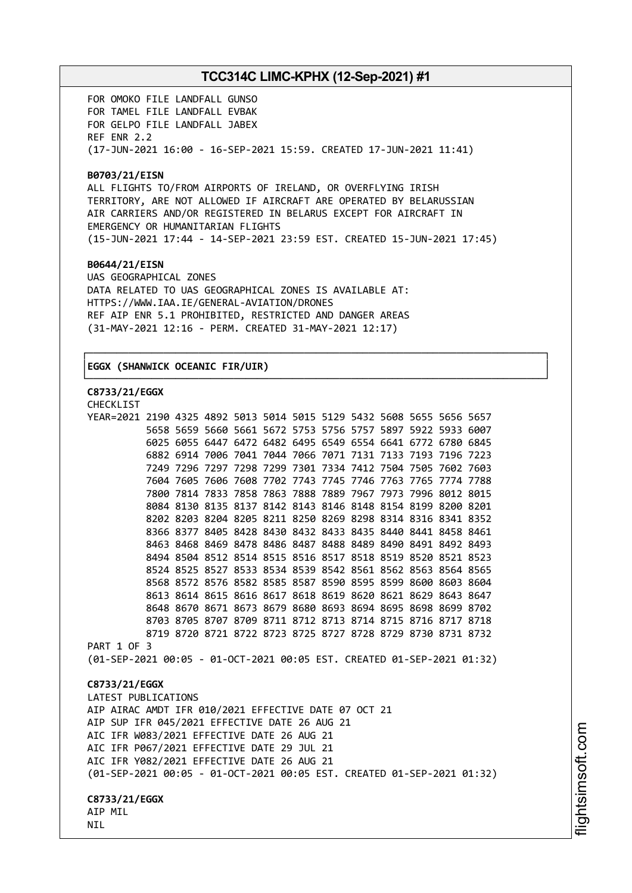FOR OMOKO FILE LANDFALL GUNSO FOR TAMEL FILE LANDFALL EVBAK FOR GELPO FILE LANDFALL JABEX REF ENR 2.2 (17-JUN-2021 16:00 - 16-SEP-2021 15:59. CREATED 17-JUN-2021 11:41)

### **B0703/21/EISN**

ALL FLIGHTS TO/FROM AIRPORTS OF IRELAND, OR OVERFLYING IRISH TERRITORY, ARE NOT ALLOWED IF AIRCRAFT ARE OPERATED BY BELARUSSIAN AIR CARRIERS AND/OR REGISTERED IN BELARUS EXCEPT FOR AIRCRAFT IN EMERGENCY OR HUMANITARIAN FLIGHTS (15-JUN-2021 17:44 - 14-SEP-2021 23:59 EST. CREATED 15-JUN-2021 17:45)

┌──────────────────────────────────────────────────────────────────────────────┐

└──────────────────────────────────────────────────────────────────────────────┘

#### **B0644/21/EISN**

UAS GEOGRAPHICAL ZONES DATA RELATED TO UAS GEOGRAPHICAL ZONES IS AVAILABLE AT: HTTPS://WWW.IAA.IE/GENERAL-AVIATION/DRONES REF AIP ENR 5.1 PROHIBITED, RESTRICTED AND DANGER AREAS (31-MAY-2021 12:16 - PERM. CREATED 31-MAY-2021 12:17)

### │**EGGX (SHANWICK OCEANIC FIR/UIR)** │

### **C8733/21/EGGX**

CHECKL<sub>TCT</sub>

| -----------                                                            |  |  |  |  |  |  |  |  |  |  |                                                             |  |
|------------------------------------------------------------------------|--|--|--|--|--|--|--|--|--|--|-------------------------------------------------------------|--|
| YEAR=2021 2190 4325 4892 5013 5014 5015 5129 5432 5608 5655 5656 5657  |  |  |  |  |  |  |  |  |  |  |                                                             |  |
|                                                                        |  |  |  |  |  |  |  |  |  |  | 5658 5659 5660 5661 5672 5753 5756 5757 5897 5922 5933 6007 |  |
|                                                                        |  |  |  |  |  |  |  |  |  |  | 6025 6055 6447 6472 6482 6495 6549 6554 6641 6772 6780 6845 |  |
|                                                                        |  |  |  |  |  |  |  |  |  |  | 6882 6914 7006 7041 7044 7066 7071 7131 7133 7193 7196 7223 |  |
|                                                                        |  |  |  |  |  |  |  |  |  |  | 7249 7296 7297 7298 7299 7301 7334 7412 7504 7505 7602 7603 |  |
|                                                                        |  |  |  |  |  |  |  |  |  |  | 7604 7605 7606 7608 7702 7743 7745 7746 7763 7765 7774 7788 |  |
|                                                                        |  |  |  |  |  |  |  |  |  |  | 7800 7814 7833 7858 7863 7888 7889 7967 7973 7996 8012 8015 |  |
|                                                                        |  |  |  |  |  |  |  |  |  |  | 8084 8130 8135 8137 8142 8143 8146 8148 8154 8199 8200 8201 |  |
|                                                                        |  |  |  |  |  |  |  |  |  |  | 8202 8203 8204 8205 8211 8250 8269 8298 8314 8316 8341 8352 |  |
|                                                                        |  |  |  |  |  |  |  |  |  |  | 8366 8377 8405 8428 8430 8432 8433 8435 8440 8441 8458 8461 |  |
|                                                                        |  |  |  |  |  |  |  |  |  |  | 8463 8468 8469 8478 8486 8487 8488 8489 8490 8491 8492 8493 |  |
|                                                                        |  |  |  |  |  |  |  |  |  |  | 8494 8504 8512 8514 8515 8516 8517 8518 8519 8520 8521 8523 |  |
|                                                                        |  |  |  |  |  |  |  |  |  |  | 8524 8525 8527 8533 8534 8539 8542 8561 8562 8563 8564 8565 |  |
|                                                                        |  |  |  |  |  |  |  |  |  |  | 8568 8572 8576 8582 8585 8587 8590 8595 8599 8600 8603 8604 |  |
|                                                                        |  |  |  |  |  |  |  |  |  |  | 8613 8614 8615 8616 8617 8618 8619 8620 8621 8629 8643 8647 |  |
|                                                                        |  |  |  |  |  |  |  |  |  |  | 8648 8670 8671 8673 8679 8680 8693 8694 8695 8698 8699 8702 |  |
|                                                                        |  |  |  |  |  |  |  |  |  |  | 8703 8705 8707 8709 8711 8712 8713 8714 8715 8716 8717 8718 |  |
|                                                                        |  |  |  |  |  |  |  |  |  |  | 8719 8720 8721 8722 8723 8725 8727 8728 8729 8730 8731 8732 |  |
| PART 1 OF 3                                                            |  |  |  |  |  |  |  |  |  |  |                                                             |  |
| (01-SEP-2021 00:05 - 01-OCT-2021 00:05 EST. CREATED 01-SEP-2021 01:32) |  |  |  |  |  |  |  |  |  |  |                                                             |  |
| C8733/21/EGGX                                                          |  |  |  |  |  |  |  |  |  |  |                                                             |  |
| LATEST PUBLICATIONS                                                    |  |  |  |  |  |  |  |  |  |  |                                                             |  |
| AIP AIRAC AMDT IFR 010/2021 EFFECTIVE DATE 07 OCT 21                   |  |  |  |  |  |  |  |  |  |  |                                                             |  |
| AIP SUP IFR 045/2021 EFFECTIVE DATE 26 AUG 21                          |  |  |  |  |  |  |  |  |  |  |                                                             |  |
| AIC IFR W083/2021 EFFECTIVE DATE 26 AUG 21                             |  |  |  |  |  |  |  |  |  |  |                                                             |  |
| AIC IFR P067/2021 EFFECTIVE DATE 29 JUL 21                             |  |  |  |  |  |  |  |  |  |  |                                                             |  |
| AIC IFR Y082/2021 EFFECTIVE DATE 26 AUG 21                             |  |  |  |  |  |  |  |  |  |  |                                                             |  |
|                                                                        |  |  |  |  |  |  |  |  |  |  |                                                             |  |
| (01-SEP-2021 00:05 - 01-OCT-2021 00:05 EST. CREATED 01-SEP-2021 01:32) |  |  |  |  |  |  |  |  |  |  |                                                             |  |
| C8733/21/EGGX                                                          |  |  |  |  |  |  |  |  |  |  |                                                             |  |
| AIP MIL                                                                |  |  |  |  |  |  |  |  |  |  |                                                             |  |
| <b>NIL</b>                                                             |  |  |  |  |  |  |  |  |  |  |                                                             |  |
|                                                                        |  |  |  |  |  |  |  |  |  |  |                                                             |  |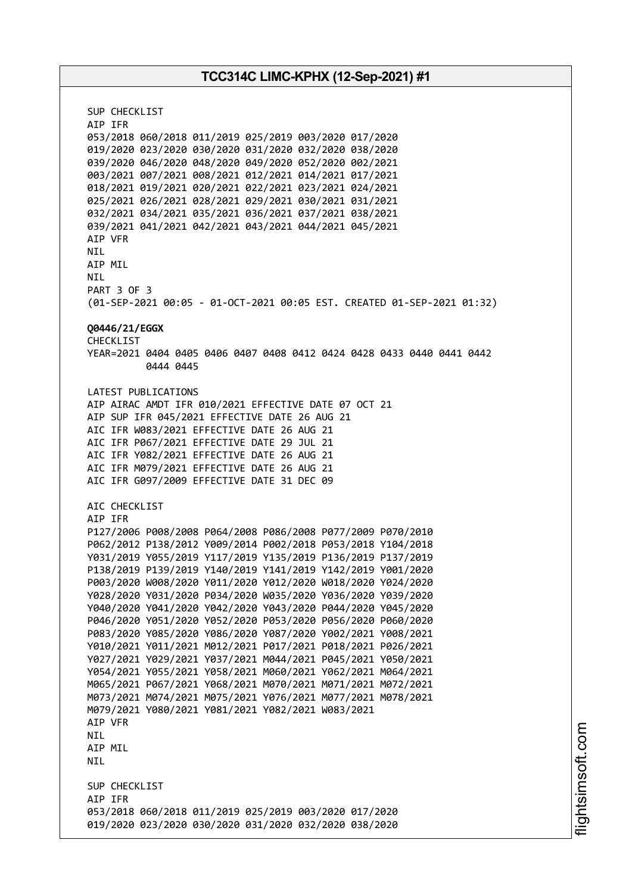SUP CHECKLIST AIP IFR 053/2018 060/2018 011/2019 025/2019 003/2020 017/2020 019/2020 023/2020 030/2020 031/2020 032/2020 038/2020 039/2020 046/2020 048/2020 049/2020 052/2020 002/2021 003/2021 007/2021 008/2021 012/2021 014/2021 017/2021 018/2021 019/2021 020/2021 022/2021 023/2021 024/2021 025/2021 026/2021 028/2021 029/2021 030/2021 031/2021 032/2021 034/2021 035/2021 036/2021 037/2021 038/2021 039/2021 041/2021 042/2021 043/2021 044/2021 045/2021 AIP VFR NIL AIP MIL NIL PART 3 OF 3 (01-SEP-2021 00:05 - 01-OCT-2021 00:05 EST. CREATED 01-SEP-2021 01:32) **Q0446/21/EGGX** CHECKLIST YEAR=2021 0404 0405 0406 0407 0408 0412 0424 0428 0433 0440 0441 0442 0444 0445 LATEST PUBLICATIONS AIP AIRAC AMDT IFR 010/2021 EFFECTIVE DATE 07 OCT 21 AIP SUP IFR 045/2021 EFFECTIVE DATE 26 AUG 21 AIC IFR W083/2021 EFFECTIVE DATE 26 AUG 21 AIC IFR P067/2021 EFFECTIVE DATE 29 JUL 21 AIC IFR Y082/2021 EFFECTIVE DATE 26 AUG 21 AIC IFR M079/2021 EFFECTIVE DATE 26 AUG 21 AIC IFR G097/2009 EFFECTIVE DATE 31 DEC 09 AIC CHECKLIST AIP IFR P127/2006 P008/2008 P064/2008 P086/2008 P077/2009 P070/2010 P062/2012 P138/2012 Y009/2014 P002/2018 P053/2018 Y104/2018 Y031/2019 Y055/2019 Y117/2019 Y135/2019 P136/2019 P137/2019 P138/2019 P139/2019 Y140/2019 Y141/2019 Y142/2019 Y001/2020 P003/2020 W008/2020 Y011/2020 Y012/2020 W018/2020 Y024/2020 Y028/2020 Y031/2020 P034/2020 W035/2020 Y036/2020 Y039/2020 Y040/2020 Y041/2020 Y042/2020 Y043/2020 P044/2020 Y045/2020 P046/2020 Y051/2020 Y052/2020 P053/2020 P056/2020 P060/2020 P083/2020 Y085/2020 Y086/2020 Y087/2020 Y002/2021 Y008/2021 Y010/2021 Y011/2021 M012/2021 P017/2021 P018/2021 P026/2021 Y027/2021 Y029/2021 Y037/2021 M044/2021 P045/2021 Y050/2021 Y054/2021 Y055/2021 Y058/2021 M060/2021 Y062/2021 M064/2021 M065/2021 P067/2021 Y068/2021 M070/2021 M071/2021 M072/2021 M073/2021 M074/2021 M075/2021 Y076/2021 M077/2021 M078/2021 M079/2021 Y080/2021 Y081/2021 Y082/2021 W083/2021 AIP VFR NIL AIP MIL NIL SUP CHECKLIST AIP IFR 053/2018 060/2018 011/2019 025/2019 003/2020 017/2020 019/2020 023/2020 030/2020 031/2020 032/2020 038/2020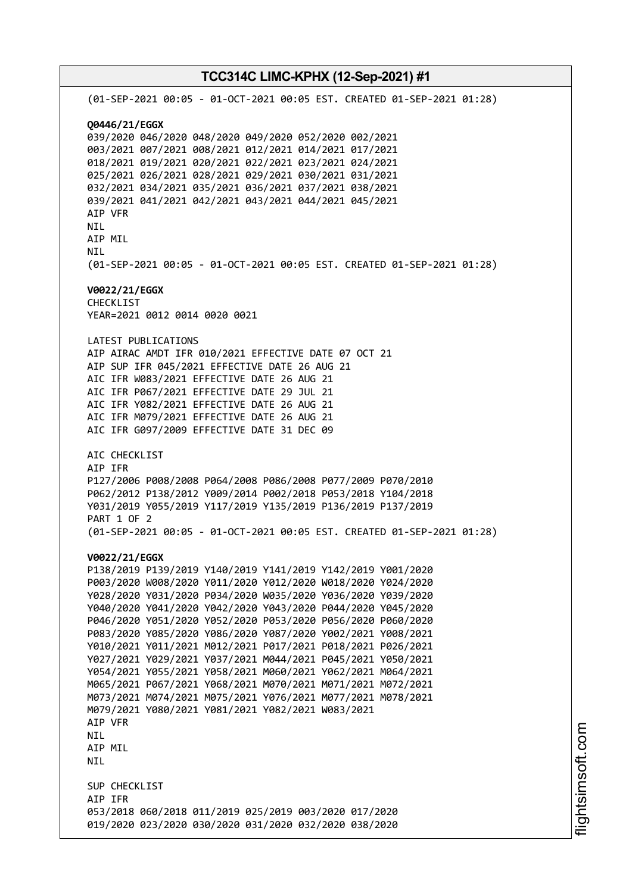# **TCC314C LIMC-KPHX (12-Sep-2021) #1** (01-SEP-2021 00:05 - 01-OCT-2021 00:05 EST. CREATED 01-SEP-2021 01:28) **Q0446/21/EGGX** 039/2020 046/2020 048/2020 049/2020 052/2020 002/2021 003/2021 007/2021 008/2021 012/2021 014/2021 017/2021 018/2021 019/2021 020/2021 022/2021 023/2021 024/2021 025/2021 026/2021 028/2021 029/2021 030/2021 031/2021 032/2021 034/2021 035/2021 036/2021 037/2021 038/2021 039/2021 041/2021 042/2021 043/2021 044/2021 045/2021 AIP VFR NIL AIP MIL NIL (01-SEP-2021 00:05 - 01-OCT-2021 00:05 EST. CREATED 01-SEP-2021 01:28) **V0022/21/EGGX** CHECKLIST YEAR=2021 0012 0014 0020 0021 LATEST PUBLICATIONS AIP AIRAC AMDT IFR 010/2021 EFFECTIVE DATE 07 OCT 21 AIP SUP IFR 045/2021 EFFECTIVE DATE 26 AUG 21 AIC IFR W083/2021 EFFECTIVE DATE 26 AUG 21 AIC IFR P067/2021 EFFECTIVE DATE 29 JUL 21 AIC IFR Y082/2021 EFFECTIVE DATE 26 AUG 21 AIC IFR M079/2021 EFFECTIVE DATE 26 AUG 21 AIC IFR G097/2009 EFFECTIVE DATE 31 DEC 09 AIC CHECKLIST AIP IFR P127/2006 P008/2008 P064/2008 P086/2008 P077/2009 P070/2010 P062/2012 P138/2012 Y009/2014 P002/2018 P053/2018 Y104/2018 Y031/2019 Y055/2019 Y117/2019 Y135/2019 P136/2019 P137/2019 PART 1 OF 2 (01-SEP-2021 00:05 - 01-OCT-2021 00:05 EST. CREATED 01-SEP-2021 01:28) **V0022/21/EGGX** P138/2019 P139/2019 Y140/2019 Y141/2019 Y142/2019 Y001/2020 P003/2020 W008/2020 Y011/2020 Y012/2020 W018/2020 Y024/2020 Y028/2020 Y031/2020 P034/2020 W035/2020 Y036/2020 Y039/2020 Y040/2020 Y041/2020 Y042/2020 Y043/2020 P044/2020 Y045/2020 P046/2020 Y051/2020 Y052/2020 P053/2020 P056/2020 P060/2020 P083/2020 Y085/2020 Y086/2020 Y087/2020 Y002/2021 Y008/2021 Y010/2021 Y011/2021 M012/2021 P017/2021 P018/2021 P026/2021 Y027/2021 Y029/2021 Y037/2021 M044/2021 P045/2021 Y050/2021 Y054/2021 Y055/2021 Y058/2021 M060/2021 Y062/2021 M064/2021 M065/2021 P067/2021 Y068/2021 M070/2021 M071/2021 M072/2021 M073/2021 M074/2021 M075/2021 Y076/2021 M077/2021 M078/2021 M079/2021 Y080/2021 Y081/2021 Y082/2021 W083/2021 AIP VFR NIL AIP MIL NIL SUP CHECKLIST AIP IFR 053/2018 060/2018 011/2019 025/2019 003/2020 017/2020 019/2020 023/2020 030/2020 031/2020 032/2020 038/2020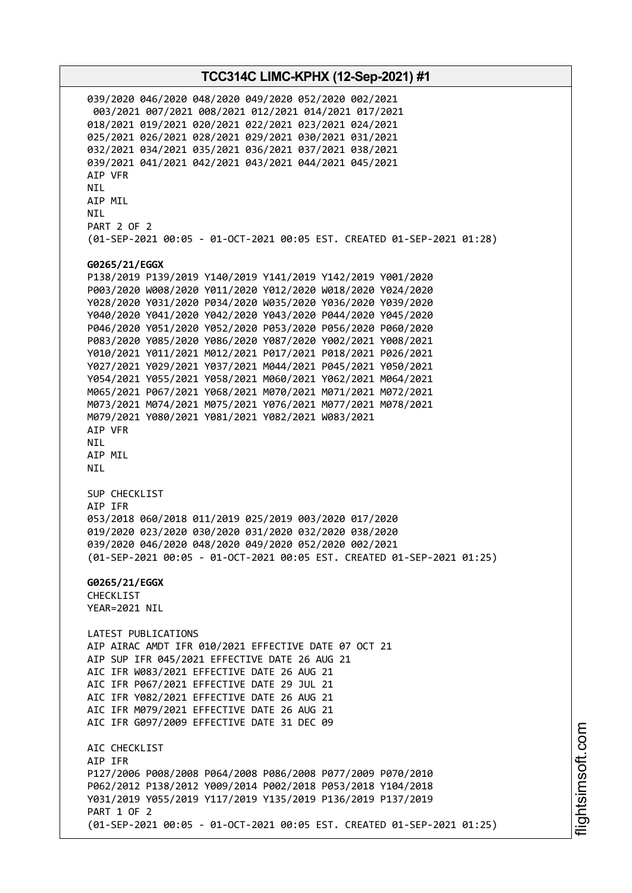039/2020 046/2020 048/2020 049/2020 052/2020 002/2021 003/2021 007/2021 008/2021 012/2021 014/2021 017/2021 018/2021 019/2021 020/2021 022/2021 023/2021 024/2021 025/2021 026/2021 028/2021 029/2021 030/2021 031/2021 032/2021 034/2021 035/2021 036/2021 037/2021 038/2021 039/2021 041/2021 042/2021 043/2021 044/2021 045/2021 AIP VFR NIL AIP MIL NIL PART 2 OF 2 (01-SEP-2021 00:05 - 01-OCT-2021 00:05 EST. CREATED 01-SEP-2021 01:28) **G0265/21/EGGX** P138/2019 P139/2019 Y140/2019 Y141/2019 Y142/2019 Y001/2020 P003/2020 W008/2020 Y011/2020 Y012/2020 W018/2020 Y024/2020 Y028/2020 Y031/2020 P034/2020 W035/2020 Y036/2020 Y039/2020 Y040/2020 Y041/2020 Y042/2020 Y043/2020 P044/2020 Y045/2020 P046/2020 Y051/2020 Y052/2020 P053/2020 P056/2020 P060/2020 P083/2020 Y085/2020 Y086/2020 Y087/2020 Y002/2021 Y008/2021 Y010/2021 Y011/2021 M012/2021 P017/2021 P018/2021 P026/2021 Y027/2021 Y029/2021 Y037/2021 M044/2021 P045/2021 Y050/2021 Y054/2021 Y055/2021 Y058/2021 M060/2021 Y062/2021 M064/2021 M065/2021 P067/2021 Y068/2021 M070/2021 M071/2021 M072/2021 M073/2021 M074/2021 M075/2021 Y076/2021 M077/2021 M078/2021 M079/2021 Y080/2021 Y081/2021 Y082/2021 W083/2021 AIP VFR NIL AIP MIL NIL SUP CHECKLIST AIP IFR 053/2018 060/2018 011/2019 025/2019 003/2020 017/2020 019/2020 023/2020 030/2020 031/2020 032/2020 038/2020 039/2020 046/2020 048/2020 049/2020 052/2020 002/2021 (01-SEP-2021 00:05 - 01-OCT-2021 00:05 EST. CREATED 01-SEP-2021 01:25) **G0265/21/EGGX** CHECKLIST YEAR=2021 NIL LATEST PUBLICATIONS AIP AIRAC AMDT IFR 010/2021 EFFECTIVE DATE 07 OCT 21 AIP SUP IFR 045/2021 EFFECTIVE DATE 26 AUG 21 AIC IFR W083/2021 EFFECTIVE DATE 26 AUG 21 AIC IFR P067/2021 EFFECTIVE DATE 29 JUL 21 AIC IFR Y082/2021 EFFECTIVE DATE 26 AUG 21 AIC IFR M079/2021 EFFECTIVE DATE 26 AUG 21 AIC IFR G097/2009 EFFECTIVE DATE 31 DEC 09 AIC CHECKLIST AIP IFR P127/2006 P008/2008 P064/2008 P086/2008 P077/2009 P070/2010 P062/2012 P138/2012 Y009/2014 P002/2018 P053/2018 Y104/2018 Y031/2019 Y055/2019 Y117/2019 Y135/2019 P136/2019 P137/2019 PART 1 OF 2 (01-SEP-2021 00:05 - 01-OCT-2021 00:05 EST. CREATED 01-SEP-2021 01:25)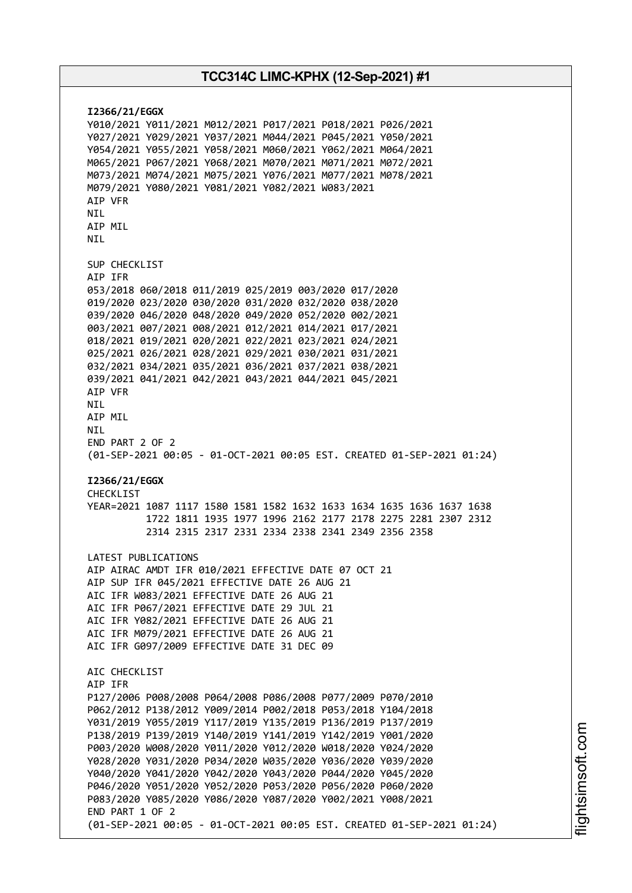**I2366/21/EGGX** Y010/2021 Y011/2021 M012/2021 P017/2021 P018/2021 P026/2021 Y027/2021 Y029/2021 Y037/2021 M044/2021 P045/2021 Y050/2021 Y054/2021 Y055/2021 Y058/2021 M060/2021 Y062/2021 M064/2021 M065/2021 P067/2021 Y068/2021 M070/2021 M071/2021 M072/2021 M073/2021 M074/2021 M075/2021 Y076/2021 M077/2021 M078/2021 M079/2021 Y080/2021 Y081/2021 Y082/2021 W083/2021 AIP VFR NIL AIP MIL **NTI** SUP CHECKLIST AIP IFR 053/2018 060/2018 011/2019 025/2019 003/2020 017/2020 019/2020 023/2020 030/2020 031/2020 032/2020 038/2020 039/2020 046/2020 048/2020 049/2020 052/2020 002/2021 003/2021 007/2021 008/2021 012/2021 014/2021 017/2021 018/2021 019/2021 020/2021 022/2021 023/2021 024/2021 025/2021 026/2021 028/2021 029/2021 030/2021 031/2021 032/2021 034/2021 035/2021 036/2021 037/2021 038/2021 039/2021 041/2021 042/2021 043/2021 044/2021 045/2021 AIP VFR NIL AIP MIL **NTI** END PART 2 OF 2 (01-SEP-2021 00:05 - 01-OCT-2021 00:05 EST. CREATED 01-SEP-2021 01:24) **I2366/21/EGGX** CHECKLIST YEAR=2021 1087 1117 1580 1581 1582 1632 1633 1634 1635 1636 1637 1638 1722 1811 1935 1977 1996 2162 2177 2178 2275 2281 2307 2312 2314 2315 2317 2331 2334 2338 2341 2349 2356 2358 LATEST PUBLICATIONS AIP AIRAC AMDT IFR 010/2021 EFFECTIVE DATE 07 OCT 21 AIP SUP IFR 045/2021 EFFECTIVE DATE 26 AUG 21 AIC IFR W083/2021 EFFECTIVE DATE 26 AUG 21 AIC IFR P067/2021 EFFECTIVE DATE 29 JUL 21 AIC IFR Y082/2021 EFFECTIVE DATE 26 AUG 21 AIC IFR M079/2021 EFFECTIVE DATE 26 AUG 21 AIC IFR G097/2009 EFFECTIVE DATE 31 DEC 09 AIC CHECKLIST AIP IFR P127/2006 P008/2008 P064/2008 P086/2008 P077/2009 P070/2010 P062/2012 P138/2012 Y009/2014 P002/2018 P053/2018 Y104/2018 Y031/2019 Y055/2019 Y117/2019 Y135/2019 P136/2019 P137/2019 P138/2019 P139/2019 Y140/2019 Y141/2019 Y142/2019 Y001/2020 P003/2020 W008/2020 Y011/2020 Y012/2020 W018/2020 Y024/2020 Y028/2020 Y031/2020 P034/2020 W035/2020 Y036/2020 Y039/2020 Y040/2020 Y041/2020 Y042/2020 Y043/2020 P044/2020 Y045/2020 P046/2020 Y051/2020 Y052/2020 P053/2020 P056/2020 P060/2020 P083/2020 Y085/2020 Y086/2020 Y087/2020 Y002/2021 Y008/2021 END PART 1 OF 2 (01-SEP-2021 00:05 - 01-OCT-2021 00:05 EST. CREATED 01-SEP-2021 01:24)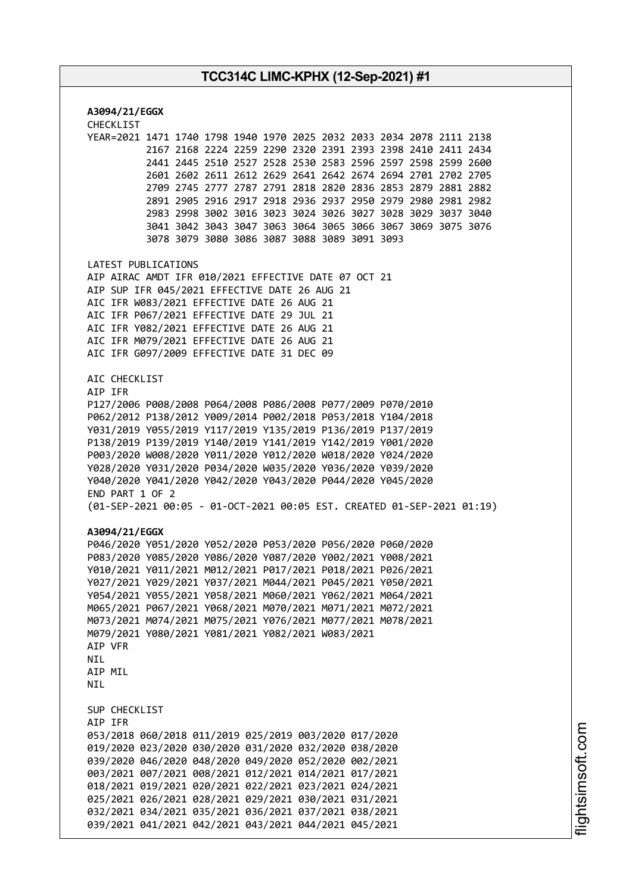**A3094/21/EGGX** CHECKLIST YEAR=2021 1471 1740 1798 1940 1970 2025 2032 2033 2034 2078 2111 2138 2167 2168 2224 2259 2290 2320 2391 2393 2398 2410 2411 2434 2441 2445 2510 2527 2528 2530 2583 2596 2597 2598 2599 2600 2601 2602 2611 2612 2629 2641 2642 2674 2694 2701 2702 2705 2709 2745 2777 2787 2791 2818 2820 2836 2853 2879 2881 2882 2891 2905 2916 2917 2918 2936 2937 2950 2979 2980 2981 2982 2983 2998 3002 3016 3023 3024 3026 3027 3028 3029 3037 3040 3041 3042 3043 3047 3063 3064 3065 3066 3067 3069 3075 3076 3078 3079 3080 3086 3087 3088 3089 3091 3093 LATEST PUBLICATIONS AIP AIRAC AMDT IFR 010/2021 EFFECTIVE DATE 07 OCT 21 AIP SUP IFR 045/2021 EFFECTIVE DATE 26 AUG 21 AIC IFR W083/2021 EFFECTIVE DATE 26 AUG 21 AIC IFR P067/2021 EFFECTIVE DATE 29 JUL 21 AIC IFR Y082/2021 EFFECTIVE DATE 26 AUG 21 AIC IFR M079/2021 EFFECTIVE DATE 26 AUG 21 AIC IFR G097/2009 EFFECTIVE DATE 31 DEC 09 AIC CHECKLIST AIP IFR P127/2006 P008/2008 P064/2008 P086/2008 P077/2009 P070/2010 P062/2012 P138/2012 Y009/2014 P002/2018 P053/2018 Y104/2018 Y031/2019 Y055/2019 Y117/2019 Y135/2019 P136/2019 P137/2019 P138/2019 P139/2019 Y140/2019 Y141/2019 Y142/2019 Y001/2020 P003/2020 W008/2020 Y011/2020 Y012/2020 W018/2020 Y024/2020 Y028/2020 Y031/2020 P034/2020 W035/2020 Y036/2020 Y039/2020 Y040/2020 Y041/2020 Y042/2020 Y043/2020 P044/2020 Y045/2020 END PART 1 OF 2 (01-SEP-2021 00:05 - 01-OCT-2021 00:05 EST. CREATED 01-SEP-2021 01:19) **A3094/21/EGGX** P046/2020 Y051/2020 Y052/2020 P053/2020 P056/2020 P060/2020 P083/2020 Y085/2020 Y086/2020 Y087/2020 Y002/2021 Y008/2021 Y010/2021 Y011/2021 M012/2021 P017/2021 P018/2021 P026/2021 Y027/2021 Y029/2021 Y037/2021 M044/2021 P045/2021 Y050/2021 Y054/2021 Y055/2021 Y058/2021 M060/2021 Y062/2021 M064/2021 M065/2021 P067/2021 Y068/2021 M070/2021 M071/2021 M072/2021 M073/2021 M074/2021 M075/2021 Y076/2021 M077/2021 M078/2021 M079/2021 Y080/2021 Y081/2021 Y082/2021 W083/2021 AIP VFR **NTL** AIP MIL **NTL** SUP CHECKLIST AIP IFR 053/2018 060/2018 011/2019 025/2019 003/2020 017/2020 019/2020 023/2020 030/2020 031/2020 032/2020 038/2020 039/2020 046/2020 048/2020 049/2020 052/2020 002/2021 003/2021 007/2021 008/2021 012/2021 014/2021 017/2021 018/2021 019/2021 020/2021 022/2021 023/2021 024/2021 025/2021 026/2021 028/2021 029/2021 030/2021 031/2021 032/2021 034/2021 035/2021 036/2021 037/2021 038/2021 039/2021 041/2021 042/2021 043/2021 044/2021 045/2021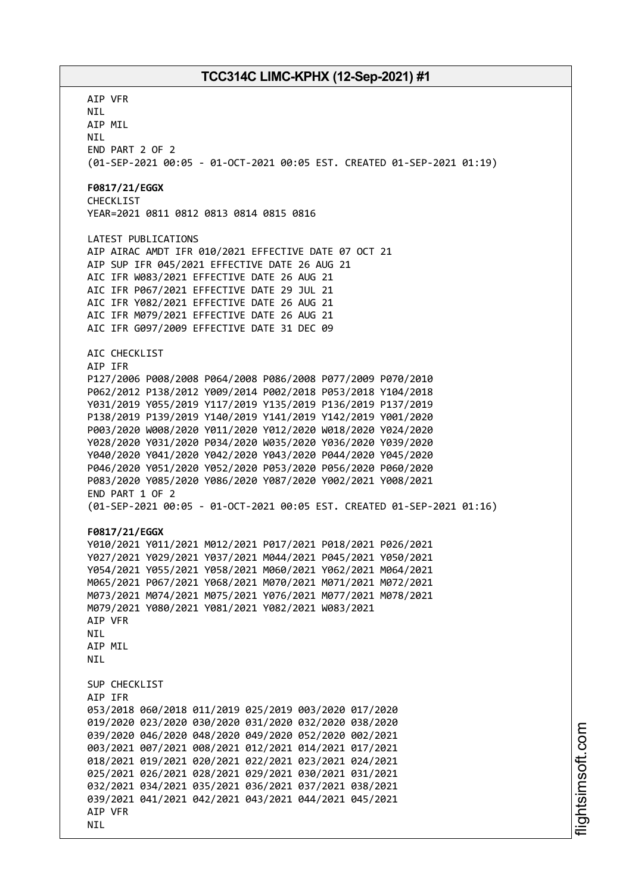AIP VFR NIL AIP MIL NIL END PART 2 OF 2 (01-SEP-2021 00:05 - 01-OCT-2021 00:05 EST. CREATED 01-SEP-2021 01:19) **F0817/21/EGGX** CHECKLIST YEAR=2021 0811 0812 0813 0814 0815 0816 LATEST PUBLICATIONS AIP AIRAC AMDT IFR 010/2021 EFFECTIVE DATE 07 OCT 21 AIP SUP IFR 045/2021 EFFECTIVE DATE 26 AUG 21 AIC IFR W083/2021 EFFECTIVE DATE 26 AUG 21 AIC IFR P067/2021 EFFECTIVE DATE 29 JUL 21 AIC IFR Y082/2021 EFFECTIVE DATE 26 AUG 21 AIC IFR M079/2021 EFFECTIVE DATE 26 AUG 21 AIC IFR G097/2009 EFFECTIVE DATE 31 DEC 09 AIC CHECKLIST AIP IFR P127/2006 P008/2008 P064/2008 P086/2008 P077/2009 P070/2010 P062/2012 P138/2012 Y009/2014 P002/2018 P053/2018 Y104/2018 Y031/2019 Y055/2019 Y117/2019 Y135/2019 P136/2019 P137/2019 P138/2019 P139/2019 Y140/2019 Y141/2019 Y142/2019 Y001/2020 P003/2020 W008/2020 Y011/2020 Y012/2020 W018/2020 Y024/2020 Y028/2020 Y031/2020 P034/2020 W035/2020 Y036/2020 Y039/2020 Y040/2020 Y041/2020 Y042/2020 Y043/2020 P044/2020 Y045/2020 P046/2020 Y051/2020 Y052/2020 P053/2020 P056/2020 P060/2020 P083/2020 Y085/2020 Y086/2020 Y087/2020 Y002/2021 Y008/2021 END PART 1 OF 2 (01-SEP-2021 00:05 - 01-OCT-2021 00:05 EST. CREATED 01-SEP-2021 01:16) **F0817/21/EGGX** Y010/2021 Y011/2021 M012/2021 P017/2021 P018/2021 P026/2021 Y027/2021 Y029/2021 Y037/2021 M044/2021 P045/2021 Y050/2021 Y054/2021 Y055/2021 Y058/2021 M060/2021 Y062/2021 M064/2021 M065/2021 P067/2021 Y068/2021 M070/2021 M071/2021 M072/2021 M073/2021 M074/2021 M075/2021 Y076/2021 M077/2021 M078/2021 M079/2021 Y080/2021 Y081/2021 Y082/2021 W083/2021 AIP VFR NIL AIP MIL **NTI** SUP CHECKLIST AIP IFR 053/2018 060/2018 011/2019 025/2019 003/2020 017/2020 019/2020 023/2020 030/2020 031/2020 032/2020 038/2020 039/2020 046/2020 048/2020 049/2020 052/2020 002/2021 003/2021 007/2021 008/2021 012/2021 014/2021 017/2021 018/2021 019/2021 020/2021 022/2021 023/2021 024/2021 025/2021 026/2021 028/2021 029/2021 030/2021 031/2021 032/2021 034/2021 035/2021 036/2021 037/2021 038/2021 039/2021 041/2021 042/2021 043/2021 044/2021 045/2021 AIP VFR NIL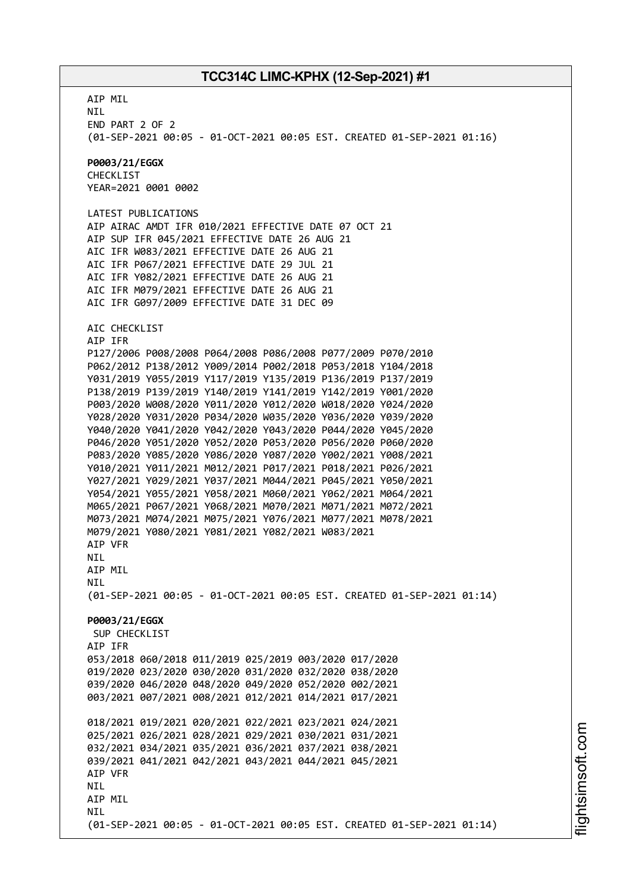AIP MIL NIL END PART 2 OF 2 (01-SEP-2021 00:05 - 01-OCT-2021 00:05 EST. CREATED 01-SEP-2021 01:16) **P0003/21/EGGX** CHECKLIST YEAR=2021 0001 0002 LATEST PUBLICATIONS AIP AIRAC AMDT IFR 010/2021 EFFECTIVE DATE 07 OCT 21 AIP SUP IFR 045/2021 EFFECTIVE DATE 26 AUG 21 AIC IFR W083/2021 EFFECTIVE DATE 26 AUG 21 AIC IFR P067/2021 EFFECTIVE DATE 29 JUL 21 AIC IFR Y082/2021 EFFECTIVE DATE 26 AUG 21 AIC IFR M079/2021 EFFECTIVE DATE 26 AUG 21 AIC IFR G097/2009 EFFECTIVE DATE 31 DEC 09 AIC CHECKLIST AIP IFR P127/2006 P008/2008 P064/2008 P086/2008 P077/2009 P070/2010 P062/2012 P138/2012 Y009/2014 P002/2018 P053/2018 Y104/2018 Y031/2019 Y055/2019 Y117/2019 Y135/2019 P136/2019 P137/2019 P138/2019 P139/2019 Y140/2019 Y141/2019 Y142/2019 Y001/2020 P003/2020 W008/2020 Y011/2020 Y012/2020 W018/2020 Y024/2020 Y028/2020 Y031/2020 P034/2020 W035/2020 Y036/2020 Y039/2020 Y040/2020 Y041/2020 Y042/2020 Y043/2020 P044/2020 Y045/2020 P046/2020 Y051/2020 Y052/2020 P053/2020 P056/2020 P060/2020 P083/2020 Y085/2020 Y086/2020 Y087/2020 Y002/2021 Y008/2021 Y010/2021 Y011/2021 M012/2021 P017/2021 P018/2021 P026/2021 Y027/2021 Y029/2021 Y037/2021 M044/2021 P045/2021 Y050/2021 Y054/2021 Y055/2021 Y058/2021 M060/2021 Y062/2021 M064/2021 M065/2021 P067/2021 Y068/2021 M070/2021 M071/2021 M072/2021 M073/2021 M074/2021 M075/2021 Y076/2021 M077/2021 M078/2021 M079/2021 Y080/2021 Y081/2021 Y082/2021 W083/2021 AIP VFR NIL AIP MIL NIL (01-SEP-2021 00:05 - 01-OCT-2021 00:05 EST. CREATED 01-SEP-2021 01:14) **P0003/21/EGGX** SUP CHECKLIST AIP IFR 053/2018 060/2018 011/2019 025/2019 003/2020 017/2020 019/2020 023/2020 030/2020 031/2020 032/2020 038/2020 039/2020 046/2020 048/2020 049/2020 052/2020 002/2021 003/2021 007/2021 008/2021 012/2021 014/2021 017/2021 018/2021 019/2021 020/2021 022/2021 023/2021 024/2021 025/2021 026/2021 028/2021 029/2021 030/2021 031/2021 032/2021 034/2021 035/2021 036/2021 037/2021 038/2021 039/2021 041/2021 042/2021 043/2021 044/2021 045/2021 AIP VFR **NTI** AIP MIL **NTI** (01-SEP-2021 00:05 - 01-OCT-2021 00:05 EST. CREATED 01-SEP-2021 01:14)

i⊒<br>⊫ htsim soft.c o

m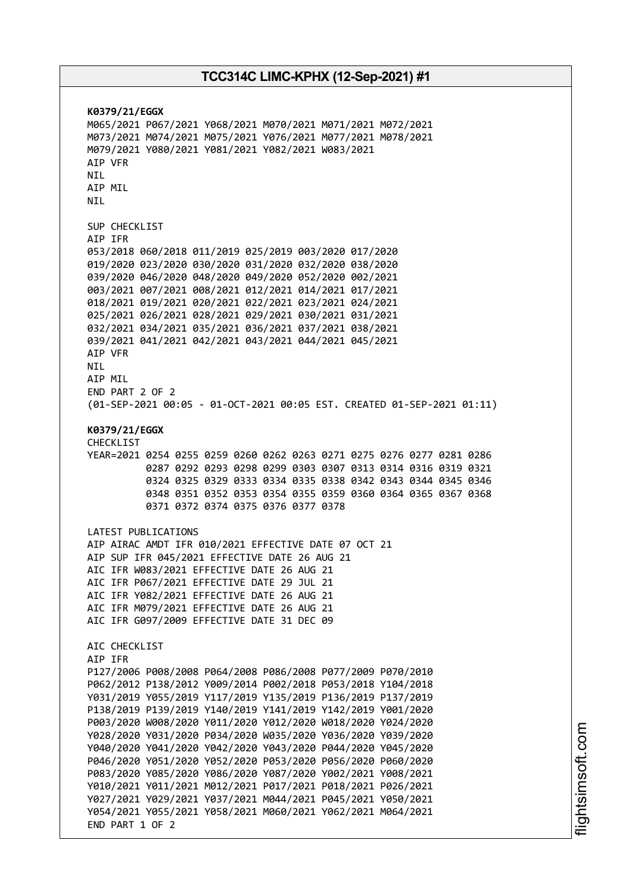**K0379/21/EGGX** M065/2021 P067/2021 Y068/2021 M070/2021 M071/2021 M072/2021 M073/2021 M074/2021 M075/2021 Y076/2021 M077/2021 M078/2021 M079/2021 Y080/2021 Y081/2021 Y082/2021 W083/2021 AIP VFR NIL AIP MIL NIL SUP CHECKLIST AIP IFR 053/2018 060/2018 011/2019 025/2019 003/2020 017/2020 019/2020 023/2020 030/2020 031/2020 032/2020 038/2020 039/2020 046/2020 048/2020 049/2020 052/2020 002/2021 003/2021 007/2021 008/2021 012/2021 014/2021 017/2021 018/2021 019/2021 020/2021 022/2021 023/2021 024/2021 025/2021 026/2021 028/2021 029/2021 030/2021 031/2021 032/2021 034/2021 035/2021 036/2021 037/2021 038/2021 039/2021 041/2021 042/2021 043/2021 044/2021 045/2021 AIP VFR NIL AIP MIL END PART 2 OF 2 (01-SEP-2021 00:05 - 01-OCT-2021 00:05 EST. CREATED 01-SEP-2021 01:11) **K0379/21/EGGX** CHECKLIST YEAR=2021 0254 0255 0259 0260 0262 0263 0271 0275 0276 0277 0281 0286 0287 0292 0293 0298 0299 0303 0307 0313 0314 0316 0319 0321 0324 0325 0329 0333 0334 0335 0338 0342 0343 0344 0345 0346 0348 0351 0352 0353 0354 0355 0359 0360 0364 0365 0367 0368 0371 0372 0374 0375 0376 0377 0378 LATEST PUBLICATIONS AIP AIRAC AMDT IFR 010/2021 EFFECTIVE DATE 07 OCT 21 AIP SUP IFR 045/2021 EFFECTIVE DATE 26 AUG 21 AIC IFR W083/2021 EFFECTIVE DATE 26 AUG 21 AIC IFR P067/2021 EFFECTIVE DATE 29 JUL 21 AIC IFR Y082/2021 EFFECTIVE DATE 26 AUG 21 AIC IFR M079/2021 EFFECTIVE DATE 26 AUG 21 AIC IFR G097/2009 EFFECTIVE DATE 31 DEC 09 ATC CHECKLIST AIP IFR P127/2006 P008/2008 P064/2008 P086/2008 P077/2009 P070/2010 P062/2012 P138/2012 Y009/2014 P002/2018 P053/2018 Y104/2018 Y031/2019 Y055/2019 Y117/2019 Y135/2019 P136/2019 P137/2019 P138/2019 P139/2019 Y140/2019 Y141/2019 Y142/2019 Y001/2020 P003/2020 W008/2020 Y011/2020 Y012/2020 W018/2020 Y024/2020 Y028/2020 Y031/2020 P034/2020 W035/2020 Y036/2020 Y039/2020 Y040/2020 Y041/2020 Y042/2020 Y043/2020 P044/2020 Y045/2020 P046/2020 Y051/2020 Y052/2020 P053/2020 P056/2020 P060/2020 P083/2020 Y085/2020 Y086/2020 Y087/2020 Y002/2021 Y008/2021 Y010/2021 Y011/2021 M012/2021 P017/2021 P018/2021 P026/2021 Y027/2021 Y029/2021 Y037/2021 M044/2021 P045/2021 Y050/2021 Y054/2021 Y055/2021 Y058/2021 M060/2021 Y062/2021 M064/2021 END PART 1 OF 2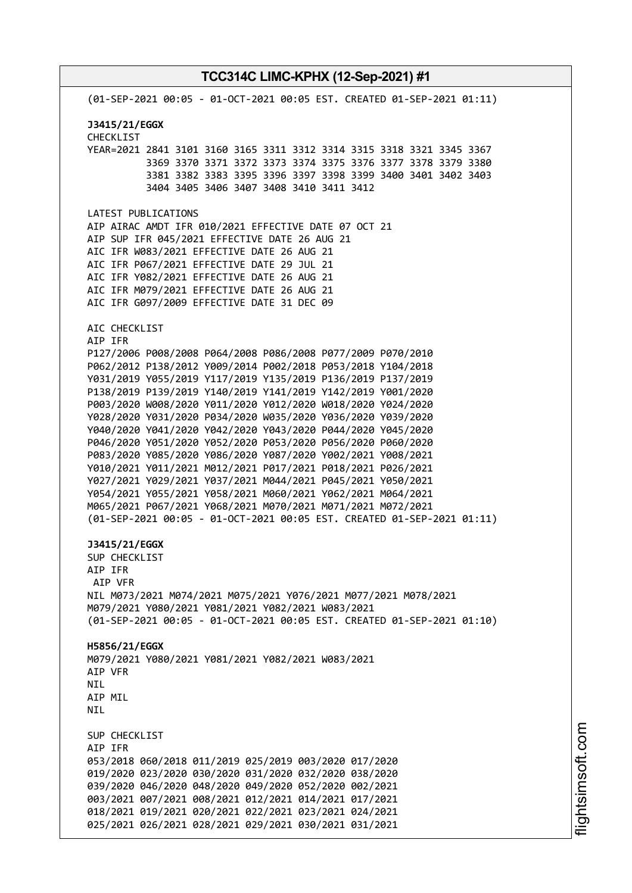(01-SEP-2021 00:05 - 01-OCT-2021 00:05 EST. CREATED 01-SEP-2021 01:11) **J3415/21/EGGX** CHECKLIST YEAR=2021 2841 3101 3160 3165 3311 3312 3314 3315 3318 3321 3345 3367 3369 3370 3371 3372 3373 3374 3375 3376 3377 3378 3379 3380 3381 3382 3383 3395 3396 3397 3398 3399 3400 3401 3402 3403 3404 3405 3406 3407 3408 3410 3411 3412 LATEST PUBLICATIONS AIP AIRAC AMDT IFR 010/2021 EFFECTIVE DATE 07 OCT 21 AIP SUP IFR 045/2021 EFFECTIVE DATE 26 AUG 21 AIC IFR W083/2021 EFFECTIVE DATE 26 AUG 21 AIC IFR P067/2021 EFFECTIVE DATE 29 JUL 21 AIC IFR Y082/2021 EFFECTIVE DATE 26 AUG 21 AIC IFR M079/2021 EFFECTIVE DATE 26 AUG 21 AIC IFR G097/2009 EFFECTIVE DATE 31 DEC 09 AIC CHECKLIST AIP IFR P127/2006 P008/2008 P064/2008 P086/2008 P077/2009 P070/2010 P062/2012 P138/2012 Y009/2014 P002/2018 P053/2018 Y104/2018 Y031/2019 Y055/2019 Y117/2019 Y135/2019 P136/2019 P137/2019 P138/2019 P139/2019 Y140/2019 Y141/2019 Y142/2019 Y001/2020 P003/2020 W008/2020 Y011/2020 Y012/2020 W018/2020 Y024/2020 Y028/2020 Y031/2020 P034/2020 W035/2020 Y036/2020 Y039/2020 Y040/2020 Y041/2020 Y042/2020 Y043/2020 P044/2020 Y045/2020 P046/2020 Y051/2020 Y052/2020 P053/2020 P056/2020 P060/2020 P083/2020 Y085/2020 Y086/2020 Y087/2020 Y002/2021 Y008/2021 Y010/2021 Y011/2021 M012/2021 P017/2021 P018/2021 P026/2021 Y027/2021 Y029/2021 Y037/2021 M044/2021 P045/2021 Y050/2021 Y054/2021 Y055/2021 Y058/2021 M060/2021 Y062/2021 M064/2021 M065/2021 P067/2021 Y068/2021 M070/2021 M071/2021 M072/2021 (01-SEP-2021 00:05 - 01-OCT-2021 00:05 EST. CREATED 01-SEP-2021 01:11) **J3415/21/EGGX** SUP CHECKLIST AIP IFR AIP VFR NIL M073/2021 M074/2021 M075/2021 Y076/2021 M077/2021 M078/2021 M079/2021 Y080/2021 Y081/2021 Y082/2021 W083/2021 (01-SEP-2021 00:05 - 01-OCT-2021 00:05 EST. CREATED 01-SEP-2021 01:10) **H5856/21/EGGX** M079/2021 Y080/2021 Y081/2021 Y082/2021 W083/2021 AIP VFR **NTL** AIP MIL **NTI** SUP CHECKLIST AIP IFR 053/2018 060/2018 011/2019 025/2019 003/2020 017/2020 019/2020 023/2020 030/2020 031/2020 032/2020 038/2020 039/2020 046/2020 048/2020 049/2020 052/2020 002/2021 003/2021 007/2021 008/2021 012/2021 014/2021 017/2021 018/2021 019/2021 020/2021 022/2021 023/2021 024/2021 025/2021 026/2021 028/2021 029/2021 030/2021 031/2021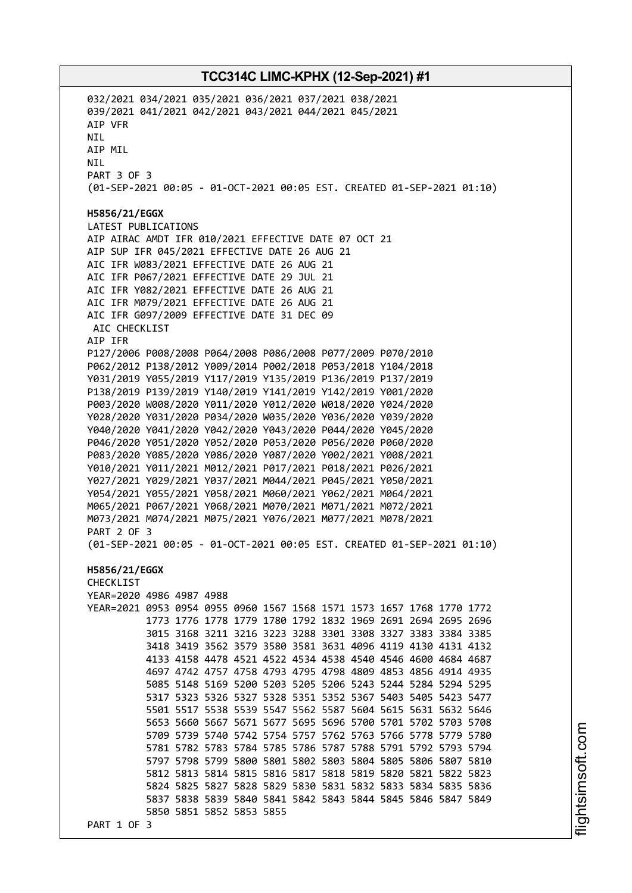032/2021 034/2021 035/2021 036/2021 037/2021 038/2021 039/2021 041/2021 042/2021 043/2021 044/2021 045/2021 AIP VFR NIL AIP MIL NIL PART 3 OF 3 (01-SEP-2021 00:05 - 01-OCT-2021 00:05 EST. CREATED 01-SEP-2021 01:10) **H5856/21/EGGX** LATEST PUBLICATIONS AIP AIRAC AMDT IFR 010/2021 EFFECTIVE DATE 07 OCT 21 AIP SUP IFR 045/2021 EFFECTIVE DATE 26 AUG 21 AIC IFR W083/2021 EFFECTIVE DATE 26 AUG 21 AIC IFR P067/2021 EFFECTIVE DATE 29 JUL 21 AIC IFR Y082/2021 EFFECTIVE DATE 26 AUG 21 AIC IFR M079/2021 EFFECTIVE DATE 26 AUG 21 AIC IFR G097/2009 EFFECTIVE DATE 31 DEC 09 AIC CHECKLIST AIP IFR P127/2006 P008/2008 P064/2008 P086/2008 P077/2009 P070/2010 P062/2012 P138/2012 Y009/2014 P002/2018 P053/2018 Y104/2018 Y031/2019 Y055/2019 Y117/2019 Y135/2019 P136/2019 P137/2019 P138/2019 P139/2019 Y140/2019 Y141/2019 Y142/2019 Y001/2020 P003/2020 W008/2020 Y011/2020 Y012/2020 W018/2020 Y024/2020 Y028/2020 Y031/2020 P034/2020 W035/2020 Y036/2020 Y039/2020 Y040/2020 Y041/2020 Y042/2020 Y043/2020 P044/2020 Y045/2020 P046/2020 Y051/2020 Y052/2020 P053/2020 P056/2020 P060/2020 P083/2020 Y085/2020 Y086/2020 Y087/2020 Y002/2021 Y008/2021 Y010/2021 Y011/2021 M012/2021 P017/2021 P018/2021 P026/2021 Y027/2021 Y029/2021 Y037/2021 M044/2021 P045/2021 Y050/2021 Y054/2021 Y055/2021 Y058/2021 M060/2021 Y062/2021 M064/2021 M065/2021 P067/2021 Y068/2021 M070/2021 M071/2021 M072/2021 M073/2021 M074/2021 M075/2021 Y076/2021 M077/2021 M078/2021 PART 2 OF 3 (01-SEP-2021 00:05 - 01-OCT-2021 00:05 EST. CREATED 01-SEP-2021 01:10) **H5856/21/EGGX** CHECKLIST YEAR=2020 4986 4987 4988 YEAR=2021 0953 0954 0955 0960 1567 1568 1571 1573 1657 1768 1770 1772 1773 1776 1778 1779 1780 1792 1832 1969 2691 2694 2695 2696 3015 3168 3211 3216 3223 3288 3301 3308 3327 3383 3384 3385 3418 3419 3562 3579 3580 3581 3631 4096 4119 4130 4131 4132 4133 4158 4478 4521 4522 4534 4538 4540 4546 4600 4684 4687 4697 4742 4757 4758 4793 4795 4798 4809 4853 4856 4914 4935 5085 5148 5169 5200 5203 5205 5206 5243 5244 5284 5294 5295 5317 5323 5326 5327 5328 5351 5352 5367 5403 5405 5423 5477 5501 5517 5538 5539 5547 5562 5587 5604 5615 5631 5632 5646 5653 5660 5667 5671 5677 5695 5696 5700 5701 5702 5703 5708 5709 5739 5740 5742 5754 5757 5762 5763 5766 5778 5779 5780 5781 5782 5783 5784 5785 5786 5787 5788 5791 5792 5793 5794 5797 5798 5799 5800 5801 5802 5803 5804 5805 5806 5807 5810 5812 5813 5814 5815 5816 5817 5818 5819 5820 5821 5822 5823 5824 5825 5827 5828 5829 5830 5831 5832 5833 5834 5835 5836 5837 5838 5839 5840 5841 5842 5843 5844 5845 5846 5847 5849 5850 5851 5852 5853 5855 PART 1 OF 3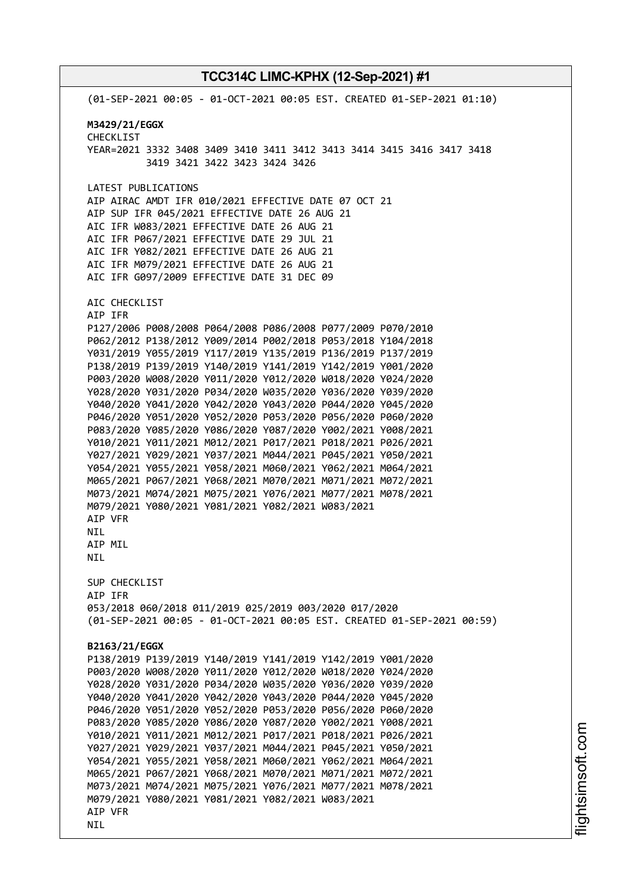(01-SEP-2021 00:05 - 01-OCT-2021 00:05 EST. CREATED 01-SEP-2021 01:10) **M3429/21/EGGX** CHECKLIST YEAR=2021 3332 3408 3409 3410 3411 3412 3413 3414 3415 3416 3417 3418 3419 3421 3422 3423 3424 3426 LATEST PUBLICATIONS AIP AIRAC AMDT IFR 010/2021 EFFECTIVE DATE 07 OCT 21 AIP SUP IFR 045/2021 EFFECTIVE DATE 26 AUG 21 AIC IFR W083/2021 EFFECTIVE DATE 26 AUG 21 AIC IFR P067/2021 EFFECTIVE DATE 29 JUL 21 AIC IFR Y082/2021 EFFECTIVE DATE 26 AUG 21 AIC IFR M079/2021 EFFECTIVE DATE 26 AUG 21 AIC IFR G097/2009 EFFECTIVE DATE 31 DEC 09 AIC CHECKLIST AIP IFR P127/2006 P008/2008 P064/2008 P086/2008 P077/2009 P070/2010 P062/2012 P138/2012 Y009/2014 P002/2018 P053/2018 Y104/2018 Y031/2019 Y055/2019 Y117/2019 Y135/2019 P136/2019 P137/2019 P138/2019 P139/2019 Y140/2019 Y141/2019 Y142/2019 Y001/2020 P003/2020 W008/2020 Y011/2020 Y012/2020 W018/2020 Y024/2020 Y028/2020 Y031/2020 P034/2020 W035/2020 Y036/2020 Y039/2020 Y040/2020 Y041/2020 Y042/2020 Y043/2020 P044/2020 Y045/2020 P046/2020 Y051/2020 Y052/2020 P053/2020 P056/2020 P060/2020 P083/2020 Y085/2020 Y086/2020 Y087/2020 Y002/2021 Y008/2021 Y010/2021 Y011/2021 M012/2021 P017/2021 P018/2021 P026/2021 Y027/2021 Y029/2021 Y037/2021 M044/2021 P045/2021 Y050/2021 Y054/2021 Y055/2021 Y058/2021 M060/2021 Y062/2021 M064/2021 M065/2021 P067/2021 Y068/2021 M070/2021 M071/2021 M072/2021 M073/2021 M074/2021 M075/2021 Y076/2021 M077/2021 M078/2021 M079/2021 Y080/2021 Y081/2021 Y082/2021 W083/2021 AIP VFR NIL AIP MIL NIL SUP CHECKLIST AIP IFR 053/2018 060/2018 011/2019 025/2019 003/2020 017/2020 (01-SEP-2021 00:05 - 01-OCT-2021 00:05 EST. CREATED 01-SEP-2021 00:59) **B2163/21/EGGX** P138/2019 P139/2019 Y140/2019 Y141/2019 Y142/2019 Y001/2020 P003/2020 W008/2020 Y011/2020 Y012/2020 W018/2020 Y024/2020 Y028/2020 Y031/2020 P034/2020 W035/2020 Y036/2020 Y039/2020 Y040/2020 Y041/2020 Y042/2020 Y043/2020 P044/2020 Y045/2020 P046/2020 Y051/2020 Y052/2020 P053/2020 P056/2020 P060/2020 P083/2020 Y085/2020 Y086/2020 Y087/2020 Y002/2021 Y008/2021 Y010/2021 Y011/2021 M012/2021 P017/2021 P018/2021 P026/2021 Y027/2021 Y029/2021 Y037/2021 M044/2021 P045/2021 Y050/2021 Y054/2021 Y055/2021 Y058/2021 M060/2021 Y062/2021 M064/2021 M065/2021 P067/2021 Y068/2021 M070/2021 M071/2021 M072/2021 M073/2021 M074/2021 M075/2021 Y076/2021 M077/2021 M078/2021 M079/2021 Y080/2021 Y081/2021 Y082/2021 W083/2021 AIP VFR NIL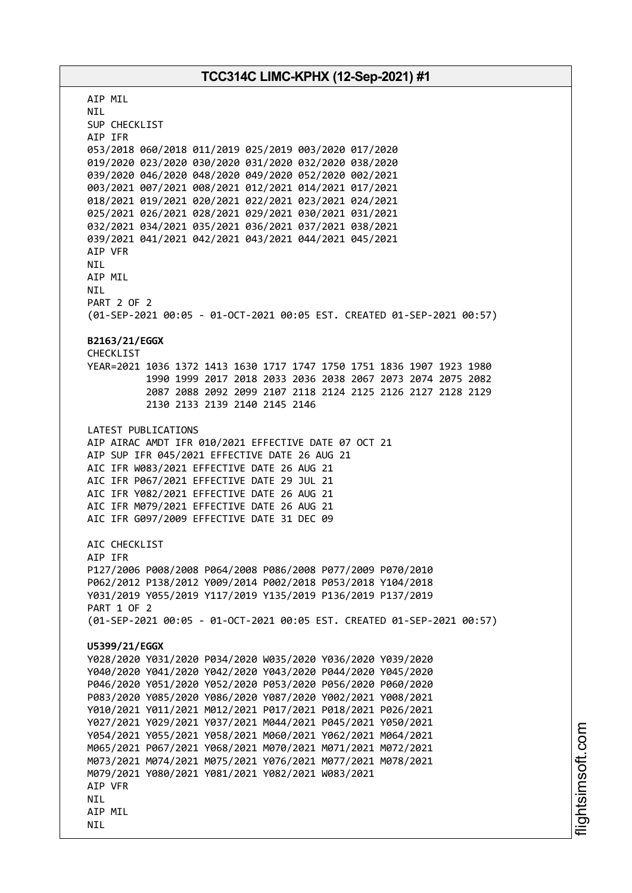AIP MIL NIL SUP CHECKLIST AIP IFR 053/2018 060/2018 011/2019 025/2019 003/2020 017/2020 019/2020 023/2020 030/2020 031/2020 032/2020 038/2020 039/2020 046/2020 048/2020 049/2020 052/2020 002/2021 003/2021 007/2021 008/2021 012/2021 014/2021 017/2021 018/2021 019/2021 020/2021 022/2021 023/2021 024/2021 025/2021 026/2021 028/2021 029/2021 030/2021 031/2021 032/2021 034/2021 035/2021 036/2021 037/2021 038/2021 039/2021 041/2021 042/2021 043/2021 044/2021 045/2021 AIP VFR NIL AIP MIL NIL PART 2 OF 2 (01-SEP-2021 00:05 - 01-OCT-2021 00:05 EST. CREATED 01-SEP-2021 00:57) **B2163/21/EGGX** CHECKLIST YEAR=2021 1036 1372 1413 1630 1717 1747 1750 1751 1836 1907 1923 1980 1990 1999 2017 2018 2033 2036 2038 2067 2073 2074 2075 2082 2087 2088 2092 2099 2107 2118 2124 2125 2126 2127 2128 2129 2130 2133 2139 2140 2145 2146 LATEST PUBLICATIONS AIP AIRAC AMDT IFR 010/2021 EFFECTIVE DATE 07 OCT 21 AIP SUP IFR 045/2021 EFFECTIVE DATE 26 AUG 21 AIC IFR W083/2021 EFFECTIVE DATE 26 AUG 21 AIC IFR P067/2021 EFFECTIVE DATE 29 JUL 21 AIC IFR Y082/2021 EFFECTIVE DATE 26 AUG 21 AIC IFR M079/2021 EFFECTIVE DATE 26 AUG 21 AIC IFR G097/2009 EFFECTIVE DATE 31 DEC 09 ATC CHECKLIST AIP IFR P127/2006 P008/2008 P064/2008 P086/2008 P077/2009 P070/2010 P062/2012 P138/2012 Y009/2014 P002/2018 P053/2018 Y104/2018 Y031/2019 Y055/2019 Y117/2019 Y135/2019 P136/2019 P137/2019 PART 1 OF 2 (01-SEP-2021 00:05 - 01-OCT-2021 00:05 EST. CREATED 01-SEP-2021 00:57) **U5399/21/EGGX** Y028/2020 Y031/2020 P034/2020 W035/2020 Y036/2020 Y039/2020 Y040/2020 Y041/2020 Y042/2020 Y043/2020 P044/2020 Y045/2020 P046/2020 Y051/2020 Y052/2020 P053/2020 P056/2020 P060/2020 P083/2020 Y085/2020 Y086/2020 Y087/2020 Y002/2021 Y008/2021 Y010/2021 Y011/2021 M012/2021 P017/2021 P018/2021 P026/2021 Y027/2021 Y029/2021 Y037/2021 M044/2021 P045/2021 Y050/2021 Y054/2021 Y055/2021 Y058/2021 M060/2021 Y062/2021 M064/2021 M065/2021 P067/2021 Y068/2021 M070/2021 M071/2021 M072/2021 M073/2021 M074/2021 M075/2021 Y076/2021 M077/2021 M078/2021 M079/2021 Y080/2021 Y081/2021 Y082/2021 W083/2021 AIP VFR **NTL** AIP MIL NIL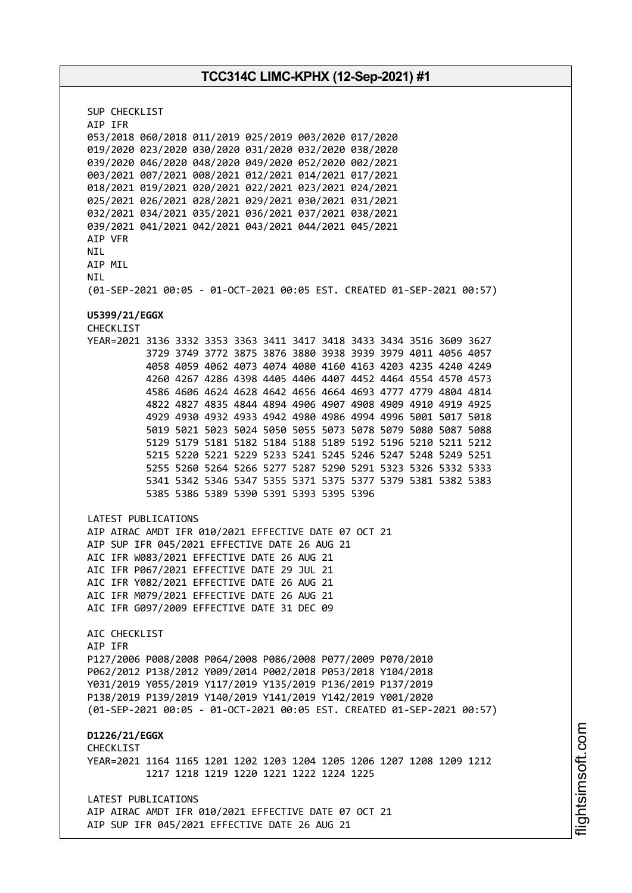SUP CHECKLIST AIP IFR 053/2018 060/2018 011/2019 025/2019 003/2020 017/2020 019/2020 023/2020 030/2020 031/2020 032/2020 038/2020 039/2020 046/2020 048/2020 049/2020 052/2020 002/2021 003/2021 007/2021 008/2021 012/2021 014/2021 017/2021 018/2021 019/2021 020/2021 022/2021 023/2021 024/2021 025/2021 026/2021 028/2021 029/2021 030/2021 031/2021 032/2021 034/2021 035/2021 036/2021 037/2021 038/2021 039/2021 041/2021 042/2021 043/2021 044/2021 045/2021 AIP VFR **NTI** AIP MIL NIL (01-SEP-2021 00:05 - 01-OCT-2021 00:05 EST. CREATED 01-SEP-2021 00:57) **U5399/21/EGGX** CHECKLIST YEAR=2021 3136 3332 3353 3363 3411 3417 3418 3433 3434 3516 3609 3627 3729 3749 3772 3875 3876 3880 3938 3939 3979 4011 4056 4057 4058 4059 4062 4073 4074 4080 4160 4163 4203 4235 4240 4249 4260 4267 4286 4398 4405 4406 4407 4452 4464 4554 4570 4573 4586 4606 4624 4628 4642 4656 4664 4693 4777 4779 4804 4814 4822 4827 4835 4844 4894 4906 4907 4908 4909 4910 4919 4925 4929 4930 4932 4933 4942 4980 4986 4994 4996 5001 5017 5018 5019 5021 5023 5024 5050 5055 5073 5078 5079 5080 5087 5088 5129 5179 5181 5182 5184 5188 5189 5192 5196 5210 5211 5212 5215 5220 5221 5229 5233 5241 5245 5246 5247 5248 5249 5251 5255 5260 5264 5266 5277 5287 5290 5291 5323 5326 5332 5333 5341 5342 5346 5347 5355 5371 5375 5377 5379 5381 5382 5383 5385 5386 5389 5390 5391 5393 5395 5396 LATEST PUBLICATIONS AIP AIRAC AMDT IFR 010/2021 EFFECTIVE DATE 07 OCT 21 AIP SUP IFR 045/2021 EFFECTIVE DATE 26 AUG 21 AIC IFR W083/2021 EFFECTIVE DATE 26 AUG 21 AIC IFR P067/2021 EFFECTIVE DATE 29 JUL 21 AIC IFR Y082/2021 EFFECTIVE DATE 26 AUG 21 AIC IFR M079/2021 EFFECTIVE DATE 26 AUG 21 AIC IFR G097/2009 EFFECTIVE DATE 31 DEC 09 AIC CHECKLIST AIP IFR P127/2006 P008/2008 P064/2008 P086/2008 P077/2009 P070/2010 P062/2012 P138/2012 Y009/2014 P002/2018 P053/2018 Y104/2018 Y031/2019 Y055/2019 Y117/2019 Y135/2019 P136/2019 P137/2019 P138/2019 P139/2019 Y140/2019 Y141/2019 Y142/2019 Y001/2020 (01-SEP-2021 00:05 - 01-OCT-2021 00:05 EST. CREATED 01-SEP-2021 00:57) **D1226/21/EGGX CHECKLIST** YEAR=2021 1164 1165 1201 1202 1203 1204 1205 1206 1207 1208 1209 1212 1217 1218 1219 1220 1221 1222 1224 1225 LATEST PUBLICATIONS AIP AIRAC AMDT IFR 010/2021 EFFECTIVE DATE 07 OCT 21 AIP SUP IFR 045/2021 EFFECTIVE DATE 26 AUG 21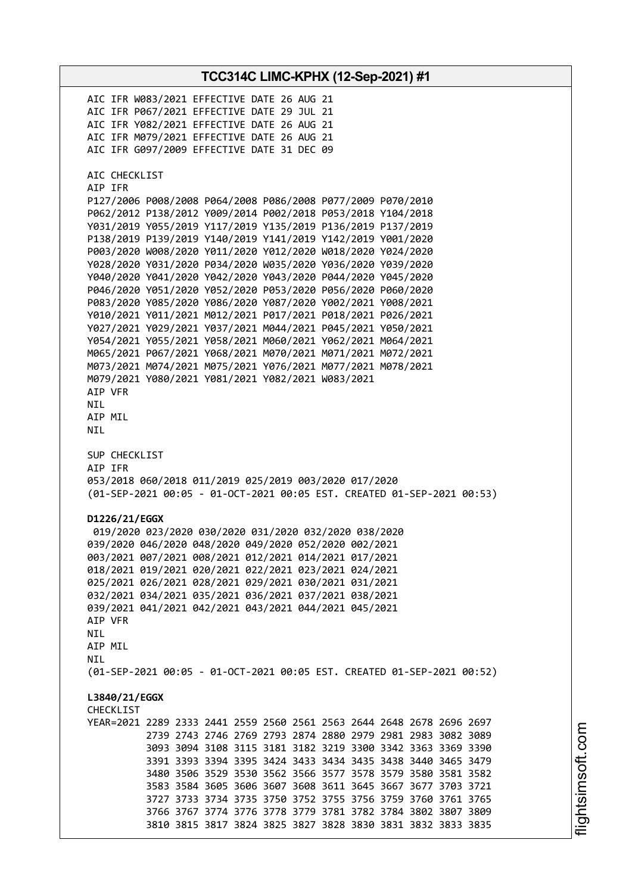**TCC314C LIMC-KPHX (12-Sep-2021) #1** AIC IFR W083/2021 EFFECTIVE DATE 26 AUG 21 AIC IFR P067/2021 EFFECTIVE DATE 29 JUL 21 AIC IFR Y082/2021 EFFECTIVE DATE 26 AUG 21 AIC IFR M079/2021 EFFECTIVE DATE 26 AUG 21 AIC IFR G097/2009 EFFECTIVE DATE 31 DEC 09 AIC CHECKLIST AIP IFR P127/2006 P008/2008 P064/2008 P086/2008 P077/2009 P070/2010 P062/2012 P138/2012 Y009/2014 P002/2018 P053/2018 Y104/2018 Y031/2019 Y055/2019 Y117/2019 Y135/2019 P136/2019 P137/2019 P138/2019 P139/2019 Y140/2019 Y141/2019 Y142/2019 Y001/2020 P003/2020 W008/2020 Y011/2020 Y012/2020 W018/2020 Y024/2020 Y028/2020 Y031/2020 P034/2020 W035/2020 Y036/2020 Y039/2020 Y040/2020 Y041/2020 Y042/2020 Y043/2020 P044/2020 Y045/2020 P046/2020 Y051/2020 Y052/2020 P053/2020 P056/2020 P060/2020 P083/2020 Y085/2020 Y086/2020 Y087/2020 Y002/2021 Y008/2021 Y010/2021 Y011/2021 M012/2021 P017/2021 P018/2021 P026/2021 Y027/2021 Y029/2021 Y037/2021 M044/2021 P045/2021 Y050/2021 Y054/2021 Y055/2021 Y058/2021 M060/2021 Y062/2021 M064/2021 M065/2021 P067/2021 Y068/2021 M070/2021 M071/2021 M072/2021 M073/2021 M074/2021 M075/2021 Y076/2021 M077/2021 M078/2021 M079/2021 Y080/2021 Y081/2021 Y082/2021 W083/2021 AIP VFR NIL AIP MIL NIL SUP CHECKLIST AIP IFR 053/2018 060/2018 011/2019 025/2019 003/2020 017/2020 (01-SEP-2021 00:05 - 01-OCT-2021 00:05 EST. CREATED 01-SEP-2021 00:53) **D1226/21/EGGX** 019/2020 023/2020 030/2020 031/2020 032/2020 038/2020 039/2020 046/2020 048/2020 049/2020 052/2020 002/2021 003/2021 007/2021 008/2021 012/2021 014/2021 017/2021 018/2021 019/2021 020/2021 022/2021 023/2021 024/2021 025/2021 026/2021 028/2021 029/2021 030/2021 031/2021 032/2021 034/2021 035/2021 036/2021 037/2021 038/2021 039/2021 041/2021 042/2021 043/2021 044/2021 045/2021 AIP VFR NIL AIP MIL **NTI** (01-SEP-2021 00:05 - 01-OCT-2021 00:05 EST. CREATED 01-SEP-2021 00:52) **L3840/21/EGGX** CHECKL<sub>TST</sub> YEAR=2021 2289 2333 2441 2559 2560 2561 2563 2644 2648 2678 2696 2697 2739 2743 2746 2769 2793 2874 2880 2979 2981 2983 3082 3089 3093 3094 3108 3115 3181 3182 3219 3300 3342 3363 3369 3390 3391 3393 3394 3395 3424 3433 3434 3435 3438 3440 3465 3479 3480 3506 3529 3530 3562 3566 3577 3578 3579 3580 3581 3582 3583 3584 3605 3606 3607 3608 3611 3645 3667 3677 3703 3721 3727 3733 3734 3735 3750 3752 3755 3756 3759 3760 3761 3765 3766 3767 3774 3776 3778 3779 3781 3782 3784 3802 3807 3809 3810 3815 3817 3824 3825 3827 3828 3830 3831 3832 3833 3835

i⊒<br>⊫ htsim soft.c o

m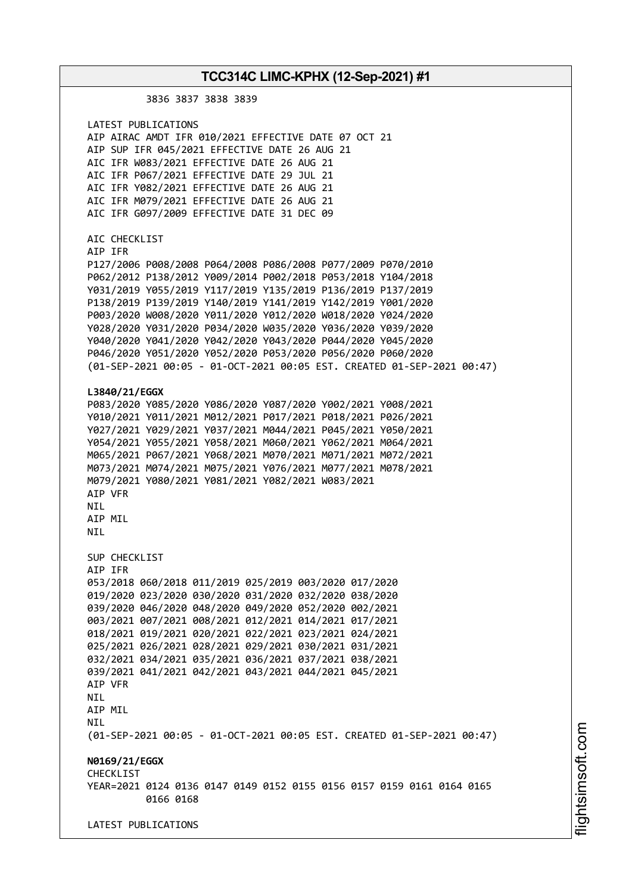3836 3837 3838 3839 LATEST PUBLICATIONS AIP AIRAC AMDT IFR 010/2021 EFFECTIVE DATE 07 OCT 21 AIP SUP IFR 045/2021 EFFECTIVE DATE 26 AUG 21 AIC IFR W083/2021 EFFECTIVE DATE 26 AUG 21 AIC IFR P067/2021 EFFECTIVE DATE 29 JUL 21 AIC IFR Y082/2021 EFFECTIVE DATE 26 AUG 21 AIC IFR M079/2021 EFFECTIVE DATE 26 AUG 21 AIC IFR G097/2009 EFFECTIVE DATE 31 DEC 09 AIC CHECKLIST AIP IFR P127/2006 P008/2008 P064/2008 P086/2008 P077/2009 P070/2010 P062/2012 P138/2012 Y009/2014 P002/2018 P053/2018 Y104/2018 Y031/2019 Y055/2019 Y117/2019 Y135/2019 P136/2019 P137/2019 P138/2019 P139/2019 Y140/2019 Y141/2019 Y142/2019 Y001/2020 P003/2020 W008/2020 Y011/2020 Y012/2020 W018/2020 Y024/2020 Y028/2020 Y031/2020 P034/2020 W035/2020 Y036/2020 Y039/2020 Y040/2020 Y041/2020 Y042/2020 Y043/2020 P044/2020 Y045/2020 P046/2020 Y051/2020 Y052/2020 P053/2020 P056/2020 P060/2020 (01-SEP-2021 00:05 - 01-OCT-2021 00:05 EST. CREATED 01-SEP-2021 00:47) **L3840/21/EGGX** P083/2020 Y085/2020 Y086/2020 Y087/2020 Y002/2021 Y008/2021 Y010/2021 Y011/2021 M012/2021 P017/2021 P018/2021 P026/2021 Y027/2021 Y029/2021 Y037/2021 M044/2021 P045/2021 Y050/2021 Y054/2021 Y055/2021 Y058/2021 M060/2021 Y062/2021 M064/2021 M065/2021 P067/2021 Y068/2021 M070/2021 M071/2021 M072/2021 M073/2021 M074/2021 M075/2021 Y076/2021 M077/2021 M078/2021 M079/2021 Y080/2021 Y081/2021 Y082/2021 W083/2021 AIP VFR NIL ATP MTL NIL SUP CHECKLIST AIP IFR 053/2018 060/2018 011/2019 025/2019 003/2020 017/2020 019/2020 023/2020 030/2020 031/2020 032/2020 038/2020 039/2020 046/2020 048/2020 049/2020 052/2020 002/2021 003/2021 007/2021 008/2021 012/2021 014/2021 017/2021 018/2021 019/2021 020/2021 022/2021 023/2021 024/2021 025/2021 026/2021 028/2021 029/2021 030/2021 031/2021 032/2021 034/2021 035/2021 036/2021 037/2021 038/2021 039/2021 041/2021 042/2021 043/2021 044/2021 045/2021 AIP VFR **NTI** AIP MIL NIL (01-SEP-2021 00:05 - 01-OCT-2021 00:05 EST. CREATED 01-SEP-2021 00:47) **N0169/21/EGGX CHECKLIST** YEAR=2021 0124 0136 0147 0149 0152 0155 0156 0157 0159 0161 0164 0165 0166 0168 LATEST PUBLICATIONS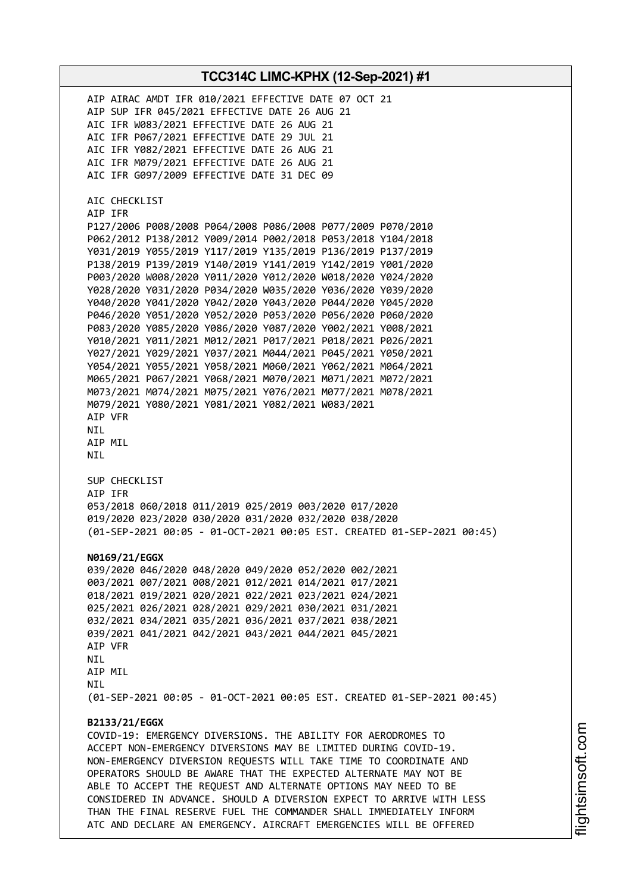AIP AIRAC AMDT IFR 010/2021 EFFECTIVE DATE 07 OCT 21 AIP SUP IFR 045/2021 EFFECTIVE DATE 26 AUG 21 AIC IFR W083/2021 EFFECTIVE DATE 26 AUG 21 AIC IFR P067/2021 EFFECTIVE DATE 29 JUL 21 AIC IFR Y082/2021 EFFECTIVE DATE 26 AUG 21 AIC IFR M079/2021 EFFECTIVE DATE 26 AUG 21 AIC IFR G097/2009 EFFECTIVE DATE 31 DEC 09 AIC CHECKLIST AIP IFR P127/2006 P008/2008 P064/2008 P086/2008 P077/2009 P070/2010 P062/2012 P138/2012 Y009/2014 P002/2018 P053/2018 Y104/2018 Y031/2019 Y055/2019 Y117/2019 Y135/2019 P136/2019 P137/2019 P138/2019 P139/2019 Y140/2019 Y141/2019 Y142/2019 Y001/2020 P003/2020 W008/2020 Y011/2020 Y012/2020 W018/2020 Y024/2020 Y028/2020 Y031/2020 P034/2020 W035/2020 Y036/2020 Y039/2020 Y040/2020 Y041/2020 Y042/2020 Y043/2020 P044/2020 Y045/2020 P046/2020 Y051/2020 Y052/2020 P053/2020 P056/2020 P060/2020 P083/2020 Y085/2020 Y086/2020 Y087/2020 Y002/2021 Y008/2021 Y010/2021 Y011/2021 M012/2021 P017/2021 P018/2021 P026/2021 Y027/2021 Y029/2021 Y037/2021 M044/2021 P045/2021 Y050/2021 Y054/2021 Y055/2021 Y058/2021 M060/2021 Y062/2021 M064/2021 M065/2021 P067/2021 Y068/2021 M070/2021 M071/2021 M072/2021 M073/2021 M074/2021 M075/2021 Y076/2021 M077/2021 M078/2021 M079/2021 Y080/2021 Y081/2021 Y082/2021 W083/2021 AIP VFR NIL AIP MIL NIL SUP CHECKLIST AIP IFR 053/2018 060/2018 011/2019 025/2019 003/2020 017/2020 019/2020 023/2020 030/2020 031/2020 032/2020 038/2020 (01-SEP-2021 00:05 - 01-OCT-2021 00:05 EST. CREATED 01-SEP-2021 00:45) **N0169/21/EGGX** 039/2020 046/2020 048/2020 049/2020 052/2020 002/2021 003/2021 007/2021 008/2021 012/2021 014/2021 017/2021 018/2021 019/2021 020/2021 022/2021 023/2021 024/2021 025/2021 026/2021 028/2021 029/2021 030/2021 031/2021 032/2021 034/2021 035/2021 036/2021 037/2021 038/2021 039/2021 041/2021 042/2021 043/2021 044/2021 045/2021 AIP VFR NIL AIP MIL **NTI** (01-SEP-2021 00:05 - 01-OCT-2021 00:05 EST. CREATED 01-SEP-2021 00:45) **B2133/21/EGGX** COVID-19: EMERGENCY DIVERSIONS. THE ABILITY FOR AERODROMES TO ACCEPT NON-EMERGENCY DIVERSIONS MAY BE LIMITED DURING COVID-19. NON-EMERGENCY DIVERSION REQUESTS WILL TAKE TIME TO COORDINATE AND OPERATORS SHOULD BE AWARE THAT THE EXPECTED ALTERNATE MAY NOT BE ABLE TO ACCEPT THE REQUEST AND ALTERNATE OPTIONS MAY NEED TO BE CONSIDERED IN ADVANCE. SHOULD A DIVERSION EXPECT TO ARRIVE WITH LESS THAN THE FINAL RESERVE FUEL THE COMMANDER SHALL IMMEDIATELY INFORM ATC AND DECLARE AN EMERGENCY. AIRCRAFT EMERGENCIES WILL BE OFFERED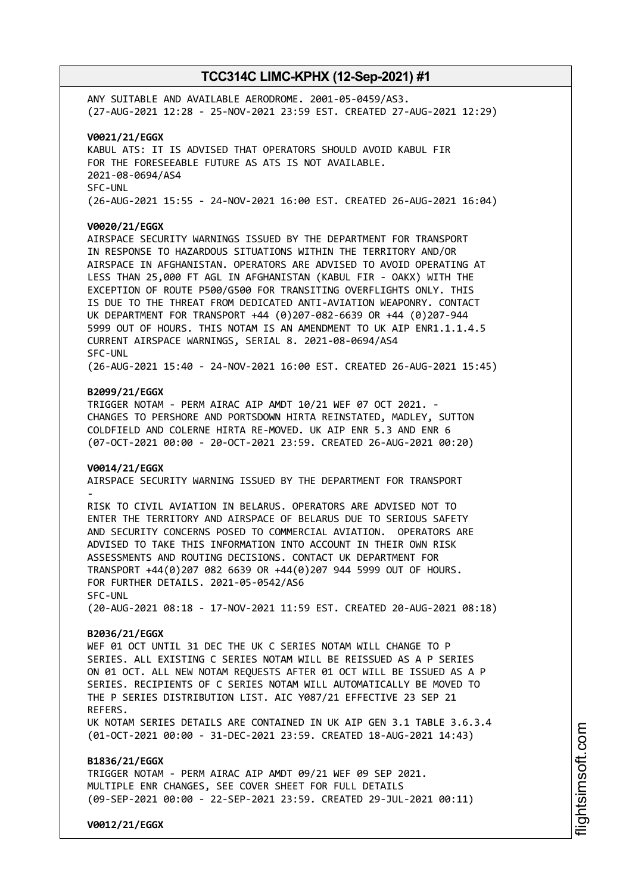ANY SUITABLE AND AVAILABLE AERODROME. 2001-05-0459/AS3. (27-AUG-2021 12:28 - 25-NOV-2021 23:59 EST. CREATED 27-AUG-2021 12:29)

**V0021/21/EGGX** KABUL ATS: IT IS ADVISED THAT OPERATORS SHOULD AVOID KABUL FIR FOR THE FORESEEABLE FUTURE AS ATS IS NOT AVAILABLE. 2021-08-0694/AS4 SFC-UNL (26-AUG-2021 15:55 - 24-NOV-2021 16:00 EST. CREATED 26-AUG-2021 16:04)

### **V0020/21/EGGX**

AIRSPACE SECURITY WARNINGS ISSUED BY THE DEPARTMENT FOR TRANSPORT IN RESPONSE TO HAZARDOUS SITUATIONS WITHIN THE TERRITORY AND/OR AIRSPACE IN AFGHANISTAN. OPERATORS ARE ADVISED TO AVOID OPERATING AT LESS THAN 25,000 FT AGL IN AFGHANISTAN (KABUL FIR - OAKX) WITH THE EXCEPTION OF ROUTE P500/G500 FOR TRANSITING OVERFLIGHTS ONLY. THIS IS DUE TO THE THREAT FROM DEDICATED ANTI-AVIATION WEAPONRY. CONTACT UK DEPARTMENT FOR TRANSPORT +44 (0)207-082-6639 OR +44 (0)207-944 5999 OUT OF HOURS. THIS NOTAM IS AN AMENDMENT TO UK AIP ENR1.1.1.4.5 CURRENT AIRSPACE WARNINGS, SERIAL 8. 2021-08-0694/AS4 SFC-UNL

(26-AUG-2021 15:40 - 24-NOV-2021 16:00 EST. CREATED 26-AUG-2021 15:45)

#### **B2099/21/EGGX**

TRIGGER NOTAM - PERM AIRAC AIP AMDT 10/21 WEF 07 OCT 2021. CHANGES TO PERSHORE AND PORTSDOWN HIRTA REINSTATED, MADLEY, SUTTON COLDFIELD AND COLERNE HIRTA RE-MOVED. UK AIP ENR 5.3 AND ENR 6 (07-OCT-2021 00:00 - 20-OCT-2021 23:59. CREATED 26-AUG-2021 00:20)

#### **V0014/21/EGGX**

AIRSPACE SECURITY WARNING ISSUED BY THE DEPARTMENT FOR TRANSPORT -

RISK TO CIVIL AVIATION IN BELARUS. OPERATORS ARE ADVISED NOT TO ENTER THE TERRITORY AND AIRSPACE OF BELARUS DUE TO SERIOUS SAFETY AND SECURITY CONCERNS POSED TO COMMERCIAL AVIATION. OPERATORS ARE ADVISED TO TAKE THIS INFORMATION INTO ACCOUNT IN THEIR OWN RISK ASSESSMENTS AND ROUTING DECISIONS. CONTACT UK DEPARTMENT FOR TRANSPORT +44(0)207 082 6639 OR +44(0)207 944 5999 OUT OF HOURS. FOR FURTHER DETAILS. 2021-05-0542/AS6 SFC-UNL

(20-AUG-2021 08:18 - 17-NOV-2021 11:59 EST. CREATED 20-AUG-2021 08:18)

#### **B2036/21/EGGX**

WEF 01 OCT UNTIL 31 DEC THE UK C SERIES NOTAM WILL CHANGE TO P SERIES. ALL EXISTING C SERIES NOTAM WILL BE REISSUED AS A P SERIES ON 01 OCT. ALL NEW NOTAM REQUESTS AFTER 01 OCT WILL BE ISSUED AS A P SERIES. RECIPIENTS OF C SERIES NOTAM WILL AUTOMATICALLY BE MOVED TO THE P SERIES DISTRIBUTION LIST. AIC Y087/21 EFFECTIVE 23 SEP 21 REFERS. UK NOTAM SERIES DETAILS ARE CONTAINED IN UK AIP GEN 3.1 TABLE 3.6.3.4 (01-OCT-2021 00:00 - 31-DEC-2021 23:59. CREATED 18-AUG-2021 14:43)

**B1836/21/EGGX** TRIGGER NOTAM - PERM AIRAC AIP AMDT 09/21 WEF 09 SEP 2021. MULTIPLE ENR CHANGES, SEE COVER SHEET FOR FULL DETAILS (09-SEP-2021 00:00 - 22-SEP-2021 23:59. CREATED 29-JUL-2021 00:11)

**V0012/21/EGGX**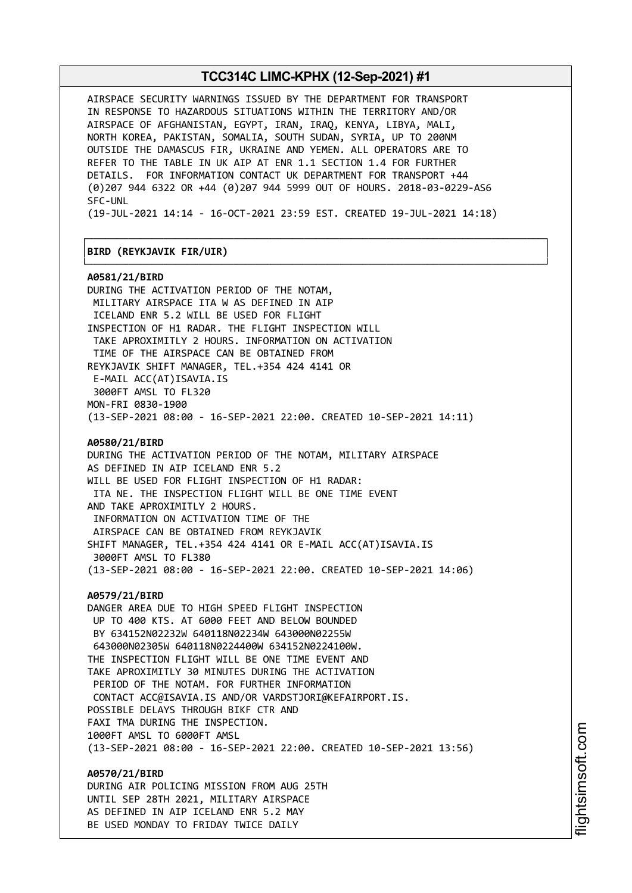AIRSPACE SECURITY WARNINGS ISSUED BY THE DEPARTMENT FOR TRANSPORT IN RESPONSE TO HAZARDOUS SITUATIONS WITHIN THE TERRITORY AND/OR AIRSPACE OF AFGHANISTAN, EGYPT, IRAN, IRAQ, KENYA, LIBYA, MALI, NORTH KOREA, PAKISTAN, SOMALIA, SOUTH SUDAN, SYRIA, UP TO 200NM OUTSIDE THE DAMASCUS FIR, UKRAINE AND YEMEN. ALL OPERATORS ARE TO REFER TO THE TABLE IN UK AIP AT ENR 1.1 SECTION 1.4 FOR FURTHER DETAILS. FOR INFORMATION CONTACT UK DEPARTMENT FOR TRANSPORT +44 (0)207 944 6322 OR +44 (0)207 944 5999 OUT OF HOURS. 2018-03-0229-AS6 SFC-UNL

(19-JUL-2021 14:14 - 16-OCT-2021 23:59 EST. CREATED 19-JUL-2021 14:18)

┌──────────────────────────────────────────────────────────────────────────────┐

└──────────────────────────────────────────────────────────────────────────────┘

#### │**BIRD (REYKJAVIK FIR/UIR)** │

**A0581/21/BIRD** DURING THE ACTIVATION PERIOD OF THE NOTAM, MILITARY AIRSPACE ITA W AS DEFINED IN AIP ICELAND ENR 5.2 WILL BE USED FOR FLIGHT INSPECTION OF H1 RADAR. THE FLIGHT INSPECTION WILL TAKE APROXIMITLY 2 HOURS. INFORMATION ON ACTIVATION TIME OF THE AIRSPACE CAN BE OBTAINED FROM REYKJAVIK SHIFT MANAGER, TEL.+354 424 4141 OR E-MAIL ACC(AT)ISAVIA.IS 3000FT AMSL TO FL320 MON-FRI 0830-1900 (13-SEP-2021 08:00 - 16-SEP-2021 22:00. CREATED 10-SEP-2021 14:11) **A0580/21/BIRD** DURING THE ACTIVATION PERIOD OF THE NOTAM, MILITARY AIRSPACE AS DEFINED IN AIP ICELAND ENR 5.2 WILL BE USED FOR FLIGHT INSPECTION OF H1 RADAR: ITA NE. THE INSPECTION FLIGHT WILL BE ONE TIME EVENT AND TAKE APROXIMITLY 2 HOURS. INFORMATION ON ACTIVATION TIME OF THE AIRSPACE CAN BE OBTAINED FROM REYKJAVIK SHIFT MANAGER, TEL.+354 424 4141 OR E-MAIL ACC(AT)ISAVIA.IS 3000FT AMSL TO FL380 (13-SEP-2021 08:00 - 16-SEP-2021 22:00. CREATED 10-SEP-2021 14:06) **A0579/21/BIRD** DANGER AREA DUE TO HIGH SPEED FLIGHT INSPECTION UP TO 400 KTS. AT 6000 FEET AND BELOW BOUNDED BY 634152N02232W 640118N02234W 643000N02255W 643000N02305W 640118N0224400W 634152N0224100W. THE INSPECTION FLIGHT WILL BE ONE TIME EVENT AND TAKE APROXIMITLY 30 MINUTES DURING THE ACTIVATION PERIOD OF THE NOTAM. FOR FURTHER INFORMATION CONTACT ACC@ISAVIA.IS AND/OR VARDSTJORI@KEFAIRPORT.IS. POSSIBLE DELAYS THROUGH BIKF CTR AND FAXI TMA DURING THE INSPECTION. 1000FT AMSL TO 6000FT AMSL (13-SEP-2021 08:00 - 16-SEP-2021 22:00. CREATED 10-SEP-2021 13:56) **A0570/21/BIRD**

DURING AIR POLICING MISSION FROM AUG 25TH UNTIL SEP 28TH 2021, MILITARY AIRSPACE AS DEFINED IN AIP ICELAND ENR 5.2 MAY BE USED MONDAY TO FRIDAY TWICE DAILY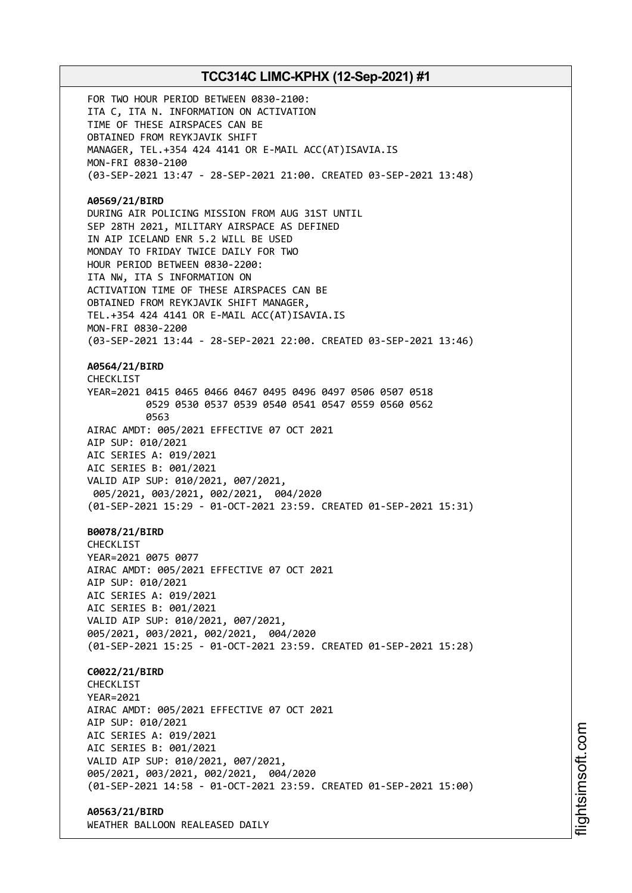FOR TWO HOUR PERIOD BETWEEN 0830-2100: ITA C, ITA N. INFORMATION ON ACTIVATION TIME OF THESE AIRSPACES CAN BE OBTAINED FROM REYKJAVIK SHIFT MANAGER, TEL.+354 424 4141 OR E-MAIL ACC(AT)ISAVIA.IS MON-FRI 0830-2100 (03-SEP-2021 13:47 - 28-SEP-2021 21:00. CREATED 03-SEP-2021 13:48) **A0569/21/BIRD** DURING AIR POLICING MISSION FROM AUG 31ST UNTIL SEP 28TH 2021, MILITARY AIRSPACE AS DEFINED IN AIP ICELAND ENR 5.2 WILL BE USED MONDAY TO FRIDAY TWICE DAILY FOR TWO HOUR PERIOD BETWEEN 0830-2200: ITA NW, ITA S INFORMATION ON ACTIVATION TIME OF THESE AIRSPACES CAN BE OBTAINED FROM REYKJAVIK SHIFT MANAGER, TEL.+354 424 4141 OR E-MAIL ACC(AT)ISAVIA.IS MON-FRI 0830-2200 (03-SEP-2021 13:44 - 28-SEP-2021 22:00. CREATED 03-SEP-2021 13:46) **A0564/21/BIRD** CHECKL<sub>IST</sub> YEAR=2021 0415 0465 0466 0467 0495 0496 0497 0506 0507 0518 0529 0530 0537 0539 0540 0541 0547 0559 0560 0562 0563 AIRAC AMDT: 005/2021 EFFECTIVE 07 OCT 2021 AIP SUP: 010/2021 AIC SERIES A: 019/2021 AIC SERIES B: 001/2021 VALID AIP SUP: 010/2021, 007/2021, 005/2021, 003/2021, 002/2021, 004/2020 (01-SEP-2021 15:29 - 01-OCT-2021 23:59. CREATED 01-SEP-2021 15:31) **B0078/21/BIRD CHECKLIST** YEAR=2021 0075 0077 AIRAC AMDT: 005/2021 EFFECTIVE 07 OCT 2021 AIP SUP: 010/2021 AIC SERIES A: 019/2021 AIC SERIES B: 001/2021 VALID AIP SUP: 010/2021, 007/2021, 005/2021, 003/2021, 002/2021, 004/2020 (01-SEP-2021 15:25 - 01-OCT-2021 23:59. CREATED 01-SEP-2021 15:28) **C0022/21/BIRD CHECKLIST** YEAR=2021 AIRAC AMDT: 005/2021 EFFECTIVE 07 OCT 2021 AIP SUP: 010/2021 AIC SERIES A: 019/2021 AIC SERIES B: 001/2021 VALID AIP SUP: 010/2021, 007/2021, 005/2021, 003/2021, 002/2021, 004/2020 (01-SEP-2021 14:58 - 01-OCT-2021 23:59. CREATED 01-SEP-2021 15:00) **A0563/21/BIRD**

WEATHER BALLOON REALEASED DAILY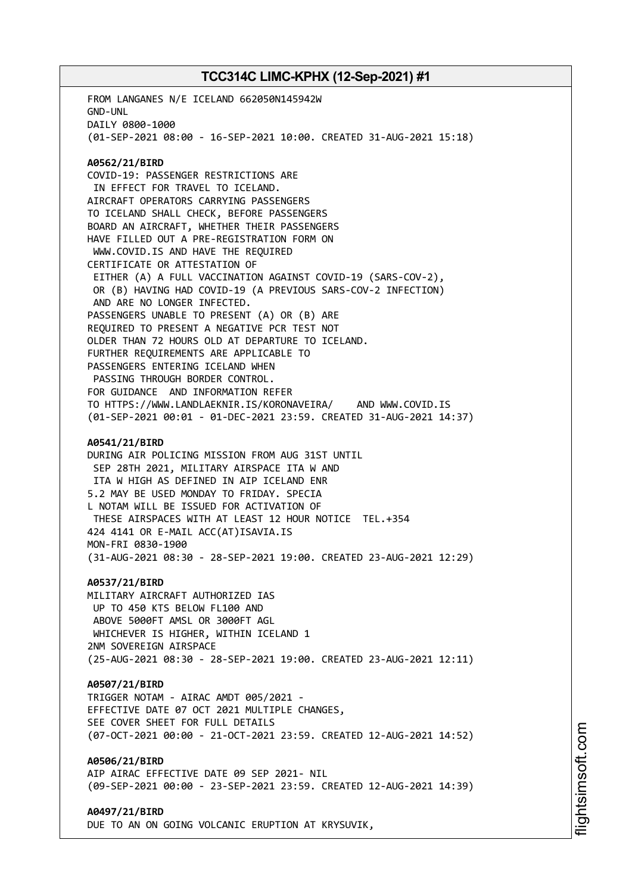FROM LANGANES N/E ICELAND 662050N145942W GND-UNL DAILY 0800-1000 (01-SEP-2021 08:00 - 16-SEP-2021 10:00. CREATED 31-AUG-2021 15:18) **A0562/21/BIRD** COVID-19: PASSENGER RESTRICTIONS ARE IN EFFECT FOR TRAVEL TO ICELAND. AIRCRAFT OPERATORS CARRYING PASSENGERS TO ICELAND SHALL CHECK, BEFORE PASSENGERS BOARD AN AIRCRAFT, WHETHER THEIR PASSENGERS HAVE FILLED OUT A PRE-REGISTRATION FORM ON WWW.COVID.IS AND HAVE THE REQUIRED CERTIFICATE OR ATTESTATION OF EITHER (A) A FULL VACCINATION AGAINST COVID-19 (SARS-COV-2), OR (B) HAVING HAD COVID-19 (A PREVIOUS SARS-COV-2 INFECTION) AND ARE NO LONGER INFECTED. PASSENGERS UNABLE TO PRESENT (A) OR (B) ARE REQUIRED TO PRESENT A NEGATIVE PCR TEST NOT OLDER THAN 72 HOURS OLD AT DEPARTURE TO ICELAND. FURTHER REQUIREMENTS ARE APPLICABLE TO PASSENGERS ENTERING ICELAND WHEN PASSING THROUGH BORDER CONTROL. FOR GUIDANCE AND INFORMATION REFER TO HTTPS://WWW.LANDLAEKNIR.IS/KORONAVEIRA/ AND WWW.COVID.IS (01-SEP-2021 00:01 - 01-DEC-2021 23:59. CREATED 31-AUG-2021 14:37) **A0541/21/BIRD** DURING AIR POLICING MISSION FROM AUG 31ST UNTIL SEP 28TH 2021, MILITARY AIRSPACE ITA W AND ITA W HIGH AS DEFINED IN AIP ICELAND ENR 5.2 MAY BE USED MONDAY TO FRIDAY. SPECIA L NOTAM WILL BE ISSUED FOR ACTIVATION OF THESE AIRSPACES WITH AT LEAST 12 HOUR NOTICE TEL.+354 424 4141 OR E-MAIL ACC(AT)ISAVIA.IS MON-FRI 0830-1900 (31-AUG-2021 08:30 - 28-SEP-2021 19:00. CREATED 23-AUG-2021 12:29) **A0537/21/BIRD** MILITARY AIRCRAFT AUTHORIZED IAS UP TO 450 KTS BELOW FL100 AND ABOVE 5000FT AMSL OR 3000FT AGL WHICHEVER IS HIGHER, WITHIN ICELAND 1 2NM SOVEREIGN AIRSPACE (25-AUG-2021 08:30 - 28-SEP-2021 19:00. CREATED 23-AUG-2021 12:11) **A0507/21/BIRD** TRIGGER NOTAM - AIRAC AMDT 005/2021 - EFFECTIVE DATE 07 OCT 2021 MULTIPLE CHANGES, SEE COVER SHEET FOR FULL DETAILS (07-OCT-2021 00:00 - 21-OCT-2021 23:59. CREATED 12-AUG-2021 14:52) **A0506/21/BIRD** AIP AIRAC EFFECTIVE DATE 09 SEP 2021- NIL (09-SEP-2021 00:00 - 23-SEP-2021 23:59. CREATED 12-AUG-2021 14:39) **A0497/21/BIRD** DUE TO AN ON GOING VOLCANIC ERUPTION AT KRYSUVIK,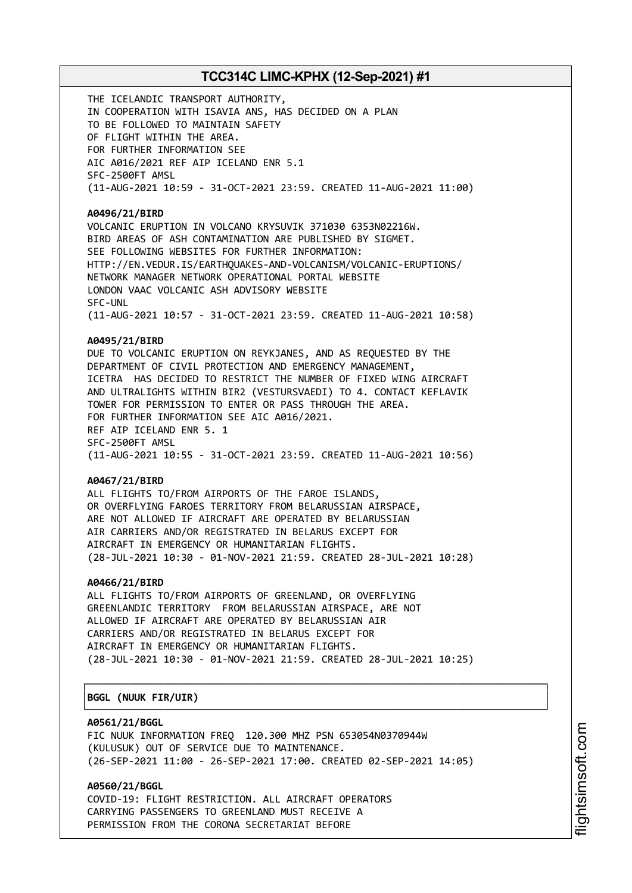THE ICELANDIC TRANSPORT AUTHORITY, IN COOPERATION WITH ISAVIA ANS, HAS DECIDED ON A PLAN TO BE FOLLOWED TO MAINTAIN SAFETY OF FLIGHT WITHIN THE AREA. FOR FURTHER INFORMATION SEE AIC A016/2021 REF AIP ICELAND ENR 5.1 SFC-2500FT AMSL (11-AUG-2021 10:59 - 31-OCT-2021 23:59. CREATED 11-AUG-2021 11:00)

#### **A0496/21/BIRD**

VOLCANIC ERUPTION IN VOLCANO KRYSUVIK 371030 6353N02216W. BIRD AREAS OF ASH CONTAMINATION ARE PUBLISHED BY SIGMET. SEE FOLLOWING WEBSITES FOR FURTHER INFORMATION: HTTP://EN.VEDUR.IS/EARTHQUAKES-AND-VOLCANISM/VOLCANIC-ERUPTIONS/ NETWORK MANAGER NETWORK OPERATIONAL PORTAL WEBSITE LONDON VAAC VOLCANIC ASH ADVISORY WEBSITE SFC-UNL (11-AUG-2021 10:57 - 31-OCT-2021 23:59. CREATED 11-AUG-2021 10:58)

### **A0495/21/BIRD**

DUE TO VOLCANIC ERUPTION ON REYKJANES, AND AS REQUESTED BY THE DEPARTMENT OF CIVIL PROTECTION AND EMERGENCY MANAGEMENT, ICETRA HAS DECIDED TO RESTRICT THE NUMBER OF FIXED WING AIRCRAFT AND ULTRALIGHTS WITHIN BIR2 (VESTURSVAEDI) TO 4. CONTACT KEFLAVIK TOWER FOR PERMISSION TO ENTER OR PASS THROUGH THE AREA. FOR FURTHER INFORMATION SEE AIC A016/2021. REF AIP ICELAND ENR 5. 1 SFC-2500FT AMSL (11-AUG-2021 10:55 - 31-OCT-2021 23:59. CREATED 11-AUG-2021 10:56)

#### **A0467/21/BIRD**

ALL FLIGHTS TO/FROM AIRPORTS OF THE FAROE ISLANDS, OR OVERFLYING FAROES TERRITORY FROM BELARUSSIAN AIRSPACE, ARE NOT ALLOWED IF AIRCRAFT ARE OPERATED BY BELARUSSIAN AIR CARRIERS AND/OR REGISTRATED IN BELARUS EXCEPT FOR AIRCRAFT IN EMERGENCY OR HUMANITARIAN FLIGHTS. (28-JUL-2021 10:30 - 01-NOV-2021 21:59. CREATED 28-JUL-2021 10:28)

#### **A0466/21/BIRD**

ALL FLIGHTS TO/FROM AIRPORTS OF GREENLAND, OR OVERFLYING GREENLANDIC TERRITORY FROM BELARUSSIAN AIRSPACE, ARE NOT ALLOWED IF AIRCRAFT ARE OPERATED BY BELARUSSIAN AIR CARRIERS AND/OR REGISTRATED IN BELARUS EXCEPT FOR AIRCRAFT IN EMERGENCY OR HUMANITARIAN FLIGHTS. (28-JUL-2021 10:30 - 01-NOV-2021 21:59. CREATED 28-JUL-2021 10:25)

┌──────────────────────────────────────────────────────────────────────────────┐

└──────────────────────────────────────────────────────────────────────────────┘

#### │**BGGL (NUUK FIR/UIR)** │

#### **A0561/21/BGGL**

FIC NUUK INFORMATION FREQ 120.300 MHZ PSN 653054N0370944W (KULUSUK) OUT OF SERVICE DUE TO MAINTENANCE. (26-SEP-2021 11:00 - 26-SEP-2021 17:00. CREATED 02-SEP-2021 14:05)

**A0560/21/BGGL** COVID-19: FLIGHT RESTRICTION. ALL AIRCRAFT OPERATORS CARRYING PASSENGERS TO GREENLAND MUST RECEIVE A PERMISSION FROM THE CORONA SECRETARIAT BEFORE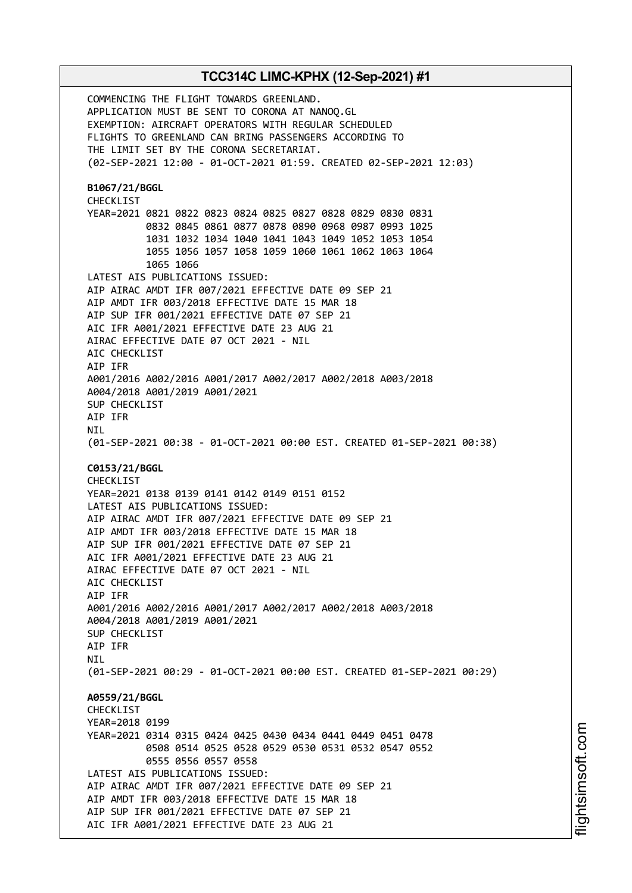COMMENCING THE FLIGHT TOWARDS GREENLAND. APPLICATION MUST BE SENT TO CORONA AT NANOQ.GL EXEMPTION: AIRCRAFT OPERATORS WITH REGULAR SCHEDULED FLIGHTS TO GREENLAND CAN BRING PASSENGERS ACCORDING TO THE LIMIT SET BY THE CORONA SECRETARIAT. (02-SEP-2021 12:00 - 01-OCT-2021 01:59. CREATED 02-SEP-2021 12:03) **B1067/21/BGGL** CHECKLIST YEAR=2021 0821 0822 0823 0824 0825 0827 0828 0829 0830 0831 0832 0845 0861 0877 0878 0890 0968 0987 0993 1025 1031 1032 1034 1040 1041 1043 1049 1052 1053 1054 1055 1056 1057 1058 1059 1060 1061 1062 1063 1064 1065 1066 LATEST AIS PUBLICATIONS ISSUED: AIP AIRAC AMDT IFR 007/2021 EFFECTIVE DATE 09 SEP 21 AIP AMDT IFR 003/2018 EFFECTIVE DATE 15 MAR 18 AIP SUP IFR 001/2021 EFFECTIVE DATE 07 SEP 21 AIC IFR A001/2021 EFFECTIVE DATE 23 AUG 21 AIRAC EFFECTIVE DATE 07 OCT 2021 - NIL AIC CHECKLIST AIP IFR A001/2016 A002/2016 A001/2017 A002/2017 A002/2018 A003/2018 A004/2018 A001/2019 A001/2021 SUP CHECKLIST AIP IFR **NTI** (01-SEP-2021 00:38 - 01-OCT-2021 00:00 EST. CREATED 01-SEP-2021 00:38) **C0153/21/BGGL** CHECKLIST YEAR=2021 0138 0139 0141 0142 0149 0151 0152 LATEST AIS PUBLICATIONS ISSUED: AIP AIRAC AMDT IFR 007/2021 EFFECTIVE DATE 09 SEP 21 AIP AMDT IFR 003/2018 EFFECTIVE DATE 15 MAR 18 AIP SUP IFR 001/2021 EFFECTIVE DATE 07 SEP 21 AIC IFR A001/2021 EFFECTIVE DATE 23 AUG 21 AIRAC EFFECTIVE DATE 07 OCT 2021 - NIL AIC CHECKLIST AIP IFR A001/2016 A002/2016 A001/2017 A002/2017 A002/2018 A003/2018 A004/2018 A001/2019 A001/2021 SUP CHECKLIST AIP IFR **NTI** (01-SEP-2021 00:29 - 01-OCT-2021 00:00 EST. CREATED 01-SEP-2021 00:29) **A0559/21/BGGL** CHECKLIST YEAR=2018 0199 YEAR=2021 0314 0315 0424 0425 0430 0434 0441 0449 0451 0478 0508 0514 0525 0528 0529 0530 0531 0532 0547 0552 0555 0556 0557 0558 LATEST AIS PUBLICATIONS ISSUED: AIP AIRAC AMDT IFR 007/2021 EFFECTIVE DATE 09 SEP 21 AIP AMDT IFR 003/2018 EFFECTIVE DATE 15 MAR 18 AIP SUP IFR 001/2021 EFFECTIVE DATE 07 SEP 21 AIC IFR A001/2021 EFFECTIVE DATE 23 AUG 21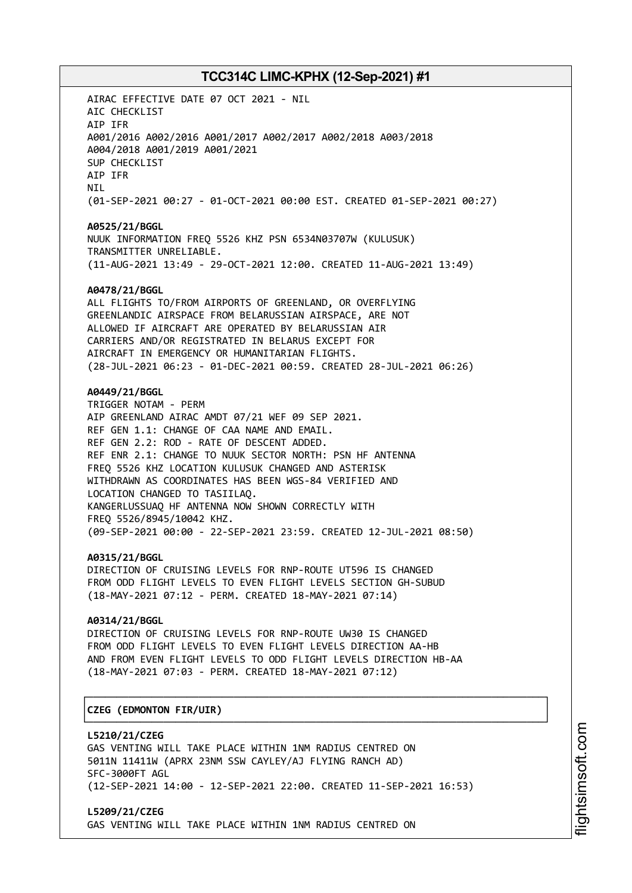AIRAC EFFECTIVE DATE 07 OCT 2021 - NIL AIC CHECKLIST AIP IFR A001/2016 A002/2016 A001/2017 A002/2017 A002/2018 A003/2018 A004/2018 A001/2019 A001/2021 SUP CHECKLIST AIP IFR NIL (01-SEP-2021 00:27 - 01-OCT-2021 00:00 EST. CREATED 01-SEP-2021 00:27) **A0525/21/BGGL** NUUK INFORMATION FREQ 5526 KHZ PSN 6534N03707W (KULUSUK) TRANSMITTER UNRELIABLE. (11-AUG-2021 13:49 - 29-OCT-2021 12:00. CREATED 11-AUG-2021 13:49) **A0478/21/BGGL** ALL FLIGHTS TO/FROM AIRPORTS OF GREENLAND, OR OVERFLYING GREENLANDIC AIRSPACE FROM BELARUSSIAN AIRSPACE, ARE NOT ALLOWED IF AIRCRAFT ARE OPERATED BY BELARUSSIAN AIR CARRIERS AND/OR REGISTRATED IN BELARUS EXCEPT FOR AIRCRAFT IN EMERGENCY OR HUMANITARIAN FLIGHTS. (28-JUL-2021 06:23 - 01-DEC-2021 00:59. CREATED 28-JUL-2021 06:26) **A0449/21/BGGL** TRIGGER NOTAM - PERM AIP GREENLAND AIRAC AMDT 07/21 WEF 09 SEP 2021. REF GEN 1.1: CHANGE OF CAA NAME AND EMAIL. REF GEN 2.2: ROD - RATE OF DESCENT ADDED. REF ENR 2.1: CHANGE TO NUUK SECTOR NORTH: PSN HF ANTENNA FREQ 5526 KHZ LOCATION KULUSUK CHANGED AND ASTERISK WITHDRAWN AS COORDINATES HAS BEEN WGS-84 VERIFIED AND LOCATION CHANGED TO TASIILAQ. KANGERLUSSUAQ HF ANTENNA NOW SHOWN CORRECTLY WITH FREQ 5526/8945/10042 KHZ. (09-SEP-2021 00:00 - 22-SEP-2021 23:59. CREATED 12-JUL-2021 08:50) **A0315/21/BGGL** DIRECTION OF CRUISING LEVELS FOR RNP-ROUTE UT596 IS CHANGED FROM ODD FLIGHT LEVELS TO EVEN FLIGHT LEVELS SECTION GH-SUBUD (18-MAY-2021 07:12 - PERM. CREATED 18-MAY-2021 07:14) **A0314/21/BGGL** DIRECTION OF CRUISING LEVELS FOR RNP-ROUTE UW30 IS CHANGED FROM ODD FLIGHT LEVELS TO EVEN FLIGHT LEVELS DIRECTION AA-HB AND FROM EVEN FLIGHT LEVELS TO ODD FLIGHT LEVELS DIRECTION HB-AA (18-MAY-2021 07:03 - PERM. CREATED 18-MAY-2021 07:12) ┌──────────────────────────────────────────────────────────────────────────────┐ │**CZEG (EDMONTON FIR/UIR)** │ └──────────────────────────────────────────────────────────────────────────────┘ **L5210/21/CZEG** GAS VENTING WILL TAKE PLACE WITHIN 1NM RADIUS CENTRED ON 5011N 11411W (APRX 23NM SSW CAYLEY/AJ FLYING RANCH AD)

SFC-3000FT AGL (12-SEP-2021 14:00 - 12-SEP-2021 22:00. CREATED 11-SEP-2021 16:53)

**L5209/21/CZEG** GAS VENTING WILL TAKE PLACE WITHIN 1NM RADIUS CENTRED ON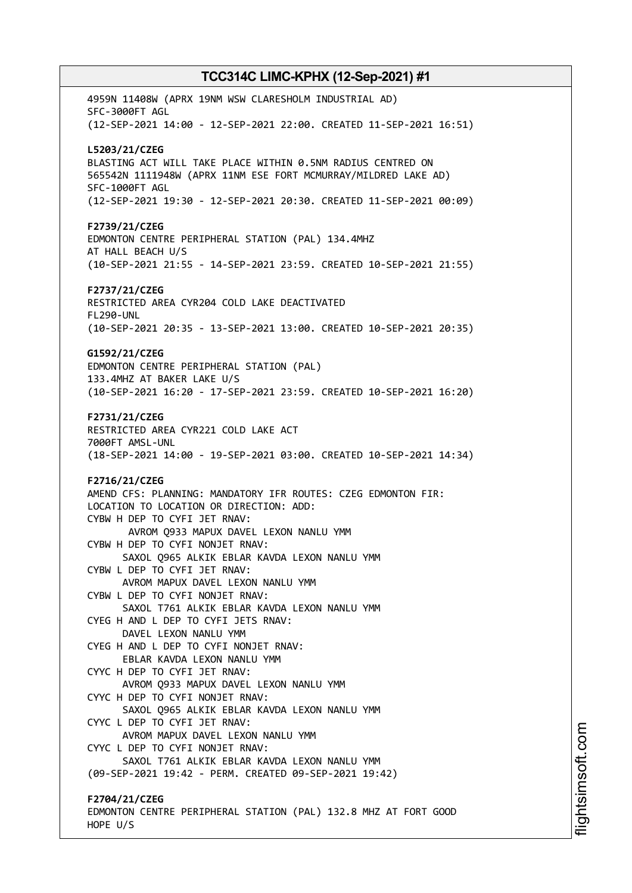4959N 11408W (APRX 19NM WSW CLARESHOLM INDUSTRIAL AD) SFC-3000FT AGL (12-SEP-2021 14:00 - 12-SEP-2021 22:00. CREATED 11-SEP-2021 16:51) **L5203/21/CZEG** BLASTING ACT WILL TAKE PLACE WITHIN 0.5NM RADIUS CENTRED ON 565542N 1111948W (APRX 11NM ESE FORT MCMURRAY/MILDRED LAKE AD) SFC-1000FT AGL (12-SEP-2021 19:30 - 12-SEP-2021 20:30. CREATED 11-SEP-2021 00:09) **F2739/21/CZEG** EDMONTON CENTRE PERIPHERAL STATION (PAL) 134.4MHZ AT HALL BEACH U/S (10-SEP-2021 21:55 - 14-SEP-2021 23:59. CREATED 10-SEP-2021 21:55) **F2737/21/CZEG** RESTRICTED AREA CYR204 COLD LAKE DEACTIVATED FL290-UNL (10-SEP-2021 20:35 - 13-SEP-2021 13:00. CREATED 10-SEP-2021 20:35) **G1592/21/CZEG** EDMONTON CENTRE PERIPHERAL STATION (PAL) 133.4MHZ AT BAKER LAKE U/S (10-SEP-2021 16:20 - 17-SEP-2021 23:59. CREATED 10-SEP-2021 16:20) **F2731/21/CZEG** RESTRICTED AREA CYR221 COLD LAKE ACT 7000FT AMSL-UNL (18-SEP-2021 14:00 - 19-SEP-2021 03:00. CREATED 10-SEP-2021 14:34) **F2716/21/CZEG** AMEND CFS: PLANNING: MANDATORY IFR ROUTES: CZEG EDMONTON FIR: LOCATION TO LOCATION OR DIRECTION: ADD: CYBW H DEP TO CYFI JET RNAV: AVROM Q933 MAPUX DAVEL LEXON NANLU YMM CYBW H DEP TO CYFI NONJET RNAV: SAXOL Q965 ALKIK EBLAR KAVDA LEXON NANLU YMM CYBW L DEP TO CYFI JET RNAV: AVROM MAPUX DAVEL LEXON NANLU YMM CYBW L DEP TO CYFI NONJET RNAV: SAXOL T761 ALKIK EBLAR KAVDA LEXON NANLU YMM CYEG H AND L DEP TO CYFI JETS RNAV: DAVEL LEXON NANLU YMM CYEG H AND L DEP TO CYFI NONJET RNAV: EBLAR KAVDA LEXON NANLU YMM CYYC H DEP TO CYFI JET RNAV: AVROM Q933 MAPUX DAVEL LEXON NANLU YMM CYYC H DEP TO CYFI NONJET RNAV: SAXOL Q965 ALKIK EBLAR KAVDA LEXON NANLU YMM CYYC L DEP TO CYFI JET RNAV: AVROM MAPUX DAVEL LEXON NANLU YMM CYYC L DEP TO CYFI NONJET RNAV: SAXOL T761 ALKIK EBLAR KAVDA LEXON NANLU YMM (09-SEP-2021 19:42 - PERM. CREATED 09-SEP-2021 19:42) **F2704/21/CZEG** EDMONTON CENTRE PERIPHERAL STATION (PAL) 132.8 MHZ AT FORT GOOD HOPE U/S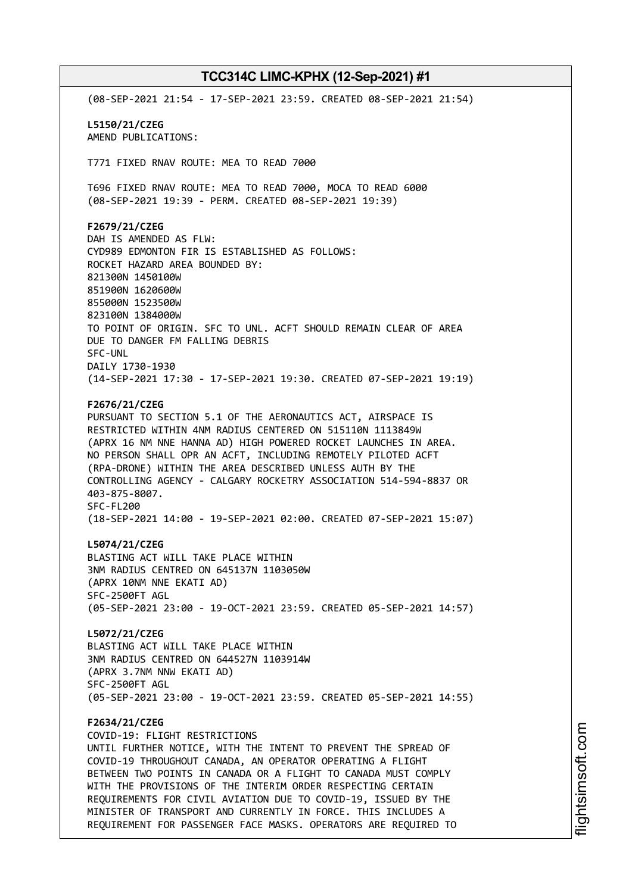(08-SEP-2021 21:54 - 17-SEP-2021 23:59. CREATED 08-SEP-2021 21:54) **L5150/21/CZEG** AMEND PUBLICATIONS: T771 FIXED RNAV ROUTE: MEA TO READ 7000 T696 FIXED RNAV ROUTE: MEA TO READ 7000, MOCA TO READ 6000 (08-SEP-2021 19:39 - PERM. CREATED 08-SEP-2021 19:39) **F2679/21/CZEG** DAH IS AMENDED AS FLW: CYD989 EDMONTON FIR IS ESTABLISHED AS FOLLOWS: ROCKET HAZARD AREA BOUNDED BY: 821300N 1450100W 851900N 1620600W 855000N 1523500W 823100N 1384000W TO POINT OF ORIGIN. SFC TO UNL. ACFT SHOULD REMAIN CLEAR OF AREA DUE TO DANGER FM FALLING DEBRIS SFC-UNL DAILY 1730-1930 (14-SEP-2021 17:30 - 17-SEP-2021 19:30. CREATED 07-SEP-2021 19:19) **F2676/21/CZEG** PURSUANT TO SECTION 5.1 OF THE AERONAUTICS ACT, AIRSPACE IS RESTRICTED WITHIN 4NM RADIUS CENTERED ON 515110N 1113849W (APRX 16 NM NNE HANNA AD) HIGH POWERED ROCKET LAUNCHES IN AREA. NO PERSON SHALL OPR AN ACFT, INCLUDING REMOTELY PILOTED ACFT (RPA-DRONE) WITHIN THE AREA DESCRIBED UNLESS AUTH BY THE CONTROLLING AGENCY - CALGARY ROCKETRY ASSOCIATION 514-594-8837 OR 403-875-8007. SFC-FL200 (18-SEP-2021 14:00 - 19-SEP-2021 02:00. CREATED 07-SEP-2021 15:07) **L5074/21/CZEG** BLASTING ACT WILL TAKE PLACE WITHIN 3NM RADIUS CENTRED ON 645137N 1103050W (APRX 10NM NNE EKATI AD) SFC-2500FT AGL (05-SEP-2021 23:00 - 19-OCT-2021 23:59. CREATED 05-SEP-2021 14:57) **L5072/21/CZEG** BLASTING ACT WILL TAKE PLACE WITHIN 3NM RADIUS CENTRED ON 644527N 1103914W (APRX 3.7NM NNW EKATI AD) SFC-2500FT AGL (05-SEP-2021 23:00 - 19-OCT-2021 23:59. CREATED 05-SEP-2021 14:55) **F2634/21/CZEG** COVID-19: FLIGHT RESTRICTIONS UNTIL FURTHER NOTICE, WITH THE INTENT TO PREVENT THE SPREAD OF COVID-19 THROUGHOUT CANADA, AN OPERATOR OPERATING A FLIGHT BETWEEN TWO POINTS IN CANADA OR A FLIGHT TO CANADA MUST COMPLY WITH THE PROVISIONS OF THE INTERIM ORDER RESPECTING CERTAIN REQUIREMENTS FOR CIVIL AVIATION DUE TO COVID-19, ISSUED BY THE MINISTER OF TRANSPORT AND CURRENTLY IN FORCE. THIS INCLUDES A REQUIREMENT FOR PASSENGER FACE MASKS. OPERATORS ARE REQUIRED TO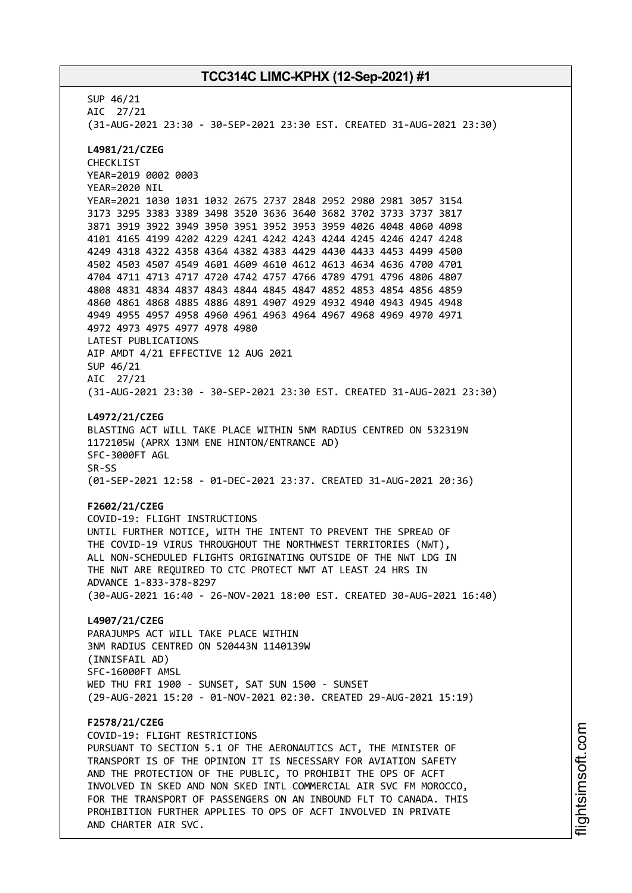SUP 46/21 AIC 27/21 (31-AUG-2021 23:30 - 30-SEP-2021 23:30 EST. CREATED 31-AUG-2021 23:30) **L4981/21/CZEG** CHECKLIST YEAR=2019 0002 0003 YEAR=2020 NIL YEAR=2021 1030 1031 1032 2675 2737 2848 2952 2980 2981 3057 3154 3173 3295 3383 3389 3498 3520 3636 3640 3682 3702 3733 3737 3817 3871 3919 3922 3949 3950 3951 3952 3953 3959 4026 4048 4060 4098 4101 4165 4199 4202 4229 4241 4242 4243 4244 4245 4246 4247 4248 4249 4318 4322 4358 4364 4382 4383 4429 4430 4433 4453 4499 4500 4502 4503 4507 4549 4601 4609 4610 4612 4613 4634 4636 4700 4701 4704 4711 4713 4717 4720 4742 4757 4766 4789 4791 4796 4806 4807 4808 4831 4834 4837 4843 4844 4845 4847 4852 4853 4854 4856 4859 4860 4861 4868 4885 4886 4891 4907 4929 4932 4940 4943 4945 4948 4949 4955 4957 4958 4960 4961 4963 4964 4967 4968 4969 4970 4971 4972 4973 4975 4977 4978 4980 LATEST PUBLICATIONS AIP AMDT 4/21 EFFECTIVE 12 AUG 2021 SUP 46/21 AIC 27/21 (31-AUG-2021 23:30 - 30-SEP-2021 23:30 EST. CREATED 31-AUG-2021 23:30) **L4972/21/CZEG** BLASTING ACT WILL TAKE PLACE WITHIN 5NM RADIUS CENTRED ON 532319N 1172105W (APRX 13NM ENE HINTON/ENTRANCE AD) SFC-3000FT AGL SR-SS (01-SEP-2021 12:58 - 01-DEC-2021 23:37. CREATED 31-AUG-2021 20:36) **F2602/21/CZEG** COVID-19: FLIGHT INSTRUCTIONS UNTIL FURTHER NOTICE, WITH THE INTENT TO PREVENT THE SPREAD OF THE COVID-19 VIRUS THROUGHOUT THE NORTHWEST TERRITORIES (NWT), ALL NON-SCHEDULED FLIGHTS ORIGINATING OUTSIDE OF THE NWT LDG IN THE NWT ARE REQUIRED TO CTC PROTECT NWT AT LEAST 24 HRS IN ADVANCE 1-833-378-8297 (30-AUG-2021 16:40 - 26-NOV-2021 18:00 EST. CREATED 30-AUG-2021 16:40) **L4907/21/CZEG** PARAJUMPS ACT WILL TAKE PLACE WITHIN 3NM RADIUS CENTRED ON 520443N 1140139W (INNISFAIL AD) SFC-16000FT AMSL WED THU FRI 1900 - SUNSET, SAT SUN 1500 - SUNSET (29-AUG-2021 15:20 - 01-NOV-2021 02:30. CREATED 29-AUG-2021 15:19) **F2578/21/CZEG** COVID-19: FLIGHT RESTRICTIONS PURSUANT TO SECTION 5.1 OF THE AERONAUTICS ACT, THE MINISTER OF TRANSPORT IS OF THE OPINION IT IS NECESSARY FOR AVIATION SAFETY AND THE PROTECTION OF THE PUBLIC, TO PROHIBIT THE OPS OF ACFT INVOLVED IN SKED AND NON SKED INTL COMMERCIAL AIR SVC FM MOROCCO, FOR THE TRANSPORT OF PASSENGERS ON AN INBOUND FLT TO CANADA. THIS PROHIBITION FURTHER APPLIES TO OPS OF ACFT INVOLVED IN PRIVATE AND CHARTER AIR SVC.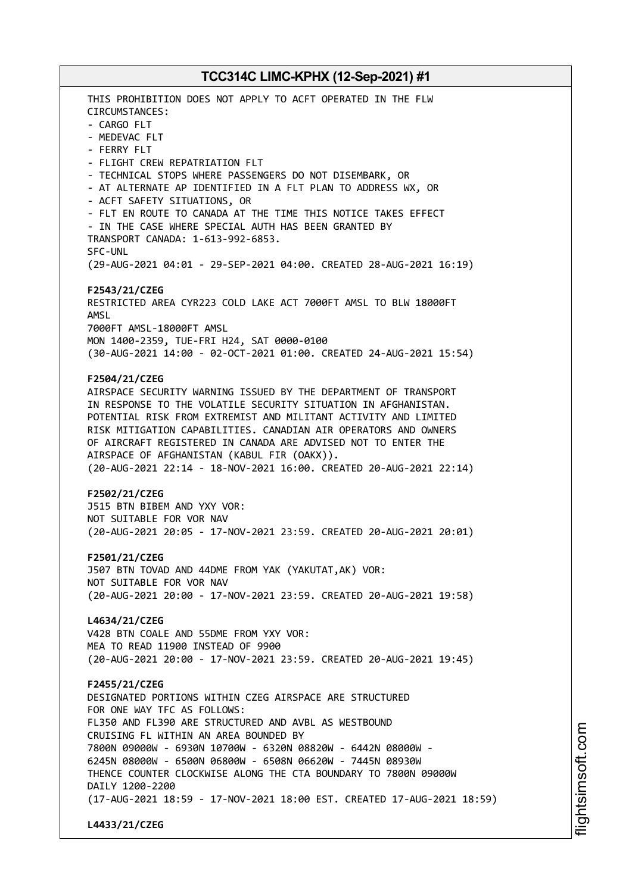THIS PROHIBITION DOES NOT APPLY TO ACFT OPERATED IN THE FLW CIRCUMSTANCES: - CARGO FLT - MEDEVAC FLT - FERRY FLT - FLIGHT CREW REPATRIATION FLT - TECHNICAL STOPS WHERE PASSENGERS DO NOT DISEMBARK, OR - AT ALTERNATE AP IDENTIFIED IN A FLT PLAN TO ADDRESS WX, OR - ACFT SAFETY SITUATIONS, OR - FLT EN ROUTE TO CANADA AT THE TIME THIS NOTICE TAKES EFFECT - IN THE CASE WHERE SPECIAL AUTH HAS BEEN GRANTED BY TRANSPORT CANADA: 1-613-992-6853. SFC-UNL (29-AUG-2021 04:01 - 29-SEP-2021 04:00. CREATED 28-AUG-2021 16:19) **F2543/21/CZEG** RESTRICTED AREA CYR223 COLD LAKE ACT 7000FT AMSL TO BLW 18000FT AMSL 7000FT AMSL-18000FT AMSL MON 1400-2359, TUE-FRI H24, SAT 0000-0100 (30-AUG-2021 14:00 - 02-OCT-2021 01:00. CREATED 24-AUG-2021 15:54) **F2504/21/CZEG** AIRSPACE SECURITY WARNING ISSUED BY THE DEPARTMENT OF TRANSPORT IN RESPONSE TO THE VOLATILE SECURITY SITUATION IN AFGHANISTAN. POTENTIAL RISK FROM EXTREMIST AND MILITANT ACTIVITY AND LIMITED RISK MITIGATION CAPABILITIES. CANADIAN AIR OPERATORS AND OWNERS OF AIRCRAFT REGISTERED IN CANADA ARE ADVISED NOT TO ENTER THE AIRSPACE OF AFGHANISTAN (KABUL FIR (OAKX)). (20-AUG-2021 22:14 - 18-NOV-2021 16:00. CREATED 20-AUG-2021 22:14) **F2502/21/CZEG** J515 BTN BIBEM AND YXY VOR: NOT SUITABLE FOR VOR NAV (20-AUG-2021 20:05 - 17-NOV-2021 23:59. CREATED 20-AUG-2021 20:01) **F2501/21/CZEG** J507 BTN TOVAD AND 44DME FROM YAK (YAKUTAT,AK) VOR: NOT SUITABLE FOR VOR NAV (20-AUG-2021 20:00 - 17-NOV-2021 23:59. CREATED 20-AUG-2021 19:58) **L4634/21/CZEG** V428 BTN COALE AND 55DME FROM YXY VOR: MEA TO READ 11900 INSTEAD OF 9900 (20-AUG-2021 20:00 - 17-NOV-2021 23:59. CREATED 20-AUG-2021 19:45) **F2455/21/CZEG** DESIGNATED PORTIONS WITHIN CZEG AIRSPACE ARE STRUCTURED FOR ONE WAY TFC AS FOLLOWS: FL350 AND FL390 ARE STRUCTURED AND AVBL AS WESTBOUND CRUISING FL WITHIN AN AREA BOUNDED BY 7800N 09000W - 6930N 10700W - 6320N 08820W - 6442N 08000W - 6245N 08000W - 6500N 06800W - 6508N 06620W - 7445N 08930W THENCE COUNTER CLOCKWISE ALONG THE CTA BOUNDARY TO 7800N 09000W DAILY 1200-2200 (17-AUG-2021 18:59 - 17-NOV-2021 18:00 EST. CREATED 17-AUG-2021 18:59) **L4433/21/CZEG**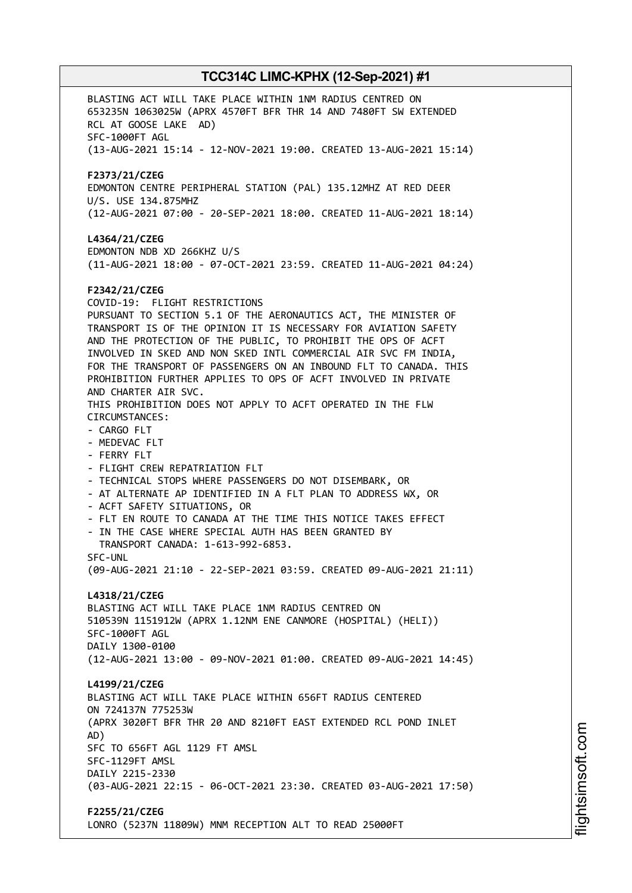BLASTING ACT WILL TAKE PLACE WITHIN 1NM RADIUS CENTRED ON 653235N 1063025W (APRX 4570FT BFR THR 14 AND 7480FT SW EXTENDED RCL AT GOOSE LAKE AD) SFC-1000FT AGL (13-AUG-2021 15:14 - 12-NOV-2021 19:00. CREATED 13-AUG-2021 15:14) **F2373/21/CZEG** EDMONTON CENTRE PERIPHERAL STATION (PAL) 135.12MHZ AT RED DEER U/S. USE 134.875MHZ (12-AUG-2021 07:00 - 20-SEP-2021 18:00. CREATED 11-AUG-2021 18:14) **L4364/21/CZEG** EDMONTON NDB XD 266KHZ U/S (11-AUG-2021 18:00 - 07-OCT-2021 23:59. CREATED 11-AUG-2021 04:24) **F2342/21/CZEG** COVID-19: FLIGHT RESTRICTIONS PURSUANT TO SECTION 5.1 OF THE AERONAUTICS ACT, THE MINISTER OF TRANSPORT IS OF THE OPINION IT IS NECESSARY FOR AVIATION SAFETY AND THE PROTECTION OF THE PUBLIC, TO PROHIBIT THE OPS OF ACFT INVOLVED IN SKED AND NON SKED INTL COMMERCIAL AIR SVC FM INDIA, FOR THE TRANSPORT OF PASSENGERS ON AN INBOUND FLT TO CANADA. THIS PROHIBITION FURTHER APPLIES TO OPS OF ACFT INVOLVED IN PRIVATE AND CHARTER AIR SVC. THIS PROHIBITION DOES NOT APPLY TO ACFT OPERATED IN THE FLW CIRCUMSTANCES: - CARGO FLT - MEDEVAC FLT - FERRY FLT - FLIGHT CREW REPATRIATION FLT - TECHNICAL STOPS WHERE PASSENGERS DO NOT DISEMBARK, OR - AT ALTERNATE AP IDENTIFIED IN A FLT PLAN TO ADDRESS WX, OR - ACFT SAFETY SITUATIONS, OR - FLT EN ROUTE TO CANADA AT THE TIME THIS NOTICE TAKES EFFECT - IN THE CASE WHERE SPECIAL AUTH HAS BEEN GRANTED BY TRANSPORT CANADA: 1-613-992-6853. SFC-UNL (09-AUG-2021 21:10 - 22-SEP-2021 03:59. CREATED 09-AUG-2021 21:11) **L4318/21/CZEG** BLASTING ACT WILL TAKE PLACE 1NM RADIUS CENTRED ON 510539N 1151912W (APRX 1.12NM ENE CANMORE (HOSPITAL) (HELI)) SFC-1000FT AGL DAILY 1300-0100 (12-AUG-2021 13:00 - 09-NOV-2021 01:00. CREATED 09-AUG-2021 14:45) **L4199/21/CZEG** BLASTING ACT WILL TAKE PLACE WITHIN 656FT RADIUS CENTERED ON 724137N 775253W (APRX 3020FT BFR THR 20 AND 8210FT EAST EXTENDED RCL POND INLET AD) SFC TO 656FT AGL 1129 FT AMSL SFC-1129FT AMSL DAILY 2215-2330 (03-AUG-2021 22:15 - 06-OCT-2021 23:30. CREATED 03-AUG-2021 17:50) **F2255/21/CZEG** LONRO (5237N 11809W) MNM RECEPTION ALT TO READ 25000FT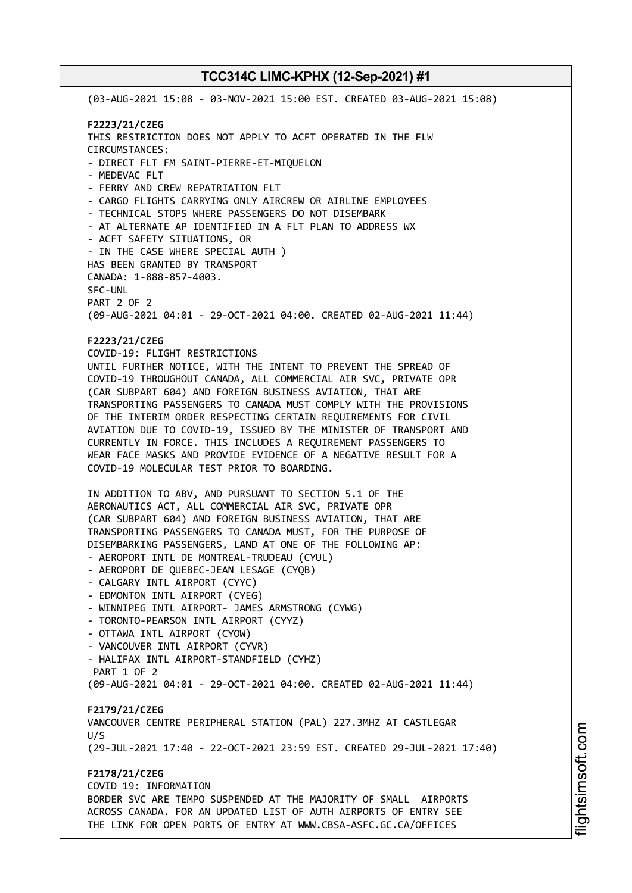(03-AUG-2021 15:08 - 03-NOV-2021 15:00 EST. CREATED 03-AUG-2021 15:08) **F2223/21/CZEG** THIS RESTRICTION DOES NOT APPLY TO ACFT OPERATED IN THE FLW CIRCUMSTANCES: - DIRECT FLT FM SAINT-PIERRE-ET-MIQUELON - MEDEVAC FLT - FERRY AND CREW REPATRIATION FLT - CARGO FLIGHTS CARRYING ONLY AIRCREW OR AIRLINE EMPLOYEES - TECHNICAL STOPS WHERE PASSENGERS DO NOT DISEMBARK - AT ALTERNATE AP IDENTIFIED IN A FLT PLAN TO ADDRESS WX - ACFT SAFETY SITUATIONS, OR - IN THE CASE WHERE SPECIAL AUTH ) HAS BEEN GRANTED BY TRANSPORT CANADA: 1-888-857-4003. SFC-UNL PART 2 OF 2 (09-AUG-2021 04:01 - 29-OCT-2021 04:00. CREATED 02-AUG-2021 11:44) **F2223/21/CZEG** COVID-19: FLIGHT RESTRICTIONS UNTIL FURTHER NOTICE, WITH THE INTENT TO PREVENT THE SPREAD OF COVID-19 THROUGHOUT CANADA, ALL COMMERCIAL AIR SVC, PRIVATE OPR (CAR SUBPART 604) AND FOREIGN BUSINESS AVIATION, THAT ARE TRANSPORTING PASSENGERS TO CANADA MUST COMPLY WITH THE PROVISIONS OF THE INTERIM ORDER RESPECTING CERTAIN REQUIREMENTS FOR CIVIL AVIATION DUE TO COVID-19, ISSUED BY THE MINISTER OF TRANSPORT AND CURRENTLY IN FORCE. THIS INCLUDES A REQUIREMENT PASSENGERS TO WEAR FACE MASKS AND PROVIDE EVIDENCE OF A NEGATIVE RESULT FOR A COVID-19 MOLECULAR TEST PRIOR TO BOARDING. IN ADDITION TO ABV, AND PURSUANT TO SECTION 5.1 OF THE AERONAUTICS ACT, ALL COMMERCIAL AIR SVC, PRIVATE OPR (CAR SUBPART 604) AND FOREIGN BUSINESS AVIATION, THAT ARE TRANSPORTING PASSENGERS TO CANADA MUST, FOR THE PURPOSE OF DISEMBARKING PASSENGERS, LAND AT ONE OF THE FOLLOWING AP: - AEROPORT INTL DE MONTREAL-TRUDEAU (CYUL) - AEROPORT DE QUEBEC-JEAN LESAGE (CYQB) - CALGARY INTL AIRPORT (CYYC) - EDMONTON INTL AIRPORT (CYEG) - WINNIPEG INTL AIRPORT- JAMES ARMSTRONG (CYWG) - TORONTO-PEARSON INTL AIRPORT (CYYZ) - OTTAWA INTL AIRPORT (CYOW) - VANCOUVER INTL AIRPORT (CYVR) - HALIFAX INTL AIRPORT-STANDFIELD (CYHZ) PART 1 OF 2 (09-AUG-2021 04:01 - 29-OCT-2021 04:00. CREATED 02-AUG-2021 11:44) **F2179/21/CZEG** VANCOUVER CENTRE PERIPHERAL STATION (PAL) 227.3MHZ AT CASTLEGAR  $11/5$ (29-JUL-2021 17:40 - 22-OCT-2021 23:59 EST. CREATED 29-JUL-2021 17:40) **F2178/21/CZEG** COVID 19: INFORMATION BORDER SVC ARE TEMPO SUSPENDED AT THE MAJORITY OF SMALL AIRPORTS ACROSS CANADA. FOR AN UPDATED LIST OF AUTH AIRPORTS OF ENTRY SEE THE LINK FOR OPEN PORTS OF ENTRY AT WWW.CBSA-ASFC.GC.CA/OFFICES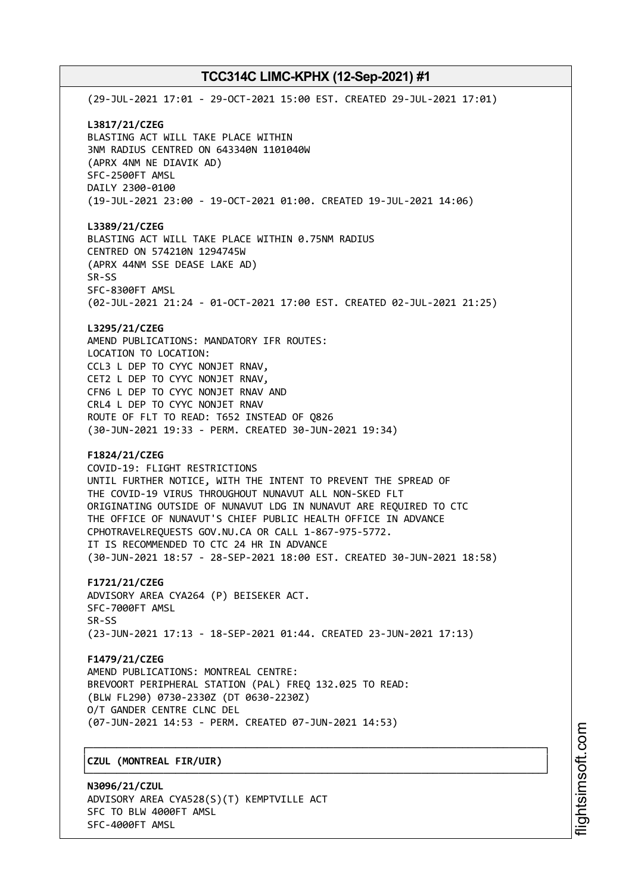(29-JUL-2021 17:01 - 29-OCT-2021 15:00 EST. CREATED 29-JUL-2021 17:01) **L3817/21/CZEG** BLASTING ACT WILL TAKE PLACE WITHIN 3NM RADIUS CENTRED ON 643340N 1101040W (APRX 4NM NE DIAVIK AD) SFC-2500FT AMSL DAILY 2300-0100 (19-JUL-2021 23:00 - 19-OCT-2021 01:00. CREATED 19-JUL-2021 14:06) **L3389/21/CZEG** BLASTING ACT WILL TAKE PLACE WITHIN 0.75NM RADIUS CENTRED ON 574210N 1294745W (APRX 44NM SSE DEASE LAKE AD) SR-SS SFC-8300FT AMSL (02-JUL-2021 21:24 - 01-OCT-2021 17:00 EST. CREATED 02-JUL-2021 21:25) **L3295/21/CZEG** AMEND PUBLICATIONS: MANDATORY IFR ROUTES: LOCATION TO LOCATION: CCL3 L DEP TO CYYC NONJET RNAV, CET2 L DEP TO CYYC NONJET RNAV, CFN6 L DEP TO CYYC NONJET RNAV AND CRL4 L DEP TO CYYC NONJET RNAV ROUTE OF FLT TO READ: T652 INSTEAD OF Q826 (30-JUN-2021 19:33 - PERM. CREATED 30-JUN-2021 19:34) **F1824/21/CZEG** COVID-19: FLIGHT RESTRICTIONS UNTIL FURTHER NOTICE, WITH THE INTENT TO PREVENT THE SPREAD OF THE COVID-19 VIRUS THROUGHOUT NUNAVUT ALL NON-SKED FLT ORIGINATING OUTSIDE OF NUNAVUT LDG IN NUNAVUT ARE REQUIRED TO CTC THE OFFICE OF NUNAVUT'S CHIEF PUBLIC HEALTH OFFICE IN ADVANCE CPHOTRAVELREQUESTS GOV.NU.CA OR CALL 1-867-975-5772. IT IS RECOMMENDED TO CTC 24 HR IN ADVANCE (30-JUN-2021 18:57 - 28-SEP-2021 18:00 EST. CREATED 30-JUN-2021 18:58) **F1721/21/CZEG** ADVISORY AREA CYA264 (P) BEISEKER ACT. SFC-7000FT AMSL SR-SS (23-JUN-2021 17:13 - 18-SEP-2021 01:44. CREATED 23-JUN-2021 17:13) **F1479/21/CZEG** AMEND PUBLICATIONS: MONTREAL CENTRE: BREVOORT PERIPHERAL STATION (PAL) FREQ 132.025 TO READ: (BLW FL290) 0730-2330Z (DT 0630-2230Z) O/T GANDER CENTRE CLNC DEL (07-JUN-2021 14:53 - PERM. CREATED 07-JUN-2021 14:53) ┌──────────────────────────────────────────────────────────────────────────────┐ │**CZUL (MONTREAL FIR/UIR)** │

└──────────────────────────────────────────────────────────────────────────────┘

**N3096/21/CZUL** ADVISORY AREA CYA528(S)(T) KEMPTVILLE ACT SFC TO BLW 4000FT AMSL SFC-4000FT AMSL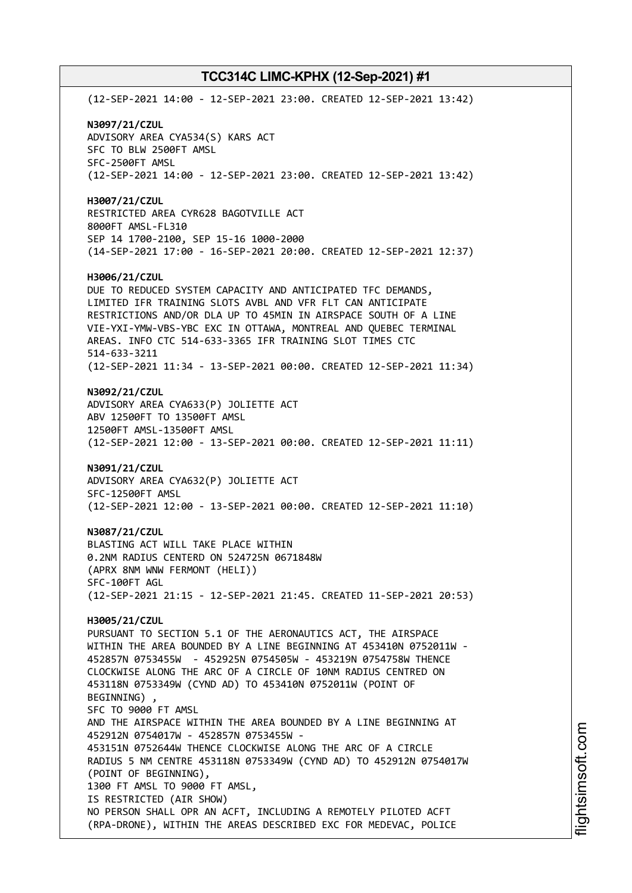(12-SEP-2021 14:00 - 12-SEP-2021 23:00. CREATED 12-SEP-2021 13:42) **N3097/21/CZUL** ADVISORY AREA CYA534(S) KARS ACT SFC TO BLW 2500FT AMSL SFC-2500FT AMSL (12-SEP-2021 14:00 - 12-SEP-2021 23:00. CREATED 12-SEP-2021 13:42) **H3007/21/CZUL** RESTRICTED AREA CYR628 BAGOTVILLE ACT 8000FT AMSL-FL310 SEP 14 1700-2100, SEP 15-16 1000-2000 (14-SEP-2021 17:00 - 16-SEP-2021 20:00. CREATED 12-SEP-2021 12:37) **H3006/21/CZUL** DUE TO REDUCED SYSTEM CAPACITY AND ANTICIPATED TFC DEMANDS, LIMITED IFR TRAINING SLOTS AVBL AND VFR FLT CAN ANTICIPATE RESTRICTIONS AND/OR DLA UP TO 45MIN IN AIRSPACE SOUTH OF A LINE VIE-YXI-YMW-VBS-YBC EXC IN OTTAWA, MONTREAL AND QUEBEC TERMINAL AREAS. INFO CTC 514-633-3365 IFR TRAINING SLOT TIMES CTC 514-633-3211 (12-SEP-2021 11:34 - 13-SEP-2021 00:00. CREATED 12-SEP-2021 11:34) **N3092/21/CZUL** ADVISORY AREA CYA633(P) JOLIETTE ACT ABV 12500FT TO 13500FT AMSL 12500FT AMSL-13500FT AMSL (12-SEP-2021 12:00 - 13-SEP-2021 00:00. CREATED 12-SEP-2021 11:11) **N3091/21/CZUL** ADVISORY AREA CYA632(P) JOLIETTE ACT SFC-12500FT AMSL (12-SEP-2021 12:00 - 13-SEP-2021 00:00. CREATED 12-SEP-2021 11:10) **N3087/21/CZUL** BLASTING ACT WILL TAKE PLACE WITHIN 0.2NM RADIUS CENTERD ON 524725N 0671848W (APRX 8NM WNW FERMONT (HELI)) SFC-100FT AGL (12-SEP-2021 21:15 - 12-SEP-2021 21:45. CREATED 11-SEP-2021 20:53) **H3005/21/CZUL** PURSUANT TO SECTION 5.1 OF THE AERONAUTICS ACT, THE AIRSPACE WITHIN THE AREA BOUNDED BY A LINE BEGINNING AT 453410N 0752011W - 452857N 0753455W - 452925N 0754505W - 453219N 0754758W THENCE CLOCKWISE ALONG THE ARC OF A CIRCLE OF 10NM RADIUS CENTRED ON 453118N 0753349W (CYND AD) TO 453410N 0752011W (POINT OF BEGINNING) , SFC TO 9000 FT AMSL AND THE AIRSPACE WITHIN THE AREA BOUNDED BY A LINE BEGINNING AT 452912N 0754017W - 452857N 0753455W - 453151N 0752644W THENCE CLOCKWISE ALONG THE ARC OF A CIRCLE RADIUS 5 NM CENTRE 453118N 0753349W (CYND AD) TO 452912N 0754017W (POINT OF BEGINNING), 1300 FT AMSL TO 9000 FT AMSL, IS RESTRICTED (AIR SHOW) NO PERSON SHALL OPR AN ACFT, INCLUDING A REMOTELY PILOTED ACFT (RPA-DRONE), WITHIN THE AREAS DESCRIBED EXC FOR MEDEVAC, POLICE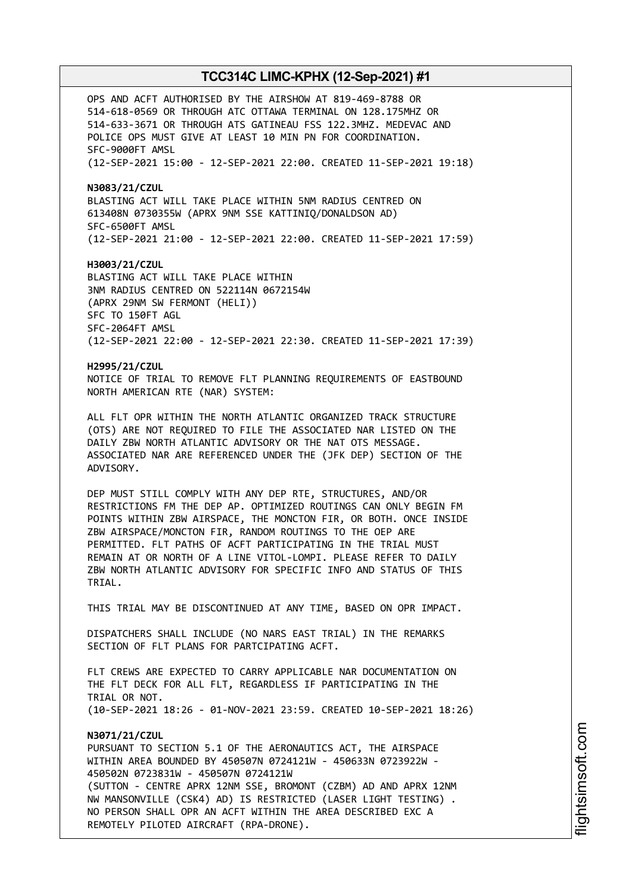OPS AND ACFT AUTHORISED BY THE AIRSHOW AT 819-469-8788 OR 514-618-0569 OR THROUGH ATC OTTAWA TERMINAL ON 128.175MHZ OR 514-633-3671 OR THROUGH ATS GATINEAU FSS 122.3MHZ. MEDEVAC AND POLICE OPS MUST GIVE AT LEAST 10 MIN PN FOR COORDINATION. SFC-9000FT AMSL (12-SEP-2021 15:00 - 12-SEP-2021 22:00. CREATED 11-SEP-2021 19:18)

**N3083/21/CZUL** BLASTING ACT WILL TAKE PLACE WITHIN 5NM RADIUS CENTRED ON 613408N 0730355W (APRX 9NM SSE KATTINIQ/DONALDSON AD) SFC-6500FT AMSL (12-SEP-2021 21:00 - 12-SEP-2021 22:00. CREATED 11-SEP-2021 17:59)

**H3003/21/CZUL** BLASTING ACT WILL TAKE PLACE WITHIN 3NM RADIUS CENTRED ON 522114N 0672154W (APRX 29NM SW FERMONT (HELI)) SFC TO 150FT AGL SFC-2064FT AMSL (12-SEP-2021 22:00 - 12-SEP-2021 22:30. CREATED 11-SEP-2021 17:39)

**H2995/21/CZUL** NOTICE OF TRIAL TO REMOVE FLT PLANNING REQUIREMENTS OF EASTBOUND NORTH AMERICAN RTE (NAR) SYSTEM:

ALL FLT OPR WITHIN THE NORTH ATLANTIC ORGANIZED TRACK STRUCTURE (OTS) ARE NOT REQUIRED TO FILE THE ASSOCIATED NAR LISTED ON THE DAILY ZBW NORTH ATLANTIC ADVISORY OR THE NAT OTS MESSAGE. ASSOCIATED NAR ARE REFERENCED UNDER THE (JFK DEP) SECTION OF THE ADVISORY.

DEP MUST STILL COMPLY WITH ANY DEP RTE, STRUCTURES, AND/OR RESTRICTIONS FM THE DEP AP. OPTIMIZED ROUTINGS CAN ONLY BEGIN FM POINTS WITHIN ZBW AIRSPACE, THE MONCTON FIR, OR BOTH. ONCE INSIDE ZBW AIRSPACE/MONCTON FIR, RANDOM ROUTINGS TO THE OEP ARE PERMITTED. FLT PATHS OF ACFT PARTICIPATING IN THE TRIAL MUST REMAIN AT OR NORTH OF A LINE VITOL-LOMPI. PLEASE REFER TO DAILY ZBW NORTH ATLANTIC ADVISORY FOR SPECIFIC INFO AND STATUS OF THIS TRIAL.

THIS TRIAL MAY BE DISCONTINUED AT ANY TIME, BASED ON OPR IMPACT.

DISPATCHERS SHALL INCLUDE (NO NARS EAST TRIAL) IN THE REMARKS SECTION OF FLT PLANS FOR PARTCIPATING ACFT.

FLT CREWS ARE EXPECTED TO CARRY APPLICABLE NAR DOCUMENTATION ON THE FLT DECK FOR ALL FLT, REGARDLESS IF PARTICIPATING IN THE TRIAL OR NOT. (10-SEP-2021 18:26 - 01-NOV-2021 23:59. CREATED 10-SEP-2021 18:26)

## **N3071/21/CZUL** PURSUANT TO SECTION 5.1 OF THE AERONAUTICS ACT, THE AIRSPACE WITHIN AREA BOUNDED BY 450507N 0724121W - 450633N 0723922W - 450502N 0723831W - 450507N 0724121W (SUTTON - CENTRE APRX 12NM SSE, BROMONT (CZBM) AD AND APRX 12NM NW MANSONVILLE (CSK4) AD) IS RESTRICTED (LASER LIGHT TESTING) . NO PERSON SHALL OPR AN ACFT WITHIN THE AREA DESCRIBED EXC A REMOTELY PILOTED AIRCRAFT (RPA-DRONE).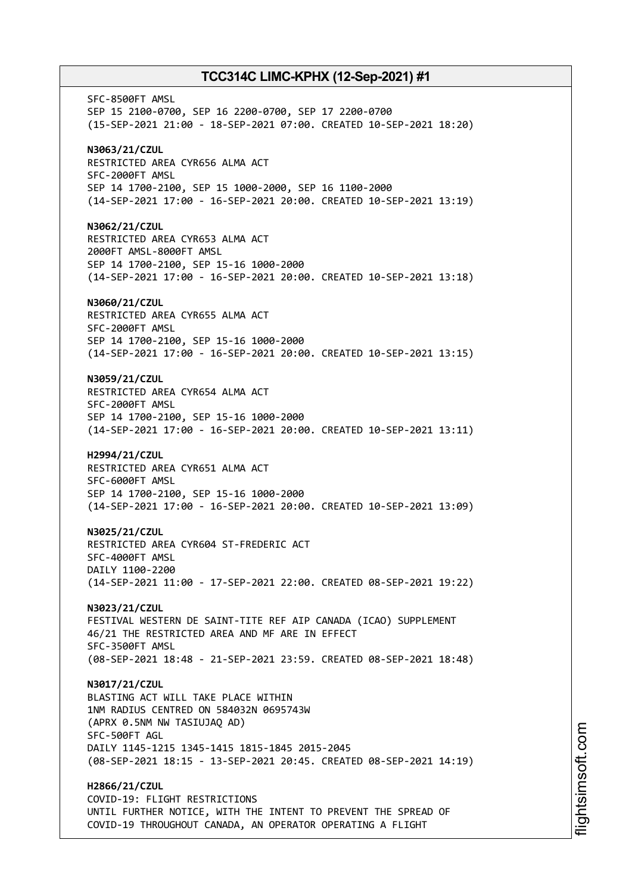SFC-8500FT AMSL SEP 15 2100-0700, SEP 16 2200-0700, SEP 17 2200-0700 (15-SEP-2021 21:00 - 18-SEP-2021 07:00. CREATED 10-SEP-2021 18:20) **N3063/21/CZUL** RESTRICTED AREA CYR656 ALMA ACT SFC-2000FT AMSL SEP 14 1700-2100, SEP 15 1000-2000, SEP 16 1100-2000 (14-SEP-2021 17:00 - 16-SEP-2021 20:00. CREATED 10-SEP-2021 13:19) **N3062/21/CZUL** RESTRICTED AREA CYR653 ALMA ACT 2000FT AMSL-8000FT AMSL SEP 14 1700-2100, SEP 15-16 1000-2000 (14-SEP-2021 17:00 - 16-SEP-2021 20:00. CREATED 10-SEP-2021 13:18) **N3060/21/CZUL** RESTRICTED AREA CYR655 ALMA ACT SFC-2000FT AMSL SEP 14 1700-2100, SEP 15-16 1000-2000 (14-SEP-2021 17:00 - 16-SEP-2021 20:00. CREATED 10-SEP-2021 13:15) **N3059/21/CZUL** RESTRICTED AREA CYR654 ALMA ACT SFC-2000FT AMSL SEP 14 1700-2100, SEP 15-16 1000-2000 (14-SEP-2021 17:00 - 16-SEP-2021 20:00. CREATED 10-SEP-2021 13:11) **H2994/21/CZUL** RESTRICTED AREA CYR651 ALMA ACT SFC-6000FT AMSL SEP 14 1700-2100, SEP 15-16 1000-2000 (14-SEP-2021 17:00 - 16-SEP-2021 20:00. CREATED 10-SEP-2021 13:09) **N3025/21/CZUL** RESTRICTED AREA CYR604 ST-FREDERIC ACT SFC-4000FT AMSL DAILY 1100-2200 (14-SEP-2021 11:00 - 17-SEP-2021 22:00. CREATED 08-SEP-2021 19:22) **N3023/21/CZUL** FESTIVAL WESTERN DE SAINT-TITE REF AIP CANADA (ICAO) SUPPLEMENT 46/21 THE RESTRICTED AREA AND MF ARE IN EFFECT SFC-3500FT AMSL (08-SEP-2021 18:48 - 21-SEP-2021 23:59. CREATED 08-SEP-2021 18:48) **N3017/21/CZUL** BLASTING ACT WILL TAKE PLACE WITHIN 1NM RADIUS CENTRED ON 584032N 0695743W (APRX 0.5NM NW TASIUJAQ AD) SFC-500FT AGL DAILY 1145-1215 1345-1415 1815-1845 2015-2045 (08-SEP-2021 18:15 - 13-SEP-2021 20:45. CREATED 08-SEP-2021 14:19) **H2866/21/CZUL** COVID-19: FLIGHT RESTRICTIONS UNTIL FURTHER NOTICE, WITH THE INTENT TO PREVENT THE SPREAD OF

COVID-19 THROUGHOUT CANADA, AN OPERATOR OPERATING A FLIGHT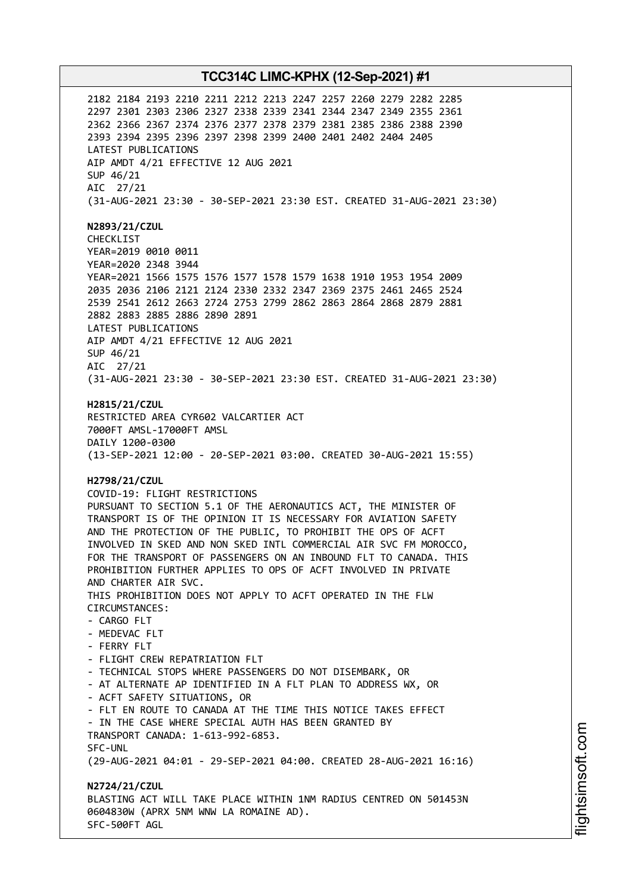2182 2184 2193 2210 2211 2212 2213 2247 2257 2260 2279 2282 2285 2297 2301 2303 2306 2327 2338 2339 2341 2344 2347 2349 2355 2361 2362 2366 2367 2374 2376 2377 2378 2379 2381 2385 2386 2388 2390 2393 2394 2395 2396 2397 2398 2399 2400 2401 2402 2404 2405 LATEST PUBLICATIONS AIP AMDT 4/21 EFFECTIVE 12 AUG 2021 SUP 46/21 AIC 27/21 (31-AUG-2021 23:30 - 30-SEP-2021 23:30 EST. CREATED 31-AUG-2021 23:30) **N2893/21/CZUL** CHECKLIST YEAR=2019 0010 0011 YEAR=2020 2348 3944 YEAR=2021 1566 1575 1576 1577 1578 1579 1638 1910 1953 1954 2009 2035 2036 2106 2121 2124 2330 2332 2347 2369 2375 2461 2465 2524 2539 2541 2612 2663 2724 2753 2799 2862 2863 2864 2868 2879 2881 2882 2883 2885 2886 2890 2891 LATEST PUBLICATIONS AIP AMDT 4/21 EFFECTIVE 12 AUG 2021 SUP 46/21 AIC 27/21 (31-AUG-2021 23:30 - 30-SEP-2021 23:30 EST. CREATED 31-AUG-2021 23:30) **H2815/21/CZUL** RESTRICTED AREA CYR602 VALCARTIER ACT 7000FT AMSL-17000FT AMSL DAILY 1200-0300 (13-SEP-2021 12:00 - 20-SEP-2021 03:00. CREATED 30-AUG-2021 15:55) **H2798/21/CZUL** COVID-19: FLIGHT RESTRICTIONS PURSUANT TO SECTION 5.1 OF THE AERONAUTICS ACT, THE MINISTER OF TRANSPORT IS OF THE OPINION IT IS NECESSARY FOR AVIATION SAFETY AND THE PROTECTION OF THE PUBLIC, TO PROHIBIT THE OPS OF ACFT INVOLVED IN SKED AND NON SKED INTL COMMERCIAL AIR SVC FM MOROCCO, FOR THE TRANSPORT OF PASSENGERS ON AN INBOUND FLT TO CANADA. THIS PROHIBITION FURTHER APPLIES TO OPS OF ACFT INVOLVED IN PRIVATE AND CHARTER AIR SVC. THIS PROHIBITION DOES NOT APPLY TO ACFT OPERATED IN THE FLW CIRCUMSTANCES: - CARGO FLT - MEDEVAC FLT - FERRY FLT - FLIGHT CREW REPATRIATION FLT - TECHNICAL STOPS WHERE PASSENGERS DO NOT DISEMBARK, OR - AT ALTERNATE AP IDENTIFIED IN A FLT PLAN TO ADDRESS WX, OR - ACFT SAFETY SITUATIONS, OR - FLT EN ROUTE TO CANADA AT THE TIME THIS NOTICE TAKES EFFECT - IN THE CASE WHERE SPECIAL AUTH HAS BEEN GRANTED BY TRANSPORT CANADA: 1-613-992-6853. SFC-UNL (29-AUG-2021 04:01 - 29-SEP-2021 04:00. CREATED 28-AUG-2021 16:16) **N2724/21/CZUL** BLASTING ACT WILL TAKE PLACE WITHIN 1NM RADIUS CENTRED ON 501453N 0604830W (APRX 5NM WNW LA ROMAINE AD). SFC-500FT AGL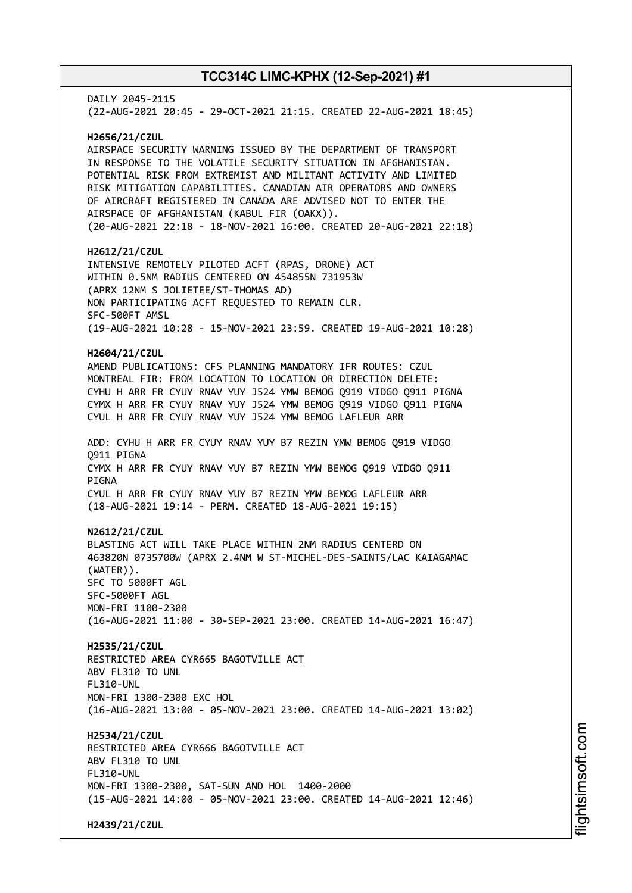DAILY 2045-2115 (22-AUG-2021 20:45 - 29-OCT-2021 21:15. CREATED 22-AUG-2021 18:45) **H2656/21/CZUL** AIRSPACE SECURITY WARNING ISSUED BY THE DEPARTMENT OF TRANSPORT IN RESPONSE TO THE VOLATILE SECURITY SITUATION IN AFGHANISTAN. POTENTIAL RISK FROM EXTREMIST AND MILITANT ACTIVITY AND LIMITED RISK MITIGATION CAPABILITIES. CANADIAN AIR OPERATORS AND OWNERS OF AIRCRAFT REGISTERED IN CANADA ARE ADVISED NOT TO ENTER THE AIRSPACE OF AFGHANISTAN (KABUL FIR (OAKX)). (20-AUG-2021 22:18 - 18-NOV-2021 16:00. CREATED 20-AUG-2021 22:18) **H2612/21/CZUL** INTENSIVE REMOTELY PILOTED ACFT (RPAS, DRONE) ACT WITHIN 0.5NM RADIUS CENTERED ON 454855N 731953W (APRX 12NM S JOLIETEE/ST-THOMAS AD) NON PARTICIPATING ACFT REQUESTED TO REMAIN CLR. SFC-500FT AMSL (19-AUG-2021 10:28 - 15-NOV-2021 23:59. CREATED 19-AUG-2021 10:28) **H2604/21/CZUL** AMEND PUBLICATIONS: CFS PLANNING MANDATORY IFR ROUTES: CZUL MONTREAL FIR: FROM LOCATION TO LOCATION OR DIRECTION DELETE: CYHU H ARR FR CYUY RNAV YUY J524 YMW BEMOG Q919 VIDGO Q911 PIGNA CYMX H ARR FR CYUY RNAV YUY J524 YMW BEMOG Q919 VIDGO Q911 PIGNA CYUL H ARR FR CYUY RNAV YUY J524 YMW BEMOG LAFLEUR ARR ADD: CYHU H ARR FR CYUY RNAV YUY B7 REZIN YMW BEMOG Q919 VIDGO Q911 PIGNA CYMX H ARR FR CYUY RNAV YUY B7 REZIN YMW BEMOG Q919 VIDGO Q911 **PTGNA** CYUL H ARR FR CYUY RNAV YUY B7 REZIN YMW BEMOG LAFLEUR ARR (18-AUG-2021 19:14 - PERM. CREATED 18-AUG-2021 19:15) **N2612/21/CZUL** BLASTING ACT WILL TAKE PLACE WITHIN 2NM RADIUS CENTERD ON 463820N 0735700W (APRX 2.4NM W ST-MICHEL-DES-SAINTS/LAC KAIAGAMAC (WATER)). SFC TO 5000FT AGL SFC-5000FT AGL MON-FRI 1100-2300 (16-AUG-2021 11:00 - 30-SEP-2021 23:00. CREATED 14-AUG-2021 16:47) **H2535/21/CZUL** RESTRICTED AREA CYR665 BAGOTVILLE ACT ABV FL310 TO UNL FL310-UNL MON-FRI 1300-2300 EXC HOL (16-AUG-2021 13:00 - 05-NOV-2021 23:00. CREATED 14-AUG-2021 13:02) **H2534/21/CZUL** RESTRICTED AREA CYR666 BAGOTVILLE ACT ABV FL310 TO UNL FL310-UNL MON-FRI 1300-2300, SAT-SUN AND HOL 1400-2000 (15-AUG-2021 14:00 - 05-NOV-2021 23:00. CREATED 14-AUG-2021 12:46) **H2439/21/CZUL**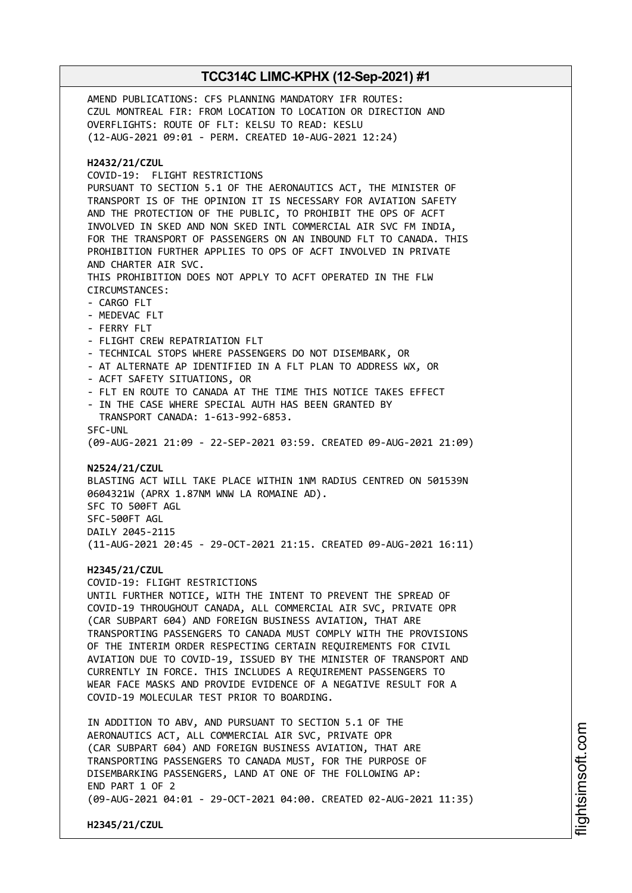AMEND PUBLICATIONS: CFS PLANNING MANDATORY IFR ROUTES: CZUL MONTREAL FIR: FROM LOCATION TO LOCATION OR DIRECTION AND OVERFLIGHTS: ROUTE OF FLT: KELSU TO READ: KESLU (12-AUG-2021 09:01 - PERM. CREATED 10-AUG-2021 12:24) **H2432/21/CZUL** COVID-19: FLIGHT RESTRICTIONS PURSUANT TO SECTION 5.1 OF THE AERONAUTICS ACT, THE MINISTER OF TRANSPORT IS OF THE OPINION IT IS NECESSARY FOR AVIATION SAFETY AND THE PROTECTION OF THE PUBLIC, TO PROHIBIT THE OPS OF ACFT INVOLVED IN SKED AND NON SKED INTL COMMERCIAL AIR SVC FM INDIA, FOR THE TRANSPORT OF PASSENGERS ON AN INBOUND FLT TO CANADA. THIS PROHIBITION FURTHER APPLIES TO OPS OF ACFT INVOLVED IN PRIVATE AND CHARTER AIR SVC. THIS PROHIBITION DOES NOT APPLY TO ACFT OPERATED IN THE FLW CIRCUMSTANCES: - CARGO FLT - MEDEVAC FLT - FERRY FLT - FLIGHT CREW REPATRIATION FLT - TECHNICAL STOPS WHERE PASSENGERS DO NOT DISEMBARK, OR - AT ALTERNATE AP IDENTIFIED IN A FLT PLAN TO ADDRESS WX, OR - ACFT SAFETY SITUATIONS, OR - FLT EN ROUTE TO CANADA AT THE TIME THIS NOTICE TAKES EFFECT IN THE CASE WHERE SPECIAL AUTH HAS BEEN GRANTED BY TRANSPORT CANADA: 1-613-992-6853. SFC-UNL (09-AUG-2021 21:09 - 22-SEP-2021 03:59. CREATED 09-AUG-2021 21:09) **N2524/21/CZUL** BLASTING ACT WILL TAKE PLACE WITHIN 1NM RADIUS CENTRED ON 501539N 0604321W (APRX 1.87NM WNW LA ROMAINE AD). SFC TO 500FT AGL SFC-500FT AGL DAILY 2045-2115 (11-AUG-2021 20:45 - 29-OCT-2021 21:15. CREATED 09-AUG-2021 16:11) **H2345/21/CZUL** COVID-19: FLIGHT RESTRICTIONS UNTIL FURTHER NOTICE, WITH THE INTENT TO PREVENT THE SPREAD OF COVID-19 THROUGHOUT CANADA, ALL COMMERCIAL AIR SVC, PRIVATE OPR (CAR SUBPART 604) AND FOREIGN BUSINESS AVIATION, THAT ARE TRANSPORTING PASSENGERS TO CANADA MUST COMPLY WITH THE PROVISIONS OF THE INTERIM ORDER RESPECTING CERTAIN REQUIREMENTS FOR CIVIL AVIATION DUE TO COVID-19, ISSUED BY THE MINISTER OF TRANSPORT AND CURRENTLY IN FORCE. THIS INCLUDES A REQUIREMENT PASSENGERS TO WEAR FACE MASKS AND PROVIDE EVIDENCE OF A NEGATIVE RESULT FOR A COVID-19 MOLECULAR TEST PRIOR TO BOARDING. IN ADDITION TO ABV, AND PURSUANT TO SECTION 5.1 OF THE AERONAUTICS ACT, ALL COMMERCIAL AIR SVC, PRIVATE OPR (CAR SUBPART 604) AND FOREIGN BUSINESS AVIATION, THAT ARE TRANSPORTING PASSENGERS TO CANADA MUST, FOR THE PURPOSE OF DISEMBARKING PASSENGERS, LAND AT ONE OF THE FOLLOWING AP: END PART 1 OF 2 (09-AUG-2021 04:01 - 29-OCT-2021 04:00. CREATED 02-AUG-2021 11:35) **H2345/21/CZUL**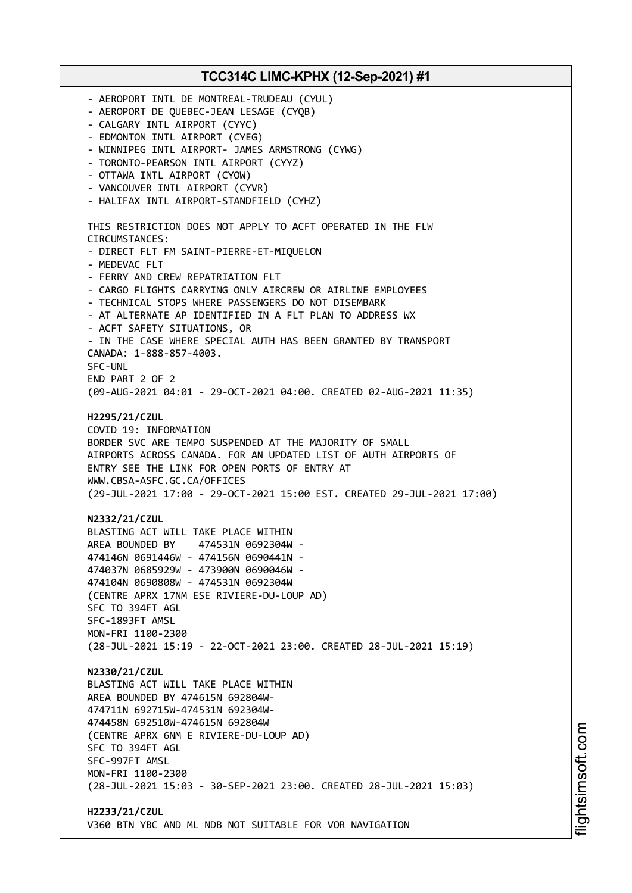**TCC314C LIMC-KPHX (12-Sep-2021) #1** - AEROPORT INTL DE MONTREAL-TRUDEAU (CYUL) - AEROPORT DE QUEBEC-JEAN LESAGE (CYQB) - CALGARY INTL AIRPORT (CYYC) - EDMONTON INTL AIRPORT (CYEG) - WINNIPEG INTL AIRPORT- JAMES ARMSTRONG (CYWG) - TORONTO-PEARSON INTL AIRPORT (CYYZ) - OTTAWA INTL AIRPORT (CYOW) - VANCOUVER INTL AIRPORT (CYVR) - HALIFAX INTL AIRPORT-STANDFIELD (CYHZ) THIS RESTRICTION DOES NOT APPLY TO ACFT OPERATED IN THE FLW CIRCUMSTANCES: - DIRECT FLT FM SAINT-PIERRE-ET-MIQUELON - MEDEVAC FLT - FERRY AND CREW REPATRIATION FLT - CARGO FLIGHTS CARRYING ONLY AIRCREW OR AIRLINE EMPLOYEES - TECHNICAL STOPS WHERE PASSENGERS DO NOT DISEMBARK - AT ALTERNATE AP IDENTIFIED IN A FLT PLAN TO ADDRESS WX - ACFT SAFETY SITUATIONS, OR - IN THE CASE WHERE SPECIAL AUTH HAS BEEN GRANTED BY TRANSPORT CANADA: 1-888-857-4003. SFC-UNL END PART 2 OF 2 (09-AUG-2021 04:01 - 29-OCT-2021 04:00. CREATED 02-AUG-2021 11:35) **H2295/21/CZUL** COVID 19: INFORMATION BORDER SVC ARE TEMPO SUSPENDED AT THE MAJORITY OF SMALL AIRPORTS ACROSS CANADA. FOR AN UPDATED LIST OF AUTH AIRPORTS OF ENTRY SEE THE LINK FOR OPEN PORTS OF ENTRY AT WWW.CBSA-ASFC.GC.CA/OFFICES (29-JUL-2021 17:00 - 29-OCT-2021 15:00 EST. CREATED 29-JUL-2021 17:00) **N2332/21/CZUL** BLASTING ACT WILL TAKE PLACE WITHIN AREA BOUNDED BY 474531N 0692304W - 474146N 0691446W - 474156N 0690441N - 474037N 0685929W - 473900N 0690046W - 474104N 0690808W - 474531N 0692304W (CENTRE APRX 17NM ESE RIVIERE-DU-LOUP AD) SFC TO 394FT AGL SFC-1893FT AMSL MON-FRI 1100-2300 (28-JUL-2021 15:19 - 22-OCT-2021 23:00. CREATED 28-JUL-2021 15:19) **N2330/21/CZUL** BLASTING ACT WILL TAKE PLACE WITHIN AREA BOUNDED BY 474615N 692804W-474711N 692715W-474531N 692304W-474458N 692510W-474615N 692804W (CENTRE APRX 6NM E RIVIERE-DU-LOUP AD) SFC TO 394FT AGL SFC-997FT AMSL MON-FRI 1100-2300 (28-JUL-2021 15:03 - 30-SEP-2021 23:00. CREATED 28-JUL-2021 15:03) **H2233/21/CZUL** V360 BTN YBC AND ML NDB NOT SUITABLE FOR VOR NAVIGATION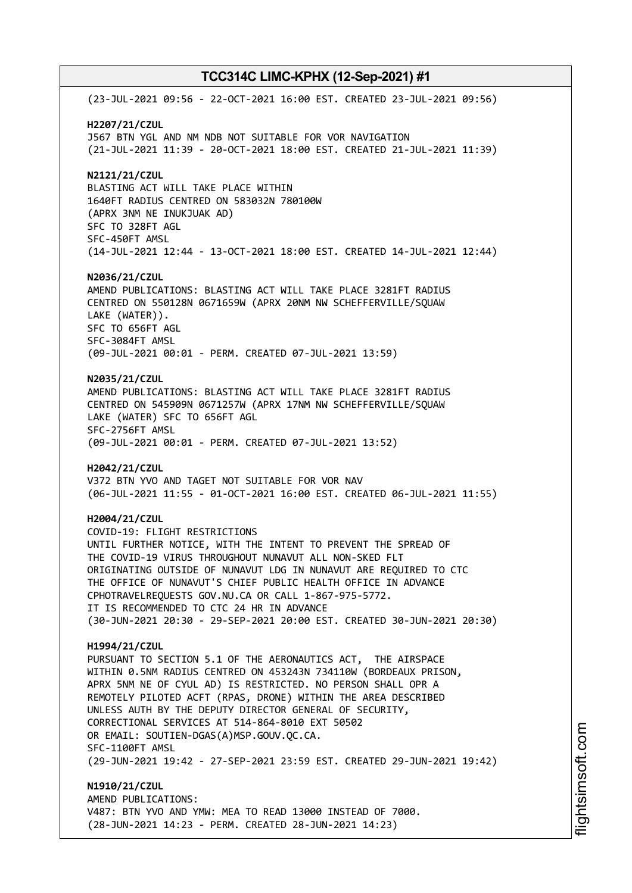(23-JUL-2021 09:56 - 22-OCT-2021 16:00 EST. CREATED 23-JUL-2021 09:56) **H2207/21/CZUL** J567 BTN YGL AND NM NDB NOT SUITABLE FOR VOR NAVIGATION (21-JUL-2021 11:39 - 20-OCT-2021 18:00 EST. CREATED 21-JUL-2021 11:39) **N2121/21/CZUL** BLASTING ACT WILL TAKE PLACE WITHIN 1640FT RADIUS CENTRED ON 583032N 780100W (APRX 3NM NE INUKJUAK AD) SFC TO 328FT AGL SFC-450FT AMSL (14-JUL-2021 12:44 - 13-OCT-2021 18:00 EST. CREATED 14-JUL-2021 12:44) **N2036/21/CZUL** AMEND PUBLICATIONS: BLASTING ACT WILL TAKE PLACE 3281FT RADIUS CENTRED ON 550128N 0671659W (APRX 20NM NW SCHEFFERVILLE/SQUAW LAKE (WATER)). SFC TO 656FT AGL SFC-3084FT AMSL (09-JUL-2021 00:01 - PERM. CREATED 07-JUL-2021 13:59) **N2035/21/CZUL** AMEND PUBLICATIONS: BLASTING ACT WILL TAKE PLACE 3281FT RADIUS CENTRED ON 545909N 0671257W (APRX 17NM NW SCHEFFERVILLE/SQUAW LAKE (WATER) SFC TO 656FT AGL SFC-2756FT AMSL (09-JUL-2021 00:01 - PERM. CREATED 07-JUL-2021 13:52) **H2042/21/CZUL** V372 BTN YVO AND TAGET NOT SUITABLE FOR VOR NAV (06-JUL-2021 11:55 - 01-OCT-2021 16:00 EST. CREATED 06-JUL-2021 11:55) **H2004/21/CZUL** COVID-19: FLIGHT RESTRICTIONS UNTIL FURTHER NOTICE, WITH THE INTENT TO PREVENT THE SPREAD OF THE COVID-19 VIRUS THROUGHOUT NUNAVUT ALL NON-SKED FLT ORIGINATING OUTSIDE OF NUNAVUT LDG IN NUNAVUT ARE REQUIRED TO CTC THE OFFICE OF NUNAVUT'S CHIEF PUBLIC HEALTH OFFICE IN ADVANCE CPHOTRAVELREQUESTS GOV.NU.CA OR CALL 1-867-975-5772. IT IS RECOMMENDED TO CTC 24 HR IN ADVANCE (30-JUN-2021 20:30 - 29-SEP-2021 20:00 EST. CREATED 30-JUN-2021 20:30) **H1994/21/CZUL** PURSUANT TO SECTION 5.1 OF THE AERONAUTICS ACT, THE AIRSPACE WITHIN 0.5NM RADIUS CENTRED ON 453243N 734110W (BORDEAUX PRISON, APRX 5NM NE OF CYUL AD) IS RESTRICTED. NO PERSON SHALL OPR A REMOTELY PILOTED ACFT (RPAS, DRONE) WITHIN THE AREA DESCRIBED UNLESS AUTH BY THE DEPUTY DIRECTOR GENERAL OF SECURITY, CORRECTIONAL SERVICES AT 514-864-8010 EXT 50502 OR EMAIL: SOUTIEN-DGAS(A)MSP.GOUV.QC.CA. SFC-1100FT AMSL (29-JUN-2021 19:42 - 27-SEP-2021 23:59 EST. CREATED 29-JUN-2021 19:42) **N1910/21/CZUL** AMEND PUBLICATIONS: V487: BTN YVO AND YMW: MEA TO READ 13000 INSTEAD OF 7000.

(28-JUN-2021 14:23 - PERM. CREATED 28-JUN-2021 14:23)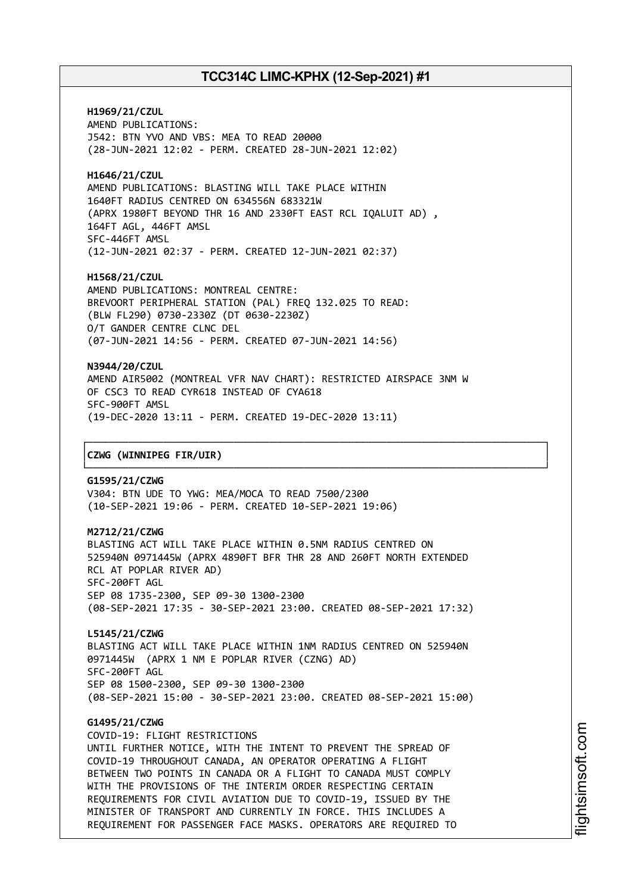**H1969/21/CZUL** AMEND PUBLICATIONS: J542: BTN YVO AND VBS: MEA TO READ 20000 (28-JUN-2021 12:02 - PERM. CREATED 28-JUN-2021 12:02)

**H1646/21/CZUL** AMEND PUBLICATIONS: BLASTING WILL TAKE PLACE WITHIN 1640FT RADIUS CENTRED ON 634556N 683321W (APRX 1980FT BEYOND THR 16 AND 2330FT EAST RCL IQALUIT AD) , 164FT AGL, 446FT AMSL SFC-446FT AMSL (12-JUN-2021 02:37 - PERM. CREATED 12-JUN-2021 02:37)

**H1568/21/CZUL** AMEND PUBLICATIONS: MONTREAL CENTRE: BREVOORT PERIPHERAL STATION (PAL) FREQ 132.025 TO READ: (BLW FL290) 0730-2330Z (DT 0630-2230Z) O/T GANDER CENTRE CLNC DEL (07-JUN-2021 14:56 - PERM. CREATED 07-JUN-2021 14:56)

**N3944/20/CZUL** AMEND AIR5002 (MONTREAL VFR NAV CHART): RESTRICTED AIRSPACE 3NM W OF CSC3 TO READ CYR618 INSTEAD OF CYA618 SFC-900FT AMSL (19-DEC-2020 13:11 - PERM. CREATED 19-DEC-2020 13:11)

┌──────────────────────────────────────────────────────────────────────────────┐

└──────────────────────────────────────────────────────────────────────────────┘

### │**CZWG (WINNIPEG FIR/UIR)** │

**G1595/21/CZWG** V304: BTN UDE TO YWG: MEA/MOCA TO READ 7500/2300 (10-SEP-2021 19:06 - PERM. CREATED 10-SEP-2021 19:06)

#### **M2712/21/CZWG**

BLASTING ACT WILL TAKE PLACE WITHIN 0.5NM RADIUS CENTRED ON 525940N 0971445W (APRX 4890FT BFR THR 28 AND 260FT NORTH EXTENDED RCL AT POPLAR RIVER AD) SFC-200FT AGL SEP 08 1735-2300, SEP 09-30 1300-2300 (08-SEP-2021 17:35 - 30-SEP-2021 23:00. CREATED 08-SEP-2021 17:32)

**L5145/21/CZWG** BLASTING ACT WILL TAKE PLACE WITHIN 1NM RADIUS CENTRED ON 525940N 0971445W (APRX 1 NM E POPLAR RIVER (CZNG) AD) SFC-200FT AGL SEP 08 1500-2300, SEP 09-30 1300-2300 (08-SEP-2021 15:00 - 30-SEP-2021 23:00. CREATED 08-SEP-2021 15:00)

### **G1495/21/CZWG**

COVID-19: FLIGHT RESTRICTIONS UNTIL FURTHER NOTICE, WITH THE INTENT TO PREVENT THE SPREAD OF COVID-19 THROUGHOUT CANADA, AN OPERATOR OPERATING A FLIGHT BETWEEN TWO POINTS IN CANADA OR A FLIGHT TO CANADA MUST COMPLY WITH THE PROVISIONS OF THE INTERIM ORDER RESPECTING CERTAIN REQUIREMENTS FOR CIVIL AVIATION DUE TO COVID-19, ISSUED BY THE MINISTER OF TRANSPORT AND CURRENTLY IN FORCE. THIS INCLUDES A REQUIREMENT FOR PASSENGER FACE MASKS. OPERATORS ARE REQUIRED TO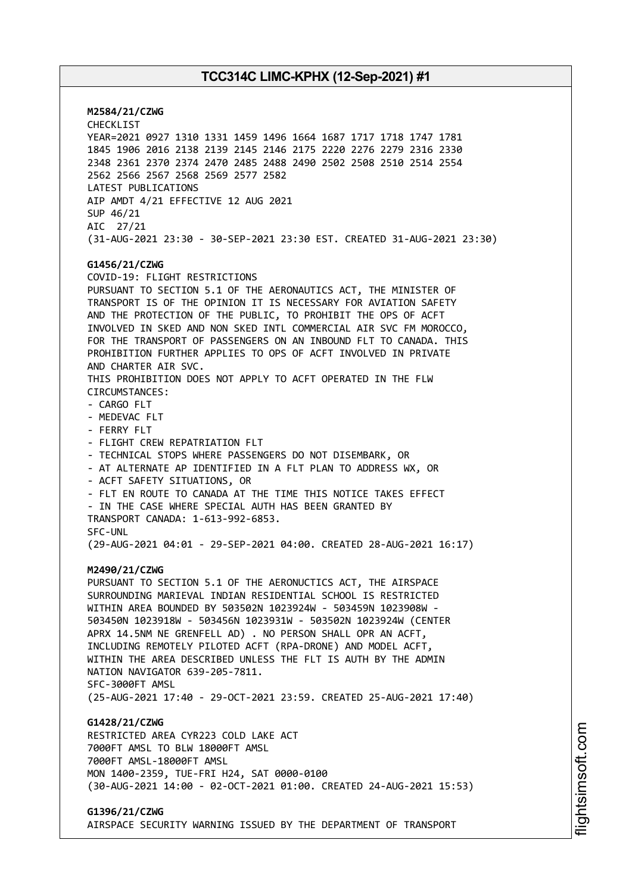**M2584/21/CZWG** CHECKLIST YEAR=2021 0927 1310 1331 1459 1496 1664 1687 1717 1718 1747 1781 1845 1906 2016 2138 2139 2145 2146 2175 2220 2276 2279 2316 2330 2348 2361 2370 2374 2470 2485 2488 2490 2502 2508 2510 2514 2554 2562 2566 2567 2568 2569 2577 2582 LATEST PUBLICATIONS AIP AMDT 4/21 EFFECTIVE 12 AUG 2021 SUP 46/21 AIC 27/21 (31-AUG-2021 23:30 - 30-SEP-2021 23:30 EST. CREATED 31-AUG-2021 23:30) **G1456/21/CZWG** COVID-19: FLIGHT RESTRICTIONS PURSUANT TO SECTION 5.1 OF THE AERONAUTICS ACT, THE MINISTER OF TRANSPORT IS OF THE OPINION IT IS NECESSARY FOR AVIATION SAFETY AND THE PROTECTION OF THE PUBLIC, TO PROHIBIT THE OPS OF ACFT INVOLVED IN SKED AND NON SKED INTL COMMERCIAL AIR SVC FM MOROCCO, FOR THE TRANSPORT OF PASSENGERS ON AN INBOUND FLT TO CANADA. THIS PROHIBITION FURTHER APPLIES TO OPS OF ACFT INVOLVED IN PRIVATE AND CHARTER AIR SVC. THIS PROHIBITION DOES NOT APPLY TO ACFT OPERATED IN THE FLW CIRCUMSTANCES: - CARGO FLT - MEDEVAC FLT - FERRY FLT - FLIGHT CREW REPATRIATION FLT - TECHNICAL STOPS WHERE PASSENGERS DO NOT DISEMBARK, OR - AT ALTERNATE AP IDENTIFIED IN A FLT PLAN TO ADDRESS WX, OR - ACFT SAFETY SITUATIONS, OR - FLT EN ROUTE TO CANADA AT THE TIME THIS NOTICE TAKES EFFECT - IN THE CASE WHERE SPECIAL AUTH HAS BEEN GRANTED BY TRANSPORT CANADA: 1-613-992-6853. SFC-UNL (29-AUG-2021 04:01 - 29-SEP-2021 04:00. CREATED 28-AUG-2021 16:17) **M2490/21/CZWG** PURSUANT TO SECTION 5.1 OF THE AERONUCTICS ACT, THE AIRSPACE SURROUNDING MARIEVAL INDIAN RESIDENTIAL SCHOOL IS RESTRICTED WITHIN AREA BOUNDED BY 503502N 1023924W - 503459N 1023908W - 503450N 1023918W - 503456N 1023931W - 503502N 1023924W (CENTER APRX 14.5NM NE GRENFELL AD) . NO PERSON SHALL OPR AN ACFT, INCLUDING REMOTELY PILOTED ACFT (RPA-DRONE) AND MODEL ACFT, WITHIN THE AREA DESCRIBED UNLESS THE FLT IS AUTH BY THE ADMIN NATION NAVIGATOR 639-205-7811. SFC-3000FT AMSL (25-AUG-2021 17:40 - 29-OCT-2021 23:59. CREATED 25-AUG-2021 17:40) **G1428/21/CZWG** RESTRICTED AREA CYR223 COLD LAKE ACT 7000FT AMSL TO BLW 18000FT AMSL 7000FT AMSL-18000FT AMSL MON 1400-2359, TUE-FRI H24, SAT 0000-0100 (30-AUG-2021 14:00 - 02-OCT-2021 01:00. CREATED 24-AUG-2021 15:53) **G1396/21/CZWG**

AIRSPACE SECURITY WARNING ISSUED BY THE DEPARTMENT OF TRANSPORT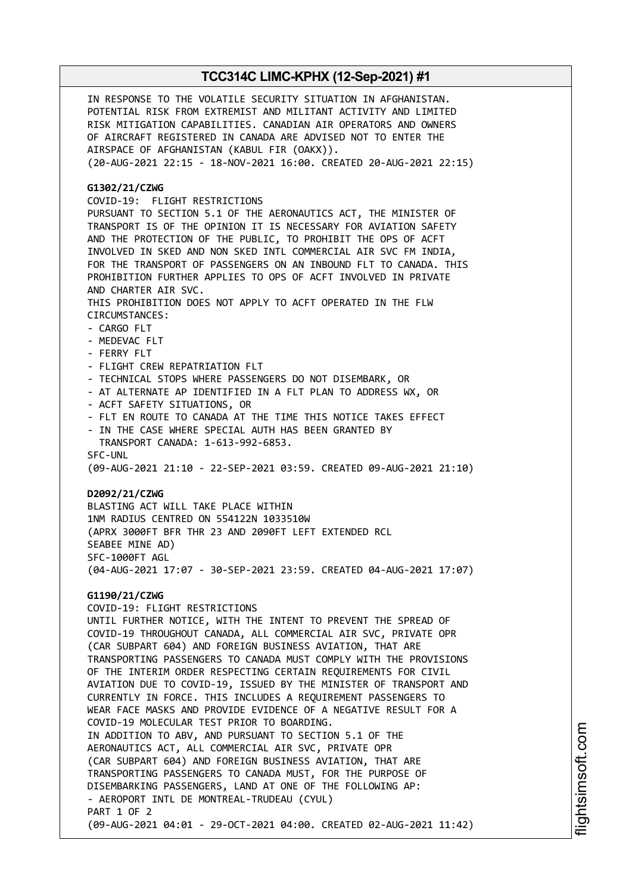IN RESPONSE TO THE VOLATILE SECURITY SITUATION IN AFGHANISTAN. POTENTIAL RISK FROM EXTREMIST AND MILITANT ACTIVITY AND LIMITED RISK MITIGATION CAPABILITIES. CANADIAN AIR OPERATORS AND OWNERS OF AIRCRAFT REGISTERED IN CANADA ARE ADVISED NOT TO ENTER THE AIRSPACE OF AFGHANISTAN (KABUL FIR (OAKX)). (20-AUG-2021 22:15 - 18-NOV-2021 16:00. CREATED 20-AUG-2021 22:15) **G1302/21/CZWG** COVID-19: FLIGHT RESTRICTIONS PURSUANT TO SECTION 5.1 OF THE AERONAUTICS ACT, THE MINISTER OF TRANSPORT IS OF THE OPINION IT IS NECESSARY FOR AVIATION SAFETY AND THE PROTECTION OF THE PUBLIC, TO PROHIBIT THE OPS OF ACFT INVOLVED IN SKED AND NON SKED INTL COMMERCIAL AIR SVC FM INDIA, FOR THE TRANSPORT OF PASSENGERS ON AN INBOUND FLT TO CANADA. THIS PROHIBITION FURTHER APPLIES TO OPS OF ACFT INVOLVED IN PRIVATE AND CHARTER AIR SVC. THIS PROHIBITION DOES NOT APPLY TO ACFT OPERATED IN THE FLW CIRCUMSTANCES: - CARGO FLT - MEDEVAC FLT - FERRY FLT - FLIGHT CREW REPATRIATION FLT - TECHNICAL STOPS WHERE PASSENGERS DO NOT DISEMBARK, OR - AT ALTERNATE AP IDENTIFIED IN A FLT PLAN TO ADDRESS WX, OR - ACFT SAFETY SITUATIONS, OR - FLT EN ROUTE TO CANADA AT THE TIME THIS NOTICE TAKES EFFECT - IN THE CASE WHERE SPECIAL AUTH HAS BEEN GRANTED BY TRANSPORT CANADA: 1-613-992-6853. SFC-UNL (09-AUG-2021 21:10 - 22-SEP-2021 03:59. CREATED 09-AUG-2021 21:10) **D2092/21/CZWG** BLASTING ACT WILL TAKE PLACE WITHIN 1NM RADIUS CENTRED ON 554122N 1033510W (APRX 3000FT BFR THR 23 AND 2090FT LEFT EXTENDED RCL SEABEE MINE AD) SFC-1000FT AGL (04-AUG-2021 17:07 - 30-SEP-2021 23:59. CREATED 04-AUG-2021 17:07) **G1190/21/CZWG** COVID-19: FLIGHT RESTRICTIONS UNTIL FURTHER NOTICE, WITH THE INTENT TO PREVENT THE SPREAD OF COVID-19 THROUGHOUT CANADA, ALL COMMERCIAL AIR SVC, PRIVATE OPR (CAR SUBPART 604) AND FOREIGN BUSINESS AVIATION, THAT ARE TRANSPORTING PASSENGERS TO CANADA MUST COMPLY WITH THE PROVISIONS OF THE INTERIM ORDER RESPECTING CERTAIN REQUIREMENTS FOR CIVIL AVIATION DUE TO COVID-19, ISSUED BY THE MINISTER OF TRANSPORT AND CURRENTLY IN FORCE. THIS INCLUDES A REQUIREMENT PASSENGERS TO WEAR FACE MASKS AND PROVIDE EVIDENCE OF A NEGATIVE RESULT FOR A COVID-19 MOLECULAR TEST PRIOR TO BOARDING. IN ADDITION TO ABV, AND PURSUANT TO SECTION 5.1 OF THE AERONAUTICS ACT, ALL COMMERCIAL AIR SVC, PRIVATE OPR (CAR SUBPART 604) AND FOREIGN BUSINESS AVIATION, THAT ARE TRANSPORTING PASSENGERS TO CANADA MUST, FOR THE PURPOSE OF DISEMBARKING PASSENGERS, LAND AT ONE OF THE FOLLOWING AP: - AEROPORT INTL DE MONTREAL-TRUDEAU (CYUL) PART 1 OF 2 (09-AUG-2021 04:01 - 29-OCT-2021 04:00. CREATED 02-AUG-2021 11:42)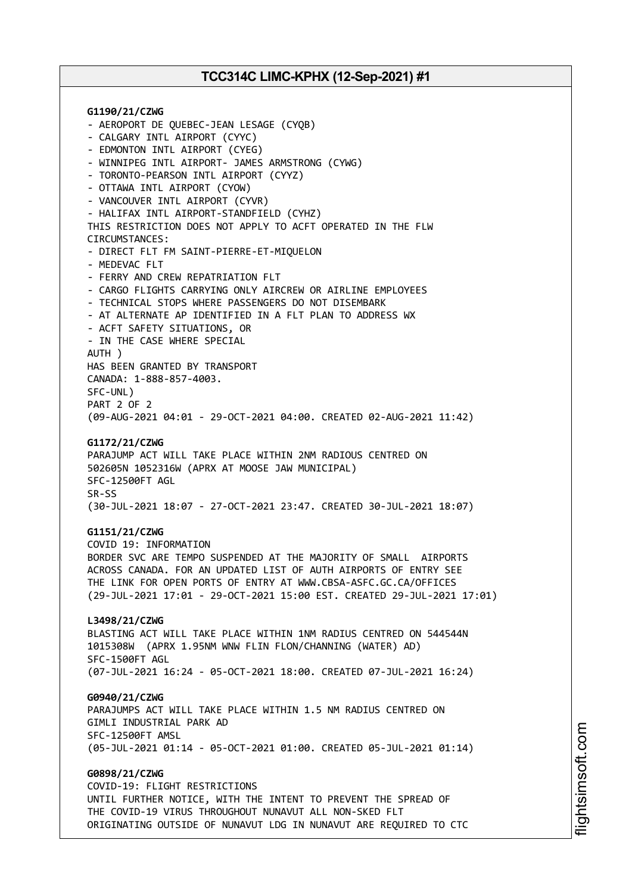**G1190/21/CZWG** - AEROPORT DE QUEBEC-JEAN LESAGE (CYQB) - CALGARY INTL AIRPORT (CYYC) - EDMONTON INTL AIRPORT (CYEG) - WINNIPEG INTL AIRPORT- JAMES ARMSTRONG (CYWG) - TORONTO-PEARSON INTL AIRPORT (CYYZ) - OTTAWA INTL AIRPORT (CYOW) - VANCOUVER INTL AIRPORT (CYVR) - HALIFAX INTL AIRPORT-STANDFIELD (CYHZ) THIS RESTRICTION DOES NOT APPLY TO ACFT OPERATED IN THE FLW CIRCUMSTANCES: - DIRECT FLT FM SAINT-PIERRE-ET-MIQUELON - MEDEVAC FLT - FERRY AND CREW REPATRIATION FLT - CARGO FLIGHTS CARRYING ONLY AIRCREW OR AIRLINE EMPLOYEES - TECHNICAL STOPS WHERE PASSENGERS DO NOT DISEMBARK - AT ALTERNATE AP IDENTIFIED IN A FLT PLAN TO ADDRESS WX - ACFT SAFETY SITUATIONS, OR - IN THE CASE WHERE SPECIAL AUTH ) HAS BEEN GRANTED BY TRANSPORT CANADA: 1-888-857-4003. SFC-UNL) PART 2 OF 2 (09-AUG-2021 04:01 - 29-OCT-2021 04:00. CREATED 02-AUG-2021 11:42) **G1172/21/CZWG** PARAJUMP ACT WILL TAKE PLACE WITHIN 2NM RADIOUS CENTRED ON 502605N 1052316W (APRX AT MOOSE JAW MUNICIPAL) SFC-12500FT AGL SR-SS (30-JUL-2021 18:07 - 27-OCT-2021 23:47. CREATED 30-JUL-2021 18:07) **G1151/21/CZWG** COVID 19: INFORMATION BORDER SVC ARE TEMPO SUSPENDED AT THE MAJORITY OF SMALL AIRPORTS ACROSS CANADA. FOR AN UPDATED LIST OF AUTH AIRPORTS OF ENTRY SEE THE LINK FOR OPEN PORTS OF ENTRY AT WWW.CBSA-ASFC.GC.CA/OFFICES (29-JUL-2021 17:01 - 29-OCT-2021 15:00 EST. CREATED 29-JUL-2021 17:01) **L3498/21/CZWG** BLASTING ACT WILL TAKE PLACE WITHIN 1NM RADIUS CENTRED ON 544544N 1015308W (APRX 1.95NM WNW FLIN FLON/CHANNING (WATER) AD) SFC-1500FT AGL (07-JUL-2021 16:24 - 05-OCT-2021 18:00. CREATED 07-JUL-2021 16:24) **G0940/21/CZWG** PARAJUMPS ACT WILL TAKE PLACE WITHIN 1.5 NM RADIUS CENTRED ON GIMLI INDUSTRIAL PARK AD SFC-12500FT AMSL (05-JUL-2021 01:14 - 05-OCT-2021 01:00. CREATED 05-JUL-2021 01:14) **G0898/21/CZWG** COVID-19: FLIGHT RESTRICTIONS UNTIL FURTHER NOTICE, WITH THE INTENT TO PREVENT THE SPREAD OF THE COVID-19 VIRUS THROUGHOUT NUNAVUT ALL NON-SKED FLT

ORIGINATING OUTSIDE OF NUNAVUT LDG IN NUNAVUT ARE REQUIRED TO CTC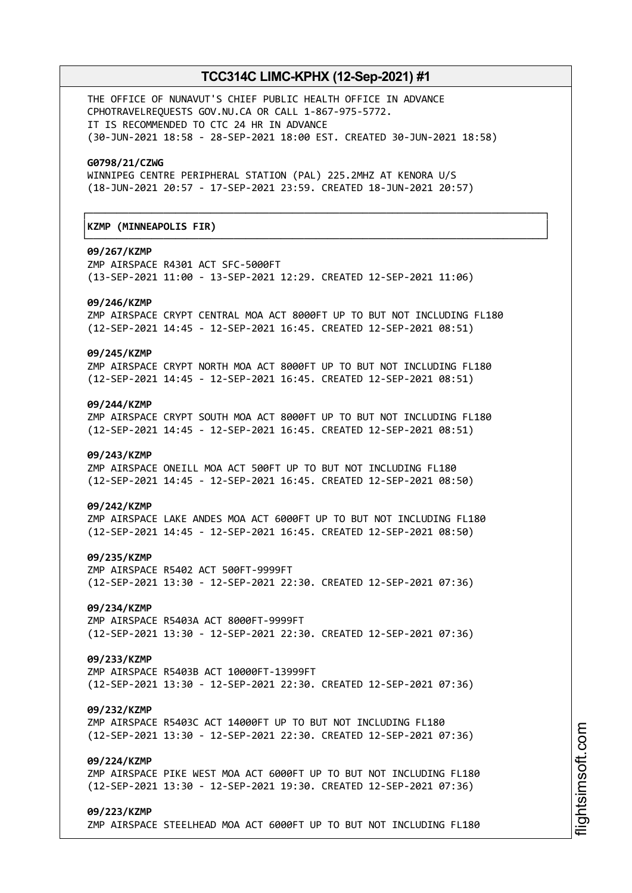┌──────────────────────────────────────────────────────────────────────────────┐

└──────────────────────────────────────────────────────────────────────────────┘

THE OFFICE OF NUNAVUT'S CHIEF PUBLIC HEALTH OFFICE IN ADVANCE CPHOTRAVELREQUESTS GOV.NU.CA OR CALL 1-867-975-5772. IT IS RECOMMENDED TO CTC 24 HR IN ADVANCE (30-JUN-2021 18:58 - 28-SEP-2021 18:00 EST. CREATED 30-JUN-2021 18:58)

#### **G0798/21/CZWG**

WINNIPEG CENTRE PERIPHERAL STATION (PAL) 225.2MHZ AT KENORA U/S (18-JUN-2021 20:57 - 17-SEP-2021 23:59. CREATED 18-JUN-2021 20:57)

### │**KZMP (MINNEAPOLIS FIR)** │

#### **09/267/KZMP**

ZMP AIRSPACE R4301 ACT SFC-5000FT (13-SEP-2021 11:00 - 13-SEP-2021 12:29. CREATED 12-SEP-2021 11:06)

#### **09/246/KZMP**

ZMP AIRSPACE CRYPT CENTRAL MOA ACT 8000FT UP TO BUT NOT INCLUDING FL180 (12-SEP-2021 14:45 - 12-SEP-2021 16:45. CREATED 12-SEP-2021 08:51)

#### **09/245/KZMP**

ZMP AIRSPACE CRYPT NORTH MOA ACT 8000FT UP TO BUT NOT INCLUDING FL180 (12-SEP-2021 14:45 - 12-SEP-2021 16:45. CREATED 12-SEP-2021 08:51)

#### **09/244/KZMP**

ZMP AIRSPACE CRYPT SOUTH MOA ACT 8000FT UP TO BUT NOT INCLUDING FL180 (12-SEP-2021 14:45 - 12-SEP-2021 16:45. CREATED 12-SEP-2021 08:51)

### **09/243/KZMP**

ZMP AIRSPACE ONEILL MOA ACT 500FT UP TO BUT NOT INCLUDING FL180 (12-SEP-2021 14:45 - 12-SEP-2021 16:45. CREATED 12-SEP-2021 08:50)

### **09/242/KZMP**

ZMP AIRSPACE LAKE ANDES MOA ACT 6000FT UP TO BUT NOT INCLUDING FL180 (12-SEP-2021 14:45 - 12-SEP-2021 16:45. CREATED 12-SEP-2021 08:50)

#### **09/235/KZMP**

ZMP AIRSPACE R5402 ACT 500FT-9999FT (12-SEP-2021 13:30 - 12-SEP-2021 22:30. CREATED 12-SEP-2021 07:36)

## **09/234/KZMP**

ZMP AIRSPACE R5403A ACT 8000FT-9999FT (12-SEP-2021 13:30 - 12-SEP-2021 22:30. CREATED 12-SEP-2021 07:36)

### **09/233/KZMP**

ZMP AIRSPACE R5403B ACT 10000FT-13999FT (12-SEP-2021 13:30 - 12-SEP-2021 22:30. CREATED 12-SEP-2021 07:36)

#### **09/232/KZMP**

ZMP AIRSPACE R5403C ACT 14000FT UP TO BUT NOT INCLUDING FL180 (12-SEP-2021 13:30 - 12-SEP-2021 22:30. CREATED 12-SEP-2021 07:36)

### **09/224/KZMP**

ZMP AIRSPACE PIKE WEST MOA ACT 6000FT UP TO BUT NOT INCLUDING FL180 (12-SEP-2021 13:30 - 12-SEP-2021 19:30. CREATED 12-SEP-2021 07:36)

#### **09/223/KZMP**

ZMP AIRSPACE STEELHEAD MOA ACT 6000FT UP TO BUT NOT INCLUDING FL180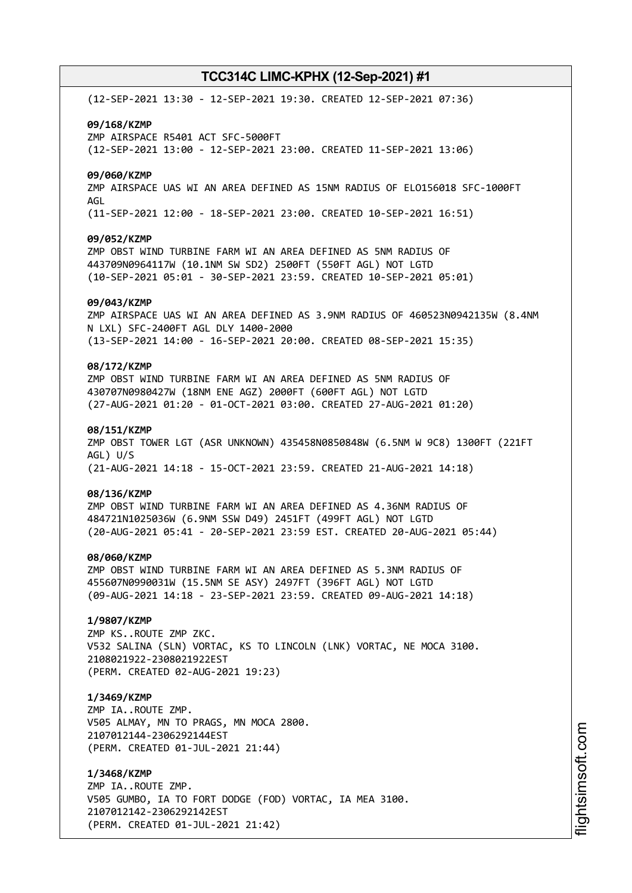(12-SEP-2021 13:30 - 12-SEP-2021 19:30. CREATED 12-SEP-2021 07:36) **09/168/KZMP** ZMP AIRSPACE R5401 ACT SFC-5000FT (12-SEP-2021 13:00 - 12-SEP-2021 23:00. CREATED 11-SEP-2021 13:06) **09/060/KZMP** ZMP AIRSPACE UAS WI AN AREA DEFINED AS 15NM RADIUS OF ELO156018 SFC-1000FT AGL (11-SEP-2021 12:00 - 18-SEP-2021 23:00. CREATED 10-SEP-2021 16:51) **09/052/KZMP** ZMP OBST WIND TURBINE FARM WI AN AREA DEFINED AS 5NM RADIUS OF 443709N0964117W (10.1NM SW SD2) 2500FT (550FT AGL) NOT LGTD (10-SEP-2021 05:01 - 30-SEP-2021 23:59. CREATED 10-SEP-2021 05:01) **09/043/KZMP** ZMP AIRSPACE UAS WI AN AREA DEFINED AS 3.9NM RADIUS OF 460523N0942135W (8.4NM N LXL) SFC-2400FT AGL DLY 1400-2000 (13-SEP-2021 14:00 - 16-SEP-2021 20:00. CREATED 08-SEP-2021 15:35) **08/172/KZMP** ZMP OBST WIND TURBINE FARM WI AN AREA DEFINED AS 5NM RADIUS OF 430707N0980427W (18NM ENE AGZ) 2000FT (600FT AGL) NOT LGTD (27-AUG-2021 01:20 - 01-OCT-2021 03:00. CREATED 27-AUG-2021 01:20) **08/151/KZMP** ZMP OBST TOWER LGT (ASR UNKNOWN) 435458N0850848W (6.5NM W 9C8) 1300FT (221FT AGL) U/S (21-AUG-2021 14:18 - 15-OCT-2021 23:59. CREATED 21-AUG-2021 14:18) **08/136/KZMP** ZMP OBST WIND TURBINE FARM WI AN AREA DEFINED AS 4.36NM RADIUS OF 484721N1025036W (6.9NM SSW D49) 2451FT (499FT AGL) NOT LGTD (20-AUG-2021 05:41 - 20-SEP-2021 23:59 EST. CREATED 20-AUG-2021 05:44) **08/060/KZMP** ZMP OBST WIND TURBINE FARM WI AN AREA DEFINED AS 5.3NM RADIUS OF 455607N0990031W (15.5NM SE ASY) 2497FT (396FT AGL) NOT LGTD (09-AUG-2021 14:18 - 23-SEP-2021 23:59. CREATED 09-AUG-2021 14:18) **1/9807/KZMP** ZMP KS..ROUTE ZMP ZKC. V532 SALINA (SLN) VORTAC, KS TO LINCOLN (LNK) VORTAC, NE MOCA 3100. 2108021922-2308021922EST (PERM. CREATED 02-AUG-2021 19:23) **1/3469/KZMP** ZMP IA..ROUTE ZMP. V505 ALMAY, MN TO PRAGS, MN MOCA 2800. 2107012144-2306292144EST (PERM. CREATED 01-JUL-2021 21:44) **1/3468/KZMP** ZMP IA..ROUTE ZMP. V505 GUMBO, IA TO FORT DODGE (FOD) VORTAC, IA MEA 3100. 2107012142-2306292142EST

(PERM. CREATED 01-JUL-2021 21:42)

m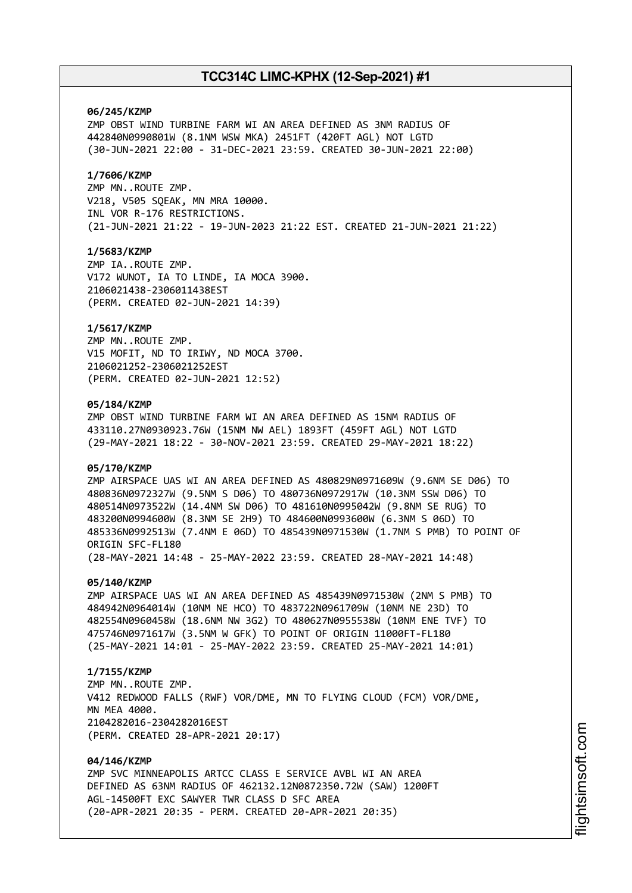### **06/245/KZMP**

ZMP OBST WIND TURBINE FARM WI AN AREA DEFINED AS 3NM RADIUS OF 442840N0990801W (8.1NM WSW MKA) 2451FT (420FT AGL) NOT LGTD (30-JUN-2021 22:00 - 31-DEC-2021 23:59. CREATED 30-JUN-2021 22:00)

### **1/7606/KZMP**

ZMP MN..ROUTE ZMP. V218, V505 SQEAK, MN MRA 10000. INL VOR R-176 RESTRICTIONS. (21-JUN-2021 21:22 - 19-JUN-2023 21:22 EST. CREATED 21-JUN-2021 21:22)

### **1/5683/KZMP**

ZMP IA..ROUTE ZMP. V172 WUNOT, IA TO LINDE, IA MOCA 3900. 2106021438-2306011438EST (PERM. CREATED 02-JUN-2021 14:39)

### **1/5617/KZMP**

ZMP MN..ROUTE ZMP. V15 MOFIT, ND TO IRIWY, ND MOCA 3700. 2106021252-2306021252EST (PERM. CREATED 02-JUN-2021 12:52)

### **05/184/KZMP**

ZMP OBST WIND TURBINE FARM WI AN AREA DEFINED AS 15NM RADIUS OF 433110.27N0930923.76W (15NM NW AEL) 1893FT (459FT AGL) NOT LGTD (29-MAY-2021 18:22 - 30-NOV-2021 23:59. CREATED 29-MAY-2021 18:22)

### **05/170/KZMP**

ZMP AIRSPACE UAS WI AN AREA DEFINED AS 480829N0971609W (9.6NM SE D06) TO 480836N0972327W (9.5NM S D06) TO 480736N0972917W (10.3NM SSW D06) TO 480514N0973522W (14.4NM SW D06) TO 481610N0995042W (9.8NM SE RUG) TO 483200N0994600W (8.3NM SE 2H9) TO 484600N0993600W (6.3NM S 06D) TO 485336N0992513W (7.4NM E 06D) TO 485439N0971530W (1.7NM S PMB) TO POINT OF ORIGIN SFC-FL180 (28-MAY-2021 14:48 - 25-MAY-2022 23:59. CREATED 28-MAY-2021 14:48)

#### **05/140/KZMP**

ZMP AIRSPACE UAS WI AN AREA DEFINED AS 485439N0971530W (2NM S PMB) TO 484942N0964014W (10NM NE HCO) TO 483722N0961709W (10NM NE 23D) TO 482554N0960458W (18.6NM NW 3G2) TO 480627N0955538W (10NM ENE TVF) TO 475746N0971617W (3.5NM W GFK) TO POINT OF ORIGIN 11000FT-FL180 (25-MAY-2021 14:01 - 25-MAY-2022 23:59. CREATED 25-MAY-2021 14:01)

### **1/7155/KZMP**

ZMP MN..ROUTE ZMP. V412 REDWOOD FALLS (RWF) VOR/DME, MN TO FLYING CLOUD (FCM) VOR/DME, MN MFA 4000 2104282016-2304282016EST (PERM. CREATED 28-APR-2021 20:17)

### **04/146/KZMP**

ZMP SVC MINNEAPOLIS ARTCC CLASS E SERVICE AVBL WI AN AREA DEFINED AS 63NM RADIUS OF 462132.12N0872350.72W (SAW) 1200FT AGL-14500FT EXC SAWYER TWR CLASS D SFC AREA (20-APR-2021 20:35 - PERM. CREATED 20-APR-2021 20:35)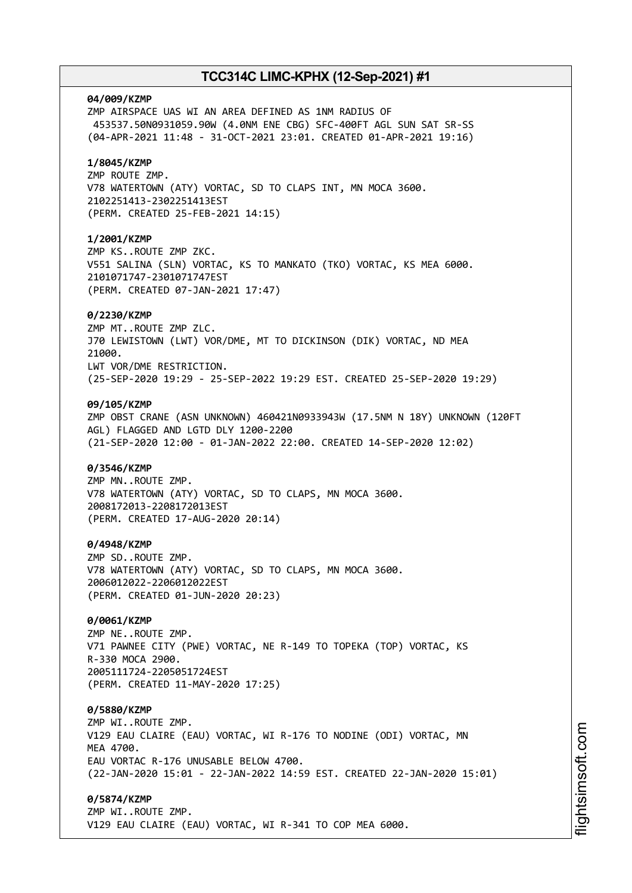# **04/009/KZMP** ZMP AIRSPACE UAS WI AN AREA DEFINED AS 1NM RADIUS OF 453537.50N0931059.90W (4.0NM ENE CBG) SFC-400FT AGL SUN SAT SR-SS (04-APR-2021 11:48 - 31-OCT-2021 23:01. CREATED 01-APR-2021 19:16) **1/8045/KZMP** ZMP ROUTE ZMP. V78 WATERTOWN (ATY) VORTAC, SD TO CLAPS INT, MN MOCA 3600. 2102251413-2302251413EST (PERM. CREATED 25-FEB-2021 14:15) **1/2001/KZMP** ZMP KS..ROUTE ZMP ZKC. V551 SALINA (SLN) VORTAC, KS TO MANKATO (TKO) VORTAC, KS MEA 6000. 2101071747-2301071747EST (PERM. CREATED 07-JAN-2021 17:47) **0/2230/KZMP** ZMP MT..ROUTE ZMP ZLC. J70 LEWISTOWN (LWT) VOR/DME, MT TO DICKINSON (DIK) VORTAC, ND MEA 21000. LWT VOR/DME RESTRICTION. (25-SEP-2020 19:29 - 25-SEP-2022 19:29 EST. CREATED 25-SEP-2020 19:29) **09/105/KZMP** ZMP OBST CRANE (ASN UNKNOWN) 460421N0933943W (17.5NM N 18Y) UNKNOWN (120FT AGL) FLAGGED AND LGTD DLY 1200-2200 (21-SEP-2020 12:00 - 01-JAN-2022 22:00. CREATED 14-SEP-2020 12:02) **0/3546/KZMP** ZMP MN..ROUTE ZMP. V78 WATERTOWN (ATY) VORTAC, SD TO CLAPS, MN MOCA 3600. 2008172013-2208172013EST (PERM. CREATED 17-AUG-2020 20:14) **0/4948/KZMP** ZMP SD..ROUTE ZMP. V78 WATERTOWN (ATY) VORTAC, SD TO CLAPS, MN MOCA 3600. 2006012022-2206012022EST (PERM. CREATED 01-JUN-2020 20:23) **0/0061/KZMP** ZMP NE..ROUTE ZMP. V71 PAWNEE CITY (PWE) VORTAC, NE R-149 TO TOPEKA (TOP) VORTAC, KS R-330 MOCA 2900. 2005111724-2205051724EST (PERM. CREATED 11-MAY-2020 17:25) **0/5880/KZMP** ZMP WI..ROUTE ZMP. V129 EAU CLAIRE (EAU) VORTAC, WI R-176 TO NODINE (ODI) VORTAC, MN **MFA 4700** EAU VORTAC R-176 UNUSABLE BELOW 4700. (22-JAN-2020 15:01 - 22-JAN-2022 14:59 EST. CREATED 22-JAN-2020 15:01) **0/5874/KZMP** ZMP WI..ROUTE ZMP. V129 EAU CLAIRE (EAU) VORTAC, WI R-341 TO COP MEA 6000.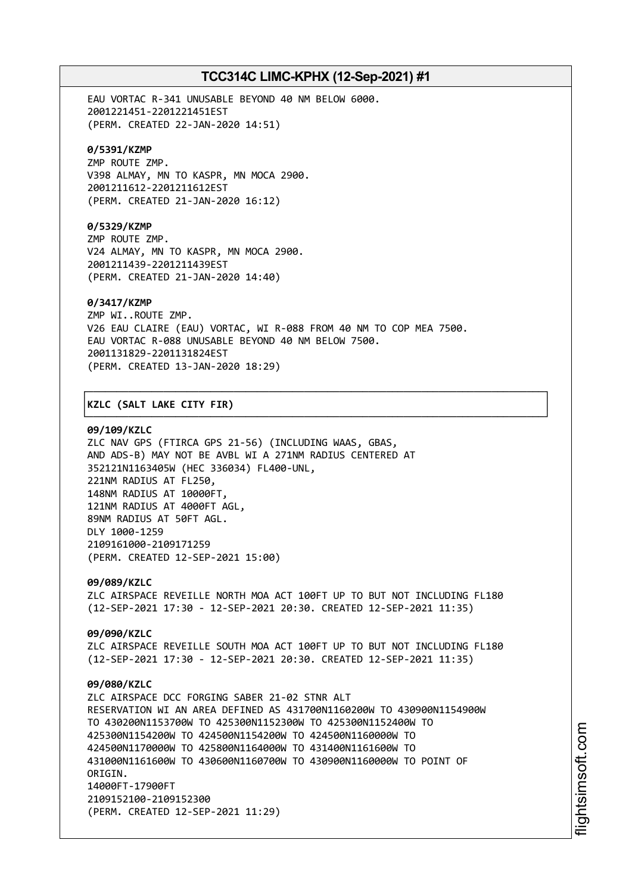EAU VORTAC R-341 UNUSABLE BEYOND 40 NM BELOW 6000. 2001221451-2201221451EST (PERM. CREATED 22-JAN-2020 14:51)

### **0/5391/KZMP**

ZMP ROUTE ZMP. V398 ALMAY, MN TO KASPR, MN MOCA 2900. 2001211612-2201211612EST (PERM. CREATED 21-JAN-2020 16:12)

## **0/5329/KZMP**

ZMP ROUTE ZMP. V24 ALMAY, MN TO KASPR, MN MOCA 2900. 2001211439-2201211439EST (PERM. CREATED 21-JAN-2020 14:40)

### **0/3417/KZMP**

ZMP WI..ROUTE ZMP. V26 EAU CLAIRE (EAU) VORTAC, WI R-088 FROM 40 NM TO COP MEA 7500. EAU VORTAC R-088 UNUSABLE BEYOND 40 NM BELOW 7500. 2001131829-2201131824EST (PERM. CREATED 13-JAN-2020 18:29)

┌──────────────────────────────────────────────────────────────────────────────┐

└──────────────────────────────────────────────────────────────────────────────┘

### │**KZLC (SALT LAKE CITY FIR)** │

### **09/109/KZLC**

ZLC NAV GPS (FTIRCA GPS 21-56) (INCLUDING WAAS, GBAS, AND ADS-B) MAY NOT BE AVBL WI A 271NM RADIUS CENTERED AT 352121N1163405W (HEC 336034) FL400-UNL, 221NM RADIUS AT FL250, 148NM RADIUS AT 10000FT, 121NM RADIUS AT 4000FT AGL, 89NM RADIUS AT 50FT AGL. DLY 1000-1259 2109161000-2109171259 (PERM. CREATED 12-SEP-2021 15:00)

**09/089/KZLC** ZLC AIRSPACE REVEILLE NORTH MOA ACT 100FT UP TO BUT NOT INCLUDING FL180 (12-SEP-2021 17:30 - 12-SEP-2021 20:30. CREATED 12-SEP-2021 11:35)

**09/090/KZLC** ZLC AIRSPACE REVEILLE SOUTH MOA ACT 100FT UP TO BUT NOT INCLUDING FL180 (12-SEP-2021 17:30 - 12-SEP-2021 20:30. CREATED 12-SEP-2021 11:35)

# **09/080/KZLC** ZLC AIRSPACE DCC FORGING SABER 21-02 STNR ALT RESERVATION WI AN AREA DEFINED AS 431700N1160200W TO 430900N1154900W TO 430200N1153700W TO 425300N1152300W TO 425300N1152400W TO 425300N1154200W TO 424500N1154200W TO 424500N1160000W TO 424500N1170000W TO 425800N1164000W TO 431400N1161600W TO 431000N1161600W TO 430600N1160700W TO 430900N1160000W TO POINT OF ORTGIN. 14000FT-17900FT 2109152100-2109152300 (PERM. CREATED 12-SEP-2021 11:29)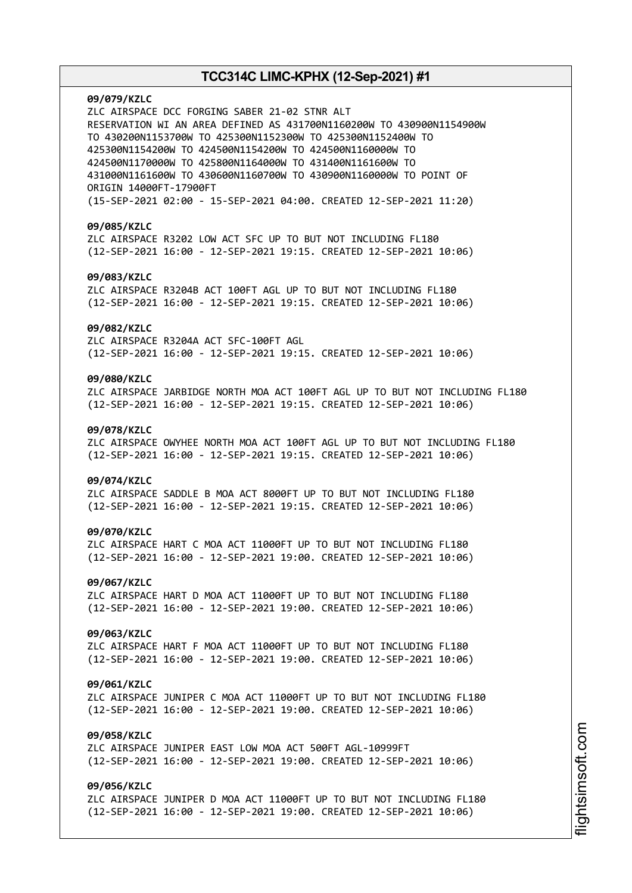**09/079/KZLC** ZLC AIRSPACE DCC FORGING SABER 21-02 STNR ALT RESERVATION WI AN AREA DEFINED AS 431700N1160200W TO 430900N1154900W TO 430200N1153700W TO 425300N1152300W TO 425300N1152400W TO 425300N1154200W TO 424500N1154200W TO 424500N1160000W TO 424500N1170000W TO 425800N1164000W TO 431400N1161600W TO 431000N1161600W TO 430600N1160700W TO 430900N1160000W TO POINT OF ORIGIN 14000FT-17900FT (15-SEP-2021 02:00 - 15-SEP-2021 04:00. CREATED 12-SEP-2021 11:20) **09/085/KZLC** ZLC AIRSPACE R3202 LOW ACT SFC UP TO BUT NOT INCLUDING FL180 (12-SEP-2021 16:00 - 12-SEP-2021 19:15. CREATED 12-SEP-2021 10:06) **09/083/KZLC** ZLC AIRSPACE R3204B ACT 100FT AGL UP TO BUT NOT INCLUDING FL180 (12-SEP-2021 16:00 - 12-SEP-2021 19:15. CREATED 12-SEP-2021 10:06) **09/082/KZLC** ZLC AIRSPACE R3204A ACT SFC-100FT AGL (12-SEP-2021 16:00 - 12-SEP-2021 19:15. CREATED 12-SEP-2021 10:06) **09/080/KZLC** ZLC AIRSPACE JARBIDGE NORTH MOA ACT 100FT AGL UP TO BUT NOT INCLUDING FL180 (12-SEP-2021 16:00 - 12-SEP-2021 19:15. CREATED 12-SEP-2021 10:06) **09/078/KZLC** ZLC AIRSPACE OWYHEE NORTH MOA ACT 100FT AGL UP TO BUT NOT INCLUDING FL180 (12-SEP-2021 16:00 - 12-SEP-2021 19:15. CREATED 12-SEP-2021 10:06) **09/074/KZLC** ZLC AIRSPACE SADDLE B MOA ACT 8000FT UP TO BUT NOT INCLUDING FL180 (12-SEP-2021 16:00 - 12-SEP-2021 19:15. CREATED 12-SEP-2021 10:06) **09/070/KZLC** ZLC AIRSPACE HART C MOA ACT 11000FT UP TO BUT NOT INCLUDING FL180 (12-SEP-2021 16:00 - 12-SEP-2021 19:00. CREATED 12-SEP-2021 10:06) **09/067/KZLC** ZLC AIRSPACE HART D MOA ACT 11000FT UP TO BUT NOT INCLUDING FL180 (12-SEP-2021 16:00 - 12-SEP-2021 19:00. CREATED 12-SEP-2021 10:06) **09/063/KZLC** ZLC AIRSPACE HART F MOA ACT 11000FT UP TO BUT NOT INCLUDING FL180 (12-SEP-2021 16:00 - 12-SEP-2021 19:00. CREATED 12-SEP-2021 10:06) **09/061/KZLC** ZLC AIRSPACE JUNIPER C MOA ACT 11000FT UP TO BUT NOT INCLUDING FL180 (12-SEP-2021 16:00 - 12-SEP-2021 19:00. CREATED 12-SEP-2021 10:06) **09/058/KZLC** ZLC AIRSPACE JUNIPER EAST LOW MOA ACT 500FT AGL-10999FT (12-SEP-2021 16:00 - 12-SEP-2021 19:00. CREATED 12-SEP-2021 10:06) **09/056/KZLC** ZLC AIRSPACE JUNIPER D MOA ACT 11000FT UP TO BUT NOT INCLUDING FL180 (12-SEP-2021 16:00 - 12-SEP-2021 19:00. CREATED 12-SEP-2021 10:06)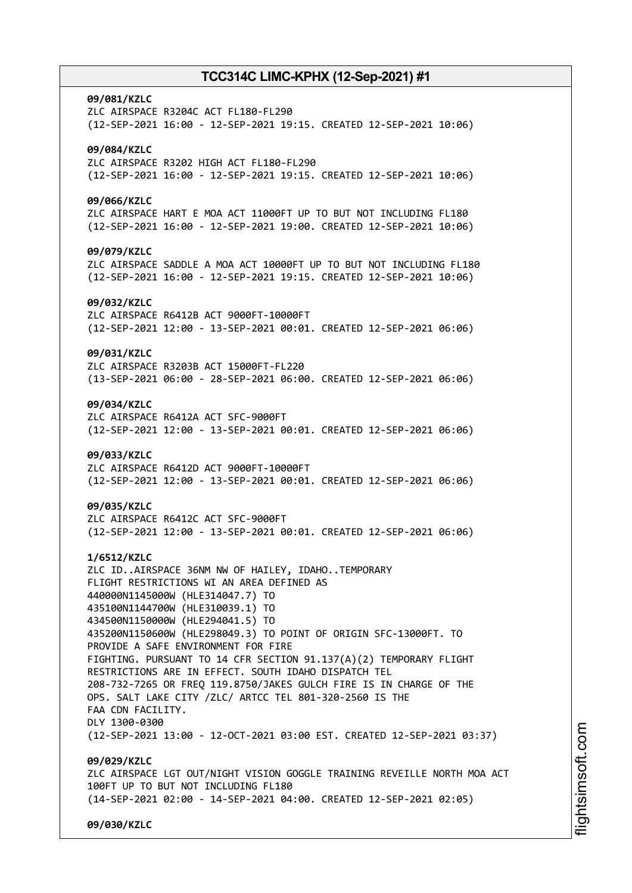# **09/081/KZLC** ZLC AIRSPACE R3204C ACT FL180-FL290 (12-SEP-2021 16:00 - 12-SEP-2021 19:15. CREATED 12-SEP-2021 10:06) **09/084/KZLC** ZLC AIRSPACE R3202 HIGH ACT FL180-FL290 (12-SEP-2021 16:00 - 12-SEP-2021 19:15. CREATED 12-SEP-2021 10:06) **09/066/KZLC** ZLC AIRSPACE HART E MOA ACT 11000FT UP TO BUT NOT INCLUDING FL180 (12-SEP-2021 16:00 - 12-SEP-2021 19:00. CREATED 12-SEP-2021 10:06) **09/079/KZLC** ZLC AIRSPACE SADDLE A MOA ACT 10000FT UP TO BUT NOT INCLUDING FL180 (12-SEP-2021 16:00 - 12-SEP-2021 19:15. CREATED 12-SEP-2021 10:06) **09/032/KZLC** ZLC AIRSPACE R6412B ACT 9000FT-10000FT (12-SEP-2021 12:00 - 13-SEP-2021 00:01. CREATED 12-SEP-2021 06:06) **09/031/KZLC** ZLC AIRSPACE R3203B ACT 15000FT-FL220 (13-SEP-2021 06:00 - 28-SEP-2021 06:00. CREATED 12-SEP-2021 06:06) **09/034/KZLC** ZLC AIRSPACE R6412A ACT SFC-9000FT (12-SEP-2021 12:00 - 13-SEP-2021 00:01. CREATED 12-SEP-2021 06:06) **09/033/KZLC** ZLC AIRSPACE R6412D ACT 9000FT-10000FT (12-SEP-2021 12:00 - 13-SEP-2021 00:01. CREATED 12-SEP-2021 06:06) **09/035/KZLC** ZLC AIRSPACE R6412C ACT SFC-9000FT (12-SEP-2021 12:00 - 13-SEP-2021 00:01. CREATED 12-SEP-2021 06:06) **1/6512/KZLC** ZLC ID..AIRSPACE 36NM NW OF HAILEY, IDAHO..TEMPORARY FLIGHT RESTRICTIONS WI AN AREA DEFINED AS 440000N1145000W (HLE314047.7) TO 435100N1144700W (HLE310039.1) TO 434500N1150000W (HLE294041.5) TO 435200N1150600W (HLE298049.3) TO POINT OF ORIGIN SFC-13000FT. TO PROVIDE A SAFE ENVIRONMENT FOR FIRE FIGHTING. PURSUANT TO 14 CFR SECTION 91.137(A)(2) TEMPORARY FLIGHT RESTRICTIONS ARE IN EFFECT. SOUTH IDAHO DISPATCH TEL 208-732-7265 OR FREQ 119.8750/JAKES GULCH FIRE IS IN CHARGE OF THE OPS. SALT LAKE CITY /ZLC/ ARTCC TEL 801-320-2560 IS THE FAA CDN FACILITY. DLY 1300-0300 (12-SEP-2021 13:00 - 12-OCT-2021 03:00 EST. CREATED 12-SEP-2021 03:37) **09/029/KZLC** ZLC AIRSPACE LGT OUT/NIGHT VISION GOGGLE TRAINING REVEILLE NORTH MOA ACT 100FT UP TO BUT NOT INCLUDING FL180 (14-SEP-2021 02:00 - 14-SEP-2021 04:00. CREATED 12-SEP-2021 02:05) **09/030/KZLC**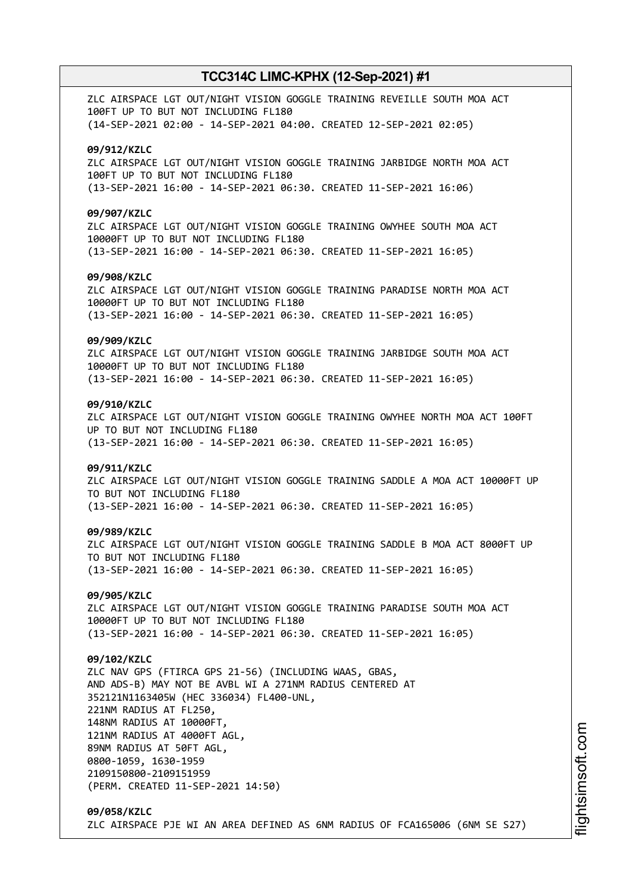ZLC AIRSPACE LGT OUT/NIGHT VISION GOGGLE TRAINING REVEILLE SOUTH MOA ACT 100FT UP TO BUT NOT INCLUDING FL180 (14-SEP-2021 02:00 - 14-SEP-2021 04:00. CREATED 12-SEP-2021 02:05) **09/912/KZLC** ZLC AIRSPACE LGT OUT/NIGHT VISION GOGGLE TRAINING JARBIDGE NORTH MOA ACT 100FT UP TO BUT NOT INCLUDING FL180 (13-SEP-2021 16:00 - 14-SEP-2021 06:30. CREATED 11-SEP-2021 16:06) **09/907/KZLC** ZLC AIRSPACE LGT OUT/NIGHT VISION GOGGLE TRAINING OWYHEE SOUTH MOA ACT 10000FT UP TO BUT NOT INCLUDING FL180 (13-SEP-2021 16:00 - 14-SEP-2021 06:30. CREATED 11-SEP-2021 16:05) **09/908/KZLC** ZLC AIRSPACE LGT OUT/NIGHT VISION GOGGLE TRAINING PARADISE NORTH MOA ACT 10000FT UP TO BUT NOT INCLUDING FL180 (13-SEP-2021 16:00 - 14-SEP-2021 06:30. CREATED 11-SEP-2021 16:05) **09/909/KZLC** ZLC AIRSPACE LGT OUT/NIGHT VISION GOGGLE TRAINING JARBIDGE SOUTH MOA ACT 10000FT UP TO BUT NOT INCLUDING FL180 (13-SEP-2021 16:00 - 14-SEP-2021 06:30. CREATED 11-SEP-2021 16:05) **09/910/KZLC** ZLC AIRSPACE LGT OUT/NIGHT VISION GOGGLE TRAINING OWYHEE NORTH MOA ACT 100FT UP TO BUT NOT INCLUDING FL180 (13-SEP-2021 16:00 - 14-SEP-2021 06:30. CREATED 11-SEP-2021 16:05) **09/911/KZLC** ZLC AIRSPACE LGT OUT/NIGHT VISION GOGGLE TRAINING SADDLE A MOA ACT 10000FT UP TO BUT NOT INCLUDING FL180 (13-SEP-2021 16:00 - 14-SEP-2021 06:30. CREATED 11-SEP-2021 16:05) **09/989/KZLC** ZLC AIRSPACE LGT OUT/NIGHT VISION GOGGLE TRAINING SADDLE B MOA ACT 8000FT UP TO BUT NOT INCLUDING FL180 (13-SEP-2021 16:00 - 14-SEP-2021 06:30. CREATED 11-SEP-2021 16:05) **09/905/KZLC** ZLC AIRSPACE LGT OUT/NIGHT VISION GOGGLE TRAINING PARADISE SOUTH MOA ACT 10000FT UP TO BUT NOT INCLUDING FL180 (13-SEP-2021 16:00 - 14-SEP-2021 06:30. CREATED 11-SEP-2021 16:05) **09/102/KZLC** ZLC NAV GPS (FTIRCA GPS 21-56) (INCLUDING WAAS, GBAS, AND ADS-B) MAY NOT BE AVBL WI A 271NM RADIUS CENTERED AT 352121N1163405W (HEC 336034) FL400-UNL, 221NM RADIUS AT FL250, 148NM RADIUS AT 10000FT, 121NM RADIUS AT 4000FT AGL, 89NM RADIUS AT 50FT AGL, 0800-1059, 1630-1959 2109150800-2109151959 (PERM. CREATED 11-SEP-2021 14:50) **09/058/KZLC** ZLC AIRSPACE PJE WI AN AREA DEFINED AS 6NM RADIUS OF FCA165006 (6NM SE S27)

i⊒<br>⊫ htsim soft.c o

m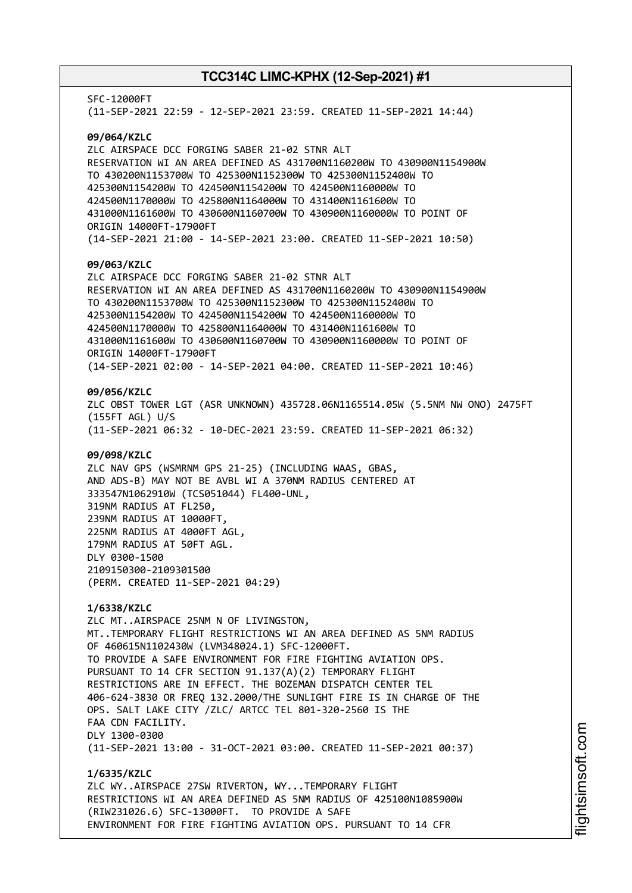SFC-12000FT (11-SEP-2021 22:59 - 12-SEP-2021 23:59. CREATED 11-SEP-2021 14:44) **09/064/KZLC** ZLC AIRSPACE DCC FORGING SABER 21-02 STNR ALT RESERVATION WI AN AREA DEFINED AS 431700N1160200W TO 430900N1154900W TO 430200N1153700W TO 425300N1152300W TO 425300N1152400W TO 425300N1154200W TO 424500N1154200W TO 424500N1160000W TO 424500N1170000W TO 425800N1164000W TO 431400N1161600W TO 431000N1161600W TO 430600N1160700W TO 430900N1160000W TO POINT OF ORIGIN 14000FT-17900FT (14-SEP-2021 21:00 - 14-SEP-2021 23:00. CREATED 11-SEP-2021 10:50) **09/063/KZLC** ZLC AIRSPACE DCC FORGING SABER 21-02 STNR ALT RESERVATION WI AN AREA DEFINED AS 431700N1160200W TO 430900N1154900W TO 430200N1153700W TO 425300N1152300W TO 425300N1152400W TO 425300N1154200W TO 424500N1154200W TO 424500N1160000W TO 424500N1170000W TO 425800N1164000W TO 431400N1161600W TO 431000N1161600W TO 430600N1160700W TO 430900N1160000W TO POINT OF ORIGIN 14000FT-17900FT (14-SEP-2021 02:00 - 14-SEP-2021 04:00. CREATED 11-SEP-2021 10:46) **09/056/KZLC** ZLC OBST TOWER LGT (ASR UNKNOWN) 435728.06N1165514.05W (5.5NM NW ONO) 2475FT (155FT AGL) U/S (11-SEP-2021 06:32 - 10-DEC-2021 23:59. CREATED 11-SEP-2021 06:32) **09/098/KZLC** ZLC NAV GPS (WSMRNM GPS 21-25) (INCLUDING WAAS, GBAS, AND ADS-B) MAY NOT BE AVBL WI A 370NM RADIUS CENTERED AT 333547N1062910W (TCS051044) FL400-UNL, 319NM RADIUS AT FL250, 239NM RADIUS AT 10000FT, 225NM RADIUS AT 4000FT AGL, 179NM RADIUS AT 50FT AGL. DLY 0300-1500 2109150300-2109301500 (PERM. CREATED 11-SEP-2021 04:29) **1/6338/KZLC** ZLC MT..AIRSPACE 25NM N OF LIVINGSTON, MT..TEMPORARY FLIGHT RESTRICTIONS WI AN AREA DEFINED AS 5NM RADIUS OF 460615N1102430W (LVM348024.1) SFC-12000FT. TO PROVIDE A SAFE ENVIRONMENT FOR FIRE FIGHTING AVIATION OPS. PURSUANT TO 14 CFR SECTION 91.137(A)(2) TEMPORARY FLIGHT RESTRICTIONS ARE IN EFFECT. THE BOZEMAN DISPATCH CENTER TEL 406-624-3830 OR FREQ 132.2000/THE SUNLIGHT FIRE IS IN CHARGE OF THE OPS. SALT LAKE CITY /ZLC/ ARTCC TEL 801-320-2560 IS THE FAA CDN FACILITY. DLY 1300-0300 (11-SEP-2021 13:00 - 31-OCT-2021 03:00. CREATED 11-SEP-2021 00:37) **1/6335/KZLC** ZLC WY..AIRSPACE 27SW RIVERTON, WY...TEMPORARY FLIGHT RESTRICTIONS WI AN AREA DEFINED AS 5NM RADIUS OF 425100N1085900W (RIW231026.6) SFC-13000FT. TO PROVIDE A SAFE ENVIRONMENT FOR FIRE FIGHTING AVIATION OPS. PURSUANT TO 14 CFR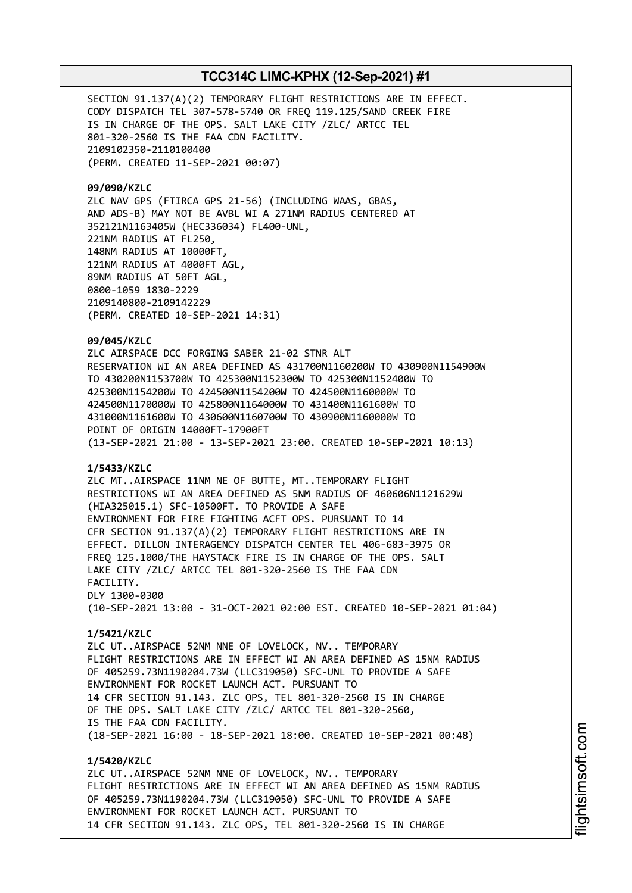SECTION 91.137(A)(2) TEMPORARY FLIGHT RESTRICTIONS ARE IN EFFECT. CODY DISPATCH TEL 307-578-5740 OR FREQ 119.125/SAND CREEK FIRE IS IN CHARGE OF THE OPS. SALT LAKE CITY /ZLC/ ARTCC TEL 801-320-2560 IS THE FAA CDN FACILITY. 2109102350-2110100400 (PERM. CREATED 11-SEP-2021 00:07)

**09/090/KZLC**

ZLC NAV GPS (FTIRCA GPS 21-56) (INCLUDING WAAS, GBAS, AND ADS-B) MAY NOT BE AVBL WI A 271NM RADIUS CENTERED AT 352121N1163405W (HEC336034) FL400-UNL, 221NM RADIUS AT FL250, 148NM RADIUS AT 10000FT, 121NM RADIUS AT 4000FT AGL, 89NM RADIUS AT 50FT AGL, 0800-1059 1830-2229 2109140800-2109142229 (PERM. CREATED 10-SEP-2021 14:31)

**09/045/KZLC**

ZLC AIRSPACE DCC FORGING SABER 21-02 STNR ALT RESERVATION WI AN AREA DEFINED AS 431700N1160200W TO 430900N1154900W TO 430200N1153700W TO 425300N1152300W TO 425300N1152400W TO 425300N1154200W TO 424500N1154200W TO 424500N1160000W TO 424500N1170000W TO 425800N1164000W TO 431400N1161600W TO 431000N1161600W TO 430600N1160700W TO 430900N1160000W TO POINT OF ORIGIN 14000FT-17900FT (13-SEP-2021 21:00 - 13-SEP-2021 23:00. CREATED 10-SEP-2021 10:13)

### **1/5433/KZLC**

ZLC MT..AIRSPACE 11NM NE OF BUTTE, MT..TEMPORARY FLIGHT RESTRICTIONS WI AN AREA DEFINED AS 5NM RADIUS OF 460606N1121629W (HIA325015.1) SFC-10500FT. TO PROVIDE A SAFE ENVIRONMENT FOR FIRE FIGHTING ACFT OPS. PURSUANT TO 14 CFR SECTION 91.137(A)(2) TEMPORARY FLIGHT RESTRICTIONS ARE IN EFFECT. DILLON INTERAGENCY DISPATCH CENTER TEL 406-683-3975 OR FREQ 125.1000/THE HAYSTACK FIRE IS IN CHARGE OF THE OPS. SALT LAKE CITY /ZLC/ ARTCC TEL 801-320-2560 IS THE FAA CDN FACILITY. DLY 1300-0300 (10-SEP-2021 13:00 - 31-OCT-2021 02:00 EST. CREATED 10-SEP-2021 01:04)

### **1/5421/KZLC**

ZLC UT..AIRSPACE 52NM NNE OF LOVELOCK, NV.. TEMPORARY FLIGHT RESTRICTIONS ARE IN EFFECT WI AN AREA DEFINED AS 15NM RADIUS OF 405259.73N1190204.73W (LLC319050) SFC-UNL TO PROVIDE A SAFE ENVIRONMENT FOR ROCKET LAUNCH ACT. PURSUANT TO 14 CFR SECTION 91.143. ZLC OPS, TEL 801-320-2560 IS IN CHARGE OF THE OPS. SALT LAKE CITY /ZLC/ ARTCC TEL 801-320-2560, IS THE FAA CDN FACILITY. (18-SEP-2021 16:00 - 18-SEP-2021 18:00. CREATED 10-SEP-2021 00:48)

**1/5420/KZLC** ZLC UT..AIRSPACE 52NM NNE OF LOVELOCK, NV.. TEMPORARY FLIGHT RESTRICTIONS ARE IN EFFECT WI AN AREA DEFINED AS 15NM RADIUS OF 405259.73N1190204.73W (LLC319050) SFC-UNL TO PROVIDE A SAFE ENVIRONMENT FOR ROCKET LAUNCH ACT. PURSUANT TO 14 CFR SECTION 91.143. ZLC OPS, TEL 801-320-2560 IS IN CHARGE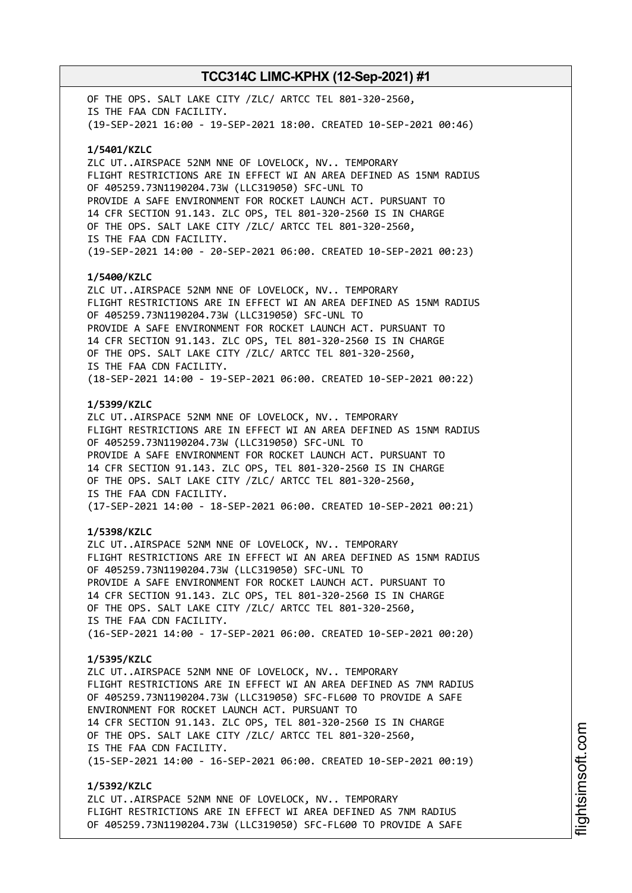OF THE OPS. SALT LAKE CITY /ZLC/ ARTCC TEL 801-320-2560, IS THE FAA CDN FACILITY. (19-SEP-2021 16:00 - 19-SEP-2021 18:00. CREATED 10-SEP-2021 00:46) **1/5401/KZLC** ZLC UT..AIRSPACE 52NM NNE OF LOVELOCK, NV.. TEMPORARY FLIGHT RESTRICTIONS ARE IN EFFECT WI AN AREA DEFINED AS 15NM RADIUS OF 405259.73N1190204.73W (LLC319050) SFC-UNL TO PROVIDE A SAFE ENVIRONMENT FOR ROCKET LAUNCH ACT. PURSUANT TO 14 CFR SECTION 91.143. ZLC OPS, TEL 801-320-2560 IS IN CHARGE OF THE OPS. SALT LAKE CITY /ZLC/ ARTCC TEL 801-320-2560, IS THE FAA CDN FACILITY. (19-SEP-2021 14:00 - 20-SEP-2021 06:00. CREATED 10-SEP-2021 00:23) **1/5400/KZLC** ZLC UT..AIRSPACE 52NM NNE OF LOVELOCK, NV.. TEMPORARY FLIGHT RESTRICTIONS ARE IN EFFECT WI AN AREA DEFINED AS 15NM RADIUS OF 405259.73N1190204.73W (LLC319050) SFC-UNL TO PROVIDE A SAFE ENVIRONMENT FOR ROCKET LAUNCH ACT. PURSUANT TO 14 CFR SECTION 91.143. ZLC OPS, TEL 801-320-2560 IS IN CHARGE OF THE OPS. SALT LAKE CITY /ZLC/ ARTCC TEL 801-320-2560, IS THE FAA CDN FACILITY. (18-SEP-2021 14:00 - 19-SEP-2021 06:00. CREATED 10-SEP-2021 00:22) **1/5399/KZLC** ZLC UT..AIRSPACE 52NM NNE OF LOVELOCK, NV.. TEMPORARY FLIGHT RESTRICTIONS ARE IN EFFECT WI AN AREA DEFINED AS 15NM RADIUS OF 405259.73N1190204.73W (LLC319050) SFC-UNL TO PROVIDE A SAFE ENVIRONMENT FOR ROCKET LAUNCH ACT. PURSUANT TO 14 CFR SECTION 91.143. ZLC OPS, TEL 801-320-2560 IS IN CHARGE OF THE OPS. SALT LAKE CITY /ZLC/ ARTCC TEL 801-320-2560, IS THE FAA CDN FACILITY. (17-SEP-2021 14:00 - 18-SEP-2021 06:00. CREATED 10-SEP-2021 00:21) **1/5398/KZLC** ZLC UT..AIRSPACE 52NM NNE OF LOVELOCK, NV.. TEMPORARY FLIGHT RESTRICTIONS ARE IN EFFECT WI AN AREA DEFINED AS 15NM RADIUS OF 405259.73N1190204.73W (LLC319050) SFC-UNL TO PROVIDE A SAFE ENVIRONMENT FOR ROCKET LAUNCH ACT. PURSUANT TO 14 CFR SECTION 91.143. ZLC OPS, TEL 801-320-2560 IS IN CHARGE OF THE OPS. SALT LAKE CITY /ZLC/ ARTCC TEL 801-320-2560, IS THE FAA CDN FACILITY. (16-SEP-2021 14:00 - 17-SEP-2021 06:00. CREATED 10-SEP-2021 00:20) **1/5395/KZLC** ZLC UT..AIRSPACE 52NM NNE OF LOVELOCK, NV.. TEMPORARY FLIGHT RESTRICTIONS ARE IN EFFECT WI AN AREA DEFINED AS 7NM RADIUS OF 405259.73N1190204.73W (LLC319050) SFC-FL600 TO PROVIDE A SAFE ENVIRONMENT FOR ROCKET LAUNCH ACT. PURSUANT TO 14 CFR SECTION 91.143. ZLC OPS, TEL 801-320-2560 IS IN CHARGE OF THE OPS. SALT LAKE CITY /ZLC/ ARTCC TEL 801-320-2560, IS THE FAA CDN FACILITY. (15-SEP-2021 14:00 - 16-SEP-2021 06:00. CREATED 10-SEP-2021 00:19) **1/5392/KZLC** ZLC UT..AIRSPACE 52NM NNE OF LOVELOCK, NV.. TEMPORARY

FLIGHT RESTRICTIONS ARE IN EFFECT WI AREA DEFINED AS 7NM RADIUS OF 405259.73N1190204.73W (LLC319050) SFC-FL600 TO PROVIDE A SAFE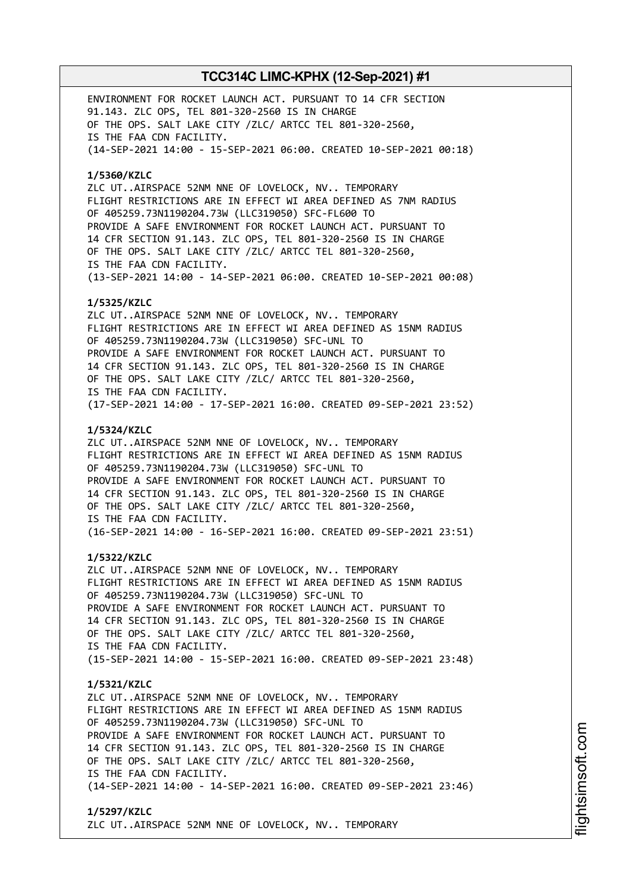ENVIRONMENT FOR ROCKET LAUNCH ACT. PURSUANT TO 14 CFR SECTION 91.143. ZLC OPS, TEL 801-320-2560 IS IN CHARGE OF THE OPS. SALT LAKE CITY /ZLC/ ARTCC TEL 801-320-2560, IS THE FAA CDN FACILITY. (14-SEP-2021 14:00 - 15-SEP-2021 06:00. CREATED 10-SEP-2021 00:18) **1/5360/KZLC** ZLC UT..AIRSPACE 52NM NNE OF LOVELOCK, NV.. TEMPORARY FLIGHT RESTRICTIONS ARE IN EFFECT WI AREA DEFINED AS 7NM RADIUS OF 405259.73N1190204.73W (LLC319050) SFC-FL600 TO PROVIDE A SAFE ENVIRONMENT FOR ROCKET LAUNCH ACT. PURSUANT TO 14 CFR SECTION 91.143. ZLC OPS, TEL 801-320-2560 IS IN CHARGE OF THE OPS. SALT LAKE CITY /ZLC/ ARTCC TEL 801-320-2560, IS THE FAA CDN FACILITY. (13-SEP-2021 14:00 - 14-SEP-2021 06:00. CREATED 10-SEP-2021 00:08) **1/5325/KZLC** ZLC UT..AIRSPACE 52NM NNE OF LOVELOCK, NV.. TEMPORARY FLIGHT RESTRICTIONS ARE IN EFFECT WI AREA DEFINED AS 15NM RADIUS OF 405259.73N1190204.73W (LLC319050) SFC-UNL TO PROVIDE A SAFE ENVIRONMENT FOR ROCKET LAUNCH ACT. PURSUANT TO 14 CFR SECTION 91.143. ZLC OPS, TEL 801-320-2560 IS IN CHARGE OF THE OPS. SALT LAKE CITY /ZLC/ ARTCC TEL 801-320-2560, IS THE FAA CDN FACILITY. (17-SEP-2021 14:00 - 17-SEP-2021 16:00. CREATED 09-SEP-2021 23:52) **1/5324/KZLC** ZLC UT..AIRSPACE 52NM NNE OF LOVELOCK, NV.. TEMPORARY FLIGHT RESTRICTIONS ARE IN EFFECT WI AREA DEFINED AS 15NM RADIUS OF 405259.73N1190204.73W (LLC319050) SFC-UNL TO PROVIDE A SAFE ENVIRONMENT FOR ROCKET LAUNCH ACT. PURSUANT TO 14 CFR SECTION 91.143. ZLC OPS, TEL 801-320-2560 IS IN CHARGE OF THE OPS. SALT LAKE CITY /ZLC/ ARTCC TEL 801-320-2560, IS THE FAA CDN FACILITY. (16-SEP-2021 14:00 - 16-SEP-2021 16:00. CREATED 09-SEP-2021 23:51) **1/5322/KZLC** ZLC UT..AIRSPACE 52NM NNE OF LOVELOCK, NV.. TEMPORARY FLIGHT RESTRICTIONS ARE IN EFFECT WI AREA DEFINED AS 15NM RADIUS OF 405259.73N1190204.73W (LLC319050) SFC-UNL TO PROVIDE A SAFE ENVIRONMENT FOR ROCKET LAUNCH ACT. PURSUANT TO 14 CFR SECTION 91.143. ZLC OPS, TEL 801-320-2560 IS IN CHARGE OF THE OPS. SALT LAKE CITY /ZLC/ ARTCC TEL 801-320-2560, IS THE FAA CDN FACILITY. (15-SEP-2021 14:00 - 15-SEP-2021 16:00. CREATED 09-SEP-2021 23:48) **1/5321/KZLC** ZLC UT..AIRSPACE 52NM NNE OF LOVELOCK, NV.. TEMPORARY FLIGHT RESTRICTIONS ARE IN EFFECT WI AREA DEFINED AS 15NM RADIUS OF 405259.73N1190204.73W (LLC319050) SFC-UNL TO PROVIDE A SAFE ENVIRONMENT FOR ROCKET LAUNCH ACT. PURSUANT TO 14 CFR SECTION 91.143. ZLC OPS, TEL 801-320-2560 IS IN CHARGE OF THE OPS. SALT LAKE CITY /ZLC/ ARTCC TEL 801-320-2560, IS THE FAA CDN FACILITY. (14-SEP-2021 14:00 - 14-SEP-2021 16:00. CREATED 09-SEP-2021 23:46) **1/5297/KZLC**

ZLC UT..AIRSPACE 52NM NNE OF LOVELOCK, NV.. TEMPORARY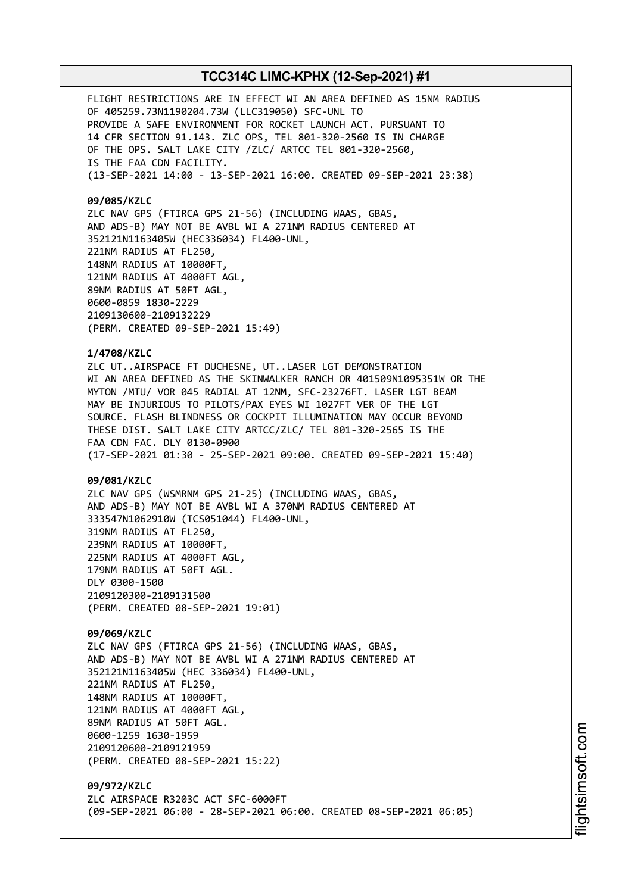FLIGHT RESTRICTIONS ARE IN EFFECT WI AN AREA DEFINED AS 15NM RADIUS OF 405259.73N1190204.73W (LLC319050) SFC-UNL TO PROVIDE A SAFE ENVIRONMENT FOR ROCKET LAUNCH ACT. PURSUANT TO 14 CFR SECTION 91.143. ZLC OPS, TEL 801-320-2560 IS IN CHARGE OF THE OPS. SALT LAKE CITY /ZLC/ ARTCC TEL 801-320-2560, IS THE FAA CDN FACILITY. (13-SEP-2021 14:00 - 13-SEP-2021 16:00. CREATED 09-SEP-2021 23:38)

### **09/085/KZLC**

ZLC NAV GPS (FTIRCA GPS 21-56) (INCLUDING WAAS, GBAS, AND ADS-B) MAY NOT BE AVBL WI A 271NM RADIUS CENTERED AT 352121N1163405W (HEC336034) FL400-UNL, 221NM RADIUS AT FL250, 148NM RADIUS AT 10000FT, 121NM RADIUS AT 4000FT AGL, 89NM RADIUS AT 50FT AGL, 0600-0859 1830-2229 2109130600-2109132229 (PERM. CREATED 09-SEP-2021 15:49)

### **1/4708/KZLC**

ZLC UT..AIRSPACE FT DUCHESNE, UT..LASER LGT DEMONSTRATION WI AN AREA DEFINED AS THE SKINWALKER RANCH OR 401509N1095351W OR THE MYTON /MTU/ VOR 045 RADIAL AT 12NM, SFC-23276FT. LASER LGT BEAM MAY BE INJURIOUS TO PILOTS/PAX EYES WI 1027FT VER OF THE LGT SOURCE. FLASH BLINDNESS OR COCKPIT ILLUMINATION MAY OCCUR BEYOND THESE DIST. SALT LAKE CITY ARTCC/ZLC/ TEL 801-320-2565 IS THE FAA CDN FAC. DLY 0130-0900 (17-SEP-2021 01:30 - 25-SEP-2021 09:00. CREATED 09-SEP-2021 15:40)

#### **09/081/KZLC**

ZLC NAV GPS (WSMRNM GPS 21-25) (INCLUDING WAAS, GBAS, AND ADS-B) MAY NOT BE AVBL WI A 370NM RADIUS CENTERED AT 333547N1062910W (TCS051044) FL400-UNL, 319NM RADIUS AT FL250, 239NM RADIUS AT 10000FT, 225NM RADIUS AT 4000FT AGL, 179NM RADIUS AT 50FT AGL. DLY 0300-1500 2109120300-2109131500 (PERM. CREATED 08-SEP-2021 19:01)

**09/069/KZLC** ZLC NAV GPS (FTIRCA GPS 21-56) (INCLUDING WAAS, GBAS, AND ADS-B) MAY NOT BE AVBL WI A 271NM RADIUS CENTERED AT 352121N1163405W (HEC 336034) FL400-UNL, 221NM RADIUS AT FL250, 148NM RADIUS AT 10000FT, 121NM RADIUS AT 4000FT AGL, 89NM RADIUS AT 50FT AGL. 0600-1259 1630-1959 2109120600-2109121959 (PERM. CREATED 08-SEP-2021 15:22)

**09/972/KZLC** ZLC AIRSPACE R3203C ACT SFC-6000FT (09-SEP-2021 06:00 - 28-SEP-2021 06:00. CREATED 08-SEP-2021 06:05)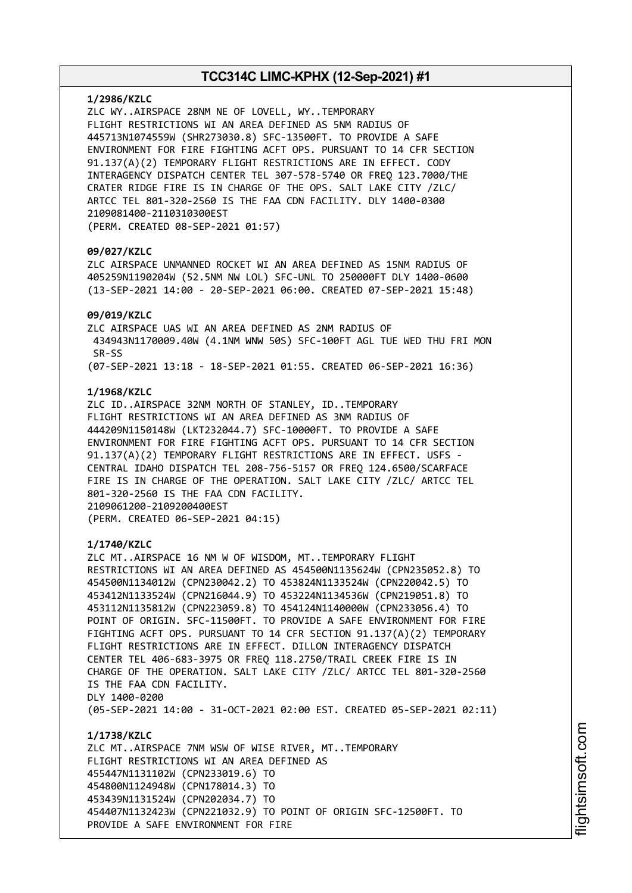#### **1/2986/KZLC**

ZLC WY..AIRSPACE 28NM NE OF LOVELL, WY..TEMPORARY FLIGHT RESTRICTIONS WI AN AREA DEFINED AS 5NM RADIUS OF 445713N1074559W (SHR273030.8) SFC-13500FT. TO PROVIDE A SAFE ENVIRONMENT FOR FIRE FIGHTING ACFT OPS. PURSUANT TO 14 CFR SECTION 91.137(A)(2) TEMPORARY FLIGHT RESTRICTIONS ARE IN EFFECT. CODY INTERAGENCY DISPATCH CENTER TEL 307-578-5740 OR FREQ 123.7000/THE CRATER RIDGE FIRE IS IN CHARGE OF THE OPS. SALT LAKE CITY /ZLC/ ARTCC TEL 801-320-2560 IS THE FAA CDN FACILITY. DLY 1400-0300 2109081400-2110310300EST (PERM. CREATED 08-SEP-2021 01:57)

### **09/027/KZLC**

ZLC AIRSPACE UNMANNED ROCKET WI AN AREA DEFINED AS 15NM RADIUS OF 405259N1190204W (52.5NM NW LOL) SFC-UNL TO 250000FT DLY 1400-0600 (13-SEP-2021 14:00 - 20-SEP-2021 06:00. CREATED 07-SEP-2021 15:48)

### **09/019/KZLC**

ZLC AIRSPACE UAS WI AN AREA DEFINED AS 2NM RADIUS OF 434943N1170009.40W (4.1NM WNW 50S) SFC-100FT AGL TUE WED THU FRI MON SR-SS (07-SEP-2021 13:18 - 18-SEP-2021 01:55. CREATED 06-SEP-2021 16:36)

#### **1/1968/KZLC**

ZLC ID..AIRSPACE 32NM NORTH OF STANLEY, ID..TEMPORARY FLIGHT RESTRICTIONS WI AN AREA DEFINED AS 3NM RADIUS OF 444209N1150148W (LKT232044.7) SFC-10000FT. TO PROVIDE A SAFE ENVIRONMENT FOR FIRE FIGHTING ACFT OPS. PURSUANT TO 14 CFR SECTION 91.137(A)(2) TEMPORARY FLIGHT RESTRICTIONS ARE IN EFFECT. USFS - CENTRAL IDAHO DISPATCH TEL 208-756-5157 OR FREQ 124.6500/SCARFACE FIRE IS IN CHARGE OF THE OPERATION. SALT LAKE CITY /ZLC/ ARTCC TEL 801-320-2560 IS THE FAA CDN FACILITY. 2109061200-2109200400EST (PERM. CREATED 06-SEP-2021 04:15)

#### **1/1740/KZLC**

ZLC MT..AIRSPACE 16 NM W OF WISDOM, MT..TEMPORARY FLIGHT RESTRICTIONS WI AN AREA DEFINED AS 454500N1135624W (CPN235052.8) TO 454500N1134012W (CPN230042.2) TO 453824N1133524W (CPN220042.5) TO 453412N1133524W (CPN216044.9) TO 453224N1134536W (CPN219051.8) TO 453112N1135812W (CPN223059.8) TO 454124N1140000W (CPN233056.4) TO POINT OF ORIGIN. SFC-11500FT. TO PROVIDE A SAFE ENVIRONMENT FOR FIRE FIGHTING ACFT OPS. PURSUANT TO 14 CFR SECTION 91.137(A)(2) TEMPORARY FLIGHT RESTRICTIONS ARE IN EFFECT. DILLON INTERAGENCY DISPATCH CENTER TEL 406-683-3975 OR FREQ 118.2750/TRAIL CREEK FIRE IS IN CHARGE OF THE OPERATION. SALT LAKE CITY /ZLC/ ARTCC TEL 801-320-2560 IS THE FAA CDN FACILITY. DLY 1400-0200 (05-SEP-2021 14:00 - 31-OCT-2021 02:00 EST. CREATED 05-SEP-2021 02:11)

**1/1738/KZLC** ZLC MT..AIRSPACE 7NM WSW OF WISE RIVER, MT..TEMPORARY FLIGHT RESTRICTIONS WI AN AREA DEFINED AS 455447N1131102W (CPN233019.6) TO 454800N1124948W (CPN178014.3) TO 453439N1131524W (CPN202034.7) TO 454407N1132423W (CPN221032.9) TO POINT OF ORIGIN SFC-12500FT. TO PROVIDE A SAFE ENVIRONMENT FOR FIRE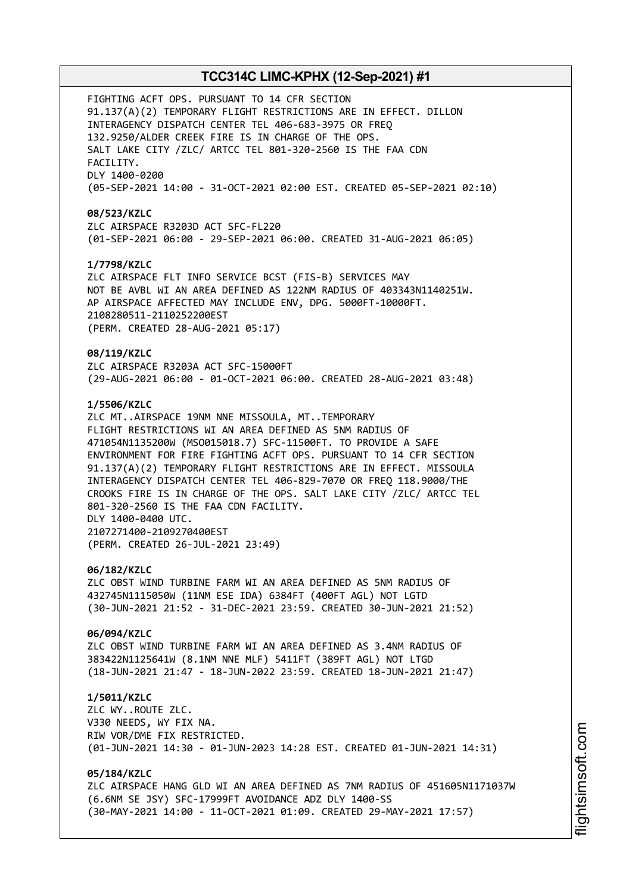FIGHTING ACFT OPS. PURSUANT TO 14 CFR SECTION 91.137(A)(2) TEMPORARY FLIGHT RESTRICTIONS ARE IN EFFECT. DILLON INTERAGENCY DISPATCH CENTER TEL 406-683-3975 OR FREQ 132.9250/ALDER CREEK FIRE IS IN CHARGE OF THE OPS. SALT LAKE CITY /ZLC/ ARTCC TEL 801-320-2560 IS THE FAA CDN FACILITY. DLY 1400-0200 (05-SEP-2021 14:00 - 31-OCT-2021 02:00 EST. CREATED 05-SEP-2021 02:10) **08/523/KZLC** ZLC AIRSPACE R3203D ACT SFC-FL220 (01-SEP-2021 06:00 - 29-SEP-2021 06:00. CREATED 31-AUG-2021 06:05) **1/7798/KZLC** ZLC AIRSPACE FLT INFO SERVICE BCST (FIS-B) SERVICES MAY NOT BE AVBL WI AN AREA DEFINED AS 122NM RADIUS OF 403343N1140251W. AP AIRSPACE AFFECTED MAY INCLUDE ENV, DPG. 5000FT-10000FT. 2108280511-2110252200EST (PERM. CREATED 28-AUG-2021 05:17) **08/119/KZLC** ZLC AIRSPACE R3203A ACT SFC-15000FT (29-AUG-2021 06:00 - 01-OCT-2021 06:00. CREATED 28-AUG-2021 03:48) **1/5506/KZLC** ZLC MT..AIRSPACE 19NM NNE MISSOULA, MT..TEMPORARY FLIGHT RESTRICTIONS WI AN AREA DEFINED AS 5NM RADIUS OF 471054N1135200W (MSO015018.7) SFC-11500FT. TO PROVIDE A SAFE ENVIRONMENT FOR FIRE FIGHTING ACFT OPS. PURSUANT TO 14 CFR SECTION 91.137(A)(2) TEMPORARY FLIGHT RESTRICTIONS ARE IN EFFECT. MISSOULA INTERAGENCY DISPATCH CENTER TEL 406-829-7070 OR FREQ 118.9000/THE CROOKS FIRE IS IN CHARGE OF THE OPS. SALT LAKE CITY /ZLC/ ARTCC TEL 801-320-2560 IS THE FAA CDN FACILITY. DLY 1400-0400 UTC. 2107271400-2109270400EST (PERM. CREATED 26-JUL-2021 23:49) **06/182/KZLC** ZLC OBST WIND TURBINE FARM WI AN AREA DEFINED AS 5NM RADIUS OF 432745N1115050W (11NM ESE IDA) 6384FT (400FT AGL) NOT LGTD (30-JUN-2021 21:52 - 31-DEC-2021 23:59. CREATED 30-JUN-2021 21:52) **06/094/KZLC** ZLC OBST WIND TURBINE FARM WI AN AREA DEFINED AS 3.4NM RADIUS OF 383422N1125641W (8.1NM NNE MLF) 5411FT (389FT AGL) NOT LTGD (18-JUN-2021 21:47 - 18-JUN-2022 23:59. CREATED 18-JUN-2021 21:47) **1/5011/KZLC** ZLC WY..ROUTE ZLC. V330 NEEDS, WY FIX NA. RIW VOR/DME FIX RESTRICTED. (01-JUN-2021 14:30 - 01-JUN-2023 14:28 EST. CREATED 01-JUN-2021 14:31) **05/184/KZLC** ZLC AIRSPACE HANG GLD WI AN AREA DEFINED AS 7NM RADIUS OF 451605N1171037W (6.6NM SE JSY) SFC-17999FT AVOIDANCE ADZ DLY 1400-SS (30-MAY-2021 14:00 - 11-OCT-2021 01:09. CREATED 29-MAY-2021 17:57)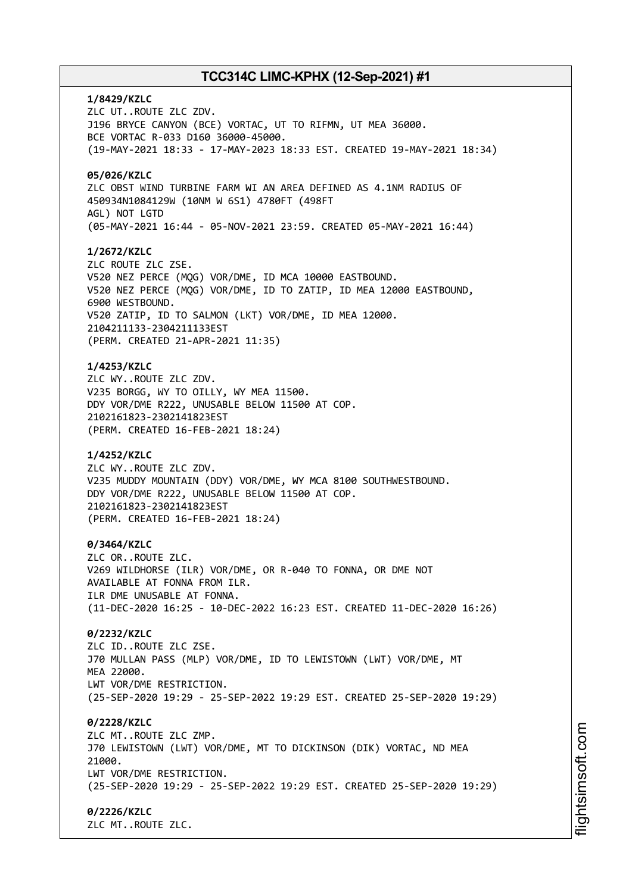**1/8429/KZLC** ZLC UT..ROUTE ZLC ZDV. J196 BRYCE CANYON (BCE) VORTAC, UT TO RIFMN, UT MEA 36000. BCE VORTAC R-033 D160 36000-45000. (19-MAY-2021 18:33 - 17-MAY-2023 18:33 EST. CREATED 19-MAY-2021 18:34) **05/026/KZLC** ZLC OBST WIND TURBINE FARM WI AN AREA DEFINED AS 4.1NM RADIUS OF 450934N1084129W (10NM W 6S1) 4780FT (498FT AGL) NOT LGTD (05-MAY-2021 16:44 - 05-NOV-2021 23:59. CREATED 05-MAY-2021 16:44) **1/2672/KZLC** ZLC ROUTE ZLC ZSE. V520 NEZ PERCE (MQG) VOR/DME, ID MCA 10000 EASTBOUND. V520 NEZ PERCE (MQG) VOR/DME, ID TO ZATIP, ID MEA 12000 EASTBOUND, 6900 WESTBOUND. V520 ZATIP, ID TO SALMON (LKT) VOR/DME, ID MEA 12000. 2104211133-2304211133EST (PERM. CREATED 21-APR-2021 11:35) **1/4253/KZLC** ZLC WY..ROUTE ZLC ZDV. V235 BORGG, WY TO OILLY, WY MEA 11500. DDY VOR/DME R222, UNUSABLE BELOW 11500 AT COP. 2102161823-2302141823EST (PERM. CREATED 16-FEB-2021 18:24) **1/4252/KZLC** ZLC WY..ROUTE ZLC ZDV. V235 MUDDY MOUNTAIN (DDY) VOR/DME, WY MCA 8100 SOUTHWESTBOUND. DDY VOR/DME R222, UNUSABLE BELOW 11500 AT COP. 2102161823-2302141823EST (PERM. CREATED 16-FEB-2021 18:24) **0/3464/KZLC** ZLC OR..ROUTE ZLC. V269 WILDHORSE (ILR) VOR/DME, OR R-040 TO FONNA, OR DME NOT AVAILABLE AT FONNA FROM ILR. ILR DME UNUSABLE AT FONNA. (11-DEC-2020 16:25 - 10-DEC-2022 16:23 EST. CREATED 11-DEC-2020 16:26) **0/2232/KZLC** ZLC ID..ROUTE ZLC ZSE. J70 MULLAN PASS (MLP) VOR/DME, ID TO LEWISTOWN (LWT) VOR/DME, MT MEA 22000. LWT VOR/DME RESTRICTION. (25-SEP-2020 19:29 - 25-SEP-2022 19:29 EST. CREATED 25-SEP-2020 19:29) **0/2228/KZLC** ZLC MT..ROUTE ZLC ZMP. J70 LEWISTOWN (LWT) VOR/DME, MT TO DICKINSON (DIK) VORTAC, ND MEA 21000. LWT VOR/DME RESTRICTION. (25-SEP-2020 19:29 - 25-SEP-2022 19:29 EST. CREATED 25-SEP-2020 19:29) **0/2226/KZLC** ZLC MT..ROUTE ZLC.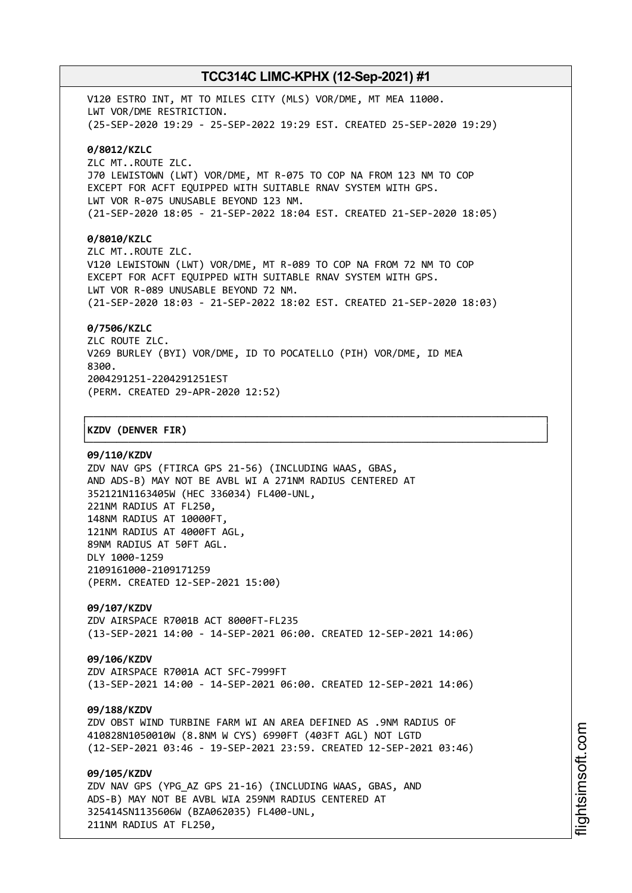V120 ESTRO INT, MT TO MILES CITY (MLS) VOR/DME, MT MEA 11000. LWT VOR/DME RESTRICTION. (25-SEP-2020 19:29 - 25-SEP-2022 19:29 EST. CREATED 25-SEP-2020 19:29) **0/8012/KZLC** ZLC MT..ROUTE ZLC. J70 LEWISTOWN (LWT) VOR/DME, MT R-075 TO COP NA FROM 123 NM TO COP EXCEPT FOR ACFT EQUIPPED WITH SUITABLE RNAV SYSTEM WITH GPS. LWT VOR R-075 UNUSABLE BEYOND 123 NM. (21-SEP-2020 18:05 - 21-SEP-2022 18:04 EST. CREATED 21-SEP-2020 18:05) **0/8010/KZLC** ZLC MT..ROUTE ZLC. V120 LEWISTOWN (LWT) VOR/DME, MT R-089 TO COP NA FROM 72 NM TO COP

EXCEPT FOR ACFT EQUIPPED WITH SUITABLE RNAV SYSTEM WITH GPS. LWT VOR R-089 UNUSABLE BEYOND 72 NM. (21-SEP-2020 18:03 - 21-SEP-2022 18:02 EST. CREATED 21-SEP-2020 18:03)

### **0/7506/KZLC**

ZLC ROUTE ZLC. V269 BURLEY (BYI) VOR/DME, ID TO POCATELLO (PIH) VOR/DME, ID MEA 8300. 2004291251-2204291251EST (PERM. CREATED 29-APR-2020 12:52)

┌──────────────────────────────────────────────────────────────────────────────┐

└──────────────────────────────────────────────────────────────────────────────┘

### │**KZDV (DENVER FIR)** │

#### **09/110/KZDV**

ZDV NAV GPS (FTIRCA GPS 21-56) (INCLUDING WAAS, GBAS, AND ADS-B) MAY NOT BE AVBL WI A 271NM RADIUS CENTERED AT 352121N1163405W (HEC 336034) FL400-UNL, 221NM RADIUS AT FL250, 148NM RADIUS AT 10000FT, 121NM RADIUS AT 4000FT AGL, 89NM RADIUS AT 50FT AGL. DLY 1000-1259 2109161000-2109171259 (PERM. CREATED 12-SEP-2021 15:00)

## **09/107/KZDV**

ZDV AIRSPACE R7001B ACT 8000FT-FL235 (13-SEP-2021 14:00 - 14-SEP-2021 06:00. CREATED 12-SEP-2021 14:06)

### **09/106/KZDV**

ZDV AIRSPACE R7001A ACT SFC-7999FT (13-SEP-2021 14:00 - 14-SEP-2021 06:00. CREATED 12-SEP-2021 14:06)

#### **09/188/KZDV**

ZDV OBST WIND TURBINE FARM WI AN AREA DEFINED AS .9NM RADIUS OF 410828N1050010W (8.8NM W CYS) 6990FT (403FT AGL) NOT LGTD (12-SEP-2021 03:46 - 19-SEP-2021 23:59. CREATED 12-SEP-2021 03:46)

**09/105/KZDV** ZDV NAV GPS (YPG\_AZ GPS 21-16) (INCLUDING WAAS, GBAS, AND

ADS-B) MAY NOT BE AVBL WIA 259NM RADIUS CENTERED AT 325414SN1135606W (BZA062035) FL400-UNL, 211NM RADIUS AT FL250,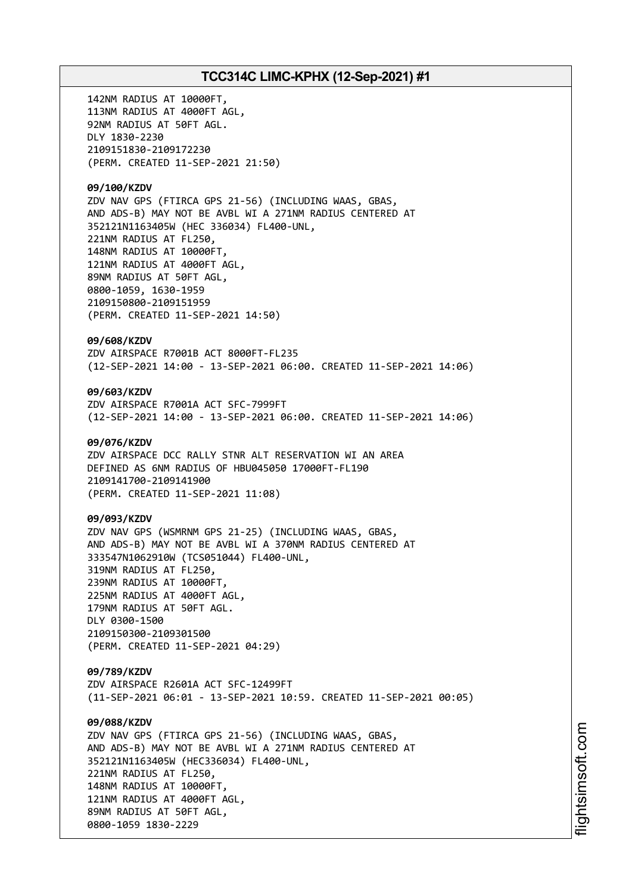142NM RADIUS AT 10000FT, 113NM RADIUS AT 4000FT AGL, 92NM RADIUS AT 50FT AGL. DLY 1830-2230 2109151830-2109172230 (PERM. CREATED 11-SEP-2021 21:50) **09/100/KZDV** ZDV NAV GPS (FTIRCA GPS 21-56) (INCLUDING WAAS, GBAS, AND ADS-B) MAY NOT BE AVBL WI A 271NM RADIUS CENTERED AT 352121N1163405W (HEC 336034) FL400-UNL, 221NM RADIUS AT FL250, 148NM RADIUS AT 10000FT, 121NM RADIUS AT 4000FT AGL, 89NM RADIUS AT 50FT AGL, 0800-1059, 1630-1959 2109150800-2109151959 (PERM. CREATED 11-SEP-2021 14:50) **09/608/KZDV** ZDV AIRSPACE R7001B ACT 8000FT-FL235 (12-SEP-2021 14:00 - 13-SEP-2021 06:00. CREATED 11-SEP-2021 14:06) **09/603/KZDV** ZDV AIRSPACE R7001A ACT SFC-7999FT (12-SEP-2021 14:00 - 13-SEP-2021 06:00. CREATED 11-SEP-2021 14:06) **09/076/KZDV** ZDV AIRSPACE DCC RALLY STNR ALT RESERVATION WI AN AREA DEFINED AS 6NM RADIUS OF HBU045050 17000FT-FL190 2109141700-2109141900 (PERM. CREATED 11-SEP-2021 11:08) **09/093/KZDV** ZDV NAV GPS (WSMRNM GPS 21-25) (INCLUDING WAAS, GBAS, AND ADS-B) MAY NOT BE AVBL WI A 370NM RADIUS CENTERED AT 333547N1062910W (TCS051044) FL400-UNL, 319NM RADIUS AT FL250, 239NM RADIUS AT 10000FT, 225NM RADIUS AT 4000FT AGL, 179NM RADIUS AT 50FT AGL. DLY 0300-1500 2109150300-2109301500 (PERM. CREATED 11-SEP-2021 04:29) **09/789/KZDV** ZDV AIRSPACE R2601A ACT SFC-12499FT (11-SEP-2021 06:01 - 13-SEP-2021 10:59. CREATED 11-SEP-2021 00:05) **09/088/KZDV** ZDV NAV GPS (FTIRCA GPS 21-56) (INCLUDING WAAS, GBAS, AND ADS-B) MAY NOT BE AVBL WI A 271NM RADIUS CENTERED AT 352121N1163405W (HEC336034) FL400-UNL, 221NM RADIUS AT FL250, 148NM RADIUS AT 10000FT, 121NM RADIUS AT 4000FT AGL, 89NM RADIUS AT 50FT AGL, 0800-1059 1830-2229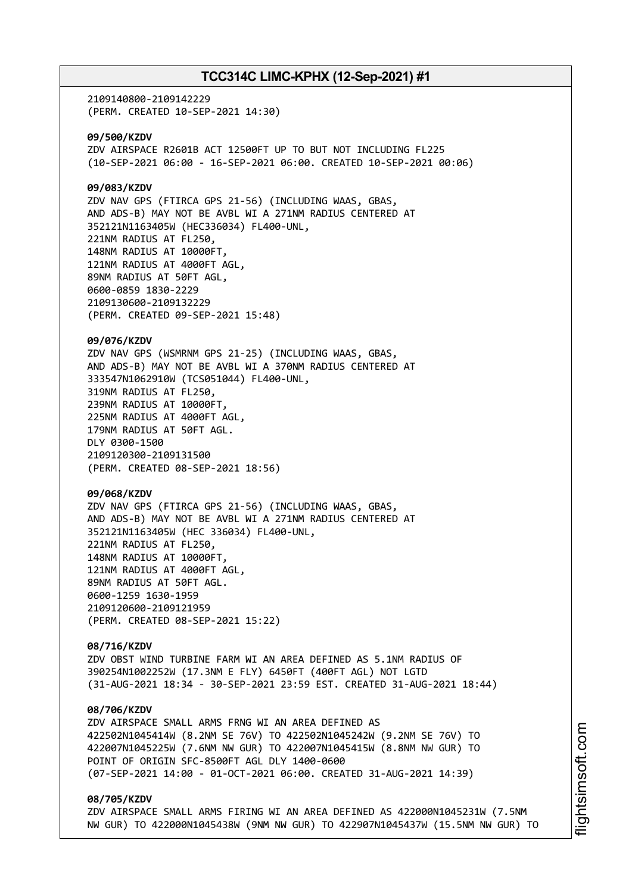2109140800-2109142229 (PERM. CREATED 10-SEP-2021 14:30)

**09/500/KZDV** ZDV AIRSPACE R2601B ACT 12500FT UP TO BUT NOT INCLUDING FL225 (10-SEP-2021 06:00 - 16-SEP-2021 06:00. CREATED 10-SEP-2021 00:06)

## **09/083/KZDV**

ZDV NAV GPS (FTIRCA GPS 21-56) (INCLUDING WAAS, GBAS, AND ADS-B) MAY NOT BE AVBL WI A 271NM RADIUS CENTERED AT 352121N1163405W (HEC336034) FL400-UNL, 221NM RADIUS AT FL250, 148NM RADIUS AT 10000FT, 121NM RADIUS AT 4000FT AGL, 89NM RADIUS AT 50FT AGL, 0600-0859 1830-2229 2109130600-2109132229 (PERM. CREATED 09-SEP-2021 15:48)

**09/076/KZDV**

ZDV NAV GPS (WSMRNM GPS 21-25) (INCLUDING WAAS, GBAS, AND ADS-B) MAY NOT BE AVBL WI A 370NM RADIUS CENTERED AT 333547N1062910W (TCS051044) FL400-UNL, 319NM RADIUS AT FL250, 239NM RADIUS AT 10000FT, 225NM RADIUS AT 4000FT AGL, 179NM RADIUS AT 50FT AGL. DLY 0300-1500 2109120300-2109131500 (PERM. CREATED 08-SEP-2021 18:56)

## **09/068/KZDV**

ZDV NAV GPS (FTIRCA GPS 21-56) (INCLUDING WAAS, GBAS, AND ADS-B) MAY NOT BE AVBL WI A 271NM RADIUS CENTERED AT 352121N1163405W (HEC 336034) FL400-UNL, 221NM RADIUS AT FL250, 148NM RADIUS AT 10000FT, 121NM RADIUS AT 4000FT AGL, 89NM RADIUS AT 50FT AGL. 0600-1259 1630-1959 2109120600-2109121959 (PERM. CREATED 08-SEP-2021 15:22)

**08/716/KZDV** ZDV OBST WIND TURBINE FARM WI AN AREA DEFINED AS 5.1NM RADIUS OF 390254N1002252W (17.3NM E FLY) 6450FT (400FT AGL) NOT LGTD (31-AUG-2021 18:34 - 30-SEP-2021 23:59 EST. CREATED 31-AUG-2021 18:44)

### **08/706/KZDV**

ZDV AIRSPACE SMALL ARMS FRNG WI AN AREA DEFINED AS 422502N1045414W (8.2NM SE 76V) TO 422502N1045242W (9.2NM SE 76V) TO 422007N1045225W (7.6NM NW GUR) TO 422007N1045415W (8.8NM NW GUR) TO POINT OF ORIGIN SFC-8500FT AGL DLY 1400-0600 (07-SEP-2021 14:00 - 01-OCT-2021 06:00. CREATED 31-AUG-2021 14:39)

### **08/705/KZDV**

ZDV AIRSPACE SMALL ARMS FIRING WI AN AREA DEFINED AS 422000N1045231W (7.5NM NW GUR) TO 422000N1045438W (9NM NW GUR) TO 422907N1045437W (15.5NM NW GUR) TO i⊒<br>⊫ htsim s oft.c om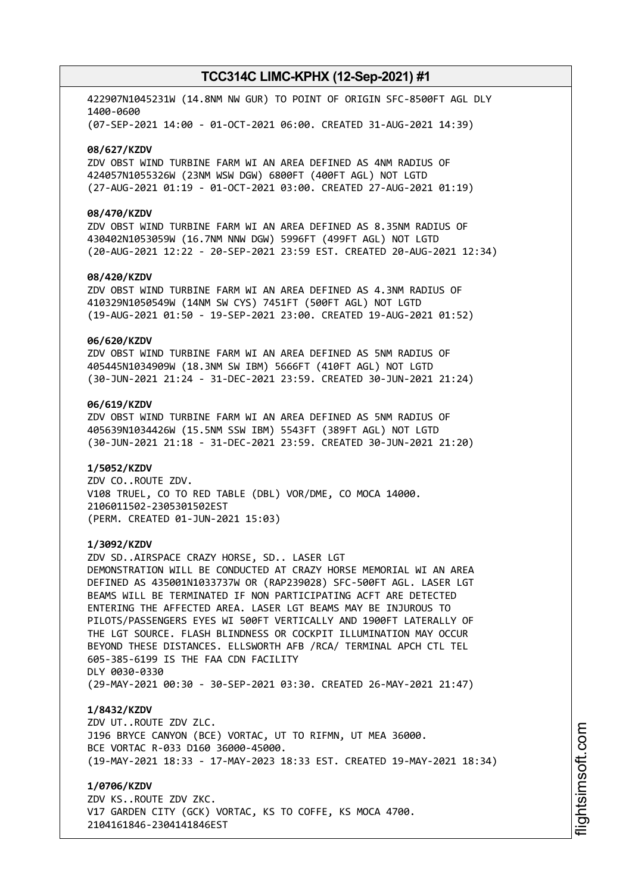422907N1045231W (14.8NM NW GUR) TO POINT OF ORIGIN SFC-8500FT AGL DLY 1400-0600 (07-SEP-2021 14:00 - 01-OCT-2021 06:00. CREATED 31-AUG-2021 14:39)

#### **08/627/KZDV**

ZDV OBST WIND TURBINE FARM WI AN AREA DEFINED AS 4NM RADIUS OF 424057N1055326W (23NM WSW DGW) 6800FT (400FT AGL) NOT LGTD (27-AUG-2021 01:19 - 01-OCT-2021 03:00. CREATED 27-AUG-2021 01:19)

### **08/470/KZDV**

ZDV OBST WIND TURBINE FARM WI AN AREA DEFINED AS 8.35NM RADIUS OF 430402N1053059W (16.7NM NNW DGW) 5996FT (499FT AGL) NOT LGTD (20-AUG-2021 12:22 - 20-SEP-2021 23:59 EST. CREATED 20-AUG-2021 12:34)

## **08/420/KZDV**

ZDV OBST WIND TURBINE FARM WI AN AREA DEFINED AS 4.3NM RADIUS OF 410329N1050549W (14NM SW CYS) 7451FT (500FT AGL) NOT LGTD (19-AUG-2021 01:50 - 19-SEP-2021 23:00. CREATED 19-AUG-2021 01:52)

## **06/620/KZDV**

ZDV OBST WIND TURBINE FARM WI AN AREA DEFINED AS 5NM RADIUS OF 405445N1034909W (18.3NM SW IBM) 5666FT (410FT AGL) NOT LGTD (30-JUN-2021 21:24 - 31-DEC-2021 23:59. CREATED 30-JUN-2021 21:24)

## **06/619/KZDV**

ZDV OBST WIND TURBINE FARM WI AN AREA DEFINED AS 5NM RADIUS OF 405639N1034426W (15.5NM SSW IBM) 5543FT (389FT AGL) NOT LGTD (30-JUN-2021 21:18 - 31-DEC-2021 23:59. CREATED 30-JUN-2021 21:20)

### **1/5052/KZDV**

ZDV CO..ROUTE ZDV. V108 TRUEL, CO TO RED TABLE (DBL) VOR/DME, CO MOCA 14000. 2106011502-2305301502EST (PERM. CREATED 01-JUN-2021 15:03)

#### **1/3092/KZDV**

ZDV SD..AIRSPACE CRAZY HORSE, SD.. LASER LGT DEMONSTRATION WILL BE CONDUCTED AT CRAZY HORSE MEMORIAL WI AN AREA DEFINED AS 435001N1033737W OR (RAP239028) SFC-500FT AGL. LASER LGT BEAMS WILL BE TERMINATED IF NON PARTICIPATING ACFT ARE DETECTED ENTERING THE AFFECTED AREA. LASER LGT BEAMS MAY BE INJUROUS TO PILOTS/PASSENGERS EYES WI 500FT VERTICALLY AND 1900FT LATERALLY OF THE LGT SOURCE. FLASH BLINDNESS OR COCKPIT ILLUMINATION MAY OCCUR BEYOND THESE DISTANCES. ELLSWORTH AFB /RCA/ TERMINAL APCH CTL TEL 605-385-6199 IS THE FAA CDN FACILITY DLY 0030-0330 (29-MAY-2021 00:30 - 30-SEP-2021 03:30. CREATED 26-MAY-2021 21:47)

**1/8432/KZDV**

ZDV UT..ROUTE ZDV ZLC. J196 BRYCE CANYON (BCE) VORTAC, UT TO RIFMN, UT MEA 36000. BCE VORTAC R-033 D160 36000-45000. (19-MAY-2021 18:33 - 17-MAY-2023 18:33 EST. CREATED 19-MAY-2021 18:34)

**1/0706/KZDV**

ZDV KS..ROUTE ZDV ZKC. V17 GARDEN CITY (GCK) VORTAC, KS TO COFFE, KS MOCA 4700. 2104161846-2304141846EST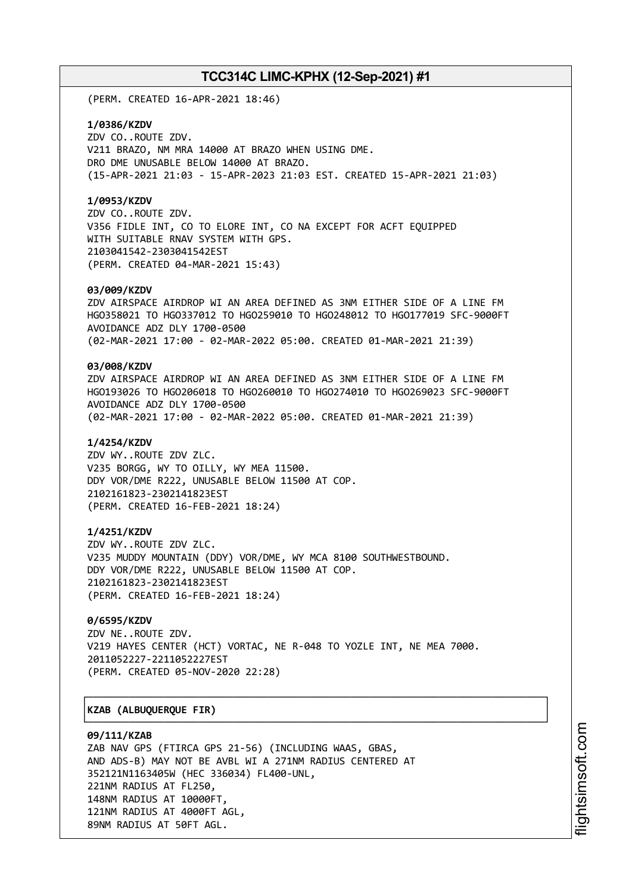(PERM. CREATED 16-APR-2021 18:46)

### **1/0386/KZDV**

ZDV CO..ROUTE ZDV. V211 BRAZO, NM MRA 14000 AT BRAZO WHEN USING DME. DRO DME UNUSABLE BELOW 14000 AT BRAZO. (15-APR-2021 21:03 - 15-APR-2023 21:03 EST. CREATED 15-APR-2021 21:03)

## **1/0953/KZDV**

ZDV CO..ROUTE ZDV. V356 FIDLE INT, CO TO ELORE INT, CO NA EXCEPT FOR ACFT EQUIPPED WITH SUITABLE RNAV SYSTEM WITH GPS. 2103041542-2303041542EST (PERM. CREATED 04-MAR-2021 15:43)

### **03/009/KZDV**

ZDV AIRSPACE AIRDROP WI AN AREA DEFINED AS 3NM EITHER SIDE OF A LINE FM HGO358021 TO HGO337012 TO HGO259010 TO HGO248012 TO HGO177019 SFC-9000FT AVOIDANCE ADZ DLY 1700-0500 (02-MAR-2021 17:00 - 02-MAR-2022 05:00. CREATED 01-MAR-2021 21:39)

## **03/008/KZDV**

ZDV AIRSPACE AIRDROP WI AN AREA DEFINED AS 3NM EITHER SIDE OF A LINE FM HGO193026 TO HGO206018 TO HGO260010 TO HGO274010 TO HGO269023 SFC-9000FT AVOIDANCE ADZ DLY 1700-0500 (02-MAR-2021 17:00 - 02-MAR-2022 05:00. CREATED 01-MAR-2021 21:39)

### **1/4254/KZDV**

ZDV WY..ROUTE ZDV ZLC. V235 BORGG, WY TO OILLY, WY MEA 11500. DDY VOR/DME R222, UNUSABLE BELOW 11500 AT COP. 2102161823-2302141823EST (PERM. CREATED 16-FEB-2021 18:24)

## **1/4251/KZDV**

ZDV WY..ROUTE ZDV ZLC. V235 MUDDY MOUNTAIN (DDY) VOR/DME, WY MCA 8100 SOUTHWESTBOUND. DDY VOR/DME R222, UNUSABLE BELOW 11500 AT COP. 2102161823-2302141823EST (PERM. CREATED 16-FEB-2021 18:24)

## **0/6595/KZDV**

ZDV NE..ROUTE ZDV. V219 HAYES CENTER (HCT) VORTAC, NE R-048 TO YOZLE INT, NE MEA 7000. 2011052227-2211052227EST (PERM. CREATED 05-NOV-2020 22:28)

┌──────────────────────────────────────────────────────────────────────────────┐

└──────────────────────────────────────────────────────────────────────────────┘

## │**KZAB (ALBUQUERQUE FIR)** │

#### **09/111/KZAB**

ZAB NAV GPS (FTIRCA GPS 21-56) (INCLUDING WAAS, GBAS, AND ADS-B) MAY NOT BE AVBL WI A 271NM RADIUS CENTERED AT 352121N1163405W (HEC 336034) FL400-UNL, 221NM RADIUS AT FL250, 148NM RADIUS AT 10000FT, 121NM RADIUS AT 4000FT AGL, 89NM RADIUS AT 50FT AGL.

i⊒<br>⊫ htsim soft.c om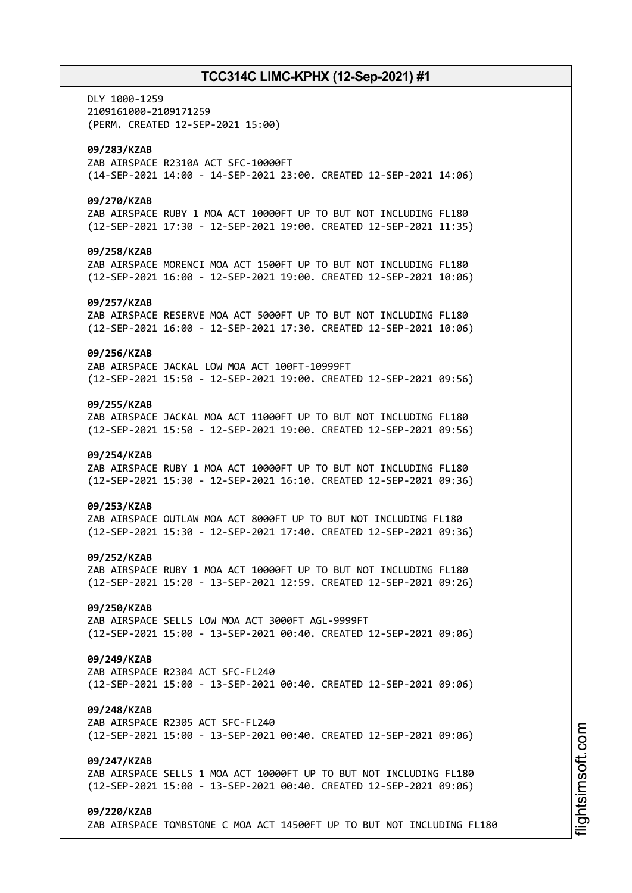DLY 1000-1259 2109161000-2109171259 (PERM. CREATED 12-SEP-2021 15:00) **09/283/KZAB** ZAB AIRSPACE R2310A ACT SFC-10000FT (14-SEP-2021 14:00 - 14-SEP-2021 23:00. CREATED 12-SEP-2021 14:06) **09/270/KZAB** ZAB AIRSPACE RUBY 1 MOA ACT 10000FT UP TO BUT NOT INCLUDING FL180 (12-SEP-2021 17:30 - 12-SEP-2021 19:00. CREATED 12-SEP-2021 11:35) **09/258/KZAB** ZAB AIRSPACE MORENCI MOA ACT 1500FT UP TO BUT NOT INCLUDING FL180 (12-SEP-2021 16:00 - 12-SEP-2021 19:00. CREATED 12-SEP-2021 10:06) **09/257/KZAB** ZAB AIRSPACE RESERVE MOA ACT 5000FT UP TO BUT NOT INCLUDING FL180 (12-SEP-2021 16:00 - 12-SEP-2021 17:30. CREATED 12-SEP-2021 10:06) **09/256/KZAB** ZAB AIRSPACE JACKAL LOW MOA ACT 100FT-10999FT (12-SEP-2021 15:50 - 12-SEP-2021 19:00. CREATED 12-SEP-2021 09:56) **09/255/KZAB** ZAB AIRSPACE JACKAL MOA ACT 11000FT UP TO BUT NOT INCLUDING FL180 (12-SEP-2021 15:50 - 12-SEP-2021 19:00. CREATED 12-SEP-2021 09:56) **09/254/KZAB** ZAB AIRSPACE RUBY 1 MOA ACT 10000FT UP TO BUT NOT INCLUDING FL180 (12-SEP-2021 15:30 - 12-SEP-2021 16:10. CREATED 12-SEP-2021 09:36) **09/253/KZAB** ZAB AIRSPACE OUTLAW MOA ACT 8000FT UP TO BUT NOT INCLUDING FL180 (12-SEP-2021 15:30 - 12-SEP-2021 17:40. CREATED 12-SEP-2021 09:36) **09/252/KZAB** ZAB AIRSPACE RUBY 1 MOA ACT 10000FT UP TO BUT NOT INCLUDING FL180 (12-SEP-2021 15:20 - 13-SEP-2021 12:59. CREATED 12-SEP-2021 09:26) **09/250/KZAB** ZAB AIRSPACE SELLS LOW MOA ACT 3000FT AGL-9999FT (12-SEP-2021 15:00 - 13-SEP-2021 00:40. CREATED 12-SEP-2021 09:06) **09/249/KZAB** ZAB AIRSPACE R2304 ACT SFC-FL240 (12-SEP-2021 15:00 - 13-SEP-2021 00:40. CREATED 12-SEP-2021 09:06) **09/248/KZAB** ZAB AIRSPACE R2305 ACT SFC-FL240 (12-SEP-2021 15:00 - 13-SEP-2021 00:40. CREATED 12-SEP-2021 09:06) **09/247/KZAB** ZAB AIRSPACE SELLS 1 MOA ACT 10000FT UP TO BUT NOT INCLUDING FL180 (12-SEP-2021 15:00 - 13-SEP-2021 00:40. CREATED 12-SEP-2021 09:06) **09/220/KZAB** ZAB AIRSPACE TOMBSTONE C MOA ACT 14500FT UP TO BUT NOT INCLUDING FL180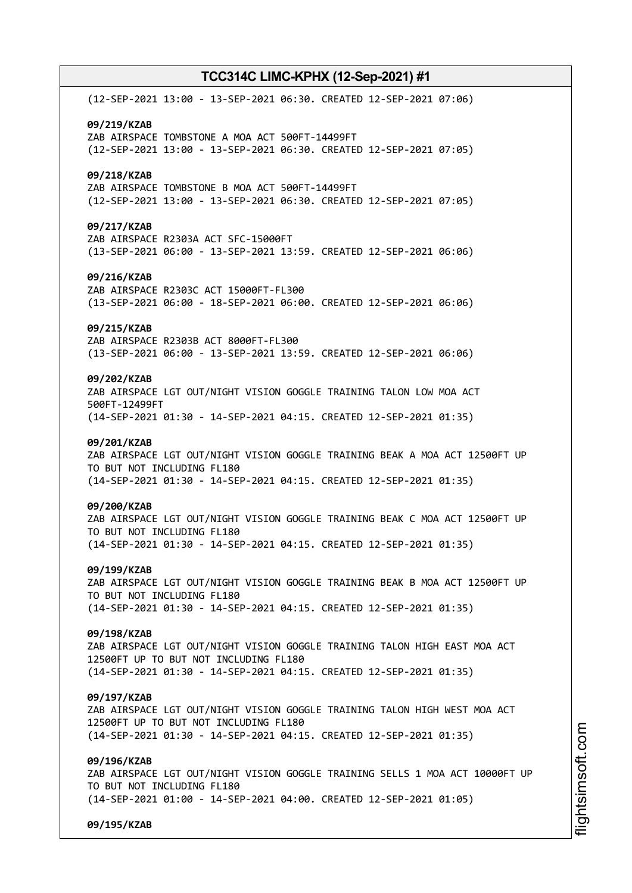(12-SEP-2021 13:00 - 13-SEP-2021 06:30. CREATED 12-SEP-2021 07:06) **09/219/KZAB** ZAB AIRSPACE TOMBSTONE A MOA ACT 500FT-14499FT (12-SEP-2021 13:00 - 13-SEP-2021 06:30. CREATED 12-SEP-2021 07:05) **09/218/KZAB** ZAB AIRSPACE TOMBSTONE B MOA ACT 500FT-14499FT (12-SEP-2021 13:00 - 13-SEP-2021 06:30. CREATED 12-SEP-2021 07:05) **09/217/KZAB** ZAB AIRSPACE R2303A ACT SFC-15000FT (13-SEP-2021 06:00 - 13-SEP-2021 13:59. CREATED 12-SEP-2021 06:06) **09/216/KZAB** ZAB AIRSPACE R2303C ACT 15000FT-FL300 (13-SEP-2021 06:00 - 18-SEP-2021 06:00. CREATED 12-SEP-2021 06:06) **09/215/KZAB** ZAB AIRSPACE R2303B ACT 8000FT-FL300 (13-SEP-2021 06:00 - 13-SEP-2021 13:59. CREATED 12-SEP-2021 06:06) **09/202/KZAB** ZAB AIRSPACE LGT OUT/NIGHT VISION GOGGLE TRAINING TALON LOW MOA ACT 500FT-12499FT (14-SEP-2021 01:30 - 14-SEP-2021 04:15. CREATED 12-SEP-2021 01:35) **09/201/KZAB** ZAB AIRSPACE LGT OUT/NIGHT VISION GOGGLE TRAINING BEAK A MOA ACT 12500FT UP TO BUT NOT INCLUDING FL180 (14-SEP-2021 01:30 - 14-SEP-2021 04:15. CREATED 12-SEP-2021 01:35) **09/200/KZAB** ZAB AIRSPACE LGT OUT/NIGHT VISION GOGGLE TRAINING BEAK C MOA ACT 12500FT UP TO BUT NOT INCLUDING FL180 (14-SEP-2021 01:30 - 14-SEP-2021 04:15. CREATED 12-SEP-2021 01:35) **09/199/KZAB** ZAB AIRSPACE LGT OUT/NIGHT VISION GOGGLE TRAINING BEAK B MOA ACT 12500FT UP TO BUT NOT INCLUDING FL180 (14-SEP-2021 01:30 - 14-SEP-2021 04:15. CREATED 12-SEP-2021 01:35) **09/198/KZAB** ZAB AIRSPACE LGT OUT/NIGHT VISION GOGGLE TRAINING TALON HIGH EAST MOA ACT 12500FT UP TO BUT NOT INCLUDING FL180 (14-SEP-2021 01:30 - 14-SEP-2021 04:15. CREATED 12-SEP-2021 01:35) **09/197/KZAB** ZAB AIRSPACE LGT OUT/NIGHT VISION GOGGLE TRAINING TALON HIGH WEST MOA ACT 12500FT UP TO BUT NOT INCLUDING FL180 (14-SEP-2021 01:30 - 14-SEP-2021 04:15. CREATED 12-SEP-2021 01:35) **09/196/KZAB** ZAB AIRSPACE LGT OUT/NIGHT VISION GOGGLE TRAINING SELLS 1 MOA ACT 10000FT UP TO BUT NOT INCLUDING FL180 (14-SEP-2021 01:00 - 14-SEP-2021 04:00. CREATED 12-SEP-2021 01:05)

**09/195/KZAB**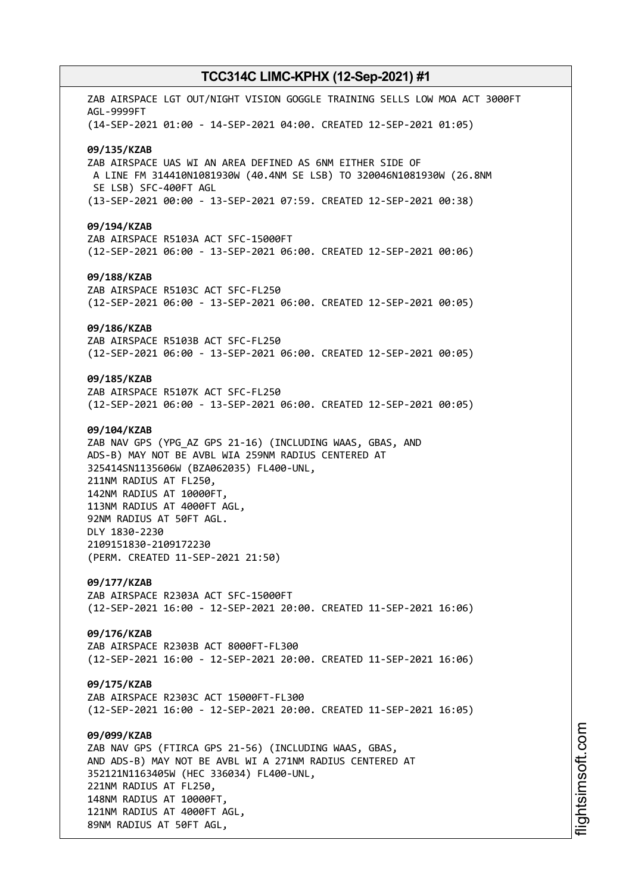ZAB AIRSPACE LGT OUT/NIGHT VISION GOGGLE TRAINING SELLS LOW MOA ACT 3000FT AGL-9999FT (14-SEP-2021 01:00 - 14-SEP-2021 04:00. CREATED 12-SEP-2021 01:05) **09/135/KZAB** ZAB AIRSPACE UAS WI AN AREA DEFINED AS 6NM EITHER SIDE OF A LINE FM 314410N1081930W (40.4NM SE LSB) TO 320046N1081930W (26.8NM SE LSB) SFC-400FT AGL (13-SEP-2021 00:00 - 13-SEP-2021 07:59. CREATED 12-SEP-2021 00:38) **09/194/KZAB** ZAB AIRSPACE R5103A ACT SFC-15000FT (12-SEP-2021 06:00 - 13-SEP-2021 06:00. CREATED 12-SEP-2021 00:06) **09/188/KZAB** ZAB AIRSPACE R5103C ACT SFC-FL250 (12-SEP-2021 06:00 - 13-SEP-2021 06:00. CREATED 12-SEP-2021 00:05) **09/186/KZAB** ZAB AIRSPACE R5103B ACT SFC-FL250 (12-SEP-2021 06:00 - 13-SEP-2021 06:00. CREATED 12-SEP-2021 00:05) **09/185/KZAB** ZAB AIRSPACE R5107K ACT SFC-FL250 (12-SEP-2021 06:00 - 13-SEP-2021 06:00. CREATED 12-SEP-2021 00:05) **09/104/KZAB** ZAB NAV GPS (YPG\_AZ GPS 21-16) (INCLUDING WAAS, GBAS, AND ADS-B) MAY NOT BE AVBL WIA 259NM RADIUS CENTERED AT 325414SN1135606W (BZA062035) FL400-UNL, 211NM RADIUS AT FL250, 142NM RADIUS AT 10000FT, 113NM RADIUS AT 4000FT AGL, 92NM RADIUS AT 50FT AGL. DLY 1830-2230 2109151830-2109172230 (PERM. CREATED 11-SEP-2021 21:50) **09/177/KZAB** ZAB AIRSPACE R2303A ACT SFC-15000FT (12-SEP-2021 16:00 - 12-SEP-2021 20:00. CREATED 11-SEP-2021 16:06) **09/176/KZAB** ZAB AIRSPACE R2303B ACT 8000FT-FL300 (12-SEP-2021 16:00 - 12-SEP-2021 20:00. CREATED 11-SEP-2021 16:06) **09/175/KZAB** ZAB AIRSPACE R2303C ACT 15000FT-FL300 (12-SEP-2021 16:00 - 12-SEP-2021 20:00. CREATED 11-SEP-2021 16:05) **09/099/KZAB** ZAB NAV GPS (FTIRCA GPS 21-56) (INCLUDING WAAS, GBAS, AND ADS-B) MAY NOT BE AVBL WI A 271NM RADIUS CENTERED AT 352121N1163405W (HEC 336034) FL400-UNL, 221NM RADIUS AT FL250, 148NM RADIUS AT 10000FT, 121NM RADIUS AT 4000FT AGL, 89NM RADIUS AT 50FT AGL,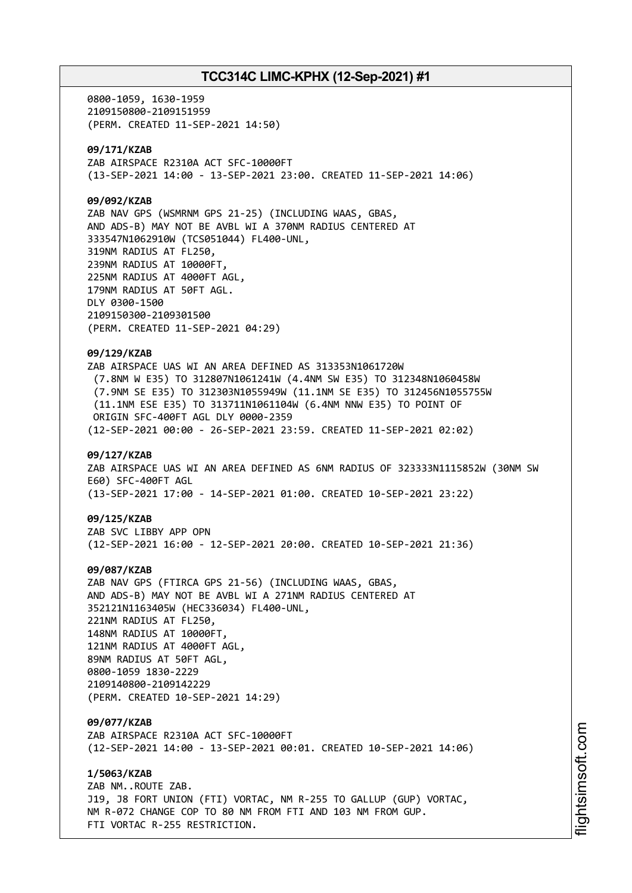0800-1059, 1630-1959 2109150800-2109151959 (PERM. CREATED 11-SEP-2021 14:50) **09/171/KZAB** ZAB AIRSPACE R2310A ACT SFC-10000FT (13-SEP-2021 14:00 - 13-SEP-2021 23:00. CREATED 11-SEP-2021 14:06) **09/092/KZAB** ZAB NAV GPS (WSMRNM GPS 21-25) (INCLUDING WAAS, GBAS, AND ADS-B) MAY NOT BE AVBL WI A 370NM RADIUS CENTERED AT 333547N1062910W (TCS051044) FL400-UNL, 319NM RADIUS AT FL250, 239NM RADIUS AT 10000FT, 225NM RADIUS AT 4000FT AGL, 179NM RADIUS AT 50FT AGL. DLY 0300-1500 2109150300-2109301500 (PERM. CREATED 11-SEP-2021 04:29) **09/129/KZAB** ZAB AIRSPACE UAS WI AN AREA DEFINED AS 313353N1061720W (7.8NM W E35) TO 312807N1061241W (4.4NM SW E35) TO 312348N1060458W (7.9NM SE E35) TO 312303N1055949W (11.1NM SE E35) TO 312456N1055755W (11.1NM ESE E35) TO 313711N1061104W (6.4NM NNW E35) TO POINT OF ORIGIN SFC-400FT AGL DLY 0000-2359 (12-SEP-2021 00:00 - 26-SEP-2021 23:59. CREATED 11-SEP-2021 02:02) **09/127/KZAB** ZAB AIRSPACE UAS WI AN AREA DEFINED AS 6NM RADIUS OF 323333N1115852W (30NM SW E60) SFC-400FT AGL (13-SEP-2021 17:00 - 14-SEP-2021 01:00. CREATED 10-SEP-2021 23:22) **09/125/KZAB** ZAB SVC LIBBY APP OPN (12-SEP-2021 16:00 - 12-SEP-2021 20:00. CREATED 10-SEP-2021 21:36) **09/087/KZAB** ZAB NAV GPS (FTIRCA GPS 21-56) (INCLUDING WAAS, GBAS, AND ADS-B) MAY NOT BE AVBL WI A 271NM RADIUS CENTERED AT 352121N1163405W (HEC336034) FL400-UNL, 221NM RADIUS AT FL250, 148NM RADIUS AT 10000FT, 121NM RADIUS AT 4000FT AGL, 89NM RADIUS AT 50FT AGL, 0800-1059 1830-2229 2109140800-2109142229 (PERM. CREATED 10-SEP-2021 14:29) **09/077/KZAB** ZAB AIRSPACE R2310A ACT SFC-10000FT (12-SEP-2021 14:00 - 13-SEP-2021 00:01. CREATED 10-SEP-2021 14:06) **1/5063/KZAB** ZAB NM..ROUTE ZAB. J19, J8 FORT UNION (FTI) VORTAC, NM R-255 TO GALLUP (GUP) VORTAC, NM R-072 CHANGE COP TO 80 NM FROM FTI AND 103 NM FROM GUP. FTI VORTAC R-255 RESTRICTION.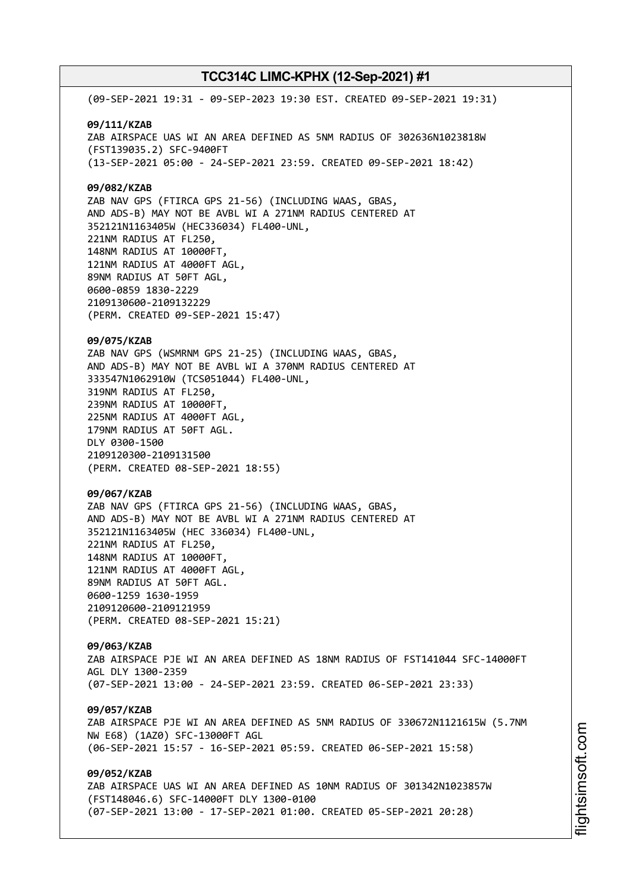(09-SEP-2021 19:31 - 09-SEP-2023 19:30 EST. CREATED 09-SEP-2021 19:31) **09/111/KZAB** ZAB AIRSPACE UAS WI AN AREA DEFINED AS 5NM RADIUS OF 302636N1023818W (FST139035.2) SFC-9400FT (13-SEP-2021 05:00 - 24-SEP-2021 23:59. CREATED 09-SEP-2021 18:42) **09/082/KZAB** ZAB NAV GPS (FTIRCA GPS 21-56) (INCLUDING WAAS, GBAS, AND ADS-B) MAY NOT BE AVBL WI A 271NM RADIUS CENTERED AT 352121N1163405W (HEC336034) FL400-UNL, 221NM RADIUS AT FL250, 148NM RADIUS AT 10000FT, 121NM RADIUS AT 4000FT AGL, 89NM RADIUS AT 50FT AGL, 0600-0859 1830-2229 2109130600-2109132229 (PERM. CREATED 09-SEP-2021 15:47) **09/075/KZAB** ZAB NAV GPS (WSMRNM GPS 21-25) (INCLUDING WAAS, GBAS, AND ADS-B) MAY NOT BE AVBL WI A 370NM RADIUS CENTERED AT 333547N1062910W (TCS051044) FL400-UNL, 319NM RADIUS AT FL250, 239NM RADIUS AT 10000FT, 225NM RADIUS AT 4000FT AGL, 179NM RADIUS AT 50FT AGL. DLY 0300-1500 2109120300-2109131500 (PERM. CREATED 08-SEP-2021 18:55) **09/067/KZAB** ZAB NAV GPS (FTIRCA GPS 21-56) (INCLUDING WAAS, GBAS, AND ADS-B) MAY NOT BE AVBL WI A 271NM RADIUS CENTERED AT 352121N1163405W (HEC 336034) FL400-UNL, 221NM RADIUS AT FL250, 148NM RADIUS AT 10000FT, 121NM RADIUS AT 4000FT AGL, 89NM RADIUS AT 50FT AGL. 0600-1259 1630-1959 2109120600-2109121959 (PERM. CREATED 08-SEP-2021 15:21) **09/063/KZAB** ZAB AIRSPACE PJE WI AN AREA DEFINED AS 18NM RADIUS OF FST141044 SFC-14000FT AGL DLY 1300-2359 (07-SEP-2021 13:00 - 24-SEP-2021 23:59. CREATED 06-SEP-2021 23:33) **09/057/KZAB** ZAB AIRSPACE PJE WI AN AREA DEFINED AS 5NM RADIUS OF 330672N1121615W (5.7NM NW E68) (1AZ0) SFC-13000FT AGL (06-SEP-2021 15:57 - 16-SEP-2021 05:59. CREATED 06-SEP-2021 15:58) **09/052/KZAB** ZAB AIRSPACE UAS WI AN AREA DEFINED AS 10NM RADIUS OF 301342N1023857W (FST148046.6) SFC-14000FT DLY 1300-0100 (07-SEP-2021 13:00 - 17-SEP-2021 01:00. CREATED 05-SEP-2021 20:28)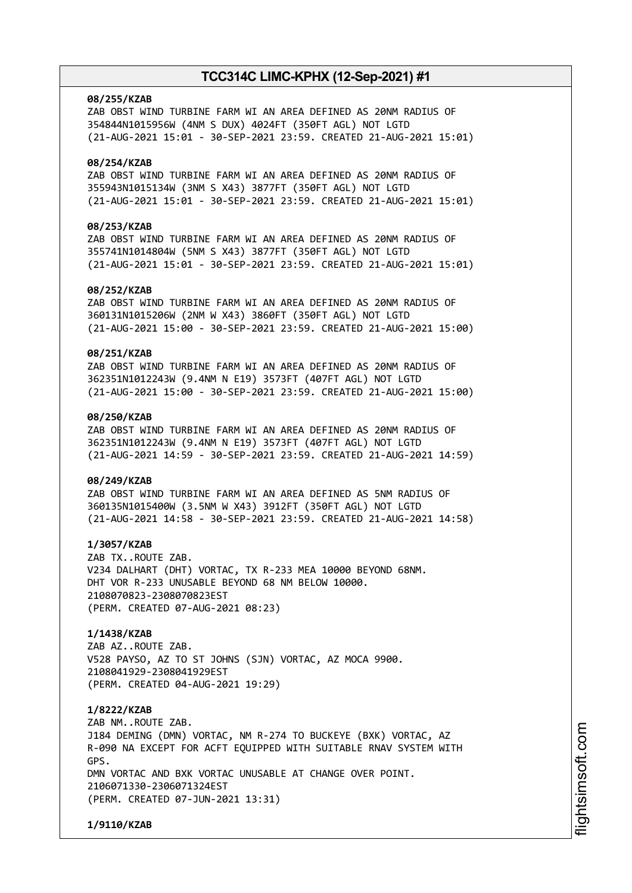### **08/255/KZAB**

ZAB OBST WIND TURBINE FARM WI AN AREA DEFINED AS 20NM RADIUS OF 354844N1015956W (4NM S DUX) 4024FT (350FT AGL) NOT LGTD (21-AUG-2021 15:01 - 30-SEP-2021 23:59. CREATED 21-AUG-2021 15:01)

## **08/254/KZAB**

ZAB OBST WIND TURBINE FARM WI AN AREA DEFINED AS 20NM RADIUS OF 355943N1015134W (3NM S X43) 3877FT (350FT AGL) NOT LGTD (21-AUG-2021 15:01 - 30-SEP-2021 23:59. CREATED 21-AUG-2021 15:01)

## **08/253/KZAB**

ZAB OBST WIND TURBINE FARM WI AN AREA DEFINED AS 20NM RADIUS OF 355741N1014804W (5NM S X43) 3877FT (350FT AGL) NOT LGTD (21-AUG-2021 15:01 - 30-SEP-2021 23:59. CREATED 21-AUG-2021 15:01)

## **08/252/KZAB**

ZAB OBST WIND TURBINE FARM WI AN AREA DEFINED AS 20NM RADIUS OF 360131N1015206W (2NM W X43) 3860FT (350FT AGL) NOT LGTD (21-AUG-2021 15:00 - 30-SEP-2021 23:59. CREATED 21-AUG-2021 15:00)

### **08/251/KZAB**

ZAB OBST WIND TURBINE FARM WI AN AREA DEFINED AS 20NM RADIUS OF 362351N1012243W (9.4NM N E19) 3573FT (407FT AGL) NOT LGTD (21-AUG-2021 15:00 - 30-SEP-2021 23:59. CREATED 21-AUG-2021 15:00)

## **08/250/KZAB**

ZAB OBST WIND TURBINE FARM WI AN AREA DEFINED AS 20NM RADIUS OF 362351N1012243W (9.4NM N E19) 3573FT (407FT AGL) NOT LGTD (21-AUG-2021 14:59 - 30-SEP-2021 23:59. CREATED 21-AUG-2021 14:59)

## **08/249/KZAB**

ZAB OBST WIND TURBINE FARM WI AN AREA DEFINED AS 5NM RADIUS OF 360135N1015400W (3.5NM W X43) 3912FT (350FT AGL) NOT LGTD (21-AUG-2021 14:58 - 30-SEP-2021 23:59. CREATED 21-AUG-2021 14:58)

## **1/3057/KZAB**

ZAB TX..ROUTE ZAB. V234 DALHART (DHT) VORTAC, TX R-233 MEA 10000 BEYOND 68NM. DHT VOR R-233 UNUSABLE BEYOND 68 NM BELOW 10000. 2108070823-2308070823EST (PERM. CREATED 07-AUG-2021 08:23)

## **1/1438/KZAB**

ZAB AZ..ROUTE ZAB. V528 PAYSO, AZ TO ST JOHNS (SJN) VORTAC, AZ MOCA 9900. 2108041929-2308041929EST (PERM. CREATED 04-AUG-2021 19:29)

## **1/8222/KZAB**

ZAB NM..ROUTE ZAB. J184 DEMING (DMN) VORTAC, NM R-274 TO BUCKEYE (BXK) VORTAC, AZ R-090 NA EXCEPT FOR ACFT EQUIPPED WITH SUITABLE RNAV SYSTEM WITH GPS. DMN VORTAC AND BXK VORTAC UNUSABLE AT CHANGE OVER POINT. 2106071330-2306071324EST (PERM. CREATED 07-JUN-2021 13:31)

**1/9110/KZAB**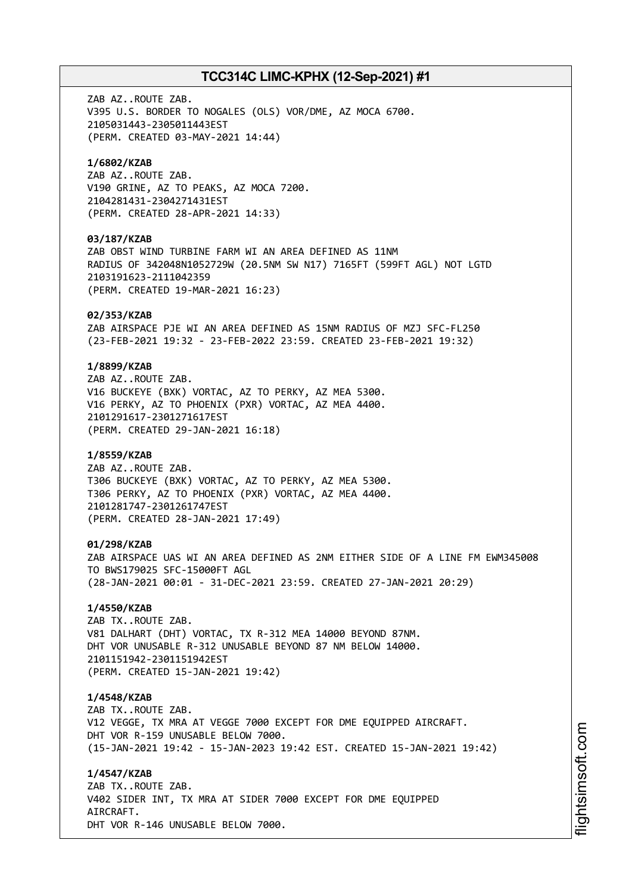ZAB AZ..ROUTE ZAB. V395 U.S. BORDER TO NOGALES (OLS) VOR/DME, AZ MOCA 6700. 2105031443-2305011443EST (PERM. CREATED 03-MAY-2021 14:44) **1/6802/KZAB** ZAB AZ..ROUTE ZAB. V190 GRINE, AZ TO PEAKS, AZ MOCA 7200. 2104281431-2304271431EST (PERM. CREATED 28-APR-2021 14:33) **03/187/KZAB** ZAB OBST WIND TURBINE FARM WI AN AREA DEFINED AS 11NM RADIUS OF 342048N1052729W (20.5NM SW N17) 7165FT (599FT AGL) NOT LGTD 2103191623-2111042359 (PERM. CREATED 19-MAR-2021 16:23) **02/353/KZAB** ZAB AIRSPACE PJE WI AN AREA DEFINED AS 15NM RADIUS OF MZJ SFC-FL250 (23-FEB-2021 19:32 - 23-FEB-2022 23:59. CREATED 23-FEB-2021 19:32) **1/8899/KZAB** ZAB AZ..ROUTE ZAB. V16 BUCKEYE (BXK) VORTAC, AZ TO PERKY, AZ MEA 5300. V16 PERKY, AZ TO PHOENIX (PXR) VORTAC, AZ MEA 4400. 2101291617-2301271617EST (PERM. CREATED 29-JAN-2021 16:18) **1/8559/KZAB** ZAB AZ..ROUTE ZAB. T306 BUCKEYE (BXK) VORTAC, AZ TO PERKY, AZ MEA 5300. T306 PERKY, AZ TO PHOENIX (PXR) VORTAC, AZ MEA 4400. 2101281747-2301261747EST (PERM. CREATED 28-JAN-2021 17:49) **01/298/KZAB** ZAB AIRSPACE UAS WI AN AREA DEFINED AS 2NM EITHER SIDE OF A LINE FM EWM345008 TO BWS179025 SFC-15000FT AGL (28-JAN-2021 00:01 - 31-DEC-2021 23:59. CREATED 27-JAN-2021 20:29) **1/4550/KZAB** ZAB TX..ROUTE ZAB. V81 DALHART (DHT) VORTAC, TX R-312 MEA 14000 BEYOND 87NM. DHT VOR UNUSABLE R-312 UNUSABLE BEYOND 87 NM BELOW 14000. 2101151942-2301151942EST (PERM. CREATED 15-JAN-2021 19:42) **1/4548/KZAB** ZAB TX..ROUTE ZAB. V12 VEGGE, TX MRA AT VEGGE 7000 EXCEPT FOR DME EQUIPPED AIRCRAFT. DHT VOR R-159 UNUSABLE BELOW 7000. (15-JAN-2021 19:42 - 15-JAN-2023 19:42 EST. CREATED 15-JAN-2021 19:42) **1/4547/KZAB** ZAB TX..ROUTE ZAB. V402 SIDER INT, TX MRA AT SIDER 7000 EXCEPT FOR DME EQUIPPED AIRCRAFT.

DHT VOR R-146 UNUSABLE BELOW 7000.